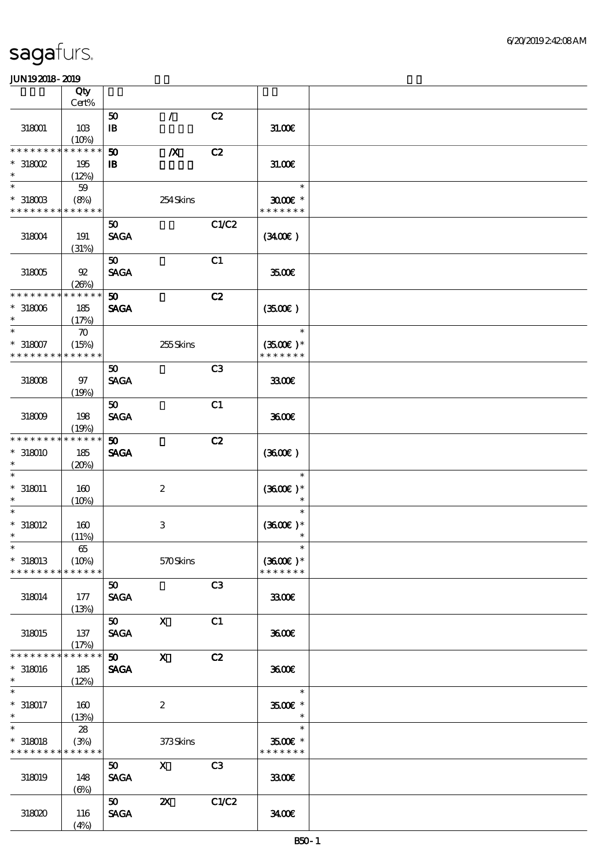|                                                         | Qty<br>Cert%                   |                                |                           |       |                                       |  |
|---------------------------------------------------------|--------------------------------|--------------------------------|---------------------------|-------|---------------------------------------|--|
|                                                         |                                | 50                             | $\mathcal{L}$             | C2    |                                       |  |
| 318001                                                  | 10B<br>(10%)                   | ${\bf I\!B}$                   |                           |       | 31.00E                                |  |
| * * * * * * * *                                         | * * * * * *                    | 50                             | $\boldsymbol{X}$          | C2    |                                       |  |
| $*318002$<br>$\ast$                                     | 195                            | $\mathbf{B}$                   |                           |       | 31.006                                |  |
| $\ast$                                                  | (12%)                          |                                |                           |       | $\ast$                                |  |
| $*$ 318003<br>* * * * * * * * * * * * * *               | $59$<br>(8%)                   |                                | 254Skins                  |       | $3000$ $*$<br>* * * * * * *           |  |
|                                                         |                                |                                |                           |       |                                       |  |
| 318004                                                  | 191<br>(31%)                   | 50<br><b>SAGA</b>              |                           | C1/C2 | (340)                                 |  |
| 318005                                                  | 92<br>(20%)                    | 50 <sub>o</sub><br><b>SAGA</b> |                           | C1    | 3500€                                 |  |
| * * * * * * * *                                         | * * * * * *                    | $\boldsymbol{\mathfrak{D}}$    |                           | C2    |                                       |  |
| $*318006$<br>$\ast$                                     | 185<br>(17%)                   | <b>SAGA</b>                    |                           |       | (3500)                                |  |
| $\ast$                                                  | $\boldsymbol{\pi}$             |                                |                           |       | $\ast$                                |  |
| $*318007$<br>* * * * * * * *                            | (15%)<br>* * * * * *           |                                | 255Skins                  |       | $(3500)$ *<br>* * * * * * *           |  |
|                                                         |                                | 50                             |                           | C3    |                                       |  |
| 318008                                                  | 97<br>(19%)                    | <b>SAGA</b>                    |                           |       | 3300                                  |  |
|                                                         |                                | 50 <sub>2</sub>                |                           | C1    |                                       |  |
| 318009                                                  | 198<br>(19%)                   | <b>SAGA</b>                    |                           |       | 3600E                                 |  |
| * * * * * * * *                                         | * * * * * *                    | 50 <sub>2</sub>                |                           | C2    |                                       |  |
| $*318010$<br>$\ast$                                     | 185<br>(20%)                   | <b>SAGA</b>                    |                           |       | (3600)                                |  |
| $\ast$<br>$* 318011$<br>$\ast$                          | 160<br>(10%)                   |                                | $\boldsymbol{2}$          |       | $\ast$<br>$(3600)$ *<br>$\ast$        |  |
| $\ast$<br>$*318012$<br>$\ast$                           | 160<br>(11%)                   |                                | $\,3$                     |       | $\ast$<br>$(3600)$ *<br>$\ast$        |  |
| $\ast$<br>$*318013$                                     | $65\,$<br>(10%)<br>* * * * * * |                                | 570Skins                  |       | $\ast$<br>$(3600)$ *<br>* * * * * * * |  |
| * * * * * * * *                                         |                                |                                |                           |       |                                       |  |
| 318014                                                  | 177<br>(13%)                   | 50<br><b>SAGA</b>              |                           | C3    | 3300€                                 |  |
|                                                         |                                | 50                             | $\mathbf{x}$              | C1    |                                       |  |
| 318015                                                  | 137<br>(17%)                   | <b>SAGA</b>                    |                           |       | 3600E                                 |  |
| * * * * * * * *                                         | * * * * * *                    | 50                             | $\mathbf{x}$              | C2    |                                       |  |
| $*318016$<br>$\ast$                                     | 185<br>(12%)                   | <b>SAGA</b>                    |                           |       | 3600E                                 |  |
| $\overline{\phantom{0}}$                                |                                |                                |                           |       | $\ast$                                |  |
| $*318017$<br>$\ast$                                     | 160<br>(13%)                   |                                | $\boldsymbol{2}$          |       | $3500$ $\epsilon$ *<br>$\ast$         |  |
| $\overline{\ast}$                                       | 28                             |                                |                           |       | $\ast$                                |  |
| $*318018$<br>* * * * * * * * <mark>* * * * * *</mark> * | (3%)                           |                                | 373Skins                  |       | 3500€ *<br>* * * * * * *              |  |
| 318019                                                  | 148<br>$(\Theta)$              | 50 <sub>o</sub><br><b>SAGA</b> | $\mathbf{X}$              | C3    | 3300€                                 |  |
| 318020                                                  | 116<br>(4%)                    | 50<br><b>SAGA</b>              | $\boldsymbol{\mathsf{Z}}$ | C1/C2 | 3400                                  |  |
|                                                         |                                |                                |                           |       |                                       |  |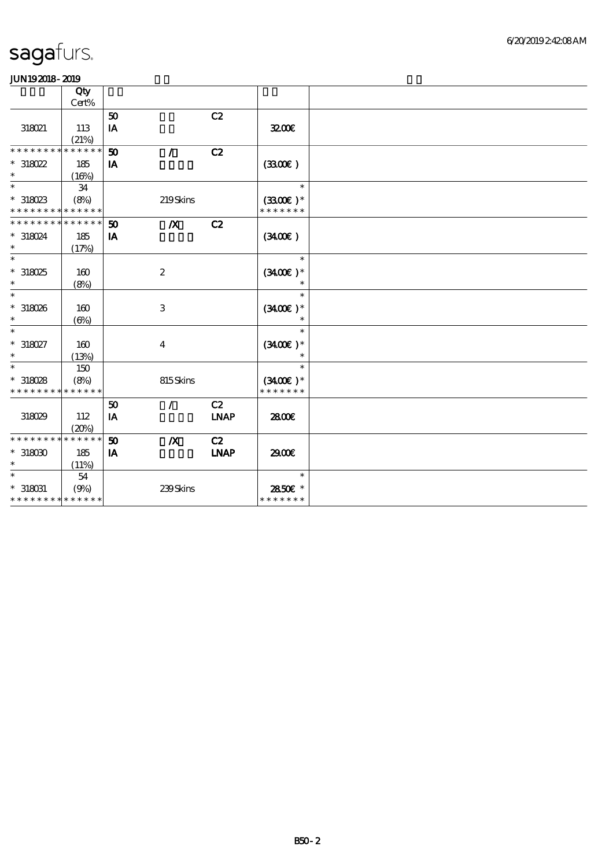|                             | Qty         |    |                  |             |               |  |
|-----------------------------|-------------|----|------------------|-------------|---------------|--|
|                             | Cert%       |    |                  |             |               |  |
|                             |             | 50 |                  | C2          |               |  |
| 318021                      | 113         | IA |                  |             | 3200E         |  |
|                             | (21%)       |    |                  |             |               |  |
| * * * * * * * *             | * * * * * * | 50 | $\mathcal{L}$    | C2          |               |  |
| $*318022$                   | 185         | IA |                  |             | (330)         |  |
| $\ast$                      | (16%)       |    |                  |             |               |  |
| $\ast$                      | 34          |    |                  |             | $\ast$        |  |
| $*318023$                   | (8%)        |    | 219Skins         |             | $(3300)$ *    |  |
| * * * * * * * * * * * * * * |             |    |                  |             | * * * * * * * |  |
| * * * * * * * *             | * * * * * * | 50 | $\boldsymbol{X}$ | C2          |               |  |
| * 318024                    | 185         | IA |                  |             | (340)         |  |
| $\ast$                      | (17%)       |    |                  |             |               |  |
| $\ast$                      |             |    |                  |             | $\ast$        |  |
| $*318025$                   | 160         |    | $\boldsymbol{2}$ |             | $(3400)$ *    |  |
| $\ast$                      |             |    |                  |             | $\ast$        |  |
| $\ast$                      | (8%)        |    |                  |             | $\ast$        |  |
|                             |             |    |                  |             |               |  |
| $*318026$                   | 160         |    | $\,3$            |             | $(3400)$ *    |  |
| $\ast$                      | $(\Theta)$  |    |                  |             | $\ast$        |  |
| $\ast$                      |             |    |                  |             | $\ast$        |  |
| $*318027$                   | 160         |    | $\overline{4}$   |             | $(3400)$ *    |  |
| $\ast$                      | (13%)       |    |                  |             | $\ast$        |  |
| $\ast$                      | 150         |    |                  |             | $\ast$        |  |
| $*318028$                   | (8%)        |    | 815Skins         |             | $(3400)$ *    |  |
| * * * * * * * *             | * * * * * * |    |                  |             | * * * * * * * |  |
|                             |             | 50 | $\mathcal{L}$    | C2          |               |  |
| 318029                      | 112         | IA |                  | <b>INAP</b> | 2800E         |  |
|                             | (20%)       |    |                  |             |               |  |
| * * * * * * * *             | * * * * * * | 50 | $\boldsymbol{X}$ | C2          |               |  |
| $*318000$                   | 185         | IA |                  | <b>LNAP</b> | 2900€         |  |
| $\ast$                      | (11%)       |    |                  |             |               |  |
| $\ast$                      |             |    |                  |             | $\ast$        |  |
|                             | 54          |    |                  |             |               |  |
| $^*$ 318031                 | (9%)        |    | 239Skins         |             | 2850€ *       |  |
| * * * * * * * * * * * * * * |             |    |                  |             | * * * * * * * |  |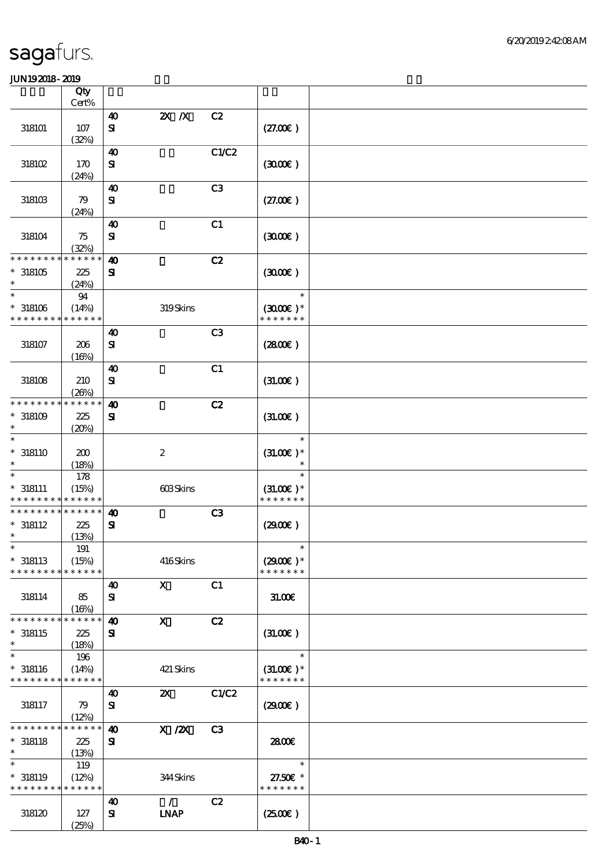|                                           | Qty                  |                                       |                  |                |                              |  |
|-------------------------------------------|----------------------|---------------------------------------|------------------|----------------|------------------------------|--|
|                                           | Cert%                | $\boldsymbol{\omega}$                 | $Z\!X$ $\,$ $X$  | C2             |                              |  |
| 318101                                    | $107$<br>(32%)       | $\bf S\!I$                            |                  |                | (27.00)                      |  |
|                                           |                      | $\boldsymbol{\omega}$                 |                  | C1/C2          |                              |  |
| 318102                                    | 170<br>(24%)         | ${\bf S}$                             |                  |                | (300)                        |  |
| 318103                                    | 79                   | $\boldsymbol{\omega}$<br>$\mathbf{S}$ |                  | C <sub>3</sub> | (27.00)                      |  |
|                                           | (24%)                |                                       |                  |                |                              |  |
| 318104                                    | 75<br>(32%)          | $\boldsymbol{\omega}$<br>$\mathbf{S}$ |                  | C1             | (300)                        |  |
| * * * * * * * *                           | * * * * * *          | $\boldsymbol{\omega}$                 |                  | C2             |                              |  |
| $*318105$<br>$\ast$                       | 225<br>(24%)         | ${\bf s}$                             |                  |                | (300)                        |  |
| $\ast$                                    | 94                   |                                       |                  |                | $\ast$                       |  |
| $*318106$<br>* * * * * * * *              | (14%)<br>* * * * * * |                                       | 319Skins         |                | $(3000)$ *<br>* * * * * * *  |  |
|                                           |                      | $\boldsymbol{\omega}$                 |                  | C <sub>3</sub> |                              |  |
| 318107                                    | $206\,$<br>(16%)     | $\mathbf{S}$                          |                  |                | (280)                        |  |
|                                           |                      | $\boldsymbol{\omega}$                 |                  | C1             |                              |  |
| 318108                                    | 210<br>(20%)         | ${\bf S}$                             |                  |                | (31.00)                      |  |
| * * * * * * * *                           | * * * * * *          | $\boldsymbol{\omega}$                 |                  | C2             |                              |  |
| $^*$ 318109 $\,$<br>$\ast$                | 225<br>(20%)         | $\mathbf{S}$                          |                  |                | (31.00)                      |  |
| $\ast$                                    |                      |                                       |                  |                | $\ast$                       |  |
| $* 318110$<br>$\ast$                      | 200<br>(18%)         |                                       | $\boldsymbol{2}$ |                | $(31.00)$ *<br>$\ast$        |  |
| $\ast$                                    | 178                  |                                       |                  |                |                              |  |
| $* 318111$<br>* * * * * * * * * * * * * * | (15%)                |                                       | 603Skins         |                | $(31.00)$ *<br>* * * * * * * |  |
| * * * * * * * *                           | * * * * * *          | $\boldsymbol{\omega}$                 |                  | C3             |                              |  |
| $* 318112$<br>$\ast$                      | 225<br>(13%)         | $\mathbf{S}$                          |                  |                | (2900)                       |  |
| $\ast$                                    | $191$                |                                       |                  |                | $\ast$                       |  |
| $*318113$<br>* * * * * * * *              | (15%)<br>* * * * * * |                                       | 416Skins         |                | $(2900)$ *<br>* * * * * * *  |  |
|                                           |                      | 40                                    | $\mathbf{X}$     | C1             |                              |  |
| 318114                                    | 85<br>(16%)          | ${\bf s}$                             |                  |                | 31.006                       |  |
| * * * * * * * *                           | * * * * * *          | $\boldsymbol{\omega}$                 | $\mathbf{x}$     | C2             |                              |  |
| $*318115$<br>$\ast$                       | 225<br>(18%)         | ${\bf s}$                             |                  |                | (31.00)                      |  |
| $\ast$                                    | 196                  |                                       |                  |                | $\ast$                       |  |
| $* 318116$<br>* * * * * * * * * * * * * * | (14%)                |                                       | 421 Skins        |                | $(31.00)$ *<br>* * * * * * * |  |
|                                           |                      | 40                                    | $\mathbf{x}$     | C1/C2          |                              |  |
| 318117                                    | 79<br>(12%)          | ${\bf s}$                             |                  |                | (2900)                       |  |
| * * * * * *                               | * * * * * *          | $\boldsymbol{\omega}$                 | $X$ / $ZX$       | C3             |                              |  |
| $* 318118$<br>$\ast$                      | 225<br>(13%)         | ${\bf s}$                             |                  |                | 2800E                        |  |
| $\ast$                                    | 119                  |                                       |                  |                | $\ast$                       |  |
| $* 318119$<br>* * * * * * * * * * * * * * | (12%)                |                                       | 344Skins         |                | 27.50€ *<br>* * * * * * *    |  |
|                                           |                      | 40                                    | $\mathcal{L}$    | C2             |                              |  |
| 318120                                    | 127<br>(25%)         | ${\bf s}$                             | <b>INAP</b>      |                | (250E)                       |  |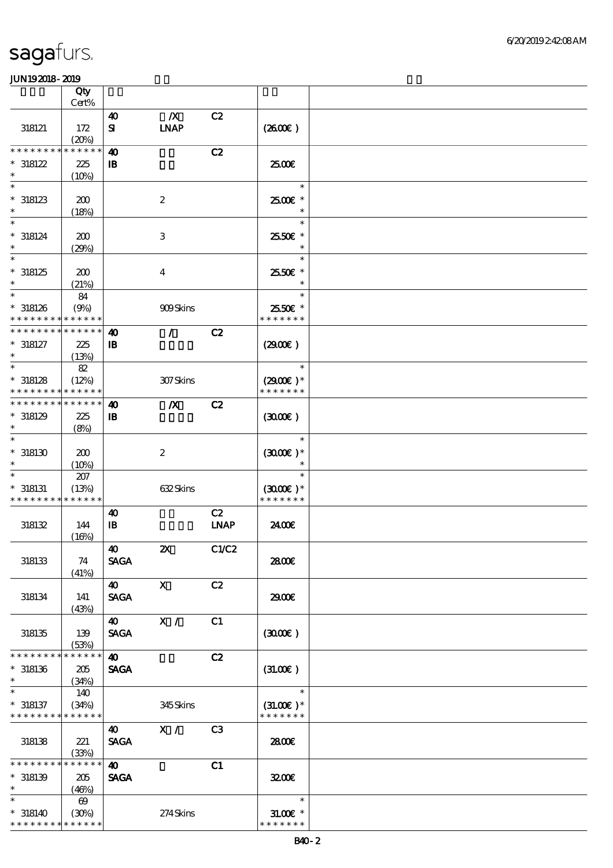|                                                          | Qty                   |                       |                                 |                |                              |  |
|----------------------------------------------------------|-----------------------|-----------------------|---------------------------------|----------------|------------------------------|--|
|                                                          | Cert%                 |                       |                                 |                |                              |  |
| 318121                                                   | 172<br>(20%)          | 40<br>${\bf s}$       | $\boldsymbol{X}$<br><b>LNAP</b> | C2             | (260E)                       |  |
| * * * * * * * *                                          | * * * * * *           | $\boldsymbol{\omega}$ |                                 | C2             |                              |  |
|                                                          |                       |                       |                                 |                |                              |  |
| $*318122$<br>$\ast$                                      | 225<br>(10%)          | $\mathbf{B}$          |                                 |                | 2500€                        |  |
| $\ast$                                                   |                       |                       |                                 |                | $\ast$                       |  |
| $*318123$<br>$\ast$                                      | 200<br>(18%)          |                       | $\boldsymbol{2}$                |                | 2500€*<br>$\ast$             |  |
| $\ast$                                                   |                       |                       |                                 |                | $\ast$                       |  |
| $* 318124$<br>$\ast$                                     | 200<br>(29%)          |                       | $\,3$                           |                | 2550€ *<br>$\ast$            |  |
| $\ast$                                                   |                       |                       |                                 |                | $\ast$                       |  |
| $*318125$<br>$\ast$                                      | 200<br>(21%)          |                       | $\overline{4}$                  |                | 2550€ *<br>$\ast$            |  |
| $\ast$                                                   | 84                    |                       |                                 |                | $\ast$                       |  |
| $*318126$<br>* * * * * * * * * * * * * *                 | (9%)                  |                       | 909Skins                        |                | 2550€ *<br>* * * * * * *     |  |
| * * * * * * * *                                          | * * * * * *           | $\boldsymbol{\omega}$ | $\mathcal{L}$                   | C2             |                              |  |
| $* 318127$<br>$\ast$                                     | 225<br>(13%)          | $\mathbf{B}$          |                                 |                | (2900)                       |  |
| $\ast$                                                   | 82                    |                       |                                 |                | $\ast$                       |  |
|                                                          |                       |                       |                                 |                |                              |  |
| $*318128$<br>* * * * * * * *                             | (12%)<br>* * * * * *  |                       | 307Skins                        |                | $(2900)$ *<br>* * * * * * *  |  |
| * * * * * * * * * * * * * *                              |                       |                       |                                 |                |                              |  |
|                                                          |                       | $\boldsymbol{\omega}$ | $\boldsymbol{X}$                | C2             |                              |  |
| $*318129$                                                | 225                   | $\mathbf{B}$          |                                 |                | (300)                        |  |
| $\ast$                                                   | (8%)                  |                       |                                 |                |                              |  |
| $\ast$<br>$*318130$                                      | 200                   |                       | $\boldsymbol{2}$                |                | $\ast$<br>$(300)$ *          |  |
|                                                          | (10%)                 |                       |                                 |                |                              |  |
|                                                          | 207                   |                       |                                 |                | $\ast$                       |  |
| $* 318131$                                               | (13%)                 |                       | 632Skins                        |                | $(300E)*$                    |  |
| * * * * * * * * * * * * * *                              |                       |                       |                                 |                | * * * * * * *                |  |
|                                                          |                       | $\boldsymbol{\omega}$ |                                 | C2             |                              |  |
| 318132                                                   | 144                   | $\mathbf{B}$          |                                 | <b>LNAP</b>    | 2400E                        |  |
|                                                          | (16%)                 |                       |                                 |                |                              |  |
| 318133                                                   | 74<br>(41%)           | 40<br><b>SAGA</b>     | $\boldsymbol{\mathsf{X}}$       | C1/C2          | 2800E                        |  |
|                                                          |                       | <b>40</b>             | $\mathbf{X}$                    | C2             |                              |  |
| 318134                                                   | 141<br>(43%)          | <b>SAGA</b>           |                                 |                | 2900€                        |  |
|                                                          |                       | <b>40</b>             | X /                             | C1             |                              |  |
| 318135                                                   | 139<br>(53%)          | <b>SAGA</b>           |                                 |                | (300)                        |  |
| * * * * * * * *                                          | * * * * * *           | $\boldsymbol{\omega}$ |                                 | C2             |                              |  |
| $*318136$                                                | 205                   | <b>SAGA</b>           |                                 |                | $(3L00\varepsilon)$          |  |
| $\ast$                                                   | (34%)                 |                       |                                 |                |                              |  |
| $\ast$                                                   | 140                   |                       |                                 |                | $\ast$                       |  |
|                                                          |                       |                       |                                 |                |                              |  |
| $* 318137$<br>* * * * * * * * <mark>* * * * * *</mark> * | (34%)                 |                       | 345Skins                        |                | $(31.00)$ *<br>* * * * * * * |  |
|                                                          |                       |                       |                                 |                |                              |  |
|                                                          |                       | $\boldsymbol{\omega}$ | X /                             | C <sub>3</sub> |                              |  |
| 318138                                                   | 221                   | <b>SAGA</b>           |                                 |                | 2800E                        |  |
|                                                          | (33%)                 |                       |                                 |                |                              |  |
| * * * * * * * *                                          | * * * * * *           | $\boldsymbol{\omega}$ |                                 | C1             |                              |  |
| $*318139$                                                | 205                   | <b>SAGA</b>           |                                 |                | 3200E                        |  |
| $\ast$                                                   | (46%)                 |                       |                                 |                |                              |  |
| $\ast$                                                   | $\boldsymbol{\omega}$ |                       |                                 |                | $\ast$                       |  |
| $* 318140$                                               | (30%)                 |                       | 274Skins                        |                | $31.005*$                    |  |
| * * * * * * * * * * * * * *                              |                       |                       |                                 |                | * * * * * * *                |  |
|                                                          |                       |                       |                                 |                |                              |  |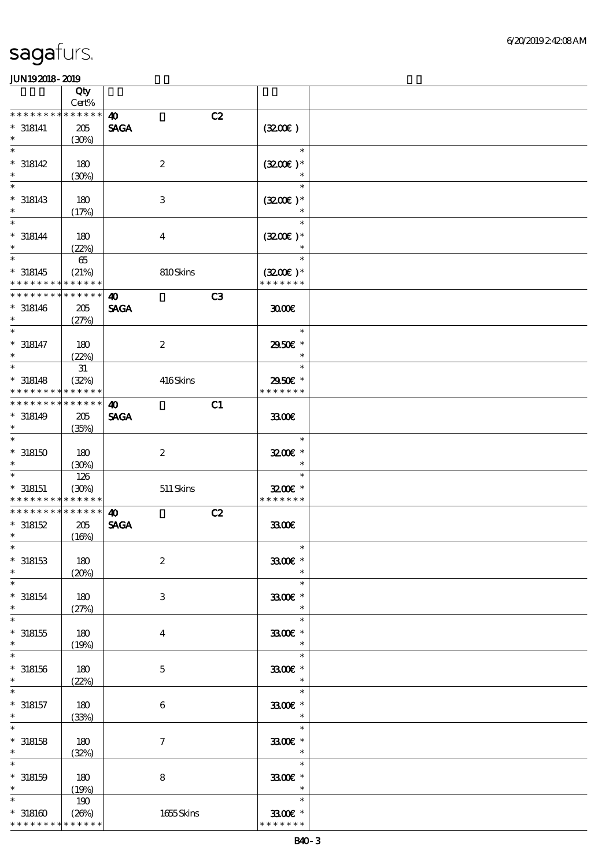|                                                                    | Qty                            |                                            |                                         |  |
|--------------------------------------------------------------------|--------------------------------|--------------------------------------------|-----------------------------------------|--|
| * * * * * * * *                                                    | Cert%<br>* * * * * *           | C2<br>$\boldsymbol{\omega}$                |                                         |  |
| $* 318141$<br>$\ast$                                               | 205<br>(30%)                   | <b>SAGA</b>                                | (320)                                   |  |
| $\ast$<br>$* 318142$<br>$\ast$                                     | 180<br>(30%)                   | $\boldsymbol{2}$                           | $\ast$<br>$(3200)$ *<br>$\ast$          |  |
| $\ast$<br>$*318143$<br>$\ast$                                      | 180<br>(17%)                   | $\,3$                                      | $\ast$<br>$(3200)$ *                    |  |
| $\ast$<br>$* 318144$<br>$\ast$                                     | 180<br>(22%)                   | $\bf{4}$                                   | $\ast$<br>$(3200)$ *                    |  |
| $\ast$<br>$* 318145$<br>* * * * * * * *                            | $65\,$<br>(21%)<br>* * * * * * | 810Skins                                   | $\ast$<br>$(3200)$ *<br>* * * * * * *   |  |
| * * * * * * * *<br>$* 318146$<br>$\ast$                            | * * * * * *<br>205<br>(27%)    | C3<br>$\boldsymbol{\omega}$<br><b>SAGA</b> | 3000                                    |  |
| $\ast$<br>$* 318147$<br>$\ast$                                     | 180<br>(22%)                   | $\boldsymbol{2}$                           | $\ast$<br>2950E *<br>$\ast$             |  |
| $\ast$<br>$* 318148$<br>* * * * * * * *                            | $3\!1$<br>(32%)<br>* * * * * * | 416Skins                                   | $\ast$<br>2950€ *<br>* * * * * * *      |  |
| * * * * * * * * * * * * * *<br>$* 318149$<br>$\ast$                | 205<br>(35%)                   | C1<br>$\boldsymbol{\omega}$<br><b>SAGA</b> | 3300E                                   |  |
| $\ast$<br>$^*$ 318150 $\,$<br>$\ast$                               | 180<br>(30%)                   | $\boldsymbol{2}$                           | $\ast$<br>$3200$ $\epsilon$ *<br>$\ast$ |  |
| $\ast$<br>$* 318151$<br>* * * * * * * * <mark>* * * * * *</mark> * | 126<br>(30%)                   | $511$ Skins                                | $\ast$<br>$3200$ $*$<br>* * * * * * *   |  |
| * * * * * * * * * * * * * *<br>$*318152$<br>$\ast$                 | 205<br>(16%)                   | C2<br>$\boldsymbol{\omega}$<br><b>SAGA</b> | 3300                                    |  |
| $*$<br>$*318153$<br>$\ast$                                         | 180<br>(20%)                   | $\boldsymbol{2}$                           | $\ast$<br>3300€ *<br>$\ast$             |  |
| $\ast$<br>$*318154$<br>$\ast$                                      | 180<br>(27%)                   | 3                                          | $\ast$<br>$3300$ $\epsilon$ *<br>$\ast$ |  |
| $\ast$<br>$*318155$<br>$\ast$                                      | 180<br>(19%)                   | $\boldsymbol{4}$                           | $\ast$<br>3300€ *<br>$\ast$             |  |
| $\ast$<br>$*318156$<br>$\ast$                                      | 180<br>(22%)                   | $\mathbf 5$                                | $\ast$<br>3300€ *<br>$\ast$             |  |
| $\ast$<br>$* 318157$<br>$\ast$                                     | 180<br>(33%)                   | $\,6\,$                                    | $\ast$<br>3300€ *<br>$\ast$             |  |
| $\ast$<br>$*$ 318158<br>$\ast$                                     | 180<br>(32%)                   | $\boldsymbol{7}$                           | $\ast$<br>3300€ *<br>$\ast$             |  |
| $\ast$<br>$* 318159$<br>$\ast$                                     | 180<br>(19%)                   | $\bf 8$                                    | $\ast$<br>3300€ *<br>$\ast$             |  |
| $\ast$<br>$^\ast$ 318160<br>* * * * * * * *                        | 190<br>(20%)<br>* * * * * *    | 1655Skins                                  | $\ast$<br>3300€ *<br>* * * * * * *      |  |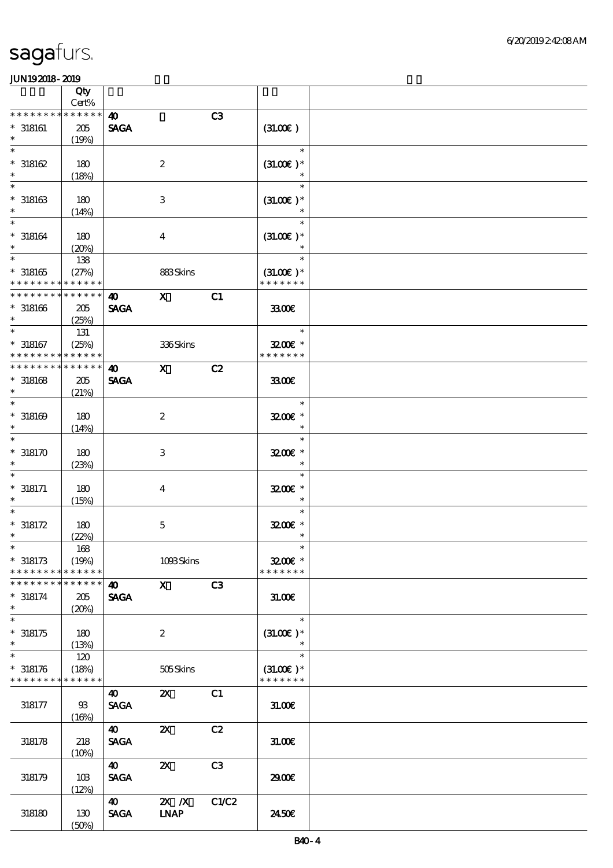|                               | Qty<br>Cert%         |                       |                           |                |                              |  |
|-------------------------------|----------------------|-----------------------|---------------------------|----------------|------------------------------|--|
| * * * * * * * *               | * * * * * *          | $\boldsymbol{\omega}$ |                           | C3             |                              |  |
| $^*$ 318161 $\,$              | 205                  | <b>SAGA</b>           |                           |                | (31.00)                      |  |
| $\ast$<br>$\ast$              | (19%)                |                       |                           |                | $\ast$                       |  |
| $^*$ 318162 $\,$              |                      |                       |                           |                |                              |  |
| $\ast$                        | 180                  |                       | $\boldsymbol{2}$          |                | $(31.00)$ *<br>$\ast$        |  |
| $\ast$                        | (18%)                |                       |                           |                | $\ast$                       |  |
| $^*$ 318163 $\,$              |                      |                       |                           |                |                              |  |
| $\ast$                        | 180                  |                       | $\,3$                     |                | $(31.00)$ *                  |  |
| $\ast$                        | (14%)                |                       |                           |                | $\ast$                       |  |
| $* 318164$                    | 180                  |                       |                           |                | $(31.00)$ *                  |  |
| $\ast$                        | (20%)                |                       | $\bf{4}$                  |                |                              |  |
| $\ast$                        | 138                  |                       |                           |                | $\ast$                       |  |
| $*318165$                     | (27%)                |                       | 883Skins                  |                | $(31.00)$ *                  |  |
| * * * * * * * *               | * * * * * *          |                       |                           |                | * * * * * * *                |  |
| * * * * * * * *               | * * * * * *          | $\boldsymbol{\omega}$ | $\mathbf{x}$              | C1             |                              |  |
| $*318166$                     | 205                  | <b>SAGA</b>           |                           |                | 3300€                        |  |
| $\ast$                        | (25%)                |                       |                           |                |                              |  |
| $\ast$                        | 131                  |                       |                           |                | $\ast$                       |  |
| $* 318167$                    | (25%)                |                       | 336Skins                  |                | $3200$ $*$                   |  |
| * * * * * * * *               | * * * * * *          |                       |                           |                | * * * * * * *                |  |
| * * * * * * * *               | * * * * * *          | $\boldsymbol{\omega}$ | $\mathbf{x}$              | C2             |                              |  |
| $*318168$                     | 205                  | <b>SAGA</b>           |                           |                | 3300                         |  |
| $\ast$                        | (21%)                |                       |                           |                |                              |  |
| $\ast$                        |                      |                       |                           |                | $\ast$                       |  |
| $*318169$                     | 180                  |                       | $\boldsymbol{2}$          |                | 3200E *                      |  |
| $\ast$                        | (14%)                |                       |                           |                | $\ast$                       |  |
| $\ast$                        |                      |                       |                           |                | $\ast$                       |  |
| $*318170$                     | 180                  |                       | $\,3$                     |                | 3200E *                      |  |
| $\ast$                        | (23%)                |                       |                           |                | $\ast$                       |  |
| $\ast$                        |                      |                       |                           |                | $\ast$                       |  |
| $* 318171$                    | 180                  |                       | $\boldsymbol{4}$          |                | $3200$ $\epsilon$ *          |  |
| $\ast$                        | (15%)                |                       |                           |                | $\ast$                       |  |
| $\ast$                        |                      |                       |                           |                | $\ast$                       |  |
| $* 318172$                    | 180                  |                       | $\bf 5$                   |                | 3200E *                      |  |
| $\ast$                        | (22%)                |                       |                           |                | $\ast$                       |  |
| $\ast$                        | 168                  |                       |                           |                | $\ast$                       |  |
| $*318173$                     | (19%)                |                       | 1093Skins                 |                | $3200$ $*$                   |  |
| * * * * * * * *               | * * * * * *          |                       |                           |                | * * * * * * *                |  |
| * * * * * * * *               | * * * * * *          | 40                    | $\mathbf{x}$              | C <sub>3</sub> |                              |  |
| $* 318174$                    | 205                  | <b>SAGA</b>           |                           |                | 31.00                        |  |
| $\ast$                        | (20%)                |                       |                           |                |                              |  |
| $\overline{\ast}$             |                      |                       |                           |                | $\ast$                       |  |
| $*318175$                     | 180                  |                       | $\boldsymbol{2}$          |                | $(31.00)$ *                  |  |
| $\ast$<br>$\ast$              | (13%)                |                       |                           |                | $\ast$                       |  |
|                               | 120                  |                       |                           |                |                              |  |
| $* 318176$<br>* * * * * * * * | (18%)<br>* * * * * * |                       | 505Skins                  |                | $(31.00)$ *<br>* * * * * * * |  |
|                               |                      |                       |                           |                |                              |  |
|                               |                      | 40                    | $\boldsymbol{\mathsf{Z}}$ | C1             |                              |  |
| 318177                        | $93$                 | <b>SAGA</b>           |                           |                | 31.00E                       |  |
|                               | (16%)                | 40                    | $\boldsymbol{\mathsf{Z}}$ | C2             |                              |  |
| 318178                        | 218                  | <b>SAGA</b>           |                           |                | 31.006                       |  |
|                               | (10%)                |                       |                           |                |                              |  |
|                               |                      | 40                    | $\boldsymbol{\mathsf{z}}$ | C3             |                              |  |
| 318179                        | 10B                  | <b>SAGA</b>           |                           |                | 2900€                        |  |
|                               | (12%)                |                       |                           |                |                              |  |
|                               |                      | $\boldsymbol{\omega}$ | $X$ $N$                   | C1/C2          |                              |  |
| 318180                        | 130                  | <b>SAGA</b>           | <b>INAP</b>               |                | 2450E                        |  |
|                               | (50%)                |                       |                           |                |                              |  |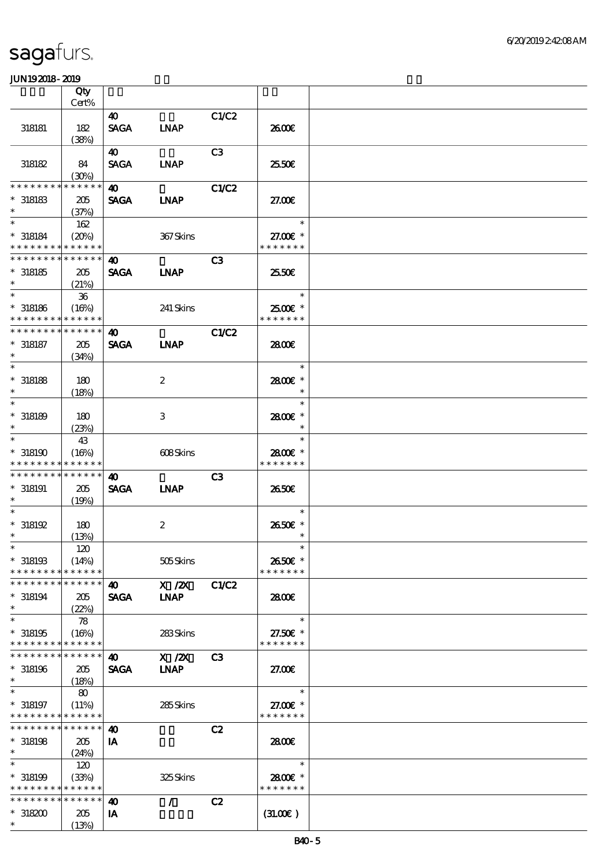|                                            | Qty                  |                       |                  |                |                             |  |
|--------------------------------------------|----------------------|-----------------------|------------------|----------------|-----------------------------|--|
|                                            | Cert%                |                       |                  |                |                             |  |
|                                            |                      | $\boldsymbol{\omega}$ |                  | C1/C2          |                             |  |
| 318181                                     | 182                  | <b>SAGA</b>           | <b>INAP</b>      |                | 2600E                       |  |
|                                            | (38%)                |                       |                  |                |                             |  |
|                                            |                      | 40                    |                  | C3             |                             |  |
| 318182                                     | 84                   | <b>SAGA</b>           | <b>LNAP</b>      |                | 25.50€                      |  |
| * * * * * * * *                            | (30%)<br>* * * * * * |                       |                  |                |                             |  |
|                                            |                      | $\boldsymbol{\omega}$ |                  | <b>C1/C2</b>   |                             |  |
| $*318183$<br>$\ast$                        | 205                  | <b>SAGA</b>           | <b>INAP</b>      |                | 27.00E                      |  |
| $\ast$                                     | (37%)                |                       |                  |                | $\ast$                      |  |
|                                            | 162                  |                       |                  |                |                             |  |
| $* 318184$<br>* * * * * * * * * * * * * *  | (20%)                |                       | 367Skins         |                | 27.00€ *<br>* * * * * * *   |  |
| * * * * * * * * * * * * * *                |                      |                       |                  |                |                             |  |
|                                            |                      | $\boldsymbol{\omega}$ |                  | C <sub>3</sub> |                             |  |
| $*318185$<br>$\ast$                        | 205                  | <b>SAGA</b>           | <b>LNAP</b>      |                | 25.50E                      |  |
| $\ast$                                     | (21%)                |                       |                  |                | $\ast$                      |  |
|                                            | $36\,$               |                       |                  |                |                             |  |
| $*$ 318186<br>* * * * * * * * * * * * * *  | (16%)                |                       | 241 Skins        |                | $2500$ $*$<br>* * * * * * * |  |
| * * * * * * * *                            | * * * * * *          | $\boldsymbol{\omega}$ |                  |                |                             |  |
| $* 318187$                                 |                      |                       |                  | <b>C1/C2</b>   | 2800E                       |  |
| $\ast$                                     | 205                  | <b>SAGA</b>           | <b>INAP</b>      |                |                             |  |
| $\ast$                                     | (34%)                |                       |                  |                | $\ast$                      |  |
| $*$ 318188                                 |                      |                       |                  |                | 2800€*                      |  |
| $\ast$                                     | 180                  |                       | 2                |                | $\ast$                      |  |
| $\ast$                                     | (18%)                |                       |                  |                | $\ast$                      |  |
| $*318189$                                  | 180                  |                       | 3                |                | 2800€*                      |  |
| $\ast$                                     |                      |                       |                  |                | $\ast$                      |  |
| $\ast$                                     | (23%)<br>43          |                       |                  |                | $\ast$                      |  |
| $*318190$                                  | (16%)                |                       | 608Skins         |                | 2800€ *                     |  |
| * * * * * * * *                            | ******               |                       |                  |                | * * * * * * *               |  |
| * * * * * * * *                            | * * * * * *          | 40                    |                  | C <sub>3</sub> |                             |  |
| $* 318191$                                 | 205                  | <b>SAGA</b>           | <b>INAP</b>      |                | 2650E                       |  |
| $\ast$                                     | (19%)                |                       |                  |                |                             |  |
| $\ast$                                     |                      |                       |                  |                | $\ast$                      |  |
| $*318192$                                  | 180                  |                       | $\boldsymbol{2}$ |                | 2650E *                     |  |
| $\ast$                                     | (13%)                |                       |                  |                | $\ast$                      |  |
| $*$                                        | $120\,$              |                       |                  |                | $\ast$                      |  |
| $*$ 318193                                 | (14%)                |                       | 505Skins         |                | 2650€ *                     |  |
| * * * * * * * *                            | * * * * * *          |                       |                  |                | * * * * * * *               |  |
| * * * * * * * *                            | * * * * * *          | $\boldsymbol{\omega}$ | X / ZX           | C1/C2          |                             |  |
| $*318194$                                  | 205                  | <b>SAGA</b>           | <b>INAP</b>      |                | 2800€                       |  |
| $\ast$                                     | (22%)                |                       |                  |                |                             |  |
| $\ast$                                     | 78                   |                       |                  |                | $\ast$                      |  |
| $*318195$                                  | (16%)                |                       | 283Skins         |                | 27.50€ *                    |  |
| * * * * * * * * * * * * * *                |                      |                       |                  |                | * * * * * * *               |  |
| * * * * * * * * <mark>* * * * * * *</mark> |                      | 40                    | $X$ / $ZX$       | C <sub>3</sub> |                             |  |
| $*318196$                                  | 205                  | <b>SAGA</b>           | <b>LNAP</b>      |                | 27.00E                      |  |
| $\ast$                                     | (18%)                |                       |                  |                |                             |  |
| $\ast$                                     | 80                   |                       |                  |                | $\ast$                      |  |
| $* 318197$                                 | (11%)                |                       | 285Skins         |                | 27.00 £*                    |  |
| * * * * * * * * <mark>* * * * * *</mark> * |                      |                       |                  |                | * * * * * * *               |  |
| * * * * * * * * <mark>* * * * * *</mark>   |                      | $\boldsymbol{\omega}$ |                  | C2             |                             |  |
| $*318198$                                  |                      | IA                    |                  |                | 2800E                       |  |
|                                            | 205                  |                       |                  |                |                             |  |
| $*$                                        | (24%)                |                       |                  |                |                             |  |
| $\ast$                                     | 120                  |                       |                  |                | $\ast$                      |  |
| $*318199$                                  | (33%)                |                       | 325Skins         |                | 2800€ *                     |  |
| * * * * * * * * * * * * * *                |                      |                       |                  |                | * * * * * * *               |  |
| * * * * * * * * * * * * * *                |                      | $\boldsymbol{\omega}$ | $\mathcal{L}$    | C2             |                             |  |
| $*318200$<br>$\ast$                        | 205<br>(13%)         | IA                    |                  |                | (31.00)                     |  |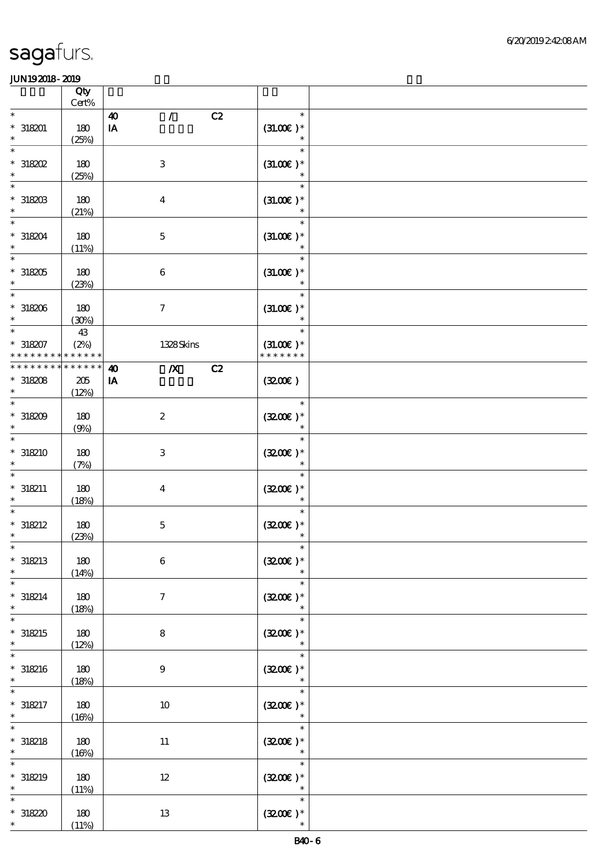|                                                    | Qty<br>Cert%                    |                                                                      |    |                                        |  |
|----------------------------------------------------|---------------------------------|----------------------------------------------------------------------|----|----------------------------------------|--|
| $\ast$<br>$* 318201$<br>$\ast$                     | 180<br>(25%)                    | $\mathcal{T}$<br>$\boldsymbol{\omega}$<br>$\mathbf{I} \mathbf{A}$    | C2 | $\ast$<br>$(31.00)$ *<br>$\ast$        |  |
| $\ast$<br>$*318202$<br>$\ast$                      | 180<br>(25%)                    | $\,3$                                                                |    | $\ast$<br>$(31.00)$ *<br>$\ast$        |  |
| $\ast$<br>$^\ast$ 318203<br>$\ast$                 | 180<br>(21%)                    | $\boldsymbol{4}$                                                     |    | $\ast$<br>$(31.00)$ *<br>$\ast$        |  |
| $\ast$<br>$*318204$<br>$\ast$                      | 180<br>(11%)                    | $\mathbf 5$                                                          |    | $\ast$<br>$(31.00)$ *<br>$\ast$        |  |
| $\ast$<br>$*318205$<br>$\ast$                      | 180<br>(23%)                    | $\,6\,$                                                              |    | $\ast$<br>$(31.00)$ *                  |  |
| $\overline{\phantom{0}}$<br>$*318206$<br>$\ast$    | 180<br>(30%)                    | $\boldsymbol{7}$                                                     |    | $\ast$<br>$(31.00)$ *<br>$\ast$        |  |
| $\overline{\ast}$<br>$* 318207$<br>* * * * * * * * | 43<br>(2%)<br>* * * * * *       | 1328Skins                                                            |    | $\ast$<br>$(31.00)$ *<br>* * * * * * * |  |
| * * * * * * * *<br>$*318208$<br>$\ast$             | * * * * * *<br>$205\,$<br>(12%) | $\boldsymbol{X}$<br>$\boldsymbol{\omega}$<br>${\bf I} \pmb{\Lambda}$ | C2 | (320)                                  |  |
| $\ast$<br>$*318209$<br>$\ast$                      | 180<br>(9%)                     | $\boldsymbol{2}$                                                     |    | $\ast$<br>$(3200)$ *<br>$\ast$         |  |
| $\ast$<br>$* 318210$<br>$\ast$                     | 180<br>(7%)                     | $\,3$                                                                |    | $\ast$<br>$(3200)$ *<br>$\ast$         |  |
| $\ast$<br>$* 318211$<br>$\ast$                     | 180<br>(18%)                    | $\boldsymbol{4}$                                                     |    | $\ast$<br>$(3200)$ *                   |  |
| $* 318212$<br>$\ast$                               | 180<br>(23%)                    | $\mathbf 5$                                                          |    | $(320)$ *<br>$\ast$                    |  |
| $*$<br>$*318213$<br>$\ast$                         | 180<br>(14%)                    | $\,6\,$                                                              |    | $\ast$<br>$(3200)$ *<br>$\ast$         |  |
| $\ast$<br>$* 318214$<br>$\ast$                     | 180<br>(18%)                    | $\boldsymbol{7}$                                                     |    | $\ast$<br>$(3200)$ *<br>$\ast$         |  |
| $\ast$<br>$* 318215$<br>$\ast$<br>$\ast$           | 180<br>(12%)                    | 8                                                                    |    | $\ast$<br>$(3200)$ *<br>$\ast$         |  |
| $*318216$<br>$\ast$                                | 180<br>(18%)                    | $\boldsymbol{9}$                                                     |    | $\ast$<br>$(3200)$ *                   |  |
| $\ast$<br>$* 318217$<br>$\ast$                     | $180\,$<br>(16%)                | 10                                                                   |    | $\ast$<br>$(320)$ *                    |  |
| $\ast$<br>$* 318218$<br>$\ast$                     | 180<br>(16%)                    | $11\,$                                                               |    | $\ast$<br>$(3200)$ *<br>$\ast$         |  |
| $\ast$<br>$* 318219$<br>$\ast$                     | 180<br>(11%)                    | $12\,$                                                               |    | $\ast$<br>$(320)$ *<br>$\ast$          |  |
| $\ast$<br>$*318220$<br>$\ast$                      | 180<br>(11%)                    | $13\,$                                                               |    | $\ast$<br>$(3200)$ *<br>$\ast$         |  |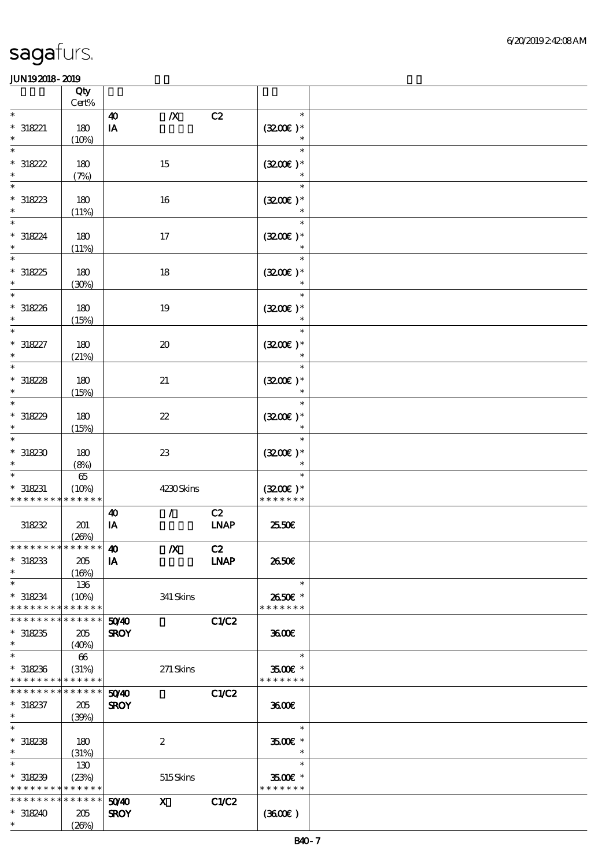|                                                                              | Qty                             |                                  |                             |                   |                                                |  |
|------------------------------------------------------------------------------|---------------------------------|----------------------------------|-----------------------------|-------------------|------------------------------------------------|--|
| $\ast$                                                                       | $\mbox{Cert}\%$                 |                                  |                             |                   | $\ast$                                         |  |
| $* 318221$<br>$\ast$                                                         | 180<br>(10%)                    | $\boldsymbol{\omega}$<br>$\,$ IA | $\pmb{X}$                   | C2                | $(3200)$ *<br>$\ast$                           |  |
| $\ast$<br>$*318222$<br>$\ast$                                                | 180<br>(7%)                     |                                  | 15                          |                   | $\ast$<br>$(3200)$ *<br>$\ast$                 |  |
| $\ast$<br>$*318223$<br>$\ast$                                                | $180$<br>(11%)                  |                                  | 16                          |                   | $\ast$<br>$(3200)$ *<br>$\ast$                 |  |
| $\ast$<br>* 318224<br>$\ast$                                                 | 180<br>(11%)                    |                                  | $17\,$                      |                   | $\ast$<br>$(3200)$ *                           |  |
| $\ast$<br>$*318225$<br>$\ast$                                                | 180<br>(30%)                    |                                  | 18                          |                   | $\ast$<br>$(3200)$ *                           |  |
| $*318226$<br>$\ast$                                                          | $180$<br>(15%)                  |                                  | $19\,$                      |                   | $(3200)$ *<br>$\ast$                           |  |
| $\ast$<br>$* 318227$<br>$\ast$                                               | $180$<br>(21%)                  |                                  | $\boldsymbol{\mathfrak{D}}$ |                   | $\ast$<br>$(3200)$ *<br>$\ast$                 |  |
| $\ast$<br>$*318228$<br>$\ast$                                                | 180<br>(15%)                    |                                  | 21                          |                   | $\ast$<br>$(3200)$ *<br>$\ast$                 |  |
| $\ast$<br>$*318229$<br>$\ast$                                                | 180<br>(15%)                    |                                  | $2\!2$                      |                   | $\ast$<br>$(3200)$ *<br>$\ast$                 |  |
| $\ast$<br>$*318230$<br>$\ast$                                                | 180<br>(8%)                     |                                  | ${\bf Z}$                   |                   | $\ast$<br>$(3200)$ *                           |  |
| $\ast$<br>$* 318231$<br>* * * * * * * *                                      | $65\,$<br>(10%)<br>* * * * * *  |                                  | 4230Skins                   |                   | $\ast$<br>$(3200)$ *<br>* * * * * * *          |  |
| 318232                                                                       | 201<br>(20%)                    | $\boldsymbol{\omega}$<br>$\,$ IA | $\mathcal{L}$               | C2<br><b>LNAP</b> | 2550€                                          |  |
| ************** 40<br>$*318233$<br>$\ast$                                     | 205<br>(16%)                    | IA                               | $\boldsymbol{X}$            | C2<br><b>LNAP</b> | 2650E                                          |  |
| $\ast$<br>$*318234$<br>* * * * * * * *                                       | 136<br>(10%)<br>* * * * * *     |                                  | 341 Skins                   |                   | $\ast$<br>2650€ *<br>* * * * * * *             |  |
| * * * * * * * *<br>$*318235$<br>$\ast$                                       | * * * * * *<br>205<br>(40%)     | 5040<br><b>SROY</b>              |                             | C1/C2             | 3600E                                          |  |
| $\ast$<br>$*318236$<br>* * * * * * * *                                       | 66<br>(31%)<br>* * * * * *      |                                  | $271$ Skins                 |                   | $\ast$<br>3500€ *<br>* * * * * * *             |  |
| * * * * * * * *<br>$* 318237$<br>$\ast$                                      | * * * * * *<br>205<br>(39%)     | 5040<br><b>SROY</b>              |                             | C1/C2             | 3600E                                          |  |
| $\ast$<br>$*318238$<br>$*$                                                   | 180<br>(31%)                    |                                  | $\boldsymbol{2}$            |                   | $\ast$<br>3500€ *<br>$\ast$                    |  |
| $\overline{\ast}$<br>$*318239$<br>* * * * * * * * <mark>* * * * * *</mark> * | 130<br>(23%)                    |                                  | 515Skins                    |                   | $\ast$<br>$3500$ $\epsilon$ *<br>* * * * * * * |  |
| * * * * * * * *<br>$*318240$<br>$\ast$                                       | $* * * * * * *$<br>205<br>(20%) | 50 <sup>/40</sup><br><b>SROY</b> | $\mathbf{x}$                | C1/C2             | (360)                                          |  |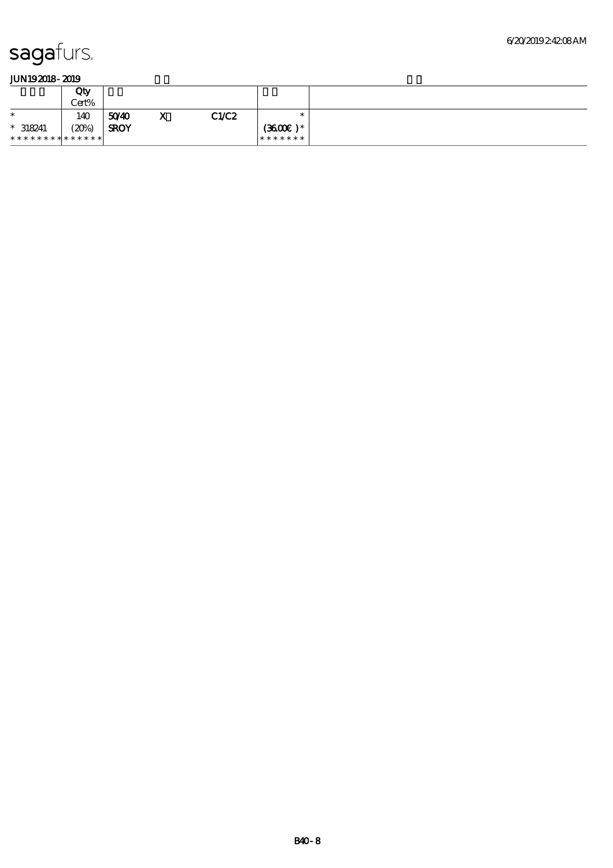|                | Qty<br>Cert% |             |              |       |                    |  |
|----------------|--------------|-------------|--------------|-------|--------------------|--|
| $\ast$         | 140          | 5040        | $\mathbf{A}$ | C1/C2 | ж                  |  |
| $* 318241$     | (20%)        | <b>SROY</b> |              |       | $(3600\text{E})$ * |  |
| ************** |              |             |              |       | *******            |  |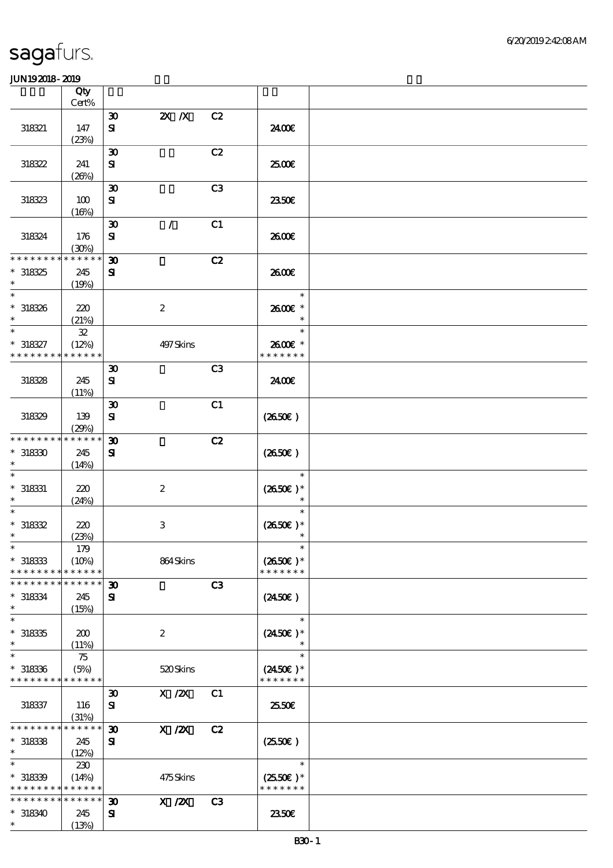|                             | Qty<br>Cert%         |                             |                  |                |                     |  |
|-----------------------------|----------------------|-----------------------------|------------------|----------------|---------------------|--|
|                             |                      |                             |                  |                |                     |  |
|                             |                      | $\boldsymbol{\mathfrak{D}}$ | $2X$ $X$         | C2             |                     |  |
| 318321                      | 147                  | ${\bf s}$                   |                  |                | 2400€               |  |
|                             | (23%)                |                             |                  |                |                     |  |
|                             |                      | $\boldsymbol{\mathfrak{D}}$ |                  | C2             |                     |  |
| 318322                      | 241                  | ${\bf S}$                   |                  |                | 2500                |  |
|                             | (20%)                |                             |                  |                |                     |  |
|                             |                      | $\boldsymbol{\mathfrak{D}}$ |                  | C <sub>3</sub> |                     |  |
| 318323                      | 100                  | ${\bf s}$                   |                  |                | 2350E               |  |
|                             | (16%)                |                             |                  |                |                     |  |
|                             |                      | $\boldsymbol{\mathfrak{D}}$ | $\mathcal{L}$    | C1             |                     |  |
| 318324                      | 176                  | ${\bf s}$                   |                  |                | 2600E               |  |
| * * * * * * * *             | (30%)<br>* * * * * * |                             |                  |                |                     |  |
|                             |                      | $\boldsymbol{\mathfrak{D}}$ |                  | C2             |                     |  |
| $*318325$<br>$\ast$         | 245                  | ${\bf s}$                   |                  |                | 2600E               |  |
| $\ast$                      | (19%)                |                             |                  |                | $\ast$              |  |
|                             |                      |                             |                  |                | 2600€ *             |  |
| $^\ast$ 318326<br>$\ast$    | 220                  |                             | $\boldsymbol{z}$ |                | $\ast$              |  |
| $\ast$                      | (21%)<br>${\bf 32}$  |                             |                  |                | $\ast$              |  |
| $* 318327$                  | (12%)                |                             | 497 Skins        |                | 2600€ *             |  |
| * * * * * * * *             | * * * * * *          |                             |                  |                | * * * * * * *       |  |
|                             |                      | $\boldsymbol{\mathfrak{D}}$ |                  | C3             |                     |  |
| 318328                      | 245                  | ${\bf s}$                   |                  |                | 2400E               |  |
|                             | (11%)                |                             |                  |                |                     |  |
|                             |                      | $\boldsymbol{\mathfrak{D}}$ |                  | C1             |                     |  |
| 318329                      | 139                  | $\mathbf{S}$                |                  |                | (2650E)             |  |
|                             | (29%)                |                             |                  |                |                     |  |
| * * * * * * * *             | * * * * * *          | $\boldsymbol{\mathfrak{D}}$ |                  | C2             |                     |  |
| $*318330$                   | 245                  | ${\bf s}$                   |                  |                | (2650)              |  |
|                             | (14%)                |                             |                  |                |                     |  |
|                             |                      |                             |                  |                | $\ast$              |  |
| $*$ 318331                  | 220                  |                             | $\boldsymbol{2}$ |                | $(2650E)*$          |  |
| $\ast$                      | (24%)                |                             |                  |                | $\ast$              |  |
| $\ast$                      |                      |                             |                  |                | $\ast$              |  |
| $*318332$                   | 220                  |                             | $\,3\,$          |                | $(2650E)*$          |  |
| $\ast$                      | (23%)                |                             |                  |                | $\ast$              |  |
| $\ast$                      | 179                  |                             |                  |                | $\ast$              |  |
| $*$ 318333                  | (10%)                |                             | 864Skins         |                | $(2650E)*$          |  |
| * * * * * * * *             | * * * * * *          |                             |                  |                | * * * * * * *       |  |
| * * * * * * *               | * * * * * *          | $\boldsymbol{\mathfrak{D}}$ |                  | C3             |                     |  |
| $* 318334$                  | 245                  | ${\bf s}$                   |                  |                | $(2450\epsilon)$    |  |
| $\ast$                      | (15%)                |                             |                  |                |                     |  |
| $\ast$                      |                      |                             |                  |                | $\ast$              |  |
| $*318335$                   | 200                  |                             | $\boldsymbol{2}$ |                | $(2450\text{E})*$   |  |
| $\ast$                      | (11%)                |                             |                  |                |                     |  |
| $\ast$                      | 75                   |                             |                  |                | $\ast$              |  |
| $*318336$                   | (5%)                 |                             | 520Skins         |                | $(2450\epsilon)$ *  |  |
| * * * * * * * * * * * * * * |                      |                             |                  |                | * * * * * * *       |  |
|                             |                      | $\boldsymbol{\mathfrak{D}}$ | $X \, /ZX$       | C1             |                     |  |
| 318337                      | 116                  | ${\bf s}$                   |                  |                | 2550E               |  |
| * * * * * * * *             | (31%)<br>* * * * * * | $\boldsymbol{\mathfrak{D}}$ |                  | C2             |                     |  |
| $*318338$                   | 245                  | ${\bf s}$                   | $X$ / $ZX$       |                | $(2550\varepsilon)$ |  |
| $\ast$                      | (12%)                |                             |                  |                |                     |  |
| $\ast$                      | 230                  |                             |                  |                | $\ast$              |  |
| $*318339$                   | (14%)                |                             | 475Skins         |                | $(2550E)*$          |  |
| * * * * * * * * * * * * * * |                      |                             |                  |                | * * * * * * *       |  |
| * * * * * * * *             | * * * * * *          | $\boldsymbol{\mathfrak{D}}$ | $X$ / $ZX$       | C3             |                     |  |
| $*318340$                   | 245                  | ${\bf s}$                   |                  |                | 2350E               |  |
| $\ast$                      | (13%)                |                             |                  |                |                     |  |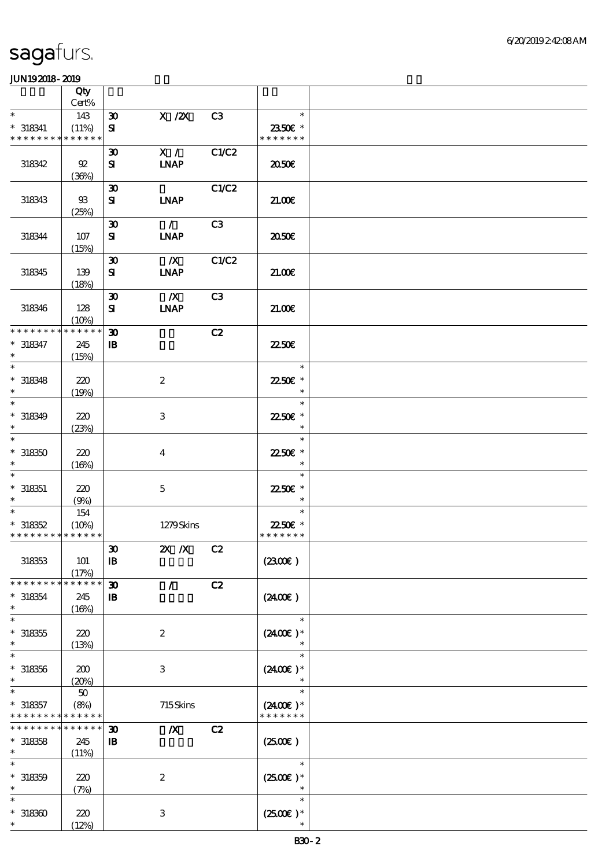|                                            | Qty                  |                             |                  |       |                                |  |
|--------------------------------------------|----------------------|-----------------------------|------------------|-------|--------------------------------|--|
|                                            | Cert%                |                             |                  |       |                                |  |
| $\ast$                                     | 143                  | $\boldsymbol{\mathfrak{D}}$ | $X$ / $ZX$       | C3    | $\ast$                         |  |
| $* 318341$<br>* * * * * * * * * * * * * *  | (11%)                | ${\bf s}$                   |                  |       | 2350€ *<br>* * * * * * *       |  |
|                                            |                      | $\boldsymbol{\mathfrak{D}}$ | X /              | C1/C2 |                                |  |
| 318342                                     | 92                   | ${\bf s}$                   | <b>LNAP</b>      |       | 2050                           |  |
|                                            | (36%)                |                             |                  |       |                                |  |
|                                            |                      | $\boldsymbol{\mathfrak{D}}$ |                  | C1/C2 |                                |  |
| 318343                                     | $\mathfrak{B}$       | ${\bf s}$                   | <b>INAP</b>      |       | 21.006                         |  |
|                                            | (25%)                |                             |                  |       |                                |  |
|                                            |                      | $\boldsymbol{\mathfrak{D}}$ | $\mathcal{L}$    | C3    |                                |  |
| 318344                                     | $107$                | ${\bf s}$                   | <b>INAP</b>      |       | 2050€                          |  |
|                                            | (15%)                |                             |                  |       |                                |  |
|                                            |                      | $\boldsymbol{\mathfrak{D}}$ | $\boldsymbol{X}$ | C1/C2 |                                |  |
| 318345                                     | 139                  | ${\bf s}$                   | <b>LNAP</b>      |       | 21.00E                         |  |
|                                            | (18%)                | $\boldsymbol{\mathfrak{D}}$ | $\boldsymbol{X}$ | C3    |                                |  |
| 318346                                     | 128                  | ${\bf s}$                   | <b>INAP</b>      |       | 21.00E                         |  |
|                                            | (10%)                |                             |                  |       |                                |  |
| * * * * * * * *                            | * * * * * *          | $\boldsymbol{\mathfrak{D}}$ |                  | C2    |                                |  |
| $* 318347$                                 | 245                  | $\, {\bf I} \! {\bf B} \,$  |                  |       | <b>2250E</b>                   |  |
| $\ast$                                     | (15%)                |                             |                  |       |                                |  |
| $\ast$                                     |                      |                             |                  |       | $\ast$                         |  |
| $*318348$                                  | 220                  |                             | $\boldsymbol{2}$ |       | 2250E *                        |  |
| $\ast$                                     | (19%)                |                             |                  |       | $\ast$                         |  |
| $\ast$                                     |                      |                             |                  |       | $\ast$                         |  |
| $*318349$<br>$\ast$                        | 220                  |                             | 3                |       | 2250E *<br>$\ast$              |  |
| $\ast$                                     | (23%)                |                             |                  |       | $\ast$                         |  |
| $*318350$                                  | 220                  |                             | $\overline{4}$   |       | 22.50€ *                       |  |
| $\ast$                                     | (16%)                |                             |                  |       | $\ast$                         |  |
| $\ast$                                     |                      |                             |                  |       | $\ast$                         |  |
| $* 318351$                                 | 220                  |                             | $\mathbf{5}$     |       | 22.50€ *                       |  |
| $\ast$                                     | (9%)                 |                             |                  |       | $\ast$                         |  |
| $\ast$                                     | 154                  |                             |                  |       | $\ast$                         |  |
| $*318352$                                  | (10%)                |                             | 1279Skins        |       | 22.50€ *                       |  |
| * * * * * * * * * * * * * *                |                      |                             |                  |       | * * * * * * *                  |  |
|                                            |                      | $\boldsymbol{\mathfrak{D}}$ | 2X / X C 2       |       |                                |  |
| 318353                                     | 101                  | $\mathbf{B}$                |                  |       | (2300)                         |  |
| * * * * * * * *                            | (17%)<br>* * * * * * | $\boldsymbol{\mathfrak{D}}$ | $\mathcal{L}$    | C2    |                                |  |
| $* 318354$                                 | 245                  | $\mathbf{B}$                |                  |       | (240E)                         |  |
| $\ast$                                     | (16%)                |                             |                  |       |                                |  |
| $\ast$                                     |                      |                             |                  |       | $\ast$                         |  |
| $*318355$                                  | 220                  |                             | $\boldsymbol{2}$ |       | $(2400)$ *                     |  |
| $\ast$                                     | (13%)                |                             |                  |       |                                |  |
| $\ast$                                     |                      |                             |                  |       | $\ast$                         |  |
| $* 318356$                                 | 200                  |                             | 3                |       | $(2400E)*$                     |  |
| $\ast$                                     | (20%)                |                             |                  |       | $\ast$                         |  |
| $* 318357$                                 | $50\,$<br>(8%)       |                             | 715Skins         |       | $(2400E)^*$                    |  |
| * * * * * * * * <mark>* * * * * *</mark> * |                      |                             |                  |       | * * * * * * *                  |  |
| * * * * * * * *                            | * * * * * *          | $\boldsymbol{\mathfrak{D}}$ | $\boldsymbol{X}$ | C2    |                                |  |
| $*318358$                                  | 245                  | $\mathbf{B}$                |                  |       | (250)                          |  |
| $\ast$                                     | (11%)                |                             |                  |       |                                |  |
| $\ast$                                     |                      |                             |                  |       | $\ast$                         |  |
| $* 318359$                                 | 220                  |                             | $\boldsymbol{2}$ |       | $(2500\varepsilon)*$           |  |
| $\ast$                                     | (7%)                 |                             |                  |       | $\ast$                         |  |
|                                            |                      |                             |                  |       | $\ast$                         |  |
| $*318300$<br>$\ast$                        | 220                  |                             | $\mathbf{3}$     |       | $(2500\varepsilon)*$<br>$\ast$ |  |
|                                            | (12%)                |                             |                  |       |                                |  |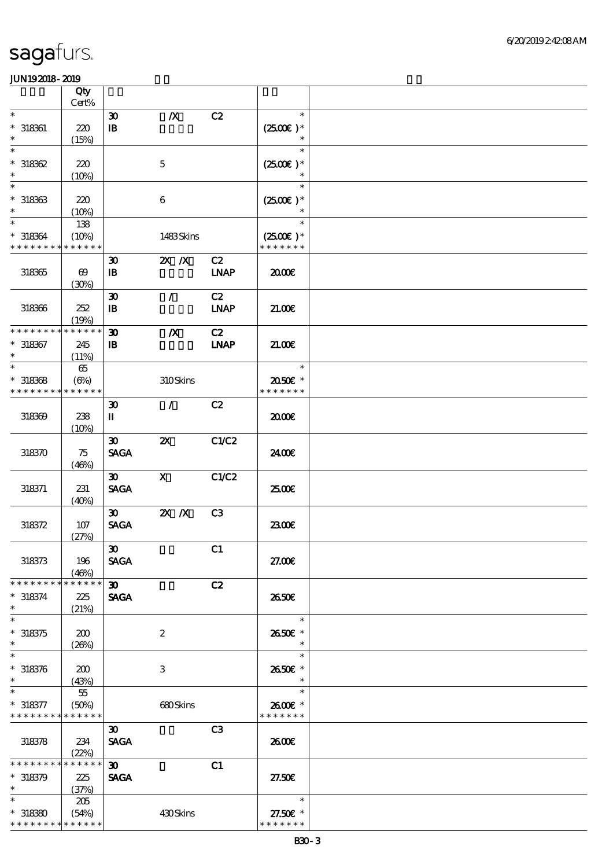|                                                     | Qty                                   |                                                           |                           |                   |                                       |  |
|-----------------------------------------------------|---------------------------------------|-----------------------------------------------------------|---------------------------|-------------------|---------------------------------------|--|
| $\ast$                                              | $Cert\%$                              |                                                           |                           |                   | $\ast$                                |  |
| $*$ 318361<br>$\ast$                                | 220<br>(15%)                          | $\boldsymbol{\mathfrak{D}}$<br>$\, {\bf I} \! {\bf B} \,$ | $\boldsymbol{X}$          | C2                | $(2500\varepsilon)*$<br>$\ast$        |  |
| $\ast$<br>$*318362$<br>$\ast$                       | 220<br>(10%)                          |                                                           | $\mathbf 5$               |                   | $\ast$<br>$(2500\varepsilon)*$        |  |
| $\ast$<br>$*318363$<br>$\ast$                       | 220<br>(10%)                          |                                                           | 6                         |                   | $\ast$<br>$(2500\varepsilon)*$        |  |
| $\ast$<br>$* 318364$<br>* * * * * * * *             | 138<br>(10%)<br>* * * * * *           |                                                           | 1483Skins                 |                   | $\ast$<br>$(2500)$ *<br>* * * * * * * |  |
| $318365$                                            | $\boldsymbol{\omega}$<br>(30%)        | $\boldsymbol{\mathfrak{D}}$<br>$\, {\bf B}$               | $X$ $N$                   | C2<br><b>LNAP</b> | æœ                                    |  |
| 318366                                              | 252<br>(19%)                          | $\boldsymbol{\mathfrak{D}}$<br>$\mathbf{I}$               | $\mathcal{L}$             | C2<br><b>LNAP</b> | 21.00                                 |  |
| * * * * * * * *<br>$* 318367$<br>$\ast$             | * * * * * *<br>245<br>(11%)           | $\boldsymbol{\mathfrak{D}}$<br>$\, {\bf B}$               | $\boldsymbol{X}$          | C2<br><b>LNAP</b> | 21.006                                |  |
| $\ast$<br>$*318368$<br>* * * * * * * *              | $65\,$<br>$(\Theta_0)$<br>* * * * * * |                                                           | 310Skins                  |                   | $\ast$<br>2050E *<br>* * * * * * *    |  |
| 318369                                              | 238<br>(10%)                          | $\boldsymbol{\mathfrak{D}}$<br>П                          | $\mathcal{L}$             | C2                | 2000                                  |  |
| 318370                                              | 75<br>(46%)                           | $\boldsymbol{\mathfrak{D}}$<br><b>SAGA</b>                | $\boldsymbol{\mathsf{z}}$ | C1/C2             | 2400E                                 |  |
| 318371                                              | 231<br>(40%)                          | 30 <sub>o</sub><br><b>SAGA</b>                            | $\mathbf{x}$              | C1/C2             | 2500€                                 |  |
| 318372                                              | 107<br>(27%)                          | $\boldsymbol{\mathfrak{D}}$<br><b>SAGA</b>                | $X$ $N$                   | C <sub>3</sub>    | 2300E                                 |  |
| 318373                                              | 196<br>(46%)                          | $\boldsymbol{\mathfrak{D}}$<br><b>SAGA</b>                |                           | C1                | 27.00E                                |  |
| * * * * * * * *<br>$* 318374$<br>$\ast$             | * * * * * *<br>225<br>(21%)           | $\boldsymbol{\mathfrak{D}}$<br><b>SAGA</b>                |                           | C2                | 2650E                                 |  |
| $\ast$<br>$*318375$<br>$\ast$                       | 200<br>(20%)                          |                                                           | $\boldsymbol{2}$          |                   | $\ast$<br>2650E *<br>$\ast$           |  |
| $\ast$<br>$* 318376$<br>$\ast$                      | 200<br>(43%)                          |                                                           | $\,3$                     |                   | $\ast$<br>2650€ *                     |  |
| $\ast$<br>$* 318377$<br>* * * * * * * * * * * * * * | 55<br>(50%)                           |                                                           | 680Skins                  |                   | $\ast$<br>2600€ *<br>* * * * * * *    |  |
| 318378                                              | 234<br>(22%)                          | $\boldsymbol{\mathfrak{D}}$<br><b>SAGA</b>                |                           | C3                | 2600E                                 |  |
| * * * * * * * *<br>$* 318379$<br>$\ast$             | * * * * * *<br>225<br>(37%)           | $\boldsymbol{\mathfrak{D}}$<br><b>SAGA</b>                |                           | C1                | 27.50E                                |  |
| $\ast$<br>$*318380$<br>* * * * * * * * * * * * * *  | 205<br>(54%)                          |                                                           | 430Skins                  |                   | $\ast$<br>27.50€ *<br>* * * * * * *   |  |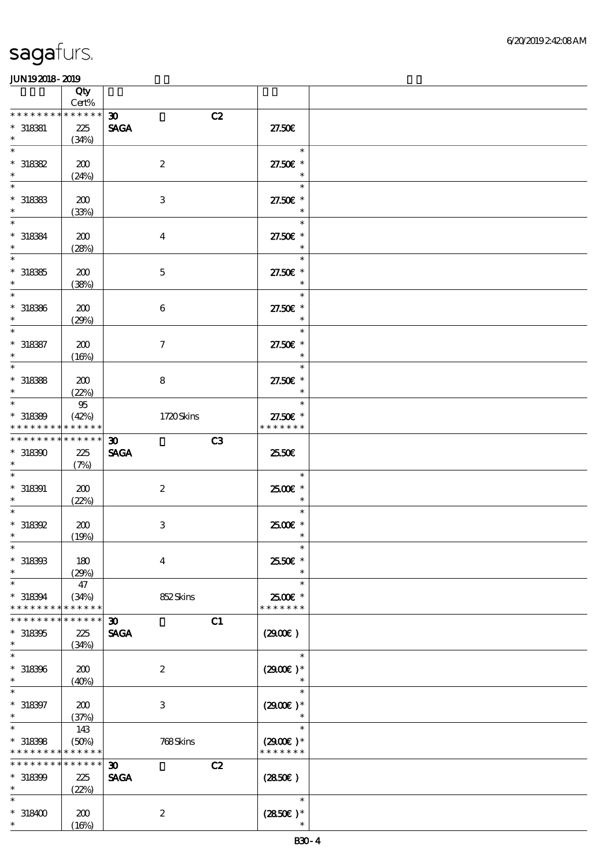|                               | Qty<br>Cert% |                                   |                          |  |
|-------------------------------|--------------|-----------------------------------|--------------------------|--|
| * * * * * * * *               | * * * * * *  | C2<br>$\boldsymbol{\mathfrak{D}}$ |                          |  |
|                               |              |                                   |                          |  |
| $*$ 318381                    | 225          | <b>SAGA</b>                       | 27.50E                   |  |
| $\ast$                        | (34%)        |                                   |                          |  |
| $\ast$                        |              |                                   | $\ast$                   |  |
| $*318382$                     | 200          | $\boldsymbol{2}$                  | 27.50€ *                 |  |
| $\ast$                        | (24%)        |                                   | $\ast$                   |  |
| $\ast$                        |              |                                   | $\ast$                   |  |
|                               |              |                                   |                          |  |
| $*$ 318383                    | 200          | $\ensuremath{\mathbf{3}}$         | 27.50£ *                 |  |
| $\ast$                        | (33%)        |                                   | $\ast$                   |  |
| $\ast$                        |              |                                   | $\ast$                   |  |
| $* 318384$                    | 200          | $\boldsymbol{4}$                  | 27.50£ *                 |  |
| $\ast$                        | (28%)        |                                   | $\ast$                   |  |
| $\overline{\phantom{0}}$      |              |                                   | $\ast$                   |  |
|                               |              |                                   |                          |  |
| $*318365$                     | 200          | $\mathbf 5$                       | 27.50£ *                 |  |
| $\ast$                        | (38%)        |                                   | $\ast$                   |  |
| $\overline{\ast}$             |              |                                   | $\ast$                   |  |
| $* 318366$                    | 200          | 6                                 | 27.50€ *                 |  |
| $\ast$                        | (29%)        |                                   | $\overline{\phantom{a}}$ |  |
| $\ast$                        |              |                                   | $\ast$                   |  |
| $* 318387$                    | 200          | $\tau$                            | 27.50€ *                 |  |
| $\ast$                        |              |                                   | $\ast$                   |  |
| $\overline{\phantom{0}}$      | (16%)        |                                   |                          |  |
|                               |              |                                   | $\ast$                   |  |
| $*318388$                     | 200          | 8                                 | 27.50€ *                 |  |
| $\ast$                        | (22%)        |                                   | $\ast$                   |  |
| $\ast$                        | 95           |                                   | $\ast$                   |  |
| $*318389$                     | (42%)        | 1720Skins                         | 27.50€ *                 |  |
| * * * * * * * *               | * * * * * *  |                                   | * * * * * * *            |  |
| * * * * * * * * * * * * * * * |              |                                   |                          |  |
|                               |              | C3<br>$\boldsymbol{\mathfrak{D}}$ |                          |  |
| $*318300$                     | 225          | <b>SAGA</b>                       | 25.50E                   |  |
| $\ast$                        | (7%)         |                                   |                          |  |
|                               |              |                                   | $\ast$                   |  |
| $*$ 318391                    | 200          | $\boldsymbol{2}$                  | 2500€ *                  |  |
| $\ast$                        | (22%)        |                                   | $\ast$                   |  |
| $\ast$                        |              |                                   | $\ast$                   |  |
| $*318392$                     | 200          | $\,3\,$                           | 2500€ *                  |  |
| $\ast$                        |              |                                   | $\ast$                   |  |
|                               | (19%)        |                                   |                          |  |
| $*$                           |              |                                   | $\ast$                   |  |
| $*$ 318393                    | 180          | $\boldsymbol{4}$                  | 25.50€ *                 |  |
| $\ast$                        | (29%)        |                                   | $\ast$                   |  |
| $\ast$                        | 47           |                                   | $\ast$                   |  |
| $* 318394$                    | (34%)        | 852Skins                          | 2500€ *                  |  |
| * * * * * * *                 | * * * * * *  |                                   | * * * * * * *            |  |
| * * * * * * *                 | * * * * * *  | $\boldsymbol{\mathfrak{D}}$<br>C1 |                          |  |
|                               |              |                                   |                          |  |
| $*318395$                     | 225          | <b>SAGA</b>                       | (2900)                   |  |
| $\ast$                        | (34%)        |                                   |                          |  |
| $\ast$                        |              |                                   | $\ast$                   |  |
| $* 318396$                    | 200          | $\boldsymbol{z}$                  | $(2900)$ *               |  |
| $\ast$                        | (40%)        |                                   |                          |  |
| $\ast$                        |              |                                   | $\ast$                   |  |
| $* 318397$                    | 200          | $\ensuremath{\mathsf{3}}$         | $(2900)$ *               |  |
| $\ast$                        | (37%)        |                                   | $\ast$                   |  |
| $\ast$                        |              |                                   | $\ast$                   |  |
|                               | 143          |                                   |                          |  |
| $* 318398$                    | (50%)        | 768Skins                          | $(2900)$ *               |  |
| * * * * * * * *               | * * * * * *  |                                   | * * * * * * *            |  |
| * * * * * * * *               | * * * * * *  | C2<br>$\boldsymbol{\mathfrak{D}}$ |                          |  |
| $*318399$                     | 225          | <b>SAGA</b>                       | (2850)                   |  |
| $\ast$                        | (22%)        |                                   |                          |  |
| $\ast$                        |              |                                   | $\ast$                   |  |
| $*318400$                     |              | $\boldsymbol{2}$                  | $(2850)$ *               |  |
| $\ast$                        | 200          |                                   | $\ast$                   |  |
|                               | (16%)        |                                   |                          |  |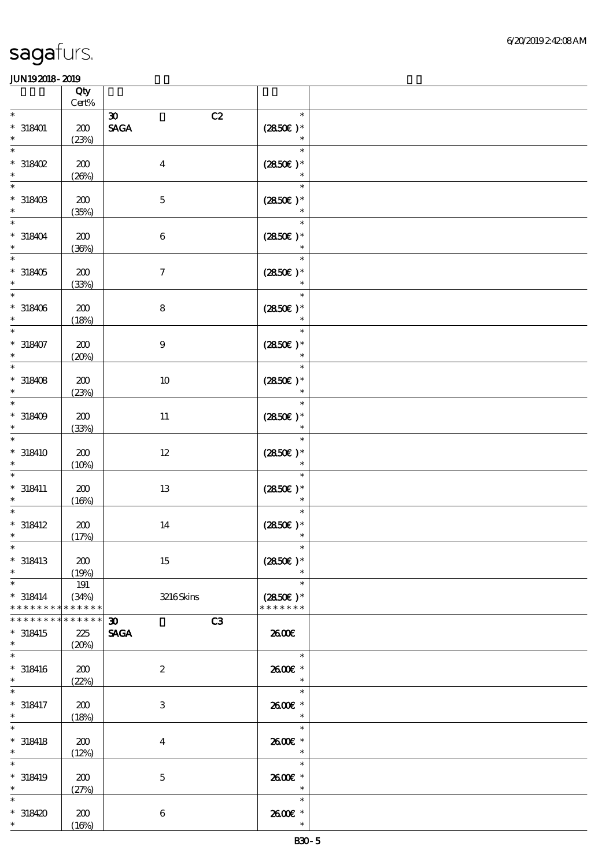|                                         | Qty<br>$Cert\%$               |                                                  |                                          |  |
|-----------------------------------------|-------------------------------|--------------------------------------------------|------------------------------------------|--|
| $\ast$                                  |                               | C2<br>$\boldsymbol{\mathfrak{D}}$                | $\ast$                                   |  |
| $* 318401$<br>$\ast$                    | $200$<br>(23%)                | $\operatorname{\mathsf{SAGA}}$                   | $(2850\epsilon)*$<br>$\ast$              |  |
| $\ast$<br>$*318402$<br>$\ast$           | 200<br>(20%)                  | $\boldsymbol{4}$                                 | $\ast$<br>$(2850)$ *<br>$\ast$           |  |
| $\ast$<br>$*$ 318403<br>$\ast$          | 200<br>(35%)                  | $\mathbf 5$                                      | $\ast$<br>$(2850)$ *<br>$\ast$           |  |
| $\ast$<br>$* 318404$<br>$\ast$          | 200<br>(36%)                  | $\,6\,$                                          | $\ast$<br>$(2850\epsilon)*$<br>$\ast$    |  |
| $\ast$<br>$*318405$<br>$\ast$           | 200<br>(33%)                  | $\boldsymbol{7}$                                 | $\ast$<br>$(2850)$ *                     |  |
| $\ast$<br>$*318406$<br>$\ast$           | 200<br>(18%)                  | $\bf 8$                                          | $\ast$<br>$(2850)$ *                     |  |
| $* 318407$                              | 200<br>(20%)                  | $\boldsymbol{9}$                                 | $\ast$<br>$(2850\epsilon)*$<br>$\ast$    |  |
| $\ast$<br>$*318408$<br>$\ast$           | 200<br>(23%)                  | $10\,$                                           | $\ast$<br>$(2850)$ *<br>$\ast$           |  |
| $\ast$<br>$*318409$<br>$\ast$           | 200<br>(33%)                  | $11\,$                                           | $\ast$<br>$(2850)$ *<br>$\ast$           |  |
| $\ast$<br>$* 318410$<br>$\ast$          | 200<br>(10%)                  | $12\,$                                           | $\ast$<br>$(2850\varepsilon)*$<br>$\ast$ |  |
| $\ast$<br>$* 318411$<br>$\ast$          | 200<br>(16%)                  | 13                                               | $\ast$<br>$(2850)$ *<br>$\ast$           |  |
| $\ast$<br>$* 318412$<br>$\ast$          | 200<br>(17%)                  | 14                                               | $\ast$<br>$(2850)$ *                     |  |
| $* 318413$<br>$\ast$                    | 200<br>(19%)                  | 15                                               | $(2850\varepsilon)*$<br>$\ast$           |  |
| $\ast$<br>$* 318414$<br>* * * * * * * * | $191$<br>(34%)<br>* * * * * * | $3216$ Skins                                     | $\ast$<br>$(2850)$ *<br>* * * * * * *    |  |
| * * * * * * *<br>$*318415$<br>$\ast$    | * * * * * *<br>225<br>(20%)   | C3<br>$\boldsymbol{\mathfrak{D}}$<br><b>SAGA</b> | 2600E                                    |  |
| $\ast$<br>$*318416$<br>$\ast$           | 200<br>(22%)                  | $\boldsymbol{2}$                                 | $\ast$<br>2600€ *<br>$\ast$              |  |
| $\ast$<br>$* 318417$<br>$\ast$          | 200<br>(18%)                  | $\,3\,$                                          | $\ast$<br>2600€ *<br>$\ast$              |  |
| $\ast$<br>$* 318418$<br>$\ast$          | 200<br>(12%)                  | $\boldsymbol{4}$                                 | $\ast$<br>2600€ *<br>$\ast$              |  |
| $\ast$<br>$* 318419$<br>$\ast$          | 200<br>(27%)                  | $\mathbf 5$                                      | $\ast$<br>2600E *<br>$\ast$              |  |
| $\ast$<br>$*318420$<br>$\ast$           | $\pmb{30}$<br>(16%)           | $\,6\,$                                          | $\ast$<br>2600E *<br>$\ast$              |  |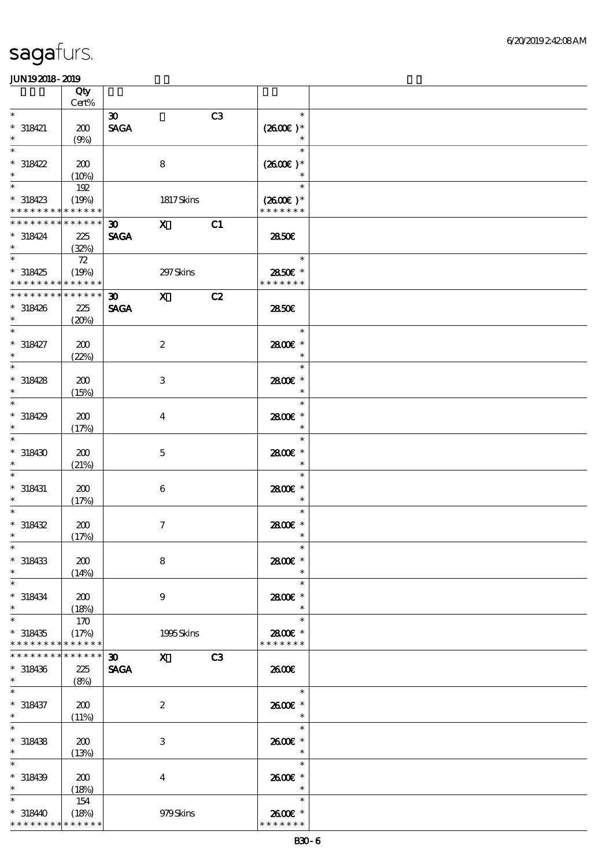|                                                                 | Qty<br>$Cert\%$             |                                            |                                                                                                                                                                                                                                                                                                                                 |                |                                    |  |
|-----------------------------------------------------------------|-----------------------------|--------------------------------------------|---------------------------------------------------------------------------------------------------------------------------------------------------------------------------------------------------------------------------------------------------------------------------------------------------------------------------------|----------------|------------------------------------|--|
| $\ast$                                                          |                             |                                            |                                                                                                                                                                                                                                                                                                                                 |                | $\ast$                             |  |
| $* 318421$<br>$\ast$                                            | 200<br>(9%)                 | $\boldsymbol{\mathfrak{D}}$<br><b>SAGA</b> |                                                                                                                                                                                                                                                                                                                                 | C <sub>3</sub> | $(2600)$ *<br>$\ast$               |  |
| $\ast$<br>$*318422$<br>$\ast$                                   | 200                         |                                            | $\bf 8$                                                                                                                                                                                                                                                                                                                         |                | $\ast$<br>$(2600)$ *<br>$\ast$     |  |
| $\ast$<br>$*318423$                                             | (10%)<br>192<br>(19%)       |                                            | 1817Skins                                                                                                                                                                                                                                                                                                                       |                | $\ast$<br>$(2600E)*$               |  |
| * * * * * * * *                                                 | * * * * * *                 |                                            |                                                                                                                                                                                                                                                                                                                                 |                | * * * * * * *                      |  |
| * * * * * * * * * * * * * *<br>$*318424$<br>$\ast$              | 225<br>(32%)                | 30 <sub>1</sub><br><b>SAGA</b>             | $\mathbf{X}$                                                                                                                                                                                                                                                                                                                    | C1             | 2850E                              |  |
| $\ast$<br>$*318425$<br>* * * * * * * * * * * * * *              | ${\bf Z}$<br>(19%)          |                                            | 297 Skins                                                                                                                                                                                                                                                                                                                       |                | $\ast$<br>2850E *<br>* * * * * * * |  |
| * * * * * * * *<br>$*318426$<br>$\ast$                          | * * * * * *<br>225<br>(20%) | 30<br><b>SAGA</b>                          | $\mathbf x$                                                                                                                                                                                                                                                                                                                     | C2             | 2850E                              |  |
| $\overline{\ast}$<br>$* 318427$<br>$\ast$                       | 200<br>(22%)                |                                            | $\boldsymbol{2}$                                                                                                                                                                                                                                                                                                                |                | $\ast$<br>2800€ *<br>$\ast$        |  |
| $\ast$<br>$*318428$<br>$\ast$                                   | 200<br>(15%)                |                                            | $\ensuremath{\mathbf{3}}$                                                                                                                                                                                                                                                                                                       |                | $\ast$<br>2800E *<br>$\ast$        |  |
| $\ast$<br>$* 318429$<br>$\ast$                                  | 200<br>(17%)                |                                            | $\overline{\mathbf{4}}$                                                                                                                                                                                                                                                                                                         |                | $\ast$<br>2800E *<br>$\ast$        |  |
| $\ast$<br>$*318430$<br>$\ast$                                   | 200<br>(21%)                |                                            | $\mathbf 5$                                                                                                                                                                                                                                                                                                                     |                | $\ast$<br>2800€ *<br>$\ast$        |  |
| $\ast$<br>$* 318431$<br>$\ast$                                  | 200<br>(17%)                |                                            | 6                                                                                                                                                                                                                                                                                                                               |                | $\ast$<br>2800€*<br>$\ast$         |  |
| $*318432$<br>$\ast$                                             | 200<br>(17%)                |                                            | $\tau$                                                                                                                                                                                                                                                                                                                          |                | $\ast$<br>2800 £*<br>$\ast$        |  |
| $*$<br>$*318433$<br>$\ast$                                      | 200<br>(14%)                |                                            | 8                                                                                                                                                                                                                                                                                                                               |                | $\ast$<br>2800€ *<br>$\ast$        |  |
| $\ast$<br>$* 318434$<br>$\ast$                                  | 200<br>(18%)                |                                            | $\boldsymbol{9}$                                                                                                                                                                                                                                                                                                                |                | $\ast$<br>2800E *<br>$\ast$        |  |
| $\ast$<br>$*318435$<br>* * * * * * * *                          | 170<br>(17%)<br>* * * * * * |                                            | 1995Skins                                                                                                                                                                                                                                                                                                                       |                | $\ast$<br>2800€ *<br>* * * * * * * |  |
| * * * * * * * *<br>$*318436$<br>$\ast$                          | * * * * * *<br>225<br>(8%)  | $30-1$<br><b>SAGA</b>                      | $\mathbf X$ and $\mathbf X$ and $\mathbf X$ and $\mathbf X$ and $\mathbf X$ and $\mathbf X$ and $\mathbf X$ and $\mathbf X$ and $\mathbf X$ and $\mathbf X$ and $\mathbf X$ and $\mathbf X$ and $\mathbf X$ and $\mathbf X$ and $\mathbf X$ and $\mathbf X$ and $\mathbf X$ and $\mathbf X$ and $\mathbf X$ and $\mathbf X$ and | C <sub>3</sub> | 2600E                              |  |
| $\ast$<br>$* 318437$<br>$\ast$                                  | 200<br>(11%)                |                                            | $\boldsymbol{2}$                                                                                                                                                                                                                                                                                                                |                | $\ast$<br>2600€ *<br>$\ast$        |  |
| $\ast$<br>$* 318438$<br>$\ast$                                  | 200<br>(13%)                |                                            | 3                                                                                                                                                                                                                                                                                                                               |                | $\ast$<br>2600€ *<br>$\ast$        |  |
| $\ast$<br>$* 318439$<br>$\ast$                                  | 200<br>(18%)                |                                            | $\overline{4}$                                                                                                                                                                                                                                                                                                                  |                | $\ast$<br>2600€ *<br>$\ast$        |  |
| $\ast$<br>$*318440$<br>* * * * * * * * <mark>* * * * * *</mark> | 154<br>(18%)                |                                            | 979Skins                                                                                                                                                                                                                                                                                                                        |                | $\ast$<br>2600€ *<br>* * * * * * * |  |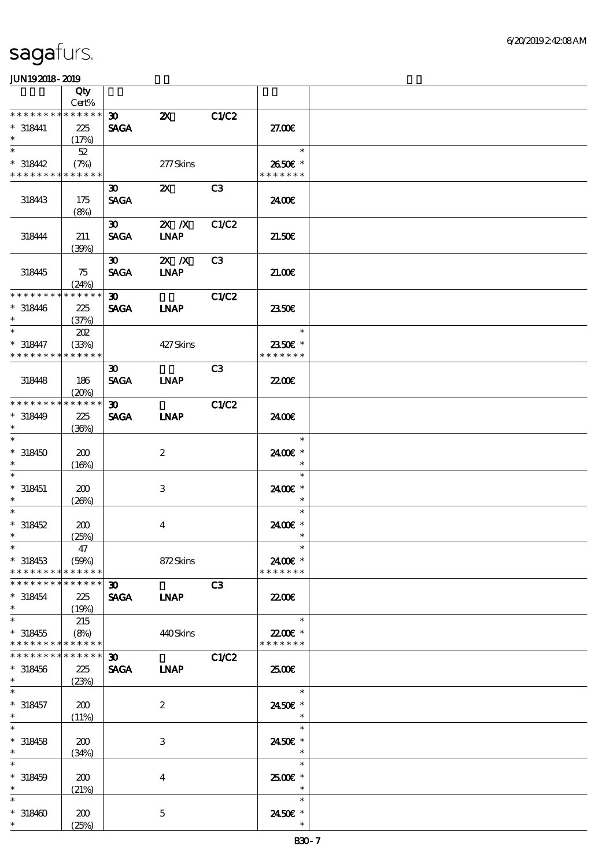|                                                                           | Qty                  |                                            |                           |                |                          |  |
|---------------------------------------------------------------------------|----------------------|--------------------------------------------|---------------------------|----------------|--------------------------|--|
| * * * * * * * *                                                           | Cert%<br>$******$    |                                            |                           |                |                          |  |
| $* 318441$                                                                | 225                  | $\boldsymbol{\infty}$<br><b>SAGA</b>       | $\boldsymbol{\mathsf{X}}$ | C1/C2          | 27.00E                   |  |
| $\ast$                                                                    | (17%)                |                                            |                           |                |                          |  |
| $\ast$                                                                    | 52                   |                                            |                           |                | $\ast$                   |  |
| $*318442$                                                                 | (7%)                 |                                            | 277Skins                  |                | 2650€ *                  |  |
| * * * * * * * * * * * * * *                                               |                      |                                            |                           |                | * * * * * * *            |  |
| 318443                                                                    | 175                  | 30 <sup>2</sup><br><b>SAGA</b>             | $\mathbf{x}$              | C3             | 2400€                    |  |
|                                                                           | (8%)                 |                                            |                           |                |                          |  |
|                                                                           |                      | $\boldsymbol{\mathfrak{D}}$                | $X$ $N$                   | C1/C2          |                          |  |
| 318444                                                                    | 211                  | <b>SAGA</b>                                | <b>INAP</b>               |                | 21.50E                   |  |
|                                                                           | (30%)                |                                            |                           |                |                          |  |
| 318445                                                                    |                      | $\boldsymbol{\mathfrak{D}}$<br><b>SAGA</b> | $X$ $N$<br><b>LNAP</b>    | C <sub>3</sub> | 21.00                    |  |
|                                                                           | 75<br>(24%)          |                                            |                           |                |                          |  |
| * * * * * * * *                                                           | * * * * * *          | $\boldsymbol{\mathfrak{D}}$                |                           | C1/C2          |                          |  |
| $* 318446$                                                                | 225                  | <b>SAGA</b>                                | <b>INAP</b>               |                | 2350E                    |  |
| $\ast$                                                                    | (37%)                |                                            |                           |                |                          |  |
| $\ast$                                                                    | 202                  |                                            |                           |                | $\ast$                   |  |
| $* 318447$<br>* * * * * * * *                                             | (33%)<br>* * * * * * |                                            | 427Skins                  |                | 2350€ *<br>* * * * * * * |  |
|                                                                           |                      | $\boldsymbol{\mathfrak{D}}$                |                           | C <sub>3</sub> |                          |  |
| 318448                                                                    | 186                  | <b>SAGA</b>                                | <b>LNAP</b>               |                | 22.00E                   |  |
|                                                                           | (20%)                |                                            |                           |                |                          |  |
| * * * * * * * *                                                           | * * * * * *          | $30-1$                                     |                           | C1/C2          |                          |  |
| $*318449$<br>$\ast$                                                       | 225                  | <b>SAGA</b>                                | <b>INAP</b>               |                | 2400E                    |  |
| $\ast$                                                                    | (36%)                |                                            |                           |                | $\ast$                   |  |
| $*318450$                                                                 | 200                  |                                            | $\boldsymbol{2}$          |                | 2400€ *                  |  |
| $\ast$                                                                    | (16%)                |                                            |                           |                | $\ast$                   |  |
|                                                                           |                      |                                            |                           |                | $\ast$                   |  |
| $* 318451$                                                                | 200                  |                                            | 3                         |                | 2400E *                  |  |
| $\ast$<br>$\ast$                                                          | (20%)                |                                            |                           |                | $\ast$<br>$\ast$         |  |
| $* 318452$                                                                | 200                  |                                            | $\overline{4}$            |                | 2400€ *                  |  |
| $\ast$                                                                    | (25%)                |                                            |                           |                | $\ast$                   |  |
| $*$                                                                       | 47                   |                                            |                           |                | $\ast$                   |  |
| $*318453$                                                                 | (50%)                |                                            | 872Skins                  |                | 2400€ *                  |  |
| * * * * * * * *<br>* * * * * * * * * * * * * *                            | $* * * * * * *$      | 30 <sub>o</sub>                            |                           |                | * * * * * * *            |  |
| $*318454$                                                                 | 225                  | <b>SAGA</b>                                | <b>INAP</b>               | C3             | <b>2200E</b>             |  |
| $\ast$                                                                    | (19%)                |                                            |                           |                |                          |  |
| $\ast$                                                                    | 215                  |                                            |                           |                | $\ast$                   |  |
| $*318455$                                                                 | (8%)                 |                                            | 440Skins                  |                | 22.00€ *                 |  |
| * * * * * * * * <mark>* * * * * *</mark><br>* * * * * * * * * * * * * * * |                      |                                            |                           |                | * * * * * * *            |  |
| $*318456$                                                                 | 225                  | 30 <sub>1</sub><br><b>SAGA</b>             | <b>LNAP</b>               | C1/C2          | 2500E                    |  |
| $\ast$                                                                    | (23%)                |                                            |                           |                |                          |  |
|                                                                           |                      |                                            |                           |                | $\ast$                   |  |
| $* 318457$                                                                | 200                  |                                            | $\boldsymbol{z}$          |                | 2450E *                  |  |
| $\ast$<br>$\ast$                                                          | (11%)                |                                            |                           |                | $\ast$                   |  |
| $* 318458$                                                                | 200                  |                                            | 3                         |                | $\ast$<br>2450€ *        |  |
| $\ast$                                                                    | (34%)                |                                            |                           |                | $\ast$                   |  |
| $\ast$                                                                    |                      |                                            |                           |                | $\ast$                   |  |
| $* 318459$                                                                | 200                  |                                            | $\overline{4}$            |                | $2500$ $\epsilon$ *      |  |
| $\ast$                                                                    | (21%)                |                                            |                           |                | $\ast$                   |  |
| $\ast$                                                                    |                      |                                            |                           |                | $\ast$                   |  |
| $*318400$<br>$\ast$                                                       | 200<br>(25%)         |                                            | $\mathbf 5$               |                | 2450€ *<br>$\ast$        |  |
|                                                                           |                      |                                            |                           |                |                          |  |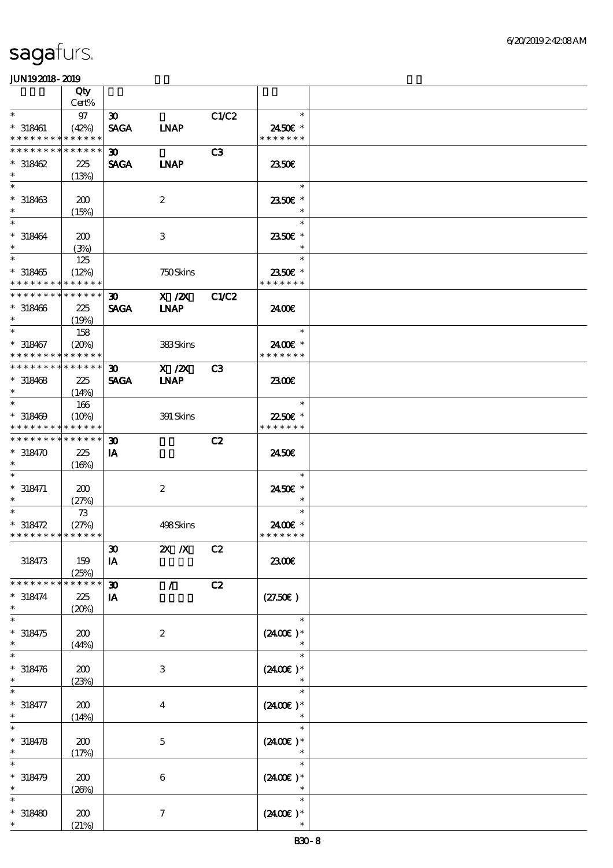|                                                | Qty                  |                             |                  |                |                                |  |
|------------------------------------------------|----------------------|-----------------------------|------------------|----------------|--------------------------------|--|
|                                                | Cert%                |                             |                  |                |                                |  |
| $\ast$                                         | 97                   | $\boldsymbol{\mathfrak{D}}$ |                  | C1/C2          | $\ast$                         |  |
| $* 318461$                                     | (42%)                | <b>SAGA</b>                 | <b>LNAP</b>      |                | 2450€ *                        |  |
| * * * * * * * * * * * * * *<br>* * * * * * * * |                      |                             |                  |                | * * * * * * *                  |  |
|                                                | * * * * * *          | $\boldsymbol{\mathfrak{D}}$ |                  | C <sub>3</sub> |                                |  |
| $*318462$<br>$\ast$                            | 225                  | <b>SAGA</b>                 | <b>INAP</b>      |                | 2350E                          |  |
| $\ast$                                         | (13%)                |                             |                  |                | $\ast$                         |  |
| $* 318463$                                     |                      |                             | $\boldsymbol{2}$ |                | 2350€ *                        |  |
| $\ast$                                         | 200<br>(15%)         |                             |                  |                | $\ast$                         |  |
| $\ast$                                         |                      |                             |                  |                | $\ast$                         |  |
| $* 318464$                                     | 200                  |                             | 3                |                | 2350€ *                        |  |
| $\ast$                                         | (3%)                 |                             |                  |                | $\ast$                         |  |
| $\ast$                                         | 125                  |                             |                  |                | $\ast$                         |  |
| $*318465$                                      | (12%)                |                             | 750Skins         |                | 2350E *                        |  |
| * * * * * * * * * * * * * *                    |                      |                             |                  |                | * * * * * * *                  |  |
| * * * * * * * *                                | * * * * * *          | $\boldsymbol{\mathfrak{D}}$ | $X$ / $ZX$       | <b>C1/C2</b>   |                                |  |
| $* 318466$                                     | 225                  | <b>SAGA</b>                 | <b>INAP</b>      |                | 2400€                          |  |
| $\ast$                                         | (19%)                |                             |                  |                |                                |  |
|                                                | 158                  |                             |                  |                | $\ast$                         |  |
| $* 318467$                                     | (20%)                |                             | 383Skins         |                | 24.00 £*                       |  |
| * * * * * * * * * * * * * *                    |                      |                             |                  |                | * * * * * * *                  |  |
| * * * * * * * * * * * * * *                    |                      | 30 <sub>o</sub>             | $X$ / $ZX$       | C <sub>3</sub> |                                |  |
| $* 318468$                                     | 225                  | <b>SAGA</b>                 | <b>LNAP</b>      |                | 2300€                          |  |
| $\ast$                                         | (14%)                |                             |                  |                |                                |  |
| $\ast$                                         | 166                  |                             |                  |                | $\ast$                         |  |
| $* 318469$<br>* * * * * * * *                  | (10%)<br>* * * * * * |                             | 391 Skins        |                | 22.50€ *<br>* * * * * * *      |  |
| * * * * * * * * * * * * * *                    |                      |                             |                  |                |                                |  |
| $*318470$                                      | 225                  | 30 <sub>o</sub><br>IA       |                  | C2             | 2450E                          |  |
| $\ast$                                         |                      |                             |                  |                |                                |  |
| $\ast$                                         | (16%)                |                             |                  |                | $\ast$                         |  |
| $* 318471$                                     | 200                  |                             | $\boldsymbol{2}$ |                | 2450€ *                        |  |
| $\ast$                                         | (27%)                |                             |                  |                | $\ast$                         |  |
| $\ast$                                         | 73                   |                             |                  |                | $\ast$                         |  |
| $* 318472$                                     | (27%)                |                             | 498Skins         |                | 2400€ *                        |  |
| * * * * * * * * * * * * * *                    |                      |                             |                  |                | * * * * * * *                  |  |
|                                                |                      | $\pmb{\mathfrak{D}}$        | 2X / X C2        |                |                                |  |
| 318473                                         | 159                  | IA                          |                  |                | 2300€                          |  |
|                                                | (25%)                |                             |                  |                |                                |  |
| * * * * * * *                                  | * * * * * *          | $\boldsymbol{\mathfrak{D}}$ | $\mathcal{L}$    | C2             |                                |  |
| $* 318474$                                     | 225                  | IA                          |                  |                | (27.50)                        |  |
| $\ast$                                         | (20%)                |                             |                  |                |                                |  |
| $\ast$                                         |                      |                             |                  |                | $\ast$                         |  |
| $*318475$<br>$\ast$                            | 200                  |                             | $\boldsymbol{z}$ |                | $(2400\varepsilon)*$<br>$\ast$ |  |
| $\ast$                                         | (44%)                |                             |                  |                | $\ast$                         |  |
| $* 318476$                                     | 200                  |                             | 3                |                | $(2400E)*$                     |  |
| $\ast$                                         | (23%)                |                             |                  |                |                                |  |
| $\ast$                                         |                      |                             |                  |                | $\ast$                         |  |
| $* 318477$                                     | 200                  |                             | $\overline{4}$   |                | $(2400\varepsilon)*$           |  |
|                                                | (14%)                |                             |                  |                |                                |  |
|                                                |                      |                             |                  |                | $\ast$                         |  |
| $* 318478$                                     | 200                  |                             | $\mathbf{5}$     |                | $(2400)$ *                     |  |
| $\ast$                                         | (17%)                |                             |                  |                |                                |  |
|                                                |                      |                             |                  |                | $\ast$                         |  |
| $*318479$                                      | 200                  |                             | $\boldsymbol{6}$ |                | $(2400E)*$                     |  |
| $\ast$                                         | (20%)                |                             |                  |                |                                |  |
| $\ast$                                         |                      |                             |                  |                | $\ast$                         |  |
| $*318480$                                      | 200                  |                             | $\boldsymbol{7}$ |                | $(2400)$ *                     |  |
|                                                | (21%)                |                             |                  |                | $\ast$                         |  |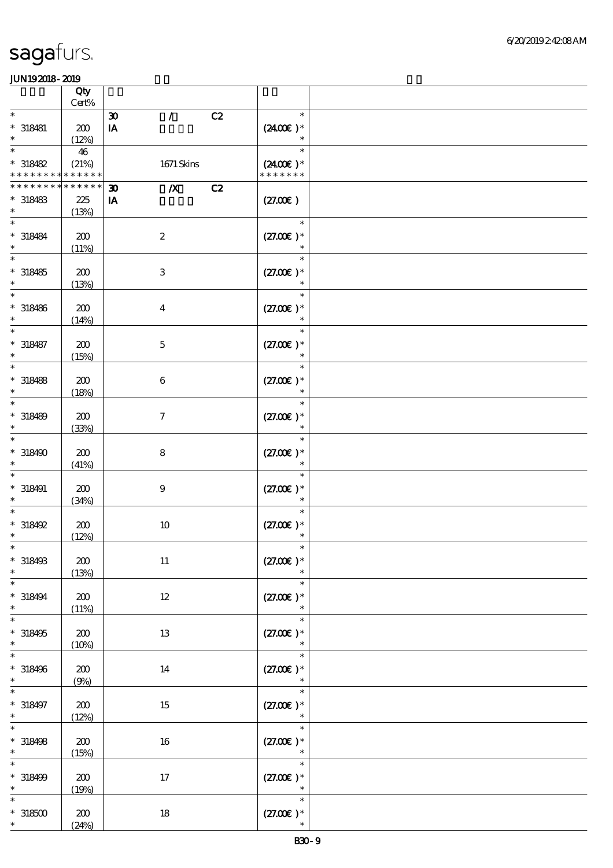|                                           | Qty<br>$Cert\%$      |                                                       |                                        |  |
|-------------------------------------------|----------------------|-------------------------------------------------------|----------------------------------------|--|
| $\ast$                                    |                      | $\mathcal{L}$<br>C2<br>$\boldsymbol{\mathfrak{D}}$    | $\ast$                                 |  |
| $*$ 318481<br>$\ast$                      | 200<br>(12%)         | $\mathbf{I} \mathbf{A}$                               | $(2400)$ *<br>$\ast$                   |  |
| $\ast$                                    | 46                   |                                                       | $\ast$                                 |  |
| $*318482$<br>* * * * * * * *              | (21%)<br>* * * * * * | 1671 Skins                                            | $(2400\varepsilon)^*$<br>* * * * * * * |  |
| * * * * * * * *                           | * * * * * *          | $\boldsymbol{X}$<br>C2<br>$\boldsymbol{\mathfrak{D}}$ |                                        |  |
| $* 318483$<br>$\ast$                      | 225<br>(13%)         | IA                                                    | (27.00)                                |  |
| $\ast$<br>$* 318484$<br>$\ast$            | 200<br>(11%)         | $\boldsymbol{2}$                                      | $\ast$<br>$(27.00)$ *                  |  |
| $*318485$<br>$\ast$                       | 200<br>(13%)         | $\,3$                                                 | $\ast$<br>$(27.00)$ *                  |  |
| $* 318486$<br>$\ast$                      | 200<br>(14%)         | $\boldsymbol{4}$                                      | $\ast$<br>$(27.00)$ *<br>$\ast$        |  |
| $\ast$<br>$* 318487$<br>$\ast$            | 200<br>(15%)         | $\mathbf 5$                                           | $\ast$<br>$(27.00)$ *<br>$\ast$        |  |
| $\ast$<br>$* 318488$<br>$\ast$            | 200<br>(18%)         | $\,6\,$                                               | $\ast$<br>$(27.00)$ *<br>$\ast$        |  |
| $\ast$<br>$* 318489$<br>$\ast$            | 200<br>(33%)         | $\boldsymbol{7}$                                      | $\ast$<br>$(27.00)$ *<br>$\ast$        |  |
| $\ast$<br>$*318490$<br>$\ast$             | 200<br>(41%)         | $\bf 8$                                               | $\ast$<br>$(27.00)$ *<br>$\ast$        |  |
| $\ast$<br>$* 318491$<br>$\ast$            | 200<br>(34%)         | $\boldsymbol{9}$                                      | $\ast$<br>$(27.00)$ *<br>$\ast$        |  |
| $*318492$<br>$\ast$                       | 200<br>(12%)         | $10$                                                  | $\ast$<br>$(27.00)$ *<br>$\ast$        |  |
| $*$<br>$* 318493$<br>$\ast$               | 200<br>(13%)         | $11\,$                                                | $\ast$<br>$(27.00)$ *<br>$\ast$        |  |
| $\ast$<br>$* 318494$<br>$\ast$            | 200<br>(11%)         | $12\,$                                                | $\ast$<br>$(27.00)$ *<br>$\ast$        |  |
| $\ast$<br>$*318495$<br>$\ast$             | $200\,$<br>(10%)     | 13                                                    | $\ast$<br>$(27.00)$ *<br>$\ast$        |  |
| $\ast$<br>$* 318496$<br>$\ast$            | 200<br>(9%)          | 14                                                    | $\ast$<br>$(27.00)$ *<br>$\ast$        |  |
| $\ast$<br>$* 318497$<br>$\ast$            | 200<br>(12%)         | 15                                                    | $\ast$<br>$(27.00)$ *                  |  |
| $\overline{\ast}$<br>$* 318498$<br>$\ast$ | ${\bf Z0}$<br>(15%)  | 16                                                    | $\ast$<br>$(27.00)$ *<br>$\ast$        |  |
| $\ast$<br>$* 318499$<br>$\ast$            | 200<br>(19%)         | $17\,$                                                | $\ast$<br>$(27.00)$ *<br>$\ast$        |  |
| $\ast$<br>$^\ast$ 318500<br>$\ast$        | 200<br>(24%)         | $18\,$                                                | $\ast$<br>$(27.00)$ *<br>$\ast$        |  |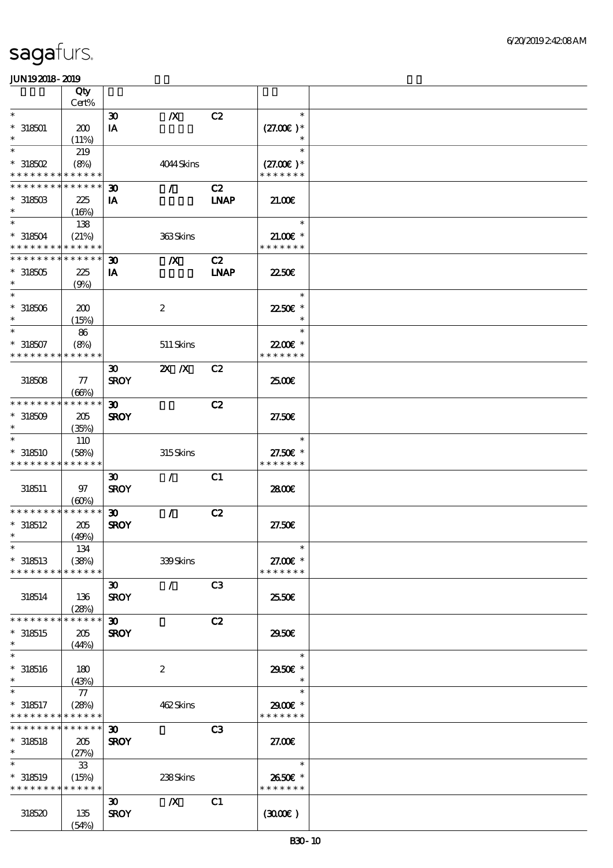|                                            | Qty<br>Cert% |                             |                  |                |               |  |
|--------------------------------------------|--------------|-----------------------------|------------------|----------------|---------------|--|
| $\ast$                                     |              | $\boldsymbol{\mathfrak{D}}$ | $\boldsymbol{X}$ | C2             | $\ast$        |  |
| $*318501$                                  | 200          | IA                          |                  |                | $(27.00)$ *   |  |
| $\ast$                                     | (11%)        |                             |                  |                | $\ast$        |  |
| $\ast$                                     | 219          |                             |                  |                | $\ast$        |  |
| $*$ 318502                                 | (8%)         |                             | 4044Skins        |                | $(27.00)$ *   |  |
| * * * * * * * * <mark>* * * * * *</mark>   |              |                             |                  |                | * * * * * * * |  |
| * * * * * * * * <mark>* * * * * *</mark>   |              | $\boldsymbol{\mathfrak{D}}$ | $\mathcal{L}$    | C2             |               |  |
| $*31850B$                                  | 225          | IA                          |                  | <b>LNAP</b>    | 21.00         |  |
| $\ast$                                     | (16%)        |                             |                  |                |               |  |
| $\ast$                                     | 138          |                             |                  |                | $\ast$        |  |
| $*318504$                                  | (21%)        |                             | 363Skins         |                | $21.00$ $*$   |  |
| * * * * * * * * * * * * * *                |              |                             |                  |                | * * * * * * * |  |
| * * * * * * * * * * * * * *                |              | $\boldsymbol{\mathfrak{D}}$ | $\boldsymbol{X}$ | C2             |               |  |
| $*318505$                                  | 225          | IA                          |                  | <b>LNAP</b>    | 2250E         |  |
| $\ast$                                     | (9%)         |                             |                  |                |               |  |
| $\ast$                                     |              |                             |                  |                | $\ast$        |  |
| $*318506$                                  | 200          |                             | $\boldsymbol{2}$ |                | 2250€ *       |  |
| $\ast$                                     | (15%)        |                             |                  |                | $\ast$        |  |
| $\ast$                                     | 86           |                             |                  |                | $\ast$        |  |
| $*318507$                                  | (8%)         |                             | 511 Skins        |                | 2200E *       |  |
| * * * * * * * *                            | * * * * * *  |                             |                  |                | * * * * * * * |  |
|                                            |              | $\boldsymbol{\mathfrak{D}}$ | $X$ $N$          | C2             |               |  |
| 318508                                     | ${\it 77}$   | <b>SROY</b>                 |                  |                | 2500€         |  |
|                                            | (66%)        |                             |                  |                |               |  |
| * * * * * * * * * * * * * *                |              | $\boldsymbol{\mathfrak{D}}$ |                  | C2             |               |  |
| $*318509$                                  | 205          | <b>SROY</b>                 |                  |                | 27.50E        |  |
| $\ast$                                     | (35%)        |                             |                  |                |               |  |
| $\ast$                                     | 110          |                             |                  |                | $\ast$        |  |
| $*318510$                                  | (58%)        |                             | 315Skins         |                | 27.50€ *      |  |
| * * * * * * * * * * * * * *                |              |                             |                  |                | * * * * * * * |  |
|                                            |              | $\boldsymbol{\mathfrak{D}}$ | $\mathcal{L}$    | C1             |               |  |
| 318511                                     | 97           | <b>SROY</b>                 |                  |                | 2800€         |  |
| * * * * * * * * * * * * * *                | (60%)        | $\boldsymbol{\mathfrak{D}}$ | $\mathcal{L}$    | C2             |               |  |
| $*318512$                                  | 205          | <b>SROY</b>                 |                  |                | 27.50E        |  |
| $\ast$                                     | (49%)        |                             |                  |                |               |  |
| $\ast$                                     | 134          |                             |                  |                | $\ast$        |  |
| $*318513$                                  | (38%)        |                             | 339Skins         |                | 27.00€ *      |  |
| * * * * * * * *                            | * * * * * *  |                             |                  |                | * * * * * * * |  |
|                                            |              | $\boldsymbol{\mathfrak{D}}$ | $\mathcal{L}$    | C <sub>3</sub> |               |  |
| 318514                                     | 136          | <b>SROY</b>                 |                  |                | 25.50€        |  |
|                                            | (28%)        |                             |                  |                |               |  |
| * * * * * * * *                            | * * * * * *  | $\boldsymbol{\mathfrak{D}}$ |                  | C2             |               |  |
| $*318515$                                  | 205          | <b>SROY</b>                 |                  |                | 2950E         |  |
| $\ast$                                     | (44%)        |                             |                  |                |               |  |
| $\ast$                                     |              |                             |                  |                | $\ast$        |  |
| $*318516$                                  | 180          |                             | $\boldsymbol{2}$ |                | 2950€*        |  |
| $\ast$                                     | (43%)        |                             |                  |                | $\ast$        |  |
| $\ast$                                     | 77           |                             |                  |                | $\ast$        |  |
| $*318517$                                  | (28%)        |                             | 462Skins         |                | 2900€ *       |  |
| * * * * * * * * <mark>* * * * * *</mark>   |              |                             |                  |                | * * * * * * * |  |
| * * * * * * * * <mark>* * * * * * *</mark> |              | $\boldsymbol{\mathfrak{D}}$ |                  | C <sub>3</sub> |               |  |
| $*318518$                                  | 205          | <b>SROY</b>                 |                  |                | 27.00         |  |
| $\ast$                                     | (27%)        |                             |                  |                |               |  |
| $\ast$                                     | $\mathbf{3}$ |                             |                  |                | $\ast$        |  |
| $*318519$                                  | (15%)        |                             | 238Skins         |                | 2650€ *       |  |
| * * * * * * * * * * * * * *                |              |                             |                  |                | * * * * * * * |  |
|                                            |              | $\boldsymbol{\mathfrak{D}}$ | $\boldsymbol{X}$ | C1             |               |  |
| 318520                                     | 135          | <b>SROY</b>                 |                  |                | (300)         |  |
|                                            | (54%)        |                             |                  |                |               |  |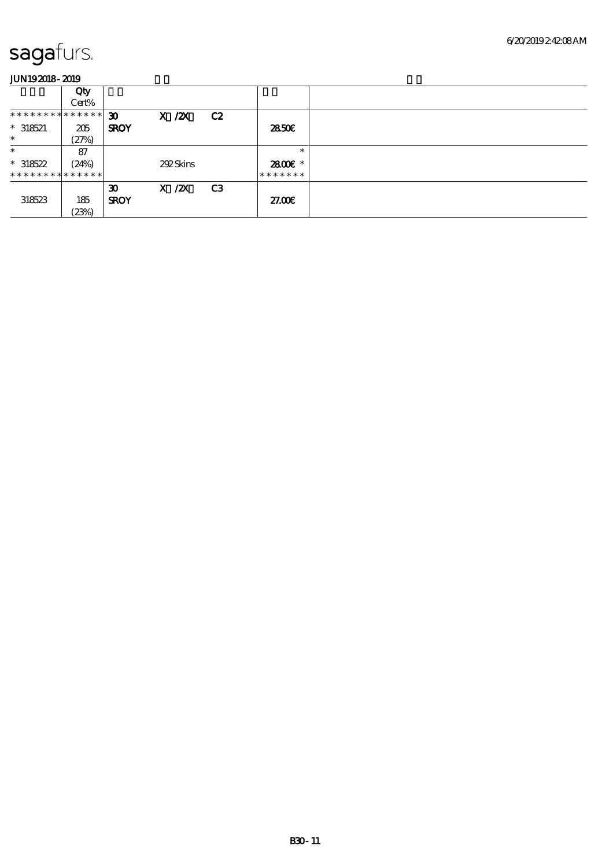|                               | Qty   |                             |            |                |         |  |
|-------------------------------|-------|-----------------------------|------------|----------------|---------|--|
|                               | Cert% |                             |            |                |         |  |
| * * * * * * * * * * * * * * * |       | $\boldsymbol{\mathfrak{D}}$ | $X$ / $ZX$ | C2             |         |  |
| $* 318521$                    | 205   | <b>SROY</b>                 |            |                | 2850E   |  |
| $\ast$                        | (27%) |                             |            |                |         |  |
| $\ast$                        | 87    |                             |            |                | $\ast$  |  |
| $*318522$                     | (24%) |                             | 292Skins   |                | 2800E * |  |
| * * * * * * * * * * * * * * * |       |                             |            |                | ******* |  |
|                               |       | $\boldsymbol{\mathfrak{D}}$ | $X$ / $ZX$ | C <sub>3</sub> |         |  |
| 318523                        | 185   | <b>SROY</b>                 |            |                | 27.00E  |  |
|                               | (23%) |                             |            |                |         |  |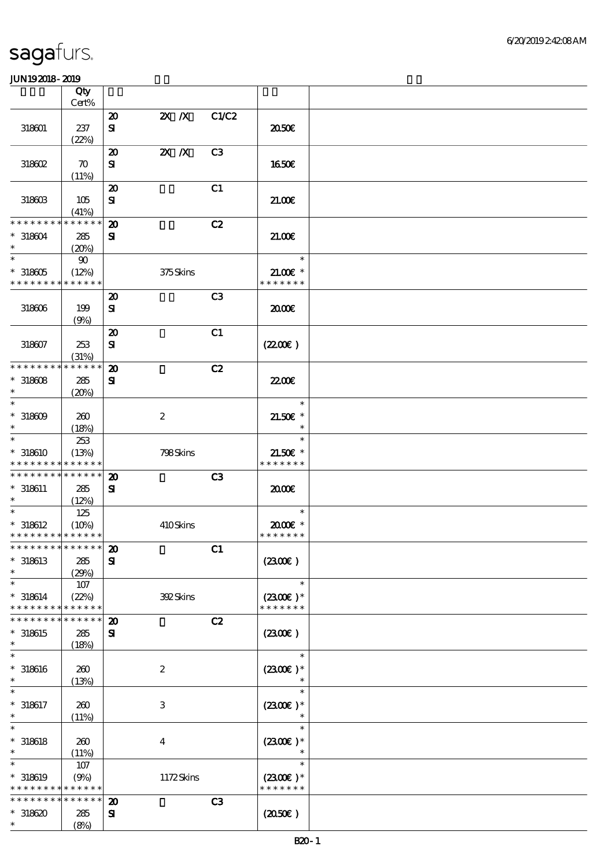|                                                           | Qty                             |                                           |                           |                |                                       |  |
|-----------------------------------------------------------|---------------------------------|-------------------------------------------|---------------------------|----------------|---------------------------------------|--|
|                                                           | Cert%                           |                                           |                           | C1/C2          |                                       |  |
| 318601                                                    | 237                             | $\boldsymbol{\mathfrak{D}}$<br>${\bf s}$  | $X$ $X$                   |                | 2050€                                 |  |
|                                                           | (22%)                           | $\boldsymbol{\mathfrak{D}}$               | $\mathbf{X}$ $\mathbf{X}$ | C <sub>3</sub> |                                       |  |
| 318602                                                    | $\boldsymbol{\pi}$<br>(11%)     | ${\bf s}$                                 |                           |                | 1650E                                 |  |
| 318603                                                    | 105                             | $\boldsymbol{\mathbf{z}}$<br>${\bf s}$    |                           | C1             | 21.00                                 |  |
|                                                           | (41%)                           |                                           |                           |                |                                       |  |
| * * * * * * * *<br>$*318604$<br>$\ast$                    | $* * * * * * *$<br>285<br>(20%) | $\boldsymbol{\mathbf{z}}$<br>${\bf s}$    |                           | C2             | 21.006                                |  |
| $\ast$<br>$^*$ 318605 $\,$<br>* * * * * * * * * * * * * * | $90\,$<br>(12%)                 |                                           | 375Skins                  |                | $\ast$<br>$21.00E$ *<br>* * * * * * * |  |
|                                                           |                                 | $\boldsymbol{\mathbf{z}}$                 |                           | C <sub>3</sub> |                                       |  |
| 318606                                                    | 199<br>(9%)                     | $\mathbf{S}$                              |                           |                | 2000                                  |  |
|                                                           |                                 | $\boldsymbol{\mathbf{z}}$                 |                           | C1             |                                       |  |
| 318607                                                    | 253<br>(31%)                    | $\mathbf{S}$                              |                           |                | (220E)                                |  |
| * * * * * * * *                                           | * * * * * *                     | $\boldsymbol{\mathbf{z}}$                 |                           | C2             |                                       |  |
| $*318608$<br>$\ast$                                       | 285<br>(20%)                    | ${\bf s}$                                 |                           |                | <b>2200E</b>                          |  |
| $\ast$<br>$*318609$<br>$\ast$                             | 260<br>(18%)                    |                                           | $\boldsymbol{2}$          |                | $\ast$<br>$21.50E$ *<br>$\ast$        |  |
| $\ast$                                                    | 253                             |                                           |                           |                | $\ast$                                |  |
| * 318610<br>* * * * * * * * * * * * * *                   | (13%)                           |                                           | 798Skins                  |                | $21.50E$ *<br>* * * * * * *           |  |
| * * * * * * * * * * * * * *                               |                                 | $\boldsymbol{\mathbf{z}}$                 |                           | C3             |                                       |  |
| $*318611$<br>$\ast$                                       | 285<br>(12%)                    | ${\bf s}$                                 |                           |                | 2000                                  |  |
| $\ast$                                                    | 125                             |                                           |                           |                | $\ast$                                |  |
| $* 318612$<br>* * * * * * * * * * * * * *                 | (10%)                           |                                           | 410Skins                  |                | 2000E*<br>* * * * * * *               |  |
| **************** 20                                       |                                 |                                           |                           | C1             |                                       |  |
| $*318613$<br>$\ast$                                       | 285                             | ${\bf s}$                                 |                           |                | (230E)                                |  |
| $\ast$                                                    | (29%)<br>107                    |                                           |                           |                | $\ast$                                |  |
| $* 318614$<br>* * * * * * * *                             | (22%)<br>* * * * * *            |                                           | 392Skins                  |                | $(2300E)*$<br>* * * * * * *           |  |
| * * * * * * * *                                           | * * * * * *                     | $\boldsymbol{\mathfrak{D}}$               |                           | C2             |                                       |  |
| $*318615$<br>$\ast$                                       | 285<br>(18%)                    | ${\bf s}$                                 |                           |                | (2300)                                |  |
| $\ast$                                                    |                                 |                                           |                           |                | $\ast$                                |  |
| $*318616$<br>$\ast$                                       | 260<br>(13%)                    |                                           | $\boldsymbol{2}$          |                | $(2300E)*$                            |  |
| $* 318617$<br>$\ast$                                      | 260<br>(11%)                    |                                           | $\ensuremath{\mathbf{3}}$ |                | $\ast$<br>$(2300E)*$<br>$\ast$        |  |
| $\ast$<br>$* 318618$<br>$\ast$                            | 260<br>(11%)                    |                                           | $\boldsymbol{4}$          |                | $\ast$<br>$(2300)$ *<br>$\ast$        |  |
| $\ast$<br>$*$ 318619<br>* * * * * * * *                   | 107<br>(9%)<br>******           |                                           | 1172Skins                 |                | $\ast$<br>$(2300E)*$<br>* * * * * * * |  |
| * * * * * * * *<br>$*318620$<br>$\ast$                    | * * * * * *<br>285<br>(8%)      | $\boldsymbol{\mathbf{z}}$<br>$\mathbf{S}$ |                           | C3             | (2050)                                |  |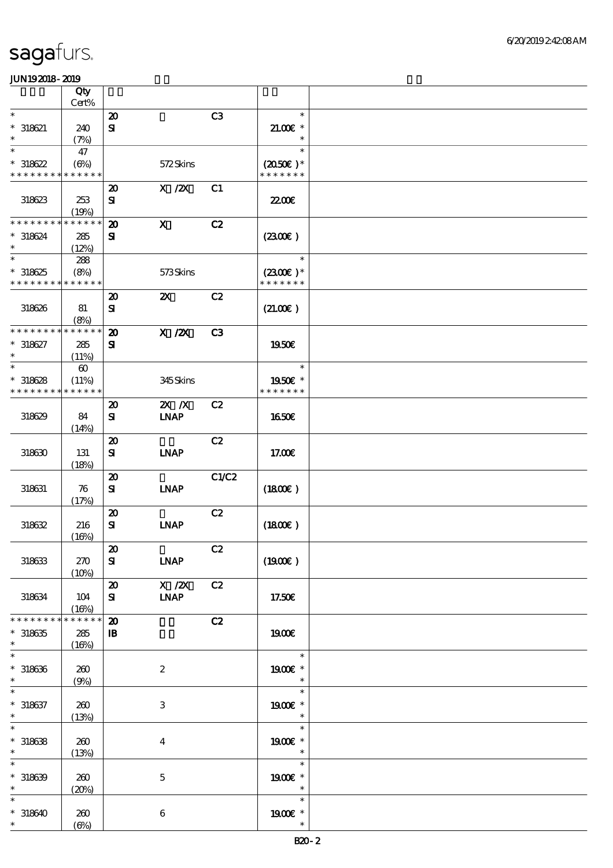|                                                                 | Qty                                           |                                            |                                   |                |                                       |  |
|-----------------------------------------------------------------|-----------------------------------------------|--------------------------------------------|-----------------------------------|----------------|---------------------------------------|--|
| $\ast$                                                          | Cert%                                         |                                            |                                   | C3             | $\ast$                                |  |
| $* 318621$                                                      | 240                                           | $\boldsymbol{\mathsf{20}}$<br>${\bf s}$    |                                   |                | $21.005*$                             |  |
| $\ast$                                                          | (7%)                                          |                                            |                                   |                | $\ast$                                |  |
| $\ast$                                                          | 47                                            |                                            |                                   |                | $\ast$                                |  |
| $*318622$<br>* * * * * * * * * * * * * *                        | $(\Theta)$                                    |                                            | 572Skins                          |                | $(2050)$ *<br>* * * * * * *           |  |
| 318623                                                          | 253<br>(19%)                                  | $\boldsymbol{\mathfrak{D}}$<br>${\bf s}$   | $X$ / $ZX$                        | C1             | <b>2200</b> €                         |  |
| * * * * * * * *<br>$* 318624$<br>$\ast$                         | * * * * * *<br>285<br>(12%)                   | $\boldsymbol{\mathfrak{D}}$<br>${\bf s}$   | $\mathbf{x}$                      | C2             | (2300)                                |  |
| $\ast$<br>$*318625$<br>* * * * * * * * <mark>* * * * * *</mark> | 288<br>(8%)                                   |                                            | 573Skins                          |                | $\ast$<br>$(2300)$ *<br>* * * * * * * |  |
| 318626                                                          | 81<br>(8%)                                    | $\boldsymbol{\mathbf{z}}$<br>${\bf s}$     | $\boldsymbol{\mathsf{X}}$         | C2             | (21.00)                               |  |
| * * * * * * * * * * * * * *<br>$* 318627$<br>$\ast$             | 285<br>(11%)                                  | $\boldsymbol{\mathfrak{D}}$<br>${\bf s}$   | $X$ / $ZX$                        | C <sub>3</sub> | <b>1950€</b>                          |  |
| $\ast$<br>$*318628$<br>* * * * * * * *                          | $\boldsymbol{\omega}$<br>(11%)<br>* * * * * * |                                            | 345Skins                          |                | $\ast$<br>1950E *<br>* * * * * * *    |  |
| 318629                                                          | 84<br>(14%)                                   | $\boldsymbol{\mathbf{z}}$<br>${\bf s}$     | $X$ $X$<br><b>LNAP</b>            | C2             | 1650€                                 |  |
| 318630                                                          | 131<br>(18%)                                  | $\boldsymbol{\mathfrak{D}}$<br>${\bf s}$   | <b>INAP</b>                       | C2             | 17.00E                                |  |
| 318631                                                          | 76<br>(17%)                                   | $\boldsymbol{\mathbf{z}}$<br>${\bf s}$     | <b>INAP</b>                       | C1/C2          | (1800)                                |  |
| 318632                                                          | 216<br>(16%)                                  | $\boldsymbol{\mathbf{z}}$<br>${\bf s}$     | <b>LNAP</b>                       | C2             | (1800)                                |  |
| 318633                                                          | 270<br>(10%)                                  | $\pmb{\mathcal{D}}$<br>${\bf s}$           | <b>LNAP</b>                       | C2             | (1900)                                |  |
| 318634                                                          | 104<br>(16%)                                  | $\boldsymbol{\mathfrak{D}}$<br>${\bf s}$   | $\overline{X}$ /2X<br><b>LNAP</b> | C2             | 17.50€                                |  |
| * * * * * * * *<br>$* 318635$<br>$\ast$                         | * * * * * *<br>285<br>(16%)                   | $\boldsymbol{\mathsf{20}}$<br>$\mathbf{B}$ |                                   | C2             | 1900E                                 |  |
| $\overline{\ast}$<br>$*318636$<br>$\ast$                        | 260<br>(9%)                                   |                                            | $\boldsymbol{2}$                  |                | $\ast$<br>1900€ *<br>$\ast$           |  |
| $\ast$<br>$* 318637$<br>$\ast$                                  | 200<br>(13%)                                  |                                            | $\,3$                             |                | $\ast$<br>1900 €*<br>$\ast$           |  |
| $\ast$<br>$* 318638$<br>$\ast$                                  | 260<br>(13%)                                  |                                            | $\boldsymbol{4}$                  |                | $\ast$<br>1900€ *<br>$\ast$           |  |
| $\ast$<br>$*318639$<br>$\ast$                                   | 260<br>(20%)                                  |                                            | $\mathbf 5$                       |                | $\ast$<br>1900E *<br>$\ast$           |  |
| $\ast$<br>$*318640$<br>$\ast$                                   | 260<br>$(\Theta\% )$                          |                                            | $\,6\,$                           |                | $\ast$<br>1900 *<br>$\ast$            |  |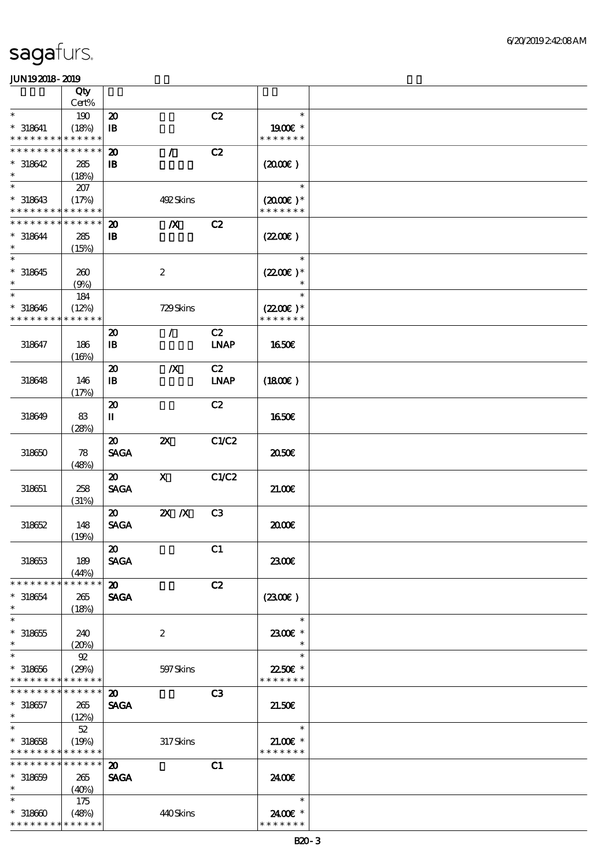|                               | Qty                  |                             |                           |                |                          |  |
|-------------------------------|----------------------|-----------------------------|---------------------------|----------------|--------------------------|--|
|                               | Cert%                |                             |                           |                |                          |  |
| $\ast$                        | 190                  | $\boldsymbol{\mathfrak{D}}$ |                           | C2             | $\ast$                   |  |
| $* 318641$<br>* * * * * * * * | (18%)<br>* * * * * * | $\mathbf I\mathbf B$        |                           |                | 1900€ *<br>* * * * * * * |  |
| * * * * * * * *               | * * * * * *          | $\boldsymbol{\mathfrak{D}}$ | $\mathcal{L}$             | C2             |                          |  |
| $*318642$                     | 285                  | $\mathbf{B}$                |                           |                | (2000)                   |  |
| $\ast$                        | (18%)                |                             |                           |                |                          |  |
| $\ast$                        | 207                  |                             |                           |                | $\ast$                   |  |
| $*318643$                     | (17%)                |                             | 492Skins                  |                | $(2000)$ *               |  |
| * * * * * * * *               | * * * * * *          |                             |                           |                | * * * * * * *            |  |
| * * * * * * * *               | * * * * * *          | $\boldsymbol{\mathfrak{D}}$ | $\boldsymbol{X}$          | C2             |                          |  |
| $* 318644$                    | 285                  | $\, {\bf B}$                |                           |                | (220E)                   |  |
| $\ast$                        | (15%)                |                             |                           |                |                          |  |
| $\overline{\ast}$             |                      |                             |                           |                | $\ast$                   |  |
| $* 318645$                    | 260                  |                             | $\boldsymbol{2}$          |                | $(2200)$ *               |  |
| $\ast$                        | (9%)                 |                             |                           |                | $\ast$                   |  |
| $\ast$                        | 184                  |                             |                           |                | $\ast$                   |  |
| $* 318646$                    | (12%)                |                             | 729Skins                  |                | $(2200)$ *               |  |
| * * * * * * * *               | * * * * * *          |                             |                           |                | * * * * * * *            |  |
|                               |                      | $\boldsymbol{\mathfrak{D}}$ | $\mathcal{L}$             | C2             |                          |  |
| 318647                        | 186                  | $\, {\bf I} \! {\bf B} \,$  |                           | <b>LNAP</b>    | 1650€                    |  |
|                               | (16%)                |                             |                           |                |                          |  |
|                               |                      | $\boldsymbol{\mathfrak{D}}$ | $\boldsymbol{X}$          | C2             |                          |  |
| 318648                        | 146                  | $\, {\bf B}$                |                           | <b>LNAP</b>    | (1800)                   |  |
|                               | (17%)                |                             |                           |                |                          |  |
|                               |                      | $\boldsymbol{\mathfrak{D}}$ |                           | C2             |                          |  |
| 318649                        | 83                   | П                           |                           |                | 1650E                    |  |
|                               | (28%)                |                             |                           |                |                          |  |
|                               |                      | $\boldsymbol{\mathfrak{D}}$ | $\boldsymbol{\mathsf{z}}$ | C1/C2          |                          |  |
| 318650                        | 78                   | <b>SAGA</b>                 |                           |                | 2050€                    |  |
|                               | (48%)                |                             |                           |                |                          |  |
|                               |                      | $\boldsymbol{\mathfrak{D}}$ | $\boldsymbol{X}$          | C1/C2          |                          |  |
| 318651                        | 258                  | <b>SAGA</b>                 |                           |                | 21.00E                   |  |
|                               | (31%)                |                             |                           |                |                          |  |
|                               |                      | $\boldsymbol{\mathfrak{D}}$ | $X$ $N$                   | C <sub>3</sub> |                          |  |
| 318652                        | 148                  | <b>SAGA</b>                 |                           |                | æœ                       |  |
|                               | (19%)                |                             |                           |                |                          |  |
|                               |                      | $\boldsymbol{\mathfrak{D}}$ |                           | C1             |                          |  |
| 318653                        | 189                  | <b>SAGA</b>                 |                           |                | 2300E                    |  |
|                               | (44%)                |                             |                           |                |                          |  |
| * * * * * * * *               | * * * * * *          | $\boldsymbol{\mathsf{20}}$  |                           | C2             |                          |  |
| $*318654$                     | 265                  | <b>SAGA</b>                 |                           |                | (230E)                   |  |
| $\ast$<br>$\ast$              | (18%)                |                             |                           |                |                          |  |
|                               |                      |                             |                           |                | $\ast$                   |  |
| $*318655$<br>$\ast$           | 240                  |                             | $\boldsymbol{2}$          |                | 2300€ *<br>$\ast$        |  |
| $\ast$                        | (20%)                |                             |                           |                | $\ast$                   |  |
|                               | 92                   |                             |                           |                | 22.50€ *                 |  |
| $* 318656$<br>* * * * * * * * | (29%)<br>* * * * * * |                             | 597 Skins                 |                | * * * * * * *            |  |
| * * * * * * * *               | * * * * * *          | $\boldsymbol{\mathfrak{D}}$ |                           | C3             |                          |  |
| $* 318657$                    |                      | <b>SAGA</b>                 |                           |                | 21.50E                   |  |
| $\ast$                        | 265<br>(12%)         |                             |                           |                |                          |  |
| $\ast$                        | $52\,$               |                             |                           |                | $\ast$                   |  |
| $*318658$                     | (19%)                |                             | 317Skins                  |                | $21.00$ $*$              |  |
| * * * * * * * * * * * * * *   |                      |                             |                           |                | * * * * * * *            |  |
| * * * * * * * *               | * * * * * *          | 20                          |                           | C1             |                          |  |
| $*318659$                     | 265                  | <b>SAGA</b>                 |                           |                | 2400€                    |  |
| $\ast$                        | (40%)                |                             |                           |                |                          |  |
| $\ast$                        | 175                  |                             |                           |                | $\ast$                   |  |
| $*318600$                     | (48%)                |                             | 440Skins                  |                | 2400€ *                  |  |
| * * * * * * * *               | * * * * * *          |                             |                           |                | * * * * * * *            |  |
|                               |                      |                             |                           |                |                          |  |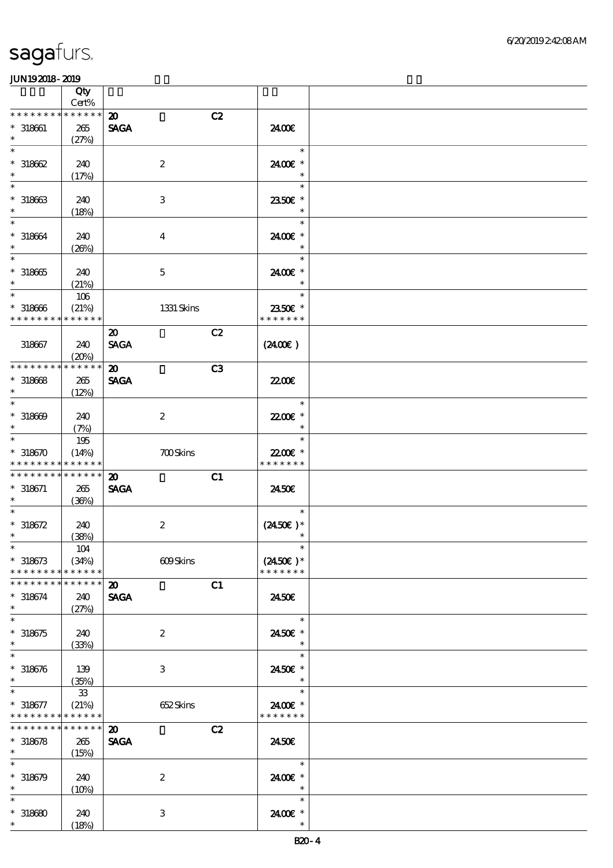|                                          | Qty<br>Cert%         |                                   |                                    |  |
|------------------------------------------|----------------------|-----------------------------------|------------------------------------|--|
| * * * * * * * *                          | * * * * * *          | $\boldsymbol{\mathbf{z}}$<br>C2   |                                    |  |
| $* 318661$                               | 265                  | <b>SAGA</b>                       | 2400€                              |  |
| $\ast$                                   | (27%)                |                                   |                                    |  |
| $\ast$                                   |                      |                                   | $\ast$                             |  |
| $*318662$                                | 240                  | $\boldsymbol{2}$                  | 2400€ *                            |  |
| $\ast$                                   | (17%)                |                                   | $\ast$                             |  |
| $\ast$                                   |                      |                                   | $\ast$                             |  |
| $*318663$                                | 240                  | $\,3$                             | 2350€ *                            |  |
| $\ast$                                   | (18%)                |                                   | $\ast$                             |  |
| $\ast$                                   |                      |                                   | $\ast$                             |  |
| $* 318664$                               | 240                  | $\bf{4}$                          | 2400 £*                            |  |
| $\ast$                                   | (20%)                |                                   | $\ast$                             |  |
| $\ast$                                   |                      |                                   | $\ast$                             |  |
| $^\ast$ 318665                           | 240                  | $\mathbf 5$                       | 2400€ *                            |  |
| $\ast$                                   | (21%)                |                                   | $\ast$                             |  |
| $\ast$                                   | $106$                |                                   | $\ast$                             |  |
| $*318666$                                | (21%)                | 1331 Skins                        | 2350€ *                            |  |
| * * * * * * * *                          | * * * * * *          |                                   | * * * * * * *                      |  |
|                                          |                      | C2<br>$\boldsymbol{\mathfrak{D}}$ |                                    |  |
| 318667                                   | 240                  | <b>SAGA</b>                       | (2400)                             |  |
| * * * * * * * *                          | (20%)<br>* * * * * * |                                   |                                    |  |
|                                          |                      | C3<br>$\boldsymbol{\mathfrak{D}}$ |                                    |  |
| $* 318668$<br>$\ast$                     | 265                  | <b>SAGA</b>                       | 2200                               |  |
| $\ast$                                   | (12%)                |                                   | $\ast$                             |  |
| $*318609$                                | 240                  | $\boldsymbol{2}$                  | 22.00€ *                           |  |
| $\ast$                                   | (7%)                 |                                   | $\ast$                             |  |
| $\ast$                                   | 195                  |                                   | $\ast$                             |  |
| $*318670$                                | (14%)                | <b>700Skins</b>                   | 22.00€ *                           |  |
| * * * * * * * *                          | * * * * * *          |                                   | * * * * * * *                      |  |
| * * * * * * * *                          | * * * * * *          | C1<br>$\boldsymbol{\mathsf{20}}$  |                                    |  |
| $* 318671$                               | 265                  | <b>SAGA</b>                       | 2450E                              |  |
| $\ast$                                   | (36%)                |                                   |                                    |  |
| $\ast$                                   |                      |                                   | $\ast$                             |  |
| $* 318672$                               | 240                  | $\boldsymbol{2}$                  | $(2450\text{E})*$                  |  |
| $\ast$                                   | (38%)                |                                   | $\ast$                             |  |
| $\ast$                                   | 104                  |                                   | $\ast$                             |  |
| $* 318673$<br>* * * * * * * *            | (34%)<br>* * * * * * | 609Skins                          | $(2450\text{E})*$<br>* * * * * * * |  |
| * * * * * * * *                          | * * * * * *          | $\boldsymbol{\mathbf{z}}$<br>C1   |                                    |  |
| $* 318674$                               | 240                  | <b>SAGA</b>                       | 2450E                              |  |
| $\ast$                                   | (27%)                |                                   |                                    |  |
| $\ast$                                   |                      |                                   | $\ast$                             |  |
| $*318675$                                | 240                  | $\boldsymbol{z}$                  | 2450€ *                            |  |
| $\ast$                                   | (33%)                |                                   | $\ast$                             |  |
| $\ast$                                   |                      |                                   | $\ast$                             |  |
| $* 318676$                               | 139                  | $\,3$                             | 2450€ *                            |  |
| $\ast$                                   | (35%)                |                                   | $\ast$                             |  |
| $\ast$                                   | ${\bf 33}$           |                                   | $\ast$                             |  |
| $* 318677$                               | (21%)                | 652Skins                          | 2400€ *                            |  |
| * * * * * * * * <mark>* * * * * *</mark> |                      |                                   | * * * * * * *                      |  |
| * * * * * * * *                          | $* * * * * * *$      | $\boldsymbol{\mathfrak{D}}$<br>C2 |                                    |  |
| $* 318678$<br>$\ast$                     | 265                  | <b>SAGA</b>                       | 24.50E                             |  |
| $\ast$                                   | (15%)                |                                   | $\ast$                             |  |
|                                          |                      |                                   |                                    |  |
| $* 318679$<br>$\ast$                     | 240                  | $\boldsymbol{2}$                  | 2400€ *<br>$\ast$                  |  |
| $\ast$                                   | (10%)                |                                   | $\ast$                             |  |
| $*318680$                                | 240                  | 3                                 | 2400 €*                            |  |
| $\ast$                                   | (18%)                |                                   | $\ast$                             |  |
|                                          |                      |                                   |                                    |  |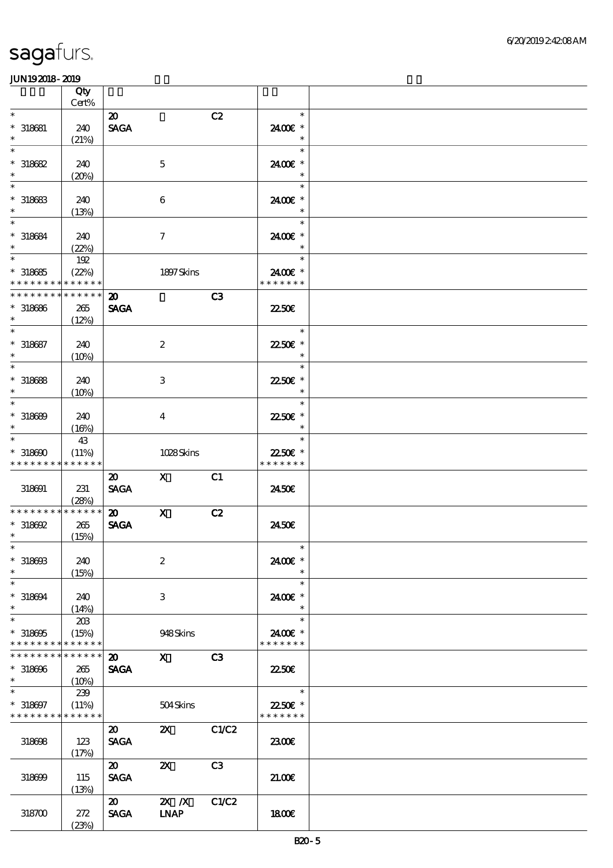|                                           | Qty<br>$\mbox{Cert}\%$     |                                            |                           |       |                          |  |
|-------------------------------------------|----------------------------|--------------------------------------------|---------------------------|-------|--------------------------|--|
| $\ast$                                    |                            | $\boldsymbol{\mathfrak{D}}$                |                           | C2    | $\ast$                   |  |
| $*$ 318681                                | 240                        | <b>SAGA</b>                                |                           |       | 2400€ *                  |  |
| $\ast$<br>$\ast$                          | (21%)                      |                                            |                           |       | $\ast$<br>$\ast$         |  |
| $*318682$                                 | 240                        |                                            | $\mathbf 5$               |       | 2400€ *                  |  |
| $\ast$<br>$\ast$                          | (20%)                      |                                            |                           |       | $\ast$<br>$\ast$         |  |
| $*$ 318683<br>$\ast$                      | 240<br>(13%)               |                                            | 6                         |       | 2400€ *<br>$\ast$        |  |
| $\overline{\ast}$                         |                            |                                            |                           |       | $\ast$                   |  |
| $* 318684$<br>$\ast$                      | 240<br>(22%)               |                                            | $\boldsymbol{\tau}$       |       | 2400€ *<br>$\ast$        |  |
| $\ast$                                    | 192                        |                                            |                           |       | an T<br>$\ast$           |  |
| $*318685$                                 | (22%)                      |                                            | 1897 Skins                |       | 2400€ *                  |  |
| * * * * * * * *<br>* * * * * * * *        | * * * * * *<br>* * * * * * |                                            |                           |       | * * * * * * *            |  |
| $*318686$<br>$\ast$                       | 265<br>(12%)               | $\boldsymbol{\mathfrak{D}}$<br><b>SAGA</b> |                           | C3    | 2250E                    |  |
| $\ast$                                    |                            |                                            |                           |       | $\ast$                   |  |
| $* 318687$<br>$\ast$                      | 240<br>(10%)               |                                            | $\boldsymbol{2}$          |       | 22.50€ *<br>$\ast$       |  |
| $\ast$                                    |                            |                                            |                           |       | $\ast$                   |  |
| $*318688$<br>$\ast$                       | 240<br>$(10\%)$            |                                            | 3                         |       | 22.50E *<br>$\ast$       |  |
| $\ast$                                    |                            |                                            |                           |       | $\ast$                   |  |
| $*318689$<br>$\ast$                       | 240<br>(16%)               |                                            | $\overline{\mathbf{4}}$   |       | 2250€ *<br>$\ast$        |  |
| $\ast$                                    | 43                         |                                            |                           |       | $\ast$                   |  |
| $*318600$                                 | (11%)                      |                                            | 1028Skins                 |       | 2250€ *                  |  |
| * * * * * * * *                           | * * * * * *                | $\boldsymbol{\mathfrak{D}}$                | $\mathbf X$               | C1    | * * * * * * *            |  |
| 318691                                    | 231                        | <b>SAGA</b>                                |                           |       | 2450E                    |  |
| * * * * * * * *                           | (28%)<br>$******$          | $\boldsymbol{\mathfrak{D}}$                | $\mathbf x$               | C2    |                          |  |
| $*$ 318692                                | 265                        | <b>SAGA</b>                                |                           |       | 2450E                    |  |
| $\ast$                                    | (15%)                      |                                            |                           |       |                          |  |
| $*$                                       |                            |                                            |                           |       | $\ast$                   |  |
| $*318603$<br>$\ast$                       | 240<br>(15%)               |                                            | $\boldsymbol{2}$          |       | 2400€ *<br>$\ast$        |  |
| $\ast$                                    |                            |                                            |                           |       | $\ast$                   |  |
| $*318694$<br>$\ast$                       | 240<br>(14%)               |                                            | 3                         |       | 2400 £*<br>$\ast$        |  |
| $\ast$                                    | 20B                        |                                            |                           |       | $\ast$                   |  |
| $*318605$<br>* * * * * * * *              | (15%)<br>* * * * * *       |                                            | 948Skins                  |       | 2400€ *<br>* * * * * * * |  |
| * * * * * * * *                           | * * * * * *                | $\boldsymbol{\mathsf{20}}$                 | $\mathbf X$               | C3    |                          |  |
| $*318696$                                 | 265                        | <b>SAGA</b>                                |                           |       | <b>22.50E</b>            |  |
| $\ast$                                    | (10%)                      |                                            |                           |       |                          |  |
| $\ast$                                    | 239                        |                                            |                           |       | $\overline{\phantom{a}}$ |  |
| $* 318697$<br>* * * * * * * * * * * * * * | (11%)                      |                                            | 504Skins                  |       | 2250€ *<br>* * * * * * * |  |
|                                           |                            | $\boldsymbol{\mathsf{20}}$                 | $\mathbf{x}$              | C1/C2 |                          |  |
| 318698                                    | 123<br>(17%)               | <b>SAGA</b>                                |                           |       | 2300                     |  |
|                                           |                            | $\boldsymbol{\mathfrak{D}}$                | $\boldsymbol{\mathsf{Z}}$ | C3    |                          |  |
| 318699                                    | 115                        | <b>SAGA</b>                                |                           |       | 2100                     |  |
|                                           | (13%)                      |                                            |                           |       |                          |  |
| 318700                                    | 272                        | $\boldsymbol{\mathsf{20}}$<br><b>SAGA</b>  | $2X$ /X<br><b>INAP</b>    | C1/C2 | 1800E                    |  |
|                                           | (23%)                      |                                            |                           |       |                          |  |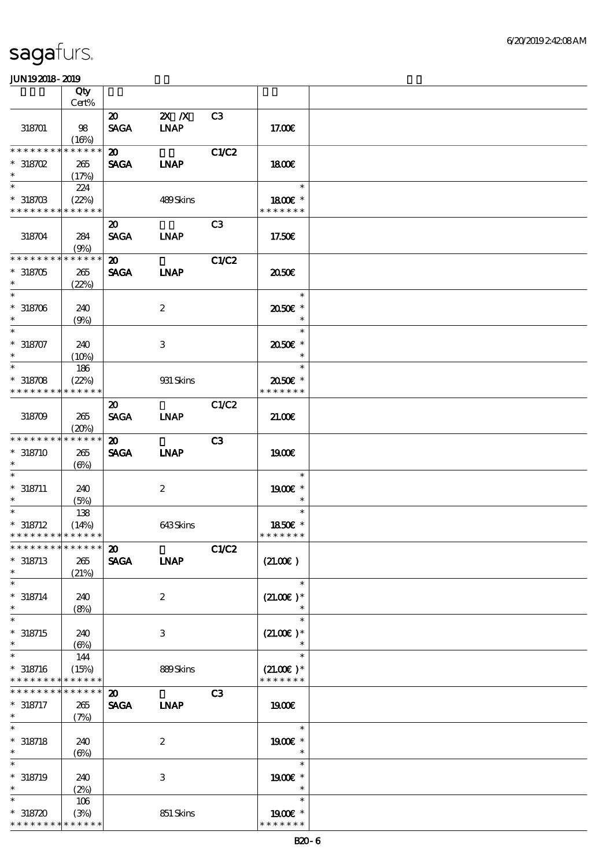|                                            | Qty                  |                                            |                         |                |                              |  |
|--------------------------------------------|----------------------|--------------------------------------------|-------------------------|----------------|------------------------------|--|
|                                            | Cert%                |                                            |                         |                |                              |  |
| 318701                                     | 98                   | $\boldsymbol{\mathsf{20}}$<br><b>SAGA</b>  | $2X$ $X$<br><b>INAP</b> | C <sub>3</sub> | 17.00E                       |  |
| ********                                   | (16%)<br>* * * * * * | $\boldsymbol{\mathfrak{D}}$                |                         | C1/C2          |                              |  |
| $*318702$                                  | 265                  | <b>SAGA</b>                                | <b>INAP</b>             |                | 1800                         |  |
| $\ast$<br>$\ast$                           | (17%)                |                                            |                         |                | $\ast$                       |  |
| $*318703$<br>* * * * * * * * * * * * * *   | 224<br>(22%)         |                                            | 489Skins                |                | 1800 £*<br>* * * * * * *     |  |
|                                            |                      | $\boldsymbol{\mathfrak{D}}$                |                         | C <sub>3</sub> |                              |  |
| 318704                                     | 284<br>(9%)          | <b>SAGA</b>                                | <b>INAP</b>             |                | 17.50€                       |  |
| * * * * * * * * * * * * * *                |                      | $\boldsymbol{\mathfrak{D}}$                |                         | <b>C1/C2</b>   |                              |  |
| $*318705$<br>$\ast$                        | 265<br>(22%)         | <b>SAGA</b>                                | <b>LNAP</b>             |                | 2050E                        |  |
| $\overline{\phantom{0}}$                   |                      |                                            |                         |                | $\ast$                       |  |
| $*318706$<br>$\ast$                        | 240<br>(9%)          |                                            | $\boldsymbol{2}$        |                | 2050E *<br>$\ast$            |  |
| $\ast$                                     |                      |                                            |                         |                | $\ast$                       |  |
| $* 318707$<br>$\ast$                       | 240<br>(10%)         |                                            | 3                       |                | 2050E *<br>$\ast$            |  |
| $\ast$                                     | 186                  |                                            |                         |                | $\ast$                       |  |
| $* 318708$                                 | (22%)                |                                            | 931 Skins               |                | 2050E *                      |  |
| * * * * * * * *                            | * * * * * *          |                                            |                         |                | * * * * * * *                |  |
| 318709                                     | 265<br>(20%)         | $\boldsymbol{\mathfrak{D}}$<br><b>SAGA</b> | <b>INAP</b>             | C1/C2          | 21.00E                       |  |
| * * * * * * * * * * * * * *                |                      | $\boldsymbol{\mathfrak{D}}$                |                         | C <sub>3</sub> |                              |  |
| $* 318710$<br>$\ast$                       | 265<br>(6%)          | <b>SAGA</b>                                | <b>INAP</b>             |                | 1900E                        |  |
| $\ast$                                     |                      |                                            |                         |                | $\ast$                       |  |
| $* 318711$<br>$\ast$                       | 240<br>(5%)          |                                            | $\boldsymbol{2}$        |                | 1900E *<br>$\ast$            |  |
| $\ast$                                     | 138                  |                                            |                         |                | $\ast$                       |  |
| $* 318712$                                 | (14%)                |                                            | 643Skins                |                | 1850E *                      |  |
| * * * * * * * * * * * * * *                |                      |                                            |                         |                | * * * * * * *                |  |
| *************** 20<br>$* 318713$<br>$\ast$ | 265<br>(21%)         | <b>SAGA</b>                                | <b>INAP</b>             | C1/C2          | (21.00)                      |  |
| $\ast$                                     |                      |                                            |                         |                | $\ast$                       |  |
| $* 318714$<br>$\ast$                       | 240<br>(8%)          |                                            | $\boldsymbol{2}$        |                | $(21.00)$ *<br>$\ast$        |  |
| $\ast$                                     |                      |                                            |                         |                | $\ast$                       |  |
| $*318715$<br>$\ast$                        | 240<br>$(\Theta)$    |                                            | 3                       |                | $(21.00)$ *                  |  |
| $\ast$                                     | 144                  |                                            |                         |                | $\ast$                       |  |
| $* 318716$<br>* * * * * * * * * * * * * *  | (15%)                |                                            | 889Skins                |                | $(21.00)$ *<br>* * * * * * * |  |
| * * * * * * * *                            | * * * * * *          | $\boldsymbol{\mathsf{20}}$                 |                         | C3             |                              |  |
| $* 318717$<br>$\ast$                       | 265<br>(7%)          | <b>SAGA</b>                                | <b>INAP</b>             |                | 1900E                        |  |
| $\ast$                                     |                      |                                            |                         |                | $\ast$                       |  |
| $* 318718$<br>$\ast$                       | 240<br>(6%)          |                                            | $\boldsymbol{2}$        |                | 1900€ *<br>$\ast$            |  |
| $\ast$                                     |                      |                                            |                         |                | $\ast$                       |  |
| $* 318719$                                 | 240                  |                                            | $\,3$                   |                | 1900€ *                      |  |
| $\ast$                                     | (2%)                 |                                            |                         |                | $\ast$                       |  |
| $\ast$                                     | 106                  |                                            |                         |                | $\ast$                       |  |
| $*318720$                                  | (3%)                 |                                            | 851 Skins               |                | 1900 £*                      |  |
| * * * * * * * * <mark>* * * * * *</mark>   |                      |                                            |                         |                | * * * * * * *                |  |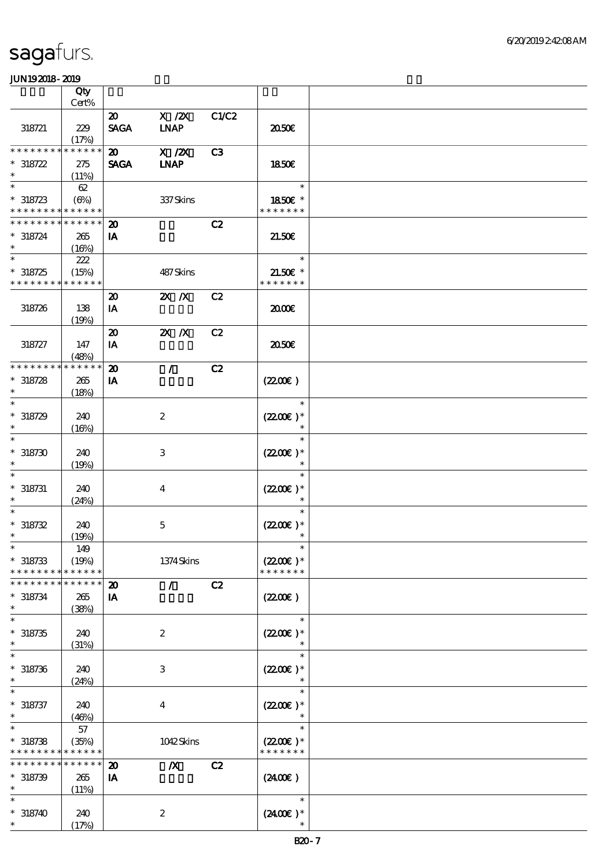|                                          | Qty<br>Cert% |                                            |                           |       |               |  |
|------------------------------------------|--------------|--------------------------------------------|---------------------------|-------|---------------|--|
|                                          |              |                                            |                           |       |               |  |
| 318721                                   | 229          | $\boldsymbol{\mathfrak{D}}$<br><b>SAGA</b> | $X$ / $ZX$<br><b>LNAP</b> | C1/C2 | 2050€         |  |
|                                          | (17%)        |                                            |                           |       |               |  |
| * * * * * * * *                          | * * * * * *  | $\boldsymbol{\mathfrak{D}}$                | $X$ / $ZX$                | C3    |               |  |
| $* 318722$                               | 275          | <b>SAGA</b>                                | <b>INAP</b>               |       | 1850E         |  |
| $\ast$                                   | (11%)        |                                            |                           |       |               |  |
| $\ast$                                   | 62           |                                            |                           |       | $\ast$        |  |
| $*318723$                                | $(\Theta)$   |                                            | 337 Skins                 |       | 1850E *       |  |
| * * * * * * * * <mark>* * * * * *</mark> |              |                                            |                           |       | * * * * * * * |  |
| * * * * * * * *                          | * * * * * *  | $\boldsymbol{\mathfrak{D}}$                |                           | C2    |               |  |
|                                          |              |                                            |                           |       |               |  |
| $* 318724$<br>$\ast$                     | 265<br>(16%) | IA                                         |                           |       | 21.50E        |  |
| $\overline{\ast}$                        |              |                                            |                           |       |               |  |
|                                          | 222          |                                            |                           |       | $\ast$        |  |
| $*318725$                                | (15%)        |                                            | 487Skins                  |       | $21.50E$ *    |  |
| * * * * * * * *                          | * * * * * *  |                                            |                           |       | * * * * * * * |  |
|                                          |              | $\boldsymbol{\mathfrak{D}}$                | $X$ $X$                   | C2    |               |  |
|                                          |              |                                            |                           |       |               |  |
| 318726                                   | 138          | IA                                         |                           |       | 2000          |  |
|                                          | (19%)        |                                            |                           |       |               |  |
|                                          |              | $\boldsymbol{\mathbf{z}}$                  | $X$ $N$                   | C2    |               |  |
| 318727                                   | 147          | IA                                         |                           |       | ææ            |  |
|                                          | (48%)        |                                            |                           |       |               |  |
| * * * * * * * *                          | * * * * * *  |                                            |                           |       |               |  |
|                                          |              | $\boldsymbol{\mathbf{z}}$                  | $\mathcal{L}$             | C2    |               |  |
| $* 318728$                               | 265          | IA                                         |                           |       | (220E)        |  |
| $\ast$                                   | (18%)        |                                            |                           |       |               |  |
| $\ast$                                   |              |                                            |                           |       | $\ast$        |  |
| $*318729$                                | 240          |                                            | $\boldsymbol{2}$          |       | $(2200)$ *    |  |
| $\ast$                                   |              |                                            |                           |       | $\ast$        |  |
|                                          | (16%)        |                                            |                           |       |               |  |
| $\ast$                                   |              |                                            |                           |       | $\ast$        |  |
| $* 318730$                               | 240          |                                            | 3                         |       | $(2200)$ *    |  |
|                                          | (19%)        |                                            |                           |       |               |  |
|                                          |              |                                            |                           |       | $\ast$        |  |
|                                          |              |                                            |                           |       |               |  |
| $* 318731$                               | 240          |                                            | $\boldsymbol{4}$          |       | $(2200)$ *    |  |
| $\ast$                                   | (24%)        |                                            |                           |       | $\ast$        |  |
| $\ast$                                   |              |                                            |                           |       | $\ast$        |  |
| $* 318732$                               | 240          |                                            | $\mathbf 5$               |       | $(2200)$ *    |  |
| $\ast$                                   | (19%)        |                                            |                           |       | $\ast$        |  |
| $\ast$                                   | 149          |                                            |                           |       | $\ast$        |  |
|                                          |              |                                            |                           |       |               |  |
| $* 318733$                               | (19%)        |                                            | 1374Skins                 |       | $(2200)$ *    |  |
| * * * * * * *                            | * * * * * *  |                                            |                           |       | * * * * * * * |  |
| * * * * * * *                            | * * * * * *  | $\boldsymbol{\mathbf{z}}$                  | $\mathcal{L}$             | C2    |               |  |
| $* 318734$                               | 265          | IA                                         |                           |       | (220E)        |  |
| $\ast$                                   | (38%)        |                                            |                           |       |               |  |
| $\ast$                                   |              |                                            |                           |       | $\ast$        |  |
|                                          |              |                                            |                           |       |               |  |
| $* 318735$                               | 240          |                                            | $\boldsymbol{2}$          |       | $(2200)$ *    |  |
| $\ast$                                   | (31%)        |                                            |                           |       |               |  |
| $\ast$                                   |              |                                            |                           |       | $\ast$        |  |
| $* 318736$                               | 240          |                                            | 3                         |       | $(2200)$ *    |  |
| $\ast$                                   | (24%)        |                                            |                           |       |               |  |
|                                          |              |                                            |                           |       | $\ast$        |  |
|                                          |              |                                            |                           |       |               |  |
| $* 318737$                               | 240          |                                            | $\bf{4}$                  |       | $(2200)$ *    |  |
| $\ast$                                   | (46%)        |                                            |                           |       | $\ast$        |  |
| $\ast$                                   | 57           |                                            |                           |       | $\ast$        |  |
| $* 318738$                               | (35%)        |                                            | 1042Skins                 |       | $(2200)$ *    |  |
| * * * * * * * *                          | * * * * * *  |                                            |                           |       | * * * * * * * |  |
| * * * * * * *                            | * * * * * *  | $\boldsymbol{\mathbf{z}}$                  | $\boldsymbol{X}$          | C2    |               |  |
|                                          |              |                                            |                           |       |               |  |
| $* 318739$                               | 265          | IA                                         |                           |       | (2400E)       |  |
| $\ast$                                   | (11%)        |                                            |                           |       |               |  |
| $\ast$                                   |              |                                            |                           |       | $\ast$        |  |
| $* 318740$                               | 240          |                                            | $\boldsymbol{2}$          |       | $(2400)$ *    |  |
| $\ast$                                   |              |                                            |                           |       | $\ast$        |  |
|                                          | (17%)        |                                            |                           |       |               |  |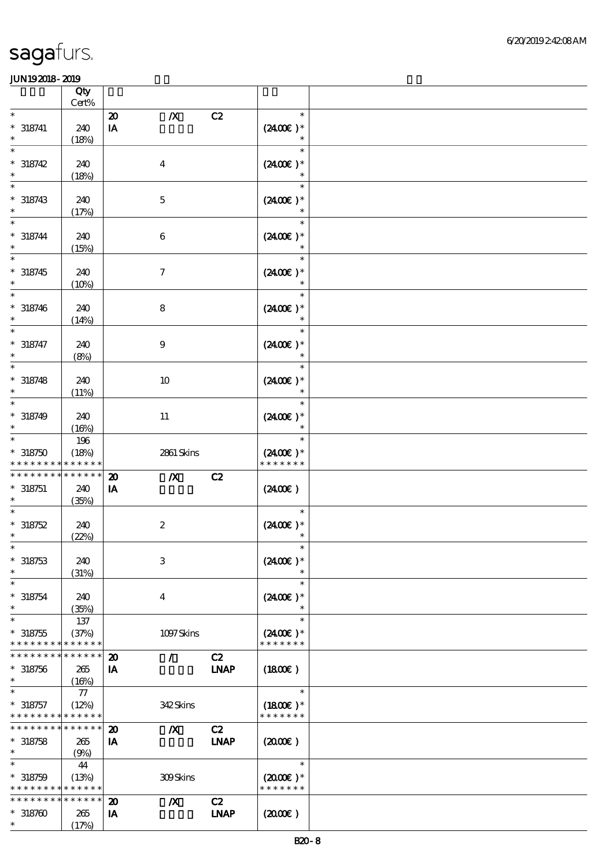|                                            | Qty<br>Cert%               |                             |                     |             |                       |  |
|--------------------------------------------|----------------------------|-----------------------------|---------------------|-------------|-----------------------|--|
| $\ast$                                     |                            | $\boldsymbol{\mathfrak{D}}$ | $\boldsymbol{X}$    | C2          | $\ast$                |  |
| $^*$ 318741                                | 240                        | IA                          |                     |             | $(2400)$ *            |  |
| $\ast$                                     | (18%)                      |                             |                     |             | $\ast$                |  |
| $\ast$                                     |                            |                             |                     |             | $\ast$                |  |
| $* 318742$                                 | 240                        |                             | $\boldsymbol{4}$    |             | $(2400E)^*$           |  |
| $\ast$                                     | (18%)                      |                             |                     |             | $\ast$                |  |
| $\ast$                                     |                            |                             |                     |             | $\ast$                |  |
| $* 318743$<br>$\ast$                       | 240                        |                             | $\mathbf 5$         |             | $(2400E)^*$<br>$\ast$ |  |
| $\ast$                                     | (17%)                      |                             |                     |             | $\ast$                |  |
| $^*$ 318744                                | 240                        |                             | 6                   |             | $(2400)$ *            |  |
| $\ast$                                     | (15%)                      |                             |                     |             |                       |  |
| $\ast$                                     |                            |                             |                     |             | $\ast$                |  |
| $* 318745$                                 | 240                        |                             | $\boldsymbol{\tau}$ |             | $(2400E)*$            |  |
| $\ast$                                     | (10%)                      |                             |                     |             |                       |  |
|                                            |                            |                             |                     |             | $\ast$                |  |
| $* 318746$<br>$\ast$                       | 240                        |                             | $\bf 8$             |             | $(2400E)^*$<br>$\ast$ |  |
| $\ast$                                     | (14%)                      |                             |                     |             | $\ast$                |  |
| $* 318747$                                 | 240                        |                             | $\boldsymbol{9}$    |             | $(2400\varepsilon)^*$ |  |
| $\ast$                                     | (8%)                       |                             |                     |             | $\ast$                |  |
| $\ast$                                     |                            |                             |                     |             | $\ast$                |  |
| $* 318748$                                 | 240                        |                             | $10\,$              |             | $(2400E)^*$           |  |
| $\ast$<br>$\ast$                           | (11%)                      |                             |                     |             | $\ast$<br>$\ast$      |  |
| $* 318749$                                 | 240                        |                             |                     |             | $(2400\varepsilon)*$  |  |
| $\ast$                                     | (16%)                      |                             | 11                  |             | $\ast$                |  |
| $\ast$                                     | 196                        |                             |                     |             | $\ast$                |  |
| $*318750$                                  | (18%)                      |                             | 2861 Skins          |             | $(2400)$ *            |  |
| * * * * * * *                              | * * * * * *                |                             |                     |             | * * * * * * *         |  |
| * * * * * * * *                            | * * * * * *                | $\boldsymbol{\mathbf{z}}$   | $\boldsymbol{X}$    | C2          |                       |  |
| $* 318751$<br>$\ast$                       | 240<br>(35%)               | IA                          |                     |             | (2400E)               |  |
|                                            |                            |                             |                     |             | $\ast$                |  |
| $*318752$                                  | 240                        |                             | $\boldsymbol{2}$    |             | $(2400\varepsilon)*$  |  |
| $\ast$                                     | (22%)                      |                             |                     |             |                       |  |
| $*$                                        |                            |                             |                     |             | $\ast$                |  |
| $* 318753$                                 | 240                        |                             | $\,3$               |             | $(2400)$ *            |  |
| $\ast$<br>$\ast$                           | (31%)                      |                             |                     |             | $\ast$<br>$\ast$      |  |
| $^*$ 318754 $\,$                           | 240                        |                             |                     |             | $(2400)$ *            |  |
| $\ast$                                     | (35%)                      |                             | $\boldsymbol{4}$    |             | $\ast$                |  |
| $\ast$                                     | 137                        |                             |                     |             | $\ast$                |  |
| $* 318755$                                 | (37%)                      |                             | 1097Skins           |             | $(2400)$ *            |  |
| * * * * * * * *                            | * * * * * *                |                             |                     |             | * * * * * * *         |  |
| * * * * * * *                              | * * * * * *                | $\boldsymbol{\mathfrak{D}}$ | $\mathcal{L}$       | C2          |                       |  |
| $* 318756$<br>$\ast$                       | 265<br>(16%)               | IA                          |                     | <b>LNAP</b> | $(1800\varepsilon)$   |  |
| $\ast$                                     | $77\,$                     |                             |                     |             | $\ast$                |  |
| $* 318757$                                 | (12%)                      |                             | 342Skins            |             | $(1800E)*$            |  |
| * * * * * * * * * * * * * *                |                            |                             |                     |             | * * * * * * *         |  |
| * * * * * * *                              | $\ast\ast\ast\ast\ast\ast$ | $\boldsymbol{\mathbf{z}}$   | $\boldsymbol{X}$    | C2          |                       |  |
| $* 318758$<br>$\ast$                       | 265                        | IA                          |                     | <b>INAP</b> | (200)                 |  |
| $\ast$                                     | (9%)<br>44                 |                             |                     |             | $\ast$                |  |
| $* 318759$                                 | (13%)                      |                             | 309Skins            |             | $(2000)$ *            |  |
| * * * * * * * * <mark>* * * * * * *</mark> |                            |                             |                     |             | * * * * * * *         |  |
| * * * * * * *                              | * * * * * *                | $\boldsymbol{\mathbf{z}}$   | $\boldsymbol{X}$    | C2          |                       |  |
| $* 318760$                                 | 265                        | IA                          |                     | <b>INAP</b> | (200E)                |  |
| $\ast$                                     | (17%)                      |                             |                     |             |                       |  |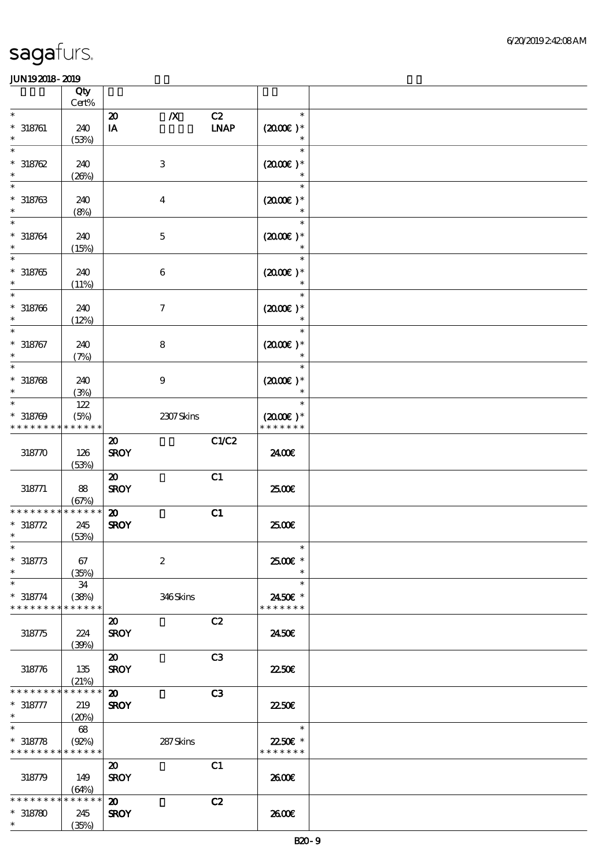|                                                     | Qty<br>Cert%                 |                                            |                     |                              |                                          |  |
|-----------------------------------------------------|------------------------------|--------------------------------------------|---------------------|------------------------------|------------------------------------------|--|
| $\ast$                                              |                              | $\boldsymbol{\mathbf{z}}$                  | $\pmb{X}$           | C2                           | $\ast$                                   |  |
| $* 318761$<br>$\ast$                                | 240<br>(53%)                 | $\mathbf{I} \mathbf{A}$                    |                     | $\ensuremath{\mathbf{INAP}}$ | $(2000\varepsilon)*$<br>$\ast$           |  |
| $\ast$<br>$*318762$<br>$\ast$                       | 240<br>(20%)                 |                                            | $\,3$               |                              | $\ast$<br>$(2000\varepsilon)*$<br>$\ast$ |  |
| $\ast$<br>$* 318763$<br>$\ast$                      | 240<br>(8%)                  |                                            | $\boldsymbol{4}$    |                              | $\ast$<br>$(2000\varepsilon)*$<br>$\ast$ |  |
| $\ast$<br>$* 318764$<br>$\ast$                      | 240<br>(15%)                 |                                            | $\mathbf 5$         |                              | $\ast$<br>$(2000\varepsilon)*$           |  |
| $\overline{\ast}$<br>$* 318765$<br>$\ast$           | 240<br>(11%)                 |                                            | $\,6$               |                              | $\ast$<br>$(200E)*$<br>$\ast$            |  |
| $\ast$<br>$* 318766$<br>$\ast$                      | 240<br>(12%)                 |                                            | $\boldsymbol{\tau}$ |                              | $\ast$<br>$(2000\varepsilon)*$<br>$\ast$ |  |
| $\ast$<br>$* 318767$<br>$\ast$                      | 240<br>(7%)                  |                                            | $\bf 8$             |                              | $\ast$<br>$(2000)$ *<br>$\ast$           |  |
| $\ast$<br>$* 318768$<br>$\ast$                      | 240<br>(3%)                  |                                            | $\boldsymbol{9}$    |                              | $\ast$<br>$(2000\varepsilon)*$<br>$\ast$ |  |
| $\ast$<br>$* 318709$<br>* * * * * * * *             | $122$<br>(5%)<br>* * * * * * |                                            | 2307Skins           |                              | $\ast$<br>$(2000)$ *<br>* * * * * * *    |  |
| 318770                                              | 126<br>(53%)                 | $\boldsymbol{\mathfrak{D}}$<br><b>SROY</b> |                     | C1/C2                        | 2400€                                    |  |
| 318771                                              | 88<br>(67%)                  | $\boldsymbol{\mathfrak{D}}$<br><b>SROY</b> |                     | C1                           | 2500€                                    |  |
| * * * * * * * *<br>$* 318772$<br>$\ast$             | * * * * * *<br>245<br>(53%)  | $\boldsymbol{\mathfrak{D}}$<br><b>SROY</b> |                     | C1                           | 2500E                                    |  |
| $\ast$<br>$* 318773$<br>$\ast$                      | 67<br>(35%)                  |                                            | $\boldsymbol{2}$    |                              | $\ast$<br>2500€ *<br>$\ast$              |  |
| $\ast$<br>$* 318774$<br>* * * * * * * *             | 34<br>(38%)<br>* * * * * *   |                                            | 346Skins            |                              | $\ast$<br>2450€ *<br>* * * * * * *       |  |
| 318775                                              | 224<br>(39%)                 | $\boldsymbol{\mathfrak{D}}$<br><b>SROY</b> |                     | C2                           | 2450E                                    |  |
| 318776                                              | 135<br>(21%)                 | $\boldsymbol{\mathfrak{D}}$<br><b>SROY</b> |                     | C <sub>3</sub>               | 2250E                                    |  |
| * * * * * * *<br>$* 318777$<br>$\ast$               | * * * * * *<br>219<br>(20%)  | $\boldsymbol{\mathfrak{D}}$<br><b>SROY</b> |                     | C3                           | 2250E                                    |  |
| $\ast$<br>$* 318778$<br>* * * * * * * * * * * * * * | 68<br>$(Q2\%)$               |                                            | 287Skins            |                              | $\ast$<br>2250€ *<br>* * * * * * *       |  |
| 318779                                              | 149<br>(64%)                 | $\boldsymbol{\mathfrak{D}}$<br><b>SROY</b> |                     | C1                           | 2600E                                    |  |
| * * * * * * * *<br>$* 318780$<br>$\ast$             | * * * * * *<br>245<br>(35%)  | $\boldsymbol{\mathfrak{D}}$<br><b>SROY</b> |                     | C2                           | 2600E                                    |  |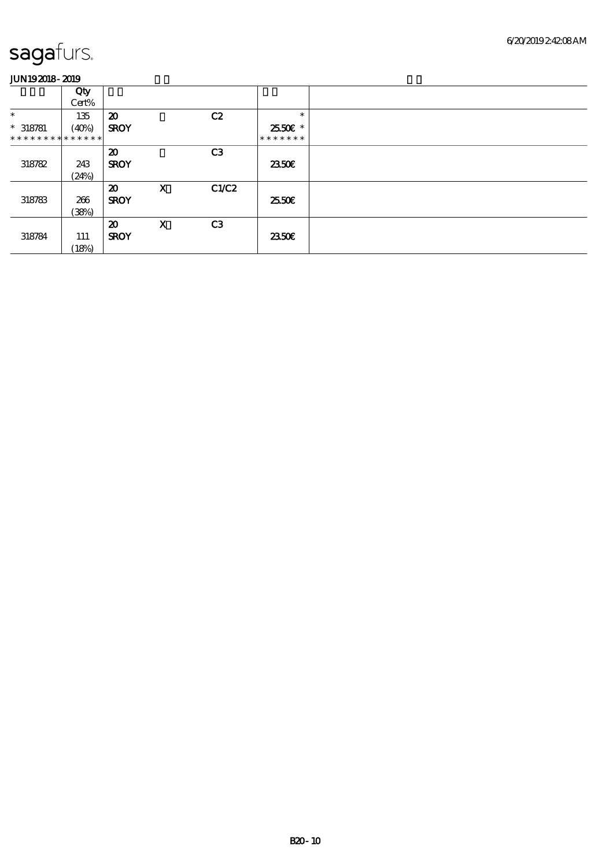|                               | Qty   |                             |             |                |               |
|-------------------------------|-------|-----------------------------|-------------|----------------|---------------|
|                               | Cert% |                             |             |                |               |
| $\ast$                        | 135   | $\boldsymbol{\mathfrak{D}}$ |             | C2             | $\ast$        |
| $* 318781$                    | (40%) | <b>SROY</b>                 |             |                | 2550€*        |
| * * * * * * * * * * * * * * * |       |                             |             |                | * * * * * * * |
|                               |       | $\boldsymbol{\mathfrak{D}}$ |             | C <sub>3</sub> |               |
| 318782                        | 243   | <b>SROY</b>                 |             |                | 2350E         |
|                               | (24%) |                             |             |                |               |
|                               |       | $\boldsymbol{\mathfrak{D}}$ | $\mathbf x$ | C1/C2          |               |
| 318783                        | 266   | <b>SROY</b>                 |             |                | 25.50E        |
|                               | (38%) |                             |             |                |               |
|                               |       | $\boldsymbol{\mathfrak{D}}$ | $\mathbf x$ | C3             |               |
| 318784                        | 111   | <b>SROY</b>                 |             |                | 2350E         |
|                               | (18%) |                             |             |                |               |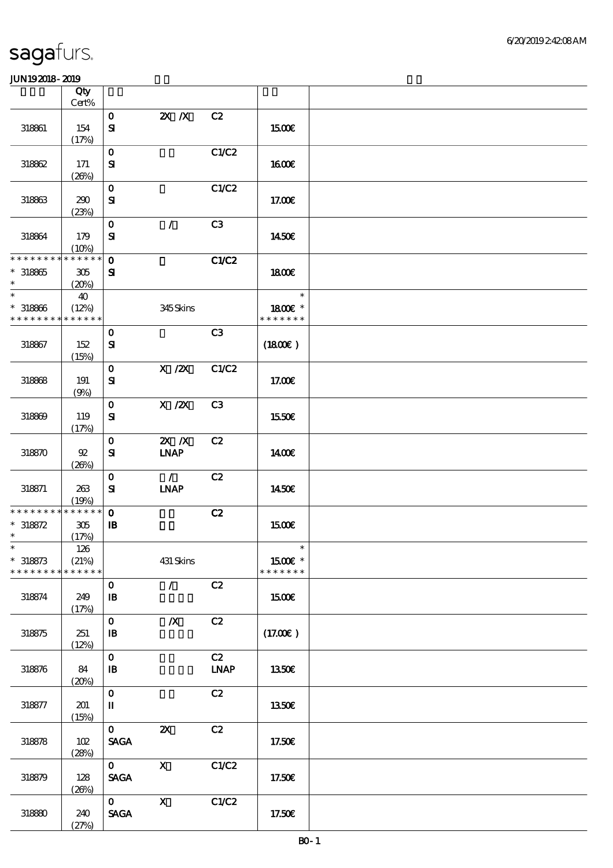|                                                     | Qty<br>Cert%               |                                           |                                               |                |                                    |  |
|-----------------------------------------------------|----------------------------|-------------------------------------------|-----------------------------------------------|----------------|------------------------------------|--|
|                                                     |                            |                                           |                                               |                |                                    |  |
| 318861                                              | 154                        | $\mathbf{o}$<br>$\mathbf{S}$              | $X$ $X$                                       | C2             | 1500€                              |  |
|                                                     | (17%)                      | $\mathbf{O}$                              |                                               | C1/C2          |                                    |  |
| 318862                                              | 171<br>(20%)               | ${\bf S}$                                 |                                               |                | <b>160€</b>                        |  |
| 318863                                              | 290                        | $\mathbf{o}$<br>$\mathbf{S}$              |                                               | C1/C2          | 17.00E                             |  |
|                                                     | (23%)                      |                                           |                                               |                |                                    |  |
| 318864                                              | 179<br>(10%)               | $\mathbf{o}$<br>$\mathbf{S}$              | $\mathcal{L}$                                 | C3             | 1450€                              |  |
| * * * * * * * * * * * * * *<br>$* 318865$<br>$\ast$ | 305<br>(20%)               | $\mathbf 0$<br>${\bf s}$                  |                                               | <b>C1/C2</b>   | 1800E                              |  |
| $\ast$<br>$* 318866$<br>* * * * * * * *             | 40<br>(12%)<br>* * * * * * |                                           | 345Skins                                      |                | $\ast$<br>1800 £*<br>* * * * * * * |  |
|                                                     |                            | $\mathbf 0$                               |                                               | C <sub>3</sub> |                                    |  |
| 318867                                              | 152<br>(15%)               | ${\bf S}$                                 |                                               |                | (1800)                             |  |
|                                                     |                            | $\mathbf{o}$                              | $X$ / $ZX$                                    | C1/C2          |                                    |  |
| 318868                                              | 191<br>(9%)                | ${\bf s}$                                 |                                               |                | 17.00E                             |  |
| 318869                                              | 119<br>(17%)               | $\mathbf{o}$<br>$\mathbf{S}$              | $X$ / $ZX$                                    | C <sub>3</sub> | 1550€                              |  |
| 318870                                              | $92\,$<br>(20%)            | $\mathbf{o}$<br>${\bf s}$                 | $X$ $N$<br><b>INAP</b>                        | C2             | <b>140€</b>                        |  |
| 318871                                              | 263<br>(19%)               | $\mathbf 0$<br>${\bf s}$                  | $\mathcal{L}$<br>$\ensuremath{\mathbf{INAP}}$ | C2             | 1450€                              |  |
| * * * * * * * * * * * * * *                         |                            | $\mathbf{o}$                              |                                               | C2             |                                    |  |
| $* 318872$<br>$\ast$                                | 305<br>(17%)               | $\mathbf{B}$                              |                                               |                | 1500€                              |  |
| $\ast$                                              | $126\,$                    |                                           |                                               |                | $\ast$                             |  |
| $* 318873$<br>* * * * * * * *                       | (21%)<br>* * * * * *       |                                           | 431 Skins                                     |                | 1500€ *<br>* * * * * * *           |  |
|                                                     |                            | $\mathbf{o}$                              | $\mathcal{L}$                                 | C2             |                                    |  |
| 318874                                              | 249<br>(17%)               | $\mathbf{B}$                              |                                               |                | <b>1500€</b>                       |  |
| 318875                                              | 251<br>(12%)               | $\mathbf{o}$<br>$\mathbf{B}$              | $\boldsymbol{X}$                              | C2             | (17.00)                            |  |
| 318876                                              | 84<br>(20%)                | $\mathbf 0$<br>$\, {\bf I} \! {\bf B} \,$ |                                               | C2<br>$INAP$   | 1350€                              |  |
| 318877                                              | 201<br>(15%)               | $\mathbf{o}$<br>П                         |                                               | C2             | <b>1350€</b>                       |  |
| 318878                                              | 102<br>(28%)               | $\mathbf{O}$<br><b>SAGA</b>               | $\boldsymbol{\mathsf{z}}$                     | C2             | 17.50E                             |  |
| 318879                                              | 128<br>(20%)               | $\mathbf{O}$<br><b>SAGA</b>               | $\boldsymbol{\mathsf{X}}$                     | C1/C2          | 17.50€                             |  |
| 318880                                              | 240<br>(27%)               | $\mathbf{O}$<br><b>SAGA</b>               | $\boldsymbol{\mathrm{X}}$                     | C1/C2          | 17.50E                             |  |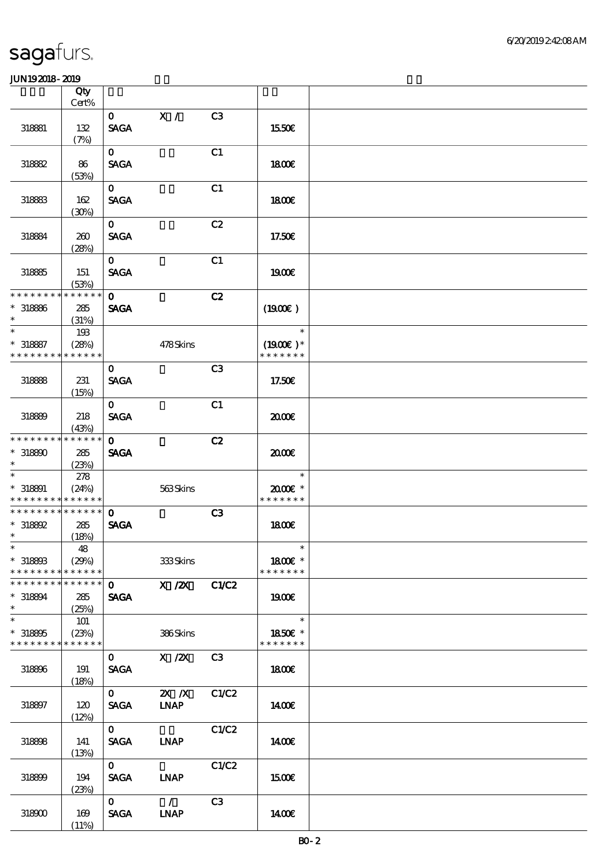|                               | Qty                  |                               |                           |                |                              |  |
|-------------------------------|----------------------|-------------------------------|---------------------------|----------------|------------------------------|--|
|                               | Cert%                |                               |                           |                |                              |  |
|                               |                      | $\mathbf{O}$                  | X /                       | C <sub>3</sub> |                              |  |
| 318881                        | 132                  | <b>SAGA</b>                   |                           |                | 1550€                        |  |
|                               | (7%)                 |                               |                           |                |                              |  |
|                               |                      | $\mathbf{O}$                  |                           | C1             |                              |  |
| 318882                        | 86                   | <b>SAGA</b>                   |                           |                | 1800                         |  |
|                               | (53%)                |                               |                           |                |                              |  |
|                               |                      | $\mathbf{O}$                  |                           | C1             |                              |  |
| 318883                        | 162                  | <b>SAGA</b>                   |                           |                | 1800E                        |  |
|                               | (30%)                |                               |                           |                |                              |  |
|                               |                      | $\mathbf{o}$                  |                           | C2             |                              |  |
| 318884                        | 260                  | <b>SAGA</b>                   |                           |                | 17.50E                       |  |
|                               | (28%)                |                               |                           |                |                              |  |
|                               |                      | $\mathbf{O}$                  |                           | C1             |                              |  |
| 318885                        | 151                  | <b>SAGA</b>                   |                           |                | 1900E                        |  |
| * * * * * * * * * * * * * *   | (53%)                |                               |                           |                |                              |  |
|                               |                      | $\mathbf{O}$                  |                           | C2             |                              |  |
| $* 318886$<br>$\ast$          | 285                  | <b>SAGA</b>                   |                           |                | (1900E)                      |  |
| $\ast$                        | (31%)                |                               |                           |                | $\ast$                       |  |
|                               | 193                  |                               |                           |                |                              |  |
| $* 318887$<br>* * * * * * * * | (28%)<br>* * * * * * |                               | 478Skins                  |                | $(1900E)^*$<br>* * * * * * * |  |
|                               |                      |                               |                           |                |                              |  |
|                               |                      | $\mathbf{O}$                  |                           | C <sub>3</sub> |                              |  |
| 318888                        | 231                  | <b>SAGA</b>                   |                           |                | 17.50€                       |  |
|                               | (15%)                |                               |                           |                |                              |  |
|                               |                      | $\mathbf{O}$                  |                           | C1             |                              |  |
| 318899                        | 218                  | <b>SAGA</b>                   |                           |                | 2000E                        |  |
| * * * * * * * *               | (43%)<br>* * * * * * | $\mathbf{O}$                  |                           |                |                              |  |
| $*318800$                     | 285                  | <b>SAGA</b>                   |                           | C2             | 2000E                        |  |
| $\ast$                        |                      |                               |                           |                |                              |  |
| $\ast$                        | (23%)<br>278         |                               |                           |                | $\ast$                       |  |
| $* 318891$                    | (24%)                |                               | 563Skins                  |                | 2000E*                       |  |
| * * * * * * * * * * * * * *   |                      |                               |                           |                | * * * * * * *                |  |
| * * * * * * * * * * * * * *   |                      | $\mathbf{O}$                  |                           | C3             |                              |  |
| $*$ 318892                    | 285                  | <b>SAGA</b>                   |                           |                | 1800E                        |  |
| $\ast$                        | (18%)                |                               |                           |                |                              |  |
| $\ast$                        | 48                   |                               |                           |                | $\ast$                       |  |
| $* 318803$                    | (29%)                |                               | 333Skins                  |                | 1800€ *                      |  |
| * * * * * * * *               | * * * * * *          |                               |                           |                | * * * * * * *                |  |
| * * * * * * * * * * * * * * * |                      | $\mathbf{O}$ and $\mathbf{O}$ | X / ZX C1/C2              |                |                              |  |
| * 318894                      | 285                  | <b>SAGA</b>                   |                           |                | 1900E                        |  |
| $\ast$                        | (25%)                |                               |                           |                |                              |  |
| $\ast$                        | 101                  |                               |                           |                | $\ast$                       |  |
| $*318805$                     | (23%)                |                               | 386Skins                  |                | 1850E *                      |  |
| * * * * * * * * * * * * * *   |                      |                               |                           |                | * * * * * * *                |  |
|                               |                      | $\mathbf{O}$                  | $X$ / $ZX$                | C3             |                              |  |
| 318896                        | 191                  | <b>SAGA</b>                   |                           |                | 1800E                        |  |
|                               | (18%)                |                               |                           |                |                              |  |
|                               |                      | $\mathbf{0}$                  | $\mathbf{X}$ $\mathbf{X}$ | C1/C2          |                              |  |
| 318897                        | 120                  | <b>SAGA</b>                   | <b>INAP</b>               |                | 1400E                        |  |
|                               | (12%)                |                               |                           |                |                              |  |
|                               |                      | $\mathbf{O}$                  |                           | C1/C2          |                              |  |
| 318898                        | 141                  | <b>SAGA</b>                   | <b>INAP</b>               |                | 1400€                        |  |
|                               | (13%)                |                               |                           |                |                              |  |
|                               |                      | $\mathbf{O}$                  |                           | C1/C2          |                              |  |
| 318899                        | 194                  | <b>SAGA</b>                   | <b>INAP</b>               |                | 1500€                        |  |
|                               | (23%)                |                               |                           |                |                              |  |
|                               |                      | $\mathbf{O}$                  | $\mathcal{L}$             | C <sub>3</sub> |                              |  |
| 318900                        | 169                  | <b>SAGA</b>                   | <b>INAP</b>               |                | 1400€                        |  |
|                               | (11%)                |                               |                           |                |                              |  |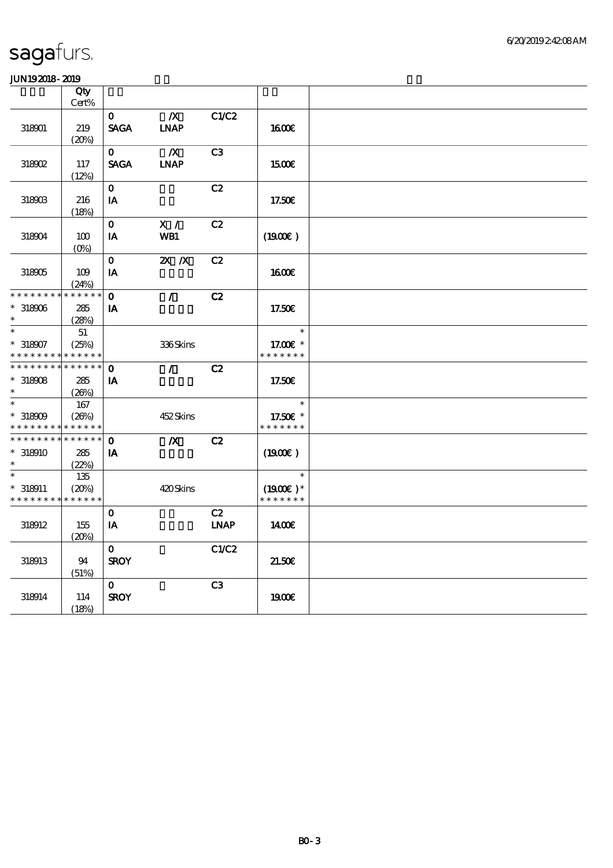|                                          | Qty         |              |                  |                |                       |  |
|------------------------------------------|-------------|--------------|------------------|----------------|-----------------------|--|
|                                          | Cert%       |              |                  |                |                       |  |
|                                          |             | $\mathbf{O}$ | $\boldsymbol{X}$ | C1/C2          |                       |  |
| 318901                                   | 219         | <b>SAGA</b>  | <b>INAP</b>      |                | <b>1600€</b>          |  |
|                                          | (20%)       |              |                  |                |                       |  |
|                                          |             | $\mathbf{O}$ | $\boldsymbol{X}$ | C <sub>3</sub> |                       |  |
| 318902                                   | 117         | <b>SAGA</b>  | <b>INAP</b>      |                | 1500€                 |  |
|                                          | (12%)       |              |                  |                |                       |  |
|                                          |             | $\mathbf{o}$ |                  | C2             |                       |  |
| 318903                                   | 216         | IA           |                  |                | 17.50€                |  |
|                                          | (18%)       |              |                  |                |                       |  |
|                                          |             | $\mathbf{o}$ | X /              | C2             |                       |  |
|                                          | 100         |              |                  |                |                       |  |
| 318904                                   |             | IA           | WB1              |                | (1900)                |  |
|                                          | $(O\%)$     |              |                  |                |                       |  |
|                                          |             | $\mathbf{O}$ | $X$ $N$          | C2             |                       |  |
| 318905                                   | 109         | $I$ A        |                  |                | 1600                  |  |
|                                          | (24%)       |              |                  |                |                       |  |
| * * * * * * * * * * * * * *              |             | $\mathbf{O}$ | $\mathcal{L}$    | C2             |                       |  |
| $*318906$                                | 285         | IA           |                  |                | 17.50€                |  |
| $\ast$                                   | (28%)       |              |                  |                |                       |  |
| $\ast$                                   | 51          |              |                  |                | $\ast$                |  |
| $*318907$                                | (25%)       |              | 336Skins         |                | 17.00 $\varepsilon$ * |  |
| * * * * * * * * * * * * * *              |             |              |                  |                | * * * * * * *         |  |
| * * * * * * * * * * * * * *              |             | $\mathbf{o}$ | $\mathcal{L}$    | C2             |                       |  |
| $*$ 318908                               | 285         | IA           |                  |                | 17.50€                |  |
| $\ast$                                   | (20%)       |              |                  |                |                       |  |
| $\ast$                                   | 167         |              |                  |                | $\ast$                |  |
| $*318909$                                | (20%)       |              | 452Skins         |                | 17.50€ *              |  |
| * * * * * * * *                          | * * * * * * |              |                  |                | * * * * * * *         |  |
| ******** <mark>*******</mark>            |             | $\mathbf{o}$ | $\boldsymbol{X}$ | C2             |                       |  |
| $*318910$                                | 285         | IA           |                  |                | (1900)                |  |
| $\ast$                                   | (22%)       |              |                  |                |                       |  |
| $\ast$                                   | 135         |              |                  |                | $\ast$                |  |
| $*318911$                                | (20%)       |              | 420Skins         |                | $(1900E)*$            |  |
| * * * * * * * * <mark>* * * * * *</mark> |             |              |                  |                | * * * * * * *         |  |
|                                          |             |              |                  |                |                       |  |
|                                          |             | $\mathbf{o}$ |                  | C2             |                       |  |
| 318912                                   | 155         | IA           |                  | <b>INAP</b>    | 1400                  |  |
|                                          | (20%)       |              |                  |                |                       |  |
|                                          |             | $\mathbf{O}$ |                  | C1/C2          |                       |  |
| 318913                                   | 94          | <b>SROY</b>  |                  |                | 21.50E                |  |
|                                          | (51%)       |              |                  |                |                       |  |
|                                          |             | $\mathbf{o}$ |                  | C <sub>3</sub> |                       |  |
| 318914                                   | 114         | <b>SROY</b>  |                  |                | 1900                  |  |
|                                          | (18%)       |              |                  |                |                       |  |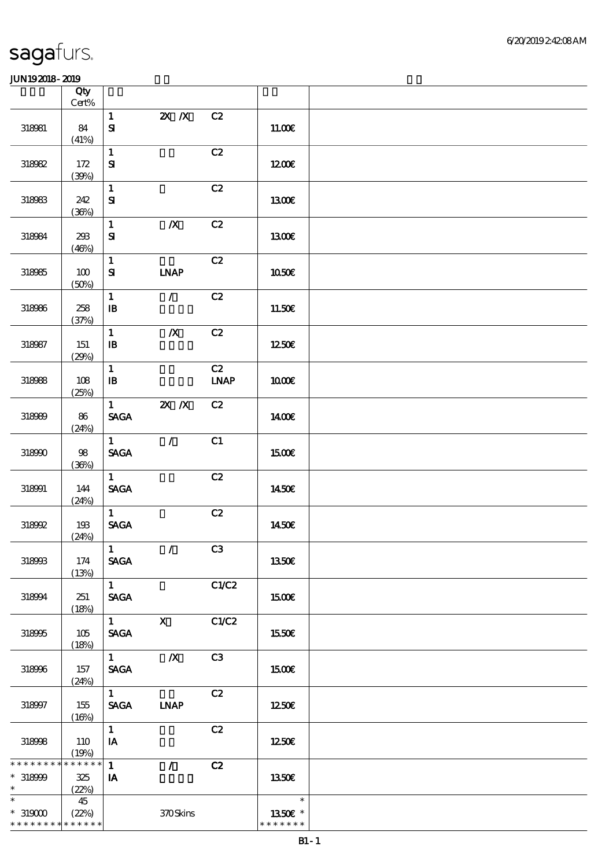|                                                         | Qty<br>$Cert\%$             |                                                |                    |                   |                                    |  |
|---------------------------------------------------------|-----------------------------|------------------------------------------------|--------------------|-------------------|------------------------------------|--|
|                                                         |                             | $\mathbf{1}$                                   | $X$ $N$            | C2                |                                    |  |
| 318981                                                  | 84<br>(41%)                 | $\mathbf{S}$                                   |                    |                   | 11.00E                             |  |
| 318982                                                  | 172                         | $\mathbf{1}$<br>${\bf S}$                      |                    | C2                | 1200E                              |  |
|                                                         | (39%)                       |                                                |                    |                   |                                    |  |
| 318983                                                  | 242<br>(36%)                | $\mathbf{1}$<br>${\bf S\!I}$                   |                    | C2                | 1300E                              |  |
| 318084                                                  | 293<br>(46%)                | $\mathbf{1}$<br>$\mathbf{S}$                   | $\boldsymbol{X}$   | C2                | <b>1300€</b>                       |  |
| 318985                                                  | 100<br>(50%)                | $\mathbf{1}$<br>${\bf S}$                      | <b>LNAP</b>        | C2                | <b>1050€</b>                       |  |
| 318986                                                  | 258<br>(37%)                | $\mathbf{1}$<br>${\bf I\!B}$                   | $\mathcal{L}$      | C2                | 11.50€                             |  |
| 318987                                                  | 151<br>(29%)                | $\mathbf{1}$<br>$\, {\bf B}$                   | $\boldsymbol{X}$   | C2                | 1250E                              |  |
| 318988                                                  | $108$<br>(25%)              | $\mathbf{1}$<br>$\, {\bf I} \! {\bf B} \,$     |                    | C2<br><b>LNAP</b> | 1000E                              |  |
| 318989                                                  | 86<br>(24%)                 | $\mathbf{1}$<br>$\operatorname{\mathsf{SAGA}}$ | $Z\!X$ $\,$ $Z\!X$ | C2                | 1400E                              |  |
| 318990                                                  | $98\,$<br>(36%)             | $\mathbf{1}$<br><b>SAGA</b>                    | $\mathcal{L}$      | C1                | 1500E                              |  |
| 318991                                                  | 144<br>(24%)                | $\mathbf{1}$<br><b>SAGA</b>                    |                    | C2                | 1450E                              |  |
| 318992                                                  | 193<br>(24%)                | $\mathbf{1}$<br>$\ensuremath{\mathsf{SAGA}}$   |                    | C2                | 1450€                              |  |
| 318993                                                  | 174<br>(13%)                | $\mathbf{1}$<br><b>SAGA</b>                    | $\mathcal{L}$      | C3                | 1350E                              |  |
| 318994                                                  | 251<br>(18%)                | $1 -$<br><b>SAGA</b>                           |                    | C1/C2             | <b>1500€</b>                       |  |
| 318995                                                  | 105<br>(18%)                | $1 \quad \blacksquare$<br><b>SAGA</b>          | $\mathbf{X}$       | C1/C2             | 1550€                              |  |
| 318996                                                  | 157<br>(24%)                | $1 \quad \blacksquare$<br><b>SAGA</b>          | $\boldsymbol{X}$   | C3                | 1500€                              |  |
| 318997                                                  | 155<br>(16%)                | $\mathbf{1}$<br><b>SAGA</b>                    | <b>LNAP</b>        | C2                | 1250E                              |  |
| 318998                                                  | 110<br>(19%)                | $\mathbf{1}$<br>IA                             |                    | C2                | 1250E                              |  |
| * * * * * * * *<br>$* 318000$<br>$\ast$                 | * * * * * *<br>325<br>(22%) | $\mathbf{1}$<br>IA                             | $\mathcal{L}$      | C2                | 1350E                              |  |
| $\ast$<br>$^\ast$ 319000<br>* * * * * * * * * * * * * * | 45<br>(22%)                 |                                                | 370Skins           |                   | $\ast$<br>1350€ *<br>* * * * * * * |  |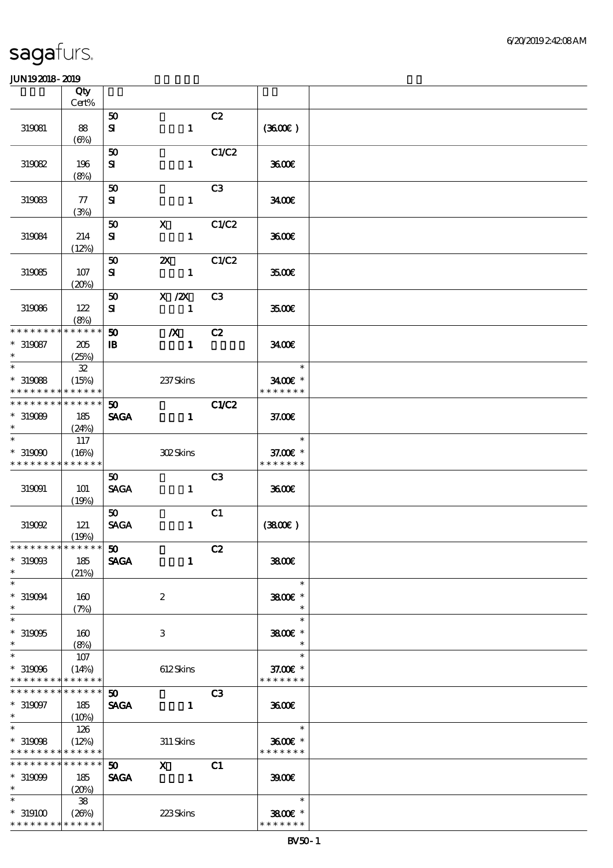|                                          | Qty          |                             |                           |                |                   |  |
|------------------------------------------|--------------|-----------------------------|---------------------------|----------------|-------------------|--|
|                                          | Cert%        |                             |                           |                |                   |  |
|                                          |              | 50                          |                           | C2             |                   |  |
| 319081                                   | 88           | ${\bf s}$                   | $\mathbf{1}$              |                | (360)             |  |
|                                          | $(\Theta)$   |                             |                           | C1/C2          |                   |  |
| 319082                                   | 196          | 50                          |                           |                | 3600E             |  |
|                                          |              | ${\bf s}$                   | $\mathbf{1}$              |                |                   |  |
|                                          | (8%)         | 50                          |                           | C3             |                   |  |
| 319083                                   | 77           | ${\bf s}$                   | $\mathbf{1}$              |                | 3400E             |  |
|                                          | (3%)         |                             |                           |                |                   |  |
|                                          |              | 50                          | $\mathbf{x}$              | C1/C2          |                   |  |
| 319084                                   | 214          | ${\bf s}$                   | $\mathbf{1}$              |                | 3600E             |  |
|                                          | (12%)        |                             |                           |                |                   |  |
|                                          |              | 50                          | $\boldsymbol{\mathsf{X}}$ | C1/C2          |                   |  |
| 319085                                   | 107          | ${\bf s}$                   | $\mathbf{1}$              |                | 3500E             |  |
|                                          | (20%)        |                             |                           |                |                   |  |
|                                          |              | 50                          | $X$ / $ZX$                | C3             |                   |  |
| 319086                                   | 122          | ${\bf s}$                   | $\mathbf{1}$              |                | <b>3500E</b>      |  |
|                                          | (8%)         |                             |                           |                |                   |  |
| * * * * * * * *                          | * * * * * *  | 50                          | $\boldsymbol{X}$          | C2             |                   |  |
| $*319087$                                | 205          | $\, {\bf I} \! {\bf B} \,$  | $\mathbf{1}$              |                | 3400              |  |
| $\ast$                                   | (25%)        |                             |                           |                |                   |  |
| $\overline{\phantom{0}}$                 | ${\bf 3\!2}$ |                             |                           |                | $\ast$            |  |
| $*319088$                                | (15%)        |                             | 237Skins                  |                | 3400€ *           |  |
| * * * * * * * *<br>* * * * * * * *       | * * * * * *  |                             |                           |                | * * * * * * *     |  |
|                                          | * * * * * *  | 50 <sub>o</sub>             |                           | C1/C2          |                   |  |
| $*319089$<br>$\ast$                      | 185          | <b>SAGA</b>                 | $\mathbf{1}$              |                | 37.00E            |  |
| $\ast$                                   | (24%)<br>117 |                             |                           |                | $\ast$            |  |
| $*319090$                                | (16%)        |                             | 302Skins                  |                | 37.00€ *          |  |
| * * * * * * * * <mark>* * * * * *</mark> |              |                             |                           |                | * * * * * * *     |  |
|                                          |              | 50 <sub>o</sub>             |                           | C <sub>3</sub> |                   |  |
| 319091                                   | 101          | <b>SAGA</b>                 | $\mathbf{1}$              |                | 3600              |  |
|                                          | (19%)        |                             |                           |                |                   |  |
|                                          |              | 50 <sub>1</sub>             |                           | C1             |                   |  |
| 319092                                   | 121          | <b>SAGA</b>                 | $\mathbf{1}$              |                | (3800)            |  |
|                                          | (19%)        |                             |                           |                |                   |  |
| * * * * * * * * * * * * * * *            |              | $\boldsymbol{\mathfrak{w}}$ |                           | C2             |                   |  |
| $*$ 319098                               | 185          | <b>SAGA</b>                 | $\mathbf{1}$              |                | 3800€             |  |
| $\ast$                                   | (21%)        |                             |                           |                |                   |  |
| $\ast$                                   |              |                             |                           |                | $\ast$            |  |
| $*319094$                                | 160          |                             | $\boldsymbol{2}$          |                | 3800€ *           |  |
| $\ast$                                   | (7%)         |                             |                           |                | $\ast$            |  |
| $\ast$                                   |              |                             |                           |                | $\ast$            |  |
| $*319095$<br>$\ast$                      | 160          |                             | 3                         |                | 3800€ *<br>$\ast$ |  |
| $\ast$                                   | (8%)<br>107  |                             |                           |                | $\ast$            |  |
| $*319096$                                | (14%)        |                             | 612Skins                  |                | 37.00 £*          |  |
| * * * * * * * * * * * * * *              |              |                             |                           |                | * * * * * * *     |  |
| * * * * * * * *                          | * * * * * *  | 50                          |                           | C <sub>3</sub> |                   |  |
| $*319097$                                | 185          | <b>SAGA</b>                 | $\mathbf{1}$              |                | 3600              |  |
| $\ast$                                   | (10%)        |                             |                           |                |                   |  |
| $\overline{\ast}$                        | 126          |                             |                           |                | $\ast$            |  |
| $*319008$                                | (12%)        |                             | 311 Skins                 |                | 3600€ *           |  |
| * * * * * * * * * * * * * *              |              |                             |                           |                | * * * * * * *     |  |
| * * * * * * * *                          | * * * * * *  | 50 <sub>o</sub>             | $\mathbf{x}$              | C1             |                   |  |
| $*319099$                                | 185          | <b>SAGA</b>                 | $\frac{1}{2}$ 1           |                | 3900              |  |
| $\ast$                                   | (20%)        |                             |                           |                |                   |  |
| $\ast$                                   | ${\bf 38}$   |                             |                           |                | $\ast$            |  |
| $*319100$                                | (20%)        |                             | 223Skins                  |                | 3800€ *           |  |
| * * * * * * * * * * * * * *              |              |                             |                           |                | * * * * * * *     |  |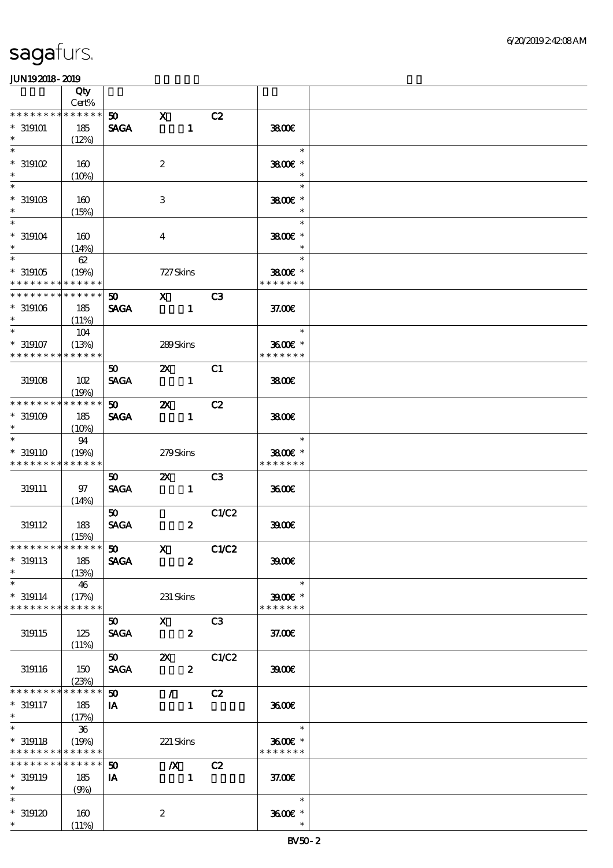|                                                                                        | Qty                            |                                   |                               |                  |       |                                                                |  |
|----------------------------------------------------------------------------------------|--------------------------------|-----------------------------------|-------------------------------|------------------|-------|----------------------------------------------------------------|--|
| * * * * * * * *                                                                        | Cert%<br>* * * * * *           | 50 <sub>o</sub>                   | $\mathbf{x}$                  |                  |       |                                                                |  |
| $^*$ 319101<br>$\ast$                                                                  | 185<br>(12%)                   | <b>SAGA</b>                       |                               | $\mathbf{1}$     | C2    | 3800€                                                          |  |
| $\ast$<br>$*$ 319102<br>$\ast$                                                         | 160<br>(10%)                   |                                   | $\boldsymbol{2}$              |                  |       | $\ast$<br>$3800$ $*$                                           |  |
| $\ast$<br>$*$ 319103<br>$\ast$                                                         | 160<br>(15%)                   |                                   | $\,3$                         |                  |       | $\ast$<br>3800€ *                                              |  |
| $\ast$<br>$* 319104$<br>$\ast$                                                         | 160<br>(14%)                   |                                   | $\bf{4}$                      |                  |       | $\ast$<br>3800€ *                                              |  |
| $\overline{\phantom{0}}$<br>$*319105$<br>* * * * * * * * * * * * * *                   | 62<br>(19%)                    |                                   | 727 Skins                     |                  |       | $\ast$<br>3800€ *<br>* * * * * * *                             |  |
| * * * * * * * * * * * * * *<br>$*319106$<br>$*$                                        | 185<br>(11%)                   | 50<br><b>SAGA</b>                 | $X$ C3                        | $\mathbf{1}$     |       | 37.00E                                                         |  |
| $\ast$<br>$* 319107$<br>* * * * * * * *                                                | 104<br>(13%)<br>* * * * * *    |                                   | 289Skins                      |                  |       | $\overline{\phantom{a}}$<br>$\ast$<br>3600€ *<br>* * * * * * * |  |
| 319108                                                                                 | 102<br>(19%)                   | 50 <sub>o</sub><br><b>SAGA</b>    | $\mathbf{x}$                  | $\mathbf{1}$     | C1    | 3800€                                                          |  |
| * * * * * * * *<br>$*319109$<br>$\ast$                                                 | * * * * * *<br>185<br>$(10\%)$ | 50<br><b>SAGA</b>                 | $\boldsymbol{\mathsf{z}}$     | $\mathbf{1}$     | C2    | 3800                                                           |  |
| $\ast$<br>$* 319110$<br>* * * * * * * * * * * * * *                                    | 94<br>(19%)                    |                                   | 279Skins                      |                  |       | $\ast$<br>3800€ *<br>* * * * * * *                             |  |
| 319111                                                                                 | 97<br>(14%)                    | 50<br><b>SAGA</b>                 | $\mathbf{Z}$                  | $\mathbf{1}$     | C3    | 3600E                                                          |  |
| 319112                                                                                 | 183<br>(15%)                   | 50<br><b>SAGA</b>                 |                               | $\boldsymbol{z}$ | C1/C2 | 3900                                                           |  |
| ******** <mark>******** 50</mark><br>$*$ 319113<br>$\ast$                              | 185<br>(13%)                   | <b>SAGA</b>                       | $\mathbf{x}$                  | $\boldsymbol{z}$ | C1/C2 | 3900                                                           |  |
| $\ast$<br>$* 319114$<br>* * * * * * * *                                                | 46<br>(17%)<br>* * * * * *     |                                   | 231 Skins                     |                  |       | $\ast$<br>$3900$ $\epsilon$ *<br>* * * * * * *                 |  |
| 319115                                                                                 | 125<br>(11%)                   | 50<br><b>SAGA</b>                 | $\mathbf{x}$                  | $\boldsymbol{z}$ | C3    | 37.00E                                                         |  |
| 319116                                                                                 | 150<br>(23%)                   | 50<br><b>SAGA</b>                 | $\mathbf{x}$                  | $\boldsymbol{z}$ | C1/C2 | 3900E                                                          |  |
| * * * * * * * *<br>$* 319117$<br>$*$ $*$                                               | * * * * * *<br>185<br>(17%)    | $\boldsymbol{\mathfrak{D}}$<br>IA | $\mathcal{L}$                 | $\mathbf{1}$     | C2    | 3600E                                                          |  |
| $\overline{\phantom{a}^*}$<br>$*$ 319118<br>* * * * * * * * <mark>* * * * * * *</mark> | 36<br>(19%)                    |                                   | 221 Skins                     |                  |       | $\ast$<br>3600€ *<br>* * * * * * *                             |  |
| * * * * * * * * * * * * * *<br>$* 319119$<br>$*$ $-$                                   | 185<br>(9%)                    | $\boldsymbol{\mathfrak{D}}$<br>IA | $\boldsymbol{X}$<br>$\sim$ 1. |                  | C2    | 37.00E                                                         |  |
| $\ast$<br>$^*$ 319120<br>$*$                                                           | 160<br>(11%)                   |                                   | $\boldsymbol{2}$              |                  |       | $\ast$<br>3600€ *<br>$\ast$                                    |  |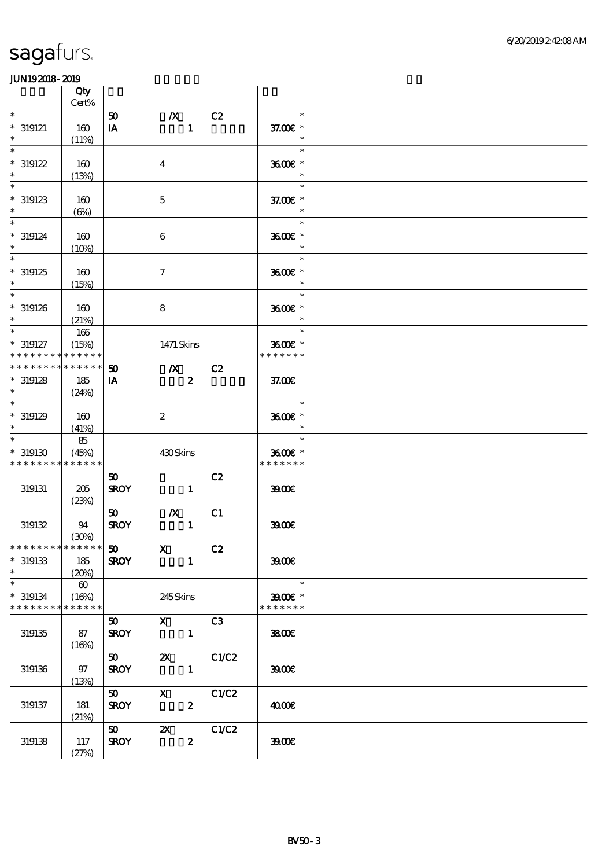|                                            | Qty<br>Cert%          |                             |                                                                 |                  |                 |               |  |
|--------------------------------------------|-----------------------|-----------------------------|-----------------------------------------------------------------|------------------|-----------------|---------------|--|
| $\ast$                                     |                       |                             |                                                                 |                  |                 | $\ast$        |  |
|                                            |                       | 50                          | $\boldsymbol{X}$                                                |                  | C2              |               |  |
| $*$ 319121                                 | 160                   | IA                          |                                                                 | $\mathbf{1}$     |                 | 37.00 £*      |  |
| $\ast$                                     | (11%)                 |                             |                                                                 |                  |                 | $\ast$        |  |
| $\ast$                                     |                       |                             |                                                                 |                  |                 | $\ast$        |  |
| $*319122$                                  | 160                   |                             | $\boldsymbol{4}$                                                |                  |                 | 3600€ *       |  |
| $\ast$                                     | (13%)                 |                             |                                                                 |                  |                 | $\ast$        |  |
| $\ast$                                     |                       |                             |                                                                 |                  |                 | $\ast$        |  |
|                                            |                       |                             |                                                                 |                  |                 |               |  |
| $*319123$                                  | 160                   |                             | $\mathbf 5$                                                     |                  |                 | 37.00 £*      |  |
| $\ast$                                     | $(\Theta)$            |                             |                                                                 |                  |                 | $\ast$        |  |
| $\overline{\ast}$                          |                       |                             |                                                                 |                  |                 | $\ast$        |  |
| $* 319124$                                 | 160                   |                             | $\boldsymbol{6}$                                                |                  |                 | 3600E *       |  |
| $\ast$                                     | (10%)                 |                             |                                                                 |                  |                 | $\ast$        |  |
| $\ast$                                     |                       |                             |                                                                 |                  |                 | $\ast$        |  |
|                                            |                       |                             |                                                                 |                  |                 |               |  |
| $*319125$                                  | 160                   |                             | $\boldsymbol{7}$                                                |                  |                 | 3600€ *       |  |
|                                            | (15%)                 |                             |                                                                 |                  |                 |               |  |
| $\overline{\ast}$                          |                       |                             |                                                                 |                  |                 | $\ast$        |  |
| $*$ 319126                                 | 160                   |                             | 8                                                               |                  |                 | 3600€ *       |  |
| $\ast$                                     | (21%)                 |                             |                                                                 |                  |                 | $\ast$        |  |
| $\overline{\ast}$                          | 166                   |                             |                                                                 |                  |                 | $\ast$        |  |
|                                            |                       |                             |                                                                 |                  |                 |               |  |
| $* 319127$                                 | (15%)                 |                             | 1471 Skins                                                      |                  |                 | 3600€ *       |  |
| * * * * * * * *                            | * * * * * *           |                             |                                                                 |                  |                 | * * * * * * * |  |
| * * * * * * * *                            | * * * * * *           | $\boldsymbol{\mathfrak{D}}$ | $\boldsymbol{X}$                                                |                  | C2              |               |  |
| $*319128$                                  | 185                   | IA                          |                                                                 | $\boldsymbol{z}$ |                 | 37.00E        |  |
| $\ast$                                     | (24%)                 |                             |                                                                 |                  |                 |               |  |
| $\ast$                                     |                       |                             |                                                                 |                  |                 | $\ast$        |  |
| $*$ 319129                                 |                       |                             |                                                                 |                  |                 |               |  |
|                                            | 160                   |                             | $\boldsymbol{2}$                                                |                  |                 | 3600€ *       |  |
| $\ast$                                     | (41%)                 |                             |                                                                 |                  |                 | $\ast$        |  |
| $\ast$                                     | 85                    |                             |                                                                 |                  |                 | $\ast$        |  |
| $*319130$                                  | (45%)                 |                             | 430Skins                                                        |                  |                 | 3600€ *       |  |
| * * * * * * * * <mark>* * * * * * *</mark> |                       |                             |                                                                 |                  |                 | * * * * * * * |  |
|                                            |                       | 50                          |                                                                 |                  | C2              |               |  |
| 319131                                     | 205                   | <b>SROY</b>                 |                                                                 | $\mathbf{1}$     |                 | 3900          |  |
|                                            |                       |                             |                                                                 |                  |                 |               |  |
|                                            | (23%)                 |                             |                                                                 |                  |                 |               |  |
|                                            |                       | 50                          |                                                                 | $\boldsymbol{X}$ | C1              |               |  |
| 319132                                     | 94                    | <b>SROY</b>                 |                                                                 | $\mathbf{1}$     |                 | 3900          |  |
|                                            | (30%)                 |                             |                                                                 |                  |                 |               |  |
| ******** <mark>******** 50</mark>          |                       |                             | $\mathbf{X}$                                                    |                  | $\overline{c}$  |               |  |
| $^\ast$ 319133                             | 185                   | <b>SROY</b>                 |                                                                 | $\mathbf{1}$     |                 | 3900          |  |
| $\ast$                                     | (20%)                 |                             |                                                                 |                  |                 |               |  |
| $\ast$                                     | $\boldsymbol{\omega}$ |                             |                                                                 |                  |                 | $\ast$        |  |
|                                            |                       |                             |                                                                 |                  |                 |               |  |
| $*$ 319134                                 | (16%)                 |                             | 245Skins                                                        |                  |                 | $3900$ $*$    |  |
| * * * * * * * *                            | * * * * * *           |                             |                                                                 |                  |                 | * * * * * * * |  |
|                                            |                       | 50                          | $X$ $C3$                                                        |                  |                 |               |  |
| 319135                                     | 87                    | <b>SROY</b>                 |                                                                 | $\mathbf{1}$     |                 | 3800€         |  |
|                                            | (16%)                 |                             |                                                                 |                  |                 |               |  |
|                                            |                       | 50                          |                                                                 |                  | <b>2X</b> C1/C2 |               |  |
| 319136                                     | 97                    | <b>SROY</b>                 |                                                                 | $\mathbf{1}$     |                 | 3900          |  |
|                                            |                       |                             |                                                                 |                  |                 |               |  |
|                                            | (13%)                 |                             |                                                                 |                  |                 |               |  |
|                                            |                       | 50                          | $\mathbf{X}$ and $\mathbf{X}$ and $\mathbf{X}$ and $\mathbf{X}$ |                  | C1/C2           |               |  |
| 319137                                     | 181                   | <b>SROY</b>                 |                                                                 | $\mathbf{2}$     |                 | 4000€         |  |
|                                            | (21%)                 |                             |                                                                 |                  |                 |               |  |
|                                            |                       |                             |                                                                 |                  | C1/C2           |               |  |
| 319138                                     | 117                   | <b>SROY</b>                 |                                                                 | $\boldsymbol{z}$ |                 | 3900E         |  |
|                                            | (27%)                 |                             |                                                                 |                  |                 |               |  |
|                                            |                       |                             |                                                                 |                  |                 |               |  |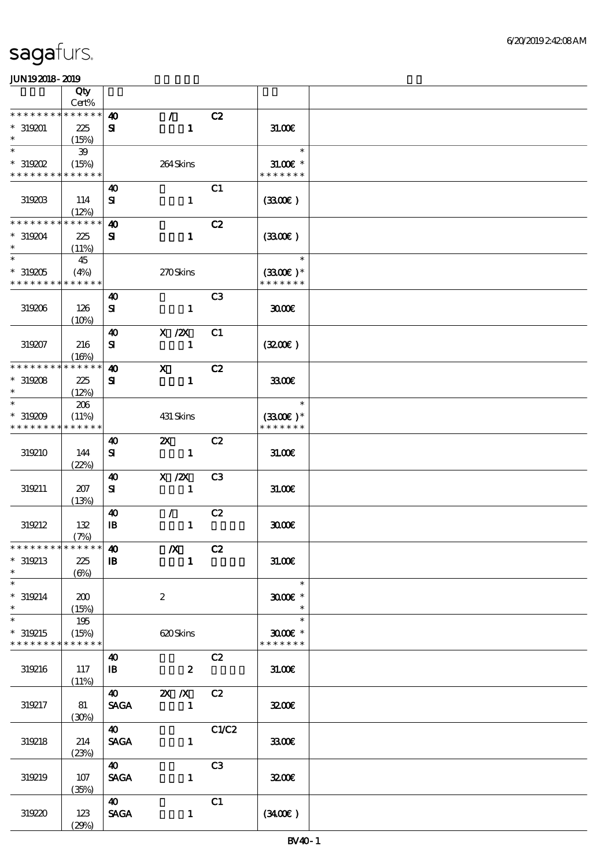|                                                   | Qty<br>Cert%                |                                      |                               |                |                                       |  |
|---------------------------------------------------|-----------------------------|--------------------------------------|-------------------------------|----------------|---------------------------------------|--|
| * * * * * * * *                                   | * * * * * *                 |                                      | $\mathcal{F}$                 | C2             |                                       |  |
| $*319201$<br>$\ast$                               | 225<br>(15%)                | $\boldsymbol{\omega}$<br>${\bf s}$   | $\mathbf{1}$                  |                | 31.006                                |  |
| $\ast$<br>$*$ 319202                              | $39\,$<br>(15%)             |                                      | 264Skins                      |                | $\ast$<br>$31.00E$ *                  |  |
| * * * * * * * *                                   | * * * * * *                 |                                      |                               |                | * * * * * * *                         |  |
| 319203                                            | 114<br>(12%)                | 40<br>${\bf s}$                      | $\mathbf{1}$                  | C1             | (330)                                 |  |
| * * * * * * * *<br>$*319204$                      | * * * * * *<br>225<br>(11%) | $\boldsymbol{\omega}$<br>${\bf s}$   | $\mathbf{1}$                  | C2             | (330)                                 |  |
| $\overline{\ast}$<br>$*319205$<br>* * * * * * * * | 45<br>(4%)<br>* * * * * *   |                                      | 270Skins                      |                | $\ast$<br>$(3300)$ *<br>* * * * * * * |  |
| 319206                                            | 126<br>(10%)                | $\boldsymbol{\omega}$<br>${\bf s}$   | $\mathbf{1}$                  | C <sub>3</sub> | 3000                                  |  |
| 319207                                            | 216<br>(16%)                | 40<br>${\bf s}$                      | $X$ / $ZX$<br>$\mathbf{1}$    | C1             | (320)                                 |  |
| * * * * * * * *                                   | * * * * * *                 | 40                                   | $\mathbf{x}$                  | C2             |                                       |  |
| $*319208$<br>$\ast$                               | 225<br>(12%)                | ${\bf s}$                            | $\mathbf{1}$                  |                | 3300                                  |  |
| $\ast$<br>$*319209$<br>* * * * * * * *            | 206<br>(11%)<br>* * * * * * |                                      | 431 Skins                     |                | $\ast$<br>$(3300)$ *<br>* * * * * * * |  |
| 319210                                            | 144<br>(22%)                | 40<br>${\bf s}$                      | $\mathbf{x}$<br>$\sim$ 1      | C2             | 31.00E                                |  |
| 319211                                            | 207<br>(13%)                | 40<br>${\bf s}$                      | X / ZX<br>$\mathbf{1}$        | C <sub>3</sub> | 31.006                                |  |
| 319212                                            | 132<br>(7%)                 | 40<br>$\mathbf{B}$                   | $\mathcal{L}$<br>$\mathbf{1}$ | C2             | 3000                                  |  |
| * * * * * * * * * * * * * * *                     |                             | $\boldsymbol{\omega}$                | $\boldsymbol{X}$              | C2             |                                       |  |
| $*319213$<br>$\ast$<br>$\overline{\ast}$          | 225<br>$(\Theta_0)$         | $\, {\bf I} \! {\bf B} \,$           | $\mathbf{1}$                  |                | 31.00E                                |  |
| $*319214$<br>$\ast$                               | 200<br>(15%)                |                                      | $\boldsymbol{2}$              |                | $\ast$<br>$3000$ $*$<br>$\ast$        |  |
| $\ast$<br>$*319215$<br>* * * * * * * *            | 195<br>(15%)<br>* * * * * * |                                      | 620Skins                      |                | $\ast$<br>$3000$ $*$<br>* * * * * * * |  |
| 319216                                            | 117<br>(11%)                | 40<br>$\mathbf{B}$                   | $\boldsymbol{z}$              | C2             | 31.00E                                |  |
| 319217                                            | 81<br>(30%)                 | <b>40</b><br><b>SAGA</b>             | 2X / X C2<br>$\mathbf{1}$     |                | 3200E                                 |  |
| 319218                                            | 214<br>(23%)                | $\boldsymbol{\omega}$<br><b>SAGA</b> | $\mathbf{1}$                  | C1/C2          | 3300€                                 |  |
| 319219                                            | 107<br>(35%)                | $\boldsymbol{\omega}$<br><b>SAGA</b> | $\mathbf{1}$                  | C3             | 3200E                                 |  |
| 319220                                            | 123<br>(29%)                | <b>40</b><br><b>SAGA</b>             | $\mathbf{1}$                  | C1             | (340)                                 |  |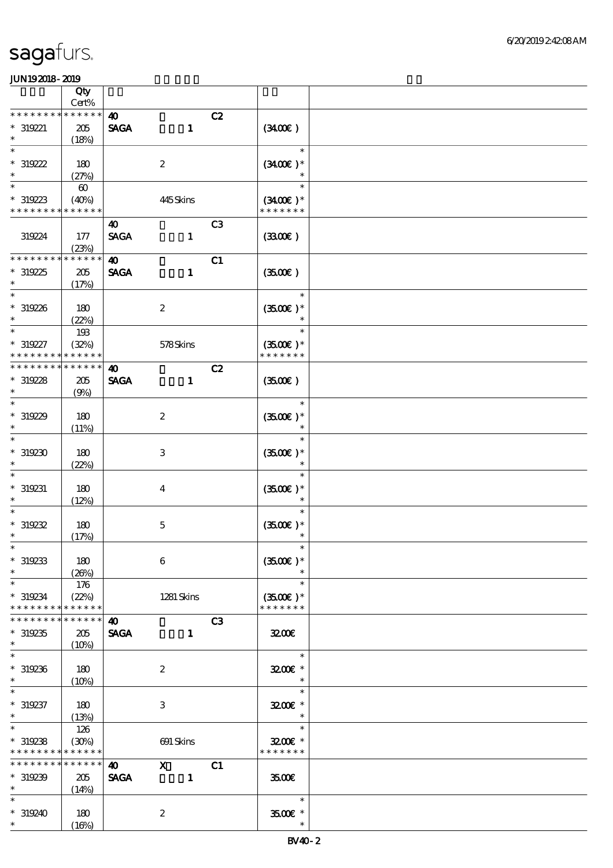|                                                 | Qty<br>Cert%                |                                      |                              |                |                                              |  |
|-------------------------------------------------|-----------------------------|--------------------------------------|------------------------------|----------------|----------------------------------------------|--|
| $* * *$                                         | * * * * * *                 |                                      |                              |                |                                              |  |
| $* 319221$<br>$\ast$                            | 205<br>(18%)                | $\boldsymbol{\omega}$<br><b>SAGA</b> | $\mathbf{1}$                 | C2             | (340)                                        |  |
| $\ast$                                          |                             |                                      |                              |                | $\ast$                                       |  |
| $*319222$<br>$\ast$                             | 180<br>(27%)                |                                      | $\boldsymbol{2}$             |                | $(3400)$ *<br>$\ast$                         |  |
| $\ast$                                          | $\boldsymbol{\omega}$       |                                      |                              |                | $\ast$                                       |  |
| $*319223$<br>* * * * * * * *                    | (40%)<br>* * * * * *        |                                      | 445Skins                     |                | $(3400)$ *<br>* * * * * * *                  |  |
| 319224                                          | 177<br>(23%)                | 40<br><b>SAGA</b>                    | $\mathbf{1}$                 | C <sub>3</sub> | (330)                                        |  |
| * * * * * * *                                   | * * * * * *                 | $\boldsymbol{\omega}$                |                              | C1             |                                              |  |
| $*319225$<br>$\ast$                             | 205<br>(17%)                | <b>SAGA</b>                          | $\mathbf{1}$                 |                | (350)                                        |  |
| $\ast$<br>$*319226$<br>$\ast$                   | 180<br>(22%)                |                                      | $\boldsymbol{2}$             |                | $\ast$<br>$(3500)$ *<br>$\ast$               |  |
| $\ast$                                          | 193                         |                                      |                              |                | $\ast$                                       |  |
| * 319227<br>* * * * * * * *                     | (32%)<br>* * * * * *        |                                      | 578Skins                     |                | $(3500)$ *<br>* * * * * * *                  |  |
| * * * * * * *                                   | * * * * * *                 | $\boldsymbol{\omega}$                |                              | C2             |                                              |  |
| $*319228$<br>$\ast$                             | 205<br>(9%)                 | <b>SAGA</b>                          | $\mathbf{1}$                 |                | (350)                                        |  |
| $\ast$<br>$*319229$<br>$\ast$                   | 180<br>(11%)                |                                      | $\boldsymbol{2}$             |                | $\ast$<br>$(3500)$ *<br>$\ast$               |  |
| $\ast$                                          |                             |                                      |                              |                | $\ast$                                       |  |
| $*319230$<br>$\ast$                             | 180<br>(22%)                |                                      | $\,3\,$                      |                | $(3500)$ *                                   |  |
| $\ast$<br>$*$ 319231<br>$\ast$                  | 180<br>(12%)                |                                      | $\overline{\mathbf{4}}$      |                | $\ast$<br>$(3500\text{E})*$                  |  |
| $*319232$<br>$\ast$                             | 180<br>(17%)                |                                      | $\mathbf 5$                  |                | $\ast$<br>$(3500)$ *<br>$\ast$               |  |
| $*$<br>$*319233$<br>$\ast$                      | 180<br>(20%)                |                                      | $\bf 6$                      |                | $\ast$<br>$(3500)$ *                         |  |
| $\ast$<br>$*319234$<br>* * * * * * * *          | 176<br>(22%)<br>* * * * * * |                                      | 1281 Skins                   |                | $\ast$<br>$(3500\text{E})*$<br>* * * * * * * |  |
| * * * * * * *                                   | * * * * * *                 | $\boldsymbol{\omega}$                |                              | C3             |                                              |  |
| $*319235$<br>$\ast$                             | 205<br>(10%)                | <b>SAGA</b>                          | $\mathbf{1}$                 |                | 3200                                         |  |
| $\overline{\phantom{0}}$<br>$*319236$<br>$\ast$ | 180<br>(10%)                |                                      | $\boldsymbol{2}$             |                | $\ast$<br>3200€ *<br>$\ast$                  |  |
| $\ast$<br>$*319237$<br>$\ast$                   | 180<br>(13%)                |                                      | 3                            |                | $\ast$<br>3200E *<br>$\ast$                  |  |
| $\ast$<br>$*319238$<br>* * * * * * * *          | 126<br>(30%)<br>* * * * * * |                                      | 691 Skins                    |                | $\ast$<br>3200€ *<br>* * * * * * *           |  |
| * * * * * * * *<br>$*319239$                    | * * * * * *<br>205          | $\boldsymbol{\omega}$<br><b>SAGA</b> | $\boldsymbol{X}$<br>$\sim$ 1 | C1             | 3500                                         |  |
| $\ast$                                          | (14%)                       |                                      |                              |                |                                              |  |
| $\ast$<br>$*319240$<br>$*$ $*$                  | 180                         |                                      | $\boldsymbol{2}$             |                | $\ast$<br>3500 £*<br>$\ast$                  |  |
|                                                 | (16%)                       |                                      |                              |                |                                              |  |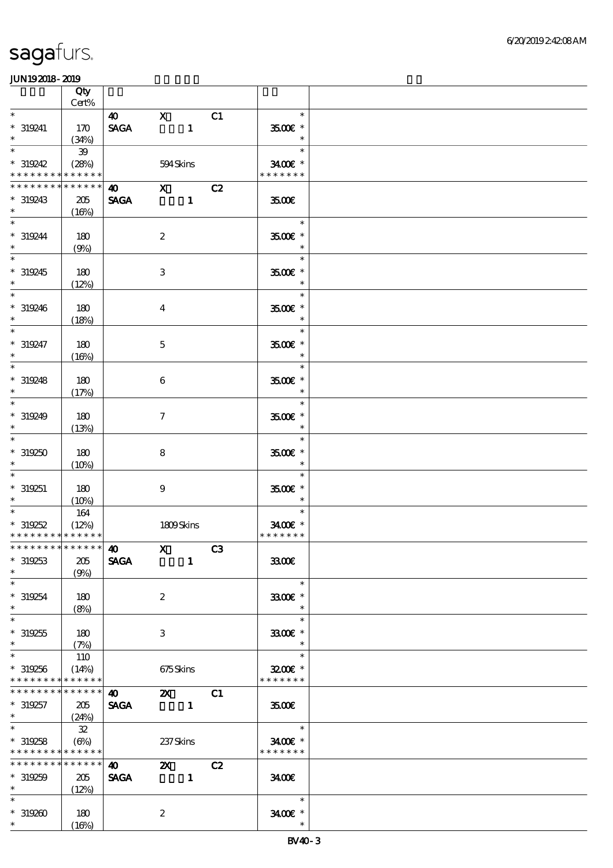|                                                              | Qty<br>$Cert\%$      |                                      |                                 |              |    |                                         |  |
|--------------------------------------------------------------|----------------------|--------------------------------------|---------------------------------|--------------|----|-----------------------------------------|--|
| $\ast$                                                       |                      | 40                                   | $\mathbf{X}$                    |              | C1 | $\ast$                                  |  |
| $* 319241$<br>$\ast$                                         | 170<br>(34%)         | <b>SAGA</b>                          | $\overline{\phantom{a}}$        |              |    | $3500$ $\epsilon$ *<br>$\ast$           |  |
| $\ast$                                                       | $39\,$               |                                      |                                 |              |    | an T<br>$\ast$                          |  |
| $*319242$<br>* * * * * * * *                                 | (28%)<br>* * * * * * |                                      | 594Skins                        |              |    | 3400€ *<br>* * * * * * *                |  |
| * * * * * * * *                                              | * * * * * *          | $\sim$ X                             |                                 |              | C2 |                                         |  |
| $*319243$<br>$\ast$                                          | 205<br>(16%)         | <b>SAGA</b>                          |                                 |              |    | 3500€                                   |  |
| $\overline{\ast}$<br>$* 319244$<br>$\ast$                    | 180<br>(9%)          |                                      | $\boldsymbol{2}$                |              |    | $\ast$<br>3500€ *                       |  |
| $\overline{\phantom{0}}$<br>$*319245$<br>$\ast$              | 180<br>(12%)         |                                      | 3                               |              |    | $\ast$<br>$3500$ $\epsilon$ *<br>$\ast$ |  |
| $\overline{\phantom{0}}$<br>$*319246$<br>$*$                 | 180<br>(18%)         |                                      | $\overline{\mathbf{4}}$         |              |    | $\ast$<br>$3500$ $*$<br>$\ast$          |  |
| $\overline{\ast}$<br>$* 319247$<br>$\ast$                    | 180<br>(16%)         |                                      | $\mathbf 5$                     |              |    | $\ast$<br>$3500$ $\epsilon$ *<br>$\ast$ |  |
| $\ast$<br>$* 319248$<br>$\ast$                               | 180<br>(17%)         |                                      | $\,6$                           |              |    | $\ast$<br>$3500$ $\epsilon$ *<br>$\ast$ |  |
| $\overline{\phantom{0}}$<br>$*319249$<br>$\ast$              | 180<br>(13%)         |                                      | $\tau$                          |              |    | $\ast$<br>$3500$ $*$<br>$\ast$          |  |
| $\ast$<br>$*319250$<br>$\ast$                                | 180<br>(10%)         |                                      | $\bf8$                          |              |    | $\ast$<br>3500€ *<br>$\ast$             |  |
| $\ast$<br>$* 319251$<br>$\ast$                               | 180<br>(10%)         |                                      | $\boldsymbol{9}$                |              |    | $\ast$<br>$3500$ $\epsilon$ *<br>$\ast$ |  |
| $*319252$<br>* * * * * * * * * * * * * *                     | 164<br>(12%)         |                                      | 1809Skins                       |              |    | $\ast$<br>3400€ *<br>* * * * * * *      |  |
| ************** 10<br>$*319253$<br>$\ast$                     | 205<br>(9%)          | <b>SAGA</b>                          | $X$ C3                          | $\mathbf{1}$ |    | 3300                                    |  |
| $\ast$<br>$*319254$<br>$\ast$                                | 180<br>(8%)          |                                      | $\boldsymbol{2}$                |              |    | $\ast$<br>3300E *<br>$\ast$             |  |
| $\overline{\ast}$<br>$*319255$<br>$\ast$                     | 180<br>(7%)          |                                      | 3                               |              |    | $\ast$<br>3300€ *                       |  |
| $\ast$<br>$*319256$<br>* * * * * * * * * * * * * *           | 110<br>(14%)         |                                      | 675Skins                        |              |    | $\ast$<br>3200E *<br>* * * * * * *      |  |
| * * * * * * * * * * * * * *<br>$*319257$<br>$*$ and $*$      | 205<br>(24%)         | $\boldsymbol{\omega}$<br><b>SAGA</b> | $\mathbf{z}$                    |              | C1 | 3500                                    |  |
| $*$<br>$*319258$<br>* * * * * * * * <mark>* * * * * *</mark> | 32<br>(6%)           |                                      | 237Skins                        |              |    | $\ast$<br>3400€ *<br>* * * * * * *      |  |
| ***************<br>$*319259$<br>$\ast$                       | 205<br>(12%)         | $\boldsymbol{40}$<br><b>SAGA</b>     | $\mathbf{x}$<br>$\sim$ $\sim$ 1 |              | C2 | 3400                                    |  |
| $\ast$<br>$*319200$<br>$*$                                   | 180<br>(16%)         |                                      | $\boldsymbol{2}$                |              |    | $\ast$<br>3400E *<br>$\ast$             |  |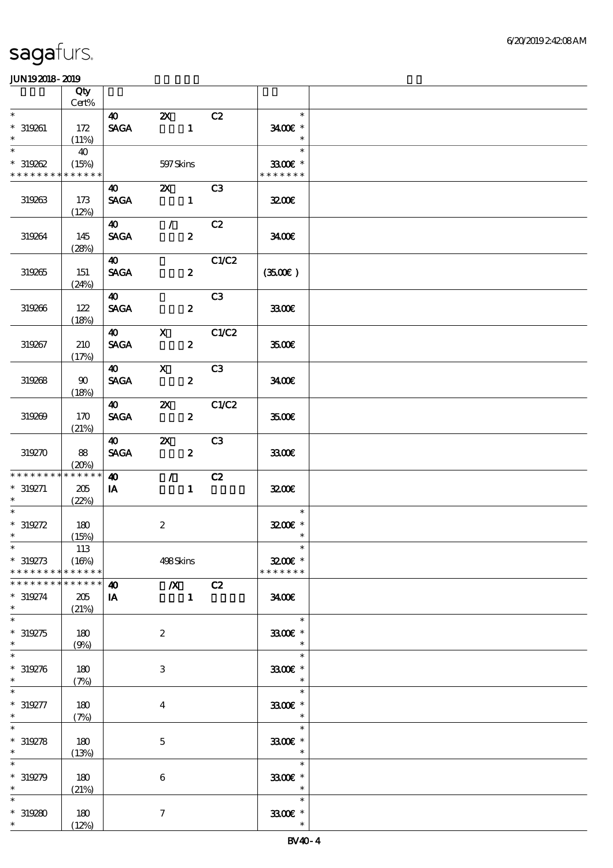|                                                             | Qty                         |                                        |                                                                                |                  |       |                                       |  |
|-------------------------------------------------------------|-----------------------------|----------------------------------------|--------------------------------------------------------------------------------|------------------|-------|---------------------------------------|--|
| $\ast$                                                      | $\mbox{Cert}\%$             | 40                                     |                                                                                |                  | C2    | $\ast$                                |  |
| $* 319261$<br>$\ast$                                        | 172<br>(11%)                | $\operatorname{\mathsf{SAGA}}$         | $\boldsymbol{\mathsf{Z}}$<br>$\overline{\phantom{a}}$ $\overline{\phantom{a}}$ |                  |       | 3400€ *<br>$\ast$                     |  |
| $\ast$<br>$*319262$                                         | 40<br>(15%)                 |                                        | 597 Skins                                                                      |                  |       | $\ast$<br>$3300$ $\epsilon$ *         |  |
| * * * * * * * * * * * * * *                                 |                             |                                        |                                                                                |                  |       | * * * * * * *                         |  |
| 319263                                                      | 173<br>(12%)                | <b>40</b> and <b>40</b><br><b>SAGA</b> | <b>2X</b> C3                                                                   | $\mathbf{1}$     |       | 3200                                  |  |
| 319264                                                      | 145<br>(28%)                | $\boldsymbol{\omega}$<br><b>SAGA</b>   | $\mathcal{F}$ and $\mathcal{F}$                                                | $\boldsymbol{z}$ | C2    | 3400                                  |  |
| 319265                                                      | 151<br>(24%)                | $\boldsymbol{40}$<br><b>SAGA</b>       |                                                                                | $\boldsymbol{z}$ | C1/C2 | (350)                                 |  |
| 319266                                                      | 122<br>(18%)                | $\boldsymbol{\omega}$<br><b>SAGA</b>   |                                                                                | $\boldsymbol{z}$ | C3    | 3300€                                 |  |
| 319267                                                      | 210<br>(17%)                | $\boldsymbol{40}$<br><b>SAGA</b>       | $\mathbf{X}$                                                                   | $\boldsymbol{z}$ | C1/C2 | 3500€                                 |  |
| 319268                                                      | 90<br>(18%)                 | $\boldsymbol{\omega}$<br><b>SAGA</b>   | $\mathbf{X}$                                                                   | $\boldsymbol{2}$ | C3    | 3400E                                 |  |
| 319269                                                      | 170<br>(21%)                | $\boldsymbol{\omega}$<br><b>SAGA</b>   | $\mathbf{X}$                                                                   | $\mathbf{2}$     | C1/C2 | 3500E                                 |  |
| 319270                                                      | 88<br>(20%)                 | $\boldsymbol{40}$<br><b>SAGA</b>       | $\boldsymbol{\mathsf{Z}}$                                                      | $\boldsymbol{z}$ | C3    | 3300                                  |  |
| * * * * * * * *<br>$* 319271$<br>$\ast$ . The set of $\ast$ | * * * * * *<br>205<br>(22%) | $\boldsymbol{\omega}$<br>IA            | $\mathcal{T} \subset \mathbb{R}$                                               | $\mathbf{1}$     | C2    | 3200E                                 |  |
| $\overline{\phantom{0}}$<br>$*319272$<br>$*$                | 180<br>(15%)                |                                        | $\boldsymbol{2}$                                                               |                  |       | $\ast$<br>$3200$ $*$<br>$\ast$        |  |
| $*$<br>$* 319273$<br>* * * * * * * *                        | 113<br>(16%)<br>******      |                                        | 498Skins                                                                       |                  |       | $\ast$<br>$3200$ £ *<br>* * * * * * * |  |
| * * * * * * * *                                             | * * * * * *                 | $\boldsymbol{\omega}$                  | $\chi$ C <sub>2</sub>                                                          |                  |       |                                       |  |
| $* 319274$<br>$\ast$<br>$\ast$                              | 205<br>(21%)                | IA                                     |                                                                                | $\mathbf{1}$     |       | 3400<br>$\ast$                        |  |
| $* 319275$<br>$\ast$                                        | $180$<br>(9%)               |                                        | $\boldsymbol{2}$                                                               |                  |       | 3300€ *                               |  |
| $\ast$<br>$*319276$<br>$\ast$                               | 180<br>(7%)                 |                                        | 3                                                                              |                  |       | $\ast$<br>3300€ *<br>$\ast$           |  |
| $* 319277$<br>$\ast$                                        | 180<br>(7%)                 |                                        | $\overline{\mathbf{4}}$                                                        |                  |       | $\ast$<br>3300€ *<br>$\ast$           |  |
| $\ast$<br>$* 319278$<br>$\ast$                              | 180<br>(13%)                |                                        | $\mathbf 5$                                                                    |                  |       | $\ast$<br>3300€ *<br>$\ast$           |  |
| $\ast$<br>$* 319279$<br>$\ast$                              | 180<br>(21%)                |                                        | $\boldsymbol{6}$                                                               |                  |       | $\ast$<br>3300€ *<br>$\ast$           |  |
| $*319280$<br>$*$                                            | 180<br>(12%)                |                                        | $\boldsymbol{\tau}$                                                            |                  |       | $\ast$<br>3300€ *<br>$\ast$           |  |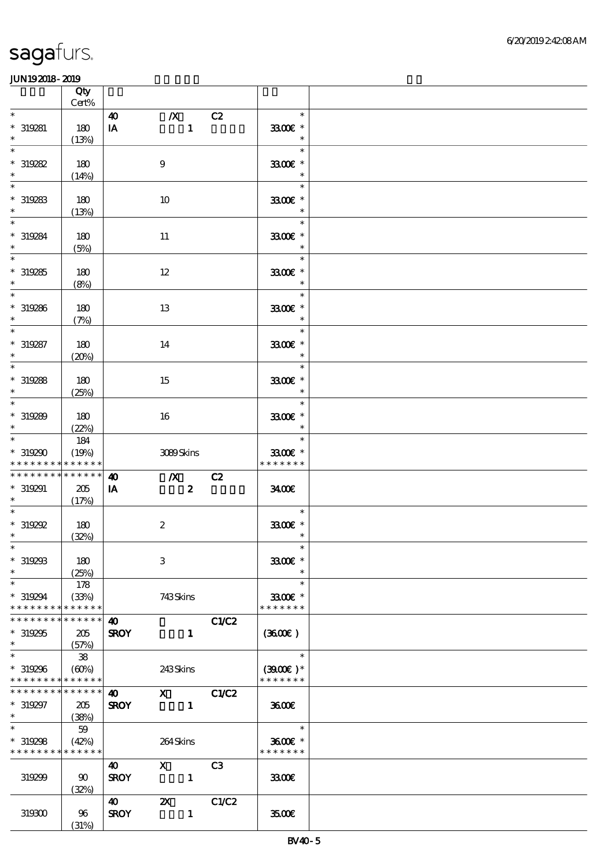|                                                             | Qty<br>Cert%        |                       |                           |                |                               |  |
|-------------------------------------------------------------|---------------------|-----------------------|---------------------------|----------------|-------------------------------|--|
| $\ast$                                                      |                     | $\boldsymbol{\omega}$ | $\boldsymbol{X}$          | C2             | $\ast$                        |  |
| $* 319281$                                                  | 180                 | IA                    | $\mathbf{1}$              |                | 3300€ *                       |  |
| $\ast$<br>$\ast$                                            | (13%)               |                       |                           |                | $\ast$<br>$\ast$              |  |
| $*319282$                                                   | 180                 |                       | $\boldsymbol{9}$          |                | 3300€ *                       |  |
| $\ast$                                                      | (14%)               |                       |                           |                | $\ast$                        |  |
| $\overline{\ast}$                                           |                     |                       |                           |                | $\ast$                        |  |
| $*319283$<br>$\ast$                                         | 180<br>(13%)        |                       | 10                        |                | 3300€ *<br>$\ast$             |  |
| $\overline{\ast}$                                           |                     |                       |                           |                | $\ast$                        |  |
| $* 319284$                                                  | 180                 |                       | $11\,$                    |                | 3300€ *                       |  |
| $\ast$<br>$\overline{\ast}$                                 | (5%)                |                       |                           |                | $\ast$<br>$\ast$              |  |
| $*319285$                                                   | 180                 |                       | 12                        |                | 3300€ *                       |  |
| $\ast$                                                      | (8%)                |                       |                           |                | $\ast$                        |  |
| $\overline{\ast}$                                           |                     |                       |                           |                | $\ast$                        |  |
| $*319286$<br>$\ast$                                         | 180<br>(7%)         |                       | 13                        |                | 3300€ *<br>$\ast$             |  |
| $\ast$                                                      |                     |                       |                           |                | $\ast$                        |  |
| $* 319287$<br>$\ast$                                        | 180                 |                       | 14                        |                | 3300€ *<br>$\ast$             |  |
| $\ast$                                                      | (20%)               |                       |                           |                | $\ast$                        |  |
| $*319288$                                                   | 180                 |                       | 15                        |                | 3300€ *                       |  |
| $\ast$                                                      | (25%)               |                       |                           |                | $\ast$                        |  |
| $\ast$<br>$*319289$                                         | 180                 |                       | 16                        |                | $\ast$<br>3300€ *             |  |
| $\ast$                                                      | (22%)               |                       |                           |                | $\ast$                        |  |
| $\overline{\ast}$                                           | 184                 |                       |                           |                | $\ast$                        |  |
| $*319290$<br>* * * * * * * * <mark>* * * * * * *</mark>     | (19%)               |                       | 3089Skins                 |                | 3300€ *<br>* * * * * * *      |  |
| * * * * * * * * * * * * * *                                 |                     | $\boldsymbol{\omega}$ | $\mathbf{X}$              | C2             |                               |  |
| $*319291$                                                   | 205                 | IA                    | $\boldsymbol{z}$          |                | 3400                          |  |
| $\ast$<br>$\overline{\ast}$                                 | (17%)               |                       |                           |                | $\ast$                        |  |
| $*$ 319292                                                  | 180                 |                       | $\boldsymbol{2}$          |                | 3300€ *                       |  |
| $\ast$                                                      | (32%)               |                       |                           |                | $\ast$                        |  |
| $*$ $*$                                                     |                     |                       |                           |                | $\ast$                        |  |
| $*319293$<br>$\ast$                                         | 180<br>(25%)        |                       | $\,3$                     |                | $3300$ $\epsilon$ *<br>$\ast$ |  |
| $\ast$                                                      | 178                 |                       |                           |                | $\ast$                        |  |
| $*319294$                                                   | (33%)               |                       | 743Skins                  |                | 3300€ *                       |  |
| * * * * * * * *<br>* * * * * * * * <mark>* * * * * *</mark> | * * * * * *         | 40                    |                           | C1/C2          | * * * * * * *                 |  |
| $*319295$                                                   | 205                 | <b>SROY</b>           | $\mathbf{1}$              |                | (360)                         |  |
| $\ast$                                                      | (57%)               |                       |                           |                |                               |  |
| $\overline{\ast}$<br>$*319296$                              | ${\bf 38}$<br>(60%) |                       | 243Skins                  |                | $\ast$<br>$(3900E)*$          |  |
| * * * * * * * * * * * * * *                                 |                     |                       |                           |                | * * * * * * *                 |  |
| * * * * * * * * <mark>* * * * * * *</mark>                  |                     | $\boldsymbol{\omega}$ | $\mathbf x$               | C1/C2          |                               |  |
| * 319297<br>$*$                                             | 205                 | <b>SROY</b>           | $\blacksquare$            |                | 3600                          |  |
| $\overline{\ast}$                                           | (38%)<br>59         |                       |                           |                | $\ast$                        |  |
| $*319298$                                                   | (42%)               |                       | 264Skins                  |                | 3600€ *                       |  |
| * * * * * * * * <mark>* * * * * *</mark>                    |                     | $\boldsymbol{\omega}$ | $\mathbf{X}$              | C <sub>3</sub> | * * * * * * *                 |  |
| 319299                                                      | 90                  | <b>SROY</b>           | $\blacksquare$            |                | 3300                          |  |
|                                                             | (32%)               |                       |                           |                |                               |  |
|                                                             |                     | $\boldsymbol{\omega}$ | $\boldsymbol{\mathsf{Z}}$ | C1/C2          |                               |  |
| 319300                                                      | 96<br>(31%)         | <b>SROY</b>           | $\mathbf{1}$              |                | 3500                          |  |
|                                                             |                     |                       |                           |                |                               |  |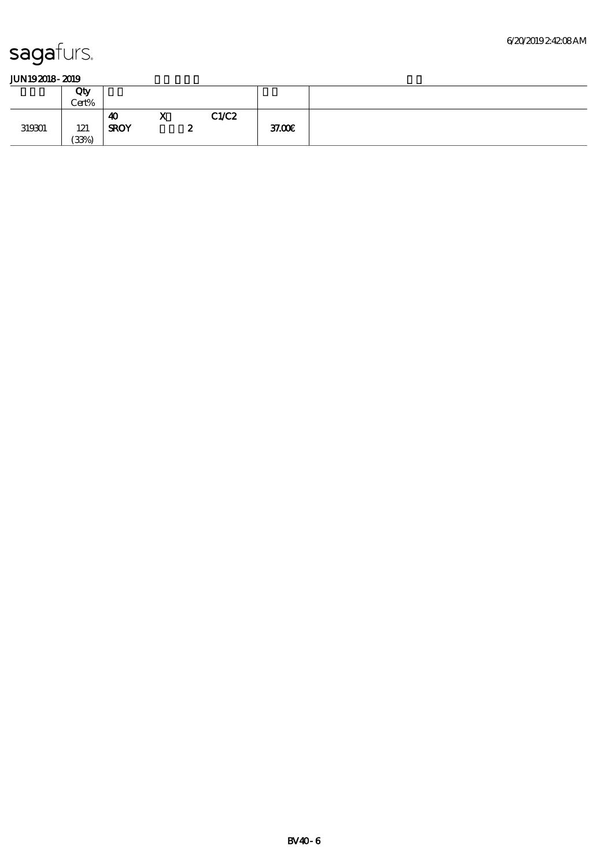|        | Qty<br>Cert% |                   |                     |   |       |        |
|--------|--------------|-------------------|---------------------|---|-------|--------|
| 319301 | 121<br>(33%) | 40<br><b>SROY</b> | - 7<br>$\mathbf{v}$ | ∼ | C1/C2 | 37.00E |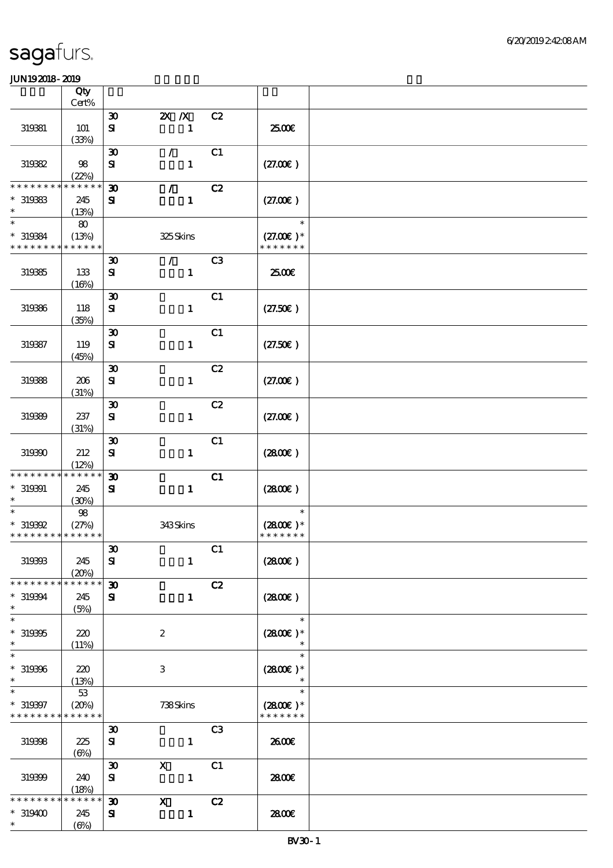|                               | Qty                  |                                          |                               |                |                              |  |
|-------------------------------|----------------------|------------------------------------------|-------------------------------|----------------|------------------------------|--|
|                               | Cert%                |                                          |                               |                |                              |  |
| 319381                        | 101                  | $\boldsymbol{\mathfrak{D}}$<br>${\bf s}$ | $X$ $X$<br>$\mathbf{1}$       | C2             | 2500E                        |  |
|                               | (33%)                |                                          |                               |                |                              |  |
| 319332                        | 98                   | $\boldsymbol{\mathfrak{D}}$<br>${\bf s}$ | $\mathcal{L}$<br>$\mathbf{1}$ | C1             | (27.00)                      |  |
|                               | (22%)                |                                          |                               |                |                              |  |
| * * * * * * *                 | * * * * * *          | $\boldsymbol{\mathfrak{D}}$              | $\mathcal{L}$                 | C2             |                              |  |
| $*$ 319383<br>$\ast$          | 245<br>(13%)         | ${\bf s}$                                | $\mathbf{1}$                  |                | (27.00)                      |  |
| $\ast$                        | 80                   |                                          |                               |                | $\ast$                       |  |
| $*319384$<br>* * * * * * * *  | (13%)<br>* * * * * * |                                          | 325Skins                      |                | $(27.00)$ *<br>* * * * * * * |  |
|                               |                      | $\boldsymbol{\mathfrak{D}}$              | $\mathcal{F}^{\mathcal{F}}$   | C <sub>3</sub> |                              |  |
| 319385                        | 133<br>(16%)         | ${\bf s}$                                | $\mathbf{1}$                  |                | 2500€                        |  |
|                               |                      | $\boldsymbol{\mathfrak{D}}$              |                               | C1             |                              |  |
| 319386                        | 118                  | $\mathbf{S}$                             | $\mathbf{1}$                  |                | (27.50)                      |  |
|                               | (35%)                | $\boldsymbol{\mathfrak{D}}$              |                               | C1             |                              |  |
| 319387                        | 119                  | ${\bf s}$                                | $\mathbf{1}$                  |                | (27.50)                      |  |
|                               | (45%)                |                                          |                               |                |                              |  |
|                               |                      | $\boldsymbol{\mathfrak{D}}$              |                               | C2             |                              |  |
| 319388                        | 206<br>(31%)         | ${\bf s}$                                | $\mathbf{1}$                  |                | (27.00)                      |  |
|                               |                      | $\boldsymbol{\mathfrak{D}}$              |                               | C2             |                              |  |
| 319339                        | 237                  | ${\bf s}$                                | $\mathbf{1}$                  |                | (27.00)                      |  |
|                               | (31%)                |                                          |                               |                |                              |  |
|                               |                      | $\boldsymbol{\mathfrak{D}}$              |                               | C1             |                              |  |
| 319390                        | 212                  | ${\bf s}$                                | $\mathbf{1}$                  |                | (280)                        |  |
|                               | (12%)                |                                          |                               |                |                              |  |
| * * * * * * * *               | * * * * * *          | $\boldsymbol{\mathfrak{D}}$              |                               | C1             |                              |  |
| $* 319391$                    | 245                  | ${\bf s}$                                | $\mathbf{1}$                  |                | (2800)                       |  |
| $\ast$                        | (30%)                |                                          |                               |                |                              |  |
| $\ast$                        | 98                   |                                          |                               |                | $\ast$                       |  |
| $*$ 319392                    | (27%)                |                                          | 343Skins                      |                | $(2800)$ *                   |  |
| * * * * * * * * * * * * * *   |                      |                                          |                               |                | * * * * * * *                |  |
| 319393                        | 245                  | $\boldsymbol{\mathfrak{D}}$              |                               | C1             | (2800)                       |  |
|                               | (20%)                | ${\bf s}$                                | $\mathbf{1}$                  |                |                              |  |
| * * * * * * * *               | * * * * * *          | $\boldsymbol{\mathfrak{D}}$              |                               | C2             |                              |  |
| $*319394$                     | 245                  | ${\bf s}$                                | $\mathbf{1}$                  |                | (280E)                       |  |
| $\ast$                        | (5%)                 |                                          |                               |                |                              |  |
| $\ast$                        |                      |                                          |                               |                | $\ast$                       |  |
| $* 319395$                    | 220                  |                                          | $\boldsymbol{2}$              |                | $(2800)$ *                   |  |
| $\ast$                        | (11%)                |                                          |                               |                |                              |  |
| $\ast$                        |                      |                                          |                               |                | $\ast$                       |  |
| $* 319396$                    | 220                  |                                          | 3                             |                | $(2800)$ *                   |  |
| $\ast$<br>$\ast$              | (13%)                |                                          |                               |                | $\ast$                       |  |
|                               | 53                   |                                          |                               |                |                              |  |
| $* 319397$<br>* * * * * * * * | (20%)<br>* * * * * * |                                          | 738Skins                      |                | $(2800)$ *<br>* * * * * * *  |  |
|                               |                      | $\boldsymbol{\mathfrak{D}}$              |                               | C3             |                              |  |
| 319398                        | 225                  | ${\bf s}$                                | $\mathbf{1}$                  |                | 2600E                        |  |
|                               | $(\Theta)$           |                                          |                               |                |                              |  |
|                               |                      | $\boldsymbol{\mathfrak{D}}$              | $\boldsymbol{\mathrm{X}}$     | C1             |                              |  |
| 319399                        | 240                  | ${\bf S}$                                | $\mathbf{1}$                  |                | 2800E                        |  |
|                               | (18%)                |                                          |                               |                |                              |  |
| * * * * * * *                 | * * * * * *          | 30                                       | $\mathbf{x}$                  | C2             |                              |  |
| $*319400$                     | 245                  | ${\bf s}$                                | $\mathbf{1}$                  |                | 2800€                        |  |
| $\ast$                        | $(\Theta)$           |                                          |                               |                |                              |  |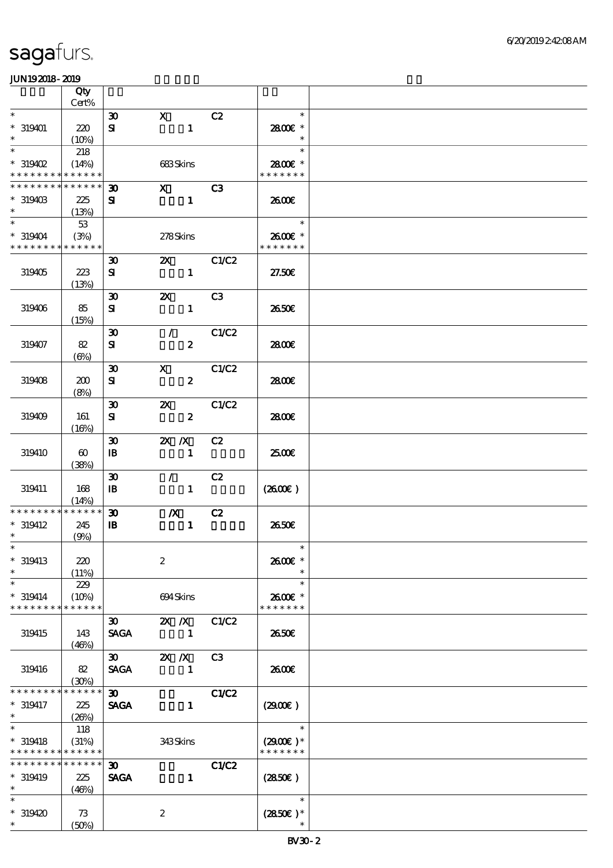|                                          | Qty                   |                                          |                                |                |                          |  |
|------------------------------------------|-----------------------|------------------------------------------|--------------------------------|----------------|--------------------------|--|
| $\ast$                                   | $Cert\%$              |                                          |                                |                | $\ast$                   |  |
|                                          |                       | $\boldsymbol{\mathfrak{D}}$              | $\mathbf{X}$                   | C2             |                          |  |
| $* 319401$<br>$\ast$                     | 220<br>(10%)          | ${\bf s}$                                | $\mathbf{1}$                   |                | 2800€ *<br>$\ast$        |  |
| $\ast$                                   | 218                   |                                          |                                |                | $\ast$                   |  |
| $*319402$                                | (14%)                 |                                          | 683Skins                       |                | 2800E *                  |  |
| * * * * * * * *                          | * * * * * *           |                                          |                                |                | * * * * * * *            |  |
| * * * * * * * *                          | * * * * * *           | $\boldsymbol{\mathfrak{D}}$              | $\mathbf{X}$                   | C <sub>3</sub> |                          |  |
| $*319403$                                | 225                   | ${\bf s}$                                | $\mathbf{1}$                   |                | 2600E                    |  |
| $\ast$                                   | (13%)                 |                                          |                                |                |                          |  |
| $\overline{\ast}$                        | 53                    |                                          |                                |                | $\ast$                   |  |
| $*319404$<br>* * * * * * * * * * * * * * | (3%)                  |                                          | 278Skins                       |                | 2600€ *<br>* * * * * * * |  |
|                                          |                       |                                          | $\mathbf{x}$                   | C1/C2          |                          |  |
| 319405                                   | 223                   | $\boldsymbol{\mathfrak{D}}$<br>${\bf s}$ | $\mathbf{1}$                   |                | 27.50E                   |  |
|                                          | (13%)                 |                                          |                                |                |                          |  |
|                                          |                       | $\boldsymbol{\mathfrak{D}}$              | $\boldsymbol{\mathsf{Z}}$      | C3             |                          |  |
| 319406                                   | 85                    | ${\bf s}$                                | $\mathbf{1}$                   |                | 2650€                    |  |
|                                          | (15%)                 |                                          |                                |                |                          |  |
|                                          |                       | $\boldsymbol{\mathfrak{D}}$              | $\mathcal{T}$                  | C1/C2          |                          |  |
| 319407                                   | 82                    | ${\bf s}$                                | $\boldsymbol{z}$               |                | 2800E                    |  |
|                                          | $(\Theta)$            |                                          |                                |                |                          |  |
|                                          |                       | $\boldsymbol{\mathfrak{D}}$              | $\boldsymbol{\mathsf{X}}$      | C1/C2          |                          |  |
| 319408                                   | 200                   | ${\bf s}$                                | $\boldsymbol{z}$               |                | 2800E                    |  |
|                                          | (8%)                  | $\boldsymbol{\mathfrak{D}}$              | $\boldsymbol{\alpha}$          | C1/C2          |                          |  |
| 319409                                   | 161                   | ${\bf s}$                                | $\boldsymbol{z}$               |                | 2800E                    |  |
|                                          | (16%)                 |                                          |                                |                |                          |  |
|                                          |                       | $\boldsymbol{\mathfrak{D}}$              | $X$ $N$                        | C2             |                          |  |
| 319410                                   | $\boldsymbol{\omega}$ | $\, {\bf I} \! {\bf B} \,$               | $\mathbf{1}$                   |                | 2500E                    |  |
|                                          | (38%)                 |                                          |                                |                |                          |  |
|                                          |                       | $\boldsymbol{\mathfrak{D}}$              | $\mathcal{F}^{\mathcal{F}}$    | C2             |                          |  |
| 319411                                   | 168                   | $\mathbf{B}$                             | $\mathbf{1}$                   |                | (260E)                   |  |
|                                          | (14%)                 |                                          |                                |                |                          |  |
| * * * * * * * *                          | * * * * * *           | $\boldsymbol{\mathfrak{D}}$              | $\boldsymbol{X}$               | C2             |                          |  |
| $*319412$<br>$\ast$                      | 245<br>(9%)           | $\mathbf{B}$                             | $\mathbf{1}$                   |                | 2650E                    |  |
| $*$                                      |                       |                                          |                                |                | $\ast$                   |  |
| $*$ 319413                               | 220                   |                                          | $\boldsymbol{2}$               |                | 2600€ *                  |  |
| $\ast$                                   | (11%)                 |                                          |                                |                | $\ast$                   |  |
| $\ast$                                   | 229                   |                                          |                                |                | $\ast$                   |  |
| $* 319414$                               | (10%)                 |                                          | 694Skins                       |                | 2600€ *                  |  |
| * * * * * * * *                          | * * * * * *           |                                          |                                |                | * * * * * * *            |  |
|                                          |                       | $\boldsymbol{\mathfrak{D}}$              | $X$ $X$                        | C1/C2          |                          |  |
| 319415                                   | 143                   | <b>SAGA</b>                              | $\blacksquare$                 |                | 2650E                    |  |
|                                          | (46%)                 | $\boldsymbol{\mathfrak{D}}$              |                                | C3             |                          |  |
| 319416                                   | 82                    | <b>SAGA</b>                              | $\mathbb{Z}$ X<br>$\mathbf{1}$ |                | 2600E                    |  |
|                                          | (30%)                 |                                          |                                |                |                          |  |
| * * * * * * *                            | * * * * * *           | $\boldsymbol{\mathfrak{D}}$              |                                | <b>C1/C2</b>   |                          |  |
| $* 319417$                               | 225                   | <b>SAGA</b>                              | $\mathbf{1}$                   |                | (2900)                   |  |
| $*$                                      | (20%)                 |                                          |                                |                |                          |  |
| $\ast$                                   | 118                   |                                          |                                |                | $\ast$                   |  |
| $*$ 319418                               | (31%)                 |                                          | 343Skins                       |                | $(2900)$ *               |  |
| * * * * * * * * <mark>* * * * * *</mark> |                       |                                          |                                |                | * * * * * * *            |  |
| * * * * * * * * * * * * * *              |                       | 30 <sub>1</sub>                          |                                | C1/C2          |                          |  |
| $*319419$                                | 225                   | <b>SAGA</b>                              | $\mathbf{1}$                   |                | (2850)                   |  |
| $\ast$<br>$\ast$                         | (46%)                 |                                          |                                |                | $\ast$                   |  |
| $*319420$                                | 73                    |                                          | $\boldsymbol{2}$               |                | $(2850)$ *               |  |
| $*$                                      | (50%)                 |                                          |                                |                | $\ast$                   |  |
|                                          |                       |                                          |                                |                |                          |  |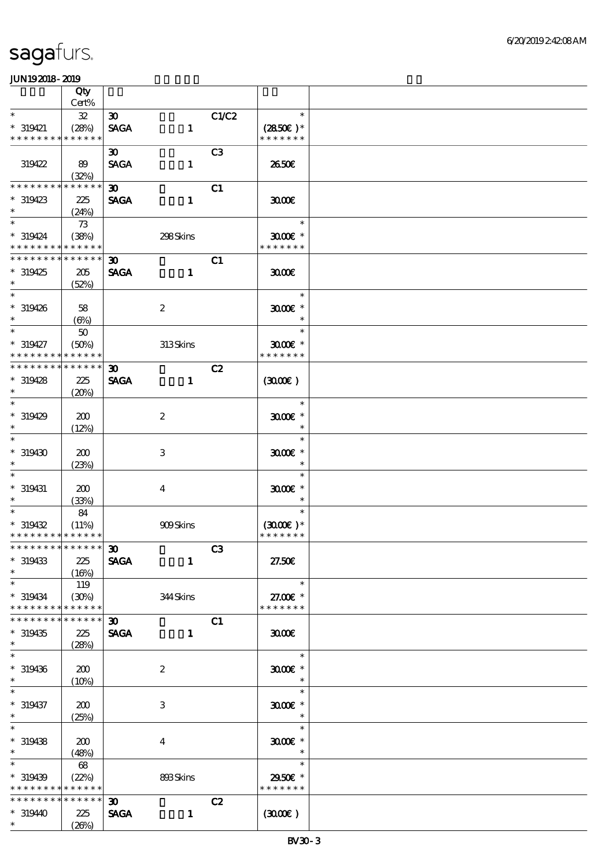|                               | Qty                      |                                            |                  |                |                             |  |
|-------------------------------|--------------------------|--------------------------------------------|------------------|----------------|-----------------------------|--|
| $\ast$                        | Cert%                    |                                            |                  |                | $\ast$                      |  |
| $*$ 319421                    | ${\bf 3\!}$<br>(28%)     | $\infty$<br><b>SAGA</b>                    | $\mathbf{1}$     | C1/C2          | $(2850)$ *                  |  |
| * * * * * * * *               | * * * * * *              |                                            |                  |                | * * * * * * *               |  |
|                               |                          | $\boldsymbol{\mathfrak{D}}$                |                  | C <sub>3</sub> |                             |  |
| 319422                        | 89                       | <b>SAGA</b>                                | $\mathbf{1}$     |                | 2650E                       |  |
| * * * * * * * *               | (32%)<br>$* * * * * * *$ |                                            |                  |                |                             |  |
| $*319423$                     | 225                      | $\boldsymbol{\mathfrak{D}}$<br><b>SAGA</b> | $\mathbf{1}$     | C1             | 3000                        |  |
| $\ast$                        | (24%)                    |                                            |                  |                |                             |  |
| $\ast$                        | 73                       |                                            |                  |                | $\ast$                      |  |
| $*319424$                     | (38%)                    |                                            | 298Skins         |                | $3000$ $*$                  |  |
| * * * * * * * * * * * * * *   |                          |                                            |                  |                | * * * * * * *               |  |
| * * * * * * * *               | * * * * * *              | $\boldsymbol{\mathfrak{D}}$                |                  | C1             |                             |  |
| $*319425$<br>$\ast$           | 205<br>(52%)             | <b>SAGA</b>                                | $\mathbf{1}$     |                | 3000                        |  |
| $\overline{\phantom{0}}$      |                          |                                            |                  |                | $\ast$                      |  |
| $* 319426$                    | 58                       |                                            | $\boldsymbol{2}$ |                | $3000$ $*$                  |  |
| $\ast$                        | $(\Theta)$               |                                            |                  |                | $\ast$                      |  |
| $\ast$                        | 50                       |                                            |                  |                | $\ast$                      |  |
| $* 319427$<br>* * * * * * * * | (50%)<br>* * * * * *     |                                            | 313Skins         |                | $3000$ $*$<br>* * * * * * * |  |
| * * * * * * * *               | * * * * * *              | $\boldsymbol{\mathfrak{D}}$                |                  | C2             |                             |  |
| $*319428$                     | 225                      | <b>SAGA</b>                                | $\mathbf{1}$     |                | (300)                       |  |
| $\ast$                        | (20%)                    |                                            |                  |                |                             |  |
| $\overline{\ast}$             |                          |                                            |                  |                | $\ast$                      |  |
| $*319429$<br>$\ast$           | 200<br>(12%)             |                                            | $\boldsymbol{2}$ |                | $3000$ $*$<br>$\ast$        |  |
| $\ast$                        |                          |                                            |                  |                | $\ast$                      |  |
| $*319430$                     | 200                      |                                            | $\,3$            |                | $3000$ $*$                  |  |
| $\ast$                        | (23%)                    |                                            |                  |                | $\ast$                      |  |
| $\ast$                        |                          |                                            |                  |                | $\ast$                      |  |
| $*$ 319431<br>$\ast$          | 200<br>(33%)             |                                            | $\boldsymbol{4}$ |                | $3000$ $*$<br>$\ast$        |  |
| $\overline{\ast}$             | 84                       |                                            |                  |                | $\ast$                      |  |
| $*319432$                     | (11%)                    |                                            | <b>909Skins</b>  |                | $(3000\varepsilon)*$        |  |
| * * * * * * * * * * * * * *   |                          |                                            |                  |                | * * * * * * *               |  |
| *************** 30            |                          |                                            |                  | C3             |                             |  |
| $*319433$<br>$\ast$           | 225<br>(16%)             | <b>SAGA</b>                                | $\mathbf{1}$     |                | 27.50E                      |  |
| $\ast$                        | 119                      |                                            |                  |                | $\ast$                      |  |
| $* 319434$                    | (30%)                    |                                            | 344Skins         |                | 27.00€ *                    |  |
| * * * * * * * *               | * * * * * *              |                                            |                  |                | * * * * * * *               |  |
| * * * * * * *                 | * * * * * *              | 30 <sub>o</sub>                            |                  | C1             |                             |  |
| $*319435$<br>$\ast$           | 225<br>(28%)             | <b>SAGA</b>                                | $\mathbf{1}$     |                | 3000                        |  |
| $\ast$                        |                          |                                            |                  |                | $\ast$                      |  |
| $* 319436$                    | 200                      |                                            | $\boldsymbol{z}$ |                | $3000$ $*$                  |  |
| $\ast$                        | (10%)                    |                                            |                  |                | $\ast$                      |  |
| $\ast$                        |                          |                                            |                  |                | $\ast$                      |  |
| $* 319437$<br>$\ast$          | 200                      |                                            | 3                |                | $3000$ $*$<br>$\ast$        |  |
| $\overline{\phantom{0}}$      | (25%)                    |                                            |                  |                | $\ast$                      |  |
| $*319438$                     | 200                      |                                            | $\boldsymbol{4}$ |                | $3000$ $*$                  |  |
| $\ast$                        | (48%)                    |                                            |                  |                | $\ast$                      |  |
| $\overline{\ast}$             | 68                       |                                            |                  |                | $\ast$                      |  |
| $*319439$<br>* * * * * * * *  | (22%)<br>$* * * * * * *$ |                                            | 893Skins         |                | 2950€ *<br>* * * * * * *    |  |
| * * * * * * * *               | $* * * * * * *$          | 30 <sub>o</sub>                            |                  | C2             |                             |  |
| * 319440                      | 225                      | <b>SAGA</b>                                | $\mathbf{1}$     |                | (300)                       |  |
| $*$                           | (20%)                    |                                            |                  |                |                             |  |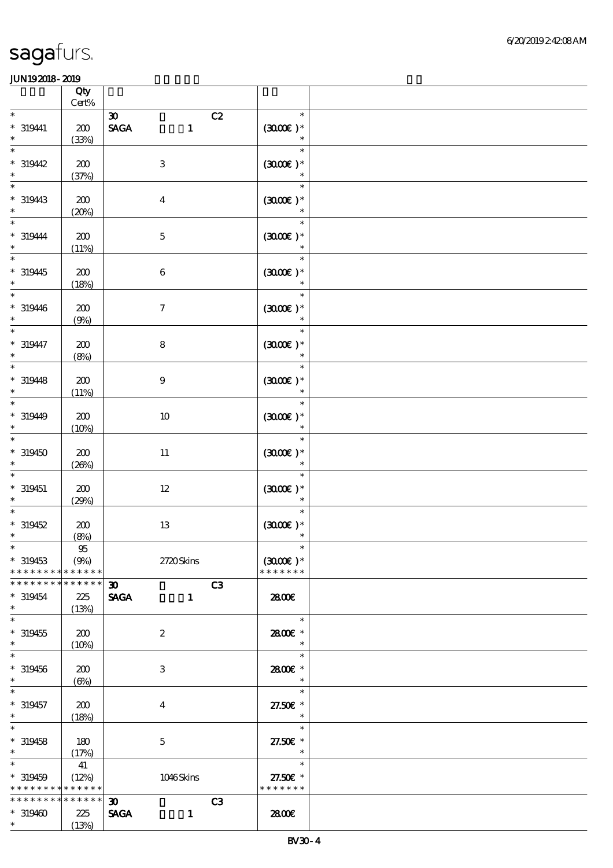|                                                                              | Qty                         |                                                                                     |                                          |  |
|------------------------------------------------------------------------------|-----------------------------|-------------------------------------------------------------------------------------|------------------------------------------|--|
| $\ast$                                                                       | $\mbox{Cert}\%$             |                                                                                     | $\ast$                                   |  |
| $* 319411$<br>$\ast$                                                         | 200<br>(33%)                | $\boldsymbol{\mathfrak{D}}$<br>C2<br>$\operatorname{\mathbf{SAGA}}$<br>$\mathbf{1}$ | $(300)$ *<br>$\ast$                      |  |
| $\ast$<br>$*319442$<br>$\ast$                                                | 200<br>(37%)                | $\,3$                                                                               | $\ast$<br>$(3000\varepsilon)*$<br>$\ast$ |  |
| $\ast$<br>$*319443$<br>$\ast$                                                | 200<br>(20%)                | $\boldsymbol{4}$                                                                    | $\ast$<br>$(3000\varepsilon)*$<br>$\ast$ |  |
| $\ast$<br>$* 319444$<br>$\ast$                                               | 200<br>(11%)                | $\mathbf 5$                                                                         | $\ast$<br>$(3000)$ *                     |  |
| $\ast$<br>$*319445$<br>$\ast$                                                | 200<br>(18%)                | $\bf 6$                                                                             | $\ast$<br>$(3000\varepsilon)*$           |  |
| $* 319446$<br>$\ast$                                                         | 200<br>(9%)                 | $\boldsymbol{7}$                                                                    | $\ast$<br>$(300E)*$<br>$\ast$            |  |
| $\ast$<br>$* 319447$<br>$\ast$                                               | 200<br>(8%)                 | $\bf 8$                                                                             | $\ast$<br>$(300E)*$<br>$\ast$            |  |
| $\ast$<br>$* 319448$<br>$\ast$                                               | 200<br>(11%)                | $9\,$                                                                               | $\ast$<br>$(300E)*$<br>$\ast$            |  |
| $\ast$<br>$* 31940$<br>$\ast$                                                | 200<br>(10%)                | $10\,$                                                                              | $\ast$<br>$(300E)*$<br>$\ast$            |  |
| $\ast$<br>$*319450$<br>$\ast$                                                | 200<br>(20%)                | $11\,$                                                                              | $\ast$<br>$(3000)$ *<br>$\ast$           |  |
| $\ast$<br>$* 319451$<br>$\ast$                                               | 200<br>(29%)                | $12\,$                                                                              | $\ast$<br>$(3000\varepsilon)*$<br>$\ast$ |  |
| $*319452$<br>$\ast$                                                          | 200<br>(8%)                 | $13\,$                                                                              | $\ast$<br>$(300E)*$<br>$\ast$            |  |
| $*$<br>$*319453$<br>* * * * * * * * * * * * * *                              | 95<br>(9%)                  | 2720Skins                                                                           | $(3000\varepsilon)*$<br>* * * * * * *    |  |
| * * * * * * * *<br>$*319454$<br>$\ast$                                       | * * * * * *<br>225<br>(13%) | $\boldsymbol{\mathfrak{D}}$<br>C3<br><b>SAGA</b><br>$\mathbf{1}$                    | <b>2800€</b>                             |  |
| $\ast$<br>$*319455$<br>$\ast$                                                | 200<br>(10%)                | $\boldsymbol{2}$                                                                    | $\ast$<br>2800 £*<br>$\ast$              |  |
| $\ast$<br>$*319456$<br>$\ast$                                                | 200<br>$(\Theta)$           | 3                                                                                   | $\ast$<br>2800€ *<br>$\ast$              |  |
| $\ast$<br>$* 319457$<br>$\ast$                                               | 200<br>(18%)                | $\overline{\mathbf{4}}$                                                             | $\ast$<br>27.50€ *<br>$\ast$             |  |
| $\ast$<br>$*319458$<br>$\ast$                                                | 180<br>(17%)                | $\mathbf 5$                                                                         | $\ast$<br>27.50€ *<br>$\ast$             |  |
| $\overline{\ast}$<br>$*319459$<br>* * * * * * * * <mark>* * * * * * *</mark> | 41<br>(12%)                 | 1046Skins                                                                           | $\ast$<br>27.50€ *<br>* * * * * * *      |  |
| * * * * * * * * * * * * * * *<br>$*319400$<br>$\ast$                         | 225<br>(13%)                | C3<br>30 <sub>o</sub><br><b>SAGA</b><br>$\mathbf{1}$                                | 2800€                                    |  |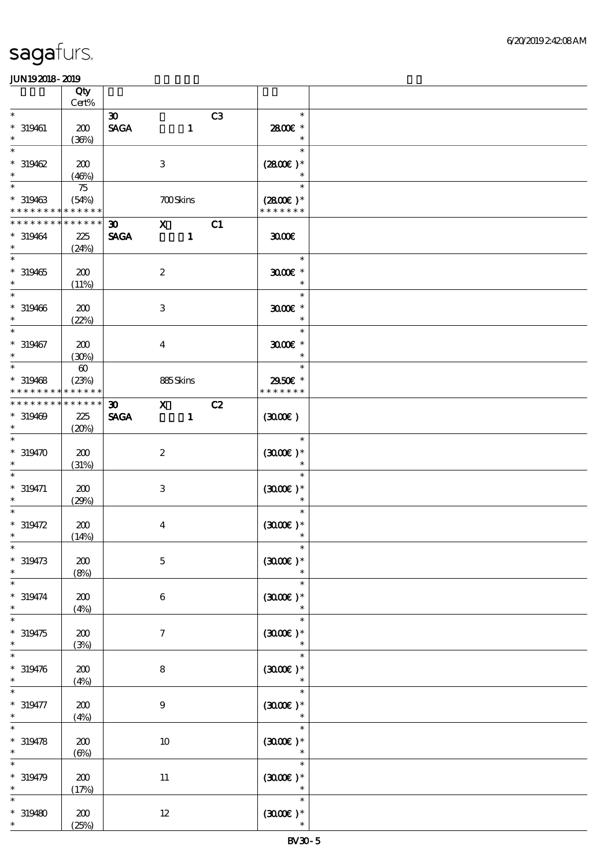|                                         | Qty<br>$Cert\%$                               |                                            |                           |                                             |    |                                          |  |
|-----------------------------------------|-----------------------------------------------|--------------------------------------------|---------------------------|---------------------------------------------|----|------------------------------------------|--|
| $\ast$                                  |                                               | $\boldsymbol{\mathfrak{D}}$                |                           |                                             | C3 | $\ast$                                   |  |
| $* 319461$<br>$\ast$                    | 200<br>(36%)                                  | $\operatorname{\mathsf{SAGA}}$             |                           | $\mathbf{1}$                                |    | 2800€ *<br>$\ast$                        |  |
| $\ast$<br>$*319462$<br>$\ast$           | 200<br>(46%)                                  |                                            | $\ensuremath{\mathbf{3}}$ |                                             |    | $\ast$<br>$(2800)$ *<br>$\ast$           |  |
| $\ast$<br>$* 319463$<br>* * * * * * * * | 75<br>(54%)<br>* * * * * *                    |                                            | <b>700Skins</b>           |                                             |    | $\ast$<br>$(2800)$ *<br>* * * * * * *    |  |
| * * * * * * * *<br>$*319464$<br>$\ast$  | $* * * * * * *$<br>$225\,$<br>(24%)           | 30 <sub>o</sub><br><b>SAGA</b>             |                           | $\boldsymbol{\mathrm{X}}$<br>$\blacksquare$ | C1 | 3000                                     |  |
| $\ast$<br>$* 319465$<br>$\ast$          | 200<br>(11%)                                  |                                            | $\boldsymbol{2}$          |                                             |    | $\ast$<br>$3000$ $*$<br>$\ast$           |  |
| $\ast$<br>$* 319466$<br>$\ast$          | 200<br>(22%)                                  |                                            | $\ensuremath{\mathbf{3}}$ |                                             |    | $\ast$<br>$3000$ $*$<br>$\ast$           |  |
| $\ast$<br>$* 319467$<br>$\ast$          | 200<br>(30%)                                  |                                            | $\overline{\mathbf{4}}$   |                                             |    | $\ast$<br>$3000$ $*$<br>$\ast$           |  |
| $\ast$<br>$*319468$<br>* * * * * * * *  | $\boldsymbol{\omega}$<br>(23%)<br>* * * * * * |                                            | 885Skins                  |                                             |    | $\ast$<br>2950€ *<br>* * * * * * *       |  |
| * * * * * * * *<br>$*319469$<br>$\ast$  | * * * * * *<br>225<br>(20%)                   | $\boldsymbol{\mathfrak{D}}$<br><b>SAGA</b> | $\mathbf{X}$              | $\mathbf{1}$                                | C2 | (300)                                    |  |
| $\ast$<br>$*319470$<br>$\ast$           | 200<br>(31%)                                  |                                            | $\boldsymbol{z}$          |                                             |    | $\ast$<br>$(3000)$ *                     |  |
| $* 319471$<br>$\ast$                    | 200<br>(29%)                                  |                                            | 3                         |                                             |    | $\ast$<br>$(3000\varepsilon)*$<br>$\ast$ |  |
| $\ast$<br>$* 319472$<br>$\ast$          | 200<br>(14%)                                  |                                            | $\bf{4}$                  |                                             |    | $\ast$<br>$(300)$ *                      |  |
| $*$<br>$* 319473$<br>$\ast$             | 200<br>(8%)                                   |                                            | $\mathbf 5$               |                                             |    | $\ast$<br>$(300E)*$                      |  |
| $\ast$<br>$* 319474$<br>$\ast$          | 200<br>(4%)                                   |                                            | $\boldsymbol{6}$          |                                             |    | $\ast$<br>$(3000)$ *<br>$\ast$           |  |
| $\ast$<br>$*319475$<br>$\ast$           | 200<br>(3%)                                   |                                            | $\tau$                    |                                             |    | $\ast$<br>$(3000)$ *                     |  |
| $\ast$<br>$* 319476$<br>$\ast$          | 200<br>(4%)                                   |                                            | 8                         |                                             |    | $\ast$<br>$(300)$ *                      |  |
| $* 319477$<br>$\ast$                    | 200<br>(4%)                                   |                                            | $\boldsymbol{9}$          |                                             |    | $\ast$<br>$(300)$ *<br>$\ast$            |  |
| $* 319478$<br>$\ast$                    | 200<br>$(\Theta)$                             |                                            | $10\,$                    |                                             |    | $\ast$<br>$(300)$ *                      |  |
| $\ast$<br>$* 319479$<br>$\ast$          | 200<br>(17%)                                  |                                            | $11\,$                    |                                             |    | $\ast$<br>$(300E)*$<br>$\ast$            |  |
| $* 319480$<br>$*$                       | 200<br>(25%)                                  |                                            | $12\,$                    |                                             |    | $\ast$<br>$(300E)*$<br>$\ast$            |  |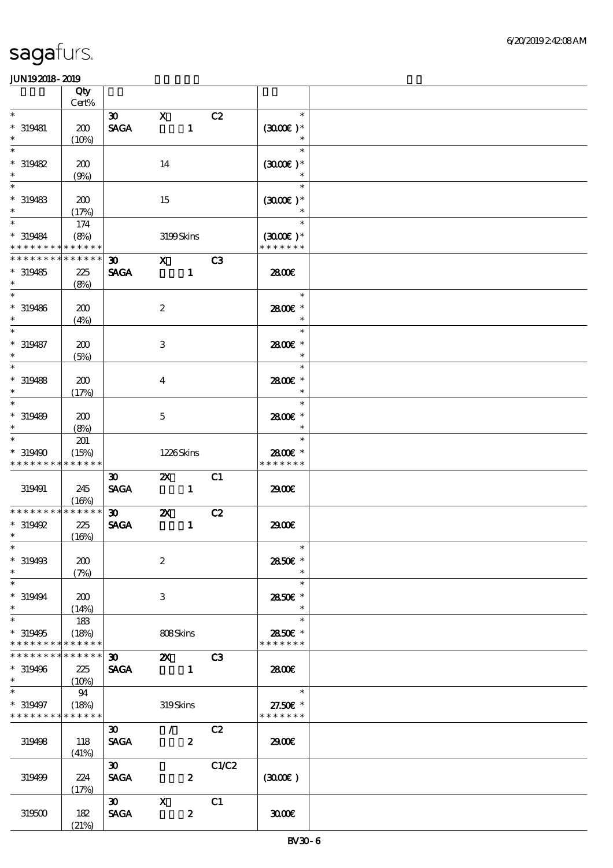|                                                          | Qty<br>$Cert\%$ |                                            |                             |                  |       |                             |  |
|----------------------------------------------------------|-----------------|--------------------------------------------|-----------------------------|------------------|-------|-----------------------------|--|
| $\ast$                                                   |                 |                                            |                             |                  |       | $\ast$                      |  |
| $*$ 319481<br>$\ast$                                     | 200<br>(10%)    | $\infty$<br><b>SAGA</b>                    | $\mathbf{x}$                | $\mathbf{1}$     | C2    | $(300E)*$<br>$\ast$         |  |
| $\ast$                                                   |                 |                                            |                             |                  |       | $\ast$                      |  |
| $*319482$<br>$\ast$                                      | 200<br>(9%)     |                                            | 14                          |                  |       | $(3000)$ *<br>$\ast$        |  |
| $\ast$                                                   |                 |                                            |                             |                  |       | $\ast$                      |  |
| $* 319483$<br>$\ast$                                     | 200<br>(17%)    |                                            | 15                          |                  |       | $(300E)*$                   |  |
|                                                          | 174             |                                            |                             |                  |       | $\ast$                      |  |
| $* 319484$<br>* * * * * * * * <mark>* * * * * *</mark> * | (8%)            |                                            | 3199Skins                   |                  |       | $(3000)$ *<br>* * * * * * * |  |
| * * * * * * * *                                          | * * * * * *     | $\boldsymbol{\mathfrak{D}}$                | $X$ $C3$                    |                  |       |                             |  |
| $*319485$<br>$\ast$                                      | 225<br>(8%)     | <b>SAGA</b>                                |                             | $\mathbf{1}$     |       | 2800€                       |  |
| $\ast$                                                   |                 |                                            |                             |                  |       | $\ast$                      |  |
| $* 319486$<br>$\ast$                                     | 200<br>(4%)     |                                            | $\boldsymbol{2}$            |                  |       | 2800€ *<br>$\ast$           |  |
| $\overline{\ast}$                                        |                 |                                            |                             |                  |       | $\ast$                      |  |
| $* 319487$<br>$\ast$                                     | 200<br>(5%)     |                                            | 3                           |                  |       | 2800€ *<br>$\ast$           |  |
| $\ast$                                                   |                 |                                            |                             |                  |       | $\ast$                      |  |
| $* 319488$<br>$\ast$                                     | 200<br>(17%)    |                                            | $\overline{\mathbf{4}}$     |                  |       | 2800€ *<br>$\ast$           |  |
| $\ast$                                                   |                 |                                            |                             |                  |       | $\ast$                      |  |
| $* 319489$<br>$\ast$                                     | 200<br>(8%)     |                                            | $\mathbf{5}$                |                  |       | 2800 £*<br>$\ast$           |  |
| $\ast$                                                   | 201             |                                            |                             |                  |       | $\ast$                      |  |
| * 319490                                                 | (15%)           |                                            | 1226Skins                   |                  |       | 2800€ *                     |  |
| * * * * * * * *                                          | * * * * * *     |                                            |                             |                  |       | * * * * * * *               |  |
|                                                          |                 | $\boldsymbol{\mathfrak{D}}$                | $\mathbf{z}$                |                  | C1    |                             |  |
| 319491                                                   | 245<br>(16%)    | <b>SAGA</b>                                | $\sim$ $\sim$ 1             |                  |       | 2900€                       |  |
| * * * * * * * *                                          |                 |                                            |                             |                  |       |                             |  |
|                                                          |                 |                                            |                             |                  |       |                             |  |
|                                                          | * * * * * *     | $\boldsymbol{\mathfrak{D}}$                | $\mathbf{z}$                |                  | C2    |                             |  |
| $*319492$                                                | 225             | <b>SAGA</b>                                |                             | $\mathbf{1}$     |       | 2900€                       |  |
| $\ast$                                                   | (16%)           |                                            |                             |                  |       |                             |  |
| $*$                                                      |                 |                                            |                             |                  |       | $\overline{\mathbf{r}}$     |  |
| * 319498                                                 | 200             |                                            | $\boldsymbol{2}$            |                  |       | 2850€ *                     |  |
| $\ast$                                                   | (7%)            |                                            |                             |                  |       | $\ast$                      |  |
| $\ast$<br>$* 319494$                                     | 200             |                                            | 3                           |                  |       | $\ast$<br>2850E *           |  |
| $\ast$                                                   | (14%)           |                                            |                             |                  |       | $\ast$                      |  |
| $\ast$                                                   | 183             |                                            |                             |                  |       | $\ast$                      |  |
| $*319495$                                                | (18%)           |                                            | 808Skins                    |                  |       | 2850€ *                     |  |
| * * * * * * * *                                          | * * * * * *     |                                            |                             |                  |       | * * * * * * *               |  |
| * * * * * * * *                                          | * * * * * *     | 30                                         | <b>2X</b> C3                |                  |       |                             |  |
| $*319496$                                                | 225             | <b>SAGA</b>                                |                             |                  |       | 2800€                       |  |
| $\ast$                                                   | (10%)           |                                            |                             |                  |       |                             |  |
| $\ast$                                                   | - 94            |                                            |                             |                  |       | $\overline{\phantom{a}}$    |  |
| $* 319497$<br>* * * * * * * * * * * * * *                | (18%)           |                                            | 319Skins                    |                  |       | 27.50€ *<br>* * * * * * *   |  |
|                                                          |                 |                                            |                             |                  |       |                             |  |
| 319498                                                   | 118             | $\boldsymbol{\mathfrak{D}}$<br><b>SAGA</b> | $\mathcal{F}^{\mathcal{F}}$ | $\boldsymbol{z}$ | C2    | 2900                        |  |
|                                                          | (41%)           |                                            |                             |                  |       |                             |  |
|                                                          |                 | $\boldsymbol{\mathfrak{D}}$                |                             |                  | C1/C2 |                             |  |
| 319499                                                   | 224             | <b>SAGA</b>                                |                             | $\boldsymbol{z}$ |       | (300)                       |  |
|                                                          | (17%)           |                                            |                             |                  |       |                             |  |
|                                                          |                 | $\infty$                                   | $\mathbf{X}$                |                  | C1    |                             |  |
| 319500                                                   | $182$<br>(21%)  | <b>SAGA</b>                                |                             | $\boldsymbol{z}$ |       | 3000                        |  |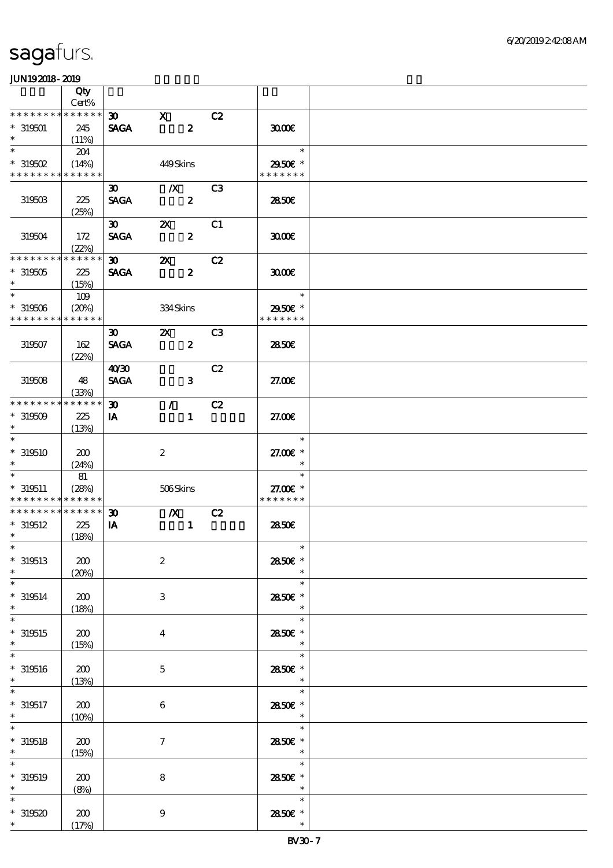|                                            | Qty                  |                             |                           |                  |                |                                      |  |
|--------------------------------------------|----------------------|-----------------------------|---------------------------|------------------|----------------|--------------------------------------|--|
|                                            | Cert%                |                             |                           |                  |                |                                      |  |
| * * * * * * * *                            | * * * * * *          | $\boldsymbol{\mathfrak{D}}$ | $\mathbf{x}$              |                  | C2             |                                      |  |
| $*319501$                                  | 245                  | <b>SAGA</b>                 |                           | $\boldsymbol{z}$ |                | 3000                                 |  |
| $\ast$                                     | (11%)                |                             |                           |                  |                |                                      |  |
| $\ast$                                     | 204                  |                             |                           |                  |                | $\ast$                               |  |
| $*$ 319502                                 | (14%)                |                             | 449Skins                  |                  |                | 2950E *                              |  |
| * * * * * * * * <mark>* * * * * *</mark>   |                      |                             |                           |                  |                | * * * * * * *                        |  |
|                                            |                      | $\boldsymbol{\mathfrak{D}}$ | $\mathbf{X}$              |                  | C <sub>3</sub> |                                      |  |
| $31950\%$                                  | 225                  | <b>SAGA</b>                 |                           | $\boldsymbol{z}$ |                | 2850E                                |  |
|                                            | (25%)                |                             |                           |                  |                |                                      |  |
|                                            |                      | $\boldsymbol{\mathfrak{D}}$ | $\boldsymbol{\mathsf{z}}$ |                  | C1             |                                      |  |
| 319504                                     | 172                  | <b>SAGA</b>                 |                           | $\boldsymbol{z}$ |                | 3000                                 |  |
|                                            | (22%)                |                             |                           |                  |                |                                      |  |
| * * * * * * * *                            | * * * * * *          | $\infty$                    | $\mathbf{X}$              |                  | C2             |                                      |  |
| $*319505$                                  | 225                  | <b>SAGA</b>                 |                           | $\boldsymbol{z}$ |                | 3000                                 |  |
| $\ast$                                     | (15%)                |                             |                           |                  |                |                                      |  |
| $\ast$                                     | 109                  |                             |                           |                  |                | $\mathcal{L}(\mathcal{L})$<br>$\ast$ |  |
| $*319506$                                  | (20%)                |                             | 334Skins                  |                  |                | 2950E *                              |  |
| * * * * * * * * * * * * * *                |                      |                             |                           |                  |                | * * * * * * *                        |  |
|                                            |                      | $\boldsymbol{\mathfrak{D}}$ | $\boldsymbol{\mathsf{Z}}$ |                  | C <sub>3</sub> |                                      |  |
| 319507                                     | 162                  | <b>SAGA</b>                 |                           | $\boldsymbol{z}$ |                | 2850E                                |  |
|                                            | (22%)                |                             |                           |                  |                |                                      |  |
|                                            |                      | 40'30                       |                           |                  | C2             |                                      |  |
|                                            |                      |                             |                           |                  |                |                                      |  |
| 319508                                     | 48                   | <b>SAGA</b>                 |                           | $\mathbf{3}$     |                | 27.00E                               |  |
| * * * * * * * *                            | (33%)<br>* * * * * * |                             |                           |                  |                |                                      |  |
|                                            |                      | $\boldsymbol{\mathfrak{D}}$ | $\mathcal{L}$             |                  | C2             |                                      |  |
| $*319509$<br>$\ast$                        | 225                  | IA                          |                           | $\mathbf{1}$     |                | 27.00E                               |  |
|                                            | (13%)                |                             |                           |                  |                |                                      |  |
| $\ast$                                     |                      |                             |                           |                  |                | $\ast$                               |  |
| $*319510$                                  | 200                  |                             | $\boldsymbol{2}$          |                  |                | 27.00 £*                             |  |
|                                            | (24%)                |                             |                           |                  |                | $\ast$                               |  |
| $\ast$                                     | 81                   |                             |                           |                  |                | $\ast$                               |  |
| $*319511$                                  | (28%)                |                             | 506Skins                  |                  |                | 27.00 £*                             |  |
| * * * * * * * * <mark>* * * * * *</mark> * |                      |                             |                           |                  |                | * * * * * * *                        |  |
| * * * * * * * * * * * * * *                |                      | $\boldsymbol{\mathfrak{D}}$ |                           | $\boldsymbol{X}$ | C2             |                                      |  |
| $*319512$                                  | 225                  | IA                          |                           | $\mathbf{1}$     |                | 2850E                                |  |
| $*$                                        | (18%)                |                             |                           |                  |                |                                      |  |
| $*$                                        |                      |                             |                           |                  |                | $\ast$                               |  |
| $*319513$                                  | 200                  |                             | $\boldsymbol{2}$          |                  |                | 2850€ *                              |  |
| $\ast$                                     | (20%)                |                             |                           |                  |                | $\ast$                               |  |
| $\ast$                                     |                      |                             |                           |                  |                | $\ast$                               |  |
| $*319514$                                  | 200                  |                             |                           |                  |                |                                      |  |
| $\ast$                                     |                      |                             | 3                         |                  |                | 2850E *                              |  |
| $\ast$                                     | (18%)                |                             |                           |                  |                | $\ast$                               |  |
|                                            |                      |                             |                           |                  |                | $\ast$                               |  |
| $*319515$                                  | 200                  |                             | $\overline{\mathbf{4}}$   |                  |                | 2850E *                              |  |
| $\ast$                                     | (15%)                |                             |                           |                  |                | $\ast$                               |  |
| $\ast$                                     |                      |                             |                           |                  |                | $\ast$                               |  |
| $* 319516$                                 | 200                  |                             | $\mathbf 5$               |                  |                | 2850E *                              |  |
| $\ast$                                     | (13%)                |                             |                           |                  |                | $\ast$                               |  |
|                                            |                      |                             |                           |                  |                | $\ast$                               |  |
| $*319517$                                  | 200                  |                             | $\boldsymbol{6}$          |                  |                | 2850 £*                              |  |
| $*$                                        | (10%)                |                             |                           |                  |                | $\ast$                               |  |
| $\ast$                                     |                      |                             |                           |                  |                | $\ast$                               |  |
|                                            |                      |                             |                           |                  |                |                                      |  |
| $\ast$                                     | 200                  |                             | $\boldsymbol{\tau}$       |                  |                | 2850E *<br>$\ast$                    |  |
| $\ast$                                     | (15%)                |                             |                           |                  |                | $\ast$                               |  |
|                                            |                      |                             |                           |                  |                |                                      |  |
| $* 319518$<br>$* 319519$<br>$\ast$         | 200                  |                             | $\bf 8$                   |                  |                | 2850€ *<br>$\ast$                    |  |
|                                            | (8%)                 |                             |                           |                  |                | $\ast$                               |  |
|                                            |                      |                             |                           |                  |                |                                      |  |
| $*319520$<br>$*$                           | 200<br>(17%)         |                             | $\boldsymbol{9}$          |                  |                | 2850E *<br>$\ast$                    |  |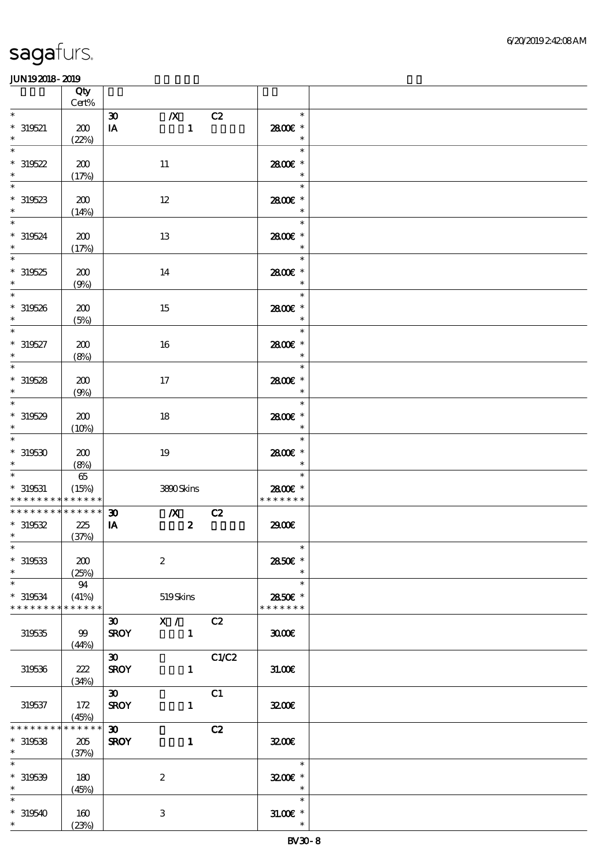|                                                             | Qty<br>Cert%                    |                                                        |                                  |       |                                                  |  |
|-------------------------------------------------------------|---------------------------------|--------------------------------------------------------|----------------------------------|-------|--------------------------------------------------|--|
| $\ast$                                                      |                                 | $\boldsymbol{\mathfrak{D}}$                            | $\boldsymbol{X}$                 | C2    | $\ast$                                           |  |
| $* 319521$<br>$\ast$                                        | 200<br>(22%)                    | IA                                                     | $\mathbf{1}$                     |       | 2800 £*<br>$\ast$                                |  |
| $\ast$<br>$*319522$<br>$\ast$                               | 200<br>(17%)                    |                                                        | 11                               |       | $\ast$<br>2800E *<br>$\ast$                      |  |
| $\ast$<br>$*319523$<br>$\ast$                               | 200<br>(14%)                    |                                                        | 12                               |       | $\ast$<br>2800€ *<br>$\ast$                      |  |
| $\overline{\ast}$<br>$* 319524$<br>$\ast$                   | 200<br>(17%)                    |                                                        | 13                               |       | $\ast$<br>2800€ *<br>$\ast$                      |  |
| $\ast$<br>$*319525$<br>$\ast$                               | 200<br>(9%)                     |                                                        | 14                               |       | $\ast$<br>2800€ *<br>$\ast$                      |  |
| $\overline{\phantom{0}}$<br>$*319526$<br>$\ast$             | 200<br>(5%)                     |                                                        | 15                               |       | $\ast$<br>2800 £*<br>$\ast$                      |  |
| $\overline{\phantom{0}}$<br>$* 319527$<br>$\ast$            | 200<br>(8%)                     |                                                        | 16                               |       | $\ast$<br>2800€ *<br>$\ast$                      |  |
| $\ast$<br>$*319528$<br>$\ast$<br>$\overline{\phantom{a}^*}$ | 200<br>(9%)                     |                                                        | $17$                             |       | $\ast$<br>2800€ *<br>$\ast$                      |  |
| $*319529$<br>$\ast$<br>$\overline{\phantom{0}}$             | 200<br>(10%)                    |                                                        | 18                               |       | $\ast$<br>2800 £*<br>$\ast$                      |  |
| $*319530$<br>$\ast$                                         | 200<br>(8%)                     |                                                        | 19                               |       | $\ast$<br>2800 £*<br>$\ast$                      |  |
| $\ast$<br>$*$ 319531<br>* * * * * * * * * * * * * *         | $6\!5$<br>(15%)                 |                                                        | 3800Skins                        |       | $\ast$<br>2800€ *<br>* * * * * * *               |  |
| * * * * * * * * * * * * * *<br>$*319532$<br>$*$             | 225<br>(37%)                    | $\boldsymbol{\mathfrak{D}}$<br>$\mathbf{I} \mathbf{A}$ | $\mathbf{X}$<br>$\boldsymbol{z}$ | C2    | 2900€                                            |  |
| $*$<br>$* 319533$<br>$\ast$                                 | 200<br>(25%)                    |                                                        | $\boldsymbol{2}$                 |       | $\overline{\phantom{a}}$<br>2850€ *              |  |
| $\ast$<br>$*319534$<br>* * * * * * * *                      | 94<br>(41%)<br>* * * * * *      |                                                        | 519Skins                         |       | $\ast$<br>2850€ *<br>* * * * * * *               |  |
| 319535                                                      | 99<br>(44%)                     | $\boldsymbol{\mathfrak{D}}$<br><b>SROY</b>             | X / C2<br>$\sim$ 1               |       | 3000                                             |  |
| 319536                                                      | 222<br>(34%)                    | $\infty$<br><b>SROY</b>                                | $\mathbf{1}$                     | C1/C2 | 31.00E                                           |  |
| 319537                                                      | 172<br>(45%)                    | $\infty$<br><b>SROY</b>                                | $\mathbf{1}$                     | C1    | 3200                                             |  |
| * * * * * * *<br>$*319538$<br>$*$ and $*$                   | * * * * * *<br>$205\,$<br>(37%) | $\infty$<br><b>SROY</b>                                | $\mathbf{1}$                     | C2    | 3200                                             |  |
| $\overline{\phantom{0}}$<br>$*319539$<br>$*$                | 180<br>(45%)                    |                                                        | $\boldsymbol{2}$                 |       | $\ast$<br>$3200$ $*$<br>$\overline{\phantom{a}}$ |  |
| $\ast$<br>$*319540$<br>$*$                                  | 160<br>(23%)                    |                                                        | $\,3\,$                          |       | $\ast$<br>$31.005*$<br>$\ast$                    |  |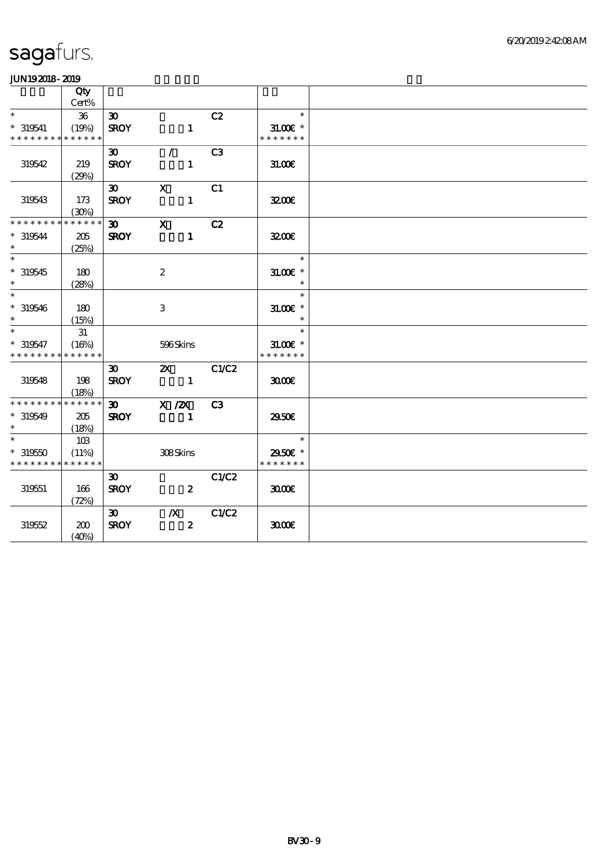|                                           | Qty<br>Cert% |                             |                                                                                                                                                                                                                                                                                                                                                                                                                                                                                 |                |                             |  |
|-------------------------------------------|--------------|-----------------------------|---------------------------------------------------------------------------------------------------------------------------------------------------------------------------------------------------------------------------------------------------------------------------------------------------------------------------------------------------------------------------------------------------------------------------------------------------------------------------------|----------------|-----------------------------|--|
| $\ast$                                    | 36           | $\boldsymbol{\mathfrak{D}}$ |                                                                                                                                                                                                                                                                                                                                                                                                                                                                                 | C2             | $\ast$                      |  |
| $* 319541$                                | (19%)        | <b>SROY</b>                 | $\mathbf{1}$                                                                                                                                                                                                                                                                                                                                                                                                                                                                    |                | $31.00E$ *                  |  |
| * * * * * * * * * * * * * *               |              |                             |                                                                                                                                                                                                                                                                                                                                                                                                                                                                                 |                | * * * * * * *               |  |
|                                           |              | $\boldsymbol{\mathfrak{D}}$ | $\mathcal{L}$                                                                                                                                                                                                                                                                                                                                                                                                                                                                   | C <sub>3</sub> |                             |  |
| 319542                                    | 219          | <b>SROY</b>                 | $\mathbf{1}$                                                                                                                                                                                                                                                                                                                                                                                                                                                                    |                | 31.00 <sub>E</sub>          |  |
|                                           | (29%)        |                             |                                                                                                                                                                                                                                                                                                                                                                                                                                                                                 |                |                             |  |
|                                           |              | $\boldsymbol{\mathfrak{D}}$ | $\mathbf{x}$                                                                                                                                                                                                                                                                                                                                                                                                                                                                    | C1             |                             |  |
| 319543                                    | 173          | <b>SROY</b>                 | $\mathbf{1}$                                                                                                                                                                                                                                                                                                                                                                                                                                                                    |                | 3200                        |  |
|                                           | (30%)        |                             |                                                                                                                                                                                                                                                                                                                                                                                                                                                                                 |                |                             |  |
| * * * * * * * *                           | * * * * * *  | $\boldsymbol{\mathfrak{D}}$ | $\mathbf{x}$                                                                                                                                                                                                                                                                                                                                                                                                                                                                    | C2             |                             |  |
| $* 319544$                                | 205          | <b>SROY</b>                 | $\mathbf{1}$                                                                                                                                                                                                                                                                                                                                                                                                                                                                    |                | 3200                        |  |
| $*$                                       | (25%)        |                             |                                                                                                                                                                                                                                                                                                                                                                                                                                                                                 |                |                             |  |
| $\ast$                                    |              |                             |                                                                                                                                                                                                                                                                                                                                                                                                                                                                                 |                | $\ast$                      |  |
| $*319545$                                 | 180          |                             | $\boldsymbol{2}$                                                                                                                                                                                                                                                                                                                                                                                                                                                                |                | $31.00E$ *                  |  |
| $\ast$<br>$\ast$                          | (28%)        |                             |                                                                                                                                                                                                                                                                                                                                                                                                                                                                                 |                | $\ast$                      |  |
|                                           |              |                             |                                                                                                                                                                                                                                                                                                                                                                                                                                                                                 |                | $\ast$                      |  |
| $*319546$<br>$\ast$                       | 180          |                             | 3                                                                                                                                                                                                                                                                                                                                                                                                                                                                               |                | $31.005*$<br>$\ast$         |  |
| $\ast$                                    | (15%)        |                             |                                                                                                                                                                                                                                                                                                                                                                                                                                                                                 |                | $\ast$                      |  |
|                                           | 31           |                             |                                                                                                                                                                                                                                                                                                                                                                                                                                                                                 |                |                             |  |
| $* 319547$<br>* * * * * * * * * * * * * * | (16%)        |                             | 596Skins                                                                                                                                                                                                                                                                                                                                                                                                                                                                        |                | $31.00E$ *<br>* * * * * * * |  |
|                                           |              | $\boldsymbol{\mathfrak{D}}$ | $\mathbf{z}$                                                                                                                                                                                                                                                                                                                                                                                                                                                                    | C1/C2          |                             |  |
| 319548                                    | 198          | <b>SROY</b>                 | $\overline{\phantom{a}}$ $\overline{\phantom{a}}$ $\overline{\phantom{a}}$ $\overline{\phantom{a}}$ $\overline{\phantom{a}}$ $\overline{\phantom{a}}$ $\overline{\phantom{a}}$ $\overline{\phantom{a}}$ $\overline{\phantom{a}}$ $\overline{\phantom{a}}$ $\overline{\phantom{a}}$ $\overline{\phantom{a}}$ $\overline{\phantom{a}}$ $\overline{\phantom{a}}$ $\overline{\phantom{a}}$ $\overline{\phantom{a}}$ $\overline{\phantom{a}}$ $\overline{\phantom{a}}$ $\overline{\$ |                | 3000                        |  |
|                                           | (18%)        |                             |                                                                                                                                                                                                                                                                                                                                                                                                                                                                                 |                |                             |  |
| * * * * * * * * * * * * * *               |              |                             | $30$ X $/2X$                                                                                                                                                                                                                                                                                                                                                                                                                                                                    | C <sub>3</sub> |                             |  |
| $*319549$                                 | 205          | <b>SROY</b>                 | $\mathbf{1}$                                                                                                                                                                                                                                                                                                                                                                                                                                                                    |                | 2950€                       |  |
| $\ast$                                    | (18%)        |                             |                                                                                                                                                                                                                                                                                                                                                                                                                                                                                 |                |                             |  |
| $\ast$                                    | 10B          |                             |                                                                                                                                                                                                                                                                                                                                                                                                                                                                                 |                | $\overline{\phantom{a}}$    |  |
| $*319550$                                 | (11%)        |                             | 308Skins                                                                                                                                                                                                                                                                                                                                                                                                                                                                        |                | 2950€ *                     |  |
| * * * * * * * * * * * * * *               |              |                             |                                                                                                                                                                                                                                                                                                                                                                                                                                                                                 |                | * * * * * * *               |  |
|                                           |              | $\boldsymbol{\mathfrak{D}}$ |                                                                                                                                                                                                                                                                                                                                                                                                                                                                                 | C1/C2          |                             |  |
| 319551                                    | 166          | <b>SROY</b>                 | $\boldsymbol{z}$                                                                                                                                                                                                                                                                                                                                                                                                                                                                |                | 3000                        |  |
|                                           | (72%)        |                             |                                                                                                                                                                                                                                                                                                                                                                                                                                                                                 |                |                             |  |
|                                           |              | $\boldsymbol{\mathfrak{D}}$ | $\boldsymbol{X}$                                                                                                                                                                                                                                                                                                                                                                                                                                                                | C1/C2          |                             |  |
| 319552                                    | 200          | <b>SROY</b>                 | $\boldsymbol{z}$                                                                                                                                                                                                                                                                                                                                                                                                                                                                |                | 3000                        |  |
|                                           | (40%)        |                             |                                                                                                                                                                                                                                                                                                                                                                                                                                                                                 |                |                             |  |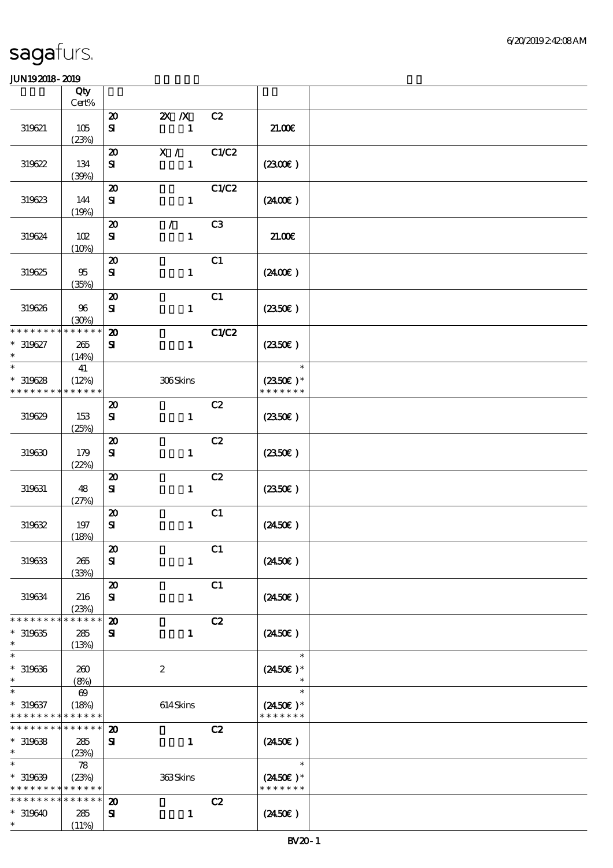|                                                             | Qty                   |                                            |                         |       |                                     |  |
|-------------------------------------------------------------|-----------------------|--------------------------------------------|-------------------------|-------|-------------------------------------|--|
|                                                             | Cert%                 | $\boldsymbol{\mathsf{20}}$                 |                         | C2    |                                     |  |
| 319621                                                      | $105$                 | ${\bf s}$                                  | $X$ $X$<br>$\mathbf{1}$ |       | 21.006                              |  |
|                                                             | (23%)                 |                                            |                         |       |                                     |  |
| 319622                                                      | 134                   | $\boldsymbol{\mathsf{20}}$<br>${\bf s}$    | X /<br>$\mathbf{1}$     | C1/C2 | (230)                               |  |
| 319623                                                      | (30%)<br>144          | $\boldsymbol{\mathsf{20}}$<br>${\bf s}$    | $\mathbf{1}$            | C1/C2 | (240E)                              |  |
|                                                             | (19%)                 | $\boldsymbol{\mathsf{20}}$                 | $\mathcal{L}$           | C3    |                                     |  |
| 319624                                                      | 102<br>(10%)          | $\mathbf{S}$                               | $\mathbf{1}$            |       | 21.00E                              |  |
| 319625                                                      | 95<br>(35%)           | $\boldsymbol{\mathfrak{D}}$<br>${\bf s}$   | $\mathbf{1}$            | C1    | $(2400\varepsilon)$                 |  |
| 319626                                                      | $96\,$<br>(30%)       | $\boldsymbol{\mathbf{z}}$<br>${\bf S\!I}$  | $\mathbf{1}$            | C1    | $(2350\epsilon)$                    |  |
| * * * * * * * *                                             | * * * * * *           | $\boldsymbol{\mathbf{z}}$                  |                         | C1/C2 |                                     |  |
| $* 319627$<br>$\ast$                                        | 265<br>(14%)          | ${\bf s}$                                  | $\mathbf{1}$            |       | (2350)                              |  |
| $\ast$                                                      | 41                    |                                            |                         |       | $\ast$                              |  |
| $*319628$<br>* * * * * * * *                                | (12%)<br>* * * * * *  |                                            | 306Skins                |       | $(2350\text{E})*$<br>* * * * * * *  |  |
| 319629                                                      | 153<br>(25%)          | $\boldsymbol{\mathfrak{D}}$<br>${\bf s}$   | $\mathbf{1}$            | C2    | (2350)                              |  |
| 319630                                                      | 179<br>(22%)          | $\boldsymbol{\mathsf{20}}$<br>$\mathbf{S}$ | $\mathbf{1}$            | C2    | $(2350\varepsilon)$                 |  |
| 319631                                                      | 48<br>(27%)           | $\boldsymbol{\mathbf{z}}$<br>${\bf s}$     | $\mathbf{1}$            | C2    | $(2350\epsilon)$                    |  |
| 319632                                                      | 197<br>(18%)          | $\boldsymbol{\mathsf{20}}$<br>${\bf s}$    | $\mathbf{1}$            | C1    | $(2450\epsilon)$                    |  |
| 319633                                                      | 265<br>(33%)          | $\pmb{\mathcal{Z}}$<br>${\bf s}$           | $\mathbf{1}$            | C1    | $(2450\epsilon)$                    |  |
| 319634                                                      | 216<br>(23%)          | $\boldsymbol{\mathbf{z}}$<br>${\bf s}$     | $\mathbf{1}$            | C1    | $(2450\epsilon)$                    |  |
| * * * * * * * *                                             | * * * * * *           | $\boldsymbol{\mathfrak{D}}$                |                         | C2    |                                     |  |
| $*319635$<br>$\ast$                                         | 285<br>(13%)          | ${\bf s}$                                  | $\mathbf{1}$            |       | $(2450\epsilon)$                    |  |
| $\ast$                                                      |                       |                                            |                         |       | $\ast$                              |  |
| $*319636$<br>$\ast$                                         | 260<br>(8%)           |                                            | $\boldsymbol{2}$        |       | $(2450\epsilon)$ *                  |  |
| $\ast$                                                      | $\boldsymbol{\omega}$ |                                            |                         |       | $\ast$                              |  |
| $* 319637$<br>* * * * * * * * * * * * * *                   | (18%)                 |                                            | 614Skins                |       | $(2450\epsilon)^*$<br>* * * * * * * |  |
| * * * * * * * *                                             | $* * * * * * *$       | $\boldsymbol{\mathfrak{D}}$                |                         | C2    |                                     |  |
| $*319638$<br>$\ast$                                         | 285<br>(23%)          | ${\bf s}$                                  | $\mathbf{1}$            |       | $(2450\epsilon)$                    |  |
| $\ast$<br>$*319639$                                         | 78<br>(23%)           |                                            | 363Skins                |       | $\ast$<br>$(2450\epsilon)$ *        |  |
| * * * * * * * * <mark>* * * * * *</mark><br>* * * * * * * * | * * * * * *           | $\boldsymbol{\mathbf{z}}$                  |                         | C2    | * * * * * * *                       |  |
| $*319640$                                                   | 285                   | ${\bf s}$                                  | $\mathbf{1}$            |       | $(2450\epsilon)$                    |  |
| $\ast$                                                      | (11%)                 |                                            |                         |       |                                     |  |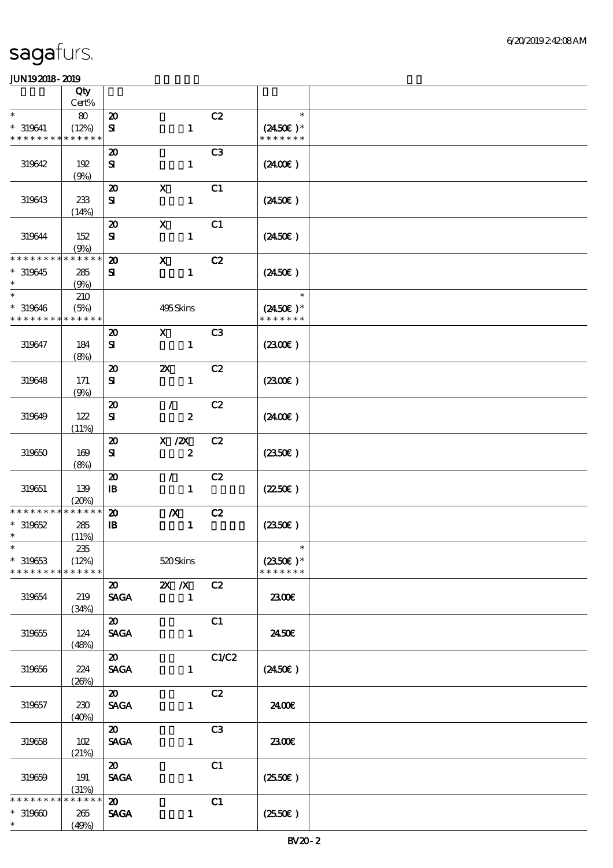|                               | Qty                  |                                            |                                             |                |                                     |  |
|-------------------------------|----------------------|--------------------------------------------|---------------------------------------------|----------------|-------------------------------------|--|
|                               | Cert%                |                                            |                                             |                |                                     |  |
| $\ast$                        | 80                   | $\boldsymbol{\mathbf{z}}$                  |                                             | C2             | $\ast$                              |  |
| $* 319641$<br>* * * * * * * * | (12%)<br>* * * * * * | ${\bf s}$                                  | $\mathbf{1}$                                |                | $(2450\epsilon)^*$<br>* * * * * * * |  |
|                               |                      | $\boldsymbol{\mathfrak{D}}$                |                                             | C <sub>3</sub> |                                     |  |
| 319642                        | 192                  | ${\bf s}$                                  | $\mathbf{1}$                                |                | (240E)                              |  |
|                               | (9%)                 |                                            |                                             |                |                                     |  |
|                               |                      | $\boldsymbol{\mathsf{20}}$                 | $\boldsymbol{\mathrm{X}}$                   | C1             |                                     |  |
| 319643                        | 233                  | ${\bf s}$                                  | $\mathbf{1}$                                |                | $(2450\epsilon)$                    |  |
|                               | (14%)                |                                            | $\mathbf X$                                 | C1             |                                     |  |
| 319644                        | 152                  | $\boldsymbol{\mathfrak{D}}$<br>${\bf s}$   | $\mathbf{1}$                                |                | $(2450\epsilon)$                    |  |
|                               | (9%)                 |                                            |                                             |                |                                     |  |
| * * * * * * * *               | * * * * * *          | $\boldsymbol{\mathbf{z}}$                  | $\mathbf X$                                 | C2             |                                     |  |
| $*319645$                     | 285                  | ${\bf s}$                                  | $\mathbf{1}$                                |                | $(2450\epsilon)$                    |  |
| $\ast$<br>$\ast$              | (9%)                 |                                            |                                             |                |                                     |  |
| $* 319646$                    | 210                  |                                            | 495Skins                                    |                | $\ast$<br>$(2450E)^*$               |  |
| * * * * * * * *               | (5%)<br>* * * * * *  |                                            |                                             |                | * * * * * * *                       |  |
|                               |                      | $\boldsymbol{\mathsf{20}}$                 | $\mathbf X$                                 | C <sub>3</sub> |                                     |  |
| 319647                        | 184                  | $\bf S$                                    | $\mathbf{1}$                                |                | (230E)                              |  |
|                               | (8%)                 |                                            |                                             |                |                                     |  |
|                               |                      | $\boldsymbol{\mathfrak{D}}$                | $\boldsymbol{\mathsf{z}}$                   | C2             |                                     |  |
| 319648                        | 171<br>(9%)          | ${\bf s}$                                  | $\mathbf{1}$                                |                | (230)                               |  |
|                               |                      | $\boldsymbol{\mathfrak{D}}$                | $\mathcal{L}$                               | C2             |                                     |  |
| 319649                        | 122                  | ${\bf s}$                                  | $\boldsymbol{z}$                            |                | $(2400\varepsilon)$                 |  |
|                               | (11%)                |                                            |                                             |                |                                     |  |
| 319650                        | 169                  | $\boldsymbol{\mathsf{20}}$                 | $X \, /ZX$<br>$\boldsymbol{z}$              | C2             |                                     |  |
|                               | (8%)                 | ${\bf s}$                                  |                                             |                | $(2350\varepsilon)$                 |  |
|                               |                      | $\boldsymbol{\mathbf{z}}$                  | $\mathcal{L}$                               | C2             |                                     |  |
| 319651                        | 139                  | $\mathbf{B}$                               | $\mathbf{1}$                                |                | $(2250\varepsilon)$                 |  |
| * * * * * * * *               | (20%)<br>* * * * * * |                                            |                                             |                |                                     |  |
| $*319652$                     | 285                  | $\boldsymbol{\mathbf{z}}$<br>$\mathbf{B}$  | $\boldsymbol{X}$<br>$\mathbf{1}$            | C2             | (2350)                              |  |
| $\ast$                        | (11%)                |                                            |                                             |                |                                     |  |
| $\ast$                        | $235\,$              |                                            |                                             |                | $\ast$                              |  |
| $*319653$                     | (12%)                |                                            | 520Skins                                    |                | $(2350\epsilon)*$                   |  |
| * * * * * * * *               | * * * * * *          |                                            |                                             |                | * * * * * * *                       |  |
| 319654                        | 219                  | $\boldsymbol{\mathsf{20}}$<br><b>SAGA</b>  | $\mathbf{X}$ $\mathbf{X}$<br>$\blacksquare$ | C2             | 2300€                               |  |
|                               | (34%)                |                                            |                                             |                |                                     |  |
|                               |                      | $\boldsymbol{\mathfrak{D}}$                |                                             | C1             |                                     |  |
| $319655\,$                    | 124                  | <b>SAGA</b>                                | $\mathbf{1}$                                |                | 2450E                               |  |
|                               | (48%)                |                                            |                                             |                |                                     |  |
| 319656                        | 224                  | $\boldsymbol{\mathfrak{D}}$<br><b>SAGA</b> | $\mathbf{1}$                                | C1/C2          | $(2450\epsilon)$                    |  |
|                               | (20%)                |                                            |                                             |                |                                     |  |
|                               |                      | $\boldsymbol{\mathfrak{D}}$                |                                             | C2             |                                     |  |
| 319657                        | 230                  | $\operatorname{\mathsf{SAGA}}$             | $\mathbf{1}$                                |                | 2400€                               |  |
|                               | (40%)                | $\boldsymbol{\mathfrak{D}}$                |                                             | C3             |                                     |  |
| 319658                        | 102                  | <b>SAGA</b>                                | $\mathbf{1}$                                |                | 2300E                               |  |
|                               | (21%)                |                                            |                                             |                |                                     |  |
|                               |                      | $\boldsymbol{\mathfrak{D}}$                |                                             | C1             |                                     |  |
| 319659                        | 191                  | <b>SAGA</b>                                | $\mathbf{1}$                                |                | $(2550\varepsilon)$                 |  |
| * * * * * * * *               | (31%)<br>* * * * * * | $\boldsymbol{\mathsf{20}}$                 |                                             | C1             |                                     |  |
| $*319600$                     | 265                  | <b>SAGA</b>                                | $\mathbf{1}$                                |                | $(2550\varepsilon)$                 |  |
| $\ast$                        | (49%)                |                                            |                                             |                |                                     |  |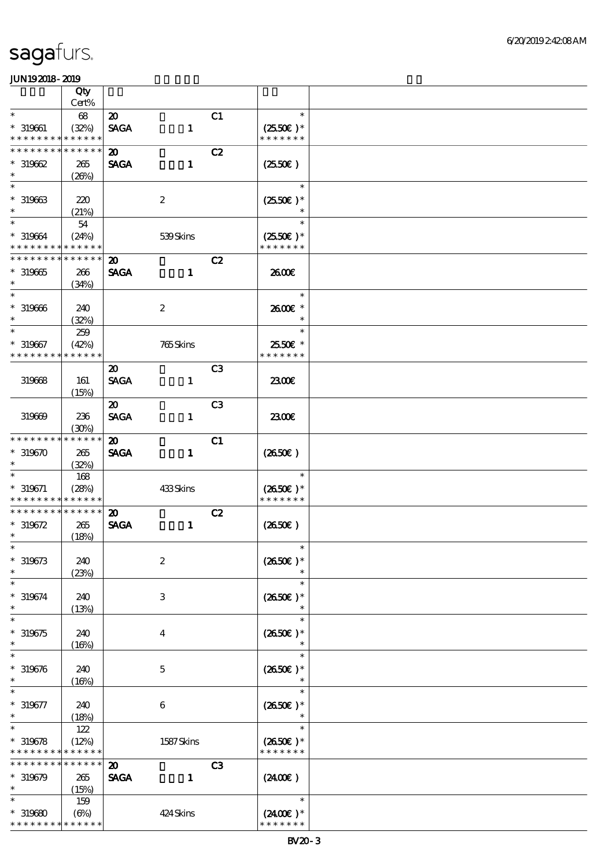|                                            | Qty                  |                             |                           |                |                                       |  |
|--------------------------------------------|----------------------|-----------------------------|---------------------------|----------------|---------------------------------------|--|
|                                            | Cert%                |                             |                           |                |                                       |  |
| $\ast$                                     | 68                   | $\boldsymbol{\mathfrak{D}}$ |                           | C1             | $\ast$                                |  |
| $* 319661$<br>* * * * * * * * * * * * * *  | (32%)                | <b>SAGA</b>                 | $\mathbf{1}$              |                | $(2550\varepsilon)*$<br>* * * * * * * |  |
| * * * * * * *                              | * * * * * *          | $\boldsymbol{\mathfrak{D}}$ |                           | C2             |                                       |  |
| $*319662$                                  | 265                  | <b>SAGA</b>                 | $\mathbf{1}$              |                | $(2550\varepsilon)$                   |  |
| $\ast$                                     | (20%)                |                             |                           |                |                                       |  |
| $\ast$                                     |                      |                             |                           |                | $\ast$                                |  |
| $* 319663$                                 | 220                  |                             | $\boldsymbol{2}$          |                | $(2550\epsilon)*$                     |  |
| $\ast$                                     | (21%)                |                             |                           |                | $\ast$                                |  |
| $\ast$                                     | 54                   |                             |                           |                | $\ast$                                |  |
| $* 319664$                                 | (24%)                |                             | 539Skins                  |                | $(2550E)*$                            |  |
| * * * * * * * * * * * * * *                |                      |                             |                           |                | * * * * * * *                         |  |
| * * * * * * * *                            | * * * * * *          | $\boldsymbol{\mathfrak{D}}$ |                           | C2             |                                       |  |
| $*319665$                                  | 266                  | <b>SAGA</b>                 | $\mathbf{1}$              |                | 2600E                                 |  |
| $\ast$                                     | (34%)                |                             |                           |                |                                       |  |
| $\ast$                                     |                      |                             |                           |                | $\ast$                                |  |
| $* 319666$                                 | 240                  |                             | $\boldsymbol{2}$          |                | 2600E *                               |  |
| $\ast$<br>$\ast$                           | (32%)                |                             |                           |                | $\ast$<br>$\ast$                      |  |
|                                            | 259                  |                             |                           |                |                                       |  |
| $* 319667$<br>* * * * * * * *              | (42%)<br>* * * * * * |                             | 765Skins                  |                | 2550€ *<br>* * * * * * *              |  |
|                                            |                      |                             |                           |                |                                       |  |
|                                            |                      | $\boldsymbol{\mathfrak{D}}$ |                           | C <sub>3</sub> |                                       |  |
| 319668                                     | 161                  | <b>SAGA</b>                 | $\mathbf{1}$              |                | 2300E                                 |  |
|                                            | (15%)                | $\boldsymbol{\mathfrak{D}}$ |                           | C <sub>3</sub> |                                       |  |
| 319669                                     | 236                  | <b>SAGA</b>                 | $\mathbf{1}$              |                | 2300E                                 |  |
|                                            | (30%)                |                             |                           |                |                                       |  |
| * * * * * * * *                            | * * * * * *          | $\boldsymbol{\mathfrak{D}}$ |                           | C1             |                                       |  |
| $*319670$                                  | 265                  | <b>SAGA</b>                 | $\mathbf{1}$              |                | $(2650\epsilon)$                      |  |
| $\ast$                                     | (32%)                |                             |                           |                |                                       |  |
| $\ast$                                     | 168                  |                             |                           |                | $\ast$                                |  |
| $* 319671$                                 | (28%)                |                             | 433Skins                  |                | $(2650E)*$                            |  |
| * * * * * * * * <mark>* * * * * *</mark> * |                      |                             |                           |                | * * * * * * *                         |  |
| * * * * * * * *                            | * * * * * *          | $\boldsymbol{\mathfrak{D}}$ |                           | C2             |                                       |  |
| $* 319672$                                 | 265                  | <b>SAGA</b>                 | $\mathbf{1}$              |                | $(2650\epsilon)$                      |  |
| $\ast$                                     | (18%)                |                             |                           |                |                                       |  |
| $*$                                        |                      |                             |                           |                | $\ast$                                |  |
| $* 319673$                                 | 240                  |                             | $\boldsymbol{2}$          |                | $(2650E)*$                            |  |
| $\ast$                                     | (23%)                |                             |                           |                |                                       |  |
| $\ast$                                     |                      |                             |                           |                | $\ast$                                |  |
| $* 319674$<br>$\ast$                       | 240                  |                             | $\ensuremath{\mathbf{3}}$ |                | $(2650E)*$                            |  |
| $\ast$                                     | (13%)                |                             |                           |                | $\ast$<br>$\ast$                      |  |
|                                            |                      |                             |                           |                |                                       |  |
| $*319675$<br>$\ast$                        | 240<br>(16%)         |                             | $\bf{4}$                  |                | $(2650E)*$<br>$\ast$                  |  |
| $\ast$                                     |                      |                             |                           |                | $\ast$                                |  |
| $* 319676$                                 | 240                  |                             | $\mathbf 5$               |                | $(2650\epsilon)*$                     |  |
| $\ast$                                     | (16%)                |                             |                           |                |                                       |  |
| $\ast$                                     |                      |                             |                           |                | $\ast$                                |  |
| $* 319677$                                 | 240                  |                             | 6                         |                | $(2650E)*$                            |  |
| $\ast$                                     | (18%)                |                             |                           |                |                                       |  |
| $\ast$                                     | 122                  |                             |                           |                | $\ast$                                |  |
| $* 319678$                                 | (12%)                |                             | 1587Skins                 |                | $(2650\epsilon)^*$                    |  |
| * * * * * * * *                            | * * * * * *          |                             |                           |                | * * * * * * *                         |  |
| * * * * * * * *                            | * * * * * *          | $\boldsymbol{\mathbf{z}}$   |                           | C <sub>3</sub> |                                       |  |
| $*319679$                                  | 265                  | <b>SAGA</b>                 | $\mathbf{1}$              |                | $(2400\varepsilon)$                   |  |
| $\ast$                                     | (15%)                |                             |                           |                |                                       |  |
| $\ast$                                     | 159                  |                             |                           |                | $\ast$                                |  |
| $*319680$                                  | (6%)                 |                             | 424Skins                  |                | $(2400)$ *                            |  |
| * * * * * * * * <mark>* * * * * *</mark>   |                      |                             |                           |                | * * * * * * *                         |  |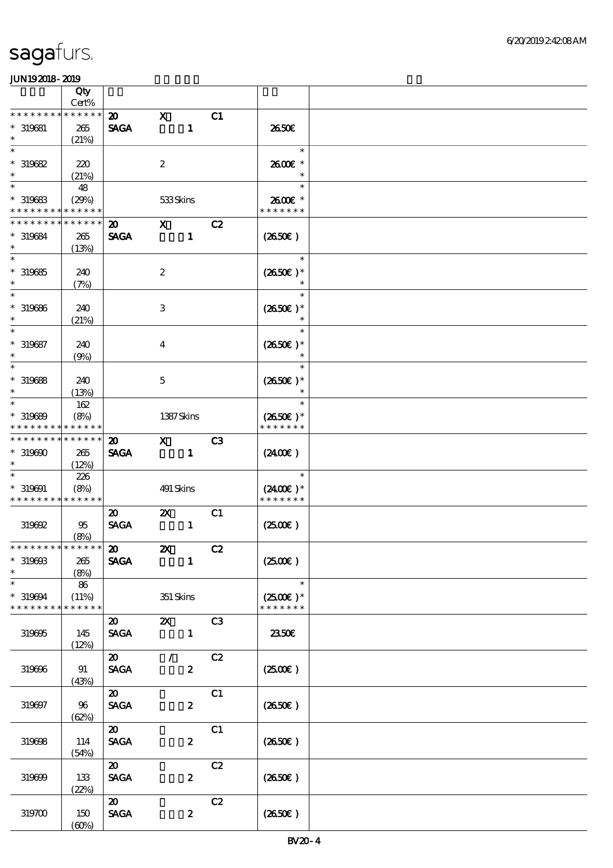|                                                       | Qty<br>Cert%               |                                                               |                           |                  |                |                                                                   |  |
|-------------------------------------------------------|----------------------------|---------------------------------------------------------------|---------------------------|------------------|----------------|-------------------------------------------------------------------|--|
| * * * * * * *                                         | * * * * * *                | $\boldsymbol{\mathfrak{D}}$                                   | $\mathbf x$               |                  | C1             |                                                                   |  |
| $* 319681$<br>$\ast$                                  | 265<br>(21%)               | <b>SAGA</b>                                                   |                           | $\mathbf{1}$     |                | 2650E                                                             |  |
| $\ast$<br>$*319682$<br>$\ast$                         | 220<br>(21%)               |                                                               | $\boldsymbol{z}$          |                  |                | $\ast$<br>2600€ *<br>$\ast$                                       |  |
| $\ast$<br>$*$ 319683<br>* * * * * * * *               | 48<br>(29%)<br>* * * * * * |                                                               | 533Skins                  |                  |                | $\ast$<br>2600€ *<br>* * * * * * *                                |  |
| * * * * * * * *                                       | * * * * * *                |                                                               |                           |                  |                |                                                                   |  |
| * 319684<br>$\ast$                                    | 265<br>(13%)               | $\boldsymbol{\mathfrak{D}}$<br><b>SAGA</b>                    | $\mathbf{x}$              | $\mathbf{1}$     | C2             | $(2650\epsilon)$                                                  |  |
| $\ast$<br>$*319685$<br>$\ast$                         | 240<br>(7%)                |                                                               | $\boldsymbol{2}$          |                  |                | $\ast$<br>$(2650E)*$<br>$\ast$                                    |  |
| $\ast$<br>$* 319686$<br>$\ast$                        | 240<br>(21%)               |                                                               | $\,3$                     |                  |                | $\ast$<br>$(2650E)*$                                              |  |
| $\ast$<br>$* 319687$<br>$\ast$                        | 240<br>(9%)                |                                                               | $\boldsymbol{4}$          |                  |                | $\ast$<br>$(2650E)*$                                              |  |
| $\ast$<br>$*$ 319688<br>$\ast$                        | 240<br>(13%)               |                                                               | $\mathbf 5$               |                  |                | $\ast$<br>$(2650\epsilon)*$<br>$\ast$                             |  |
| $\ast$<br>$* 319689$<br>* * * * * * * *               | 162<br>(8%)<br>* * * * * * |                                                               | 1387Skins                 |                  |                | $\ast$<br>$(2650\epsilon)*$<br>* * * * * * *                      |  |
| * * * * * * * * * * * * * *<br>$*319600$<br>$\ast$    | 265<br>(12%)               | $\boldsymbol{\mathfrak{D}}$<br><b>SAGA</b>                    | $\mathbf X$               | $\mathbf{1}$     | C <sub>3</sub> | (240E)                                                            |  |
| $* 319691$<br>* * * * * * * * * * * * * *             | 226<br>(8%)                |                                                               | 491 Skins                 |                  |                | $\ast$<br>$(2400\varepsilon)*$<br>* * * * * * *                   |  |
| 319692                                                | 95<br>(8%)                 | $\boldsymbol{\mathfrak{D}}$<br>$\operatorname{\mathsf{SAGA}}$ | $\boldsymbol{\mathsf{Z}}$ | $\mathbf{1}$     | C1             | (250E)                                                            |  |
| * * * * * * * * * * * * * * *<br>$*$ 319698<br>$\ast$ | 265<br>(8%)                | $\boldsymbol{\omega}$<br><b>SAGA</b>                          | $\boldsymbol{\mathsf{Z}}$ | $\mathbf{1}$     | C2             | $(2500\varepsilon)$                                               |  |
| $\ast$<br>$*319694$<br>* * * * * * * *                | 86<br>(11%)<br>* * * * * * |                                                               | 351 Skins                 |                  |                | $\overline{\phantom{a}}$<br>$(2500\varepsilon)*$<br>* * * * * * * |  |
| 319695                                                | 145<br>(12%)               | $\boldsymbol{\mathsf{20}}$<br><b>SAGA</b>                     | $\mathbf{x}$              | $\mathbf{1}$     | C3             | 2350E                                                             |  |
| 319696                                                | 91<br>(43%)                | $\boldsymbol{\mathsf{20}}$<br><b>SAGA</b>                     | $\mathcal{L}$             | $\boldsymbol{2}$ | C2             | $(2500\varepsilon)$                                               |  |
| 319697                                                | 96<br>(62%)                | $\boldsymbol{\mathfrak{D}}$<br>$\operatorname{\mathsf{SAGA}}$ |                           | $\boldsymbol{z}$ | C1             | (2650E)                                                           |  |
| 319698                                                | 114<br>(54%)               | $\boldsymbol{\mathfrak{D}}$<br><b>SAGA</b>                    |                           | $\boldsymbol{z}$ | C1             | $(2650\epsilon)$                                                  |  |
| 319699                                                | 133<br>(22%)               | $\boldsymbol{\mathfrak{D}}$<br><b>SAGA</b>                    |                           | $\boldsymbol{z}$ | C2             | $(2650\epsilon)$                                                  |  |
| 319700                                                | 150<br>(60%)               | $\boldsymbol{\mathfrak{D}}$<br><b>SAGA</b>                    |                           | $\boldsymbol{z}$ | C2             | (2650E)                                                           |  |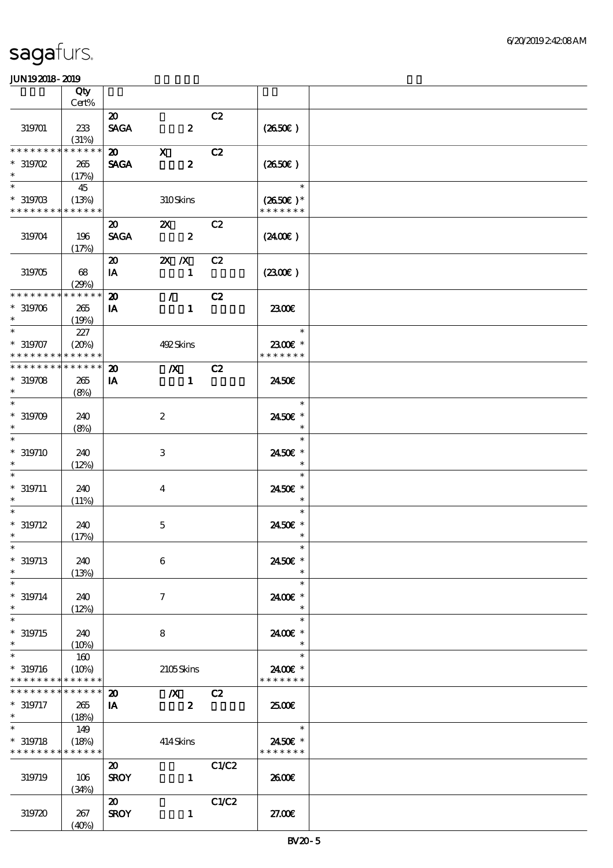|                                          | Qty             |                             |                         |       |                   |  |
|------------------------------------------|-----------------|-----------------------------|-------------------------|-------|-------------------|--|
|                                          | $Cert\%$        |                             |                         |       |                   |  |
|                                          |                 | $\boldsymbol{\mathfrak{D}}$ |                         | C2    |                   |  |
| 319701                                   | 233<br>(31%)    | <b>SAGA</b>                 | $\boldsymbol{z}$        |       | $(2650\epsilon)$  |  |
| * * * * * * * *                          | * * * * * *     | $\boldsymbol{\mathfrak{D}}$ | $\mathbf{x}$            | C2    |                   |  |
| $*$ 319702                               | 265             | <b>SAGA</b>                 | $\boldsymbol{z}$        |       | $(2650\epsilon)$  |  |
| $\ast$                                   | (17%)           |                             |                         |       |                   |  |
| $\ast$                                   | 45              |                             |                         |       | $\ast$            |  |
| $*319703$                                | (13%)           |                             | 310Skins                |       | $(2650\epsilon)*$ |  |
| * * * * * * * * * * * * * *              |                 |                             |                         |       | * * * * * * *     |  |
|                                          |                 | $\boldsymbol{\mathfrak{D}}$ | $\mathbf{x}$            | C2    |                   |  |
| 319704                                   | 196             | <b>SAGA</b>                 | $\overline{\mathbf{2}}$ |       | (2400)            |  |
|                                          | (17%)           |                             |                         |       |                   |  |
|                                          |                 | $\boldsymbol{\mathfrak{D}}$ | $X$ $X$                 | C2    |                   |  |
| 319705                                   | 68<br>(29%)     | IA                          | $\mathbf{1}$            |       | (230)             |  |
| * * * * * * * *                          | * * * * * *     | $\boldsymbol{\mathbf{z}}$   | $\mathcal{L}$           | C2    |                   |  |
| $*319706$                                | 265             | IA                          | $\mathbf{1}$            |       | 2300              |  |
| $\ast$                                   | (19%)           |                             |                         |       |                   |  |
| $\ast$                                   | 227             |                             |                         |       | $\ast$            |  |
| $* 319707$                               | (20%)           |                             | 492Skins                |       | 2300€ *           |  |
| * * * * * * * *                          | * * * * * *     |                             |                         |       | * * * * * * *     |  |
| * * * * * * * *                          | * * * * * *     | $\boldsymbol{\mathbf{z}}$   | $\overline{\mathbf{X}}$ | C2    |                   |  |
| $*319708$                                | 265             | IA                          | $\mathbf{1}$            |       | 2450E             |  |
| $\ast$                                   | (8%)            |                             |                         |       |                   |  |
| $\ast$                                   |                 |                             |                         |       | $\ast$            |  |
| $*319709$                                | 240             |                             | $\boldsymbol{2}$        |       | 2450€ *           |  |
| $\ast$                                   | (8%)            |                             |                         |       | $\ast$            |  |
| $\ast$                                   |                 |                             |                         |       | $\ast$            |  |
| $*319710$                                | 240             |                             | 3                       |       | 2450€ *           |  |
| $\ast$<br>$\ast$                         | (12%)           |                             |                         |       | $\ast$<br>$\ast$  |  |
| $* 319711$                               | 240             |                             |                         |       | 2450E *           |  |
| $\ast$                                   | (11%)           |                             | $\bf{4}$                |       | $\ast$            |  |
| $\ast$                                   |                 |                             |                         |       | $\ast$            |  |
| $* 319712$                               | 240             |                             | $\mathbf 5$             |       | 2450€ *           |  |
| $\ast$                                   | (17%)           |                             |                         |       | $\ast$            |  |
| $*$                                      |                 |                             |                         |       | $\ast$            |  |
| $* 319713$                               | 240             |                             | $\boldsymbol{6}$        |       | 2450€ *           |  |
| $\ast$                                   | (13%)           |                             |                         |       | $\ast$            |  |
| $\ast$                                   |                 |                             |                         |       | $\ast$            |  |
| $* 319714$                               | 240             |                             | 7                       |       | 2400 £*           |  |
| $\ast$                                   | (12%)           |                             |                         |       | $\ast$            |  |
| $\ast$                                   |                 |                             |                         |       | $\ast$            |  |
| $* 319715$<br>$\ast$                     | 240             |                             | 8                       |       | 2400€ *           |  |
| $\ast$                                   | (10%)           |                             |                         |       | $\ast$            |  |
| $* 319716$                               | 160<br>(10%)    |                             | 2105Skins               |       | 2400€ *           |  |
| * * * * * * * * * * * * * *              |                 |                             |                         |       | * * * * * * *     |  |
| * * * * * * * *                          | $* * * * * * *$ | $\boldsymbol{\mathbf{z}}$   | $\boldsymbol{X}$        | C2    |                   |  |
| $* 319717$                               | 265             | IA                          | $\boldsymbol{z}$        |       | 2500€             |  |
| $\ast$                                   | (18%)           |                             |                         |       |                   |  |
| $\ast$                                   | 149             |                             |                         |       | $\ast$            |  |
| $*319718$                                | (18%)           |                             | 414Skins                |       | 2450€ *           |  |
| * * * * * * * * <mark>* * * * * *</mark> |                 |                             |                         |       | * * * * * * *     |  |
|                                          |                 | $\boldsymbol{\mathfrak{D}}$ |                         | C1/C2 |                   |  |
| 319719                                   | 106             | <b>SROY</b>                 | $\mathbf{1}$            |       | 2600E             |  |
|                                          | (34%)           |                             |                         |       |                   |  |
|                                          |                 | $\boldsymbol{\omega}$       |                         | C1/C2 |                   |  |
| 319720                                   | 267             | <b>SROY</b>                 | $\mathbf{1}$            |       | 27.00E            |  |
|                                          | (40%)           |                             |                         |       |                   |  |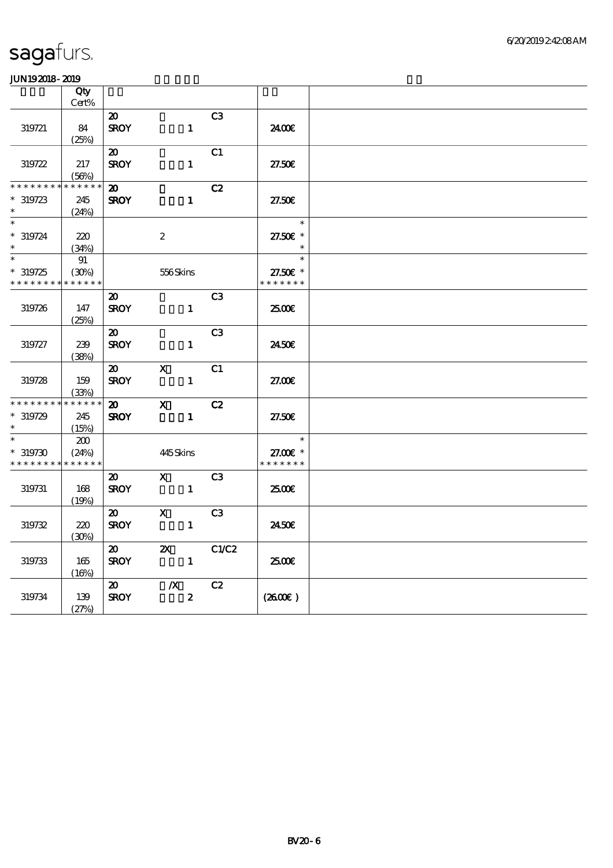|                 | Qty         |                             |                           |                  |               |  |
|-----------------|-------------|-----------------------------|---------------------------|------------------|---------------|--|
|                 | Cert%       |                             |                           |                  |               |  |
|                 |             | $\boldsymbol{\mathfrak{D}}$ |                           | C <sub>3</sub>   |               |  |
| 319721          | 84          | <b>SROY</b>                 |                           | $\mathbf{1}$     | 2400€         |  |
|                 | (25%)       |                             |                           |                  |               |  |
|                 |             | $\boldsymbol{\mathfrak{D}}$ |                           | C1               |               |  |
| 319722          | 217         | <b>SROY</b>                 |                           | $\mathbf{1}$     | 27.50€        |  |
|                 | (56%)       |                             |                           |                  |               |  |
| * * * * * * *   | * * * * * * | $\boldsymbol{\mathsf{20}}$  |                           | C2               |               |  |
| $*319723$       | 245         | <b>SROY</b>                 |                           | $\mathbf{1}$     | 27.50E        |  |
| $\ast$          | (24%)       |                             |                           |                  |               |  |
| $\ast$          |             |                             |                           |                  | $\ast$        |  |
| $* 319724$      | 220         |                             | $\boldsymbol{2}$          |                  | 27.50£ *      |  |
| $\ast$          | (34%)       |                             |                           |                  | $\ast$        |  |
| $\ast$          | 91          |                             |                           |                  | $\ast$        |  |
| $*319725$       | (30%)       |                             | 556Skins                  |                  | 27.50€ *      |  |
| * * * * * * * * | * * * * * * |                             |                           |                  | * * * * * * * |  |
|                 |             | $\boldsymbol{\mathfrak{D}}$ |                           | C <sub>3</sub>   |               |  |
| 319726          | 147         | <b>SROY</b>                 |                           | $\mathbf{1}$     | 2500€         |  |
|                 | (25%)       |                             |                           |                  |               |  |
|                 |             | $\boldsymbol{\mathfrak{D}}$ |                           | C <sub>3</sub>   |               |  |
| 319727          | 239         | <b>SROY</b>                 |                           | $\mathbf{1}$     | 2450E         |  |
|                 | (38%)       |                             |                           |                  |               |  |
|                 |             | $\boldsymbol{\mathsf{20}}$  | $\mathbf{X}$              | C1               |               |  |
| 319728          | 159         | <b>SROY</b>                 |                           | $\mathbf{1}$     | 27.00E        |  |
|                 | (33%)       |                             |                           |                  |               |  |
| * * * * * * * * | * * * * * * | $\boldsymbol{\mathsf{20}}$  | $\mathbf{x}$              | C2               |               |  |
| $*319729$       | 245         | <b>SROY</b>                 |                           | $\mathbf{1}$     | 27.50E        |  |
| $\ast$          | (15%)       |                             |                           |                  |               |  |
| $\ast$          | 200         |                             |                           |                  | $\ast$        |  |
| $*319730$       | (24%)       |                             | 445Skins                  |                  | 27.00 £*      |  |
| * * * * * * * * | * * * * * * |                             |                           |                  | * * * * * * * |  |
|                 |             | $\boldsymbol{\mathfrak{D}}$ | $\mathbf{X}$              | C3               |               |  |
| 319731          | 168         | <b>SROY</b>                 |                           | $\mathbf{1}$     | 2500€         |  |
|                 | (19%)       |                             |                           |                  |               |  |
|                 |             | 20                          | $\mathbf x$               | C <sub>3</sub>   |               |  |
| 319732          | $220$       | <b>SROY</b>                 |                           | $\mathbf{1}$     | 2450E         |  |
|                 | (30%)       |                             |                           |                  |               |  |
|                 |             | $\boldsymbol{\mathfrak{D}}$ | $\boldsymbol{\mathsf{X}}$ | C1/C2            |               |  |
| 319733          | 165         | <b>SROY</b>                 |                           | $\mathbf{1}$     | 2500€         |  |
|                 | (16%)       |                             |                           |                  |               |  |
|                 |             | $\boldsymbol{\mathfrak{D}}$ | $\boldsymbol{X}$          | C2               |               |  |
| 319734          | 139         | <b>SROY</b>                 |                           | $\boldsymbol{z}$ | (260E)        |  |
|                 | (27%)       |                             |                           |                  |               |  |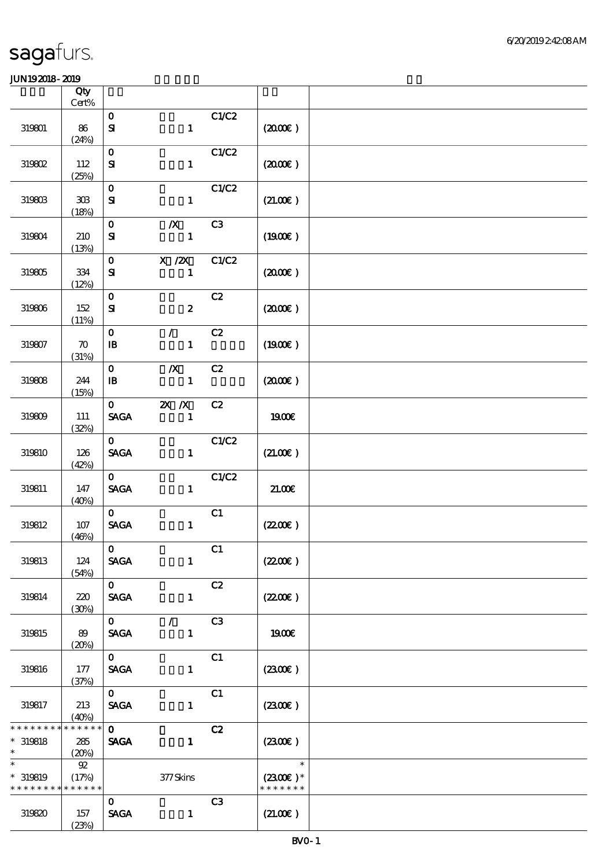|                                                     | Qty<br>Cert%                                       |                                                |                                  |       |                                       |  |
|-----------------------------------------------------|----------------------------------------------------|------------------------------------------------|----------------------------------|-------|---------------------------------------|--|
|                                                     |                                                    | $\mathbf{o}$                                   |                                  | C1/C2 |                                       |  |
| 319801                                              | 86<br>(24%)                                        | $\mathbf{S}$                                   | $\mathbf{1}$                     |       | (200E)                                |  |
| 319802                                              | 112                                                | $\mathbf 0$<br>${\bf S}$                       | $\mathbf{1}$                     | C1/C2 | (200E)                                |  |
| 319803                                              | (25%)<br>$\mathbf{3}\mathbf{0}\mathbf{B}$<br>(18%) | $\mathbf{o}$<br>${\bf s}$                      | $\mathbf{1}$                     | C1/C2 | (21.00)                               |  |
| 319804                                              | 210<br>(13%)                                       | $\mathbf{o}$<br>$\mathbf{S}$                   | $\boldsymbol{X}$<br>$\mathbf{1}$ | C3    | (1900)                                |  |
| 319805                                              | $334\,$<br>(12%)                                   | $\mathbf{O}$<br>${\bf s}$                      | $X$ / $ZX$<br>$\mathbf{1}$       | C1/C2 | (200E)                                |  |
| 319806                                              | 152<br>(11%)                                       | $\mathbf{o}$<br>$\mathbf{S}$                   | $\boldsymbol{z}$                 | C2    | (200E)                                |  |
| 319807                                              | $\boldsymbol{\pi}$<br>(31%)                        | $\mathbf{o}$<br>${\bf I\!B}$                   | $\mathcal{L}$<br>$\mathbf{1}$    | C2    | (1900)                                |  |
| 319808                                              | 244<br>(15%)                                       | $\mathbf{O}$<br>$\mathbf{B}$                   | $\boldsymbol{X}$<br>$\mathbf{1}$ | C2    | (200E)                                |  |
| 319809                                              | 111<br>(32%)                                       | $\mathbf{O}$<br><b>SAGA</b>                    | $X$ $N$<br>$\mathbf{1}$          | C2    | 1900€                                 |  |
| 319810                                              | 126<br>(42%)                                       | $\mathbf{O}$<br><b>SAGA</b>                    | $\mathbf{1}$                     | C1/C2 | (21.00)                               |  |
| 319811                                              | 147<br>(40%)                                       | $\mathbf{O}$<br>$\operatorname{\mathsf{SAGA}}$ | $\mathbf{1}$                     | C1/C2 | $21.00E$                              |  |
| 319812                                              | $107$<br>(46%)                                     | $\mathbf{O}$<br><b>SAGA</b>                    | $\mathbf{1}$                     | C1    | (220E)                                |  |
| 319813                                              | 124<br>(54%)                                       | $\mathbf{O}$<br><b>SAGA</b>                    | $\mathbf{1}$                     | C1    | (220E)                                |  |
| 319814                                              | 220<br>(30%)                                       | $\mathbf{O}$<br><b>SAGA</b>                    | $\mathbf{1}$                     | C2    | (220E)                                |  |
| 319815                                              | 89<br>(20%)                                        | $\overline{\mathbf{o}}$<br><b>SAGA</b>         | $\mathcal{L}$<br>$\mathbf{1}$    | C3    | <b>1900€</b>                          |  |
| 319816                                              | 177<br>(37%)                                       | $\mathbf{O}$<br><b>SAGA</b>                    | $\mathbf{1}$                     | C1    | (230)                                 |  |
| 319817                                              | 213<br>(40%)                                       | $\mathbf{O}$<br>$\operatorname{\mathsf{SAGA}}$ | $\mathbf{1}$                     | C1    | (230E)                                |  |
| * * * * * * * *<br>$*$ 319818<br>$\ast$             | * * * * * *<br>285<br>(20%)                        | $\mathbf{O}$<br><b>SAGA</b>                    | $\mathbf{1}$                     | C2    | (2300)                                |  |
| $\ast$<br>$*$ 319819<br>* * * * * * * * * * * * * * | 92<br>(17%)                                        |                                                | $377$ Skins                      |       | $\ast$<br>$(2300)$ *<br>* * * * * * * |  |
| 319820                                              | 157<br>(23%)                                       | $\mathbf{O}$<br><b>SAGA</b>                    | $\mathbf{1}$                     | C3    | (21.00)                               |  |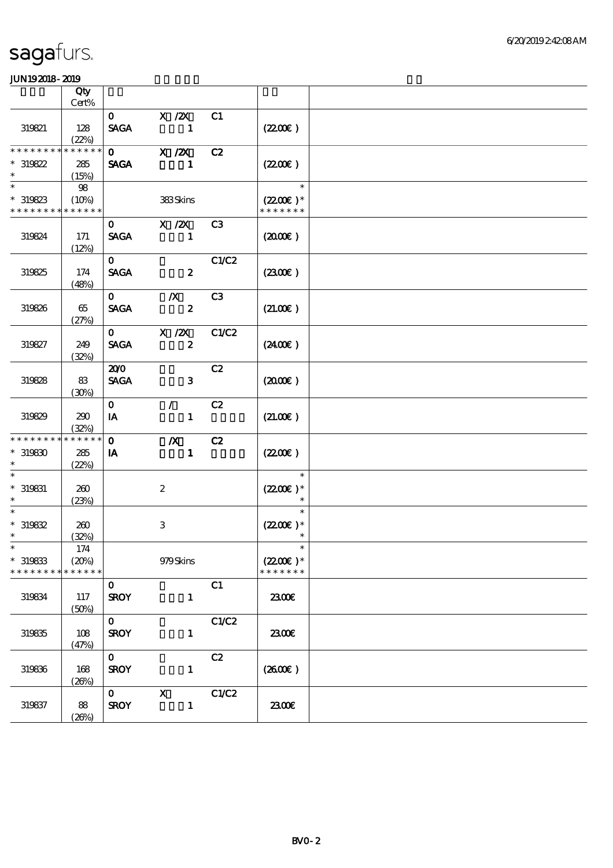|                                                                 | Qty<br>Cert%                    |                             |                                               |                |                                                 |  |
|-----------------------------------------------------------------|---------------------------------|-----------------------------|-----------------------------------------------|----------------|-------------------------------------------------|--|
| 319821                                                          | 128<br>(22%)                    | $\mathbf{O}$<br><b>SAGA</b> | $X$ / $ZX$<br>$\sim$ 1                        | C1             | (220E)                                          |  |
| * * * * * * * *<br>$*319822$<br>$\ast$                          | * * * * * *<br>285<br>(15%)     | $\mathbf{O}$<br><b>SAGA</b> | X / ZX<br>$\mathbf 1$                         | C2             | (220E)                                          |  |
| $\ast$<br>$*319823$<br>* * * * * * * * <mark>* * * * * *</mark> | 98<br>(10%)                     |                             | 383Skins                                      |                | $\ast$<br>$(2200\varepsilon)*$<br>* * * * * * * |  |
| 319824                                                          | 171<br>(12%)                    | $\mathbf{O}$<br><b>SAGA</b> | $X$ / $ZX$<br>-1                              | C <sub>3</sub> | $(2000\varepsilon)$                             |  |
| 319825                                                          | 174<br>(48%)                    | $\mathbf{O}$<br><b>SAGA</b> | $\mathbf{2}$                                  | C1/C2          | (230E)                                          |  |
| 319826                                                          | 65<br>(27%)                     | $\mathbf{O}$<br><b>SAGA</b> | $\mathbf{X}$<br>$\overline{\mathbf{2}}$       | C3             | (21.00)                                         |  |
| 319827                                                          | 249<br>(32%)                    | $\mathbf{O}$<br><b>SAGA</b> | $\overline{X}$ /2X<br>$\overline{\mathbf{2}}$ | C1/C2          | (240E)                                          |  |
| 319828                                                          | 83<br>(30%)                     | 200<br><b>SAGA</b>          | $\mathbf{3}$                                  | C2             | (200E)                                          |  |
| 319829                                                          | 290<br>(32%)                    | $\mathbf{o}$<br>IA          | $\mathcal{L}$<br>$\mathbf{1}$                 | C2             | (21.00)                                         |  |
| * * * * * * * *<br>$*319830$<br>$\ast$                          | $******$<br>285<br>(22%)        | $\mathbf{O}$<br>IA          | $\boldsymbol{X}$<br>$\mathbf{1}$              | C2             | (220E)                                          |  |
| $\ast$<br>$*$ 319831<br>$\ast$                                  | 260<br>(23%)                    |                             | $\boldsymbol{2}$                              |                | $\ast$<br>$(2200)$ *                            |  |
| $\ast$<br>$*319832$<br>$\ast$                                   | 260<br>(32%)                    |                             | $\,3$                                         |                | $\ast$<br>$(2200)$ *                            |  |
| $*$<br>$*$ 319833<br>* * * * * * * *                            | $174\,$<br>(20%)<br>* * * * * * |                             | 979Skins                                      |                | $\ast$<br>$(220E)^*$<br>* * * * * * *           |  |
| 319834                                                          | 117<br>(50%)                    | $\mathbf{o}$<br><b>SROY</b> | $\mathbf{1}$                                  | C1             | 2300€                                           |  |
| 319835                                                          | 108<br>(47%)                    | $\mathbf{O}$<br><b>SROY</b> | $\mathbf{1}$                                  | C1/C2          | 2300E                                           |  |
| 319836                                                          | 168<br>(20%)                    | $\mathbf{O}$<br><b>SROY</b> | $\mathbf{1}$                                  | C2             | (260E)                                          |  |
| 319837                                                          | 88<br>(20%)                     | $\mathbf{0}$<br><b>SROY</b> | $\mathbf x$<br>$\mathbf{1}$                   | C1/C2          | 2300E                                           |  |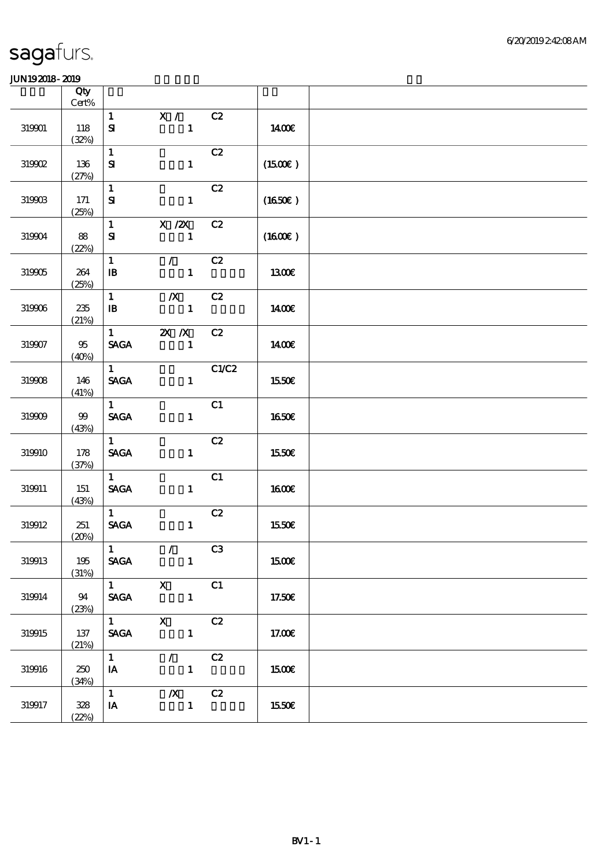|            | Qty<br>Cert%    |                                              |                                             |       |                     |  |
|------------|-----------------|----------------------------------------------|---------------------------------------------|-------|---------------------|--|
| 319901     | 118<br>(32%)    | $\mathbf{1}$<br>${\bf S}$                    | X /<br>$\mathbf{1}$                         | C2    | 1400€               |  |
| 319902     | 136<br>(27%)    | $\mathbf{1}$<br>${\bf S}$                    | $\mathbf{1}$                                | C2    | $(1500\varepsilon)$ |  |
| 319903     | 171<br>(25%)    | $\mathbf{1}$<br>${\bf S\!I}$                 | $\mathbf{1}$                                | C2    | (1650)              |  |
| 319904     | 88<br>(22%)     | $\mathbf{1}$<br>${\bf s}$                    | $X$ / $ZX$<br>$\mathbf{1}$                  | C2    | $(1600\varepsilon)$ |  |
| 319905     | 264<br>(25%)    | $\mathbf{1}$<br>$\mathbf{B}$                 | $\mathcal{L}$<br>$\mathbf{1}$               | C2    | 1300E               |  |
| $319906\,$ | 235<br>(21%)    | $\mathbf{1}$<br>$\mathbf{B}$                 | $\boldsymbol{X}$<br>$\blacksquare$          | C2    | 1400E               |  |
| 319907     | $95\,$<br>(40%) | $1 \qquad \qquad$<br><b>SAGA</b>             | $X$ $X$<br>$\sim$ $\sim$ 1                  | C2    | <b>140€</b>         |  |
| 319908     | 146<br>(41%)    | $1 -$<br><b>SAGA</b>                         | $\mathbf{1}$                                | C1/C2 | 1550€               |  |
| 319909     | $99$<br>(43%)   | $\mathbf{1}$<br><b>SAGA</b>                  | $\mathbf{1}$                                | C1    | 1650€               |  |
| 319910     | 178<br>(37%)    | $\mathbf{1}$<br><b>SAGA</b>                  | $\mathbf{1}$                                | C2    | 1550€               |  |
| 319911     | 151<br>(43%)    | $1 -$<br><b>SAGA</b>                         | $\mathbf{1}$                                | C1    | 1600E               |  |
| 319912     | 251<br>(20%)    | $\mathbf{1}$<br>$\ensuremath{\mathsf{SAGA}}$ | $\mathbf{1}$                                | C2    | 1550€               |  |
| 319913     | 195<br>(31%)    | $\lceil 1 \rceil$<br><b>SAGA</b>             | $\mathcal{L}$<br>$\sim$ 1                   | C3    | 1500€               |  |
| 319914     | 94<br>(23%)     | $\overline{1}$ X<br><b>SAGA</b>              |                                             | C1    | 17.50€              |  |
| 319915     | 137<br>(21%)    | <b>SAGA</b>                                  | $1$ X C2<br>$\mathbf{1}$                    |       | 17.00E              |  |
| 319916     | 250<br>(34%)    | $1 -$<br>$I$ A                               | $\mathcal{L}$ and $\mathcal{L}$<br>$\sim$ 1 | C2    | <b>1500€</b>        |  |
| 319917     | 328<br>(22%)    | 1<br>IA                                      | $/X$ $C2$<br>$\blacksquare$                 |       | 1550€               |  |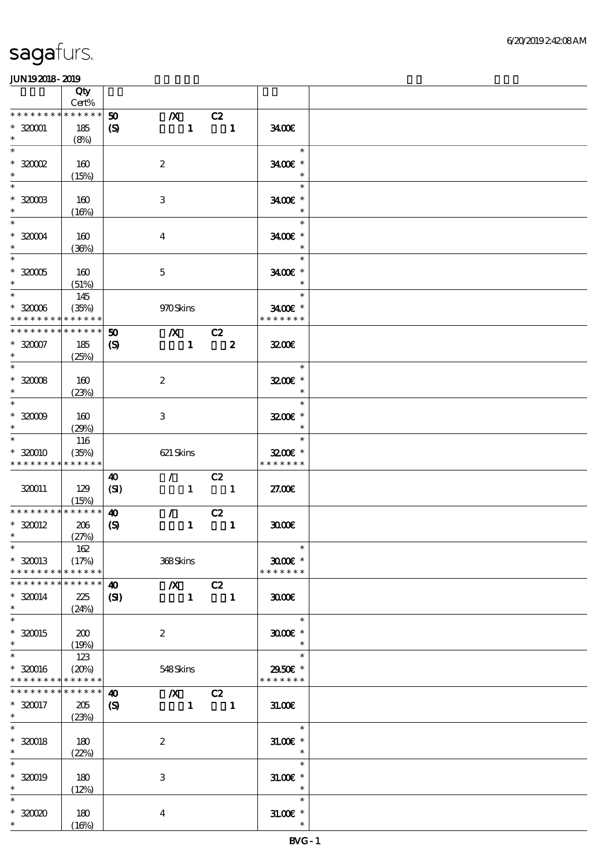|                             | Qty<br>Cert% |                             |                               |              |                          |                     |  |
|-----------------------------|--------------|-----------------------------|-------------------------------|--------------|--------------------------|---------------------|--|
| * * * * * * * *             | * * * * * *  |                             |                               |              |                          |                     |  |
|                             |              | 50                          | $\boldsymbol{X}$              |              | C2                       |                     |  |
| $*32001$                    | 185          | $\boldsymbol{\mathrm{(S)}}$ |                               | $\mathbf{1}$ | $\blacksquare$           | 3400                |  |
| $\ast$                      | (8%)         |                             |                               |              |                          |                     |  |
| $\ast$                      |              |                             |                               |              |                          | $\ast$              |  |
| $*32002$                    | 160          |                             | $\boldsymbol{2}$              |              |                          | 3400€ *             |  |
| $\ast$                      | (15%)        |                             |                               |              |                          | $\ast$              |  |
| $\ast$                      |              |                             |                               |              |                          | $\ast$              |  |
| $*3200B$                    | 160          |                             | 3                             |              |                          | 3400€ *             |  |
| $\ast$                      | (16%)        |                             |                               |              |                          | $\ast$              |  |
| $\ast$                      |              |                             |                               |              |                          | $\ast$              |  |
| $*32004$                    |              |                             |                               |              |                          |                     |  |
| $\ast$                      | 160          |                             | $\boldsymbol{4}$              |              |                          | 3400€ *<br>$\ast$   |  |
| $\overline{\phantom{0}}$    | (36%)        |                             |                               |              |                          |                     |  |
|                             |              |                             |                               |              |                          | $\ast$              |  |
| $*32005$                    | 160          |                             | $\mathbf 5$                   |              |                          | 3400€ *             |  |
| $\ast$                      | (51%)        |                             |                               |              |                          | $\ast$              |  |
| $\ast$                      | 145          |                             |                               |              |                          | $\ast$              |  |
| $^\ast$ 32006               | (35%)        |                             | 970Skins                      |              |                          | 3400€ *             |  |
| * * * * * * * *             | * * * * * *  |                             |                               |              |                          | * * * * * * *       |  |
| * * * * * * * *             | * * * * * *  | 50                          | $\overline{X}$ C <sub>2</sub> |              |                          |                     |  |
| $* 32007$                   | 185          | $\boldsymbol{\mathrm{(S)}}$ |                               | $\mathbf{1}$ | $\overline{\mathbf{z}}$  | 3200                |  |
| $\ast$                      | (25%)        |                             |                               |              |                          |                     |  |
| $\ast$                      |              |                             |                               |              |                          | $\ast$              |  |
| $*30008$                    | 160          |                             | $\boldsymbol{z}$              |              |                          | $3200$ $*$          |  |
| $\ast$                      | (23%)        |                             |                               |              |                          | $\ast$              |  |
| $\ast$                      |              |                             |                               |              |                          | $\ast$              |  |
|                             |              |                             |                               |              |                          | 3200E *             |  |
| $*30009$<br>$\ast$          | 160          |                             | $\ensuremath{\mathsf{3}}$     |              |                          | $\ast$              |  |
| $\ast$                      | (29%)        |                             |                               |              |                          | $\ast$              |  |
|                             | 116          |                             |                               |              |                          |                     |  |
| * 320010                    | (35%)        |                             | 621 Skins                     |              |                          | $3200$ $\epsilon$ * |  |
| * * * * * * * *             | * * * * * *  |                             |                               |              |                          | * * * * * * *       |  |
|                             |              | 40                          |                               |              | $\sqrt{C^2}$             |                     |  |
| 320011                      | 129          | (SI)                        |                               |              | $1 \quad 1$              | 27.00E              |  |
|                             | (15%)        |                             |                               |              |                          |                     |  |
| * * * * * * * * * * * * * * |              | $\boldsymbol{\omega}$       | $\mathcal{L}$                 |              | C2                       |                     |  |
| $*320012$                   | 206          | $\boldsymbol{\mathrm{(S)}}$ |                               | $\mathbf{1}$ | $\overline{\phantom{a}}$ | 3000                |  |
| $\ast$                      | (27%)        |                             |                               |              |                          |                     |  |
| $*$                         | 162          |                             |                               |              |                          | $\ast$              |  |
| $*320013$                   | (17%)        |                             | 368Skins                      |              |                          | $3000$ $*$          |  |
| * * * * * * * *             | * * * * * *  |                             |                               |              |                          | * * * * * * *       |  |
| * * * * * * * *             | * * * * * *  | $\boldsymbol{\omega}$       | $\overline{X}$ C <sub>2</sub> |              |                          |                     |  |
| $* 320014$                  | 225          | $\mathbf{C}$                |                               | $\mathbf{1}$ | $\blacksquare$           | 3000                |  |
| $\ast$                      | (24%)        |                             |                               |              |                          |                     |  |
| $\ast$                      |              |                             |                               |              |                          | $\ast$              |  |
| $*320015$                   | 200          |                             | $\boldsymbol{z}$              |              |                          | $3000$ $*$          |  |
| $\ast$                      | (19%)        |                             |                               |              |                          | $\ast$              |  |
| $\ast$                      | 123          |                             |                               |              |                          | $\ast$              |  |
| $*320016$                   | (20%)        |                             | 548Skins                      |              |                          | 2950€ *             |  |
| * * * * * * * *             | * * * * * *  |                             |                               |              |                          | * * * * * * *       |  |
| * * * * * * * *             | ******       | $\boldsymbol{\omega}$       |                               |              | $/X$ $C2$                |                     |  |
|                             |              |                             |                               |              |                          |                     |  |
| $*320017$<br>$*$ and $*$    | 205          | $\boldsymbol{\mathcal{S}}$  | $\sim 1$                      |              | $\overline{\phantom{a}}$ | 31.00               |  |
| $\overline{\ast}$           | (23%)        |                             |                               |              |                          |                     |  |
|                             |              |                             |                               |              |                          | $\ast$              |  |
| $* 320018$                  | 180          |                             | $\boldsymbol{2}$              |              |                          | $31.005*$           |  |
| $\ast$                      | (22%)        |                             |                               |              |                          | $\ast$              |  |
| $\ast$                      |              |                             |                               |              |                          | $\ast$              |  |
| $*320019$                   | 180          |                             | $\,3$                         |              |                          | $31.00E$ *          |  |
| $\ast$                      | (12%)        |                             |                               |              |                          | $\ast$              |  |
| $\ast$                      |              |                             |                               |              |                          | $\ast$              |  |
| $*3000$                     | 180          |                             | $\boldsymbol{4}$              |              |                          | $31.005*$           |  |
| $\ast$                      | (16%)        |                             |                               |              |                          | $\ast$              |  |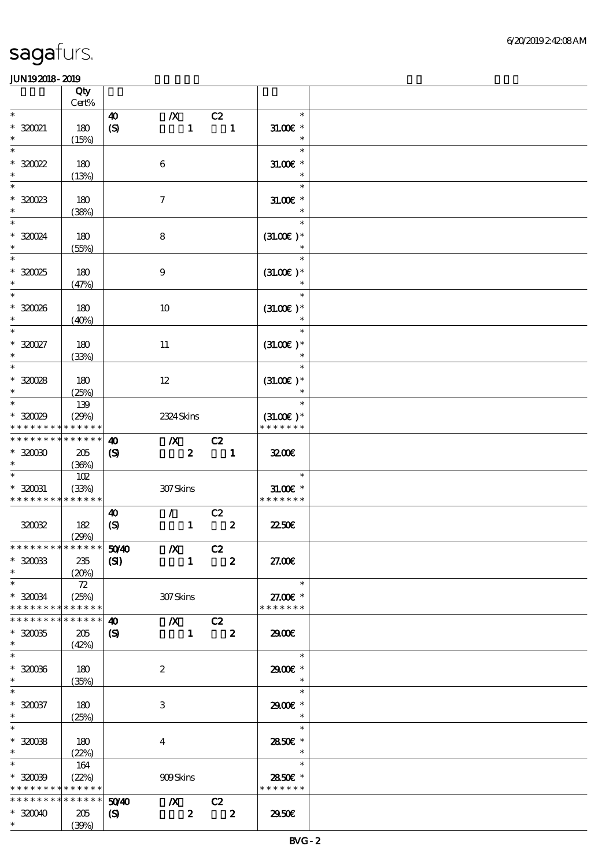|                               | Qty<br>Cert%    |                             |                               |                                                                                                                                                                                                                                                                                                                                                                                                                                                                                 |               |  |
|-------------------------------|-----------------|-----------------------------|-------------------------------|---------------------------------------------------------------------------------------------------------------------------------------------------------------------------------------------------------------------------------------------------------------------------------------------------------------------------------------------------------------------------------------------------------------------------------------------------------------------------------|---------------|--|
| $\ast$                        |                 | 40                          | $\boldsymbol{X}$              | C2                                                                                                                                                                                                                                                                                                                                                                                                                                                                              | $\ast$        |  |
| $*32021$                      | 180             |                             | $\mathbf{1}$                  | $\blacksquare$                                                                                                                                                                                                                                                                                                                                                                                                                                                                  | $31.005*$     |  |
| $\ast$                        |                 | $\boldsymbol{S}$            |                               |                                                                                                                                                                                                                                                                                                                                                                                                                                                                                 | $\ast$        |  |
| $\ast$                        | (15%)           |                             |                               |                                                                                                                                                                                                                                                                                                                                                                                                                                                                                 | $\ast$        |  |
|                               |                 |                             |                               |                                                                                                                                                                                                                                                                                                                                                                                                                                                                                 |               |  |
| $*30022$                      | 180             |                             | $\boldsymbol{6}$              |                                                                                                                                                                                                                                                                                                                                                                                                                                                                                 | $31.00E$ *    |  |
| $\ast$                        | (13%)           |                             |                               |                                                                                                                                                                                                                                                                                                                                                                                                                                                                                 | $\ast$        |  |
| $\ast$                        |                 |                             |                               |                                                                                                                                                                                                                                                                                                                                                                                                                                                                                 | $\ast$        |  |
| $*30023$                      | 180             |                             | $\tau$                        |                                                                                                                                                                                                                                                                                                                                                                                                                                                                                 | $31.005*$     |  |
| $\ast$                        | (38%)           |                             |                               |                                                                                                                                                                                                                                                                                                                                                                                                                                                                                 | $\ast$        |  |
| $\ast$                        |                 |                             |                               |                                                                                                                                                                                                                                                                                                                                                                                                                                                                                 | $\ast$        |  |
| * 320024                      | 180             |                             | $\bf 8$                       |                                                                                                                                                                                                                                                                                                                                                                                                                                                                                 | $(31.00)$ *   |  |
| $\ast$                        | (55%)           |                             |                               |                                                                                                                                                                                                                                                                                                                                                                                                                                                                                 |               |  |
| $\overline{\ast}$             |                 |                             |                               |                                                                                                                                                                                                                                                                                                                                                                                                                                                                                 | $\ast$        |  |
| $*30025$                      | 180             |                             | $\boldsymbol{9}$              |                                                                                                                                                                                                                                                                                                                                                                                                                                                                                 | $(31.00)$ *   |  |
| $\ast$                        | (47%)           |                             |                               |                                                                                                                                                                                                                                                                                                                                                                                                                                                                                 | $\ast$        |  |
| $\ast$                        |                 |                             |                               |                                                                                                                                                                                                                                                                                                                                                                                                                                                                                 | $\ast$        |  |
| $*30006$                      | 180             |                             | 10                            |                                                                                                                                                                                                                                                                                                                                                                                                                                                                                 | $(31.00)$ *   |  |
| $\ast$                        |                 |                             |                               |                                                                                                                                                                                                                                                                                                                                                                                                                                                                                 | $\ast$        |  |
| $\ast$                        | (40%)           |                             |                               |                                                                                                                                                                                                                                                                                                                                                                                                                                                                                 | $\ast$        |  |
|                               |                 |                             |                               |                                                                                                                                                                                                                                                                                                                                                                                                                                                                                 |               |  |
| $^*$ 320027                   | 180             |                             | $11\,$                        |                                                                                                                                                                                                                                                                                                                                                                                                                                                                                 | $(31.00)$ *   |  |
| $\ast$<br>$\ast$              | (33%)           |                             |                               |                                                                                                                                                                                                                                                                                                                                                                                                                                                                                 | $\ast$        |  |
|                               |                 |                             |                               |                                                                                                                                                                                                                                                                                                                                                                                                                                                                                 | $\ast$        |  |
| $*30028$                      | 180             |                             | $12 \,$                       |                                                                                                                                                                                                                                                                                                                                                                                                                                                                                 | $(31.00)$ *   |  |
| $\ast$                        | (25%)           |                             |                               |                                                                                                                                                                                                                                                                                                                                                                                                                                                                                 | $\ast$        |  |
| $\ast$                        | 139             |                             |                               |                                                                                                                                                                                                                                                                                                                                                                                                                                                                                 | $\ast$        |  |
| $*30029$                      | (29%)           |                             | 2324 Skins                    |                                                                                                                                                                                                                                                                                                                                                                                                                                                                                 | $(31.00)$ *   |  |
| * * * * * * * * * * * * * *   |                 |                             |                               |                                                                                                                                                                                                                                                                                                                                                                                                                                                                                 | * * * * * * * |  |
| * * * * * * * *               | $* * * * * * *$ | $\boldsymbol{\omega}$       | $\chi$ C <sub>2</sub>         |                                                                                                                                                                                                                                                                                                                                                                                                                                                                                 |               |  |
| $*3000$                       | 205             | $\boldsymbol{\mathrm{(S)}}$ | $\mathbf{2}$                  | $\overline{\phantom{0}}$ $\overline{\phantom{0}}$ $\overline{\phantom{0}}$ $\overline{\phantom{0}}$ $\overline{\phantom{0}}$ $\overline{\phantom{0}}$ $\overline{\phantom{0}}$ $\overline{\phantom{0}}$ $\overline{\phantom{0}}$ $\overline{\phantom{0}}$ $\overline{\phantom{0}}$ $\overline{\phantom{0}}$ $\overline{\phantom{0}}$ $\overline{\phantom{0}}$ $\overline{\phantom{0}}$ $\overline{\phantom{0}}$ $\overline{\phantom{0}}$ $\overline{\phantom{0}}$ $\overline{\$ | 3200          |  |
|                               | (36%)           |                             |                               |                                                                                                                                                                                                                                                                                                                                                                                                                                                                                 |               |  |
|                               | 102             |                             |                               |                                                                                                                                                                                                                                                                                                                                                                                                                                                                                 | $\ast$        |  |
| $*320031$                     | (33%)           |                             | 307Skins                      |                                                                                                                                                                                                                                                                                                                                                                                                                                                                                 | $31.005$ *    |  |
| * * * * * * * * * * * * * *   |                 |                             |                               |                                                                                                                                                                                                                                                                                                                                                                                                                                                                                 | * * * * * * * |  |
|                               |                 | $\boldsymbol{\omega}$       | $\mathcal{T} = \mathcal{F}$   | C2                                                                                                                                                                                                                                                                                                                                                                                                                                                                              |               |  |
| 320032                        | 182             | $\boldsymbol{\mathrm{(S)}}$ | $\mathbf{1}$                  | $\boldsymbol{z}$                                                                                                                                                                                                                                                                                                                                                                                                                                                                | 2250E         |  |
|                               | (29%)           |                             |                               |                                                                                                                                                                                                                                                                                                                                                                                                                                                                                 |               |  |
| * * * * * * * * * * * * * * * |                 | 5040                        | $X$ C <sub>2</sub>            |                                                                                                                                                                                                                                                                                                                                                                                                                                                                                 |               |  |
| $*30033$                      | 235             | $\mathbf{S}$                | $\mathbf{1}$                  | $\overline{\mathbf{z}}$                                                                                                                                                                                                                                                                                                                                                                                                                                                         | 27.00€        |  |
| $\ast$                        | (20%)           |                             |                               |                                                                                                                                                                                                                                                                                                                                                                                                                                                                                 |               |  |
| $\ast$                        | 72              |                             |                               |                                                                                                                                                                                                                                                                                                                                                                                                                                                                                 | $\ast$        |  |
| $*320034$                     | (25%)           |                             | 307Skins                      |                                                                                                                                                                                                                                                                                                                                                                                                                                                                                 | 27.00 £*      |  |
| * * * * * * * *               | * * * * * *     |                             |                               |                                                                                                                                                                                                                                                                                                                                                                                                                                                                                 | * * * * * * * |  |
| * * * * * * * *               | * * * * * *     | 40                          | $\overline{X}$ C <sub>2</sub> |                                                                                                                                                                                                                                                                                                                                                                                                                                                                                 |               |  |
|                               |                 |                             |                               |                                                                                                                                                                                                                                                                                                                                                                                                                                                                                 |               |  |
| $*30035$<br>$\ast$            | 205             | $\mathcal{S}$               |                               | $1 \t 2$                                                                                                                                                                                                                                                                                                                                                                                                                                                                        | 2900€         |  |
| $\ast$                        | (42%)           |                             |                               |                                                                                                                                                                                                                                                                                                                                                                                                                                                                                 | $\ast$        |  |
|                               |                 |                             |                               |                                                                                                                                                                                                                                                                                                                                                                                                                                                                                 |               |  |
| $*32006$                      | 180             |                             | $\boldsymbol{z}$              |                                                                                                                                                                                                                                                                                                                                                                                                                                                                                 | 2900€ *       |  |
| $\ast$<br>$\ast$              | (35%)           |                             |                               |                                                                                                                                                                                                                                                                                                                                                                                                                                                                                 | $\ast$        |  |
|                               |                 |                             |                               |                                                                                                                                                                                                                                                                                                                                                                                                                                                                                 | $\ast$        |  |
| $*320037$                     | 180             |                             | 3                             |                                                                                                                                                                                                                                                                                                                                                                                                                                                                                 | 2900€ *       |  |
| $\ast$                        | (25%)           |                             |                               |                                                                                                                                                                                                                                                                                                                                                                                                                                                                                 | $\ast$        |  |
| $\ast$                        |                 |                             |                               |                                                                                                                                                                                                                                                                                                                                                                                                                                                                                 | $\ast$        |  |
| $*32008$                      | 180             |                             | $\overline{4}$                |                                                                                                                                                                                                                                                                                                                                                                                                                                                                                 | 2850E *       |  |
| $\ast$                        | (22%)           |                             |                               |                                                                                                                                                                                                                                                                                                                                                                                                                                                                                 | $\ast$        |  |
| $\ast$                        | 164             |                             |                               |                                                                                                                                                                                                                                                                                                                                                                                                                                                                                 | $\ast$        |  |
| $*3009$                       | (22%)           |                             | <b>909Skins</b>               |                                                                                                                                                                                                                                                                                                                                                                                                                                                                                 | 2850E *       |  |
| * * * * * * * *               | ******          |                             |                               |                                                                                                                                                                                                                                                                                                                                                                                                                                                                                 | * * * * * * * |  |
| __<br>* * * * * * * *         | ******          | 5040                        | $\chi$ C <sub>2</sub>         |                                                                                                                                                                                                                                                                                                                                                                                                                                                                                 |               |  |
| $*320040$                     | 205             | $\boldsymbol{\mathcal{S}}$  | $\boldsymbol{z}$              | $\overline{\mathbf{z}}$                                                                                                                                                                                                                                                                                                                                                                                                                                                         | 2950E         |  |
| $*$ $*$                       | (30%)           |                             |                               |                                                                                                                                                                                                                                                                                                                                                                                                                                                                                 |               |  |
|                               |                 |                             |                               |                                                                                                                                                                                                                                                                                                                                                                                                                                                                                 |               |  |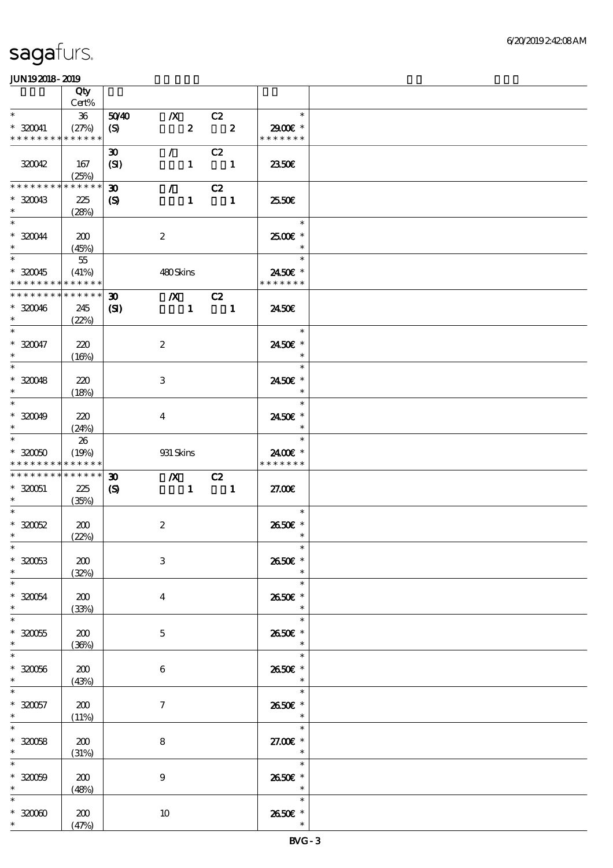|                                          | Qty          |                             |                           |                                 |                                             |                          |  |
|------------------------------------------|--------------|-----------------------------|---------------------------|---------------------------------|---------------------------------------------|--------------------------|--|
| $\ast$                                   | Cert%        |                             |                           |                                 |                                             | $\ast$                   |  |
| * 320041                                 | 36<br>(27%)  | 5040                        | $\boldsymbol{X}$          | $\boldsymbol{z}$                | $\overline{C}2$<br>$\overline{\mathbf{2}}$  | 2900€*                   |  |
| * * * * * * * * * * * * * *              |              | $\boldsymbol{S}$            |                           |                                 |                                             | * * * * * * *            |  |
|                                          |              | $\boldsymbol{\mathfrak{D}}$ |                           | $\mathcal{L}^{\mathcal{L}}$     | C2                                          |                          |  |
| 320042                                   | 167          | (SI)                        |                           | $\mathbf{1}$                    | $\sim$ 1                                    | 2350E                    |  |
|                                          | (25%)        |                             |                           |                                 |                                             |                          |  |
| <b>********</b>                          | * * * * * *  | $\boldsymbol{\mathfrak{D}}$ |                           | $\mathcal{L}$ and $\mathcal{L}$ | C2                                          |                          |  |
| $*320043$<br>$\ast$                      | 225<br>(28%) | $\boldsymbol{\mathcal{S}}$  |                           | $\mathbf{1}$                    | $\blacksquare$                              | 2550E                    |  |
| $\ast$                                   |              |                             |                           |                                 |                                             | $\ast$                   |  |
| $*320044$                                | 200          |                             | $\boldsymbol{2}$          |                                 |                                             | 2500€ *                  |  |
| $\ast$                                   | (45%)        |                             |                           |                                 |                                             | $\ast$                   |  |
| $\ast$                                   | $5\!$        |                             |                           |                                 |                                             | $\ast$                   |  |
| $*320045$<br>* * * * * * * * * * * * * * | (41%)        |                             | 480Skins                  |                                 |                                             | 2450€ *<br>* * * * * * * |  |
| * * * * * * * *                          | * * * * * *  | $\boldsymbol{\mathfrak{D}}$ |                           |                                 | $\chi$ C <sub>2</sub>                       |                          |  |
| $*320046$                                | 245          | $\mathbf{C}$                |                           | $\mathbf{1}$                    | $\sim$ 1                                    | 2450E                    |  |
| $\ast$                                   | (22%)        |                             |                           |                                 |                                             |                          |  |
| $\overline{\ast}$                        |              |                             |                           |                                 |                                             | $\overline{a}$<br>$\ast$ |  |
| $* 320047$                               | 220          |                             | $\boldsymbol{2}$          |                                 |                                             | 2450€ *                  |  |
| $\ast$<br>$\ast$                         | (16%)        |                             |                           |                                 |                                             | $\ast$<br>$\ast$         |  |
| $*320048$                                | 220          |                             | $\,3$                     |                                 |                                             | 2450E *                  |  |
| $\ast$                                   | (18%)        |                             |                           |                                 |                                             | $\ast$                   |  |
| $\ast$                                   |              |                             |                           |                                 |                                             | $\ast$                   |  |
| $* 320049$                               | 220          |                             | $\overline{4}$            |                                 |                                             | 2450€ *                  |  |
| $\ast$<br>$\ast$                         | (24%)        |                             |                           |                                 |                                             | $\ast$<br>$\ast$         |  |
| $*320050$                                | 26<br>(19%)  |                             | 931 Skins                 |                                 |                                             | 2400€ *                  |  |
| * * * * * * * *                          | * * * * * *  |                             |                           |                                 |                                             | * * * * * * *            |  |
| * * * * * * * * * * * * * *              |              | $\boldsymbol{\mathfrak{D}}$ | $\chi$ C <sub>2</sub>     |                                 |                                             |                          |  |
| $*320051$                                | 225          | $\boldsymbol{\mathcal{S}}$  |                           |                                 | $\begin{array}{cccc} 1 & 1 & 1 \end{array}$ | 27.00E                   |  |
| $\ast$<br>$\ast$                         | (35%)        |                             |                           |                                 |                                             | $\ast$                   |  |
| $*30052$                                 | 200          |                             | $\boldsymbol{2}$          |                                 |                                             | 2650E *                  |  |
| $\ast$                                   | (22%)        |                             |                           |                                 |                                             | $\ast$                   |  |
| $*$                                      |              |                             |                           |                                 |                                             | $\ast$                   |  |
| $*30053$                                 | 200          |                             | $\ensuremath{\mathbf{3}}$ |                                 |                                             | 2650€ *                  |  |
| $\ast$<br>$\ast$                         | (32%)        |                             |                           |                                 |                                             | $\ast$<br>$\ast$         |  |
| $*320054$                                | 200          |                             | $\overline{\mathbf{4}}$   |                                 |                                             | 2650E *                  |  |
| $\ast$                                   | (33%)        |                             |                           |                                 |                                             | $\ast$                   |  |
| $\ast$                                   |              |                             |                           |                                 |                                             | $\ast$                   |  |
| $*30055$                                 | 200          |                             | $\mathbf{5}$              |                                 |                                             | 2650E *                  |  |
| $\ast$<br>$\ast$                         | (36%)        |                             |                           |                                 |                                             | $\ast$<br>$\ast$         |  |
| $*30056$                                 | 200          |                             | 6                         |                                 |                                             | 2650€ *                  |  |
| $\ast$                                   | (43%)        |                             |                           |                                 |                                             | $\ast$                   |  |
| $\ast$                                   |              |                             |                           |                                 |                                             | $\ast$                   |  |
| $*30057$                                 | 200          |                             | 7                         |                                 |                                             | 2650€ *                  |  |
| $\ast$                                   | (11%)        |                             |                           |                                 |                                             | $\ast$<br>$\ast$         |  |
| $* 320058$                               | 200          |                             | 8                         |                                 |                                             | 27.00€ *                 |  |
| $\ast$                                   | (31%)        |                             |                           |                                 |                                             | $\ast$                   |  |
| $\ast$                                   |              |                             |                           |                                 |                                             | $\ast$                   |  |
| $* 320009$                               | 200          |                             | $\boldsymbol{9}$          |                                 |                                             | 2650E *                  |  |
| $\ast$                                   | (48%)        |                             |                           |                                 |                                             | $\overline{\phantom{a}}$ |  |
|                                          |              |                             |                           |                                 |                                             |                          |  |
| $\ast$<br>$*3000$                        | 200          |                             | 10                        |                                 |                                             | $\ast$<br>2650€ *        |  |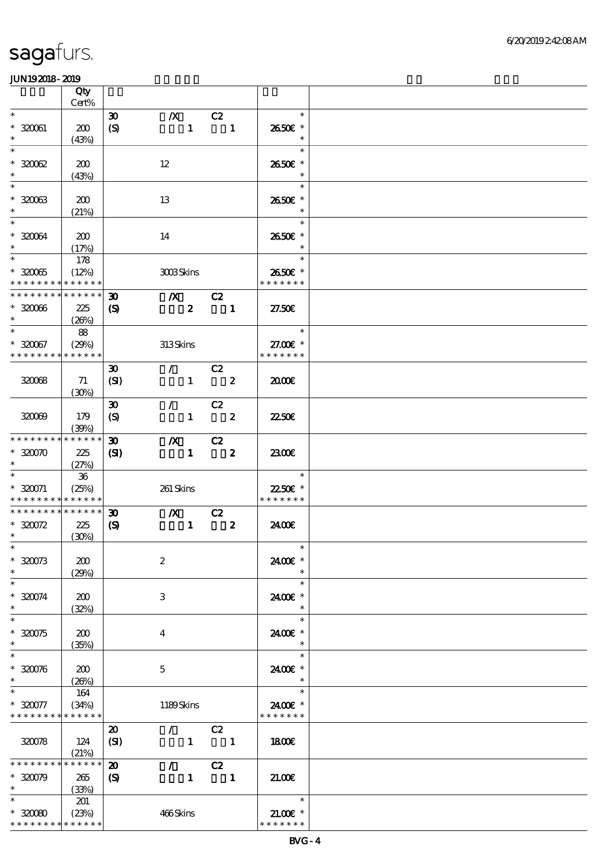|                                         | Qty          |                             |                                 |                  |                                                                                                                                                                                                                                                                                                                                                                                                                                                                                 |                          |  |
|-----------------------------------------|--------------|-----------------------------|---------------------------------|------------------|---------------------------------------------------------------------------------------------------------------------------------------------------------------------------------------------------------------------------------------------------------------------------------------------------------------------------------------------------------------------------------------------------------------------------------------------------------------------------------|--------------------------|--|
| $\ast$                                  | Cert%        |                             |                                 |                  |                                                                                                                                                                                                                                                                                                                                                                                                                                                                                 | $\ast$                   |  |
|                                         |              | $\boldsymbol{\mathfrak{D}}$ | $\boldsymbol{X}$                |                  | C2                                                                                                                                                                                                                                                                                                                                                                                                                                                                              |                          |  |
| $*320061$                               | 200          | $\boldsymbol{S}$            |                                 | $\mathbf{1}$     | $\overline{\phantom{0}}$ $\overline{\phantom{0}}$ $\overline{\phantom{0}}$ $\overline{\phantom{0}}$ $\overline{\phantom{0}}$ $\overline{\phantom{0}}$ $\overline{\phantom{0}}$ $\overline{\phantom{0}}$ $\overline{\phantom{0}}$ $\overline{\phantom{0}}$ $\overline{\phantom{0}}$ $\overline{\phantom{0}}$ $\overline{\phantom{0}}$ $\overline{\phantom{0}}$ $\overline{\phantom{0}}$ $\overline{\phantom{0}}$ $\overline{\phantom{0}}$ $\overline{\phantom{0}}$ $\overline{\$ | 2650€ *                  |  |
| $\ast$<br>$\ast$                        | (43%)        |                             |                                 |                  |                                                                                                                                                                                                                                                                                                                                                                                                                                                                                 | $\ast$                   |  |
|                                         |              |                             |                                 |                  |                                                                                                                                                                                                                                                                                                                                                                                                                                                                                 | $\ast$                   |  |
| $*32002$                                | 200          |                             | $12 \,$                         |                  |                                                                                                                                                                                                                                                                                                                                                                                                                                                                                 | 2650€ *                  |  |
| $\ast$<br>$\ast$                        | (43%)        |                             |                                 |                  |                                                                                                                                                                                                                                                                                                                                                                                                                                                                                 | $\ast$                   |  |
|                                         |              |                             |                                 |                  |                                                                                                                                                                                                                                                                                                                                                                                                                                                                                 | $\ast$                   |  |
| $*32003$                                | 200          |                             | 13                              |                  |                                                                                                                                                                                                                                                                                                                                                                                                                                                                                 | 2650E *                  |  |
| $\ast$<br>$\ast$                        | (21%)        |                             |                                 |                  |                                                                                                                                                                                                                                                                                                                                                                                                                                                                                 | $\ast$                   |  |
|                                         |              |                             |                                 |                  |                                                                                                                                                                                                                                                                                                                                                                                                                                                                                 | $\ast$                   |  |
| $*320064$<br>$\ast$                     | 200          |                             | 14                              |                  |                                                                                                                                                                                                                                                                                                                                                                                                                                                                                 | 2650€ *<br>$\ast$        |  |
| $\overline{\phantom{1}}$                | (17%)        |                             |                                 |                  |                                                                                                                                                                                                                                                                                                                                                                                                                                                                                 | $\ast$                   |  |
|                                         | 178          |                             |                                 |                  |                                                                                                                                                                                                                                                                                                                                                                                                                                                                                 |                          |  |
| $*32005$<br>* * * * * * * * * * * * * * | (12%)        |                             | 3003Skins                       |                  |                                                                                                                                                                                                                                                                                                                                                                                                                                                                                 | 2650€ *<br>* * * * * * * |  |
| * * * * * * * * * * * * * *             |              |                             |                                 |                  |                                                                                                                                                                                                                                                                                                                                                                                                                                                                                 |                          |  |
| $*30066$                                |              | $\boldsymbol{\mathfrak{D}}$ | $\chi$ C <sub>2</sub>           | $\boldsymbol{z}$ | $\overline{\phantom{a}}$                                                                                                                                                                                                                                                                                                                                                                                                                                                        | 27.50E                   |  |
| $\ast$                                  | 225<br>(20%) | $\boldsymbol{\mathcal{S}}$  |                                 |                  |                                                                                                                                                                                                                                                                                                                                                                                                                                                                                 |                          |  |
| $\ast$                                  | 88           |                             |                                 |                  |                                                                                                                                                                                                                                                                                                                                                                                                                                                                                 | $\ast$                   |  |
| $*320067$                               | (29%)        |                             | 313Skins                        |                  |                                                                                                                                                                                                                                                                                                                                                                                                                                                                                 | 27.00€ *                 |  |
| * * * * * * * *                         | * * * * * *  |                             |                                 |                  |                                                                                                                                                                                                                                                                                                                                                                                                                                                                                 | * * * * * * *            |  |
|                                         |              | $\boldsymbol{\mathfrak{D}}$ | $\mathcal{L}$ and $\mathcal{L}$ |                  | C2                                                                                                                                                                                                                                                                                                                                                                                                                                                                              |                          |  |
| 32008                                   | 71           | (SI)                        |                                 |                  | $1 \t 2$                                                                                                                                                                                                                                                                                                                                                                                                                                                                        | 2000                     |  |
|                                         | (30%)        |                             |                                 |                  |                                                                                                                                                                                                                                                                                                                                                                                                                                                                                 |                          |  |
|                                         |              | $\boldsymbol{\mathfrak{D}}$ | $\mathcal{L} = \mathcal{L}$     |                  | C2                                                                                                                                                                                                                                                                                                                                                                                                                                                                              |                          |  |
| 320069                                  | 179          | $\boldsymbol{S}$            |                                 |                  | $1 \t 2$                                                                                                                                                                                                                                                                                                                                                                                                                                                                        | 2250E                    |  |
|                                         | (39%)        |                             |                                 |                  |                                                                                                                                                                                                                                                                                                                                                                                                                                                                                 |                          |  |
| * * * * * * * *                         | * * * * * *  | $\boldsymbol{\mathfrak{D}}$ |                                 |                  | $\overline{X}$ C <sub>2</sub>                                                                                                                                                                                                                                                                                                                                                                                                                                                   |                          |  |
| $*30070$                                | 225          | (S)                         |                                 |                  | $1 \quad 2$                                                                                                                                                                                                                                                                                                                                                                                                                                                                     | 2300E                    |  |
|                                         | (27%)        |                             |                                 |                  |                                                                                                                                                                                                                                                                                                                                                                                                                                                                                 |                          |  |
|                                         | 36           |                             |                                 |                  |                                                                                                                                                                                                                                                                                                                                                                                                                                                                                 | $\ast$                   |  |
| $* 320071$                              | (25%)        |                             | 261 Skins                       |                  |                                                                                                                                                                                                                                                                                                                                                                                                                                                                                 | 22.50€ *                 |  |
| * * * * * * * * * * * * * *             |              |                             |                                 |                  |                                                                                                                                                                                                                                                                                                                                                                                                                                                                                 | * * * * * * *            |  |
| **************                          |              | $\boldsymbol{\mathfrak{D}}$ |                                 |                  | $/X$ $C2$                                                                                                                                                                                                                                                                                                                                                                                                                                                                       |                          |  |
| $*320072$                               | 225          | $\boldsymbol{\mathrm{(S)}}$ |                                 |                  | $1 \t 2$                                                                                                                                                                                                                                                                                                                                                                                                                                                                        | 2400€                    |  |
| $*$                                     | (30%)        |                             |                                 |                  |                                                                                                                                                                                                                                                                                                                                                                                                                                                                                 |                          |  |
| $*$                                     |              |                             |                                 |                  |                                                                                                                                                                                                                                                                                                                                                                                                                                                                                 | $\ast$                   |  |
| $*30073$                                | 200          |                             | $\boldsymbol{2}$                |                  |                                                                                                                                                                                                                                                                                                                                                                                                                                                                                 | 2400€ *                  |  |
| $\ast$<br>$\ast$                        | (29%)        |                             |                                 |                  |                                                                                                                                                                                                                                                                                                                                                                                                                                                                                 | $\ast$                   |  |
|                                         |              |                             |                                 |                  |                                                                                                                                                                                                                                                                                                                                                                                                                                                                                 | $\ast$                   |  |
| $* 320074$<br>$\ast$                    | 200          |                             | 3                               |                  |                                                                                                                                                                                                                                                                                                                                                                                                                                                                                 | 2400€ *<br>$\ast$        |  |
| $\ast$                                  | (32%)        |                             |                                 |                  |                                                                                                                                                                                                                                                                                                                                                                                                                                                                                 | $\ast$                   |  |
| $*320075$                               | 200          |                             | 4                               |                  |                                                                                                                                                                                                                                                                                                                                                                                                                                                                                 | 2400€ *                  |  |
| $\ast$                                  | (35%)        |                             |                                 |                  |                                                                                                                                                                                                                                                                                                                                                                                                                                                                                 | $\ast$                   |  |
| $\ast$                                  |              |                             |                                 |                  |                                                                                                                                                                                                                                                                                                                                                                                                                                                                                 | $\ast$                   |  |
| $*30076$                                | 200          |                             | 5                               |                  |                                                                                                                                                                                                                                                                                                                                                                                                                                                                                 | 2400€ *                  |  |
| $\ast$                                  | (20%)        |                             |                                 |                  |                                                                                                                                                                                                                                                                                                                                                                                                                                                                                 | $\ast$                   |  |
| $\ast$                                  | 164          |                             |                                 |                  |                                                                                                                                                                                                                                                                                                                                                                                                                                                                                 | $\ast$                   |  |
| $*30077$                                | (34%)        |                             | 1189Skins                       |                  |                                                                                                                                                                                                                                                                                                                                                                                                                                                                                 | 2400€ *                  |  |
| * * * * * * * * * * * * * *             |              |                             |                                 |                  |                                                                                                                                                                                                                                                                                                                                                                                                                                                                                 | * * * * * * *            |  |
|                                         |              | $\boldsymbol{\mathfrak{D}}$ | $\mathcal{L}$ and $\mathcal{L}$ |                  | C2                                                                                                                                                                                                                                                                                                                                                                                                                                                                              |                          |  |
| 320078                                  | 124          | (SI)                        |                                 |                  | $1 \quad 1$                                                                                                                                                                                                                                                                                                                                                                                                                                                                     | 1800                     |  |
|                                         | (21%)        |                             |                                 |                  |                                                                                                                                                                                                                                                                                                                                                                                                                                                                                 |                          |  |
| * * * * * * *                           | * * * * * *  | $\boldsymbol{\mathbf{z}}$   | $\mathcal{T}^{\mathcal{A}}$     |                  | C2                                                                                                                                                                                                                                                                                                                                                                                                                                                                              |                          |  |
| $*30079$                                | 265          | $\boldsymbol{S}$            |                                 | $\mathbf{1}$     | $\overline{\phantom{a}}$                                                                                                                                                                                                                                                                                                                                                                                                                                                        | 21.00E                   |  |
| $\ast$                                  | (33%)        |                             |                                 |                  |                                                                                                                                                                                                                                                                                                                                                                                                                                                                                 |                          |  |
| $\ast$                                  | 201          |                             |                                 |                  |                                                                                                                                                                                                                                                                                                                                                                                                                                                                                 | $\ast$                   |  |
| $*30080$                                | (23%)        |                             | 466Skins                        |                  |                                                                                                                                                                                                                                                                                                                                                                                                                                                                                 | $21.005*$                |  |
| * * * * * * * *                         | * * * * * *  |                             |                                 |                  |                                                                                                                                                                                                                                                                                                                                                                                                                                                                                 | * * * * * * *            |  |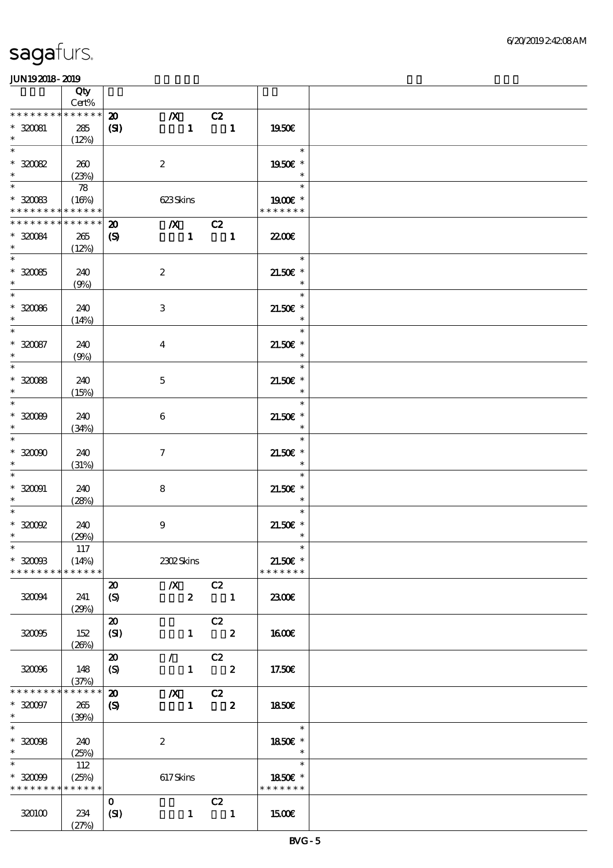|                                          | Qty<br>$Cert\%$   |                             |                                       |              |                                                             |                          |  |
|------------------------------------------|-------------------|-----------------------------|---------------------------------------|--------------|-------------------------------------------------------------|--------------------------|--|
| * * * * * * * *                          | $******$          |                             |                                       |              |                                                             |                          |  |
|                                          |                   | $\boldsymbol{\mathfrak{D}}$ | $\boldsymbol{X}$                      |              | C2                                                          |                          |  |
| $*320081$                                | 285               | (SI)                        |                                       | $\mathbf{1}$ | $\overline{\phantom{a}}$                                    | 1950€                    |  |
| $\ast$                                   | (12%)             |                             |                                       |              |                                                             |                          |  |
| $\ast$                                   |                   |                             |                                       |              |                                                             | $\ast$                   |  |
| $*30082$                                 | 260               |                             | $\boldsymbol{2}$                      |              |                                                             | 1950€ *                  |  |
| $\ast$                                   | (23%)             |                             |                                       |              |                                                             | $\ast$                   |  |
|                                          | $\boldsymbol{78}$ |                             |                                       |              |                                                             | $\ast$                   |  |
|                                          |                   |                             |                                       |              |                                                             |                          |  |
| $*30083$                                 | (16%)             |                             | 623Skins                              |              |                                                             | 1900E *                  |  |
| * * * * * * * * <mark>* * * * * *</mark> |                   |                             |                                       |              |                                                             | * * * * * * *            |  |
| * * * * * * * *                          | * * * * * *       | $\boldsymbol{\mathfrak{D}}$ | $\overline{\mathbf{X}}$ $\mathbf{C2}$ |              |                                                             |                          |  |
| $*320084$                                | 265               | $\boldsymbol{\mathrm{(S)}}$ |                                       |              | $1 \quad 1$                                                 | <b>2200E</b>             |  |
| $\ast$                                   | (12%)             |                             |                                       |              |                                                             |                          |  |
| $\overline{\phantom{0}}$                 |                   |                             |                                       |              |                                                             | $\overline{a}$<br>$\ast$ |  |
|                                          |                   |                             |                                       |              |                                                             |                          |  |
| $^\ast$ 320085                           | 240               |                             | $\boldsymbol{2}$                      |              |                                                             | $21.50E$ *               |  |
| $\ast$                                   | (9%)              |                             |                                       |              |                                                             | $\ast$                   |  |
| $\overline{\phantom{0}}$                 |                   |                             |                                       |              |                                                             | $\ast$                   |  |
| $* 32006$                                | 240               |                             | 3                                     |              |                                                             | $21.50E$ *               |  |
| $\ast$                                   | (14%)             |                             |                                       |              |                                                             | $\ast$                   |  |
| $\ast$                                   |                   |                             |                                       |              |                                                             | $\ast$                   |  |
| $* 320087$                               | 240               |                             | $\overline{\mathbf{4}}$               |              |                                                             | $21.50E$ *               |  |
| $\ast$                                   |                   |                             |                                       |              |                                                             | $\ast$                   |  |
| $\overline{\ast}$                        | (9%)              |                             |                                       |              |                                                             |                          |  |
|                                          |                   |                             |                                       |              |                                                             | $\ast$                   |  |
| $*30088$                                 | 240               |                             | $\mathbf 5$                           |              |                                                             | $21.50E$ *               |  |
| $\ast$                                   | (15%)             |                             |                                       |              |                                                             | $\ast$                   |  |
| $\overline{\phantom{0}}$                 |                   |                             |                                       |              |                                                             | $\ast$                   |  |
| $*30000$                                 | 240               |                             | $\boldsymbol{6}$                      |              |                                                             | $21.50E$ *               |  |
| $\ast$                                   |                   |                             |                                       |              |                                                             | $\ast$                   |  |
| $\ast$                                   | (34%)             |                             |                                       |              |                                                             | $\ast$                   |  |
|                                          |                   |                             |                                       |              |                                                             |                          |  |
| $*32000$                                 | 240               |                             | $\boldsymbol{\tau}$                   |              |                                                             | $21.50E$ *               |  |
| $\ast$                                   | (31%)             |                             |                                       |              |                                                             | $\ast$                   |  |
| $\ast$                                   |                   |                             |                                       |              |                                                             | $\ast$                   |  |
| $* 320001$                               | 240               |                             | 8                                     |              |                                                             | $21.50E$ *               |  |
| $\ast$                                   | (28%)             |                             |                                       |              |                                                             | $\ast$                   |  |
| $\ast$                                   |                   |                             |                                       |              |                                                             | $\ast$                   |  |
| $^*$ 320092                              | 240               |                             | $\boldsymbol{9}$                      |              |                                                             | $21.50E$ *               |  |
| $\ast$                                   |                   |                             |                                       |              |                                                             | $\ast$                   |  |
|                                          | (29%)             |                             |                                       |              |                                                             |                          |  |
| $\ast$                                   | 117               |                             |                                       |              |                                                             | $\ast$                   |  |
| $*3200B$                                 | (14%)             |                             | 2302Skins                             |              |                                                             | $21.50E$ *               |  |
| * * * * * * * *                          | * * * * * *       |                             |                                       |              |                                                             | * * * * * * *            |  |
|                                          |                   | $\boldsymbol{\mathsf{20}}$  | $\chi$ C <sub>2</sub>                 |              |                                                             |                          |  |
| 320094                                   | 241               | $\boldsymbol{S}$            |                                       | $\mathbf{2}$ | $\blacksquare$                                              | 2300E                    |  |
|                                          | (29%)             |                             |                                       |              |                                                             |                          |  |
|                                          |                   | $\boldsymbol{\mathfrak{D}}$ |                                       |              |                                                             |                          |  |
|                                          |                   |                             |                                       |              | C2                                                          |                          |  |
| 32006                                    | 152               | (SI)                        |                                       |              | $1 \t 2$                                                    | 1600E                    |  |
|                                          | (20%)             |                             |                                       |              |                                                             |                          |  |
|                                          |                   | $\boldsymbol{\mathfrak{D}}$ | $\mathcal{L}$ and $\mathcal{L}$       |              | C2                                                          |                          |  |
| 32006                                    | 148               | (S)                         |                                       |              | $1 \t 2$                                                    | 17.50€                   |  |
|                                          | (37%)             |                             |                                       |              |                                                             |                          |  |
| * * * * * * *                            | * * * * * *       | $\boldsymbol{\mathbf{z}}$   |                                       |              | $\begin{array}{c cc}\n\hline\nX & C2 \\ 1 & 2\n\end{array}$ |                          |  |
| $*320097$                                | 265               | $\boldsymbol{\mathcal{S}}$  |                                       |              |                                                             | 1850E                    |  |
| $*$                                      |                   |                             |                                       |              |                                                             |                          |  |
| $\overline{\ast}$                        | (30%)             |                             |                                       |              |                                                             |                          |  |
|                                          |                   |                             |                                       |              |                                                             | $\ast$                   |  |
| $*32008$                                 | 240               |                             | $\boldsymbol{2}$                      |              |                                                             | 1850E *                  |  |
| $\ast$                                   | (25%)             |                             |                                       |              |                                                             | $\ast$                   |  |
| $\ast$                                   | 112               |                             |                                       |              |                                                             | $\ast$                   |  |
| $*30099$                                 | (25%)             |                             | 617Skins                              |              |                                                             | 1850E *                  |  |
| * * * * * * * *                          | * * * * * *       |                             |                                       |              |                                                             | * * * * * * *            |  |
|                                          |                   |                             |                                       |              |                                                             |                          |  |
|                                          |                   | $\mathbf{O}$                |                                       |              | C2                                                          |                          |  |
| 320100                                   | 234               | (SI)                        |                                       | $\mathbf{1}$ | $\blacksquare$                                              | 1500€                    |  |
|                                          | (27%)             |                             |                                       |              |                                                             |                          |  |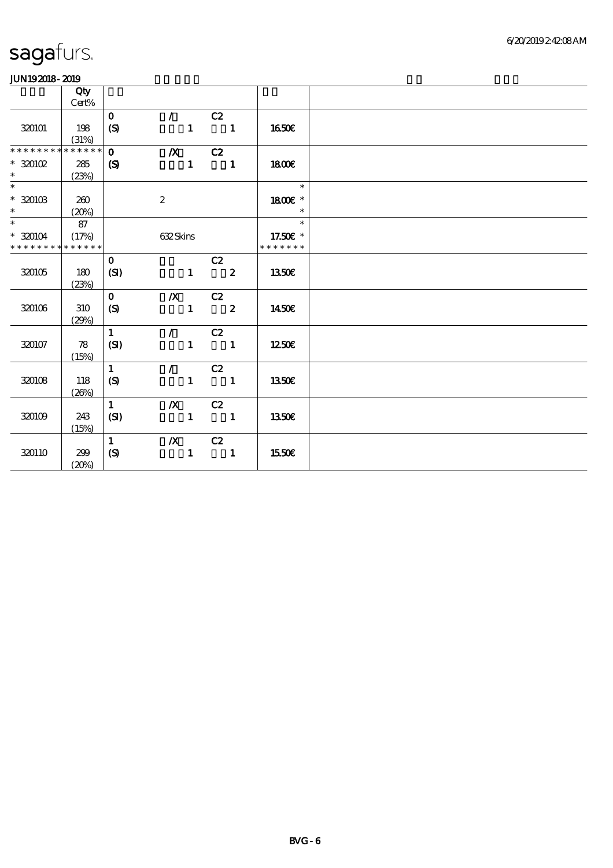|                                    | Qty         |                  |                    |                          |                            |                   |
|------------------------------------|-------------|------------------|--------------------|--------------------------|----------------------------|-------------------|
|                                    | Cert%       | $\mathbf 0$      | $\mathcal{L}$      | C2                       |                            |                   |
| 320101                             | 198         | $\boldsymbol{S}$ | $\mathbf{1}$       | $\blacksquare$           |                            | 1650E             |
|                                    | (31%)       |                  |                    |                          |                            |                   |
| * * * * * * *                      | * * * * * * | $\mathbf{o}$     | $X$ C <sub>2</sub> |                          |                            |                   |
| $*320102$                          | 285         | $\boldsymbol{S}$ | $\mathbf{1}$       | $\blacksquare$           |                            | 1800E             |
| $\ast$<br>$\overline{\phantom{0}}$ | (23%)       |                  |                    |                          |                            |                   |
|                                    |             |                  |                    |                          |                            | $\ast$            |
| $^\ast$ 320103<br>$\ast$           | 260         |                  | $\boldsymbol{2}$   |                          |                            | 1800 £*<br>$\ast$ |
| $\overline{\phantom{0}}$           | (20%)<br>87 |                  |                    |                          |                            | $\ast$            |
| $*320104$                          | (17%)       |                  | 632Skins           |                          |                            | 17.50€ *          |
| * * * * * * * *                    | * * * * * * |                  |                    |                          |                            | * * * * * * *     |
|                                    |             | $\mathbf 0$      |                    | C2                       |                            |                   |
| 320105                             | 180         | (SI)             | $\mathbf{1}$       | $\overline{\mathbf{2}}$  |                            | 1350E             |
|                                    | (23%)       |                  |                    |                          |                            |                   |
|                                    |             | $\mathbf{O}$     | $/X$ $C2$          |                          |                            |                   |
| 320106                             | 310         | $\boldsymbol{S}$ |                    | $1 \t 2$                 |                            | 1450€             |
|                                    | (29%)       |                  |                    |                          |                            |                   |
|                                    |             | $\mathbf{1}$     | $\mathcal{L}$      | C2                       |                            |                   |
| 320107                             | 78          | (SI)             | $\mathbf{1}$       | $\blacksquare$           |                            | 1250E             |
|                                    | (15%)       | $\mathbf{1}$     | $\mathcal{L}$      | C2                       |                            |                   |
| 320108                             | 118         | (S)              | $\mathbf{1}$       |                          | $\overline{\phantom{a}}$ 1 | <b>1350€</b>      |
|                                    | (20%)       |                  |                    |                          |                            |                   |
|                                    |             | $\mathbf{1}$     |                    | $\chi$ C <sub>2</sub>    |                            |                   |
| 320109                             | 243         | (SI)             | $\mathbf{1}$       | $\overline{\phantom{a}}$ |                            | <b>1350€</b>      |
|                                    | (15%)       |                  |                    |                          |                            |                   |
|                                    |             | $\mathbf{1}$     | $\boldsymbol{X}$   | C2                       |                            |                   |
| 320110                             | 299         | (S)              | $\mathbf{1}$       |                          | $\overline{\phantom{a}}$   | 1550€             |
|                                    | (20%)       |                  |                    |                          |                            |                   |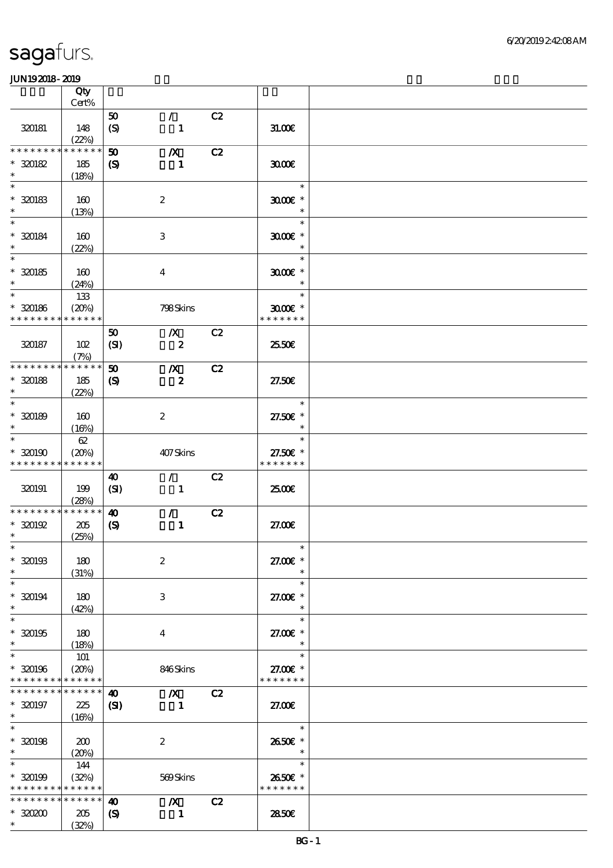|                   | Qty<br>Cert% |                             |                         |    |               |  |
|-------------------|--------------|-----------------------------|-------------------------|----|---------------|--|
|                   |              |                             |                         |    |               |  |
| 320181            |              | 50                          | $\mathcal{L}$           | C2 |               |  |
|                   | 148<br>(22%) | $\boldsymbol{S}$            | $\mathbf{1}$            |    | 31.006        |  |
| * * * * * * * *   | * * * * * *  | 50                          | $\boldsymbol{X}$        | C2 |               |  |
|                   |              |                             |                         |    |               |  |
| $*320182$         | 185          | $\boldsymbol{\mathrm{(S)}}$ | 1                       |    | 3000          |  |
| $\ast$            | (18%)        |                             |                         |    |               |  |
| $\ast$            |              |                             |                         |    | $\ast$        |  |
| $*30183$          | 160          |                             | $\boldsymbol{2}$        |    | $3000$ $*$    |  |
| $\ast$            | (13%)        |                             |                         |    | $\ast$        |  |
| $\ast$            |              |                             |                         |    | $\ast$        |  |
|                   |              |                             |                         |    |               |  |
| $* 320184$        | 160          |                             | 3                       |    | $3000$ $*$    |  |
| $\ast$            | (22%)        |                             |                         |    | $\ast$        |  |
| $\overline{\ast}$ |              |                             |                         |    | $\ast$        |  |
| $* 320185$        | 160          |                             | $\overline{\mathbf{4}}$ |    | $3000$ $*$    |  |
| $\ast$            | (24%)        |                             |                         |    | $\ast$        |  |
| $\ast$            | 133          |                             |                         |    | $\ast$        |  |
| $* 320186$        | (20%)        |                             | 798Skins                |    | $3000$ $*$    |  |
| * * * * * * * *   | * * * * * *  |                             |                         |    | * * * * * * * |  |
|                   |              | 50                          | $\boldsymbol{X}$        | C2 |               |  |
|                   |              |                             |                         |    |               |  |
| 320187            | 102          | (SI)                        | $\pmb{2}$               |    | 2550€         |  |
|                   | (7%)         |                             |                         |    |               |  |
| * * * * * * * *   | * * * * * *  | $\boldsymbol{\mathfrak{D}}$ | $\boldsymbol{X}$        | C2 |               |  |
| $*320188$         | 185          | $\boldsymbol{\mathrm{(S)}}$ | $\boldsymbol{z}$        |    | 27.50E        |  |
| $\ast$            | (22%)        |                             |                         |    |               |  |
| $\ast$            |              |                             |                         |    | $\ast$        |  |
| $*30189$          | 160          |                             | $\boldsymbol{2}$        |    | 27.50€ *      |  |
| $\ast$            | (16%)        |                             |                         |    | $\ast$        |  |
| $\ast$            | 62           |                             |                         |    | $\ast$        |  |
|                   |              |                             |                         |    |               |  |
| $*320190$         | (20%)        |                             | 407Skins                |    | 27.50€ *      |  |
| * * * * * * * *   | * * * * * *  |                             |                         |    | * * * * * * * |  |
|                   |              | 40                          | $\mathcal{L}$           | C2 |               |  |
| 320191            | 199          | (SI)                        | $\mathbf{1}$            |    | 2500€         |  |
|                   | (28%)        |                             |                         |    |               |  |
| * * * * * * * *   | * * * * * *  | $\boldsymbol{\omega}$       | $\mathcal{L}$           | C2 |               |  |
| $*320192$         | 205          | $\boldsymbol{\mathrm{(S)}}$ | $\mathbf{1}$            |    | 27.00E        |  |
| $\ast$            | (25%)        |                             |                         |    |               |  |
| $\ast$            |              |                             |                         |    | $\ast$        |  |
| $*320193$         | 180          |                             | $\boldsymbol{2}$        |    | 27.00 £*      |  |
| $\ast$            | (31%)        |                             |                         |    | $\ast$        |  |
| $\ast$            |              |                             |                         |    | $\ast$        |  |
|                   |              |                             |                         |    |               |  |
| $*320194$         | 180          |                             | 3                       |    | 27.00 £*      |  |
| $\ast$            | (42%)        |                             |                         |    | $\ast$        |  |
| $\ast$            |              |                             |                         |    | $\ast$        |  |
| $*320195$         | 180          |                             | $\overline{\mathbf{4}}$ |    | 27.00 £*      |  |
| $\ast$            | (18%)        |                             |                         |    | $\ast$        |  |
| $\ast$            | 101          |                             |                         |    | $\ast$        |  |
| $*320196$         | (20%)        |                             | 846Skins                |    | 27.00 £*      |  |
| * * * * * * * *   | * * * * * *  |                             |                         |    | * * * * * * * |  |
| * * * * * * *     | * * * * * *  | $\boldsymbol{\omega}$       | $\mathbf{X}$            | C2 |               |  |
|                   |              |                             |                         |    |               |  |
| $* 320197$        | 225          | $\mathbf{C}$                | $\blacksquare$          |    | 27.00E        |  |
| $*$<br>$\ast$     | (16%)        |                             |                         |    |               |  |
|                   |              |                             |                         |    | $\ast$        |  |
| $* 320198$        | 200          |                             | $\boldsymbol{2}$        |    | 2650€ *       |  |
| $\ast$            | (20%)        |                             |                         |    | $\ast$        |  |
| $\ast$            | 144          |                             |                         |    | $\ast$        |  |
| $* 320199$        | (32%)        |                             | 569Skins                |    | 2650€ *       |  |
| * * * * * * * *   | * * * * * *  |                             |                         |    | * * * * * * * |  |
| * * * * * * * *   | * * * * * *  | $\boldsymbol{\omega}$       | $\boldsymbol{X}$        | C2 |               |  |
| $*3000$           | 205          | $\boldsymbol{\mathsf{(S)}}$ | $\mathbf{1}$            |    | 2850E         |  |
|                   |              |                             |                         |    |               |  |
| $\ast$            | (32%)        |                             |                         |    |               |  |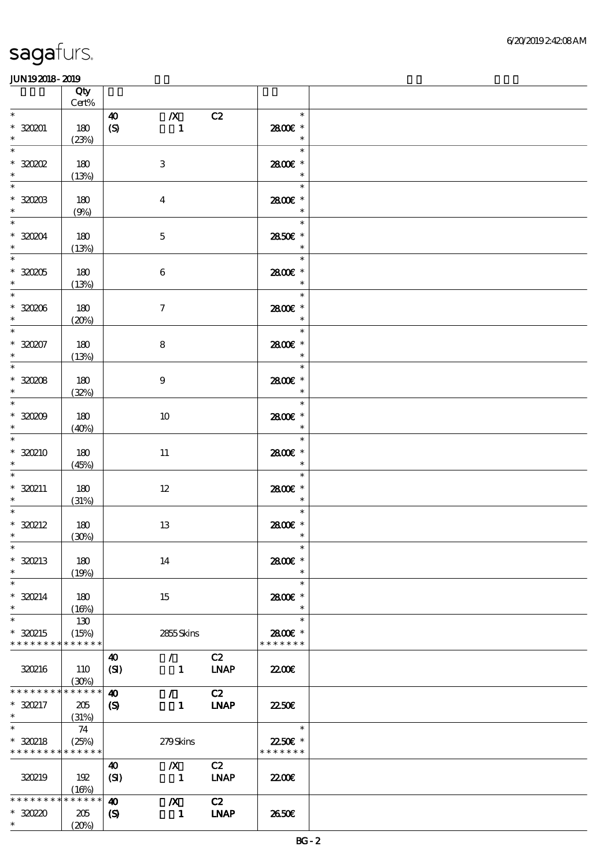|                                                   | Qty<br>$\mbox{Cert\%}$      |                                                                                                                 |                                     |  |
|---------------------------------------------------|-----------------------------|-----------------------------------------------------------------------------------------------------------------|-------------------------------------|--|
| $\ast$                                            |                             | $\boldsymbol{X}$<br>C2<br>$\boldsymbol{\omega}$                                                                 | $\ast$                              |  |
| $*320201$<br>$\ast$                               | 180<br>(23%)                | (S)<br>$\blacksquare$                                                                                           | 2800€ *<br>$\ast$                   |  |
| $\ast$<br>$*30002$<br>$\ast$                      | 180<br>(13%)                | $\,3$                                                                                                           | $\ast$<br>2800€ *<br>$\ast$         |  |
| $\ast$<br>$*3000B$<br>$\ast$                      | 180<br>(9%)                 | $\boldsymbol{4}$                                                                                                | $\ast$<br>2800E *<br>$\ast$         |  |
| $\ast$<br>$*30004$<br>$\ast$                      | 180<br>(13%)                | $\mathbf 5$                                                                                                     | $\ast$<br>2850€ *<br>$\ast$         |  |
| $\overline{\phantom{0}}$<br>$*30005$<br>$\ast$    | 180<br>(13%)                | $\,6\,$                                                                                                         | $\ast$<br>2800€ *<br>$\ast$         |  |
| $\overline{\phantom{0}}$<br>$*30006$<br>$\ast$    | 180<br>(20%)                | $\boldsymbol{7}$                                                                                                | $\ast$<br>2800€ *<br>$\ast$         |  |
| $\ast$<br>$* 320207$<br>$\ast$                    | 180<br>(13%)                | $\bf 8$                                                                                                         | $\ast$<br>2800€ *<br>$\ast$         |  |
| $\overline{\phantom{0}}$<br>$*30008$<br>$*$       | 180<br>(32%)                | $\boldsymbol{9}$                                                                                                | $\ast$<br>2800E *<br>$\ast$         |  |
| $\overline{\phantom{0}}$<br>$*30009$<br>$\ast$    | 180<br>(40%)                | 10                                                                                                              | $\ast$<br>2800 £*<br>$\ast$         |  |
| $\overline{\ast}$<br>$*30210$<br>$\ast$           | 180<br>(45%)                | 11                                                                                                              | $\ast$<br>2800€ *<br>$\ast$         |  |
| $\ast$<br>$*320211$<br>$\ast$                     | 180<br>(31%)                | $12\,$                                                                                                          | $\ast$<br>2800 £*<br>$\ast$         |  |
| $\ast$<br>$*320212$<br>$\ast$                     | 180<br>(30%)                | 13                                                                                                              | $\ast$<br>2800€ *<br>$\ast$         |  |
| $*$<br>$*320213$<br>$\ast$                        | 180<br>(19%)                | 14                                                                                                              | $\ast$<br>2800€ *<br>$\ast$         |  |
| $\ast$<br>$* 320214$<br>$\ast$                    | 180<br>(16%)                | 15                                                                                                              | $\ast$<br>2800 £*<br>$\ast$         |  |
| $\ast$<br>* 320215<br>* * * * * * * *             | 130<br>(15%)<br>* * * * * * | 2855Skins                                                                                                       | $\ast$<br>2800€ *<br>* * * * * * *  |  |
| <b>320216</b>                                     | 110<br>(30%)                | C2<br>40<br>$\mathcal{L}$<br><b>LNAP</b><br>(SI)<br>$\mathbf{1}$                                                | 2200                                |  |
| * * * * * * *<br>* 320217<br>$\ast$               | * * * * * *<br>205<br>(31%) | C2<br>$\boldsymbol{\omega}$<br>$\mathcal{L}$<br><b>LNAP</b><br>$\boldsymbol{\mathcal{S}}$<br>$\mathbf{1}$       | 2250E                               |  |
| $\ast$<br>* 320218<br>* * * * * * * * * * * * * * | 74<br>(25%)                 | 279Skins                                                                                                        | $\ast$<br>22.50€ *<br>* * * * * * * |  |
| 320219                                            | 192<br>(16%)                | C2<br>$\boldsymbol{X}$<br>40<br>(SI)<br>$\blacksquare$<br><b>LNAP</b>                                           | 2200                                |  |
| * * * * * * * *<br>$*3020$<br>$*$                 | * * * * * *<br>205<br>(20%) | C2<br>$\boldsymbol{\omega}$<br>$\boldsymbol{X}$<br><b>INAP</b><br>$\boldsymbol{\mathsf{(S)}}$<br>$\blacksquare$ | 2650E                               |  |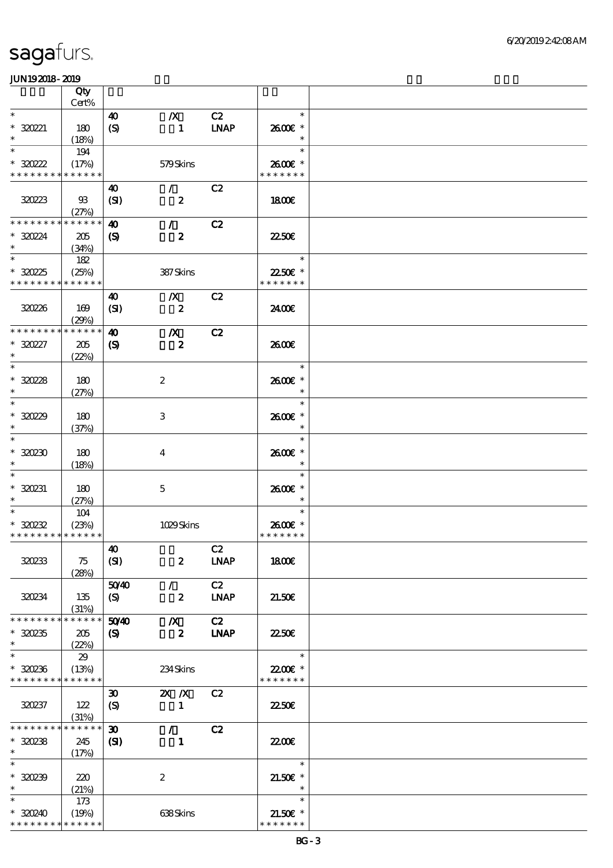|                                         | Qty<br>Cert%         |                             |                                    |                   |                             |  |
|-----------------------------------------|----------------------|-----------------------------|------------------------------------|-------------------|-----------------------------|--|
| $\ast$                                  |                      |                             |                                    |                   | $\ast$                      |  |
| $*30221$<br>$\ast$                      | 180<br>(18%)         | 40<br>(S)                   | $\boldsymbol{X}$<br>$\blacksquare$ | C2<br><b>LNAP</b> | 2600€ *<br>$\ast$           |  |
| $\ast$                                  | 194                  |                             |                                    |                   | $\ast$                      |  |
| $*30222$<br>* * * * * * * * * * * * * * | (17%)                |                             | 579Skins                           |                   | 2600E *<br>* * * * * * *    |  |
|                                         |                      |                             |                                    |                   |                             |  |
| 320223                                  | - 93<br>(27%)        | 40<br>(SI)                  | $\mathcal{F}$<br>$\boldsymbol{z}$  | C2                | 1800E                       |  |
| * * * * * * * *                         | * * * * * *          | $\boldsymbol{\omega}$       | $\mathcal{L}$                      | C2                |                             |  |
| $*3024$<br>$\ast$                       | 205<br>(34%)         | $\boldsymbol{\mathrm{(S)}}$ | $\boldsymbol{z}$                   |                   | <b>2250€</b>                |  |
| $\overline{\phantom{1}}$                | 182                  |                             |                                    |                   | $\ast$                      |  |
| $*3025$<br>* * * * * * * *              | (25%)<br>* * * * * * |                             | 387Skins                           |                   | 22.50€ *<br>* * * * * * *   |  |
|                                         |                      | 40                          | $\boldsymbol{X}$                   | C2                |                             |  |
| 320226                                  | 169<br>(29%)         | (SI)                        | $\boldsymbol{z}$                   |                   | 2400€                       |  |
| * * * * * * * *                         | * * * * * *          | $\boldsymbol{\omega}$       | $\boldsymbol{X}$                   | C2                |                             |  |
| $*30227$<br>$\ast$                      | 205<br>(22%)         | $\boldsymbol{\mathrm{(S)}}$ | $\boldsymbol{z}$                   |                   | 2600E                       |  |
| $\overline{\ast}$                       |                      |                             |                                    |                   | $\ast$                      |  |
| $*3028$<br>$\ast$                       | 180<br>(27%)         |                             | $\boldsymbol{2}$                   |                   | 2600E *<br>$\ast$           |  |
| $\ast$                                  |                      |                             |                                    |                   | $\ast$                      |  |
| $*3029$<br>$\ast$                       | 180<br>(37%)         |                             | 3                                  |                   | 2600E *<br>$\ast$           |  |
| $\ast$<br>$*30230$                      | 180                  |                             | $\overline{\mathbf{4}}$            |                   | $\ast$<br>2600€ *           |  |
| $\ast$                                  | (18%)                |                             |                                    |                   | $\ast$                      |  |
| $*320231$<br>$\ast$                     | 180<br>(27%)         |                             | $\mathbf{5}$                       |                   | $\ast$<br>2600€ *<br>$\ast$ |  |
| $\ast$                                  | 104                  |                             |                                    |                   | $\ast$                      |  |
| $*30232$                                | (23%)                |                             | 1029Skins                          |                   | 2600€ *                     |  |
| * * * * * * * * * * * * * *             |                      |                             |                                    |                   | * * * * * * *               |  |
|                                         |                      | $\boldsymbol{\omega}$       |                                    | C2                |                             |  |
| 320233                                  | 75<br>(28%)          | (SI)                        | $\boldsymbol{z}$                   | <b>LNAP</b>       | <b>1800€</b>                |  |
|                                         |                      | 5040                        | $\mathcal{F}$                      | C2                |                             |  |
| 320234                                  | 135<br>(31%)         | (S)                         | $\boldsymbol{z}$                   | <b>LNAP</b>       | 21.50E                      |  |
| * * * * * * *                           | * * * * * *          | 5040                        | $\boldsymbol{X}$                   | C2                |                             |  |
| $*30235$<br>$\ast$                      | 205<br>(22%)         | $\boldsymbol{\mathrm{(S)}}$ | $\overline{\mathbf{z}}$            | <b>LNAP</b>       | 2250E                       |  |
| $\ast$                                  | 29                   |                             |                                    |                   | $\ast$                      |  |
| $*30236$<br>* * * * * * * *             | (13%)<br>* * * * * * |                             | 234Skins                           |                   | 22.00€ *<br>* * * * * * *   |  |
|                                         |                      | $\boldsymbol{\mathfrak{D}}$ | $X$ $N$                            | C2                |                             |  |
| 320237                                  | 122<br>(31%)         | $\boldsymbol{S}$            | $\blacksquare$                     |                   | 2250E                       |  |
| * * * * * * *                           | * * * * * *          | $\boldsymbol{\mathfrak{D}}$ | $\mathcal{L}$                      | C2                |                             |  |
| $*30238$<br>$\ast$                      | 245<br>(17%)         | (S)                         | $\mathbf{1}$                       |                   | <b>22006</b>                |  |
| $\ast$                                  |                      |                             |                                    |                   | $\ast$                      |  |
| $*30239$<br>$\ast$                      | 220<br>(21%)         |                             | $\boldsymbol{z}$                   |                   | $21.50E$ *<br>$\ast$        |  |
| $\ast$                                  | 173                  |                             |                                    |                   | $\ast$                      |  |
| $*30240$                                | (19%)                |                             | 638Skins                           |                   | $21.50E$ *                  |  |
| * * * * * * * *                         | * * * * * *          |                             |                                    |                   | * * * * * * *               |  |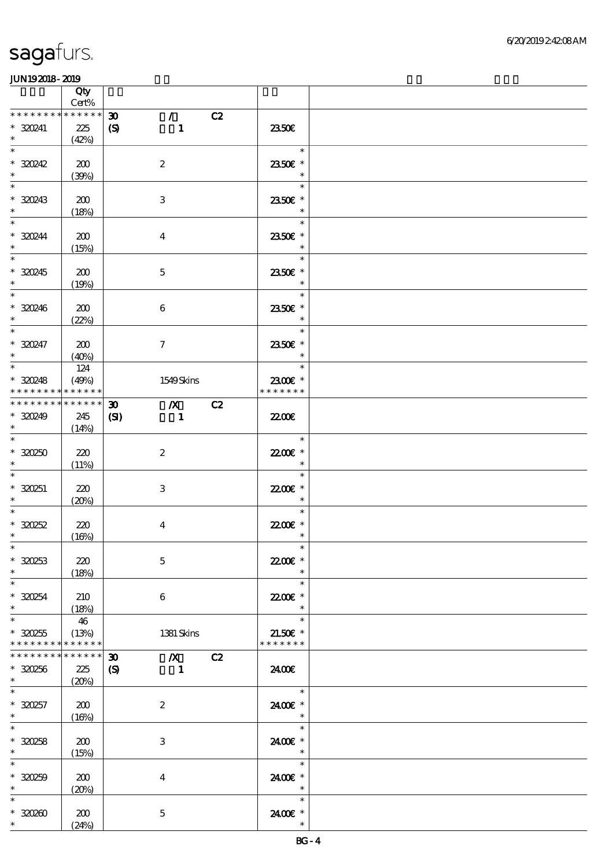|                                                                   | <b>Qty</b><br>$Cert\%$      |                                                                                                         |                                                |  |
|-------------------------------------------------------------------|-----------------------------|---------------------------------------------------------------------------------------------------------|------------------------------------------------|--|
| * * * * * * * *<br>* 320241<br>$\ast$                             | * * * * * *<br>225<br>(42%) | $\mathcal{T}^{\pm}$<br>C2<br>$\boldsymbol{\mathfrak{D}}$<br>$\boldsymbol{\mathsf{(S)}}$<br>$\mathbf{1}$ | 2350E                                          |  |
| $\ast$<br>* 320242<br>$\ast$                                      | 200<br>(30%)                | $\boldsymbol{2}$                                                                                        | $\ast$<br>2350€ *<br>$\ast$                    |  |
| $\ast$<br>* 320243<br>$\ast$                                      | 200<br>(18%)                | $\,3$                                                                                                   | $\ast$<br>2350€ *<br>$\ast$                    |  |
| $\ast$<br>* 320244<br>$\ast$                                      | 200<br>(15%)                | $\overline{4}$                                                                                          | $\ast$<br>2350E *<br>$\ast$                    |  |
| * 320245                                                          | 200<br>(19%)                | $\mathbf{5}$                                                                                            | $\ast$<br>2350E *<br>$\ast$                    |  |
| $\ast$<br>$* 320246$<br>$\ast$                                    | 200<br>(22%)                | $\bf 6$                                                                                                 | $\ast$<br>2350E *<br>$\ast$                    |  |
| $\ast$<br>$* 320247$<br>$\ast$                                    | 200<br>(40%)                | $\tau$                                                                                                  | $\ast$<br>2350E *<br>$\ast$                    |  |
| $\overline{\ast}$<br>$*30248$<br>* * * * * * * *                  | 124<br>(49%)<br>* * * * * * | 1549Skins                                                                                               | $\ast$<br>2300€ *<br>* * * * * * *             |  |
| * * * * * * * * * * * * * * *<br>* 320249<br>$\ddot{\phantom{0}}$ | 245<br>(14%)                | 30 <sub>o</sub><br>$\chi$ C <sub>2</sub><br>$\mathbf{C}$<br>$\blacksquare$                              | 22.00E                                         |  |
| $\ast$<br>$*30250$<br>$\ast$                                      | 220<br>(11%)                | $\boldsymbol{2}$                                                                                        | $\overline{\phantom{a}}$<br>22.00€ *<br>$\ast$ |  |
| $\ast$<br>$*320251$<br>$\ast$                                     | 220<br>(20%)                | 3                                                                                                       | $\ast$<br>22.00E *<br>$\ast$                   |  |
| $\ast$<br>$*30252$<br>$\ast$                                      | 220<br>(16%)                | $\boldsymbol{4}$                                                                                        | $\ast$<br>22.00 £*<br>$\ast$                   |  |
| $*$<br>$*30253$<br>$\ast$                                         | 220<br>(18%)                | $\mathbf 5$                                                                                             | $\ast$<br>22.00€ *<br>$\ast$                   |  |
| $\ast$<br>$*320254$<br>$\ast$                                     | 210<br>(18%)                | 6                                                                                                       | $\ast$<br>22.00€ *<br>$\ast$                   |  |
| $\ast$<br>$*30255$<br>* * * * * * * *                             | 46<br>(13%)<br>* * * * * *  | 1381 Skins                                                                                              | $\ast$<br>$21.50E$ *<br>* * * * * * *          |  |
| * * * * * * * *<br>$* 320256$<br>$\ast$                           | * * * * * *<br>225<br>(20%) | $\chi$ C <sub>2</sub><br>$\boldsymbol{\mathfrak{D}}$<br>$\mathbf{S}$<br>$\blacksquare$                  | 24.00E                                         |  |
| $\ast$<br>$*30257$<br>$\ast$                                      | 200<br>(16%)                | $\boldsymbol{z}$                                                                                        | $\ast$<br>2400€ *<br>$\ast$                    |  |
| $\ast$<br>$* 320258$<br>$\ast$                                    | 200<br>(15%)                | $\ensuremath{\mathsf{3}}$                                                                               | $\ast$<br>2400 £*<br>$\ast$                    |  |
| $\ast$<br>$*30259$<br>$\ast$                                      | 200<br>(20%)                | $\overline{\mathbf{4}}$                                                                                 | $\ast$<br>2400 £*<br>$\ast$                    |  |
| $\ast$<br>$*3000$<br>$\ast$                                       | 200<br>(24%)                | $\mathbf 5$                                                                                             | $\ast$<br>2400 £*<br>$\ast$                    |  |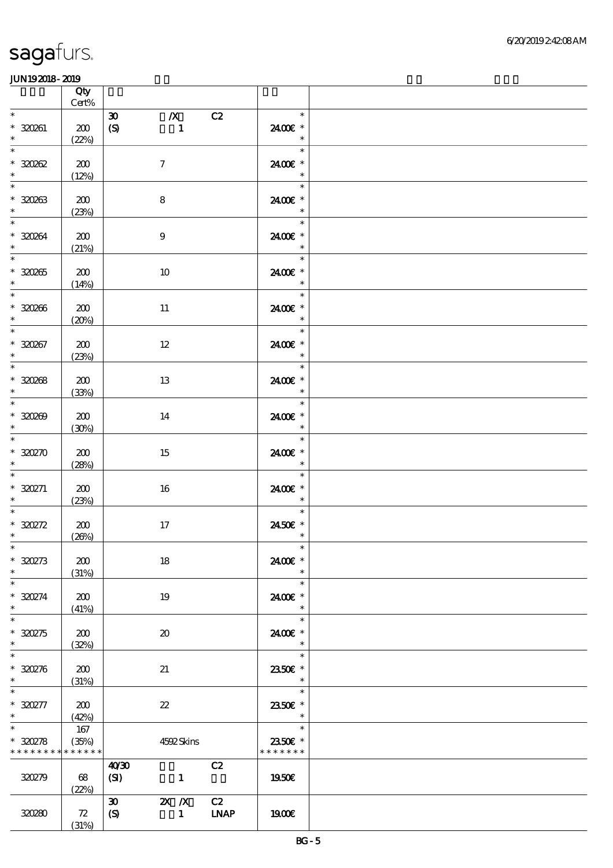|                                                    | Qty<br>$Cert\%$ |                                                                                             |                                                                |  |
|----------------------------------------------------|-----------------|---------------------------------------------------------------------------------------------|----------------------------------------------------------------|--|
| $\ast$<br>* 320261<br>$\ast$                       | 200<br>(22%)    | $\boldsymbol{\mathfrak{D}}$<br>$\boldsymbol{X}$<br>C2<br>$\boldsymbol{S}$<br>$\blacksquare$ | $\ast$<br>2400€ *<br>$\ast$                                    |  |
| $\ast$<br>$*30002$<br>$\ast$                       | 200<br>(12%)    | $\boldsymbol{7}$                                                                            | $\ast$<br>2400€ *<br>$\ast$                                    |  |
| $\overline{\phantom{0}}$<br>$* 320263$<br>$\ast$   | 200<br>(23%)    | 8                                                                                           | $\ast$<br>2400€ *<br>$\ast$                                    |  |
| $\overline{\ast}$<br>$* 320264$<br>$\ast$          | 200<br>(21%)    | $\boldsymbol{9}$                                                                            | $\ast$<br>2400€ *<br>$\ast$                                    |  |
| $\overline{\phantom{0}}$<br>$* 320265$<br>$\ast$   | 200<br>(14%)    | $10\,$                                                                                      | $\ast$<br>2400€ *<br>$\ast$                                    |  |
| $\overline{\ast}$<br>$* 320266$<br>$\ast$          | 200<br>(20%)    | $11\,$                                                                                      | $\ast$<br>2400€ *<br>$\ast$                                    |  |
| $\ast$<br>$* 320267$<br>$\ast$                     | 200<br>(23%)    | $12\,$                                                                                      | $\ast$<br>2400€ *<br>$\ast$                                    |  |
| $\overline{\phantom{0}}$<br>$* 30008$<br>$\ast$    | 200<br>(33%)    | 13                                                                                          | $\ast$<br>2400E *<br>$\ast$                                    |  |
| $* 30000$<br>$\ast$                                | 200<br>(30%)    | 14                                                                                          | $\ast$<br>2400 €*<br>$\ast$                                    |  |
| $\ast$<br>$*30270$                                 | 200<br>(28%)    | 15                                                                                          | $\ast$<br>2400€ *<br>$\ast$                                    |  |
| $\ast$<br>$*30271$<br>$*$                          | 200<br>(23%)    | 16                                                                                          | $\ast$<br>2400€ *<br>$\ast$                                    |  |
| $\ast$<br>$* 320272$<br>$\ast$                     | 200<br>(20%)    | $17\,$                                                                                      | $\ast$<br>2450€ *<br>$\ast$                                    |  |
| $\ast$<br>$*30273$<br>$\ast$                       | 200<br>(31%)    | 18                                                                                          | $\ast$<br>2400€ *<br>$\ast$                                    |  |
| $\ast$<br>$*30274$<br>$\ast$                       | 200<br>(41%)    | 19                                                                                          | $\ast$<br>2400€ *<br>$\ast$                                    |  |
| $\ast$<br>$*30275$<br>$\ast$                       | 200<br>(32%)    | $\boldsymbol{\mathfrak{D}}$                                                                 | $\ast$<br>2400€ *<br>$\ast$                                    |  |
| $\ast$<br>$*30276$<br>$\ast$                       | 200<br>(31%)    | 21                                                                                          | $\ast$<br>2350E *<br>$\ast$                                    |  |
| $\ast$<br>$*30277$<br>$*$                          | 200<br>(42%)    | $\boldsymbol{\mathcal{Z}}$                                                                  | $\ast$<br>2350€ *<br>$\overline{\phantom{a}}$                  |  |
| $\ast$<br>$* 30278$<br>* * * * * * * * * * * * * * | 167<br>(35%)    | 4592Skins                                                                                   | $\overline{\phantom{a}}$<br>$\ast$<br>2350E *<br>* * * * * * * |  |
| 320279                                             | 68<br>(22%)     | C2<br>40'30<br>(SI)<br>$\mathbf{1}$                                                         | 1950E                                                          |  |
| 320280                                             | 72<br>(31%)     | 2X / X C2<br>30<br><b>LNAP</b><br>$\mathcal{S}$<br>$\mathbf{1}$                             | 1900E                                                          |  |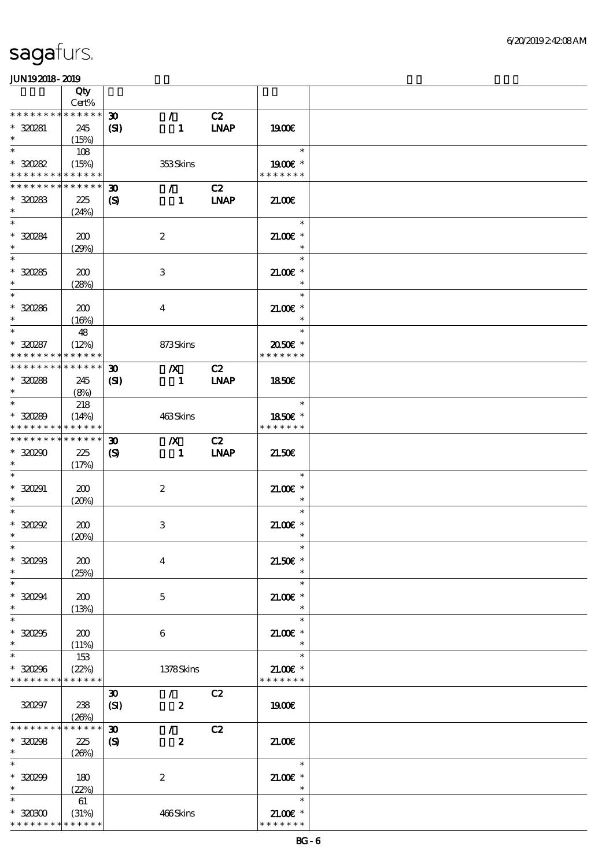|                                            | Qty                  |                                             |                                 |                   |                          |  |
|--------------------------------------------|----------------------|---------------------------------------------|---------------------------------|-------------------|--------------------------|--|
| * * * * * * * *                            | Cert%<br>$******$    |                                             |                                 |                   |                          |  |
| * 320281                                   | 245                  | $\boldsymbol{\mathfrak{D}}$<br>$\mathbf{S}$ | $\mathcal{L}$<br>$\blacksquare$ | C2<br><b>INAP</b> | 1900E                    |  |
| $\ast$                                     | (15%)                |                                             |                                 |                   |                          |  |
| $\ast$                                     | 108                  |                                             |                                 |                   | $\ast$                   |  |
| $*30282$                                   | (15%)                |                                             | 353Skins                        |                   | 1900E *                  |  |
| * * * * * * * * <mark>* * * * * * *</mark> |                      |                                             |                                 |                   | * * * * * * *            |  |
| * * * * * * * * * * * * * *                |                      | $\boldsymbol{\mathfrak{D}}$                 | $\mathcal{L}$                   | C2                |                          |  |
| $*30283$                                   | 225                  | $\mathbf{S}$                                | $\blacksquare$                  | <b>LNAP</b>       | 21.00                    |  |
| $\ast$                                     | (24%)                |                                             |                                 |                   |                          |  |
| $\ast$                                     |                      |                                             |                                 |                   | $\ast$                   |  |
| * 320284                                   | 200                  |                                             | $\boldsymbol{2}$                |                   | $21.00$ $*$              |  |
| $\ast$                                     | (29%)                |                                             |                                 |                   | $\ast$                   |  |
| $\overline{\phantom{0}}$                   |                      |                                             |                                 |                   | $\ast$                   |  |
| $*30285$                                   | 200                  |                                             | 3                               |                   | $21.00E$ *               |  |
| $\ast$                                     | (28%)                |                                             |                                 |                   | $\ast$                   |  |
| $\ast$                                     |                      |                                             |                                 |                   | $\ast$                   |  |
| $* 320286$                                 | 200                  |                                             | $\overline{4}$                  |                   | $21.005*$                |  |
| $\ast$                                     | (16%)                |                                             |                                 |                   | $\ast$                   |  |
| $\ast$                                     | 48                   |                                             |                                 |                   | $\ast$                   |  |
| $*30287$                                   | (12%)                |                                             | 873Skins                        |                   | 2050E *                  |  |
| * * * * * * * *                            | * * * * * *          |                                             |                                 |                   | * * * * * * *            |  |
| * * * * * * * * * * * * * *                |                      | $\boldsymbol{\mathfrak{D}}$                 | $\mathbf{X}$                    | C2                |                          |  |
| $*30288$                                   | 245                  | $\mathbf{C}$                                | $\sim$ 1.                       | <b>LNAP</b>       | 1850E                    |  |
| $\ast$                                     | (8%)                 |                                             |                                 |                   |                          |  |
| $\ast$                                     | 218                  |                                             |                                 |                   | $\overline{\phantom{a}}$ |  |
| $*30289$                                   | (14%)                |                                             | 463Skins                        |                   | 1850€ *                  |  |
| * * * * * * * * * * * * * *                |                      |                                             |                                 |                   | * * * * * * *            |  |
| * * * * * * * * * * * * * * *              |                      | $\boldsymbol{\mathfrak{D}}$                 | $\boldsymbol{X}$                | C2                |                          |  |
| $*30290$                                   | 225                  | $\boldsymbol{\mathcal{S}}$                  | $\sim$ 1.                       | <b>LNAP</b>       | 21.50E                   |  |
|                                            | (17%)                |                                             |                                 |                   |                          |  |
|                                            |                      |                                             |                                 |                   | $\ast$                   |  |
| $*320291$                                  | 200                  |                                             | $\boldsymbol{z}$                |                   | $21.005*$                |  |
| $*$                                        | (20%)                |                                             |                                 |                   | $\ast$                   |  |
| $\ast$                                     |                      |                                             |                                 |                   | $\ast$                   |  |
| $*30092$                                   | 200                  |                                             | $\,3$                           |                   | $21.00$ $*$              |  |
| $\ast$                                     | (20%)                |                                             |                                 |                   | $\ast$                   |  |
| $\ast$                                     |                      |                                             |                                 |                   | $\ast$                   |  |
| $*30293$                                   | 200                  |                                             | $\overline{4}$                  |                   | $21.50E$ *               |  |
| $\ast$                                     | (25%)                |                                             |                                 |                   | $\ast$                   |  |
| $\ast$                                     |                      |                                             |                                 |                   | $\ast$                   |  |
| $*30294$                                   | 200                  |                                             | 5                               |                   | $21.005*$                |  |
| $\ast$                                     | (13%)                |                                             |                                 |                   | $\ast$                   |  |
| $\ast$                                     |                      |                                             |                                 |                   | $\ast$                   |  |
| $*30295$                                   | 200                  |                                             | 6                               |                   | $21.00$ $*$              |  |
| $\ast$                                     | (11%)                |                                             |                                 |                   | $\ast$                   |  |
| $\ast$                                     | 153                  |                                             |                                 |                   | $\ast$                   |  |
| $*30296$                                   | (22%)                |                                             | 1378Skins                       |                   | $21.00E$ *               |  |
| * * * * * * * *                            | * * * * * *          |                                             |                                 |                   | * * * * * * *            |  |
|                                            |                      | $\boldsymbol{\mathfrak{D}}$                 | $\mathcal{L}$                   | C2                |                          |  |
| 320297                                     | 238                  | (SI)                                        | $\boldsymbol{z}$                |                   | 1900E                    |  |
|                                            | (20%)                |                                             |                                 |                   |                          |  |
| * * * * * * * *                            | * * * * * *          | $\boldsymbol{\mathfrak{D}}$                 | $\mathcal{L}$                   | C2                |                          |  |
| $*30298$                                   | 225                  | $\boldsymbol{\mathrm{(S)}}$                 | $\boldsymbol{z}$                |                   | 21.00E                   |  |
| $\ast$                                     | (20%)                |                                             |                                 |                   |                          |  |
| $\ast$                                     |                      |                                             |                                 |                   | $\ast$                   |  |
| $*30299$                                   | 180                  |                                             | $\boldsymbol{2}$                |                   | $21.00$ $*$              |  |
| $\ast$                                     | (22%)                |                                             |                                 |                   | $\ast$                   |  |
| $\ast$                                     | 61                   |                                             |                                 |                   | $\ast$                   |  |
| $*3000$                                    |                      |                                             |                                 |                   | $21.00E$ *               |  |
| * * * * * * * *                            | (31%)<br>* * * * * * |                                             | 466Skins                        |                   | * * * * * * *            |  |
|                                            |                      |                                             |                                 |                   |                          |  |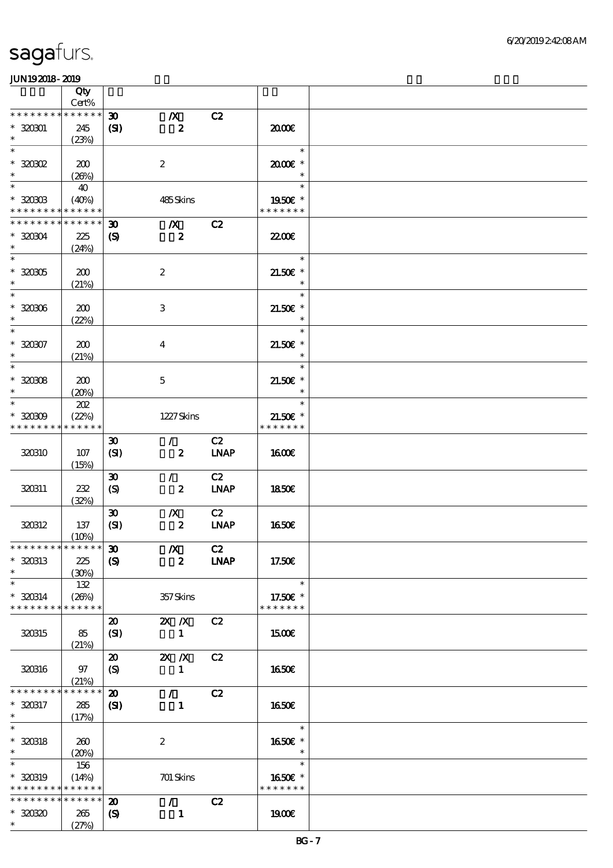|                                                                  | Qty<br>Cert%                |                                                            |                                                 |                   |                                       |  |
|------------------------------------------------------------------|-----------------------------|------------------------------------------------------------|-------------------------------------------------|-------------------|---------------------------------------|--|
| * * * * * * * *                                                  | * * * * * *                 |                                                            |                                                 |                   |                                       |  |
| $*32001$<br>$\ast$                                               | 245<br>(23%)                | $\boldsymbol{\mathfrak{D}}$<br>(S)                         | $\pmb{X}$<br>$\boldsymbol{z}$                   | C2                | 2000€                                 |  |
| $\ast$<br>$*30002$<br>$\ast$                                     | 200                         |                                                            | $\boldsymbol{2}$                                |                   | $\ast$<br>2000E*<br>$\ast$            |  |
| $\ast$<br>$*30003$                                               | (20%)<br>40<br>(40%)        |                                                            | 485Skins                                        |                   | $\ast$<br>1950E *                     |  |
| * * * * * * * *                                                  | * * * * * *                 |                                                            |                                                 |                   | * * * * * * *                         |  |
| * * * * * * * *<br>$*320304$<br>$\ast$                           | * * * * * *<br>225<br>(24%) | $\boldsymbol{\mathfrak{D}}$<br>$\boldsymbol{\mathrm{(S)}}$ | $\boldsymbol{X}$<br>$\overline{\mathbf{2}}$     | C2                | <b>22006</b>                          |  |
| $\overline{\ast}$<br>$^\ast$ 320305<br>$\ast$                    | 200<br>(21%)                |                                                            | $\boldsymbol{2}$                                |                   | $\ast$<br>21.50€ *<br>$\ast$          |  |
| $\ast$<br>$* 320306$<br>$\ast$                                   | 200<br>(22%)                |                                                            | $\,3$                                           |                   | $\ast$<br>$21.50E$ *<br>$\ast$        |  |
| $\ast$<br>$* 320307$<br>$\ast$                                   | 200<br>(21%)                |                                                            | $\bf{4}$                                        |                   | $\ast$<br>$21.50E$ *<br>$\ast$        |  |
| $\overline{\ast}$<br>$* 320308$<br>$\ast$                        | 200<br>(20%)                |                                                            | $\mathbf 5$                                     |                   | $\ast$<br>$21.50E$ *<br>$\ast$        |  |
| $\ast$<br>$*30009$<br>* * * * * * * *                            | 202<br>(22%)<br>* * * * * * |                                                            | 1227Skins                                       |                   | $\ast$<br>$21.50E$ *<br>* * * * * * * |  |
| 320310                                                           | 107<br>(15%)                | $\boldsymbol{\mathfrak{D}}$<br>(SI)                        | $\mathcal{L}$<br>$\boldsymbol{z}$               | C2<br><b>LNAP</b> | <b>1600€</b>                          |  |
| 320311                                                           | 232<br>(32%)                | $\boldsymbol{\mathfrak{D}}$<br>$\boldsymbol{S}$            | $\mathcal{L}$<br>$\boldsymbol{z}$               | C2<br><b>LNAP</b> | 1850E                                 |  |
| 320312                                                           | 137<br>(10%)                | $\boldsymbol{\mathfrak{D}}$<br>(SI)                        | $\boldsymbol{X}$<br>$\boldsymbol{z}$            | C2<br><b>LNAP</b> | 1650€                                 |  |
| * * * * * * * * * * * * * * *<br>$*320313$<br>$\ast$             | 225<br>(30%)                | $\pmb{\mathfrak{D}}$<br>$\boldsymbol{S}$                   | $\boldsymbol{X}$<br>$\boldsymbol{2}$            | C2<br><b>LNAP</b> | 17.50€                                |  |
| $\ast$<br>* 320314<br>* * * * * * * *                            | 132<br>(20%)<br>* * * * * * |                                                            | 357Skins                                        |                   | $\ast$<br>17.50€ *<br>* * * * * * *   |  |
| 320315                                                           | 85<br>(21%)                 | $\boldsymbol{\mathfrak{D}}$<br>(SI)                        | $X \, X$<br>$\mathbf{1}$                        | C2                | 1500€                                 |  |
| 320316                                                           | 97<br>(21%)                 | $\boldsymbol{\mathfrak{D}}$<br>(S)                         | $X$ $N$<br>$\mathbf{1}$                         | C2                | 1650€                                 |  |
| * * * * * * *<br>* 320317<br>$*$                                 | * * * * * *<br>285<br>(17%) | $\boldsymbol{\mathsf{20}}$<br>$\mathbf{C}$                 | $\mathcal{L}$<br>$\mathbf{1}$                   | C2                | <b>1650€</b>                          |  |
| $\overline{\ast}$<br>$* 320318$<br>$\ast$                        | 260<br>(20%)                |                                                            | $\boldsymbol{2}$                                |                   | $\ast$<br>1650€ *<br>$\ast$           |  |
| $\ast$<br>* 320319<br>* * * * * * * * <mark>* * * * * *</mark> * | 156<br>(14%)                |                                                            | 701 Skins                                       |                   | $\ast$<br>1650E *<br>* * * * * * *    |  |
| * * * * * * * *<br>$*3030$<br>$\ast$                             | * * * * * *<br>265<br>(27%) | $\boldsymbol{\mathbf{z}}$<br>$\boldsymbol{\mathcal{S}}$    | $\mathcal{L}$ and $\mathcal{L}$<br>$\mathbf{1}$ | C2                | 1900E                                 |  |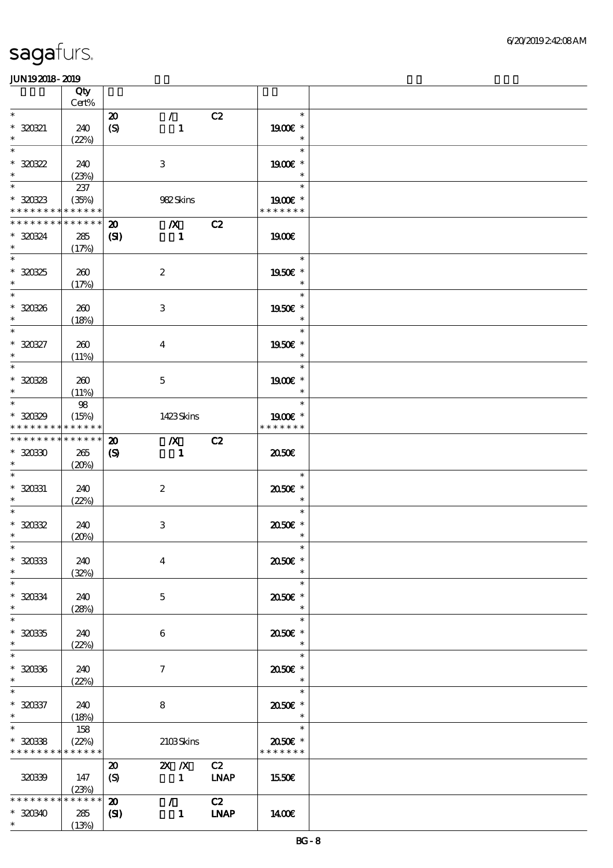|                                                   | Qty<br>Cert%                    |                                                 |                                    |             |                                                         |  |
|---------------------------------------------------|---------------------------------|-------------------------------------------------|------------------------------------|-------------|---------------------------------------------------------|--|
| $\ast$                                            |                                 |                                                 |                                    |             | $\ast$                                                  |  |
| $* 320321$                                        | 240                             | $\boldsymbol{\mathfrak{D}}$<br>$\boldsymbol{S}$ | $\mathcal{L}$<br>$\mathbf{1}$      | C2          | 1900E *                                                 |  |
| $\ast$                                            | (22%)                           |                                                 |                                    |             | $\ast$                                                  |  |
| $\ast$<br>$*30322$<br>$\ast$                      | 240                             |                                                 | 3                                  |             | $\ast$<br>1900€ *                                       |  |
|                                                   | (23%)                           |                                                 |                                    |             | $\ast$                                                  |  |
| $\ast$<br>$*30823$<br>* * * * * * * * * * * * * * | 237<br>(35%)                    |                                                 | 982Skins                           |             | $\ast$<br>1900 *<br>* * * * * * *                       |  |
|                                                   |                                 |                                                 |                                    |             |                                                         |  |
| * * * * * * * *<br>* 320324<br>$\ast$             | $* * * * * * *$<br>285<br>(17%) | $\boldsymbol{\mathfrak{D}}$<br>(S)              | $\boldsymbol{X}$<br>$\blacksquare$ | C2          | 1900E                                                   |  |
| $\overline{\phantom{0}}$<br>$*30325$<br>$\ast$    | 260<br>(17%)                    |                                                 | $\boldsymbol{2}$                   |             | $\ast$<br>1950€ *<br>$\ast$                             |  |
| $\overline{\ast}$<br>$* 320326$<br>$\ast$         | 260<br>(18%)                    |                                                 | 3                                  |             | $\overline{\phantom{a}}$<br>$\ast$<br>1950€ *<br>$\ast$ |  |
| $\ast$                                            |                                 |                                                 |                                    |             | $\ast$                                                  |  |
| $* 320327$<br>$\ast$                              | 260<br>(11%)                    |                                                 | $\overline{4}$                     |             | 1950E *<br>$\ast$                                       |  |
| $\overline{\phantom{0}}$                          |                                 |                                                 |                                    |             | $\ast$                                                  |  |
| $* 30028$<br>$\ast$                               | 260<br>(11%)                    |                                                 | $\mathbf{5}$                       |             | 1900€ *<br>$\ast$                                       |  |
| $\ast$                                            | $98$                            |                                                 |                                    |             | $\ast$                                                  |  |
| $*3089$<br>* * * * * * * * * * * * * *            | (15%)                           |                                                 | 1423Skins                          |             | 1900E *<br>* * * * * * *                                |  |
| * * * * * * * * * * * * * *                       |                                 | $\boldsymbol{\mathfrak{D}}$                     | $\boldsymbol{X}$                   | C2          |                                                         |  |
| $*3030$<br>$\ast$                                 | 265<br>(20%)                    | $\boldsymbol{S}$                                | $\blacksquare$                     |             | 2050E                                                   |  |
| $* 320331$<br>$\ast$                              | 240<br>(22%)                    |                                                 | $\boldsymbol{z}$                   |             | $\ast$<br>2050E *<br>$\ast$                             |  |
| $\ast$<br>$* 32032$<br>$\ast$                     | 240<br>(20%)                    |                                                 | $\,3$                              |             | $\ast$<br>2050E *<br>$\ast$                             |  |
| $\ast$<br>$* 30033$<br>$\ast$                     | 240<br>(32%)                    |                                                 | $\overline{4}$                     |             | $\ast$<br>2050E *<br>$\ast$                             |  |
| $\ast$                                            |                                 |                                                 |                                    |             | $\ast$                                                  |  |
| $* 320334$<br>$\ast$                              | 240<br>(28%)                    |                                                 | 5                                  |             | 2050E *<br>$\ast$                                       |  |
| $\ast$                                            |                                 |                                                 |                                    |             | $\ast$                                                  |  |
| $* 30035$<br>$\ast$                               | 240<br>(22%)                    |                                                 | 6                                  |             | 2050E *<br>$\ast$                                       |  |
| $\ast$                                            |                                 |                                                 |                                    |             | $\ast$                                                  |  |
| $* 30036$<br>$\ast$                               | 240<br>(22%)                    |                                                 | 7                                  |             | 2050E *<br>$\ast$                                       |  |
| $\ast$<br>$* 320337$<br>$\ast$                    | 240<br>(18%)                    |                                                 | 8                                  |             | $\ast$<br>2050E *<br>$\ast$                             |  |
| $\ast$                                            | 158                             |                                                 |                                    |             | $\ast$                                                  |  |
| $* 30038$<br>* * * * * * * * * * * * * *          | (22%)                           |                                                 | 2103Skins                          |             | $2050$ $\epsilon$ *<br>* * * * * * *                    |  |
|                                                   |                                 | $\boldsymbol{\mathfrak{D}}$                     | $X \, X$                           | C2          |                                                         |  |
| 320339                                            | 147<br>(23%)                    | $\boldsymbol{S}$                                | $\sim$ 1                           | <b>LNAP</b> | 1550E                                                   |  |
| * * * * * * * *                                   | * * * * * *                     | $\boldsymbol{\mathbf{z}}$                       | $\mathcal{F}^{\mathcal{F}}$        | C2          |                                                         |  |
| $*30340$                                          | 285                             | $\mathbf{C}$                                    | $\mathbf{1}$                       | <b>LNAP</b> | 1400E                                                   |  |
| $*$ $*$                                           | (13%)                           |                                                 |                                    |             |                                                         |  |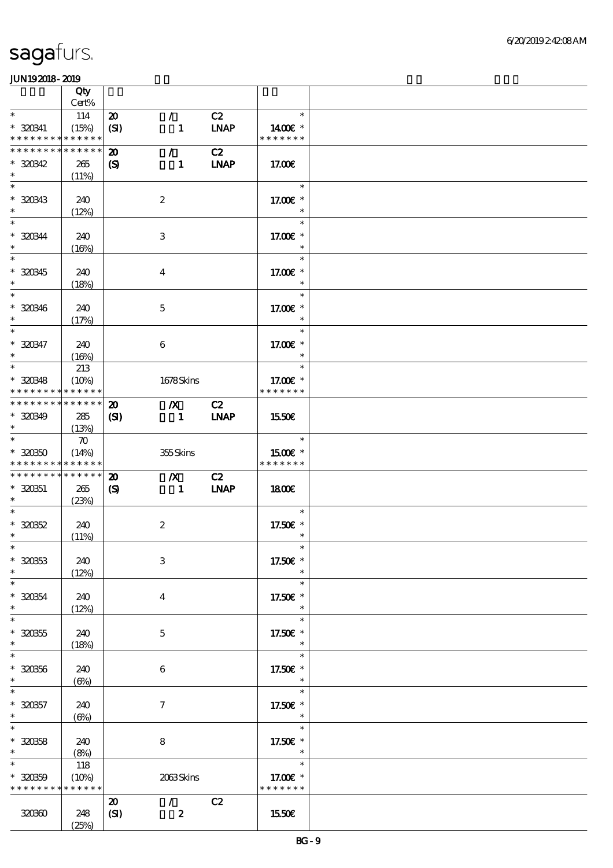|                                                                             | Qty                         |                                               |                                                     |                   |                                           |  |
|-----------------------------------------------------------------------------|-----------------------------|-----------------------------------------------|-----------------------------------------------------|-------------------|-------------------------------------------|--|
| $\ast$                                                                      | Cert%                       |                                               | $\mathcal{L}$                                       | C2                | $\ast$                                    |  |
| $*320341$<br>* * * * * * * * * * * * * *                                    | 114<br>(15%)                | $\boldsymbol{\mathfrak{D}}$<br>(SI)           | $\mathbf{1}$                                        | <b>LNAP</b>       | 1400E *<br>* * * * * * *                  |  |
| * * * * * * * * * * * * * *<br>$*30342$                                     | 265                         | $\boldsymbol{\mathbf{z}}$<br>$\boldsymbol{S}$ | $\mathcal{F}$<br>$\mathbf{1}$                       | C2<br><b>LNAP</b> | 17.00E                                    |  |
| $\ast$<br>$\ast$<br>$* 320343$                                              | (11%)<br>240                |                                               | $\boldsymbol{2}$                                    |                   | $\ast$<br>17.00 £*                        |  |
| $\ast$<br>$\ast$<br>* 320344                                                | (12%)<br>240                |                                               | $\,3$                                               |                   | $\ast$<br>17.00 £*                        |  |
| $\ast$<br>$\ast$                                                            | (16%)                       |                                               |                                                     |                   | $\ast$                                    |  |
| $* 320345$<br>$\ast$<br>$\ast$                                              | 240<br>(18%)                |                                               | $\boldsymbol{4}$                                    |                   | 17.00 $\varepsilon$ *<br>$\ast$<br>$\ast$ |  |
| $* 320346$<br>$\ast$<br>$\ast$                                              | 240<br>(17%)                |                                               | $\mathbf 5$                                         |                   | 17.00 £*<br>$\ast$                        |  |
| $* 320347$<br>$\ast$                                                        | 240<br>(16%)                |                                               | $\boldsymbol{6}$                                    |                   | $\ast$<br>17.00 £*<br>$\ast$              |  |
| $\ast$<br>$*30348$<br>* * * * * * * * <mark>* * * * * * *</mark>            | 213<br>(10%)                |                                               | 1678Skins                                           |                   | $\ast$<br>17.00 £*<br>* * * * * * *       |  |
| * * * * * * * * * * * * * *                                                 |                             | $\boldsymbol{\mathbf{z}}$                     | $\mathbf{X}$                                        | C2                |                                           |  |
| $*30349$<br>$\ast$                                                          | 285<br>(13%)                | (S)                                           | $\blacksquare$                                      | <b>INAP</b>       | 1550€                                     |  |
| $\overline{\ast}$<br>$*30350$<br>* * * * * * * * <mark>* * * * * * *</mark> | $\boldsymbol{\pi}$<br>(14%) |                                               | 355Skins                                            |                   | $\ast$<br>1500€ *<br>* * * * * * *        |  |
| * * * * * * * * * * * * * *                                                 |                             | $\boldsymbol{\mathfrak{D}}$                   | $\boldsymbol{X}$                                    | C2                |                                           |  |
| $*30051$<br>$*$                                                             | 265<br>(23%)                | $\boldsymbol{\mathcal{S}}$                    | $\blacksquare$                                      | <b>LNAP</b>       | 1800E                                     |  |
| $\ast$                                                                      |                             |                                               |                                                     |                   | $\ast$                                    |  |
| $* 320352$<br>$*$                                                           | 240<br>(11%)                |                                               | $\boldsymbol{2}$                                    |                   | 17.50€ *<br>$\ast$                        |  |
| $*$<br>$* 32033$<br>$\ast$                                                  | 240<br>(12%)                |                                               | $\,3$                                               |                   | $\ast$<br>17.50€ *<br>$\ast$              |  |
| $\ast$<br>$* 320354$<br>$\ast$                                              | 240<br>(12%)                |                                               | $\boldsymbol{4}$                                    |                   | $\ast$<br>17.50€ *<br>$\ast$              |  |
| $\ast$<br>$* 320355$<br>$\ast$                                              | 240<br>(18%)                |                                               | $\mathbf 5$                                         |                   | $\ast$<br>17.50€ *<br>$\ast$              |  |
| $\ast$<br>$* 320356$<br>$\ast$                                              | 240<br>$(\Theta)$           |                                               | 6                                                   |                   | $\ast$<br>17.50€ *<br>$\ast$              |  |
| $\ast$<br>$* 320357$<br>$\ast$                                              | 240<br>$(\Theta)$           |                                               | $\boldsymbol{\tau}$                                 |                   | $\ast$<br>17.50€ *<br>$\ast$              |  |
| $\ast$<br>$* 320358$<br>$\ast$                                              | 240<br>(8%)                 |                                               | $\bf 8$                                             |                   | $\ast$<br>17.50 $\varepsilon$ *<br>$\ast$ |  |
| $\ast$<br>$* 320359$<br>* * * * * * * * <mark>* * * * * *</mark> *          | 118<br>(10%)                |                                               | 2063Skins                                           |                   | $\ast$<br>17.00 £*<br>* * * * * * *       |  |
| 320360                                                                      | 248<br>(25%)                | $\boldsymbol{\mathbf{z}}$<br>(SI)             | $\mathcal{L}$ and $\mathcal{L}$<br>$\boldsymbol{z}$ | C2                | 1550E                                     |  |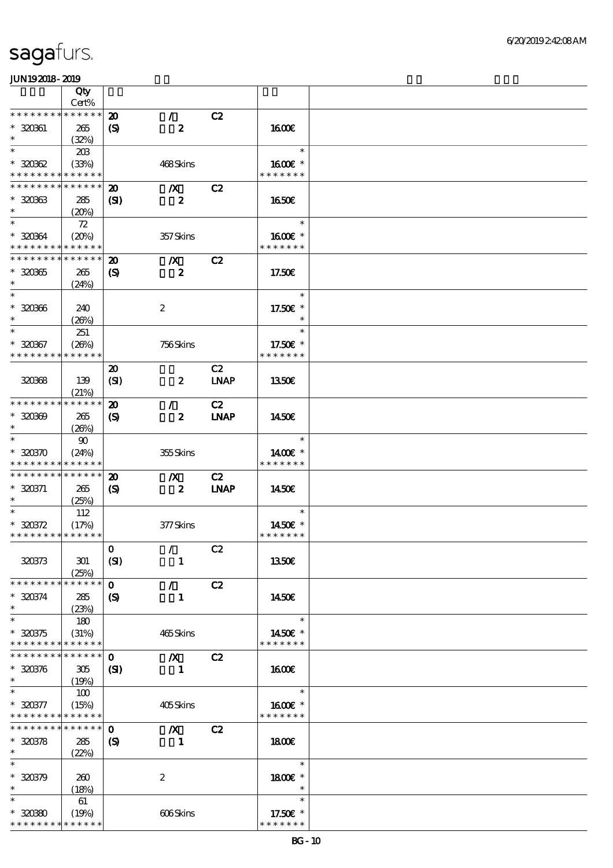|                                                            | Qty                  |                             |                                 |             |                          |  |
|------------------------------------------------------------|----------------------|-----------------------------|---------------------------------|-------------|--------------------------|--|
|                                                            | Cert%                |                             |                                 |             |                          |  |
| * * * * * * * *                                            | * * * * * *          | $\boldsymbol{\mathfrak{D}}$ | $\mathcal{L}$                   | C2          |                          |  |
| $* 32061$<br>$\ast$                                        | 265                  | $\boldsymbol{\mathcal{S}}$  | $\boldsymbol{z}$                |             | 1600                     |  |
| $\ast$                                                     | (32%)                |                             |                                 |             | $\ast$                   |  |
|                                                            | 203                  |                             |                                 |             |                          |  |
| $*30002$<br>* * * * * * * * <mark>* * * * * *</mark> *     | (33%)                |                             | 468Skins                        |             | 1600€ *<br>* * * * * * * |  |
| * * * * * * * * * * * * * *                                |                      |                             |                                 |             |                          |  |
|                                                            |                      | $\boldsymbol{\mathfrak{D}}$ | $\boldsymbol{X}$                | C2          |                          |  |
| $* 30063$<br>$\ast$                                        | 285                  | $\mathbf{S}$                | $\overline{\mathbf{z}}$         |             | 1650E                    |  |
| $\ast$                                                     | (20%)                |                             |                                 |             |                          |  |
|                                                            | 72                   |                             |                                 |             | $\ast$                   |  |
| * 320364                                                   | (20%)                |                             | 357Skins                        |             | 1600€ *                  |  |
| * * * * * * * * * * * * * *<br>* * * * * * * * * * * * * * |                      |                             |                                 |             | * * * * * * *            |  |
|                                                            |                      | $\boldsymbol{\mathfrak{D}}$ | $\mathbf{X}$                    | C2          |                          |  |
| $* 320365$                                                 | 265                  | $\boldsymbol{\mathrm{(S)}}$ | $\boldsymbol{z}$                |             | 17.50E                   |  |
| $\ast$<br>$\ast$                                           | (24%)                |                             |                                 |             |                          |  |
|                                                            |                      |                             |                                 |             | $\ast$                   |  |
| $* 320366$                                                 | 240                  |                             | $\boldsymbol{2}$                |             | 17.50€ *                 |  |
| $\ast$                                                     | (20%)                |                             |                                 |             | $\ast$                   |  |
| $\ast$                                                     | 251                  |                             |                                 |             | $\ast$                   |  |
| $* 320367$                                                 | (20%)                |                             | 756Skins                        |             | 17.50€ *                 |  |
| * * * * * * * *                                            | * * * * * *          |                             |                                 |             | * * * * * * *            |  |
|                                                            |                      | $\boldsymbol{\mathfrak{D}}$ |                                 | C2          |                          |  |
| 320368                                                     | 139                  | (SI)                        | $\boldsymbol{z}$                | <b>LNAP</b> | 1350E                    |  |
|                                                            | (21%)                |                             |                                 |             |                          |  |
| * * * * * * * *                                            | * * * * * *          | $\boldsymbol{\mathbf{z}}$   | $\mathcal{F}$                   | C2          |                          |  |
| $* 30000$                                                  | 265                  | $\boldsymbol{\mathcal{S}}$  | $\boldsymbol{z}$                | <b>INAP</b> | 1450E                    |  |
| $\ast$                                                     | (20%)                |                             |                                 |             |                          |  |
| $\ast$                                                     | 90                   |                             |                                 |             | $\ast$                   |  |
| $* 320370$                                                 | (24%)                |                             | 355Skins                        |             | 1400€ *                  |  |
| * * * * * * * * * * * * * *                                |                      |                             |                                 |             | * * * * * * *            |  |
| * * * * * * * *                                            | * * * * * *          | $\boldsymbol{\mathbf{z}}$   | $\boldsymbol{X}$                | C2          |                          |  |
| $* 320371$                                                 | 265                  | $\boldsymbol{\mathcal{S}}$  | $\boldsymbol{z}$                | <b>INAP</b> | 1450€                    |  |
| $\ast$<br>$\ast$                                           | (25%)                |                             |                                 |             | $\ast$                   |  |
|                                                            | 112                  |                             |                                 |             |                          |  |
| $* 320372$<br>* * * * * * * * * * * * * *                  | (17%)                |                             | 377Skins                        |             | 1450€ *<br>* * * * * * * |  |
|                                                            |                      |                             |                                 |             |                          |  |
| 320373                                                     |                      | $\mathbf{o}$                | $\mathcal{F}$ and $\mathcal{F}$ | C2          |                          |  |
|                                                            | 301                  | (SI)                        | $\mathbf{1}$                    |             | <b>1350€</b>             |  |
| * * * * * * * *                                            | (25%)<br>* * * * * * | $\mathbf{o}$                | $\mathcal{F}^{\mathcal{A}}$     | C2          |                          |  |
|                                                            |                      |                             |                                 |             |                          |  |
| $* 320374$<br>$\ast$                                       | 285                  | $\boldsymbol{\mathcal{S}}$  | 1                               |             | 1450E                    |  |
| $\ast$                                                     | (23%)<br>180         |                             |                                 |             | $\ast$                   |  |
| $* 320375$                                                 | (31%)                |                             | 465Skins                        |             | 1450€ *                  |  |
| * * * * * * * * * * * * * *                                |                      |                             |                                 |             | * * * * * * *            |  |
| * * * * * * * * <mark>* * * * * * *</mark>                 |                      | $\mathbf{o}$                | $\boldsymbol{X}$                | C2          |                          |  |
| $* 320376$                                                 | 305                  | $\mathbf{S}$                | $\blacksquare$                  |             | 1600                     |  |
| $\ast$                                                     | (19%)                |                             |                                 |             |                          |  |
| $\ast$                                                     | 100                  |                             |                                 |             | $\ast$                   |  |
| $* 320377$                                                 | (15%)                |                             | 405Skins                        |             | 1600€ *                  |  |
| * * * * * * * * * * * * * *                                |                      |                             |                                 |             | * * * * * * *            |  |
| * * * * * * * * <mark>* * * * * * *</mark>                 |                      | $\mathbf 0$                 | $\boldsymbol{X}$                | C2          |                          |  |
| $* 300378$                                                 | 285                  | $\boldsymbol{\mathrm{(S)}}$ | $\mathbf{1}$                    |             | 1800                     |  |
| $\ast$                                                     | (22%)                |                             |                                 |             |                          |  |
| $\ast$                                                     |                      |                             |                                 |             | $\ast$                   |  |
| $* 320379$                                                 | 260                  |                             | $\boldsymbol{2}$                |             | 1800€ *                  |  |
| $\ast$                                                     | (18%)                |                             |                                 |             | $\ast$                   |  |
| $\ast$                                                     | 61                   |                             |                                 |             | $\ast$                   |  |
| $*3080$                                                    | (19%)                |                             | 606Skins                        |             | 17.50€ *                 |  |
| * * * * * * * * <mark>* * * * * *</mark>                   |                      |                             |                                 |             | * * * * * * *            |  |
|                                                            |                      |                             |                                 |             |                          |  |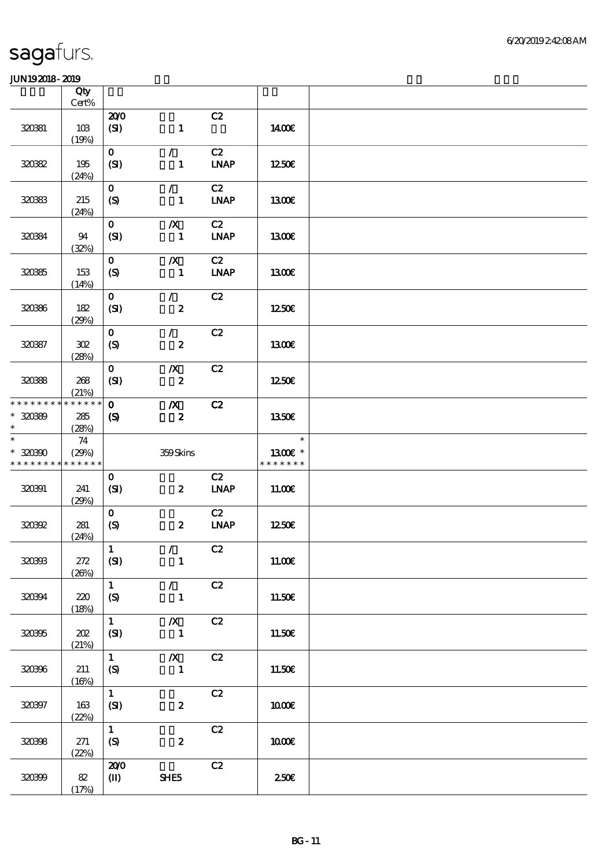|                                            | Qty<br>Cert%                |                                             |                                      |                   |                          |  |
|--------------------------------------------|-----------------------------|---------------------------------------------|--------------------------------------|-------------------|--------------------------|--|
| 320381                                     | 10B<br>(19%)                | 200<br>(SI)                                 | $\mathbf{1}$                         | C2                | 1400E                    |  |
| 32032                                      | 195<br>(24%)                | $\mathbf{0}$<br>(SI)                        | $\mathcal{L}$<br>$\mathbf{1}$        | C2<br><b>LNAP</b> | 1250E                    |  |
| 320333                                     | 215<br>(24%)                | $\mathbf{O}$<br>$\boldsymbol{S}$            | $\mathcal{L}$<br>$\mathbf{1}$        | C2<br><b>LNAP</b> | 1300E                    |  |
| 320334                                     | 94<br>(32%)                 | $\mathbf{O}$<br>(SI)                        | $\boldsymbol{X}$<br>$\blacksquare$   | C2<br><b>LNAP</b> | 1300E                    |  |
| 320365                                     | 153<br>(14%)                | $\mathbf 0$<br>$\boldsymbol{S}$             | $\pmb{X}$<br>$\blacksquare$          | C2<br><b>LNAP</b> | 1300E                    |  |
| 320366                                     | 182<br>(29%)                | $\mathbf{O}$<br>(SI)                        | $\mathcal{L}$<br>$\boldsymbol{z}$    | C2                | 1250E                    |  |
| 320387                                     | 302<br>(28%)                | $\mathbf{O}$<br>$\boldsymbol{S}$            | $\mathcal{L}$<br>$\boldsymbol{z}$    | C2                | <b>130€</b>              |  |
| 320388                                     | 268<br>(21%)                | $\mathbf{O}$<br>(SI)                        | $\boldsymbol{X}$<br>$\pmb{2}$        | C2                | 1250E                    |  |
| * * * * * * * *<br>$* 30080$<br>$\ast$     | * * * * * *<br>285<br>(28%) | $\mathbf{o}$<br>$\boldsymbol{\mathcal{S}}$  | $\boldsymbol{X}$<br>$\boldsymbol{z}$ | C2                | 1350E                    |  |
|                                            |                             |                                             |                                      |                   | $\ast$                   |  |
| * * * * * * * * <mark>* * * * * *</mark> * | 74<br>(29%)                 |                                             | 359Skins                             |                   | 1300€ *<br>* * * * * * * |  |
| $\ast$<br>$*3000$<br>320391                | 241<br>(29%)                | $\mathbf 0$<br>(SI)                         | $\boldsymbol{z}$                     | C2<br><b>LNAP</b> | 11.00E                   |  |
| 320392                                     | 281<br>(24%)                | $\mathbf{o}$<br>(S)                         | $\boldsymbol{z}$                     | C2<br><b>LNAP</b> | 1250E                    |  |
| 320333                                     | 272<br>(20%)                | $\vert$ 1<br>(SI)                           | $\mathcal{T}$<br>$\mathbf{1}$        | C2                | 11.00E                   |  |
| 320394                                     | 220<br>(18%)                | $\mathbf{1}$<br>(S)                         | $\mathcal{F}$<br>$\mathbf{1}$        | C2                | 11.50€                   |  |
| 320395                                     | 202<br>(21%)                | $\mathbf{1}$<br>(SI)                        | $\boldsymbol{X}$<br>$\mathbf{1}$     | C2                | 11.50E                   |  |
| 320396                                     | 211<br>(16%)                | $\mathbf{1}$<br>$\mathcal{S}$               | $\boldsymbol{X}$<br>$\mathbf{1}$     | C2                | 11.50€                   |  |
| 320397                                     | 163<br>(22%)                | $\mathbf{1}$<br>(SI)                        | $\boldsymbol{z}$                     | C2                | 1000E                    |  |
| 320398                                     | 271<br>(22%)                | $\mathbf{1}$<br>$\boldsymbol{\mathrm{(S)}}$ | $\boldsymbol{z}$                     | C2                | 1000E                    |  |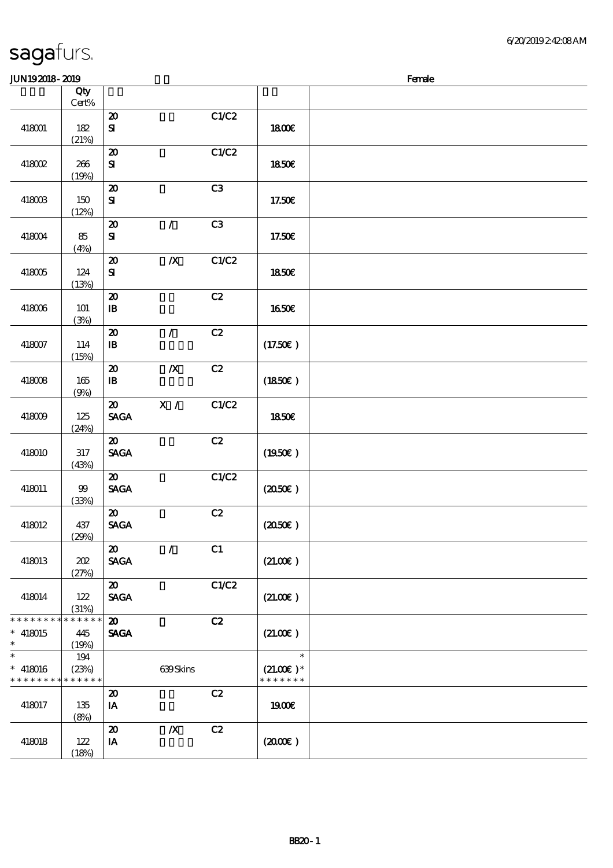| JUN192018-2019                          |                             |                                                               |                  |       |                                        | Female |
|-----------------------------------------|-----------------------------|---------------------------------------------------------------|------------------|-------|----------------------------------------|--------|
|                                         | Qty<br>$\mbox{Cert}\%$      |                                                               |                  |       |                                        |        |
| 418001                                  | 182<br>(21%)                | $\pmb{\mathcal{Z}}$<br>$\mathbf{S}$                           |                  | C1/C2 | 1800E                                  |        |
| 418002                                  | 266<br>(19%)                | $\boldsymbol{\mathfrak{D}}$<br>${\bf S}$                      |                  | C1/C2 | <b>1850€</b>                           |        |
| 418003                                  | 150<br>(12%)                | $\boldsymbol{\mathbf{z}}$<br>${\bf S}$                        |                  | C3    | 17.50E                                 |        |
| 418004                                  | 85<br>(4%)                  | $\boldsymbol{\mathsf{20}}$<br>$\mathbf{S}$                    | $\mathcal{L}$    | C3    | 17.50€                                 |        |
| 418005                                  | 124<br>(13%)                | $\boldsymbol{\mathfrak{D}}$<br>${\bf s}$                      | $\boldsymbol{X}$ | C1/C2 | <b>1850€</b>                           |        |
| 418006                                  | 101<br>(3%)                 | $\boldsymbol{\mathsf{20}}$<br>$\mathbf{B}$                    |                  | C2    | 1650E                                  |        |
| 418007                                  | 114<br>(15%)                | $\boldsymbol{\mathbf{z}}$<br>$\, {\bf B}$                     | $\mathcal{L}$    | C2    | (17.50)                                |        |
| 418008                                  | 165<br>(9%)                 | $\boldsymbol{\mathfrak{D}}$<br>$\, {\bf I} \! {\bf B} \,$     | $\boldsymbol{X}$ | C2    | (1850)                                 |        |
| 418009                                  | 125<br>(24%)                | $\boldsymbol{\mathfrak{D}}$<br><b>SAGA</b>                    | X /              | C1/C2 | 1850E                                  |        |
| 418010                                  | $317\,$<br>(43%)            | $\boldsymbol{\mathfrak{D}}$<br><b>SAGA</b>                    |                  | C2    | (1950)                                 |        |
| 418011                                  | $99$<br>(33%)               | $\boldsymbol{\mathfrak{D}}$<br>$\operatorname{\mathsf{SAGA}}$ |                  | C1/C2 | $(2050\epsilon)$                       |        |
| 418012                                  | 437<br>(29%)                | $\boldsymbol{\mathfrak{D}}$<br><b>SAGA</b>                    |                  | C2    | (2050)                                 |        |
| 418013                                  | 202<br>(27%)                | $\boldsymbol{\mathfrak{D}}$<br><b>SAGA</b>                    | $\prime$         | C1    | (21.00)                                |        |
| 418014                                  | 122<br>(31%)                | $\boldsymbol{\mathfrak{D}}$<br><b>SAGA</b>                    |                  | C1/C2 | (21.00)                                |        |
| * * * * * * * *<br>$*$ 418015<br>$\ast$ | * * * * * *<br>445<br>(19%) | $\boldsymbol{\mathfrak{D}}$<br><b>SAGA</b>                    |                  | C2    | (21.00)                                |        |
| $\ast$<br>$* 418016$<br>* * * * * * * * | 194<br>(23%)<br>* * * * * * |                                                               | 639Skins         |       | $\ast$<br>$(21.00)$ *<br>* * * * * * * |        |
| 418017                                  | 135<br>(8%)                 | $\boldsymbol{\mathbf{z}}$<br>IA                               |                  | C2    | 1900E                                  |        |
| 418018                                  | 122<br>(18%)                | $\boldsymbol{\mathsf{20}}$<br>$\mathbf{I} \mathbf{A}$         | $\pmb{X}$        | C2    | (2000)                                 |        |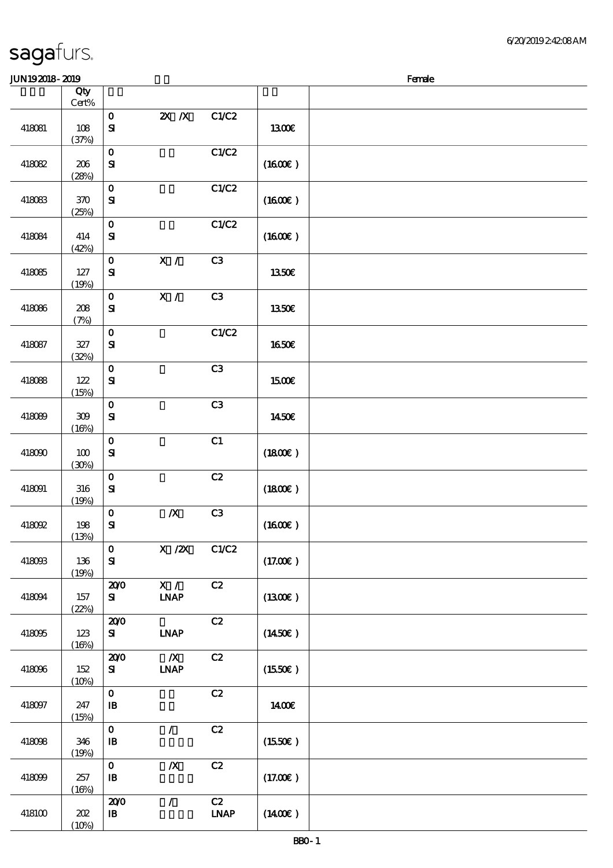| <b>JUN192018-2019</b> |              |                              |                                 |                                    |                     | Female |
|-----------------------|--------------|------------------------------|---------------------------------|------------------------------------|---------------------|--------|
|                       | Qty<br>Cert% |                              |                                 |                                    |                     |        |
| 418081                | 108<br>(37%) | $\mathbf O$<br>${\bf s}$     | $X$ $N$                         | C1/C2                              | <b>1300€</b>        |        |
| 418082                | 206<br>(28%) | $\mathbf{o}$<br>$\mathbf{S}$ |                                 | C1/C2                              | (1600E)             |        |
| 418083                | 370<br>(25%) | $\mathbf 0$<br>$\mathbf{S}$  |                                 | C1/C2                              | (1600E)             |        |
| 418084                | 414<br>(42%) | $\mathbf O$<br>$\mathbf{S}$  |                                 | C1/C2                              | (1600)              |        |
| 418085                | 127<br>(19%) | $\mathbf{o}$<br>${\bf S}$    | X /                             | C3                                 | 1350€               |        |
| 418086                | 208<br>(7%)  | $\mathbf O$<br>$\bf S\!I$    | $\overline{\mathbf{x}}$ /       | C3                                 | 1350E               |        |
| 418087                | 327<br>(32%) | $\mathbf O$<br>$\mathbf{S}$  |                                 | C1/C2                              | <b>1650€</b>        |        |
| 418088                | 122<br>(15%) | $\mathbf{o}$<br>$\mathbf{S}$ |                                 | C3                                 | 1500€               |        |
| 418089                | 309<br>(16%) | $\mathbf 0$<br>${\bf s}$     |                                 | C3                                 | 1450E               |        |
| 418090                | 100<br>(30%) | $\mathbf 0$<br>${\bf s}$     |                                 | C1                                 | (1800)              |        |
| 418091                | 316<br>(19%) | $\mathbf 0$<br>${\bf s}$     |                                 | C2                                 | (1800E)             |        |
| 418092                | 198<br>(13%) | $\mathbf{o}$<br>${\bf s}$    | $\pmb{X}$                       | C3                                 | (1600E)             |        |
| 418093                | 136<br>(19%) | $\mathbf 0$<br>$\mathbf{S}$  | $X$ / $ZX$                      | C1/C2                              | (17.00)             |        |
| 418094                | 157<br>(22%) | 200<br>${\bf s}$             | X /<br><b>INAP</b>              | C2                                 | (1300)              |        |
| 418095                | 123<br>(16%) | 200<br>${\bf s}$             | <b>INAP</b>                     | C2                                 | $(1450\varepsilon)$ |        |
| 418096                | 152<br>(10%) | 200<br>${\bf s}$             | $\boldsymbol{X}$<br><b>INAP</b> | C2                                 | (1550E)             |        |
| 418097                | 247<br>(15%) | $\mathbf{o}$<br>$\, {\bf B}$ |                                 | C2                                 | 1400€               |        |
| 418098                | 346<br>(19%) | $\mathbf O$<br>$\mathbf{B}$  | $\mathcal{L}$                   | $\mathbf{C2}$                      | (1550E)             |        |
| 418099                | 257<br>(16%) | $\mathbf O$<br>$\, {\bf B}$  | $\pmb{X}$                       | C2                                 | (17.00)             |        |
| 418100                | 202<br>(10%) | 200<br>${\bf I\!B}$          | $\mathcal{L}$                   | C2<br>$\ensuremath{\mathbf{IMAP}}$ | $(1400\varepsilon)$ |        |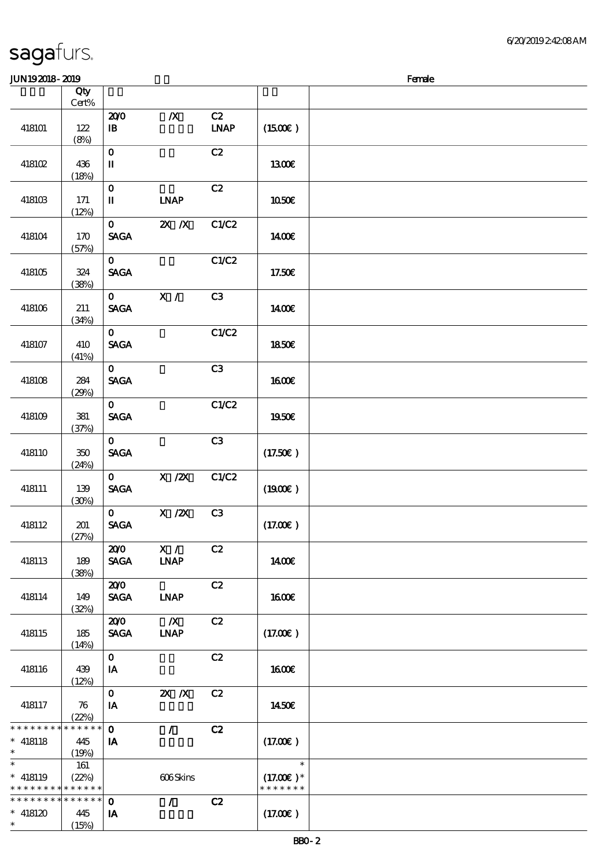#### $J/N192018$ - $2019$  Female

|                 | Qty<br>$Cert\%$ |                                       |                  |             |                     |  |
|-----------------|-----------------|---------------------------------------|------------------|-------------|---------------------|--|
|                 |                 | 200                                   | $\boldsymbol{X}$ | C2          |                     |  |
|                 |                 |                                       |                  |             |                     |  |
| 418101          | $122$           | $\, {\bf I} \! {\bf B} \,$            |                  | <b>LNAP</b> | $(1500\varepsilon)$ |  |
|                 | (8%)            |                                       |                  |             |                     |  |
|                 |                 | $\mathbf 0$                           |                  | C2          |                     |  |
| 418102          | 436             | $\rm I\hspace{-.1em}I\hspace{-.1em}I$ |                  |             | 1300E               |  |
|                 |                 |                                       |                  |             |                     |  |
|                 | (18%)           |                                       |                  |             |                     |  |
|                 |                 | $\mathbf{o}$                          |                  | C2          |                     |  |
| 418103          | 171             | П                                     | <b>LNAP</b>      |             | $1050E$             |  |
|                 | (12%)           |                                       |                  |             |                     |  |
|                 |                 | $\mathbf{O}$                          | $X$ $N$          | C1/C2       |                     |  |
|                 |                 |                                       |                  |             |                     |  |
| 418104          | 170             | <b>SAGA</b>                           |                  |             | 1400€               |  |
|                 | (57%)           |                                       |                  |             |                     |  |
|                 |                 | $\mathbf{O}$                          |                  | C1/C2       |                     |  |
| 418105          | 324             | <b>SAGA</b>                           |                  |             | 17.50E              |  |
|                 | (38%)           |                                       |                  |             |                     |  |
|                 |                 | $\mathbf{O}$                          | X /              | C3          |                     |  |
|                 |                 |                                       |                  |             |                     |  |
| 418106          | 211             | <b>SAGA</b>                           |                  |             | 1400E               |  |
|                 | (34%)           |                                       |                  |             |                     |  |
|                 |                 | $\mathbf{O}$                          |                  | C1/C2       |                     |  |
| 418107          | 410             | <b>SAGA</b>                           |                  |             | 1850E               |  |
|                 | (41%)           |                                       |                  |             |                     |  |
|                 |                 |                                       |                  |             |                     |  |
|                 |                 | $\mathbf{O}$                          |                  | C3          |                     |  |
| 418108          | 284             | <b>SAGA</b>                           |                  |             | 1600E               |  |
|                 | (29%)           |                                       |                  |             |                     |  |
|                 |                 | $\mathbf{O}$                          |                  | C1/C2       |                     |  |
| 418109          | ${\bf 38}1$     | $\operatorname{\mathsf{SAGA}}$        |                  |             | 1950€               |  |
|                 |                 |                                       |                  |             |                     |  |
|                 | (37%)           |                                       |                  |             |                     |  |
|                 |                 | $\mathbf{O}$                          |                  | C3          |                     |  |
| 418110          | $350\,$         | <b>SAGA</b>                           |                  |             | (17.50)             |  |
|                 | (24%)           |                                       |                  |             |                     |  |
|                 |                 | $\mathbf{O}$                          | $X \, /ZX$       | C1/C2       |                     |  |
| 418111          | 139             | <b>SAGA</b>                           |                  |             | (1900)              |  |
|                 |                 |                                       |                  |             |                     |  |
|                 | (30%)           |                                       |                  |             |                     |  |
|                 |                 | $\mathbf{o}$                          | $X$ / $ZX$       | C3          |                     |  |
| 418112          | 201             | <b>SAGA</b>                           |                  |             | (17.00)             |  |
|                 | (27%)           |                                       |                  |             |                     |  |
|                 |                 | 200                                   | X /              | C2          |                     |  |
| 418113          | 189             | <b>SAGA</b>                           | <b>INAP</b>      |             | <b>140€</b>         |  |
|                 |                 |                                       |                  |             |                     |  |
|                 | (38%)           |                                       |                  |             |                     |  |
|                 |                 | 200                                   |                  | C2          |                     |  |
| 418114          | 149             | <b>SAGA</b>                           | <b>INAP</b>      |             | <b>1600€</b>        |  |
|                 | (32%)           |                                       |                  |             |                     |  |
|                 |                 | 200                                   | $\boldsymbol{X}$ | C2          |                     |  |
| 418115          | 185             | <b>SAGA</b>                           | <b>INAP</b>      |             | (17.00)             |  |
|                 |                 |                                       |                  |             |                     |  |
|                 | (14%)           |                                       |                  |             |                     |  |
|                 |                 | $\mathbf{o}$                          |                  | C2          |                     |  |
| 418116          | 439             | IA                                    |                  |             | 1600E               |  |
|                 | (12%)           |                                       |                  |             |                     |  |
|                 |                 | $\mathbf{o}$                          | $X$ $N$          | C2          |                     |  |
| 418117          | 76              | IA                                    |                  |             | 1450€               |  |
|                 |                 |                                       |                  |             |                     |  |
|                 | (22%)           |                                       |                  |             |                     |  |
| * * * * * * * * | * * * * * *     | $\mathbf{o}$                          | $\mathcal{L}$    | C2          |                     |  |
| $* 418118$      | 445             | IA                                    |                  |             | (17.00)             |  |
| $\ast$          | (19%)           |                                       |                  |             |                     |  |
| $\ast$          | 161             |                                       |                  |             | $\ast$              |  |
| $* 418119$      | (22%)           |                                       | 606Skins         |             | $(17.00)$ *         |  |
| * * * * * * * * | * * * * * *     |                                       |                  |             | * * * * * * *       |  |
|                 |                 |                                       |                  |             |                     |  |
| * * * * * * * * | * * * * * *     | $\mathbf 0$                           | $\prime$         | C2          |                     |  |
| $* 418120$      | 445             | IA                                    |                  |             | (17.00)             |  |
| $\ast$          | (15%)           |                                       |                  |             |                     |  |
|                 |                 |                                       |                  |             |                     |  |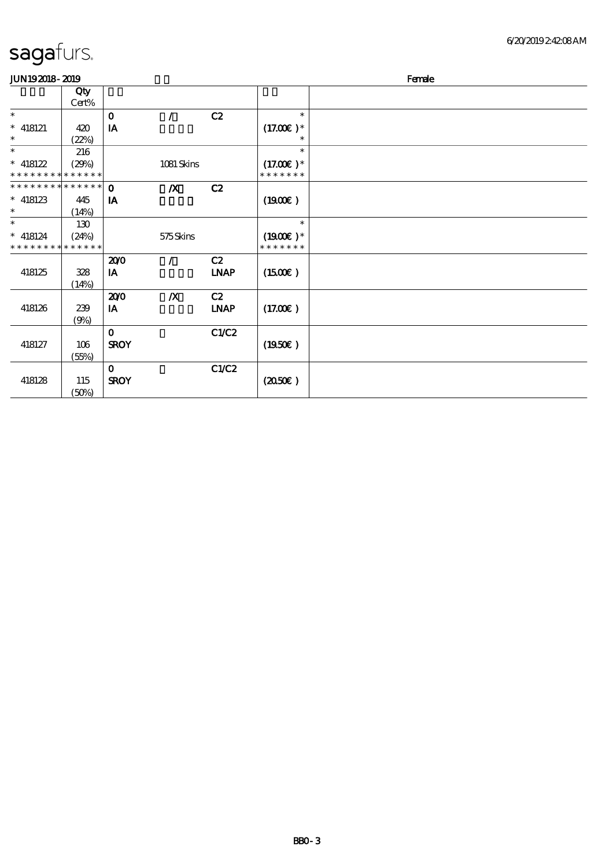| <b>JUN192018-2019</b>         |       |              |                  |             |                     | Female |
|-------------------------------|-------|--------------|------------------|-------------|---------------------|--------|
|                               | Qty   |              |                  |             |                     |        |
|                               | Cert% |              |                  |             |                     |        |
| $\ast$                        |       | $\mathbf 0$  | $\prime$         | C2          | $\ast$              |        |
| $*$ 418121                    | 420   | IA           |                  |             | $(17.00)$ *         |        |
| $\ast$                        | (22%) |              |                  |             | $\ast$              |        |
| $\ast$                        | 216   |              |                  |             | $\ast$              |        |
| $* 418122$                    | (29%) |              | 1081 Skins       |             | $(17.00)$ *         |        |
| * * * * * * * * * * * * * *   |       |              |                  |             | * * * * * * *       |        |
| * * * * * * * * * * * * * * * |       | $\Omega$     | $\boldsymbol{X}$ | C2          |                     |        |
| $*$ 418123                    | 445   | IA           |                  |             | (1900)              |        |
| $\ast$                        | (14%) |              |                  |             |                     |        |
| $\ast$                        | 130   |              |                  |             | $\ast$              |        |
| $* 418124$                    | (24%) |              | 575Skins         |             | $(1900E)*$          |        |
| * * * * * * * * * * * * * *   |       |              |                  |             | * * * * * * *       |        |
|                               |       | 200          | $\prime$         | C2          |                     |        |
| 418125                        | 328   | IA           |                  | <b>LNAP</b> | $(1500\varepsilon)$ |        |
|                               | (14%) |              |                  |             |                     |        |
|                               |       | 200          | $\boldsymbol{X}$ | C2          |                     |        |
| 418126                        | 239   | IA           |                  | <b>LNAP</b> | (17.00)             |        |
|                               | (9%)  |              |                  |             |                     |        |
|                               |       | $\mathbf 0$  |                  | C1/C2       |                     |        |
| 418127                        | 106   | <b>SROY</b>  |                  |             | (1950)              |        |
|                               | (55%) |              |                  |             |                     |        |
|                               |       | $\mathbf{o}$ |                  | C1/C2       |                     |        |
| 418128                        | 115   | <b>SROY</b>  |                  |             | (2050)              |        |
|                               | (50%) |              |                  |             |                     |        |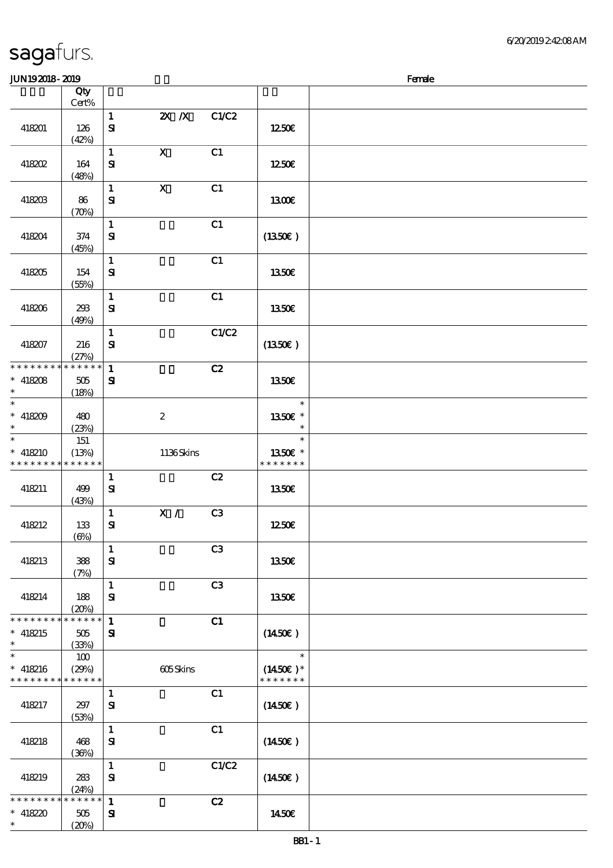| <b>JUN192018-2019</b>                                                              |                             |                              |                  |                |                                       | Female |
|------------------------------------------------------------------------------------|-----------------------------|------------------------------|------------------|----------------|---------------------------------------|--------|
|                                                                                    | Qty                         |                              |                  |                |                                       |        |
|                                                                                    | Cert%                       |                              |                  |                |                                       |        |
| 418201                                                                             | 126<br>(42%)                | $\mathbf{1}$<br>${\bf s}$    | $X$ $N$          | C1/C2          | 1250E                                 |        |
| 418202                                                                             | 164<br>(48%)                | $\mathbf{1}$<br>${\bf s}$    | $\mathbf{x}$     | C1             | 1250E                                 |        |
| 418203                                                                             | 86<br>(70%)                 | $\mathbf{1}$<br>${\bf S}$    | $\mathbf{X}$     | C1             | 1300E                                 |        |
| 418204                                                                             | 374<br>(45%)                | $\mathbf{1}$<br>$\mathbf{S}$ |                  | C1             | (1350)                                |        |
| 418205                                                                             | 154<br>(55%)                | $\mathbf{1}$<br>${\bf s}$    |                  | C1             | 1350€                                 |        |
| 418206                                                                             | 293<br>(49%)                | $\mathbf{1}$<br>$\mathbf{S}$ |                  | C1             | 1350€                                 |        |
| 418207                                                                             | 216<br>(27%)                | $\mathbf{1}$<br>$\mathbf{S}$ |                  | C1/C2          | (1350E)                               |        |
| * * * * * * * *<br>$* 418208$<br>$\ast$                                            | * * * * * *<br>505<br>(18%) | $\mathbf{1}$<br>${\bf S}$    |                  | C2             | 1350E                                 |        |
| $\ast$<br>$* 418209$<br>$\ast$<br>$\overline{\ast}$                                | 480<br>(23%)                |                              | $\boldsymbol{2}$ |                | $\ast$<br>1350E *<br>$\ast$           |        |
| $* 418210$<br>* * * * * * * * <mark>* * * * * *</mark> *                           | 151<br>(13%)                |                              | 1136Skins        |                | $\ast$<br>1350€ *<br>* * * * * * *    |        |
| 418211                                                                             | 499<br>(43%)                | $\mathbf{1}$<br>${\bf s}$    |                  | C2             | 1350€                                 |        |
| 418212                                                                             | 133<br>$(\Theta\%)$         | $\mathbf{1}$<br>${\bf s}$    | $X / \sqrt{2}$   | C3             | 1250€                                 |        |
| 418213                                                                             | 388<br>(7%)                 | $\mathbf{1}$<br>${\bf S}$    |                  | C <sub>3</sub> | 1350€                                 |        |
| 418214                                                                             | 188<br>(20%)                | $\mathbf{1}$<br>$\bf S\!I$   |                  | C3             | 1350€                                 |        |
| * * * * * * * *<br>$* 418215$<br>$\ast$                                            | * * * * * *<br>505<br>(33%) | $\mathbf{1}$<br>$\mathbf{S}$ |                  | C1             | (1450E)                               |        |
| $\overline{\phantom{0}}$<br>$* 418216$<br>* * * * * * * * <mark>* * * * * *</mark> | 100<br>(29%)                |                              | 605Skins         |                | $\ast$<br>$(1450E)*$<br>* * * * * * * |        |
| 418217                                                                             | 297<br>(53%)                | $\mathbf{1}$<br>${\bf s}$    |                  | C1             | $(1450\epsilon)$                      |        |
| 418218                                                                             | 468<br>(30%)                | $\mathbf{1}$<br>${\bf s}$    |                  | C1             | (1450E)                               |        |
| 418219                                                                             | 283<br>(24%)                | $\mathbf{1}$<br>${\bf s}$    |                  | C1/C2          | $(1450\epsilon)$                      |        |
| * * * * * * * *<br>$* 418220$<br>$\ast$                                            | * * * * * *<br>505<br>(20%) | $\mathbf{1}$<br>$\mathbf{S}$ |                  | C2             | 1450€                                 |        |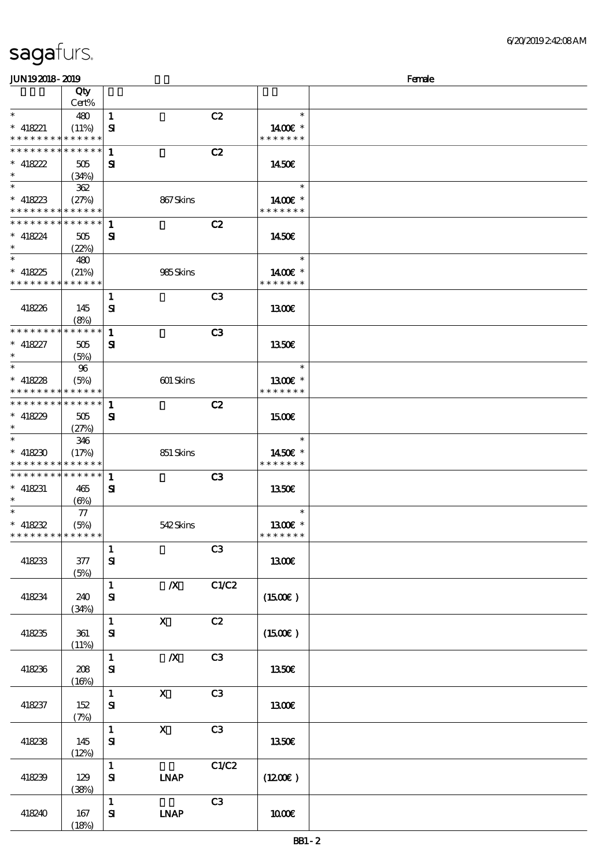| sagafurs. |  |
|-----------|--|
|           |  |

(18%)

| JUN192018-2019                             |                     |                           |                  |                |                                       | Female |
|--------------------------------------------|---------------------|---------------------------|------------------|----------------|---------------------------------------|--------|
|                                            | Qty                 |                           |                  |                |                                       |        |
|                                            | Cert%               |                           |                  |                |                                       |        |
| $\ast$                                     | 480                 | $\mathbf{1}$              |                  | C2             | $\ast$                                |        |
| $* 418221$                                 | (11%)               | ${\bf s}$                 |                  |                | 1400€ *                               |        |
| * * * * * * * *                            | * * * * * *         |                           |                  |                | * * * * * * *                         |        |
| * * * * * * * * <mark>* * * * * *</mark>   |                     | $\mathbf{1}$              |                  | C2             |                                       |        |
| * 418222                                   | 505                 | ${\bf s}$                 |                  |                | 1450E                                 |        |
| $\ast$                                     | (34%)               |                           |                  |                |                                       |        |
| $\overline{\phantom{0}}$                   | 362                 |                           |                  |                | $\ast$                                |        |
| * $418223$                                 | (27%)               |                           | 867Skins         |                | 1400 £*                               |        |
| * * * * * * * * <mark>* * * * * *</mark>   |                     |                           |                  |                | * * * * * * *                         |        |
| * * * * * * * *                            | ******              | 1                         |                  | C2             |                                       |        |
| $* 418224$                                 | 505                 | ${\bf s}$                 |                  |                | 1450E                                 |        |
| $\ast$<br>$\overline{\ast}$                | (22%)               |                           |                  |                |                                       |        |
|                                            | 480                 |                           |                  |                | $\ast$                                |        |
| $* 418225$                                 | (21%)               |                           | 985Skins         |                | 1400€ *<br>* * * * * * *              |        |
| * * * * * * * *                            | * * * * * *         |                           |                  |                |                                       |        |
|                                            |                     | 1                         |                  | C <sub>3</sub> |                                       |        |
| 418226                                     | 145                 | ${\bf S}$                 |                  |                | 1300E                                 |        |
| * * * * * * * *                            | (8%)<br>* * * * * * |                           |                  |                |                                       |        |
|                                            |                     | $\mathbf{1}$              |                  | C3             |                                       |        |
| $* 418227$<br>$\ast$                       | 505                 | ${\bf s}$                 |                  |                | 1350€                                 |        |
| $\ast$                                     | (5%)                |                           |                  |                | $\ast$                                |        |
|                                            | 96                  |                           |                  |                |                                       |        |
| * $418228$<br>* * * * * * * *              | (5%)<br>* * * * * * |                           | 601 Skins        |                | 1300 $\varepsilon$ *<br>* * * * * * * |        |
| * * * * * * * * * * * * * * *              |                     |                           |                  |                |                                       |        |
|                                            |                     | 1                         |                  | C2             |                                       |        |
| * 418229<br>$\ast$                         | 505                 | ${\bf s}$                 |                  |                | 1500                                  |        |
| $\ast$                                     | (27%)<br>346        |                           |                  |                | $\ast$                                |        |
| $* 418230$                                 | (17%)               |                           | 851 Skins        |                | 1450€ *                               |        |
| * * * * * * * *                            | * * * * * *         |                           |                  |                | * * * * * * *                         |        |
| * * * * * * * * <mark>* * * * * * *</mark> |                     | 1                         |                  | C <sub>3</sub> |                                       |        |
| $* 418231$                                 | 465                 | ${\bf s}$                 |                  |                | 1350E                                 |        |
| $\ast$                                     | (6%)                |                           |                  |                |                                       |        |
| $\ast$                                     | 77                  |                           |                  |                | $\ast$                                |        |
| $* 418232$                                 | (5%)                |                           | 542Skins         |                | 1300E *                               |        |
| * * * * * * * * * * * * * * *              |                     |                           |                  |                | * * * * * * *                         |        |
|                                            |                     | $\mathbf{1}$              |                  | C3             |                                       |        |
| 418233                                     | 377                 | ${\bf S}$                 |                  |                | 1300€                                 |        |
|                                            | (5%)                |                           |                  |                |                                       |        |
|                                            |                     | $\mathbf{1}$              | $\boldsymbol{X}$ | C1/C2          |                                       |        |
| 418234                                     | 240                 | ${\bf S}$                 |                  |                | $(1500\varepsilon)$                   |        |
|                                            | (34%)               |                           |                  |                |                                       |        |
|                                            |                     | $\mathbf{1}$              | $\mathbf{x}$     | C2             |                                       |        |
| 418235                                     | 361                 | ${\bf s}$                 |                  |                | $(1500\varepsilon)$                   |        |
|                                            | (11%)               |                           |                  |                |                                       |        |
|                                            |                     | $\mathbf{1}$              | $\boldsymbol{X}$ | C3             |                                       |        |
| 418236                                     | 208                 | ${\bf s}$                 |                  |                | 1350€                                 |        |
|                                            | (16%)               |                           |                  |                |                                       |        |
|                                            |                     | $\mathbf{1}$              | $\mathbf{X}$     | C3             |                                       |        |
| 418237                                     | 152                 | ${\bf s}$                 |                  |                | 1300E                                 |        |
|                                            | (7%)                |                           |                  |                |                                       |        |
|                                            |                     | $\mathbf{1}$              | $\mathbf X$      | C3             |                                       |        |
| 418238                                     | 145                 | ${\bf s}$                 |                  |                | <b>1350€</b>                          |        |
|                                            | (12%)               |                           |                  |                |                                       |        |
|                                            |                     | $\mathbf{1}$              |                  | C1/C2          |                                       |        |
| 418239                                     | 129                 | ${\bf S}$                 | <b>INAP</b>      |                | (1200E)                               |        |
|                                            | (38%)               |                           |                  |                |                                       |        |
|                                            |                     | $\mathbf{1}$<br>${\bf s}$ |                  | C3             | $1000E$                               |        |
| 418240                                     | 167                 |                           | <b>INAP</b>      |                |                                       |        |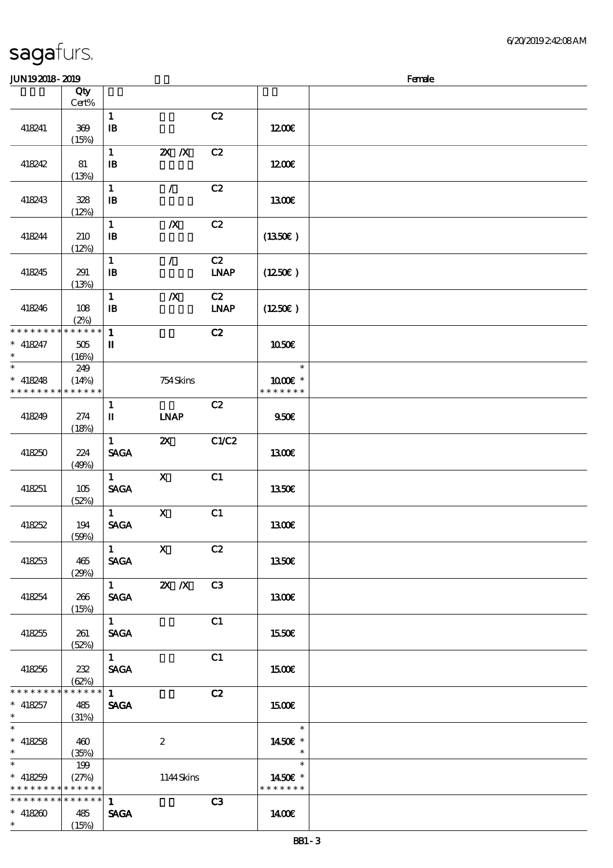| JUN192018-2019                      |                            |                            |                           |                              |                                     | Female |
|-------------------------------------|----------------------------|----------------------------|---------------------------|------------------------------|-------------------------------------|--------|
|                                     | Qty                        |                            |                           |                              |                                     |        |
|                                     | Cert%                      |                            |                           |                              |                                     |        |
|                                     |                            | $\mathbf{1}$               |                           | C2                           |                                     |        |
| 418241                              | 369                        | $\, {\bf I} \! {\bf B} \,$ |                           |                              | 1200E                               |        |
|                                     | (15%)                      | $\mathbf{1}$               | $X$ $N$                   | C2                           |                                     |        |
| 418242                              | 81                         | $\mathbf{B}$               |                           |                              | 1200                                |        |
|                                     | (13%)                      |                            |                           |                              |                                     |        |
|                                     |                            | $\mathbf{1}$               | $\mathcal{F}$             | C2                           |                                     |        |
| 418243                              | 328                        | $\mathbf{B}$               |                           |                              | 1300E                               |        |
|                                     | (12%)                      |                            |                           |                              |                                     |        |
|                                     |                            | $\mathbf{1}$               | $\boldsymbol{X}$          | C2                           |                                     |        |
| 418244                              | 210                        | $\mathbf{B}$               |                           |                              | (1350)                              |        |
|                                     | (12%)                      | $\mathbf{1}$               | $\mathcal{L}$             | C2                           |                                     |        |
| 418245                              | 291                        | $\mathbf{B}$               |                           | <b>LNAP</b>                  | $(1250\epsilon)$                    |        |
|                                     | (13%)                      |                            |                           |                              |                                     |        |
|                                     |                            | $\mathbf{1}$               | $\boldsymbol{X}$          | C2                           |                                     |        |
| 418246                              | 108                        | $\mathbf{B}$               |                           | $\ensuremath{\mathbf{INAP}}$ | (1250E)                             |        |
|                                     | (2%)                       |                            |                           |                              |                                     |        |
| * * * * * * * *                     | $\ast\ast\ast\ast\ast\ast$ | $\mathbf{1}$               |                           | C2                           |                                     |        |
| $* 418247$<br>$\ast$                | 505                        | П                          |                           |                              | 1050€                               |        |
| $\ast$                              | (16%)<br>249               |                            |                           |                              | $\ast$                              |        |
| $* 418248$                          | (14%)                      |                            | 754Skins                  |                              | $1000E$ *                           |        |
| * * * * * * * *                     | * * * * * *                |                            |                           |                              | * * * * * * *                       |        |
|                                     |                            | $\mathbf{1}$               |                           | C2                           |                                     |        |
| 418249                              | 274                        | П                          | <b>INAP</b>               |                              | 950E                                |        |
|                                     | (18%)                      |                            |                           |                              |                                     |        |
|                                     |                            | $\mathbf{1}$               | $\boldsymbol{\mathsf{Z}}$ | C1/C2                        |                                     |        |
| 418250                              | 224<br>(49%)               | <b>SAGA</b>                |                           |                              | <b>1300€</b>                        |        |
|                                     |                            | $\mathbf{1}$               | $\mathbf{x}$              | C1                           |                                     |        |
| 418251                              | 105                        | <b>SAGA</b>                |                           |                              | 1350€                               |        |
|                                     | (52%)                      |                            |                           |                              |                                     |        |
|                                     |                            | $\mathbf{1}$               | $\mathbf X$               | C1                           |                                     |        |
| 418252                              | 194                        | <b>SAGA</b>                |                           |                              | 1300E                               |        |
|                                     | (50%)                      |                            | $\overline{1}$ X          |                              |                                     |        |
| 418253                              | 465                        | <b>SAGA</b>                |                           | C2                           | 1350E                               |        |
|                                     | (29%)                      |                            |                           |                              |                                     |        |
|                                     |                            |                            | $\frac{1}{1}$ <b>2X</b> X | C <sub>3</sub>               |                                     |        |
| 418254                              | 266                        | <b>SAGA</b>                |                           |                              | 1300                                |        |
|                                     | (15%)                      |                            |                           |                              |                                     |        |
|                                     |                            | $1 \quad$                  |                           | C1                           |                                     |        |
| 418255                              | 261                        | <b>SAGA</b>                |                           |                              | 1550E                               |        |
|                                     | (52%)                      | $\mathbf{1}$               |                           | C1                           |                                     |        |
| 418256                              | 232                        | <b>SAGA</b>                |                           |                              | 1500                                |        |
|                                     | (62%)                      |                            |                           |                              |                                     |        |
| * * * * * * * *                     | * * * * * *                | $1 -$                      |                           | C2                           |                                     |        |
| $* 418257$                          | 485                        | <b>SAGA</b>                |                           |                              | 1500                                |        |
| $\star$<br>$\overline{\phantom{0}}$ | (31%)                      |                            |                           |                              |                                     |        |
| $* 418258$                          |                            |                            |                           |                              | $\overline{\phantom{a}}$            |        |
| $\ast$                              | 460<br>(35%)               |                            | $\boldsymbol{2}$          |                              | 1450€ *<br>$\overline{\phantom{a}}$ |        |
| $\ast$                              | 199                        |                            |                           |                              | $\ast$                              |        |
| $* 418259$                          | (27%)                      |                            | 1144Skins                 |                              | 1450 $\varepsilon$ *                |        |
| * * * * * * * *                     | * * * * * *                |                            |                           |                              | * * * * * * *                       |        |
| * * * * * * * * * * * * * * *       |                            | $\mathbf{1}$               |                           | C3                           |                                     |        |
| $* 418260$                          | 485                        | <b>SAGA</b>                |                           |                              | 1400E                               |        |
| $\ast$                              | (15%)                      |                            |                           |                              |                                     |        |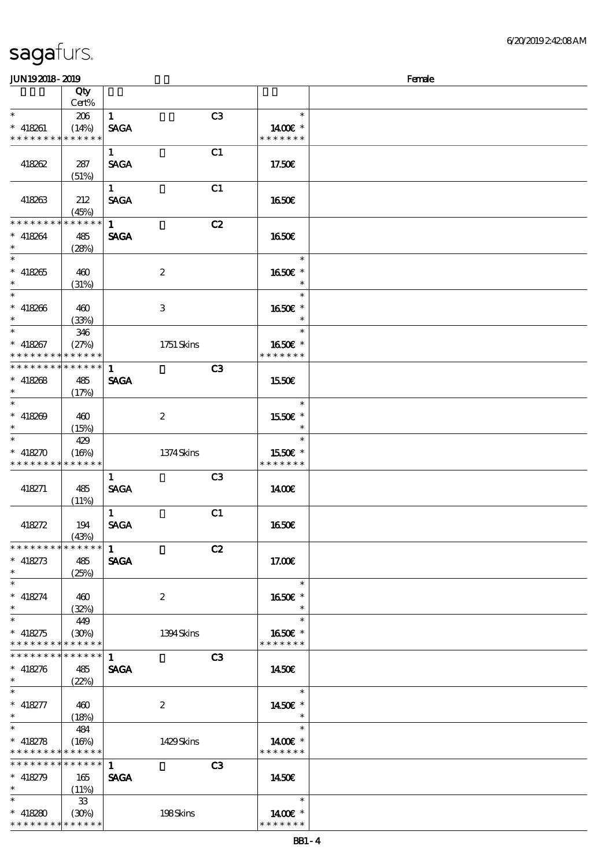\* \* \* \* \* \* \* \* <mark>\* \* \* \* \* \* \*</mark>

| <b>JUN192018-2019</b>       |                                           |              |                  |                |                   | Female |
|-----------------------------|-------------------------------------------|--------------|------------------|----------------|-------------------|--------|
|                             | Qty<br>Cert%                              |              |                  |                |                   |        |
| $\ast$                      | 206                                       | $\mathbf{1}$ |                  | C <sub>3</sub> | $\ast$            |        |
| $* 418261$                  | (14%)                                     | <b>SAGA</b>  |                  |                | 1400€ *           |        |
| * * * * * * * * * * * * * * |                                           |              |                  |                | * * * * * * *     |        |
|                             |                                           | $\mathbf{1}$ |                  | C1             |                   |        |
| 418262                      | 287                                       | <b>SAGA</b>  |                  |                | 17.50E            |        |
|                             | (51%)                                     |              |                  |                |                   |        |
|                             |                                           | $\mathbf{1}$ |                  | C1             |                   |        |
| 418263                      | 212                                       | <b>SAGA</b>  |                  |                | 1650E             |        |
|                             | (45%)                                     |              |                  |                |                   |        |
| * * * * * * * *             | * * * * * *                               | $\mathbf{1}$ |                  | C2             |                   |        |
| $* 418264$                  | 485                                       | <b>SAGA</b>  |                  |                | 1650E             |        |
| $\ast$<br>$\ast$            | (28%)                                     |              |                  |                |                   |        |
|                             |                                           |              |                  |                | $\ast$            |        |
| $* 418265$<br>$\ast$        | 460                                       |              | $\boldsymbol{2}$ |                | 1650€ *<br>$\ast$ |        |
| $\ast$                      | (31%)                                     |              |                  |                | $\ast$            |        |
| $* 418266$                  | 460                                       |              | 3                |                | 1650E *           |        |
| $\ast$                      | (33%)                                     |              |                  |                |                   |        |
| $\overline{\ast}$           | 346                                       |              |                  |                | $\ast$            |        |
| $* 418267$                  | (27%)                                     |              | 1751 Skins       |                | 1650€ *           |        |
| * * * * * * * * * * * * * * |                                           |              |                  |                | * * * * * * *     |        |
| * * * * * * * *             | * * * * * *                               | $\mathbf{1}$ |                  | C3             |                   |        |
| $* 418268$                  | 485                                       | <b>SAGA</b>  |                  |                | 1550€             |        |
| $\ast$                      | (17%)                                     |              |                  |                |                   |        |
| $\ast$                      |                                           |              |                  |                | $\ast$            |        |
| $* 418209$                  | 460                                       |              | $\boldsymbol{2}$ |                | 1550€ *           |        |
| $\ast$                      | (15%)                                     |              |                  |                | $\ast$            |        |
| $\ast$                      | 429                                       |              |                  |                | $\ast$            |        |
| $* 418270$                  | (16%)                                     |              | 1374Skins        |                | 1550E *           |        |
| * * * * * * * *             | * * * * * *                               |              |                  |                | * * * * * * *     |        |
|                             |                                           | $\mathbf{1}$ |                  | C3             |                   |        |
| 418271                      | 485                                       | <b>SAGA</b>  |                  |                | 1400E             |        |
|                             | (11%)                                     | $\mathbf{1}$ |                  | C1             |                   |        |
| 418272                      | 194                                       | <b>SAGA</b>  |                  |                | <b>1650€</b>      |        |
|                             | (43%)                                     |              |                  |                |                   |        |
| * * * * * * * *             | ******                                    | 1            |                  | C2             |                   |        |
| $* 418273$                  | 485                                       | <b>SAGA</b>  |                  |                | 17.00E            |        |
| $\ast$                      | (25%)                                     |              |                  |                |                   |        |
| $\overline{\phantom{0}}$    |                                           |              |                  |                | $\ast$            |        |
| $* 418274$                  | 460                                       |              | $\boldsymbol{z}$ |                | 1650€ *           |        |
| $\ast$                      | (32%)                                     |              |                  |                | $\ast$            |        |
| $\overline{\ast}$           | 449                                       |              |                  |                | $\ast$            |        |
| $* 418275$                  | (30%)                                     |              | 1394 Skins       |                | 1650E *           |        |
| * * * * * * * *<br>******** | * * * * * *<br>$\ast\ast\ast\ast\ast\ast$ |              |                  |                | * * * * * * *     |        |
|                             |                                           | $\mathbf{1}$ |                  | C3             |                   |        |
| $* 418276$                  | 485                                       | <b>SAGA</b>  |                  |                | 1450E             |        |
| $\ast$<br>$\ast$            | (22%)                                     |              |                  |                | $\ast$            |        |
| $* 418277$                  | 460                                       |              | $\boldsymbol{2}$ |                | 1450 €*           |        |
| $\ast$                      | (18%)                                     |              |                  |                | $\ast$            |        |
| $\ast$                      | 484                                       |              |                  |                | $\ast$            |        |
| $* 418278$                  | (16%)                                     |              | 1429Skins        |                | 1400€ *           |        |
| * * * * * * * *             | * * * * * *                               |              |                  |                | * * * * * * *     |        |
| * * * * * * * *             | $* * * * * * *$                           | $\mathbf{1}$ |                  | C3             |                   |        |
| $* 418279$                  | 165                                       | <b>SAGA</b>  |                  |                | 1450E             |        |
| $\ast$                      | (11%)                                     |              |                  |                |                   |        |
| $\ast$                      | $33\,$                                    |              |                  |                | $\ast$            |        |
| $* 418280$                  | (30%)                                     |              | 198Skins         |                | 1400€ *           |        |

\* \* \* \* \* \* \*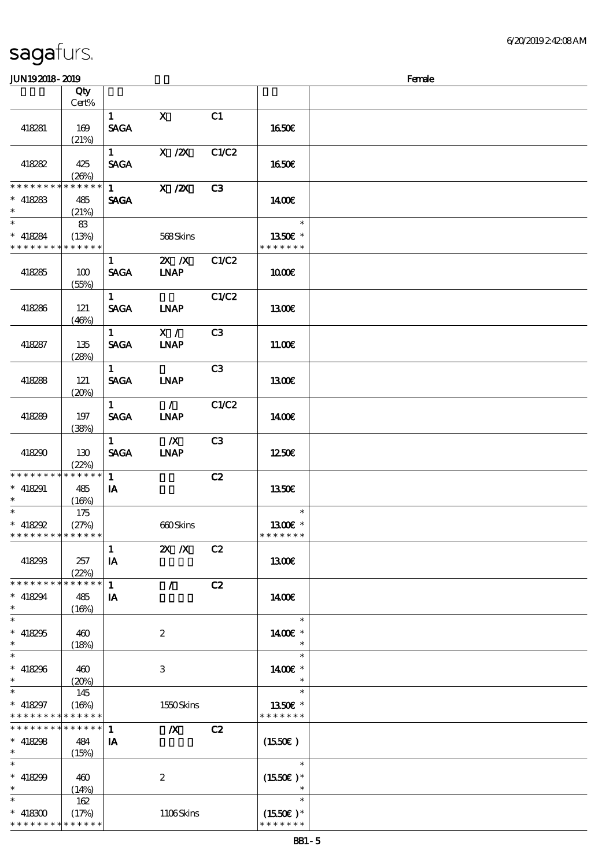#### $J\sim 2019$  Female

| ມມາດຕາດ- ຕາດ                                                   |                             |                                       |                                  |       |                                       | ra ac |
|----------------------------------------------------------------|-----------------------------|---------------------------------------|----------------------------------|-------|---------------------------------------|-------|
|                                                                | Qty<br>Cert%                |                                       |                                  |       |                                       |       |
| 418281                                                         | 169<br>(21%)                | 1<br><b>SAGA</b>                      | $\mathbf{X}$                     | C1    | 1650€                                 |       |
| 418282                                                         | 425<br>(20%)                | $1 \quad$<br><b>SAGA</b>              | $X / ZX$ $C1/C2$                 |       | 1650€                                 |       |
| * * * * * * * * *<br>$* 418283$<br>$\ast$                      | * * * * * *<br>485<br>(21%) | $1 \quad \blacksquare$<br><b>SAGA</b> | X / ZX                           | C3    | 1400E                                 |       |
| $\overline{\ast}$<br>$* 418284$<br>* * * * * * * * * * * * * * | 83<br>(13%)                 |                                       | 568Skins                         |       | $\ast$<br>1350€ *<br>* * * * * * *    |       |
| 418285                                                         | 100<br>(55%)                | $1 -$<br><b>SAGA</b>                  | <b>2X X</b> C1/C2<br><b>LNAP</b> |       | 1000E                                 |       |
| 418286                                                         | 121<br>(46%)                | 1<br><b>SAGA</b>                      | <b>INAP</b>                      | C1/C2 | 1300E                                 |       |
| 418287                                                         | 135<br>(28%)                | 1<br><b>SACA</b>                      | X /<br><b>INAP</b>               | C3    | 1100E                                 |       |
| 418288                                                         | 121<br>(20%)                | $1 \quad$<br><b>SAGA</b>              | <b>LNAP</b>                      | C3    | 1300E                                 |       |
| 418289                                                         | 197<br>(38%)                | $\mathbf{1}$<br><b>SAGA</b>           | $\sim$ 1.<br><b>INAP</b>         | C1/C2 | 1400E                                 |       |
| 418290                                                         | 130<br>(22%)                | $\mathbf{1}$<br><b>SAGA</b>           | $\mathbb{Z}$<br><b>LNAP</b>      | C3    | 1250E                                 |       |
| * * * * * * * * * * * * * *<br>$* 418291$<br>$\ast$            | 485<br>(16%)                | $\mathbf{1}$<br>IA                    |                                  | C2    | 1350€                                 |       |
| $* 418292$<br>* * * * * * * * * * * * * *                      | 175<br>(27%)                |                                       | 660Skins                         |       | $\ast$<br>1300E *<br>* * * * * * *    |       |
| 418293                                                         | 257<br>(22%)                | $\mathbf{1}$<br>IA                    | $X$ $N$                          | C2    | <b>1300€</b>                          |       |
| * * * * * * * *<br>$* 418294$<br>$\ast$                        | * * * * * *<br>485<br>(16%) | $\mathbf{1}$<br>IA                    | $\mathcal{L}$                    | C2    | 1400E                                 |       |
| $\ast$<br>$* 418295$<br>$\ast$                                 | 460<br>(18%)                |                                       | $\boldsymbol{2}$                 |       | $\ast$<br>1400€ *                     |       |
| $\overline{\ast}$<br>$* 418296$<br>$\ast$                      | 460<br>(20%)                |                                       | $\,3$                            |       | $\ast$<br>1400€ *                     |       |
| $\ast$<br>$* 418297$<br>* * * * * * * *                        | 145<br>(16%)<br>* * * * * * |                                       | 1550Skins                        |       | $\ast$<br>1350E *<br>* * * * * * *    |       |
| * * * * * * * *<br>$* 418298$<br>$\ast$                        | * * * * * *<br>484<br>(15%) | $\mathbf{1}$<br>IA                    | $\boldsymbol{X}$                 | C2    | (1550E)                               |       |
| $\ast$<br>$* 418299$<br>$\ast$                                 | 460<br>(14%)                |                                       | $\boldsymbol{2}$                 |       | $\ast$<br>$(1550E)*$<br>$\ast$        |       |
| $\ast$<br>$* 418300$<br>* * * * * * * *                        | 162<br>(17%)<br>* * * * * * |                                       | 1106Skins                        |       | $\ast$<br>$(1550E)*$<br>* * * * * * * |       |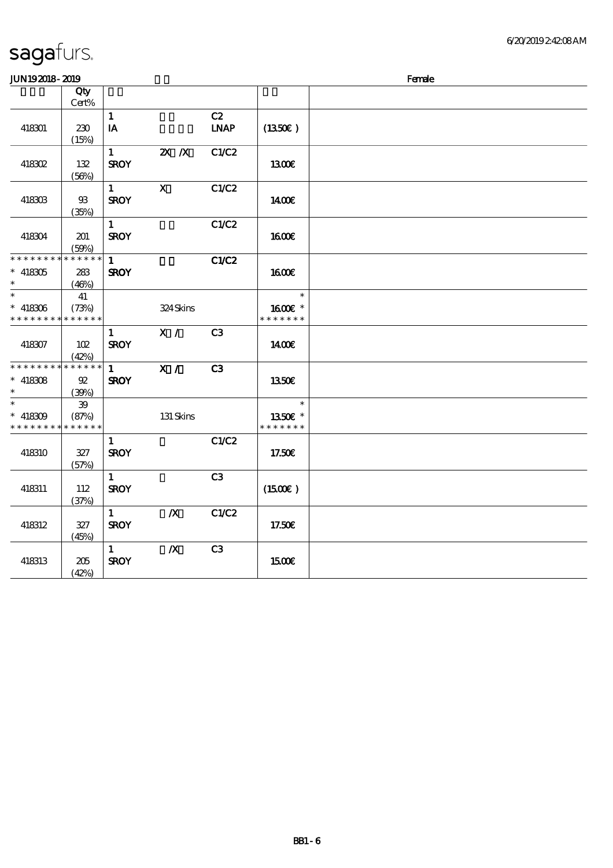| <b>JUN192018-2019</b>       |             |              |                           |                |                   | Female |
|-----------------------------|-------------|--------------|---------------------------|----------------|-------------------|--------|
|                             | Qty         |              |                           |                |                   |        |
|                             | Cert%       |              |                           |                |                   |        |
|                             |             | $\mathbf{1}$ |                           | C2             |                   |        |
| 418301                      | 230         | IA           |                           | <b>LNAP</b>    | $(1350\epsilon)$  |        |
|                             | (15%)       |              |                           |                |                   |        |
|                             |             | $\mathbf{1}$ | $\overline{\mathbf{z}}$ X | C1/C2          |                   |        |
| 418302                      | 132         | <b>SROY</b>  |                           |                | 1300E             |        |
|                             | (56%)       |              |                           |                |                   |        |
|                             |             | 1            | $\mathbf{x}$              | C1/C2          |                   |        |
| 418303                      | $93$        | <b>SROY</b>  |                           |                | 1400E             |        |
|                             | (35%)       |              |                           |                |                   |        |
|                             |             | $\mathbf{1}$ |                           | C1/C2          |                   |        |
| 418304                      | 201         | <b>SROY</b>  |                           |                | <b>1600€</b>      |        |
|                             | (50%)       |              |                           |                |                   |        |
| * * * * * * * *             | * * * * * * | $\mathbf{1}$ |                           | C1/C2          |                   |        |
| $* 418305$                  | 283         | <b>SROY</b>  |                           |                | <b>160€</b>       |        |
| $\ast$                      | (46%)       |              |                           |                |                   |        |
| $\overline{\phantom{0}}$    | 41          |              |                           |                | $\ast$            |        |
| $*$ 418306                  | (73%)       |              | 324Skins                  |                | 1600E *           |        |
| * * * * * * * *             | * * * * * * |              |                           |                | * * * * * * *     |        |
|                             |             | $\mathbf{1}$ | X /                       | C3             |                   |        |
| 418307                      | 102         | <b>SROY</b>  |                           |                | 1400€             |        |
|                             | (42%)       |              |                           |                |                   |        |
| * * * * * * * * * * * * * * |             | $\mathbf{1}$ | X /                       | C3             |                   |        |
| $* 418308$                  | 92          | <b>SROY</b>  |                           |                | 1350E             |        |
| $\ast$                      | (39%)       |              |                           |                |                   |        |
|                             | ${\bf 39}$  |              |                           |                | $\ast$            |        |
| $* 418309$                  | (87%)       |              | 131 Skins                 |                | 1350€ *           |        |
| * * * * * * * * * * * * * * |             |              |                           |                | * * * * * * *     |        |
|                             |             | $\mathbf{1}$ |                           | C1/C2          |                   |        |
| 418310                      | 327         | <b>SROY</b>  |                           |                | 17.50E            |        |
|                             | (57%)       |              |                           |                |                   |        |
|                             |             | $\mathbf{1}$ |                           | C <sub>3</sub> |                   |        |
| 418311                      | 112         | <b>SROY</b>  |                           |                | (1500E)           |        |
|                             | (37%)       |              |                           |                |                   |        |
|                             |             | $\mathbf{1}$ | $\boldsymbol{X}$          | C1/C2          |                   |        |
| 418312                      | 327         | <b>SROY</b>  |                           |                | 17.50E            |        |
|                             | (45%)       |              |                           |                |                   |        |
|                             |             | $\mathbf{1}$ | $\boldsymbol{X}$          | C <sub>3</sub> |                   |        |
| 418313                      | 205         | <b>SROY</b>  |                           |                | 15 <sub>00€</sub> |        |
|                             | (42%)       |              |                           |                |                   |        |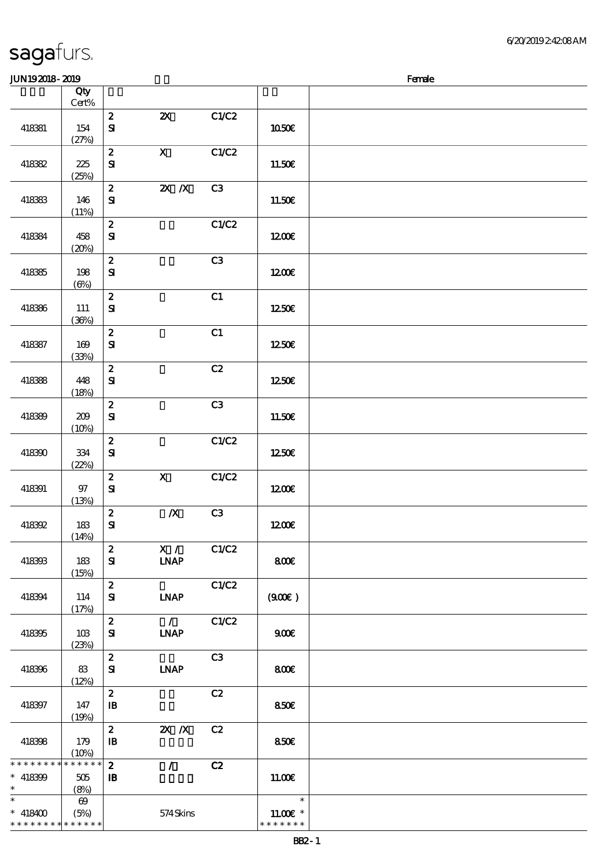#### JUN192018-2019 **INTERNATION**

| www.com                                   |                               |                                                |                               |       |                             | $\cdots$ |
|-------------------------------------------|-------------------------------|------------------------------------------------|-------------------------------|-------|-----------------------------|----------|
|                                           | Qty<br>Cert%                  |                                                |                               |       |                             |          |
|                                           |                               | $\boldsymbol{z}$                               | $\boldsymbol{\mathsf{Z}}$     | C1/C2 |                             |          |
| 418381                                    | 154<br>(27%)                  | ${\bf S}$                                      |                               |       | 1050€                       |          |
| 418382                                    | 225                           | $\boldsymbol{z}$<br>${\bf s}$                  | $\mathbf{X}$                  | C1/C2 | 11.50€                      |          |
|                                           | (25%)                         | $\boldsymbol{z}$                               | $X$ $N$                       | C3    |                             |          |
| 418383                                    | 146                           | ${\bf s}$                                      |                               |       | 11.50E                      |          |
|                                           | (11%)                         | $\boldsymbol{z}$                               |                               | C1/C2 |                             |          |
| 418384                                    | 458<br>(20%)                  | $\mathbf{S}$                                   |                               |       | 1200                        |          |
|                                           |                               | $\boldsymbol{z}$<br>${\bf S}$                  |                               | C3    |                             |          |
| 418385                                    | 198<br>$(\Theta)$             |                                                |                               |       | 1200E                       |          |
| 418386                                    | 111                           | $\boldsymbol{2}$<br>${\bf S\!I}$               |                               | C1    | 1250€                       |          |
|                                           | (36%)                         | $\boldsymbol{z}$                               |                               | C1    |                             |          |
| 418387                                    | 169                           | ${\bf S}$                                      |                               |       | 1250E                       |          |
|                                           | (33%)                         | $\pmb{2}$                                      |                               | C2    |                             |          |
| 418388                                    | 448<br>(18%)                  | ${\bf S}$                                      |                               |       | 1250€                       |          |
| 418389                                    | 209                           | $\boldsymbol{z}$<br>${\bf S\hspace{-.075ex}I}$ |                               | C3    | 11.50€                      |          |
|                                           | (10%)                         | $\boldsymbol{z}$                               |                               | C1/C2 |                             |          |
| 418390                                    | 334                           | $\mathbf{S}$                                   |                               |       | 1250€                       |          |
|                                           | (22%)                         | $\boldsymbol{z}$                               | $\mathbf{X}$                  | C1/C2 |                             |          |
| 418391                                    | $97\,$<br>(13%)               | ${\bf S\hspace{-.075ex}I}$                     |                               |       | 1200E                       |          |
| <b>418392</b>                             | 183                           | $\boldsymbol{z}$<br>$\mathbf{S}$               | $\boldsymbol{X}$              | C3    | 1200E                       |          |
|                                           | (14%)                         |                                                |                               |       |                             |          |
| 418393                                    | 183                           | $\boldsymbol{z}$<br>${\bf s}$                  | $\mathbf{X}$ /<br><b>INAP</b> | C1/C2 | 800€                        |          |
|                                           | (15%)                         | $\boldsymbol{z}$                               |                               | C1/C2 |                             |          |
| 418394                                    | 114<br>(17%)                  | ${\bf s}$                                      | <b>INAP</b>                   |       | (900)                       |          |
| 418395                                    | 10B                           | $\boldsymbol{z}$<br>${\bf s}$                  | $\mathcal{L}$<br><b>INAP</b>  | C1/C2 | 900E                        |          |
|                                           | (23%)                         |                                                |                               |       |                             |          |
| 418396                                    | 83                            | $\pmb{2}$<br>${\bf s}$                         | <b>LNAP</b>                   | C3    | 800                         |          |
|                                           | (12%)                         | $\boldsymbol{2}$                               |                               | C2    |                             |          |
| 418397                                    | 147<br>(19%)                  | $\mathbf{B}$                                   |                               |       | 850€                        |          |
| 418398                                    | 179                           | $\pmb{2}$<br>$\mathbf{B}$                      | $X$ $X$                       | C2    | 850E                        |          |
| * * * * * * * *                           | (10%)<br>* * * * * *          | $\boldsymbol{z}$                               | $\mathcal{L}$                 | C2    |                             |          |
| $* 418399$                                | 505                           | $\mathbf{B}$                                   |                               |       | 11.00E                      |          |
| $\ast$<br>$\ast$                          | (8%)<br>$\boldsymbol{\omega}$ |                                                |                               |       | $\ast$                      |          |
| $* 418400$<br>* * * * * * * * * * * * * * | (5%)                          |                                                | $574$ Skins                   |       | $11.00E$ *<br>* * * * * * * |          |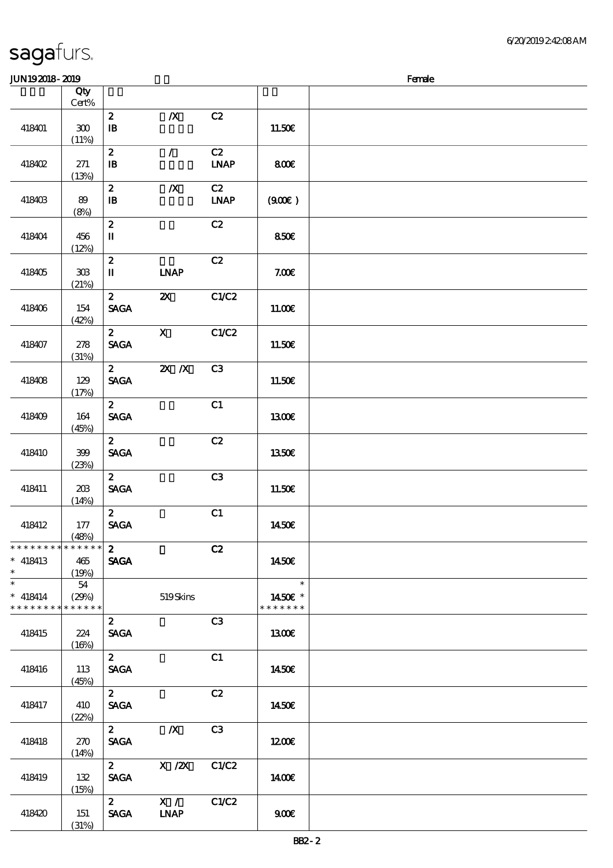| <b>saga</b> furs. |  |
|-------------------|--|
|                   |  |

### $JIN192018 - 2019$  Female

|                                                                       | Qty<br>$Cert\%$                 |                                                    |                           |                                    |                                    |  |
|-----------------------------------------------------------------------|---------------------------------|----------------------------------------------------|---------------------------|------------------------------------|------------------------------------|--|
| 418401                                                                | ${\bf 30}$<br>(11%)             | $\boldsymbol{z}$<br>$\, {\bf I} \! {\bf B} \,$     | $\boldsymbol{X}$          | C2                                 | 11.50E                             |  |
| 418402                                                                | 271<br>(13%)                    | $\boldsymbol{2}$<br>${\bf I\!B}$                   | $\mathcal{L}$             | C2<br><b>LNAP</b>                  | 800€                               |  |
| 418403                                                                | 89<br>(8%)                      | $\boldsymbol{z}$<br>$\, {\bf I} \! {\bf B} \,$     | $\pmb{X}$                 | C2<br>$\ensuremath{\mathbf{INAP}}$ | (900)                              |  |
| 418404                                                                | 456<br>(12%)                    | $\boldsymbol{z}$<br>$\mathbf I$                    |                           | C2                                 | 850E                               |  |
| 418405                                                                | $30\!\!\!\;\mathrm{B}$<br>(21%) | $\boldsymbol{2}$<br>$\mathbf I$                    | <b>LNAP</b>               | C2                                 | 7.00E                              |  |
| 418406                                                                | 154<br>(42%)                    | $\boldsymbol{z}$<br>$\operatorname{\mathsf{SAGA}}$ | $\boldsymbol{\mathsf{X}}$ | C1/C2                              | 11.00E                             |  |
| 418407                                                                | 278<br>(31%)                    | $\boldsymbol{z}$<br><b>SAGA</b>                    | $\mathbf x$               | C1/C2                              | 11.50E                             |  |
| 418408                                                                | 129<br>(17%)                    | $\mathbf{z}$<br>$\operatorname{\mathsf{SAGA}}$     | $X$ $N$                   | C3                                 | 11.50€                             |  |
| 418409                                                                | 164<br>(45%)                    | $\mathbf{z}$<br><b>SAGA</b>                        |                           | C1                                 | <b>130€</b>                        |  |
| 418410                                                                | 399<br>(23%)                    | $\mathbf{z}$<br><b>SAGA</b>                        |                           | C2                                 | 1350E                              |  |
| 418411                                                                | 203<br>(14%)                    | $\mathbf{z}$<br><b>SAGA</b>                        |                           | C3                                 | $11.50E$                           |  |
| 418412                                                                | 177<br>(48%)                    | $\mathbf{z}$<br>$\operatorname{\mathsf{SAGA}}$     |                           | C1                                 | 1450€                              |  |
| ************** 2<br>$*$ 418413<br>$\ast$                              | 465<br>(19%)                    | <b>SAGA</b>                                        |                           | C2                                 | 1450€                              |  |
| $\overline{\phantom{0}}$<br>$* 418414$<br>* * * * * * * * * * * * * * | 54<br>(29%)                     |                                                    | 519Skins                  |                                    | $\ast$<br>1450 £*<br>* * * * * * * |  |
| 418415                                                                | 224<br>(16%)                    | $\mathbf{z}$<br><b>SAGA</b>                        |                           | C3                                 | 1300                               |  |
| 418416                                                                | 113<br>(45%)                    | $\mathbf{z}$<br><b>SAGA</b>                        |                           | C1                                 | 1450€                              |  |
| 418417                                                                | 410<br>(22%)                    | $\mathbf{2}$<br><b>SAGA</b>                        |                           | C2                                 | 1450E                              |  |
| 418418                                                                | 270<br>(14%)                    | $\mathbf{z}$<br><b>SAGA</b>                        | $\boldsymbol{X}$          | C3                                 | 1200                               |  |
| 418419                                                                | 132<br>(15%)                    | $\mathbf{2}$<br><b>SAGA</b>                        | X / ZX                    | C1/C2                              | <b>140€</b>                        |  |
| 418420                                                                | 151<br>(31%)                    | $\mathbf{2}$<br><b>SAGA</b>                        | X /<br><b>LNAP</b>        | C1/C2                              | 900E                               |  |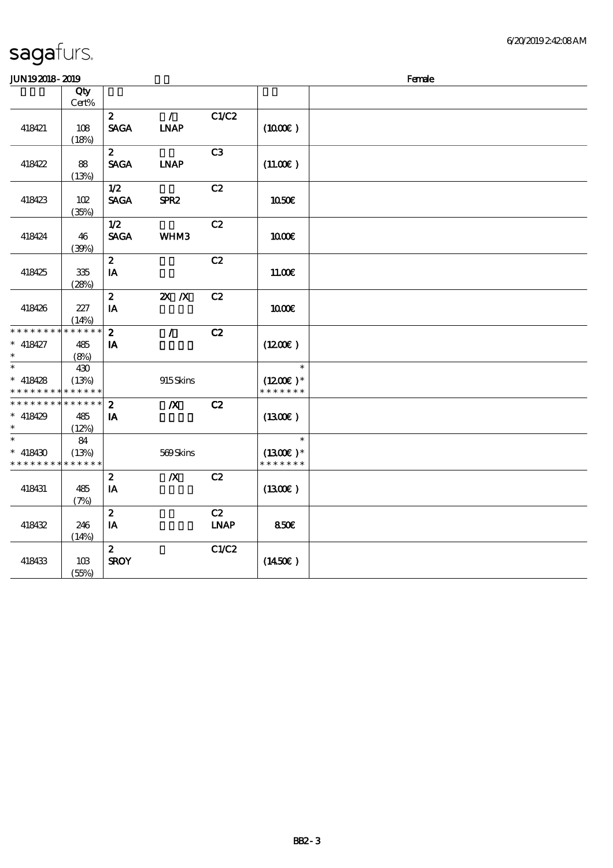| <b>JUN192018-2019</b>                                            |                             |                                            |                              |                   | Female                                |  |  |  |
|------------------------------------------------------------------|-----------------------------|--------------------------------------------|------------------------------|-------------------|---------------------------------------|--|--|--|
|                                                                  | Qty<br>Cert%                |                                            |                              |                   |                                       |  |  |  |
| 418421                                                           | 108<br>(18%)                | $\boldsymbol{z}$<br><b>SAGA</b>            | $\mathcal{L}$<br><b>INAP</b> | C1/C2             | (1000)                                |  |  |  |
| 418422                                                           | 88<br>(13%)                 | $\mathbf{z}$<br><b>SAGA</b>                | <b>LNAP</b>                  | C <sub>3</sub>    | (11.00)                               |  |  |  |
| 418423                                                           | 102<br>(35%)                | 1/2<br><b>SAGA</b>                         | SPR <sub>2</sub>             | C2                | 1050E                                 |  |  |  |
| 418424                                                           | 46<br>(39%)                 | 1/2<br><b>SAGA</b>                         | WHM3                         | C2                | 1000E                                 |  |  |  |
| 418425                                                           | 335<br>(28%)                | $\boldsymbol{z}$<br>$\mathbf{I}\mathbf{A}$ |                              | C2                | 11.00E                                |  |  |  |
| 418426                                                           | 227<br>(14%)                | $\boldsymbol{z}$<br>IA                     | $X$ $N$                      | C2                | 1000E                                 |  |  |  |
| * * * * * * * *<br>$* 418427$<br>$\ast$                          | * * * * * *<br>485<br>(8%)  | $\boldsymbol{z}$<br>${\bf I} {\bf A}$      | $\mathcal{L}$                | C2                | (1200)                                |  |  |  |
| $\ast$<br>$* 418428$<br>* * * * * * * *                          | 430<br>(13%)<br>* * * * * * |                                            | 915Skins                     |                   | $\ast$<br>$(1200E)*$<br>* * * * * * * |  |  |  |
| * * * * * * * * <mark>* * * * * *</mark><br>$* 418429$<br>$\ast$ | 485<br>(12%)                | $\boldsymbol{z}$<br>IA                     | $\boldsymbol{X}$             | C2                | (1300)                                |  |  |  |
| $\ast$<br>$* 418430$<br>* * * * * * * * <mark>* * * * * *</mark> | 84<br>(13%)                 |                                            | 569Skins                     |                   | $\ast$<br>$(1300E)*$<br>* * * * * * * |  |  |  |
| 418431                                                           | 485<br>(7%)                 | $\boldsymbol{2}$<br>IA                     | $\boldsymbol{X}$             | C2                | (1300E)                               |  |  |  |
| 418432                                                           | 246<br>(14%)                | $\boldsymbol{z}$<br>IA                     |                              | C2<br><b>LNAP</b> | 850E                                  |  |  |  |
| 418433                                                           | 10B<br>(55%)                | $\boldsymbol{z}$<br><b>SROY</b>            |                              | C1/C2             | (1450E)                               |  |  |  |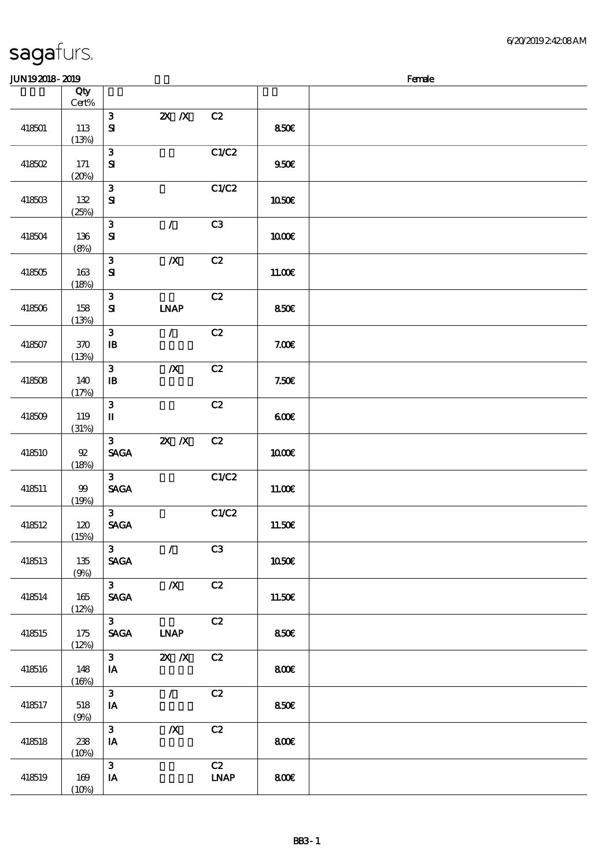| <b>JUN192018-2019</b> |                 |                                                |                  |                   |             | Female |
|-----------------------|-----------------|------------------------------------------------|------------------|-------------------|-------------|--------|
|                       | Qty<br>Cert%    |                                                |                  |                   |             |        |
| 418501                | 113<br>(13%)    | $\mathbf{3}$<br>$\mathbf{S}$                   | $X \, X$         | C2                | 850€        |        |
| 418502                | 171<br>(20%)    | $\mathbf{3}$<br>$\mathbf{S}$                   |                  | C1/C2             | 950E        |        |
| 418503                | 132<br>(25%)    | ${\bf 3}$<br>${\bf s}$                         |                  | C1/C2             | 1050E       |        |
| 418504                | 136<br>(8%)     | ${\bf 3}$<br>$\mathbf{S}$                      | $\mathcal{L}$    | C3                | 1000E       |        |
| 418505                | 163<br>(18%)    | $\mathbf{3}$<br>${\bf s}$                      | $\boldsymbol{X}$ | C2                | 11.00E      |        |
| 418506                | 158<br>(13%)    | ${\bf 3}$<br>$\mathbf{S}$                      | <b>LNAP</b>      | C2                | 850E        |        |
| 418507                | 370<br>(13%)    | $\mathbf{3}$<br>$\, {\bf B}$                   | $\mathcal{L}$    | C2                | 7.00E       |        |
| 418508                | 140<br>(17%)    | $\mathbf{3}$<br>$\, {\bf I} \! {\bf B} \,$     | $\boldsymbol{X}$ | C2                | 7.50E       |        |
| 418509                | 119<br>(31%)    | $\mathbf{3}$<br>$\mathbf I$                    |                  | C2                | 600         |        |
| 418510                | $92\,$<br>(18%) | $\mathbf{3}$<br><b>SAGA</b>                    | $X$ $N$          | C2                | <b>100€</b> |        |
| 418511                | 99<br>(19%)     | $\mathbf{3}$<br>$\operatorname{\mathsf{SAGA}}$ |                  | C1/C2             | 11.00E      |        |
| 418512                | 120<br>(15%)    | 3 <sup>1</sup><br><b>SAGA</b>                  |                  | C1/C2             | 11.50E      |        |
| 418513                | 135<br>(9%)     | $3 -$<br><b>SAGA</b>                           | $\mathcal{L}$    | C3                | 1050€       |        |
| 418514                | 165<br>(12%)    | $3^{\circ}$<br><b>SAGA</b>                     | $\boldsymbol{X}$ | C2                | 11.50€      |        |
| 418515                | 175<br>(12%)    | 3 <sup>7</sup><br><b>SAGA</b>                  | <b>LNAP</b>      | C2                | 850E        |        |
| 418516                | 148<br>(16%)    | $3^{\circ}$<br>IA                              | $X$ $N$          | C2                | 800€        |        |
| 418517                | 518<br>(9%)     | 3 <sup>1</sup><br>IA                           | $\mathcal{L}$    | C2                | 850E        |        |
| 418518                | 238<br>(10%)    | 3 <sup>1</sup><br>IA                           | $\boldsymbol{X}$ | C2                | 800€        |        |
| 418519                | 169<br>(10%)    | $\mathbf{3}$<br>$I\!\!A$                       |                  | C2<br><b>LNAP</b> | 800         |        |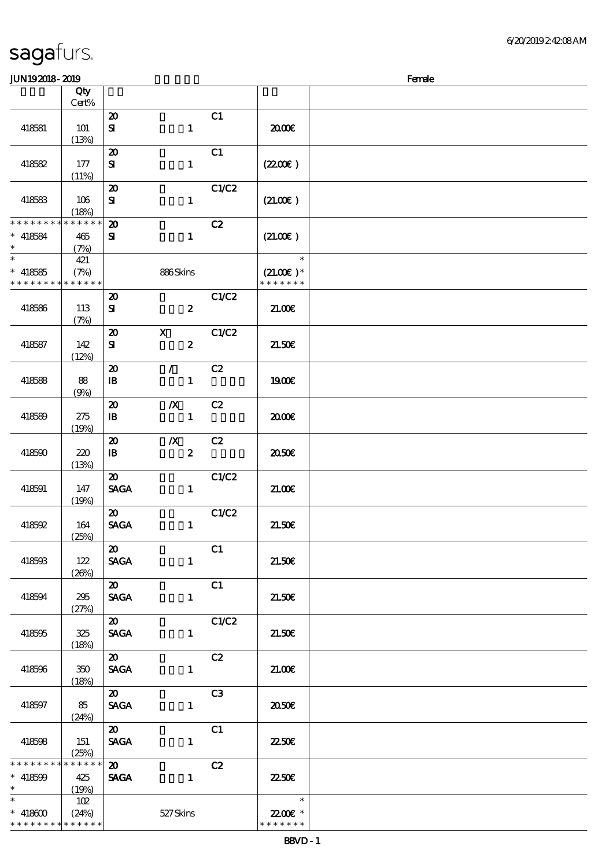#### $J/N192018$ - 2019  $F$ emale  $J$

| www.ww                                                                        |                             |                                                           |                  |                  |       |                                        | $\cdots$ |
|-------------------------------------------------------------------------------|-----------------------------|-----------------------------------------------------------|------------------|------------------|-------|----------------------------------------|----------|
|                                                                               | Qty<br>Cert%                |                                                           |                  |                  |       |                                        |          |
| 418581                                                                        | 101                         | $\boldsymbol{\mathbf{z}}$<br>${\bf s}$                    |                  | $\mathbf{1}$     | C1    | 2000                                   |          |
| 418582                                                                        | (13%)<br>177<br>(11%)       | $\boldsymbol{\mathfrak{D}}$<br>${\bf S}$                  |                  | $\mathbf{1}$     | C1    | (220E)                                 |          |
| 418583                                                                        | 106<br>(18%)                | $\boldsymbol{\mathbf{z}}$<br>${\bf s}$                    |                  | $\mathbf{1}$     | C1/C2 | (21.00)                                |          |
| * * * * * * * *<br>$* 418584$<br>$\ast$                                       | * * * * * *<br>465<br>(7%)  | $\boldsymbol{\mathfrak{D}}$<br>${\bf S}$                  |                  | $\mathbf{1}$     | C2    | (21.00)                                |          |
| $\overline{\ast}$<br>$*$ 418585<br>* * * * * * * * <mark>* * * * * *</mark> * | 421<br>(7%)                 |                                                           | 886Skins         |                  |       | $\ast$<br>$(21.00)$ *<br>* * * * * * * |          |
| 418586                                                                        | 113<br>(7%)                 | $\boldsymbol{\mathbf{z}}$<br>${\bf s}$                    |                  | $\pmb{2}$        | C1/C2 | 21.006                                 |          |
| 418587                                                                        | 142<br>(12%)                | $\boldsymbol{\mathfrak{D}}$<br>${\bf s}$                  | $\mathbf x$      | $\boldsymbol{z}$ | C1/C2 | 21.50E                                 |          |
| 418588                                                                        | 88<br>(9%)                  | $\boldsymbol{\mathfrak{D}}$<br>$\mathbf{B}$               | $\mathcal{L}$    | $\mathbf{1}$     | C2    | 1900E                                  |          |
| 418589                                                                        | 275<br>(19%)                | $\boldsymbol{\mathbf{z}}$<br>$\mathbf{B}$                 | $\boldsymbol{X}$ | $\mathbf{1}$     | C2    | 2000                                   |          |
| 418590                                                                        | 220<br>(13%)                | $\boldsymbol{\mathfrak{D}}$<br>$\, {\bf I} \! {\bf B} \,$ | $\boldsymbol{X}$ | $\boldsymbol{z}$ | C2    | ææ                                     |          |
| 418591                                                                        | 147<br>(19%)                | $\boldsymbol{\mathfrak{D}}$<br><b>SAGA</b>                |                  | $\mathbf{1}$     | C1/C2 | 21.00E                                 |          |
| 418592                                                                        | 164<br>(25%)                | $\boldsymbol{\mathfrak{D}}$<br><b>SAGA</b>                |                  | $\mathbf{1}$     | C1/C2 | 21.50E                                 |          |
| 418593                                                                        | 122<br>(20%)                | $\boldsymbol{\mathfrak{D}}$<br><b>SAGA</b>                |                  | $\mathbf{1}$     | C1    | 21.50E                                 |          |
| 418594                                                                        | 295<br>(27%)                | 20<br><b>SAGA</b>                                         |                  | $\mathbf{1}$     | C1    | 21.50E                                 |          |
| 418595                                                                        | 325<br>(18%)                | $\boldsymbol{\mathfrak{D}}$<br><b>SAGA</b>                |                  | $\mathbf{1}$     | C1/C2 | 21.50E                                 |          |
| 418596                                                                        | 350<br>(18%)                | $\boldsymbol{\mathfrak{D}}$<br><b>SAGA</b>                |                  | $\mathbf{1}$     | C2    | 21.006                                 |          |
| 418597                                                                        | 85<br>(24%)                 | $\boldsymbol{\mathfrak{D}}$<br><b>SAGA</b>                |                  | $\mathbf{1}$     | C3    | 2050€                                  |          |
| 418598                                                                        | 151<br>(25%)                | $\boldsymbol{\mathfrak{D}}$<br><b>SAGA</b>                |                  | $\mathbf{1}$     | C1    | <b>2250€</b>                           |          |
| * * * * * * * *<br>$* 418599$<br>$\ast$                                       | * * * * * *<br>425<br>(19%) | $\boldsymbol{\mathfrak{D}}$<br><b>SAGA</b>                |                  | $\mathbf{1}$     | C2    | 2250E                                  |          |
| $\ast$<br>$* 418600$<br>* * * * * * * *                                       | 102<br>(24%)<br>* * * * * * |                                                           | 527Skins         |                  |       | $\ast$<br>22.00€ *<br>* * * * * * *    |          |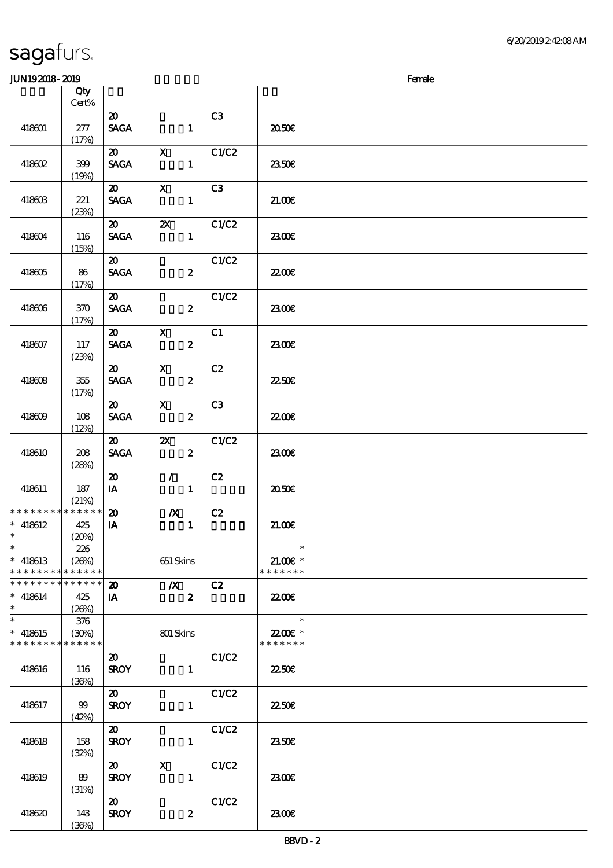#### $J$ UN192018 - 2010  $J$

| ມມາ <i>ເວເມເວ</i> ະ ເມເວ                |                             |                                            |                                           |              |                                      | ranac |
|-----------------------------------------|-----------------------------|--------------------------------------------|-------------------------------------------|--------------|--------------------------------------|-------|
|                                         | Qty<br>Cert%                |                                            |                                           |              |                                      |       |
| 418601                                  | 277<br>(17%)                | $\boldsymbol{\mathfrak{D}}$<br><b>SAGA</b> | $\mathbf{1}$                              | C3           | 2050E                                |       |
| 418602                                  | 399<br>(19%)                | $\boldsymbol{\omega}$<br><b>SAGA</b>       | $\mathbf{X}$<br>$\mathbf{1}$              | C1/C2        | 2350E                                |       |
| 418603                                  | 221<br>(23%)                | $\boldsymbol{\mathfrak{D}}$<br><b>SAGA</b> | $\mathbf{X}$<br>$\mathbf{1}$              | C3           | 21.00E                               |       |
| 418604                                  | 116<br>(15%)                | $\boldsymbol{\omega}$<br><b>SAGA</b>       | $\boldsymbol{\mathsf{Z}}$<br>$\mathbf{1}$ | C1/C2        | 2300E                                |       |
| 418605                                  | 86<br>(17%)                 | $\boldsymbol{\mathfrak{D}}$<br><b>SAGA</b> | $\boldsymbol{2}$                          | C1/C2        | <b>2200E</b>                         |       |
| 418606                                  | $370\,$<br>(17%)            | $\boldsymbol{\mathfrak{D}}$<br><b>SAGA</b> | $\boldsymbol{z}$                          | C1/C2        | 2300E                                |       |
| 418607                                  | 117<br>(23%)                | $\boldsymbol{\mathfrak{D}}$<br><b>SAGA</b> | $\mathbf{x}$<br>$\boldsymbol{z}$          | C1           | 2300E                                |       |
| 418608                                  | 355<br>(17%)                | $\boldsymbol{\mathfrak{D}}$<br><b>SAGA</b> | $\mathbf{X}$<br>$\boldsymbol{z}$          | C2           | 2250E                                |       |
| 418609                                  | 108<br>(12%)                | $\boldsymbol{\mathfrak{D}}$<br><b>SAGA</b> | $\mathbf{X}$<br>$\mathbf{z}$              | C3           | 2200                                 |       |
| 418610                                  | 208<br>(28%)                | $\boldsymbol{\mathfrak{D}}$<br><b>SAGA</b> | $\mathbf{X}$<br>$\boldsymbol{z}$          | C1/C2        | 2300E                                |       |
| 418611                                  | 187<br>(21%)                | $\boldsymbol{\mathfrak{D}}$<br>IA          | $\mathcal{F}$<br>$\mathbf{1}$             | C2           | 2050E                                |       |
| **************<br>$* 418612$<br>$\ast$  | 425<br>(20%)                | $\boldsymbol{\mathfrak{D}}$<br>IA          | $\boldsymbol{X}$<br>$\mathbf{1}$          | C2           | 21.00E                               |       |
| $\ast$<br>$*$ 418613<br>* * * * * * * * | 226<br>(20%)<br>* * * * * * |                                            | 651 Skins                                 |              | $\ast$<br>$21.005*$<br>* * * * * * * |       |
| * * * * * * * *<br>$* 418614$<br>$\ast$ | * * * * * *<br>425<br>(20%) | $\boldsymbol{\mathbf{z}}$<br>IA            | $\boldsymbol{X}$<br>$\boldsymbol{z}$      | C2           | 22.00E                               |       |
| $\ast$<br>$* 418615$<br>* * * * * * * * | 376<br>(30%)<br>* * * * * * |                                            | 801 Skins                                 |              | $\ast$<br>22.00E *<br>* * * * * * *  |       |
| 418616                                  | 116<br>(36%)                | $\boldsymbol{\mathfrak{D}}$<br><b>SROY</b> | $\mathbf{1}$                              | <b>C1/C2</b> | 2250E                                |       |
| 418617                                  | 99<br>(42%)                 | $\boldsymbol{\mathfrak{D}}$<br><b>SROY</b> | $\mathbf{1}$                              | C1/C2        | 2250E                                |       |
| 418618                                  | 158<br>(32%)                | $\boldsymbol{\mathfrak{D}}$<br><b>SROY</b> | $\mathbf{1}$                              | C1/C2        | <b>2350€</b>                         |       |
| 418619                                  | 89<br>(31%)                 | $\boldsymbol{\mathfrak{D}}$<br><b>SROY</b> | $\mathbf X$<br>$\mathbf{1}$               | C1/C2        | 2300E                                |       |
| 418620                                  | 143<br>(36%)                | $\boldsymbol{\mathfrak{D}}$<br><b>SROY</b> | $\boldsymbol{z}$                          | C1/C2        | 2300E                                |       |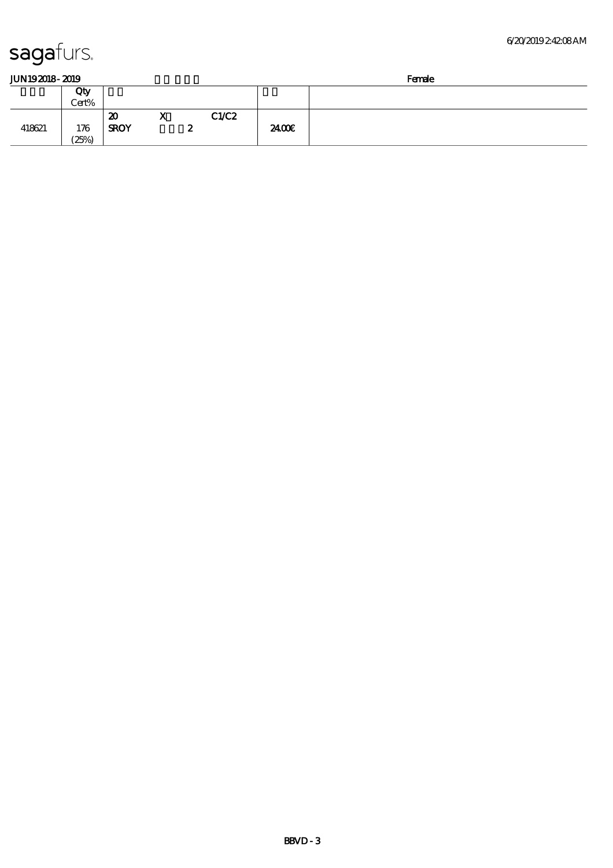#### 6/20/2019 2:42:08 AM

| JUN192018-2019 |  |
|----------------|--|
|                |  |

| JUN192018-2019 |       |             |                              |      |       | Female |
|----------------|-------|-------------|------------------------------|------|-------|--------|
|                | Qty   |             |                              |      |       |        |
|                | Cert% |             |                              |      |       |        |
|                |       | 20          | $\mathbf{v}$<br><sup>X</sup> | CLC2 |       |        |
| 418621         | 176   | <b>SROY</b> |                              | ~    | 2400E |        |
|                | (25%) |             |                              |      |       |        |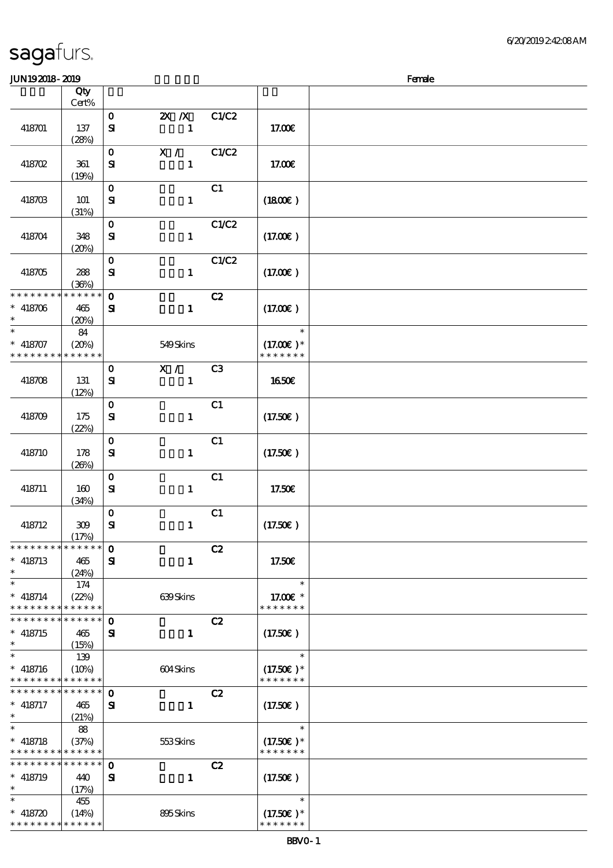| <b>JUN192018-2019</b>                     |             |              |              |                |                   | Female |
|-------------------------------------------|-------------|--------------|--------------|----------------|-------------------|--------|
|                                           | Qty         |              |              |                |                   |        |
|                                           | Cert%       |              |              |                |                   |        |
|                                           |             | $\mathbf{o}$ | $X$ $X$      | C1/C2          |                   |        |
| 418701                                    | 137         | $\mathbf{S}$ | $\mathbf{1}$ |                | 17.00€            |        |
|                                           | (28%)       |              |              |                |                   |        |
|                                           |             | $\mathbf{o}$ | X /          | C1/C2          |                   |        |
|                                           |             |              |              |                |                   |        |
| 418702                                    | 361         | ${\bf s}$    | $\mathbf{1}$ |                | 17.00E            |        |
|                                           | (19%)       |              |              |                |                   |        |
|                                           |             | $\mathbf O$  |              | C1             |                   |        |
| 418703                                    | <b>101</b>  | ${\bf s}$    | $\mathbf{1}$ |                | (1800)            |        |
|                                           | (31%)       |              |              |                |                   |        |
|                                           |             | $\mathbf{o}$ |              | C1/C2          |                   |        |
| 418704                                    | 348         | ${\bf s}$    | $\mathbf{1}$ |                | (17.00)           |        |
|                                           | (20%)       |              |              |                |                   |        |
|                                           |             | $\mathbf{o}$ |              | C1/C2          |                   |        |
| 418705                                    | 288         | ${\bf s}$    | $\mathbf{1}$ |                | (17.00)           |        |
|                                           | (36%)       |              |              |                |                   |        |
| * * * * * * * * * * * * * *               |             | $\mathbf{o}$ |              | C2             |                   |        |
| $* 418706$                                |             |              |              |                |                   |        |
| $\ast$                                    | 465         | ${\bf s}$    | $\mathbf{1}$ |                | (17.00)           |        |
| $\ast$                                    | (20%)       |              |              |                |                   |        |
|                                           | 84          |              |              |                | $\ast$            |        |
| $* 418707$                                | (20%)       |              | 549Skins     |                | $(17.00)$ *       |        |
| * * * * * * * *                           | * * * * * * |              |              |                | * * * * * * *     |        |
|                                           |             | $\mathbf{o}$ | X /          | C <sub>3</sub> |                   |        |
| 418708                                    | 131         | ${\bf s}$    | $\mathbf{1}$ |                | <b>1650€</b>      |        |
|                                           | (12%)       |              |              |                |                   |        |
|                                           |             | $\mathbf{o}$ |              | C1             |                   |        |
| 418709                                    | 175         | ${\bf s}$    | $\mathbf{1}$ |                | (17.50)           |        |
|                                           | (22%)       |              |              |                |                   |        |
|                                           |             | $\mathbf O$  |              | C1             |                   |        |
|                                           |             |              |              |                |                   |        |
| 418710                                    | 178         | ${\bf s}$    | $\mathbf{1}$ |                | (17.50)           |        |
|                                           | (20%)       |              |              |                |                   |        |
|                                           |             | $\mathbf{o}$ |              | C1             |                   |        |
| 418711                                    | 160         | ${\bf s}$    | $\mathbf{1}$ |                | 17.50€            |        |
|                                           | (34%)       |              |              |                |                   |        |
|                                           |             | $\mathbf{o}$ |              | C1             |                   |        |
| 418712                                    | 309         | $\mathbf{S}$ | $\mathbf{1}$ |                | (17.50)           |        |
|                                           | (17%)       |              |              |                |                   |        |
| * * * * * * * * * * * * * *               |             | $\mathbf 0$  |              | C2             |                   |        |
| $*$ 418713                                | 465         | $\mathbf{S}$ | $\mathbf{1}$ |                | 17.50E            |        |
| $\ast$                                    | (24%)       |              |              |                |                   |        |
| $\ast$                                    | 174         |              |              |                | $\ast$            |        |
| $* 418714$                                | (22%)       |              | 639Skins     |                | 17.00 £*          |        |
| * * * * * * * * * * * * * *               |             |              |              |                | * * * * * * *     |        |
| * * * * * * * * * * * * * *               |             | $\mathbf 0$  |              | C2             |                   |        |
| $* 418715$                                | 465         | ${\bf s}$    | $\mathbf{1}$ |                | $(17.50\epsilon)$ |        |
| $\ast$                                    | (15%)       |              |              |                |                   |        |
| $\ast$                                    |             |              |              |                | $\ast$            |        |
|                                           | 139         |              |              |                |                   |        |
| $* 418716$                                | (10%)       |              | 604Skins     |                | $(17.50)$ *       |        |
| * * * * * * * * * * * * * *               |             |              |              |                | * * * * * * *     |        |
| * * * * * * * * * * * * * *               |             | $\mathbf 0$  |              | C2             |                   |        |
| $*$ 418717                                | 465         | Я            | $\mathbf{1}$ |                | $(17.50\epsilon)$ |        |
| $\ast$                                    | (21%)       |              |              |                |                   |        |
| $\ast$                                    | 88          |              |              |                | $\ast$            |        |
| $* 418718$                                | (37%)       |              | 553Skins     |                | $(17.50)$ *       |        |
| * * * * * * * * * * * * * *               |             |              |              |                | * * * * * * *     |        |
| * * * * * * * * * * * * * *               |             | $\mathbf{o}$ |              | C2             |                   |        |
| $*$ 418719                                | 440         | ${\bf s}$    | $\mathbf{1}$ |                | (17.50)           |        |
| $\ast$                                    | (17%)       |              |              |                |                   |        |
| $\ast$                                    | 455         |              |              |                | $\ast$            |        |
|                                           |             |              |              |                |                   |        |
| $* 418720$<br>* * * * * * * * * * * * * * | (14%)       |              | 895Skins     |                | $(17.50)$ *       |        |
|                                           |             |              |              |                | * * * * * * *     |        |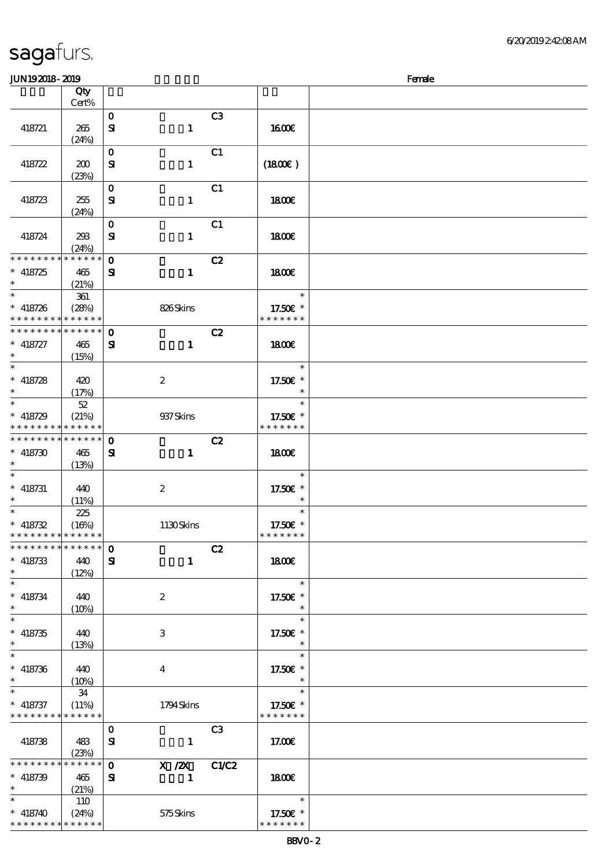\* \* \* \* \* \* \*

# sagafurs.

| JUN192018-2019                |                      |              |                  |    |                           | Female |
|-------------------------------|----------------------|--------------|------------------|----|---------------------------|--------|
|                               | Qty                  |              |                  |    |                           |        |
|                               | Cert%                |              |                  |    |                           |        |
|                               |                      | $\mathbf 0$  |                  | C3 |                           |        |
|                               |                      |              |                  |    |                           |        |
| 418721                        | 265                  | ${\bf s}$    | $\mathbf{1}$     |    | <b>1600€</b>              |        |
|                               | (24%)                |              |                  |    |                           |        |
|                               |                      | $\mathbf 0$  |                  | C1 |                           |        |
| 418722                        | 200                  | ${\bf s}$    | $\mathbf{1}$     |    | (1800)                    |        |
|                               | (23%)                |              |                  |    |                           |        |
|                               |                      | $\mathbf 0$  |                  | C1 |                           |        |
| 418723                        | 255                  | ${\bf s}$    | $\mathbf{1}$     |    | 1800E                     |        |
|                               |                      |              |                  |    |                           |        |
|                               | (24%)                |              |                  |    |                           |        |
|                               |                      | $\mathbf 0$  |                  | C1 |                           |        |
| 418724                        | 298                  | ${\bf s}$    | $\mathbf{1}$     |    | 1800                      |        |
|                               | (24%)                |              |                  |    |                           |        |
| * * * * * * * *               | * * * * * *          | $\mathbf 0$  |                  | C2 |                           |        |
| $* 418725$                    | 465                  | ${\bf s}$    | $\mathbf{1}$     |    | 1800E                     |        |
| $\ast$                        | (21%)                |              |                  |    |                           |        |
| $\ast$                        | 361                  |              |                  |    | $\ast$                    |        |
| $* 418726$                    |                      |              |                  |    |                           |        |
| * * * * * * * *               | (28%)<br>* * * * * * |              | 826Skins         |    | 17.50€ *<br>* * * * * * * |        |
|                               |                      |              |                  |    |                           |        |
| * * * * * * * *               | $* * * * * * *$      | $\mathbf 0$  |                  | C2 |                           |        |
| $* 418727$                    | 465                  | ${\bf s}$    | $\mathbf 1$      |    | <b>1800€</b>              |        |
| $\ast$                        | (15%)                |              |                  |    |                           |        |
| $\ast$                        |                      |              |                  |    | $\ast$                    |        |
| $* 418728$                    | 420                  |              | $\boldsymbol{z}$ |    | 17.50€ *                  |        |
| $\ast$                        | (17%)                |              |                  |    | $\ast$                    |        |
| $\ast$                        |                      |              |                  |    | $\ast$                    |        |
|                               | 52                   |              |                  |    |                           |        |
| $* 418729$                    | (21%)                |              | 937 Skins        |    | 17.50€ *                  |        |
| * * * * * * * *               | * * * * * *          |              |                  |    | * * * * * * *             |        |
| * * * * * * * *               | * * * * * *          | $\mathbf 0$  |                  | C2 |                           |        |
| $* 418730$                    | 465                  | ${\bf s}$    | $\mathbf{1}$     |    | 1800                      |        |
| $\ast$                        | (13%)                |              |                  |    |                           |        |
| $\ast$                        |                      |              |                  |    | $\ast$                    |        |
| $*$ 418731                    | 440                  |              | $\boldsymbol{2}$ |    | 17.50€ *                  |        |
| $\ast$                        |                      |              |                  |    | $\ast$                    |        |
| $\ast$                        | (11%)                |              |                  |    | $\ast$                    |        |
|                               | 225                  |              |                  |    |                           |        |
| $* 418732$                    | (16%)                |              | 1130Skins        |    | 17.50€ *                  |        |
| * * * * * * * * * * * * * *   |                      |              |                  |    | * * * * * * *             |        |
| * * * * * * * * * * * * * * * |                      | $\mathbf 0$  |                  | C2 |                           |        |
| $*$ 418733                    | 440                  | ${\bf s}$    | $\mathbf{1}$     |    | 1800                      |        |
| $\ast$                        | (12%)                |              |                  |    |                           |        |
| $\ast$                        |                      |              |                  |    | $\ast$                    |        |
| $* 418734$                    | 440                  |              | $\boldsymbol{2}$ |    | 17.50€ *                  |        |
| $\ast$                        | (10%)                |              |                  |    | $\ast$                    |        |
| $\overline{\ast}$             |                      |              |                  |    | $\ast$                    |        |
|                               |                      |              |                  |    |                           |        |
| $* 418735$                    | 440                  |              | 3                |    | 17.50£ *                  |        |
| $\ast$                        | (13%)                |              |                  |    | $\ast$                    |        |
| $\ast$                        |                      |              |                  |    | $\ast$                    |        |
| $* 418736$                    | 440                  |              | $\overline{4}$   |    | 17.50 £*                  |        |
| $\ast$                        | (10%)                |              |                  |    | $\ast$                    |        |
| $\ast$                        | 34                   |              |                  |    | $\ast$                    |        |
| $*$ 418737                    | (11%)                |              | 1794Skins        |    | 17.50€ *                  |        |
| * * * * * * * *               | * * * * * *          |              |                  |    | * * * * * * *             |        |
|                               |                      |              |                  |    |                           |        |
|                               |                      | $\mathbf 0$  |                  | C3 |                           |        |
| 418738                        | 483                  | ${\bf s}$    | $\blacksquare$   |    | 17.00E                    |        |
|                               | (23%)                |              |                  |    |                           |        |
| * * * * * * * *               | * * * * * *          | $\mathbf{O}$ | $X / ZX$ $C1/C2$ |    |                           |        |
| $* 418739$                    | 465                  | ${\bf s}$    | $\blacksquare$   |    | 1800E                     |        |
| $\ast$                        | (21%)                |              |                  |    |                           |        |
| $\ast$                        | 110                  |              |                  |    | $\ast$                    |        |
|                               |                      |              |                  |    | 17.50 £*                  |        |
| $* 418740$                    | (24%)                |              | 575Skins         |    |                           |        |

\* \* \* \* \* \* \* \* <mark>\* \* \* \* \* \* \*</mark>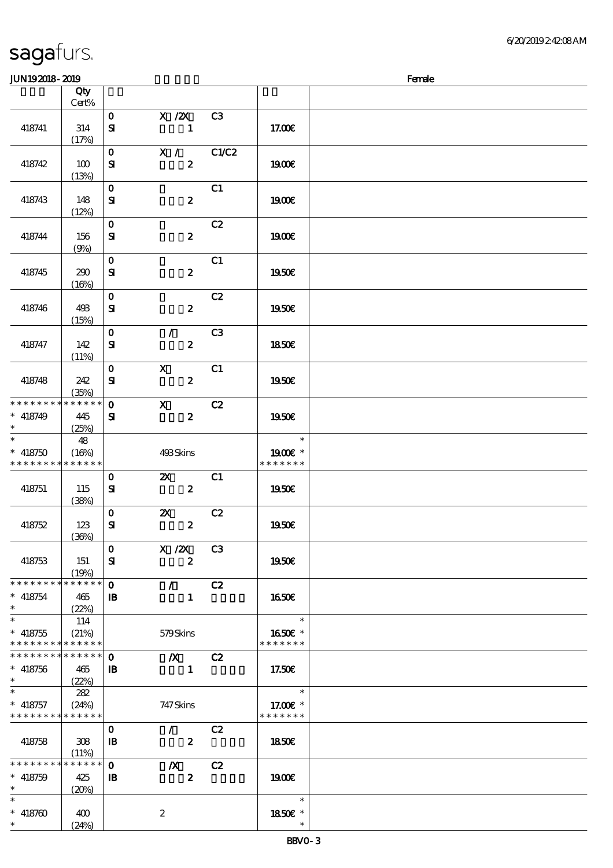| JUN192018-2019                                           |                            |                              |                                               |                |                                     | Female |
|----------------------------------------------------------|----------------------------|------------------------------|-----------------------------------------------|----------------|-------------------------------------|--------|
|                                                          | Qty                        |                              |                                               |                |                                     |        |
|                                                          | Cert%                      |                              |                                               |                |                                     |        |
| 418741                                                   | 314<br>(17%)               | $\mathbf 0$<br>${\bf s}$     | X / ZX<br>$\mathbf{1}$                        | C3             | 17.00E                              |        |
| 418742                                                   | 100<br>(13%)               | $\mathbf{o}$<br>${\bf s}$    | X / C1/C2<br>$\boldsymbol{z}$                 |                | <b>1900€</b>                        |        |
| 418743                                                   | 148<br>(12%)               | $\mathbf{o}$<br>$\mathbf{S}$ | $\boldsymbol{2}$                              | C1             | 1900E                               |        |
| 418744                                                   | 156<br>(9%)                | $\mathbf{o}$<br>${\bf s}$    | $\boldsymbol{z}$                              | C2             | 1900E                               |        |
| 418745                                                   | 290<br>(16%)               | $\mathbf 0$<br>${\bf S}$     | $\boldsymbol{z}$                              | C1             | 1950E                               |        |
| 418746                                                   | 493<br>(15%)               | $\mathbf{o}$<br>${\bf s}$    | $\boldsymbol{z}$                              | C2             | 1950E                               |        |
| 418747                                                   | 142<br>(11%)               | $\mathbf 0$<br>${\bf s}$     | $\mathcal{L}$<br>$\boldsymbol{z}$             | C <sub>3</sub> | 1850E                               |        |
| 418748                                                   | 242<br>(35%)               | $\mathbf{o}$<br>$\mathbf{S}$ | $\boldsymbol{\mathrm{X}}$<br>$\boldsymbol{z}$ | C1             | 1950€                               |        |
| * * * * * * * * * * * * * *<br>$* 418749$<br>$\ast$      | 445<br>(25%)               | $\mathbf{o}$<br>${\bf s}$    | $\mathbf x$<br>$\boldsymbol{z}$               | C2             | 1950E                               |        |
| $\ast$<br>$* 418750$<br>* * * * * * * *                  | 48<br>(16%)<br>* * * * * * |                              | 493Skins                                      |                | $\ast$<br>1900€ *<br>* * * * * * *  |        |
| 418751                                                   | 115<br>(38%)               | $\mathbf 0$<br>${\bf s}$     | $\boldsymbol{\mathsf{Z}}$<br>$\boldsymbol{z}$ | C1             | 1950€                               |        |
| 418752                                                   | 123<br>(36%)               | $\mathbf{o}$<br>${\bf s}$    | $\boldsymbol{\mathsf{z}}$<br>$\boldsymbol{z}$ | C2             | 1950E                               |        |
| 418753                                                   | 151<br>(19%)               | $\mathbf 0$<br>${\bf s}$     | $X$ / $ZX$<br>$\boldsymbol{z}$                | C3             | 1950E                               |        |
| * * * * * * * * * * * * * *<br>$* 418754$                | 465<br>(22%)               | $\mathbf 0$<br>$\mathbf{B}$  | $\mathcal{L}$<br>$\mathbf{1}$                 | C2             | 1650E                               |        |
| $\ast$<br>$* 418755$<br>* * * * * * * * * * * * * *      | 114<br>(21%)               |                              | 579Skins                                      |                | $\ast$<br>1650E *<br>* * * * * * *  |        |
| * * * * * * * * * * * * * *<br>$* 418756$<br>$\ast$      | 465<br>(22%)               | $\mathbf 0$<br>$\mathbf{B}$  | $\boldsymbol{X}$<br>$\mathbf{1}$              | C2             | 17.50E                              |        |
| $\ast$<br>$*$ 418757<br>* * * * * * * * * * * * * *      | 282<br>(24%)               |                              | 747 Skins                                     |                | $\ast$<br>17.00 £*<br>* * * * * * * |        |
| 418758                                                   | 308<br>(11%)               | $\mathbf 0$<br>$\mathbf{B}$  | $\mathcal{L}$<br>$\boldsymbol{z}$             | C2             | 1850E                               |        |
| * * * * * * * * <mark>* * * * * * *</mark><br>$* 418759$ | 425<br>(20%)               | $\mathbf 0$<br>$\mathbf{B}$  | $\boldsymbol{X}$<br>$\boldsymbol{2}$          | C2             | 1900                                |        |
| $* 418760$                                               | 400<br>(24%)               |                              | $\boldsymbol{2}$                              |                | $\ast$<br>1850E *                   |        |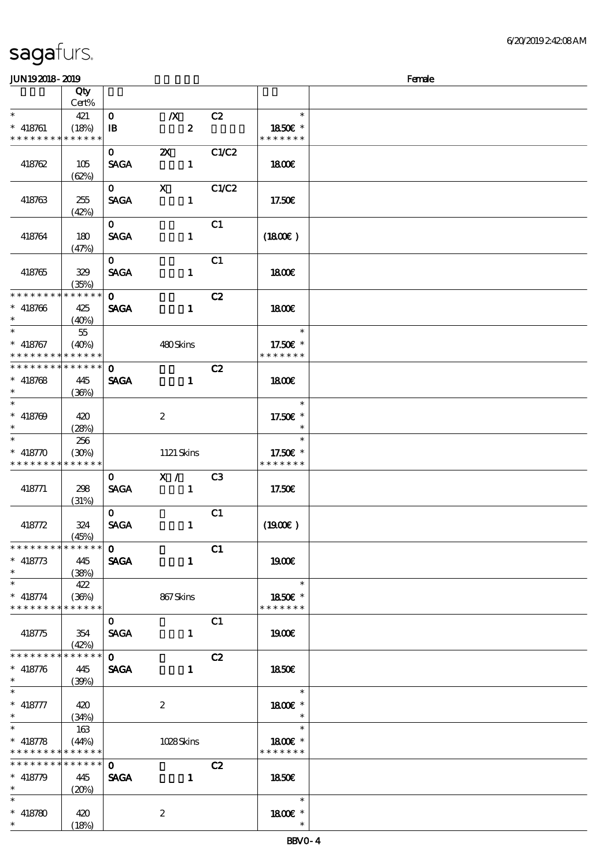\*

\*

\*

 $(20%)$ 

 $(18%)$ 

2

\* 418780 420

顺序号 Qty

#### Cert%  $\ddot{\phantom{0}}$ \* 418761 \* \* \* \* \* \* \* \* \* \* \* \* \* \* 421 (18%) 0 浅/X浅 C2  $\overline{\mathbf{B}}$   $\overline{\mathbf{C}}$   $\overline{\mathbf{C}}$ \* \* 18.50€ \* \* \* \* \* \* \* 418762 105 (62%) 0 2X C1/C2  $SAGA$  1 1800€ 418763 255 (42%)  $0 \quad X \quad C1/C2$  $SAGA$  1 17.50€ 418764 180 (47%)  $\overline{\text{O}}$  C1  $SAGA$  1 (1800 $\varepsilon$ ) 418765 329 (35%)  $\mathbf{0}$   $\qquad \qquad \mathbf{C1}$  $SAGA$  1 1800 $\epsilon$ 0 C2 SAGA 1 \* \* \* \* \* \* \* \* \* \* \* \* \* \* \* 418766 425  $(40%)$  18.00€ \* \* 418767 \* \* \* \* \* \* \* \* \* \* \* \* 55 (40%) 480 Skins \* \* 17.50€ \* \* \* \* \* \* \*  $\overline{\text{O}}$  C2 SAGA 1 **\* \* \* \* \* \* \* \* \* \* \* \* \* \*** \* \* \* 418768 445 (36%) 18.00€ \* \* \* 418769 420 (28%) 2 \* \* 17.50€ \* \* \* 418770 \* \* \* \* \* \* \* \* \* \* \* \* \* \* 256 (30%) 1121 Skins \* \* 17.50€ \* \* \* \* \* \* \* 418771 298 (31%) 0 X / C3  $SAGA$  1 17.50€ 418772 324 (45%)  $\overline{0}$  C1  $SAGA$  1 (1900 $\varepsilon$ )  $\overline{0}$  C1 SAGA 1 \* \* \* \* \* \* \* \* \* \* \* \* \* \* \* 418773 445 (38%) 19**00€** \* \* 418774 \* \* \* \* \* \* \* \* \* \* \* \* \* 422 (36%) 867 Skins \* \* 18.50€ \* \* \* \* \* \* \* 418775 354 (42%) 0 C1  $SAGA$  1 1900€  $\mathbf{C2}$ SAGA 1 \* \* \* \* \* \* \* \* \* \* \* \* \* \* \* 418776 445  $(39%)$  18.50€ \* \* \* 418777 420 (34%) 2 \* 1800€ \* \* \* \* 418778 \* \* \* \* \* \* \* \* <mark>\* \* \* \* \*</mark> 163 (44%) 1028 Skins \* 1800€ \* \* \* \* \* \* \* \* 0 C2 SAGA 1 **\* \* \* \* \* \* \* \* \* \* \* \* \*** \* 418779 445 18.50€

JUN192018-2019 Female

说明 价格

\* 1800€ \*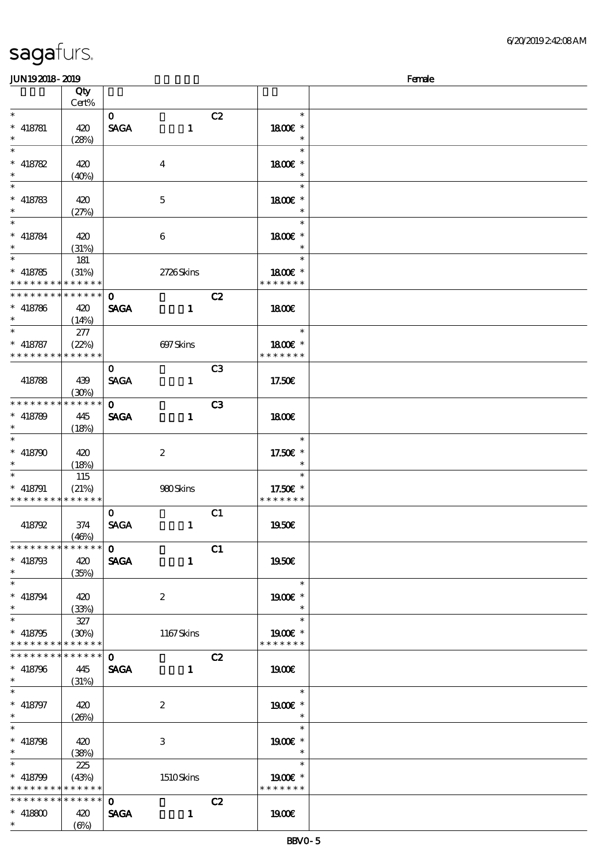| <b>JUN192018-2019</b>         |             |              |                  |                |                          | Female |
|-------------------------------|-------------|--------------|------------------|----------------|--------------------------|--------|
|                               | Qty         |              |                  |                |                          |        |
|                               | Cert%       |              |                  |                |                          |        |
| $\ast$                        |             | $\mathbf{O}$ |                  | C2             | $\ast$                   |        |
| $*$ 418781                    | 420         | <b>SAGA</b>  | $\mathbf{1}$     |                | 1800E *                  |        |
| $\ast$                        | (28%)       |              |                  |                | $\ast$                   |        |
| $\ast$                        |             |              |                  |                | $\ast$                   |        |
|                               |             |              |                  |                |                          |        |
| $* 418782$                    | 420         |              | $\boldsymbol{4}$ |                | 1800€ *                  |        |
| $\ast$                        | (40%)       |              |                  |                | $\ast$                   |        |
| $\ast$                        |             |              |                  |                | $\ast$                   |        |
| $* 418783$                    | 420         |              | $\mathbf 5$      |                | 1800€ *                  |        |
| $\ast$                        | (27%)       |              |                  |                | $\ast$                   |        |
| $\ast$                        |             |              |                  |                | $\ast$                   |        |
| $* 418784$                    | 420         |              | 6                |                | 1800E *                  |        |
| $\ast$                        | (31%)       |              |                  |                |                          |        |
| $\overline{\phantom{0}}$      |             |              |                  |                | $\ast$                   |        |
|                               | 181         |              |                  |                |                          |        |
| $* 418785$                    | (31%)       |              | 2726Skins        |                | 1800 £*                  |        |
| * * * * * * * * * * * * * *   |             |              |                  |                | * * * * * * *            |        |
| * * * * * * * * * * * * * *   |             | $\mathbf 0$  |                  | C2             |                          |        |
| $* 418786$                    | 420         | <b>SAGA</b>  | $\mathbf{1}$     |                | 1800E                    |        |
| $\ast$                        | (14%)       |              |                  |                |                          |        |
| $\ast$                        | 277         |              |                  |                | $\ast$                   |        |
| $* 418787$                    | (22%)       |              | 697Skins         |                | 1800€ *                  |        |
| * * * * * * * * * * * * * *   |             |              |                  |                | * * * * * * *            |        |
|                               |             |              |                  |                |                          |        |
|                               |             | $\mathbf{O}$ |                  | C <sub>3</sub> |                          |        |
| 418788                        | 439         | <b>SAGA</b>  | $\mathbf{1}$     |                | 17.50E                   |        |
|                               | (30%)       |              |                  |                |                          |        |
| * * * * * * * *               | * * * * * * | $\mathbf{o}$ |                  | C <sub>3</sub> |                          |        |
| $* 418789$                    | 445         | <b>SAGA</b>  | $\mathbf{1}$     |                | 1800E                    |        |
| $\ast$                        | (18%)       |              |                  |                |                          |        |
| $\ast$                        |             |              |                  |                | $\ast$                   |        |
| $* 418790$                    |             |              |                  |                |                          |        |
|                               | 420         |              | $\boldsymbol{z}$ |                | 17.50€ *                 |        |
|                               | (18%)       |              |                  |                |                          |        |
| $\ast$                        | 115         |              |                  |                | $\ast$                   |        |
| $* 418791$                    | (21%)       |              | 980Skins         |                | 17.50€ *                 |        |
| * * * * * * * * * * * * * *   |             |              |                  |                | * * * * * * *            |        |
|                               |             | $\mathbf{O}$ |                  | C1             |                          |        |
| 418792                        | 374         | <b>SAGA</b>  | $\mathbf{1}$     |                | 1950E                    |        |
|                               | (46%)       |              |                  |                |                          |        |
| * * * * * * * * * * * * * *   |             | $\Omega$     |                  | C1             |                          |        |
| $* 418793$                    | 420         | <b>SAGA</b>  | $\mathbf{1}$     |                | 1950€                    |        |
|                               |             |              |                  |                |                          |        |
| $\ast$                        | (35%)       |              |                  |                |                          |        |
| $\ast$                        |             |              |                  |                | $\ast$                   |        |
| $* 418794$                    | 420         |              | $\boldsymbol{2}$ |                | 1900E *                  |        |
| $\ast$                        | (33%)       |              |                  |                |                          |        |
| $\ast$                        | 327         |              |                  |                | $\ast$                   |        |
| $* 418795$                    | (30%)       |              | 1167Skins        |                | 1900E *                  |        |
| * * * * * * * * * * * * * *   |             |              |                  |                | * * * * * * *            |        |
| * * * * * * * * * * * * * * * |             | $\mathbf{0}$ |                  | C2             |                          |        |
|                               |             |              |                  |                |                          |        |
| $* 418796$                    | 445         |              | SAGA 1           |                | 1900E                    |        |
| $\ast$                        | (31%)       |              |                  |                |                          |        |
| $\ast$                        |             |              |                  |                | $\ast$                   |        |
| $* 418797$                    | 420         |              | $\boldsymbol{2}$ |                | 1900E *                  |        |
|                               | (20%)       |              |                  |                | $\overline{\phantom{a}}$ |        |
| $\ast$                        |             |              |                  |                | $\ast$                   |        |
| $* 418798$                    | 420         |              | 3                |                | 1900€ *                  |        |
| $\ast$                        | (38%)       |              |                  |                | $\overline{\phantom{a}}$ |        |
| $\ast$                        |             |              |                  |                | $\ast$                   |        |
|                               | 225         |              |                  |                |                          |        |
| $* 418799$                    | (43%)       |              | 1510Skins        |                | 1900€ *                  |        |
| * * * * * * * * * * * * * *   |             |              |                  |                | * * * * * * *            |        |
| * * * * * * * * * * * * * *   |             | $\mathbf{O}$ |                  | C2             |                          |        |
| $* 418800$                    | 420         | <b>SAGA</b>  | $\mathbf 1$      |                | 1900E                    |        |
| $\ast$                        | (6%)        |              |                  |                |                          |        |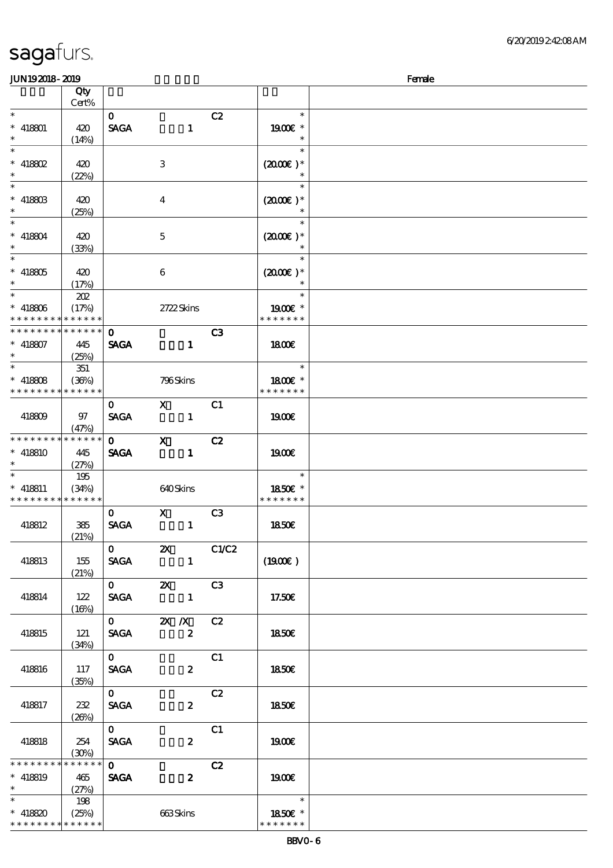| <b>JUN192018-2019</b>                     |          |              |                         |                                                                                                                                                                                                                                                                                                                                           |                      | Female |
|-------------------------------------------|----------|--------------|-------------------------|-------------------------------------------------------------------------------------------------------------------------------------------------------------------------------------------------------------------------------------------------------------------------------------------------------------------------------------------|----------------------|--------|
|                                           | Qty      |              |                         |                                                                                                                                                                                                                                                                                                                                           |                      |        |
|                                           | Cert%    |              |                         |                                                                                                                                                                                                                                                                                                                                           |                      |        |
| $\ast$                                    |          | $\mathbf{O}$ |                         | C2                                                                                                                                                                                                                                                                                                                                        | $\ast$               |        |
| $* 418801$                                | 420      | <b>SAGA</b>  | $\mathbf{1}$            |                                                                                                                                                                                                                                                                                                                                           | 1900E *              |        |
| $\ast$                                    | (14%)    |              |                         |                                                                                                                                                                                                                                                                                                                                           | $\ast$               |        |
| $\overline{\ast}$                         |          |              |                         |                                                                                                                                                                                                                                                                                                                                           | $\ast$               |        |
|                                           |          |              |                         |                                                                                                                                                                                                                                                                                                                                           |                      |        |
| $* 418802$                                | 420      |              | $\,3$                   |                                                                                                                                                                                                                                                                                                                                           | $(2000\varepsilon)*$ |        |
| $\ast$                                    | (22%)    |              |                         |                                                                                                                                                                                                                                                                                                                                           |                      |        |
| $\overline{\phantom{a}^*}$                |          |              |                         |                                                                                                                                                                                                                                                                                                                                           | $\ast$               |        |
| $* 41880B$                                | 420      |              | $\overline{\mathbf{4}}$ |                                                                                                                                                                                                                                                                                                                                           | $(2000\varepsilon)*$ |        |
| $\ast$                                    | (25%)    |              |                         |                                                                                                                                                                                                                                                                                                                                           |                      |        |
| $\overline{\phantom{a}}$                  |          |              |                         |                                                                                                                                                                                                                                                                                                                                           | $\ast$               |        |
| $* 418804$                                | 420      |              | $\mathbf{5}$            |                                                                                                                                                                                                                                                                                                                                           | $(2000)$ *           |        |
| $\ast$                                    | (33%)    |              |                         |                                                                                                                                                                                                                                                                                                                                           |                      |        |
| $\overline{\phantom{0}}$                  |          |              |                         |                                                                                                                                                                                                                                                                                                                                           | $\ast$               |        |
|                                           |          |              |                         |                                                                                                                                                                                                                                                                                                                                           |                      |        |
| $* 418805$                                | 420      |              | $\boldsymbol{6}$        |                                                                                                                                                                                                                                                                                                                                           | $(2000E)*$           |        |
| $\ast$                                    | (17%)    |              |                         |                                                                                                                                                                                                                                                                                                                                           |                      |        |
| $\overline{\phantom{0}}$                  | 202      |              |                         |                                                                                                                                                                                                                                                                                                                                           | $\ast$               |        |
| $* 418806$                                | (17%)    |              | 2722Skins               |                                                                                                                                                                                                                                                                                                                                           | 1900E *              |        |
| * * * * * * * * * * * * * *               |          |              |                         |                                                                                                                                                                                                                                                                                                                                           | * * * * * * *        |        |
| * * * * * * * * * * * * * *               |          | $\Omega$     |                         | C3                                                                                                                                                                                                                                                                                                                                        |                      |        |
| $* 418807$                                | 445      | <b>SAGA</b>  | $\mathbf{1}$            |                                                                                                                                                                                                                                                                                                                                           | 1800E                |        |
| $\ast$                                    | (25%)    |              |                         |                                                                                                                                                                                                                                                                                                                                           |                      |        |
| $\overline{\phantom{0}}$                  | 351      |              |                         |                                                                                                                                                                                                                                                                                                                                           | $\ast$               |        |
|                                           | (36%)    |              |                         |                                                                                                                                                                                                                                                                                                                                           | 1800E *              |        |
| $* 418808$<br>* * * * * * * * * * * * * * |          |              | 796Skins                |                                                                                                                                                                                                                                                                                                                                           | * * * * * * *        |        |
|                                           |          |              |                         |                                                                                                                                                                                                                                                                                                                                           |                      |        |
|                                           |          | $\mathbf{O}$ | $\mathbf{X}$            | C1                                                                                                                                                                                                                                                                                                                                        |                      |        |
| 418809                                    | 97       | <b>SAGA</b>  | $\mathbf{1}$            |                                                                                                                                                                                                                                                                                                                                           | 1900E                |        |
|                                           | (47%)    |              |                         |                                                                                                                                                                                                                                                                                                                                           |                      |        |
| * * * * * * * * * * * * * *               |          | $\mathbf{0}$ | $\mathbf X$             | C2                                                                                                                                                                                                                                                                                                                                        |                      |        |
| $* 418810$                                | 445      | <b>SAGA</b>  | $\mathbf{1}$            |                                                                                                                                                                                                                                                                                                                                           | 1900E                |        |
|                                           | (27%)    |              |                         |                                                                                                                                                                                                                                                                                                                                           |                      |        |
| $\ast$                                    | 195      |              |                         |                                                                                                                                                                                                                                                                                                                                           | $\ast$               |        |
| $* 418811$                                | (34%)    |              | 640Skins                |                                                                                                                                                                                                                                                                                                                                           | 1850E *              |        |
| * * * * * * * * * * * * * *               |          |              |                         |                                                                                                                                                                                                                                                                                                                                           | * * * * * * *        |        |
|                                           |          | $\mathbf{O}$ |                         | C <sub>3</sub>                                                                                                                                                                                                                                                                                                                            |                      |        |
|                                           |          |              | $\mathbf{x}$            |                                                                                                                                                                                                                                                                                                                                           |                      |        |
| 418812                                    | 385      | <b>SAGA</b>  | $\mathbf{1}$            |                                                                                                                                                                                                                                                                                                                                           | <b>1850€</b>         |        |
|                                           | (21%)    |              |                         |                                                                                                                                                                                                                                                                                                                                           |                      |        |
|                                           |          |              |                         | $\overline{0}$ $\overline{z}$ $\overline{z}$ $\overline{z}$ $\overline{z}$ $\overline{z}$ $\overline{z}$ $\overline{z}$ $\overline{z}$ $\overline{z}$ $\overline{z}$ $\overline{z}$ $\overline{z}$ $\overline{z}$ $\overline{z}$ $\overline{z}$ $\overline{z}$ $\overline{z}$ $\overline{z}$ $\overline{z}$ $\overline{z}$ $\overline{z}$ |                      |        |
| 418813                                    | 155      | <b>SAGA</b>  |                         | $\mathbf{1}$                                                                                                                                                                                                                                                                                                                              | (1900)               |        |
|                                           | (21%)    |              |                         |                                                                                                                                                                                                                                                                                                                                           |                      |        |
|                                           |          |              | $\overline{0}$ 2X C3    |                                                                                                                                                                                                                                                                                                                                           |                      |        |
| 418814                                    | 122      |              | SAGA 1                  |                                                                                                                                                                                                                                                                                                                                           | 17.50€               |        |
|                                           | (16%)    |              |                         |                                                                                                                                                                                                                                                                                                                                           |                      |        |
|                                           |          |              | $\overline{0}$ 2X X C2  |                                                                                                                                                                                                                                                                                                                                           |                      |        |
| 418815                                    | 121      |              | $SAGA$ 2                |                                                                                                                                                                                                                                                                                                                                           | 1850E                |        |
|                                           |          |              |                         |                                                                                                                                                                                                                                                                                                                                           |                      |        |
|                                           | (34%)    |              |                         |                                                                                                                                                                                                                                                                                                                                           |                      |        |
|                                           |          | $\mathbf{O}$ |                         | C1                                                                                                                                                                                                                                                                                                                                        |                      |        |
| 418816                                    | 117      | <b>SAGA</b>  |                         | $\boldsymbol{z}$                                                                                                                                                                                                                                                                                                                          | 1850E                |        |
|                                           | (35%)    |              |                         |                                                                                                                                                                                                                                                                                                                                           |                      |        |
|                                           |          | $\mathbf{O}$ |                         | C2                                                                                                                                                                                                                                                                                                                                        |                      |        |
| 418817                                    | 232      | <b>SAGA</b>  |                         | $\boldsymbol{z}$                                                                                                                                                                                                                                                                                                                          | 1850E                |        |
|                                           | (20%)    |              |                         |                                                                                                                                                                                                                                                                                                                                           |                      |        |
|                                           |          | $\mathbf{O}$ |                         | C1                                                                                                                                                                                                                                                                                                                                        |                      |        |
| 418818                                    | 254      | <b>SACA</b>  |                         | $\boldsymbol{z}$                                                                                                                                                                                                                                                                                                                          | 1900E                |        |
|                                           | (30%)    |              |                         |                                                                                                                                                                                                                                                                                                                                           |                      |        |
| * * * * * * * *                           | $******$ | $\mathbf{O}$ |                         | C2                                                                                                                                                                                                                                                                                                                                        |                      |        |
| $* 418819$                                | 465      | <b>SAGA</b>  |                         | $\boldsymbol{z}$                                                                                                                                                                                                                                                                                                                          | 1900E                |        |
| $\ast$                                    |          |              |                         |                                                                                                                                                                                                                                                                                                                                           |                      |        |
| $\overline{\ast}$                         | (27%)    |              |                         |                                                                                                                                                                                                                                                                                                                                           | $\ast$               |        |
|                                           | 198      |              |                         |                                                                                                                                                                                                                                                                                                                                           |                      |        |
| * 418820 (25%)                            |          |              | 663Skins                |                                                                                                                                                                                                                                                                                                                                           | 1850E *              |        |
| * * * * * * * * * * * * * *               |          |              |                         |                                                                                                                                                                                                                                                                                                                                           | * * * * * * *        |        |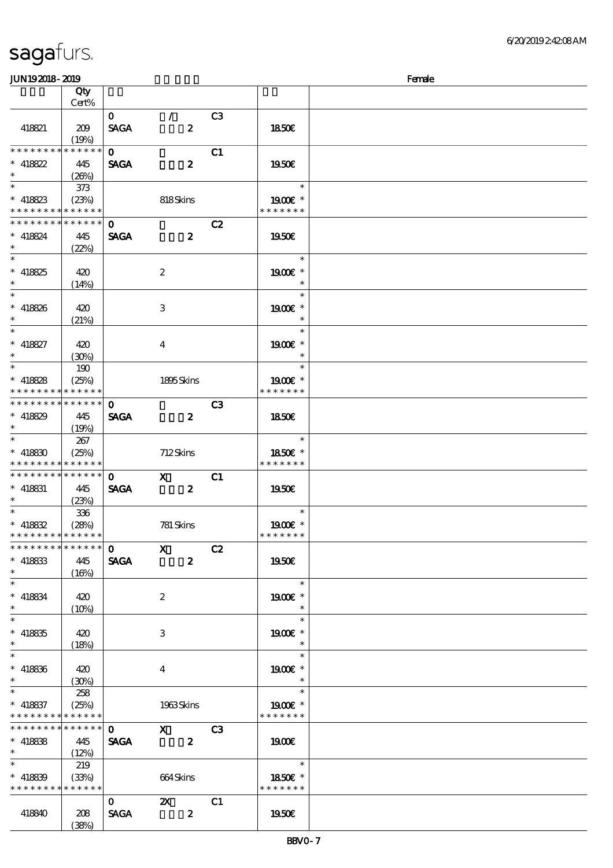| <b>JUN192018-2019</b>                      |          |                           |                            |                |               | Female |
|--------------------------------------------|----------|---------------------------|----------------------------|----------------|---------------|--------|
|                                            | Qty      |                           |                            |                |               |        |
|                                            | Cert%    |                           |                            |                |               |        |
|                                            |          | $\mathbf{O}$              | $\mathcal{L}$              | C <sub>3</sub> |               |        |
| 418821                                     |          |                           | $\boldsymbol{z}$           |                |               |        |
|                                            | 209      | <b>SAGA</b>               |                            |                | 1850E         |        |
|                                            | (19%)    |                           |                            |                |               |        |
| * * * * * * * * * * * * * *                |          | $\Omega$                  |                            | C1             |               |        |
| $* 418822$                                 | 445      | <b>SAGA</b>               | $\boldsymbol{z}$           |                | 1950E         |        |
| $\ast$                                     | (26%)    |                           |                            |                |               |        |
| $\overline{\phantom{a}}$                   | 373      |                           |                            |                | $\ast$        |        |
| $*$ 418823                                 | (23%)    |                           | 818Skins                   |                | 1900€ *       |        |
| * * * * * * * * * * * * * *                |          |                           |                            |                | * * * * * * * |        |
|                                            |          |                           |                            |                |               |        |
| * * * * * * * * * * * * * *                |          | $\mathbf 0$               |                            | C2             |               |        |
| $* 418824$                                 | 445      | <b>SAGA</b>               | $\boldsymbol{z}$           |                | 1950E         |        |
| $\ast$                                     | (22%)    |                           |                            |                |               |        |
| $\overline{\phantom{0}}$                   |          |                           |                            |                | $\ast$        |        |
| $* 418825$                                 | 420      |                           | $\boldsymbol{2}$           |                | 1900€ *       |        |
| $\ast$                                     |          |                           |                            |                | $\ast$        |        |
| $\overline{\ast}$                          | (14%)    |                           |                            |                | $\ast$        |        |
|                                            |          |                           |                            |                |               |        |
| $* 418826$                                 | 420      |                           | 3                          |                | 1900E *       |        |
| $\ast$                                     | (21%)    |                           |                            |                | $\ast$        |        |
| $\ast$                                     |          |                           |                            |                | $\ast$        |        |
| $* 418827$                                 | 420      |                           | 4                          |                | 1900E *       |        |
| $\ast$                                     | (30%)    |                           |                            |                | $\ast$        |        |
| $\overline{\phantom{0}}$                   |          |                           |                            |                | $\ast$        |        |
|                                            | 190      |                           |                            |                |               |        |
| $* 418828$                                 | (25%)    |                           | 1895Skins                  |                | 1900E *       |        |
| * * * * * * * * * * * * * *                |          |                           |                            |                | * * * * * * * |        |
| * * * * * * * * * * * * * * *              |          | $\mathbf{o}$              |                            | C3             |               |        |
| $* 418829$                                 | 445      | <b>SAGA</b>               | $\overline{\mathbf{z}}$    |                | 1850E         |        |
| $\ast$                                     | (19%)    |                           |                            |                |               |        |
| $\ast$                                     |          |                           |                            |                | $\ast$        |        |
|                                            | 267      |                           |                            |                |               |        |
| $* 418830$                                 | (25%)    |                           | 712Skins                   |                | 1850€ *       |        |
| * * * * * * * * * * * * * *                |          |                           |                            |                | * * * * * * * |        |
| * * * * * * * * * * * * * *                |          | $\mathbf{O}$              | $\boldsymbol{\mathrm{X}}$  | C1             |               |        |
| $*$ 418831                                 | 445      | <b>SAGA</b>               | $\overline{\phantom{a}}$ 2 |                | 1950€         |        |
| $\ast$                                     | (23%)    |                           |                            |                |               |        |
| $\ast$                                     |          |                           |                            |                | $\ast$        |        |
|                                            | 336      |                           |                            |                |               |        |
| $* 418832$                                 | (28%)    |                           | 781 Skins                  |                | 1900E *       |        |
| * * * * * * * * * * * * * *                |          |                           |                            |                | * * * * * * * |        |
| * * * * * * * * * * * * * * *              |          | $\overline{\textbf{0}}$ X |                            | C2             |               |        |
| $*$ 418833                                 | 445      | <b>SAGA</b>               | $\mathbf{z}$               |                | 1950E         |        |
| $\ast$                                     | (16%)    |                           |                            |                |               |        |
| $\ast$                                     |          |                           |                            |                | $\ast$        |        |
|                                            |          |                           |                            |                |               |        |
| $* 418834$                                 | 420      |                           | $\boldsymbol{2}$           |                | 1900E *       |        |
| $\ast$                                     | $(10\%)$ |                           |                            |                | $\ast$        |        |
| $\overline{\phantom{0}}$                   |          |                           |                            |                | $\ast$        |        |
| $* 418835$                                 | 420      |                           | 3                          |                | 1900E *       |        |
| $\ast$                                     | (18%)    |                           |                            |                | $\ast$        |        |
| $\ast$                                     |          |                           |                            |                | $\ast$        |        |
|                                            |          |                           |                            |                |               |        |
| $* 418836$                                 | 420      |                           | 4                          |                | 1900E *       |        |
| $\ast$                                     | (30%)    |                           |                            |                |               |        |
| $\ast$                                     | 258      |                           |                            |                | $\ast$        |        |
| $*$ 418837                                 | (25%)    |                           | 1963Skins                  |                | 1900E *       |        |
| * * * * * * * * <mark>* * * * * * *</mark> |          |                           |                            |                | * * * * * * * |        |
| **************                             |          | $\mathbf{O}$              |                            |                |               |        |
|                                            |          |                           | $X$ C3                     |                |               |        |
| $* 418888$                                 | 445      | <b>SAGA</b>               | $\overline{\mathbf{2}}$    |                | <b>1900€</b>  |        |
| $\ast$                                     | (12%)    |                           |                            |                |               |        |
| $\ast$                                     | 219      |                           |                            |                | $\ast$        |        |
| $* 418839$                                 | (33%)    |                           | 664Skins                   |                | 1850E *       |        |
| * * * * * * * * * * * * * *                |          |                           |                            |                | * * * * * * * |        |
|                                            |          | $\mathbf 0$               | $\mathbf{X}$               | C1             |               |        |
|                                            |          |                           |                            |                |               |        |
| 418840                                     | 208      | <b>SAGA</b>               | $\overline{\mathbf{z}}$    |                | 1950E         |        |
|                                            | (38%)    |                           |                            |                |               |        |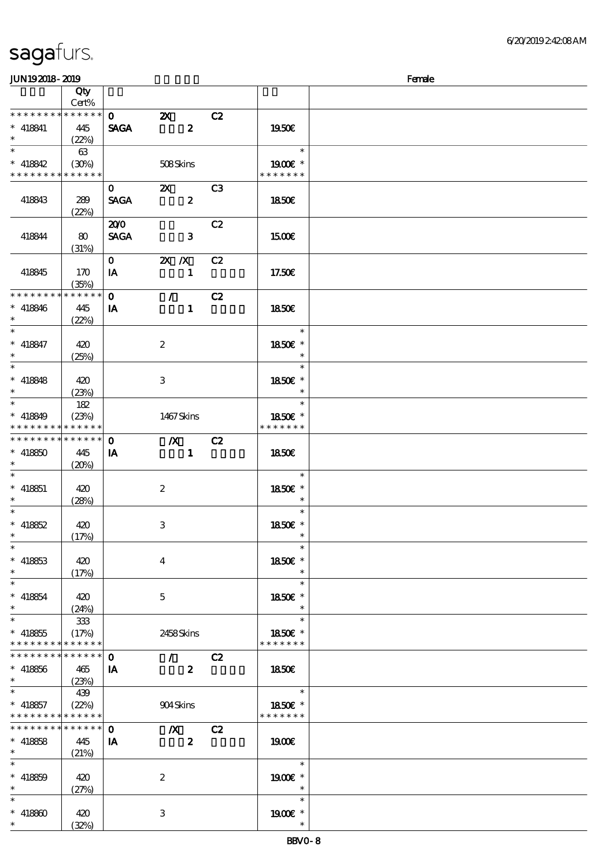| JUN192018-2019                             |                          |              |                           |    |                          | Female |
|--------------------------------------------|--------------------------|--------------|---------------------------|----|--------------------------|--------|
|                                            | Qty                      |              |                           |    |                          |        |
|                                            | Cert%                    |              |                           |    |                          |        |
| * * * * * * * *                            | $******$                 | $\mathbf{0}$ | $\boldsymbol{\mathsf{Z}}$ | C2 |                          |        |
| $* 418841$                                 | 445                      | <b>SAGA</b>  | $\boldsymbol{2}$          |    | 1950E                    |        |
| $\ast$                                     | (22%)                    |              |                           |    |                          |        |
| $\overline{\ast}$                          | 63                       |              |                           |    | $\ast$                   |        |
| $* 418842$                                 | (30%)                    |              | 508Skins                  |    | 1900E *                  |        |
| * * * * * * * *                            | * * * * * *              |              |                           |    | * * * * * * *            |        |
|                                            |                          | $\mathbf{O}$ | $\mathbf{x}$              | C3 |                          |        |
| 418843                                     | 289                      | <b>SAGA</b>  | $\boldsymbol{2}$          |    | 1850E                    |        |
|                                            | (22%)                    |              |                           |    |                          |        |
|                                            |                          | 200          |                           | C2 |                          |        |
| 418844                                     |                          | <b>SAGA</b>  | $\mathbf{3}$              |    |                          |        |
|                                            | 80                       |              |                           |    | 1500                     |        |
|                                            | (31%)                    |              |                           |    |                          |        |
|                                            |                          | $\mathbf{O}$ | $X$ $X$                   | C2 |                          |        |
| 418845                                     | 170                      | IA           | $\mathbf{1}$              |    | 17.50E                   |        |
| * * * * * * * *                            | (35%)<br>$* * * * * * *$ |              |                           |    |                          |        |
|                                            |                          | $\mathbf{o}$ | $\mathcal{F}$             | C2 |                          |        |
| $* 418846$                                 | 445                      | IA           | $\mathbf{1}$              |    | <b>1850€</b>             |        |
| $*$<br>$\ast$                              | (22%)                    |              |                           |    | $\ast$                   |        |
|                                            |                          |              |                           |    |                          |        |
| $* 418847$                                 | 420                      |              | $\boldsymbol{2}$          |    | 1850€ *                  |        |
| $\ast$<br>$\overline{\phantom{0}}$         | (25%)                    |              |                           |    | $\ast$                   |        |
|                                            |                          |              |                           |    | $\ast$                   |        |
| $* 418848$                                 | 420                      |              | 3                         |    | 1850E *                  |        |
| $*$                                        | (23%)                    |              |                           |    | $\ast$                   |        |
| $*$                                        | 182                      |              |                           |    | $\ast$                   |        |
| $* 418849$                                 | (23%)                    |              | 1467Skins                 |    | 1850E *                  |        |
| * * * * * * * *                            | * * * * * *              |              |                           |    | * * * * * * *            |        |
| * * * * * * * *                            | $***$ * * * * *          | $\mathbf 0$  | $\boldsymbol{X}$          | C2 |                          |        |
| $* 418850$                                 | 445                      | IA           | $\mathbf{1}$              |    | 1850                     |        |
| $\ast$                                     | (20%)                    |              |                           |    |                          |        |
| $\ast$                                     |                          |              |                           |    | $\ast$                   |        |
| $* 418851$                                 | 420                      |              | $\boldsymbol{2}$          |    | 1850E *                  |        |
| $\ast$                                     | (28%)                    |              |                           |    | $\ast$                   |        |
| $\ast$                                     |                          |              |                           |    | $\ast$                   |        |
| $* 418852$                                 | 420                      |              | 3                         |    | 1850E *                  |        |
| $*$ $-$                                    | (17%)                    |              |                           |    | $\overline{\phantom{a}}$ |        |
| $\ast$                                     |                          |              |                           |    | $\ast$                   |        |
| $* 418853$                                 | 420                      |              | $\overline{\mathbf{4}}$   |    | 1850€ *                  |        |
| $\ast$                                     | (17%)                    |              |                           |    | $\ast$                   |        |
| $\ast$                                     |                          |              |                           |    | $\ast$                   |        |
| $* 418854$                                 | 420                      |              | $\mathbf{5}$              |    | 1850E *                  |        |
| $*$ and $*$                                | (24%)                    |              |                           |    | $\ast$                   |        |
| $\ast$                                     | 333                      |              |                           |    | $\ast$                   |        |
| $* 418855$                                 | (17%)                    |              | 2458Skins                 |    | 1850E *                  |        |
| * * * * * * * *                            | * * * * * *              |              |                           |    | * * * * * * *            |        |
| * * * * * * * *                            | ******                   | $\mathbf{o}$ | $\mathcal{L}$             | C2 |                          |        |
| $* 418856$                                 | 465                      | IA           | $\overline{\mathbf{z}}$   |    | 1850E                    |        |
| $\ast$                                     | (23%)                    |              |                           |    |                          |        |
| $\ast$                                     | 439                      |              |                           |    | $\ast$                   |        |
| $* 418857$                                 | (22%)                    |              | 904Skins                  |    | 1850€ *                  |        |
| * * * * * * * * <mark>* * * * * * *</mark> |                          |              |                           |    | * * * * * * *            |        |
| * * * * * * * * * * * * * * *              |                          | $\mathbf{o}$ | $\mathbf{X}$              | C2 |                          |        |
| $* 418858$                                 | 445                      | IA           | $\boldsymbol{z}$          |    | 1900E                    |        |
| $\ast$                                     | (21%)                    |              |                           |    |                          |        |
| $\ast$                                     |                          |              |                           |    | $\ast$                   |        |
| $* 418859$                                 | 420                      |              | $\boldsymbol{2}$          |    | $1900E$ *                |        |
| $\ast$                                     | (27%)                    |              |                           |    | $\ast$                   |        |
| $\ast$                                     |                          |              |                           |    | $\ast$                   |        |
| $* 418800$                                 | 420                      |              | 3                         |    | $1900E$ *                |        |
| $\ast$                                     | (32%)                    |              |                           |    | $\ast$                   |        |
|                                            |                          |              |                           |    |                          |        |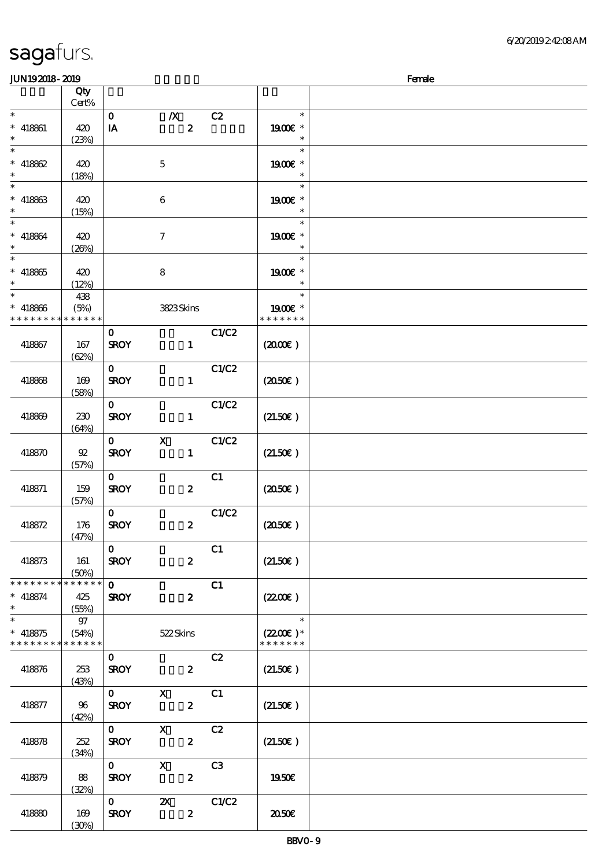| <b>JUN192018-2019</b>       |                  |                         |                  |                |                       | Female |
|-----------------------------|------------------|-------------------------|------------------|----------------|-----------------------|--------|
|                             | Qty              |                         |                  |                |                       |        |
|                             | Cert%            |                         |                  |                |                       |        |
| $\ast$                      |                  | $\mathbf{o}$            | $\boldsymbol{X}$ | C2             | $\ast$                |        |
| $* 418861$                  | 420              | IA                      | $\boldsymbol{z}$ |                | 1900€ *               |        |
| $\ast$                      | (23%)            |                         |                  |                | $\ast$                |        |
| $\ast$                      |                  |                         |                  |                | $\ast$                |        |
| $* 418862$                  | 420              |                         | $\mathbf 5$      |                | 1900€ *               |        |
| $\ast$                      | (18%)            |                         |                  |                | $\ast$                |        |
| $\ast$                      |                  |                         |                  |                | $\ast$                |        |
| $* 418863$                  | 420              |                         | $\boldsymbol{6}$ |                | 1900E *               |        |
| $\ast$                      | (15%)            |                         |                  |                | $\ast$                |        |
| $\ast$                      |                  |                         |                  |                | $\ast$                |        |
| $* 418864$                  | 420              |                         | $\tau$           |                | 1900€ *               |        |
| $\ast$                      | (20%)            |                         |                  |                | $\ast$                |        |
| $\overline{\phantom{1}}$    |                  |                         |                  |                | $\ast$                |        |
| $* 418865$                  | 420              |                         | $\bf8$           |                | 1900€ *               |        |
|                             | (12%)            |                         |                  |                | $\ast$                |        |
| $\ast$                      | 438              |                         |                  |                | $\ast$                |        |
| $* 418866$                  | (5%)             |                         | 3823Skins        |                | 1900E *               |        |
| * * * * * * * *             | * * * * * *      |                         |                  |                | * * * * * * *         |        |
|                             |                  | $\mathbf{O}$            |                  | C1/C2          |                       |        |
| 418867                      | 167              | <b>SROY</b>             | $\mathbf{1}$     |                | (200E)                |        |
|                             | (62%)            |                         |                  |                |                       |        |
|                             |                  | $\mathbf{O}$            |                  | C1/C2          |                       |        |
| 418868                      | 169              | <b>SROY</b>             | $\mathbf{1}$     |                | (2050)                |        |
|                             | (58%)            |                         |                  |                |                       |        |
|                             |                  | $\mathbf{O}$            |                  | C1/C2          |                       |        |
| 418869                      | 230              | <b>SROY</b>             | $\mathbf{1}$     |                | (21.50)               |        |
|                             | (64%)            |                         |                  |                |                       |        |
|                             |                  | $\mathbf{O}$            | $\mathbf X$      | C1/C2          |                       |        |
| 418870                      | $92\,$           | <b>SROY</b>             | $\mathbf{1}$     |                | (21.50)               |        |
|                             | (57%)            |                         |                  |                |                       |        |
|                             |                  | $\mathbf{O}$            |                  | C1             |                       |        |
| 418871                      | 159              | <b>SROY</b>             | $\boldsymbol{z}$ |                | $(2050\epsilon)$      |        |
|                             | (57%)            | $\mathbf{O}$            |                  | C1/C2          |                       |        |
| 418872                      | 176              | <b>SROY</b>             | $\boldsymbol{z}$ |                | (2050)                |        |
|                             | (47%)            |                         |                  |                |                       |        |
|                             |                  | $\mathbf{0}$            |                  | C1             |                       |        |
| 418873                      | 161              | <b>SROY</b>             | $\boldsymbol{z}$ |                | (21.50)               |        |
|                             | (50%)            |                         |                  |                |                       |        |
| * * * * * * * * * * * * * * |                  | $\mathbf{O}$            |                  | C1             |                       |        |
| $* 418874$                  | 425              | <b>SROY</b>             | $\boldsymbol{z}$ |                | (220)                 |        |
| $\ast$                      | (55%)            |                         |                  |                |                       |        |
| $\ast$                      | $97\,$           |                         |                  |                | $\ast$                |        |
| $* 418875$                  | (54%)            |                         | 522Skins         |                | $(2200)$ <sup>*</sup> |        |
| * * * * * * * * * * * * * * |                  |                         |                  |                | * * * * * * *         |        |
|                             |                  | $\mathbf{O}$            |                  | C2             |                       |        |
| 418876                      | 253              | <b>SROY</b>             | $\boldsymbol{z}$ |                | (21.50)               |        |
|                             | (43%)            |                         |                  |                |                       |        |
|                             |                  | $\mathbf{O}$            | $\mathbf{x}$     | C1             |                       |        |
| 418877                      | - 96             | <b>SROY</b>             | $\boldsymbol{2}$ |                | (21.50)               |        |
|                             | (42%)            |                         |                  |                |                       |        |
|                             |                  | $\mathbf{O}$            | $\mathbf{X}$     | C2             |                       |        |
| 418878                      | 252              | <b>SROY</b>             | $\boldsymbol{z}$ |                | (21.50)               |        |
|                             | (34%)            |                         |                  |                |                       |        |
|                             |                  | $\mathbf{O}$            | $\mathbf{x}$     | C <sub>3</sub> |                       |        |
| 418879                      | - 88             | <b>SROY</b>             | $\boldsymbol{z}$ |                | 1950€                 |        |
|                             | (32%)            |                         |                  |                |                       |        |
|                             |                  | $\overline{\mathbf{0}}$ | $\mathbf{X}$     | C1/C2          |                       |        |
| 418880                      | 169              | <b>SROY</b>             | $\boldsymbol{z}$ |                | ææ                    |        |
|                             | $(\mathfrak{X})$ |                         |                  |                |                       |        |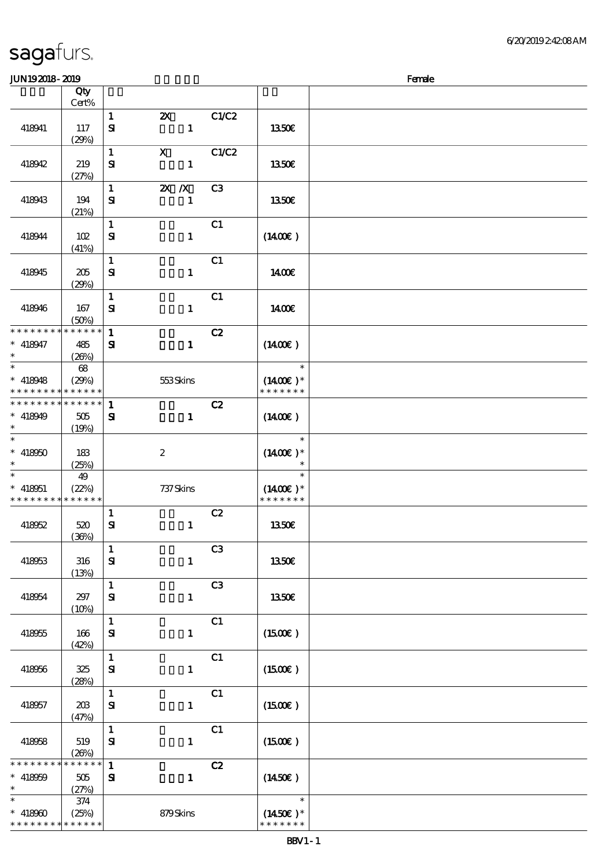| sagafurs. |  |
|-----------|--|
|           |  |

#### $JUN192018 - 2019$  Female

|                                                        | Qty<br>Cert% |                              |                       |                |                             |  |
|--------------------------------------------------------|--------------|------------------------------|-----------------------|----------------|-----------------------------|--|
|                                                        |              | $\mathbf{1}$                 | $\boldsymbol{\alpha}$ | C1/C2          |                             |  |
| 418941                                                 | 117          | ${\bf s}$                    | $\mathbf{1}$          |                | 1350E                       |  |
|                                                        | (29%)        |                              |                       |                |                             |  |
|                                                        |              | $\mathbf{1}$                 | $\mathbf{x}$          | C1/C2          |                             |  |
| 418942                                                 | 219<br>(27%) | ${\bf s}$                    | $\mathbf{1}$          |                | 1350€                       |  |
|                                                        |              | $\mathbf{1}$                 | $X$ $X$               | C3             |                             |  |
| 418943                                                 | 194          | ${\bf s}$                    | $\mathbf{1}$          |                | 1350€                       |  |
|                                                        | (21%)        |                              |                       |                |                             |  |
|                                                        |              | $\mathbf{1}$                 |                       | C1             |                             |  |
| 418944                                                 | 102          | $\mathbf{S}$                 | $\mathbf{1}$          |                | $(1400\varepsilon)$         |  |
|                                                        | (41%)        | $\mathbf{1}$                 |                       | C1             |                             |  |
| 418945                                                 | 205          | ${\bf S}$                    | $\mathbf{1}$          |                | 1400€                       |  |
|                                                        | (29%)        |                              |                       |                |                             |  |
|                                                        |              | $\mathbf{1}$                 |                       | C1             |                             |  |
| 418946                                                 | 167<br>(50%) | ${\bf s}$                    | $\mathbf{1}$          |                | 1400E                       |  |
| * * * * * * * *                                        | * * * * * *  | $\mathbf{1}$                 |                       | C2             |                             |  |
| $* 418947$                                             | 485          | ${\bf s}$                    | $\mathbf{1}$          |                | $(1400\varepsilon)$         |  |
| $\ast$                                                 | (20%)        |                              |                       |                |                             |  |
| $\overline{\ast}$                                      | $68\,$       |                              |                       |                | $\overline{\phantom{a}}$    |  |
| $* 418948$<br>* * * * * * * * <mark>* * * * * *</mark> | (29%)        |                              | 553Skins              |                | $(1400E)*$<br>* * * * * * * |  |
| * * * * * * * *                                        | * * * * * *  | $\mathbf{1}$                 |                       | C2             |                             |  |
| $* 418949$                                             | 505          | $\mathbf{S}$                 | $\mathbf{1}$          |                | $(1400\varepsilon)$         |  |
| $\ast$                                                 | (19%)        |                              |                       |                |                             |  |
| $\overline{\ast}$<br>$* 418950$                        |              |                              |                       |                | $\ast$<br>$(1400)$ *        |  |
| $\ast$                                                 | 183<br>(25%) |                              | $\boldsymbol{2}$      |                |                             |  |
| $\ast$                                                 | 49           |                              |                       |                | $\ast$                      |  |
| $* 418051$                                             | (22%)        |                              | 737 Skins             |                | $(1400E)*$                  |  |
| * * * * * * * *                                        | * * * * * *  |                              |                       |                | * * * * * * *               |  |
| 418052                                                 | 520          | $\mathbf{1}$<br>$\mathbf{S}$ | $\mathbf{1}$          | C2             | 1350€                       |  |
|                                                        | (36%)        |                              |                       |                |                             |  |
|                                                        |              | $\mathbf{1}$                 |                       | C <sub>3</sub> |                             |  |
| 418953                                                 | 316          | ${\bf S}$                    | $\mathbf{1}$          |                | 1350€                       |  |
|                                                        | (13%)        | $\mathbf{1}$                 |                       | C3             |                             |  |
| 418954                                                 | 297          | ${\bf S}$                    | $\mathbf{1}$          |                | 1350E                       |  |
|                                                        | (10%)        |                              |                       |                |                             |  |
|                                                        |              | $\mathbf{1}$                 |                       | C1             |                             |  |
| 418955                                                 | 166          | ${\bf s}$                    | $\mathbf{1}$          |                | $(1500\varepsilon)$         |  |
|                                                        | (42%)        | $\mathbf{1}$                 |                       | C1             |                             |  |
| 418956                                                 | 325          | ${\bf s}$                    | $\mathbf{1}$          |                | (1500E)                     |  |
|                                                        | (28%)        |                              |                       |                |                             |  |
|                                                        |              | $\mathbf 1$                  |                       | C1             |                             |  |
| 418957                                                 | 203          | $\mathbf{S}$                 | $\mathbf{1}$          |                | (1500E)                     |  |
|                                                        | (47%)        | $\mathbf{1}$                 |                       | C1             |                             |  |
| 418958                                                 | 519          | $\mathbf{S}$                 | $\mathbf{1}$          |                | (1500E)                     |  |
|                                                        | (20%)        |                              |                       |                |                             |  |
| * * * * * * * *                                        | * * * * * *  | $\mathbf{1}$                 |                       | C2             |                             |  |
| $* 418059$<br>$\ast$                                   | 505<br>(27%) | ${\bf s}$                    | $\mathbf{1}$          |                | $(1450\epsilon)$            |  |
| $\ast$                                                 | 374          |                              |                       |                | $\ast$                      |  |
| $* 418900$                                             | (25%)        |                              | 879Skins              |                | $(1450E)*$                  |  |
| * * * * * * * * * * * * * *                            |              |                              |                       |                | * * * * * * *               |  |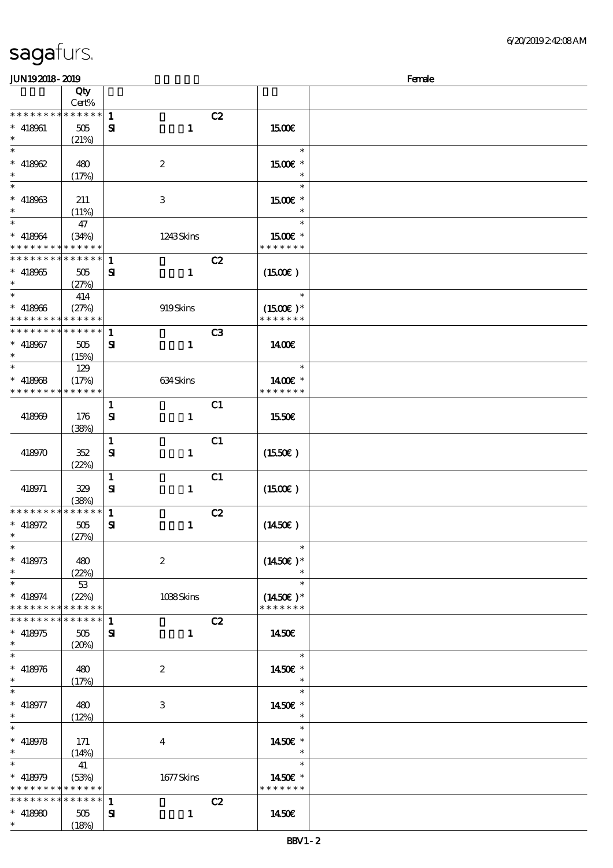| JUN192018-2019                           |                 |              |                  |                      | Female |
|------------------------------------------|-----------------|--------------|------------------|----------------------|--------|
|                                          | Qty             |              |                  |                      |        |
|                                          | Cert%           |              |                  |                      |        |
| * * * * * * * *                          | $******$        | $\mathbf{1}$ | C2               |                      |        |
| $* 418961$                               | 505             | ${\bf s}$    | $\mathbf{1}$     | <b>1500€</b>         |        |
| $\ast$                                   | (21%)           |              |                  |                      |        |
| $\overline{\ast}$                        |                 |              |                  | $\ast$               |        |
|                                          |                 |              |                  |                      |        |
| $* 418062$                               | 480             |              | $\boldsymbol{z}$ | $1500E$ *            |        |
| $\ast$                                   | (17%)           |              |                  | $\ast$               |        |
|                                          |                 |              |                  | $\ast$               |        |
| $* 418963$                               | 211             |              | 3                | 1500 £*              |        |
| $\ast$                                   | (11%)           |              |                  | $\ast$               |        |
| $\ast$                                   | 47              |              |                  | $\ast$               |        |
| $* 418064$                               | (34%)           |              | 1243Skins        | 1500E *              |        |
| * * * * * * * *                          | * * * * * *     |              |                  | * * * * * * *        |        |
| * * * * * * * *                          | $* * * * * * *$ |              |                  |                      |        |
|                                          |                 | $\mathbf{1}$ | C2               |                      |        |
| $* 418965$                               | 505             | ${\bf s}$    | $\mathbf{1}$     | (1500E)              |        |
| $\ast$                                   | (27%)           |              |                  |                      |        |
| $\ast$                                   | 414             |              |                  | $\ast$               |        |
| $* 418966$                               | (27%)           |              | 919Skins         | $(1500E)*$           |        |
| * * * * * * * *                          | * * * * * *     |              |                  | * * * * * * *        |        |
| * * * * * * * *                          | * * * * * *     | $\mathbf{1}$ | C3               |                      |        |
| $* 418067$                               | 505             | ${\bf s}$    | $\mathbf{1}$     | <b>140€</b>          |        |
| $\ast$                                   |                 |              |                  |                      |        |
| $\ast$                                   | (15%)           |              |                  | $\ast$               |        |
|                                          | 129             |              |                  |                      |        |
| $* 418068$                               | (17%)           |              | 634 Skins        | 1400€ *              |        |
| * * * * * * * *                          | * * * * * *     |              |                  | * * * * * * *        |        |
|                                          |                 | $\mathbf{1}$ | C1               |                      |        |
| 418969                                   | 176             | ${\bf s}$    | $\mathbf{1}$     | 1550€                |        |
|                                          | (38%)           |              |                  |                      |        |
|                                          |                 | $\mathbf{1}$ | C1               |                      |        |
| 418970                                   | 352             | ${\bf s}$    | $\mathbf{I}$     | (1550E)              |        |
|                                          |                 |              |                  |                      |        |
|                                          | (22%)           |              |                  |                      |        |
|                                          |                 | $\mathbf{1}$ | C1               |                      |        |
| 418971                                   | 329             | ${\bf s}$    | $\mathbf{1}$     | (1500E)              |        |
|                                          | (38%)           |              |                  |                      |        |
| * * * * * * * *                          | $******$        | $\mathbf{1}$ | C2               |                      |        |
| * $418972$                               | 505             | ${\bf S}$    | $\mathbf{1}$     | $(1450\epsilon)$     |        |
| $\ast$                                   | (27%)           |              |                  |                      |        |
| $\ast$                                   |                 |              |                  | $\ast$               |        |
| $* 418973$                               | 480             |              | $\boldsymbol{2}$ | $(1450E)*$           |        |
| $\ast$                                   | (22%)           |              |                  | $\ast$               |        |
| $\ast$                                   |                 |              |                  | $\ast$               |        |
|                                          | 53              |              |                  |                      |        |
| $* 418974$                               | (22%)           |              | 1038Skins        | $(1450\varepsilon)*$ |        |
| * * * * * * * *                          | * * * * * *     |              |                  | * * * * * * *        |        |
| * * * * * * * *                          | ****** 1        |              | C2               |                      |        |
| $* 418975$                               | 505             | ${\bf s}$    | $\mathbf{1}$     | 1450E                |        |
| $\ast$                                   | (20%)           |              |                  |                      |        |
| $\ast$                                   |                 |              |                  | $\ast$               |        |
| $* 418976$                               | 480             |              | $\boldsymbol{2}$ | 1450€ *              |        |
| $\ast$                                   | (17%)           |              |                  | $\ast$               |        |
| $\ast$                                   |                 |              |                  | $\ast$               |        |
| $* 418977$                               | 480             |              | 3                | 1450€ *              |        |
| $\ast$                                   |                 |              |                  | $\ast$               |        |
| $\overline{\ast}$                        | (12%)           |              |                  | $\ast$               |        |
|                                          |                 |              |                  |                      |        |
| $* 418978$                               | 171             |              | $\overline{4}$   | 1450€ *              |        |
| $\ast$                                   | (14%)           |              |                  | $\ast$               |        |
| $\ast$                                   | 41              |              |                  | $\ast$               |        |
| * 418979                                 | (53%)           |              | 1677Skins        | 1450E *              |        |
| * * * * * * * * <mark>* * * * * *</mark> |                 |              |                  | * * * * * * *        |        |
| * * * * * * * *                          | $***$ * * * * * | $\mathbf{1}$ | C2               |                      |        |
| $* 418980$                               | 505             | ${\bf s}$    | $\mathbf{1}$     | 1450€                |        |
| $\ast$                                   | (18%)           |              |                  |                      |        |
|                                          |                 |              |                  |                      |        |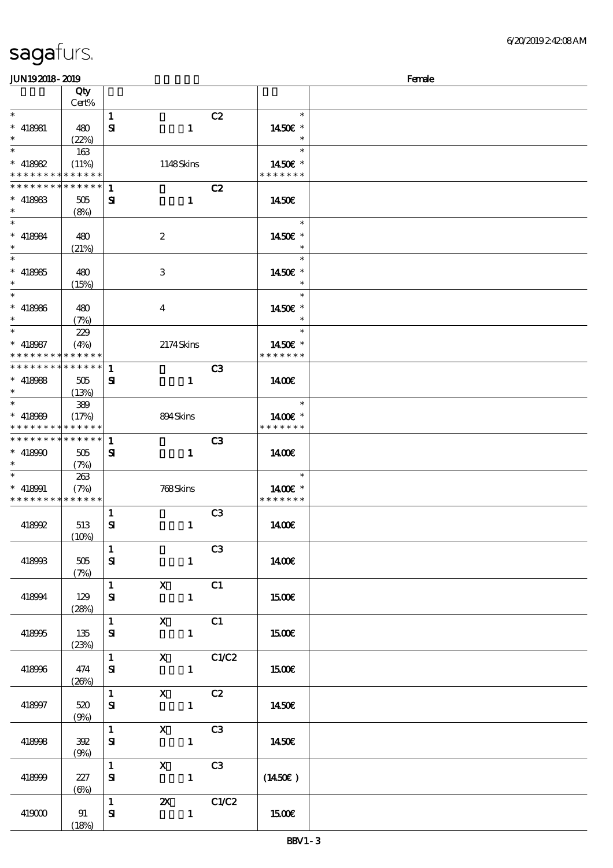\*\*\*

 $\ast$ 

\*\*

 $\overline{\phantom{0}}$ 

\*\*\*

\*\*\*

 $\ast$ 

 $^{-*}$ 

\*\*\*

 $\overline{\phantom{0}}$ 

\*\*

 $\ast$ 

\*\*

 $\ast$ 

(18%)

### 顺序号 Qty 说明 价格 Cert%  $1$  C<sub>2</sub>  $\ast$ \*\*\*  $\ast$ 418981 480  $S\!I$  1 14.50€  $\ast$  $(22%)$ \*  $*$  418982  $\overline{\phantom{a}}$ 163 \*\* (11%) 1148 Skins 1450€ \* \* \* \* \* \* \* \* \* \* \* \* \* \* \* \* \* \* \* \* \* \* \* \* \* \* \* \* \* \* \* \* \*  $1$  C<sub>2</sub>  $\ast$  $418983$   $505$  $S1$   $1$  14.50€ (8%) \*\*\*  $\ast$ 418984 480 2 14.50€ (21%)  $\ast$ \*\*\* 418985 480 3 1450€ \*  $(15%)$  $\overline{\phantom{a}}$  $\ast$ \*\*\*  $\ast$ 418986 480 4 14.50€  $\ast$ (7%)  $\ast$ \*\* <sup>418987</sup> 229  $\ast$ \*\*  $(4\%)$  2174 Skins 1450€ \* \* \* \* \* \* \* \* \* \* \* \* \* \* \* \* \* \* \* \* \* \* \* \* \* \* \* \* \* \* \*  $1$  C3  $S1$  1 14.00€ 418988 505 (13%) \*\* <sup>418989</sup> 389  $\ast$ \*\*  $(17%)$  894 Skins 1400€ \* \* \* \* \* \* \* \* \* \* \* \* \* \* \* \* \* \* \*  $1$  C3 \* \* \* \* \* \* \* \* \* \* \* \* \*  $418990$   $505$  $S1$   $1$  14.00€ (7%)  $*$  418991 263 \*\* (7%) 768 Skins 1400€ \* \* \* \* \* \* \* \* \* \* \* \* \* \* \* \* \* \* \* \*  $1$  C3  $S1$  1400 $\epsilon$ 418992 513  $(10%)$  $\overline{1}$  C3 418993 505  $\mathbf{S}$  1 1400€ (7%) 1 X C1  $S$ **I** 15.00€ 418994 129 (28%) 1 X C1  $\mathbf{S}$  1 15.00€ 418995 135 (23%) 1 X C1/C2 418996 474  $\mathbf{S}$  1 15.00 $\epsilon$  $(26%)$  $\overline{1}$  X C<sub>2</sub> 418997 520  $\mathbf{S}$  1 1450€ (9%)  $1$  X C3  $\mathbf{S}$  1 1450€ 418998 392 (9%)  $1$  X C3 418999 227  $\mathbf{S}$  1 (14.50€) (6%)  $1$   $2X$   $C1/C2$  $419000$  91  $\mathbf{S}$  1 15.00€

JUN192018-2019 Female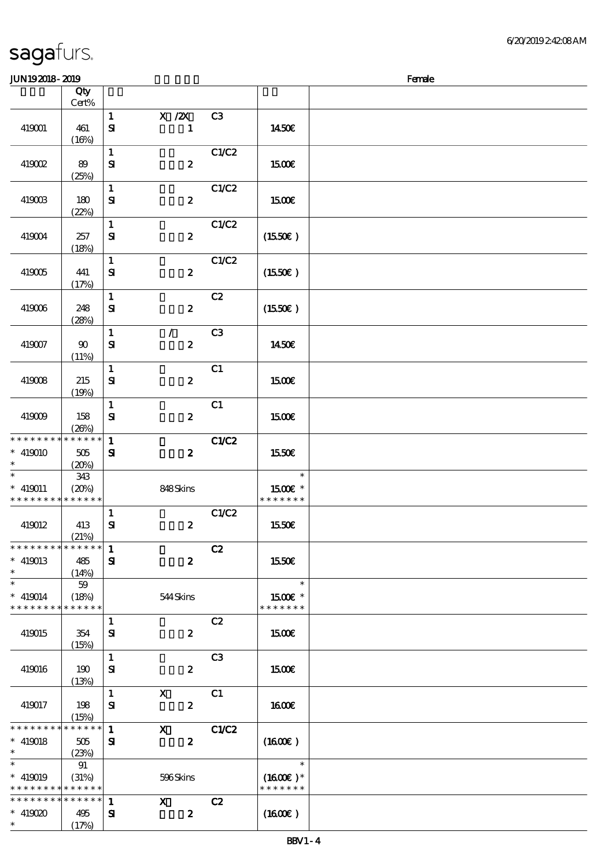|                                                                  | Qty                                 |                              |                                  |                |                                       |  |
|------------------------------------------------------------------|-------------------------------------|------------------------------|----------------------------------|----------------|---------------------------------------|--|
|                                                                  | $Cert\%$                            |                              |                                  |                |                                       |  |
| 419001                                                           | 461<br>(16%)                        | $\mathbf{1}$<br>$\mathbf{S}$ | $X$ / $ZX$<br>$\mathbf{1}$       | C3             | 1450E                                 |  |
| 419002                                                           | 89<br>(25%)                         | $\mathbf 1$<br>${\bf S}$     | $\boldsymbol{z}$                 | C1/C2          | 1500€                                 |  |
| 419003                                                           | 180<br>(22%)                        | $\mathbf{1}$<br>${\bf S\!I}$ | $\boldsymbol{z}$                 | C1/C2          | 1500E                                 |  |
| 419004                                                           | 257<br>(18%)                        | $\mathbf{1}$<br>$\mathbf{S}$ | $\boldsymbol{z}$                 | C1/C2          | (1550E)                               |  |
| 419005                                                           | 441<br>(17%)                        | $\mathbf{1}$<br>${\bf s}$    | $\boldsymbol{z}$                 | C1/C2          | (1550E)                               |  |
| 419006                                                           | 248<br>(28%)                        | $\mathbf{1}$<br>${\bf s}$    | $\boldsymbol{z}$                 | C2             | $(1550\varepsilon)$                   |  |
| 419007                                                           | 90<br>(11%)                         | $\mathbf{1}$<br>${\bf s}$    | $\mathcal{L}$<br>$\pmb{2}$       | C3             | 1450€                                 |  |
| 419008                                                           | 215<br>(19%)                        | $\mathbf{1}$<br>${\bf s}$    | $\boldsymbol{z}$                 | C1             | 1500€                                 |  |
| 419009                                                           | 158<br>(20%)                        | $\mathbf{1}$<br>$\mathbf{S}$ | $\boldsymbol{z}$                 | C1             | 1500€                                 |  |
| * * * * * * * *<br>$* 419010$<br>$\ast$                          | *****<br>505<br>(20%)               | $\mathbf{1}$<br>${\bf s}$    | $\boldsymbol{z}$                 | C1/C2          | 1550€                                 |  |
| $* 419011$<br>* * * * * * * *                                    | 343<br>(20%)<br>* * * * * *         |                              | 848Skins                         |                | $\ast$<br>1500€ *<br>* * * * * * *    |  |
| 419012                                                           | 413<br>(21%)                        | $\mathbf{1}$<br>$\mathbf{S}$ | $\boldsymbol{z}$                 | C1/C2          | 1550€                                 |  |
| *************** 1<br>$* 419013$<br>$\ast$                        | 485<br>(14%)                        | ${\bf s}$                    | $\boldsymbol{z}$                 | C2             | 1550€                                 |  |
| $\ast$<br>$* 419014$<br>* * * * * * * *                          | 59<br>(18%)<br>* * * * * *          |                              | 544Skins                         |                | $\ast$<br>1500€ *<br>* * * * * * *    |  |
| 419015                                                           | 354<br>(15%)                        | $\mathbf{1}$<br>${\bf s}$    | $\boldsymbol{z}$                 | C2             | 1500€                                 |  |
| 419016                                                           | 190<br>(13%)                        | $\mathbf{1}$<br>${\bf s}$    | $\boldsymbol{z}$                 | C <sub>3</sub> | 1500E                                 |  |
| 419017                                                           | 198<br>(15%)                        | $\mathbf{1}$<br>${\bf s}$    | $\mathbf{x}$<br>$\boldsymbol{z}$ | C1             | <b>1600€</b>                          |  |
| * * * * * * * *<br>$* 419018$<br>$\ast$                          | $* * * * * * *$<br>$505\,$<br>(23%) | $\mathbf{1}$<br>${\bf z}$    | $\mathbf{x}$<br>$\boldsymbol{z}$ | C1/C2          | (1600)                                |  |
| $\ast$<br>$* 419019$<br>* * * * * * * * <mark>* * * * * *</mark> | 91<br>(31%)                         |                              | 596Skins                         |                | $\ast$<br>$(1600E)*$<br>* * * * * * * |  |
| * * * * * * * *<br>$*$ 419020<br>$*$                             | $* * * * * * *$<br>495<br>(17%)     | $\mathbf{1}$<br>${\bf s}$    | $\mathbf{x}$<br>$\boldsymbol{z}$ | C2             | $(1600\varepsilon)$                   |  |

 $JIN192018 - 2019$  Female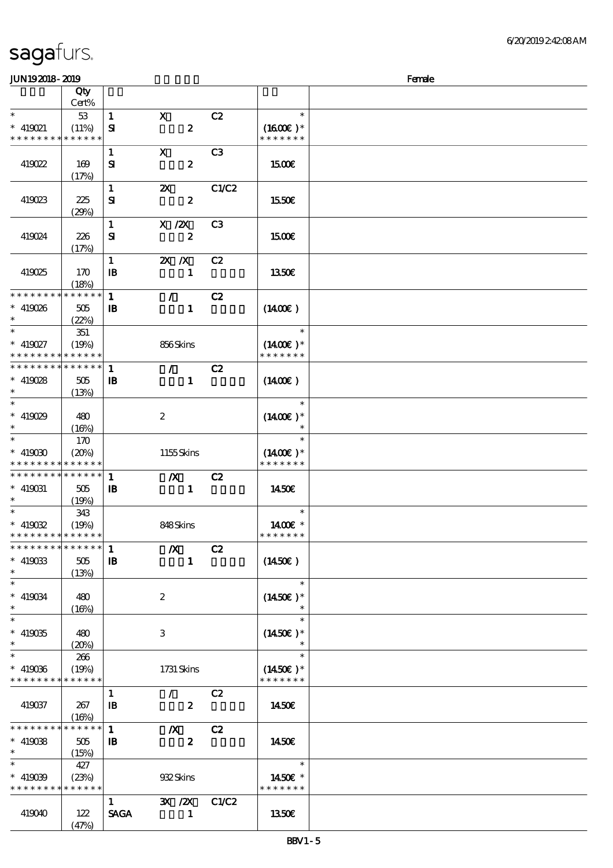### $J$ UN192018 - 2010  $J$

| ມມາ ເວລມດ- ລມວ                             |                      |                      |                             |                |                     | <u>rance</u> |
|--------------------------------------------|----------------------|----------------------|-----------------------------|----------------|---------------------|--------------|
|                                            | Qty<br>Cert%         |                      |                             |                |                     |              |
| $\ast$                                     | 53                   | $\mathbf{1}$         | $\mathbf{x}$                | C2             | $\ast$              |              |
| $\hspace{0.1cm}^*$ 419021                  | (11%)                | ${\bf s}$            | $\boldsymbol{z}$            |                | $(1600E)*$          |              |
| * * * * * * * *                            | * * * * * *          |                      |                             |                | * * * * * * *       |              |
|                                            |                      |                      |                             |                |                     |              |
|                                            |                      | $\mathbf{1}$         | $\mathbf{x}$                | C <sub>3</sub> |                     |              |
| 419022                                     | 169                  | ${\bf s}$            | $\boldsymbol{z}$            |                | 1500€               |              |
|                                            | (17%)                |                      |                             |                |                     |              |
|                                            |                      | $\mathbf{1}$         | $\boldsymbol{\mathsf{X}}$   | C1/C2          |                     |              |
| 419023                                     | 225                  | ${\bf s}$            | $\boldsymbol{z}$            |                | 1550€               |              |
|                                            | (29%)                |                      |                             |                |                     |              |
|                                            |                      | $\mathbf{1}$         | X / ZX                      | C <sub>3</sub> |                     |              |
| 419024                                     | 226                  | ${\bf s}$            | $\boldsymbol{z}$            |                | 1500€               |              |
|                                            |                      |                      |                             |                |                     |              |
|                                            | (17%)                |                      |                             |                |                     |              |
|                                            |                      | $\mathbf{1}$         | $X \, X$                    | C2             |                     |              |
| 419025                                     | 170                  | $\mathbf{B}$         | $\mathbf{1}$                |                | 1350E               |              |
|                                            | (18%)                |                      |                             |                |                     |              |
| * * * * * * * *                            | * * * * * *          | $\mathbf{1}$         | $\mathcal{L}$               | C2             |                     |              |
| $* 419026$                                 | $505\,$              | $\mathbf{B}$         | $\mathbf{1}$                |                | $(1400\varepsilon)$ |              |
| $\ast$                                     | (22%)                |                      |                             |                |                     |              |
| $\overline{\ast}$                          | 351                  |                      |                             |                | $\ast$              |              |
| $* 419027$                                 | (19%)                |                      | 856Skins                    |                | $(1400E)*$          |              |
| * * * * * * * * <mark>* * * * * *</mark> * |                      |                      |                             |                | * * * * * * *       |              |
| * * * * * * * *                            | $******$             | $\mathbf{1}$         | $\mathcal{L}$               | C2             |                     |              |
| $* 419028$                                 | 505                  | $\, {\bf B}$         | $\mathbf{1}$                |                | $(1400\varepsilon)$ |              |
| $\ast$                                     | (13%)                |                      |                             |                |                     |              |
| $\overline{\ast}$                          |                      |                      |                             |                | $\ast$              |              |
| * 419029                                   | 480                  |                      | $\boldsymbol{2}$            |                | $(1400E)*$          |              |
| $\ast$                                     | (16%)                |                      |                             |                |                     |              |
| $\overline{\ast}$                          | 170                  |                      |                             |                | $\ast$              |              |
| $* 419030$                                 | (20%)                |                      | 1155Skins                   |                | $(1400E)^*$         |              |
| * * * * * * * * * * * * * *                |                      |                      |                             |                | * * * * * * *       |              |
| * * * * * * * *                            | $******$             |                      |                             |                |                     |              |
|                                            |                      | $\mathbf 1$          | $\mathbf{X}$                | C2             |                     |              |
| $* 419031$<br>$\ast$                       | 505                  | $\mathbf{B}$         | $\mathbf{1}$                |                | 1450€               |              |
|                                            | (19%)                |                      |                             |                | $\ast$              |              |
|                                            | 343                  |                      |                             |                |                     |              |
| $* 419032$                                 | (19%)                |                      | 848Skins                    |                | 1400€ *             |              |
| * * * * * * * * * * * * * *                |                      |                      |                             |                | * * * * * * *       |              |
| *************** 1                          |                      |                      | $\boldsymbol{X}$            | C2             |                     |              |
| $*$ 419033                                 | 505                  | $\mathbf I\mathbf B$ | $\mathbf{1}$                |                | $(1450\epsilon)$    |              |
| $\ast$                                     | (13%)                |                      |                             |                |                     |              |
| $\ast$                                     |                      |                      |                             |                | $\ast$              |              |
| $\hspace{0.1cm}^*$ 419034                  | 480                  |                      | $\boldsymbol{2}$            |                | $(1450E)*$          |              |
| $\ast$                                     | (16%)                |                      |                             |                | $\ast$              |              |
| $\overline{\phantom{0}}$                   |                      |                      |                             |                | $\ast$              |              |
| $* 419035$                                 | 480                  |                      | $\ensuremath{\mathbf{3}}$   |                | $(1450E)*$          |              |
| $\ast$                                     | (20%)                |                      |                             |                |                     |              |
| $\overline{\phantom{0}}$                   | 266                  |                      |                             |                | $\ast$              |              |
| $* 419036$                                 | (19%)                |                      | 1731 Skins                  |                | $(1450E)*$          |              |
| * * * * * * * *                            | * * * * * *          |                      |                             |                | * * * * * * *       |              |
|                                            |                      | $\mathbf{1}$         | $\mathcal{L}$               | C2             |                     |              |
| 419037                                     | 267                  | $\mathbf{B}$         | $\boldsymbol{z}$            |                | 1450E               |              |
|                                            | (16%)                |                      |                             |                |                     |              |
| * * * * * * * *                            | * * * * * *          | $\mathbf{1}$         | $\boldsymbol{X}$            | C2             |                     |              |
| $* 419088$                                 | 505                  | $\mathbf{B}$         | $\boldsymbol{z}$            |                | <b>1450€</b>        |              |
| $\ast$                                     | (15%)                |                      |                             |                |                     |              |
| $\ast$                                     | 427                  |                      |                             |                | $\ast$              |              |
| $* 419039$                                 |                      |                      | 932Skins                    |                | 1450E *             |              |
| * * * * * * * *                            | (23%)<br>* * * * * * |                      |                             |                | * * * * * * *       |              |
|                                            |                      |                      |                             |                |                     |              |
|                                            |                      | $\mathbf{1}$         | $\mathbf{X}$ / $\mathbf{X}$ | C1/C2          |                     |              |
| 419040                                     | 122                  | <b>SAGA</b>          | $\mathbf{1}$                |                | 1350E               |              |
|                                            | (47%)                |                      |                             |                |                     |              |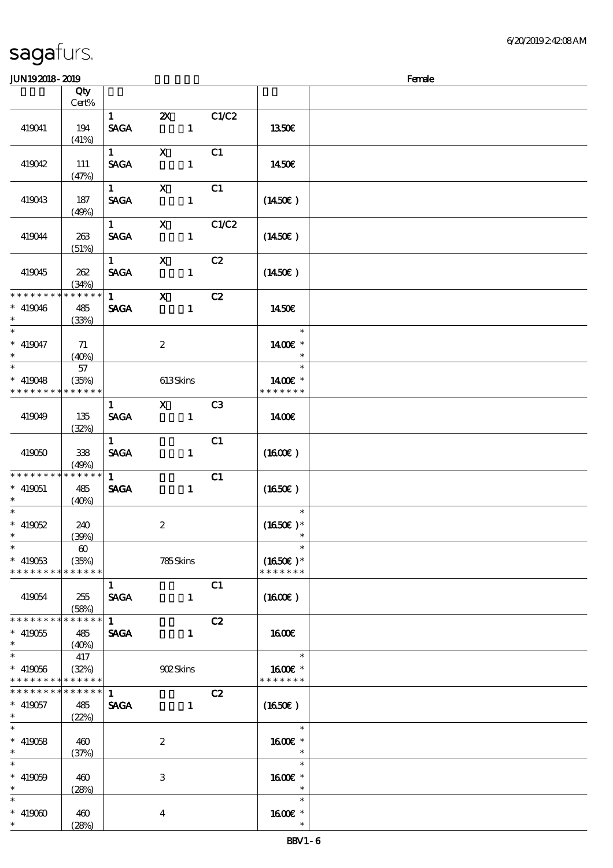| ມມາ <i>ເວເ</i> ມເວະ ເມເວ                           |                                               |                                       |                                    |                |                                       | ra ac |
|----------------------------------------------------|-----------------------------------------------|---------------------------------------|------------------------------------|----------------|---------------------------------------|-------|
|                                                    | Qty<br>Cert%                                  |                                       |                                    |                |                                       |       |
| 419041                                             | 194<br>(41%)                                  | $\mathbf{1}$<br><b>SAGA</b>           | $\boldsymbol{\mathsf{Z}}$<br>$1 -$ | C1/C2          | 1350E                                 |       |
| 419042                                             | 111<br>(47%)                                  | $\overline{1}$<br><b>SAGA</b>         | $\mathbf{X}$<br>$\mathbf{1}$       | C1             | 1450E                                 |       |
| 419043                                             | 187<br>(49%)                                  | $1$ X<br><b>SAGA</b>                  | $\mathbf{1}$                       | C1             | $(1450\epsilon)$                      |       |
| 419044                                             | 263<br>(51%)                                  | <b>SAGA</b>                           | $1$ X C1/C2<br>$\mathbf{1}$        |                | $(1450\epsilon)$                      |       |
| 419045                                             | 262<br>(34%)                                  | $1 \qquad \qquad$<br><b>SAGA</b>      | $\mathbf x$<br>$\blacksquare$      | C2             | $(1450\epsilon)$                      |       |
| * * * * * * * *<br>$* 419046$<br>$*$               | * * * * * * *<br>485<br>(33%)                 | $\mathbf 1$<br><b>SAGA</b>            | $\mathbf{x}$<br>$\blacksquare$     | C2             | 1450€                                 |       |
| $\overline{\phantom{0}}$<br>$* 419047$<br>$*$      | 71<br>(40%)                                   |                                       | $\boldsymbol{2}$                   |                | $\ast$<br>1400€ *<br>$\ast$           |       |
| $* 419048$<br>* * * * * * * *                      | 57<br>(35%)<br>* * * * * *                    |                                       | 613Skins                           |                | $\ast$<br>1400E *<br>* * * * * * *    |       |
| 419049                                             | 135<br>(32%)                                  | $\mathbf{1}$<br><b>SAGA</b>           | $\mathbf{X}$                       | C3             | 1400€                                 |       |
| 419060                                             | 338<br>(49%)                                  | $\mathbf{1}$<br><b>SAGA</b>           | $\mathbf{1}$                       | C1             | $(1600\varepsilon)$                   |       |
| * * * * * * * *<br>$* 419051$<br>$*$ and $*$       | * * * * * *<br>485<br>(40%)                   | $1 \quad \blacksquare$<br><b>SAGA</b> | $\mathbf{1}$                       | C1             | $(1650\epsilon)$                      |       |
| $\ast$<br>$* 419052$<br>$\ast$                     | 240<br>(30%)                                  |                                       | $\boldsymbol{2}$                   |                | $\ast$<br>$(1650)$ *<br>$\ast$        |       |
| $\ast$<br>$* 419053$<br>* * * * * * * *            | $\boldsymbol{\omega}$<br>(35%)<br>* * * * * * |                                       | 785Skins                           |                | $\ast$<br>$(1650E)*$<br>* * * * * * * |       |
| 419054                                             | 255<br>(58%)                                  | $\mathbf{1}$<br><b>SAGA</b>           | $\mathbf{1}$                       | C <sub>1</sub> | $(1600\varepsilon)$                   |       |
| * * * * * * * *<br>$* 419055$<br>$\ast$            | * * * * * *<br>485<br>(40%)                   | $\mathbf{1}$<br><b>SAGA</b>           | $\mathbf{1}$                       | C2             | <b>1600€</b>                          |       |
| $\overline{\ast}$<br>$* 419056$<br>* * * * * * * * | 417<br>(32%)<br>* * * * * *                   |                                       | 902Skins                           |                | $\ast$<br>1600€ *<br>* * * * * * *    |       |
| * * * * * * * *<br>$* 419057$<br>$\ast$            | * * * * * *<br>485<br>(22%)                   | 1<br><b>SAGA</b>                      | $\mathbf{1}$                       | C2             | (1650)                                |       |
| $\ast$<br>$* 419058$<br>$\ast$                     | 460<br>(37%)                                  |                                       | $\boldsymbol{z}$                   |                | $\ast$<br>1600E *<br>$\ast$           |       |
| $\ast$<br>$* 419059$<br>$\ast$                     | 460<br>(28%)                                  |                                       | 3                                  |                | $\ast$<br>1600E *<br>$\ast$           |       |
| $\ast$<br>$* 419000$<br>$\ast$                     | 460<br>(28%)                                  |                                       | $\overline{\mathbf{4}}$            |                | $\ast$<br>1600 *<br>$\ast$            |       |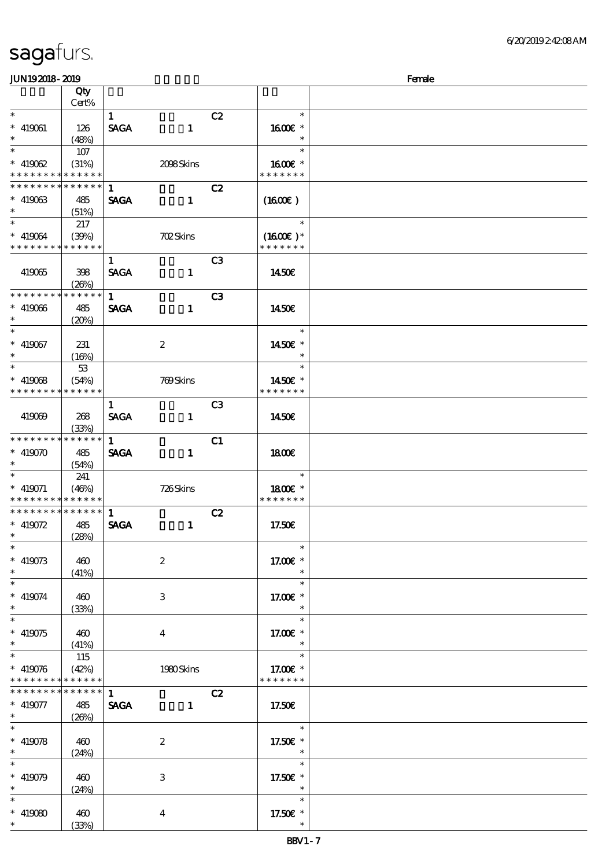| JUN192018-2019                                                              |                      |              |                  |                |                             | Female |
|-----------------------------------------------------------------------------|----------------------|--------------|------------------|----------------|-----------------------------|--------|
|                                                                             | Qty                  |              |                  |                |                             |        |
|                                                                             | Cert%                |              |                  |                |                             |        |
| $\ast$                                                                      |                      | $\mathbf{1}$ |                  | C2             | $\ast$                      |        |
| $* 419061$                                                                  | 126                  | <b>SAGA</b>  | $\mathbf{1}$     |                | $1600E$ *                   |        |
| $\ast$                                                                      | (48%)                |              |                  |                | $\ast$                      |        |
|                                                                             | 107                  |              |                  |                | $\ast$                      |        |
| $* 419062$                                                                  | (31%)                |              | 2098Skins        |                | $1600E$ *                   |        |
| * * * * * * * *                                                             | * * * * * *          |              |                  |                | * * * * * * *               |        |
| * * * * * * * *                                                             | * * * * * *          | 1            |                  | C2             |                             |        |
| $*$ 419063                                                                  | 485                  | <b>SAGA</b>  | $\mathbf{1}$     |                | $(1600\varepsilon)$         |        |
| $\ast$                                                                      | (51%)                |              |                  |                |                             |        |
| $*$                                                                         | 217                  |              |                  |                | $\ast$                      |        |
|                                                                             |                      |              |                  |                |                             |        |
| $* 419064$<br>* * * * * * * * <mark>*</mark>                                | (30%)<br>* * * * * * |              | <b>702Skins</b>  |                | $(1600E)*$<br>* * * * * * * |        |
|                                                                             |                      |              |                  |                |                             |        |
|                                                                             |                      | $\mathbf{1}$ |                  | C <sub>3</sub> |                             |        |
| 419065                                                                      | 398                  | <b>SAGA</b>  | $\mathbf{1}$     |                | <b>1450€</b>                |        |
|                                                                             | (20%)                |              |                  |                |                             |        |
| * * * * * * * *                                                             | * * * * * *          | $\mathbf{1}$ |                  | C <sub>3</sub> |                             |        |
| $* 419066$                                                                  | 485                  | <b>SAGA</b>  | $\mathbf{1}$     |                | 1450E                       |        |
| $\ast$                                                                      | (20%)                |              |                  |                |                             |        |
| $\ast$                                                                      |                      |              |                  |                | $\ast$                      |        |
| $* 419067$                                                                  | 231                  |              | $\boldsymbol{2}$ |                | 1450€ *                     |        |
| $\ast$                                                                      | (16%)                |              |                  |                | $\ast$                      |        |
| $\overline{\ast}$                                                           | 53                   |              |                  |                | $\ast$                      |        |
| $*$ 419068                                                                  | (54%)                |              | 709Skins         |                | 1450€ *                     |        |
| * * * * * * * *                                                             | * * * * * *          |              |                  |                | * * * * * * *               |        |
|                                                                             |                      | $\mathbf{1}$ |                  | C <sub>3</sub> |                             |        |
| 419069                                                                      | 268                  | <b>SAGA</b>  | $\mathbf{1}$     |                | 1450€                       |        |
|                                                                             | (33%)                |              |                  |                |                             |        |
| * * * * * * * *                                                             | * * * * * *          | $\mathbf{1}$ |                  | C1             |                             |        |
| $* 419070$                                                                  |                      | <b>SAGA</b>  |                  |                |                             |        |
| $\ast$                                                                      | 485                  |              | $\mathbf{1}$     |                | 1800                        |        |
| $\ast$                                                                      | (54%)                |              |                  |                | $\ast$                      |        |
|                                                                             | 241                  |              |                  |                |                             |        |
| $* 419071$                                                                  | (46%)                |              | 726Skins         |                | 1800E *<br>* * * * * * *    |        |
| * * * * * * * * <mark>* * * * * * *</mark><br>* * * * * * * * * * * * * * * |                      |              |                  |                |                             |        |
|                                                                             |                      | $\mathbf{1}$ |                  | C2             |                             |        |
| * $419072$                                                                  | 485                  | <b>SAGA</b>  | $\mathbf{1}$     |                | 17.50E                      |        |
| $\ast$ . The set of $\ast$                                                  | (28%)                |              |                  |                |                             |        |
| $\ast$                                                                      |                      |              |                  |                | $\ast$                      |        |
| $* 419073$                                                                  | 460                  |              | $\boldsymbol{2}$ |                | 17.00€ *                    |        |
| $\ast$                                                                      | (41%)                |              |                  |                | $\ast$                      |        |
| $\ast$                                                                      |                      |              |                  |                | $\ast$                      |        |
| $* 419074$                                                                  | 460                  |              | 3                |                | 17.00 $\mathbf{E}$ *        |        |
| $\ast$                                                                      | (33%)                |              |                  |                | $\ast$                      |        |
| $\overline{\ast}$                                                           |                      |              |                  |                | $\ast$                      |        |
| $* 419075$                                                                  | 460                  |              | $\bf{4}$         |                | 17.00 $\varepsilon$ *       |        |
| $\ast$                                                                      | (41%)                |              |                  |                | $\ast$                      |        |
| $\ast$                                                                      | 115                  |              |                  |                | $\ast$                      |        |
| $* 419076$                                                                  | (42%)                |              | 1980Skins        |                | 17.00€ *                    |        |
| * * * * * * * *                                                             | * * * * * *          |              |                  |                | * * * * * * *               |        |
| * * * * * * * *                                                             | * * * * * *          | $\mathbf{1}$ |                  | C2             |                             |        |
| $* 419077$                                                                  | 485                  | <b>SAGA</b>  | $\mathbf{1}$     |                | 17.50E                      |        |
| $\ast$                                                                      | (20%)                |              |                  |                |                             |        |
| $\overline{\phantom{0}}$                                                    |                      |              |                  |                | $\ast$                      |        |
| $* 419078$                                                                  |                      |              |                  |                |                             |        |
| $\ast$                                                                      | 460                  |              | $\boldsymbol{2}$ |                | 17.50€ *<br>$\ast$          |        |
| $\ast$                                                                      | (24%)                |              |                  |                | $\ast$                      |        |
|                                                                             |                      |              |                  |                |                             |        |
| $* 419079$                                                                  | 460                  |              | 3                |                | 17.50€ *                    |        |
| $\ast$                                                                      | (24%)                |              |                  |                | $\ast$                      |        |
| $\ast$                                                                      |                      |              |                  |                | $\ast$                      |        |
| $* 419080$                                                                  | 460                  |              | $\overline{4}$   |                | 17.50€ *                    |        |
|                                                                             | (33%)                |              |                  |                |                             |        |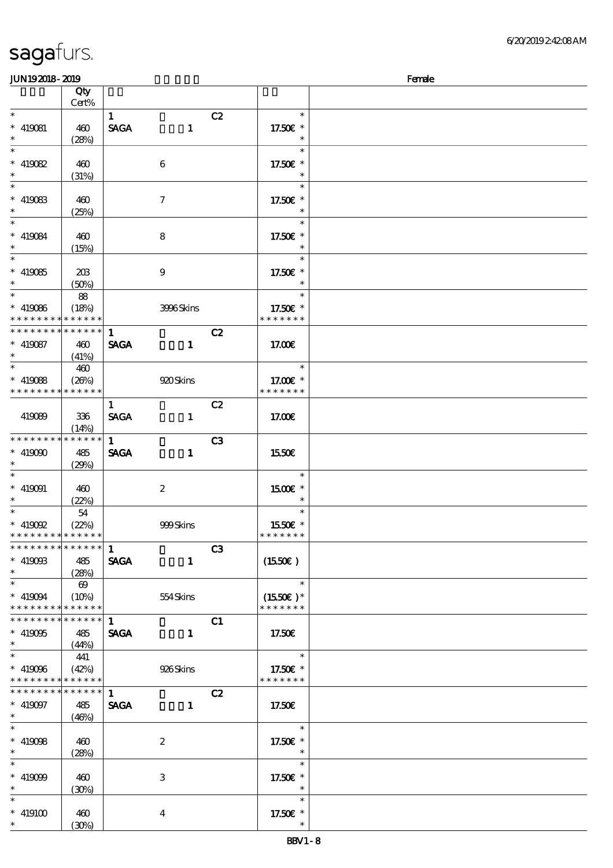| JUN192018-2019                             |          |              |                         |    |                          | Female |
|--------------------------------------------|----------|--------------|-------------------------|----|--------------------------|--------|
|                                            | Qty      |              |                         |    |                          |        |
|                                            | Cert%    |              |                         |    |                          |        |
| $\ast$                                     |          | $\mathbf{1}$ |                         | C2 | $\ast$                   |        |
| $* 419081$                                 | 460      | <b>SAGA</b>  | $\mathbf{1}$            |    | 17.50€ *                 |        |
| $\ast$                                     | (28%)    |              |                         |    | $\ast$                   |        |
| $\overline{\ast}$                          |          |              |                         |    | $\ast$                   |        |
| $*$ 419082                                 | 460      |              | $\boldsymbol{6}$        |    | 17.50€ *                 |        |
| $\ast$                                     | (31%)    |              |                         |    |                          |        |
| $\overline{\phantom{a}^*}$                 |          |              |                         |    | $\ast$                   |        |
|                                            |          |              |                         |    |                          |        |
| $*$ 419083                                 | 460      |              | 7                       |    | 17.50€ *                 |        |
| $\ast$<br>$\overline{\phantom{a}^*}$       | (25%)    |              |                         |    |                          |        |
|                                            |          |              |                         |    | $\ast$                   |        |
| $* 419084$                                 | 460      |              | 8                       |    | 17.50€ *                 |        |
| $\ast$                                     | (15%)    |              |                         |    |                          |        |
| $\overline{\phantom{0}}$                   |          |              |                         |    | $\ast$                   |        |
| $* 419085$                                 | 203      |              | $\boldsymbol{9}$        |    | 17.50€ *                 |        |
| $\ast$                                     | (50%)    |              |                         |    |                          |        |
| $\overline{\ast}$                          | 88       |              |                         |    | $\ast$                   |        |
| $* 419086$                                 | (18%)    |              | 3996Skins               |    | 17.50€ *                 |        |
| * * * * * * * * * * * * * *                |          |              |                         |    | * * * * * * *            |        |
| * * * * * * * * * * * * * *                |          | $\mathbf{1}$ |                         | C2 |                          |        |
| $* 419087$                                 |          | <b>SAGA</b>  |                         |    |                          |        |
| $\ast$                                     | 460      |              | $\mathbf{1}$            |    | 17.00E                   |        |
| $\overline{\ast}$                          | (41%)    |              |                         |    | $\ast$                   |        |
|                                            | 460      |              |                         |    |                          |        |
| $*$ 419088                                 | (20%)    |              | 920Skins                |    | 17.00 £*                 |        |
| * * * * * * * * * * * * * *                |          |              |                         |    | * * * * * * *            |        |
|                                            |          | $\mathbf{1}$ |                         | C2 |                          |        |
| 419089                                     | 336      | <b>SAGA</b>  | $\mathbf{1}$            |    | 17.00E                   |        |
|                                            | (14%)    |              |                         |    |                          |        |
| * * * * * * * * * * * * * *                |          | $\mathbf{1}$ |                         | C3 |                          |        |
| $* 419090$                                 | 485      | <b>SAGA</b>  | $\mathbf{1}$            |    | 1550€                    |        |
| $\ast$                                     | (29%)    |              |                         |    |                          |        |
| $\ast$                                     |          |              |                         |    | $\ast$                   |        |
| $* 419091$                                 | 460      |              | $\boldsymbol{2}$        |    | 1500 £*                  |        |
| $\ast$                                     | (22%)    |              |                         |    |                          |        |
| $\ast$                                     | 54       |              |                         |    | $\ast$                   |        |
|                                            |          |              |                         |    |                          |        |
| $*$ 419092                                 | (22%)    |              | 999Skins                |    | 1550E *<br>* * * * * * * |        |
| * * * * * * * * * * * * * *                |          |              |                         |    |                          |        |
| * * * * * * * * * * * * * * *              |          | $\mathbf{1}$ |                         | C3 |                          |        |
| $* 41900B$                                 | 485      | <b>SAGA</b>  | $\mathbf{1}$            |    | (1550E)                  |        |
| $\ast$                                     | (28%)    |              |                         |    |                          |        |
| $\overline{\phantom{0}}$                   | $\theta$ |              |                         |    | $\ast$                   |        |
| $* 419094$                                 | $(10\%)$ |              | 554 Skins               |    | $(1550E)*$               |        |
| * * * * * * * * * * * * * *                |          |              |                         |    | * * * * * * *            |        |
| * * * * * * * * <mark>* * * * * * *</mark> |          | $\mathbf{1}$ |                         | C1 |                          |        |
| $* 419005$                                 | 485      |              | SAGA 1                  |    | 17.50€                   |        |
| $*$                                        | (44%)    |              |                         |    |                          |        |
| $\overline{\phantom{a}^*}$                 | 441      |              |                         |    | $\ast$                   |        |
| $* 419006$                                 | (42%)    |              | 926Skins                |    | 17.50€ *                 |        |
| * * * * * * * * * * * * * *                |          |              |                         |    | * * * * * * *            |        |
| ******** <mark>******</mark>               |          |              |                         |    |                          |        |
|                                            |          | 1            |                         | C2 |                          |        |
| $* 419097$                                 | 485      | <b>SAGA</b>  | $\mathbf{1}$            |    | 17.50E                   |        |
| $*$                                        | (46%)    |              |                         |    |                          |        |
| $\ast$                                     |          |              |                         |    | $\ast$                   |        |
| $* 419008$                                 | 460      |              | $\boldsymbol{2}$        |    | 17.50€ *                 |        |
| $*$ $*$                                    | (28%)    |              |                         |    | $\overline{\phantom{a}}$ |        |
| $\ast$                                     |          |              |                         |    | $\ast$                   |        |
| $* 419099$                                 | 460      |              | 3                       |    | 17.50€ *                 |        |
| $\ast$                                     | (30%)    |              |                         |    | $\ast$                   |        |
| $\ast$                                     |          |              |                         |    | $\ast$                   |        |
| $*$ 419100                                 | 460      |              | $\overline{\mathbf{4}}$ |    | 17.50 $\varepsilon$ *    |        |
| $*$                                        | (30%)    |              |                         |    |                          |        |
|                                            |          |              |                         |    |                          |        |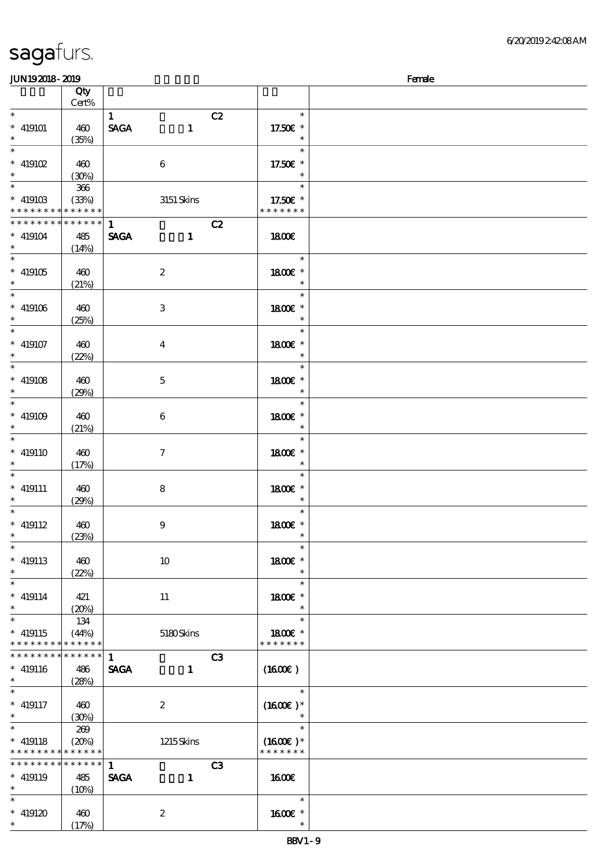| <b>saga</b> furs. |  |
|-------------------|--|
|                   |  |

| <b>JUN192018-2019</b>                                           |                                            |                             |                  |    |                                       | Female |
|-----------------------------------------------------------------|--------------------------------------------|-----------------------------|------------------|----|---------------------------------------|--------|
|                                                                 | Qty<br>Cert%                               |                             |                  |    |                                       |        |
| $\ast$<br>$^*$ 419101<br>$\ast$                                 | 460<br>(35%)                               | $\mathbf{1}$<br><b>SAGA</b> | $\mathbf{1}$     | C2 | $\ast$<br>17.50€ *<br>$\ast$          |        |
| $\ast$<br>$*$ 419102 $\,$<br>$\ast$<br>$\overline{\phantom{0}}$ | 460<br>(30%)                               |                             | $\,6\,$          |    | $\ast$<br>17.50€ *<br>$\ast$          |        |
| $^*$ 419103 $\,$<br>* * * * * * * * <mark>* * * * * *</mark> *  | $366\,$<br>(33%)                           |                             | $3151$ Skins     |    | $\ast$<br>17.50€ *<br>* * * * * * *   |        |
| * * * * * * * *<br>$* 419104$<br>$\ast$<br>$\ast$               | $* * * * * * *$<br>485<br>(14%)            | $\mathbf{1}$<br><b>SAGA</b> | $\mathbf{1}$     | C2 | 1800E                                 |        |
| $* 419105$<br>$\ast$<br>$\ast$                                  | 460<br>(21%)                               |                             | $\boldsymbol{2}$ |    | $\ast$<br>1800€ *<br>$\ast$           |        |
| $^*$ 419106 $\,$<br>$\ast$<br>$\overline{\ast}$                 | 460<br>(25%)                               |                             | 3                |    | $\ast$<br>1800 €*<br>$\ast$<br>$\ast$ |        |
| $* 419107$<br>$\ast$<br>$\overline{\ast}$                       | 460<br>(22%)                               |                             | $\bf{4}$         |    | 1800€ *<br>$\ast$                     |        |
| $* 419108$<br>$\ast$<br>$*$                                     | 460<br>(29%)                               |                             | $\mathbf 5$      |    | $\ast$<br>1800€ *<br>$\ast$           |        |
| $* 419109$<br>$\ast$<br>$\overline{\ast}$                       | 460<br>(21%)                               |                             | $\bf 6$          |    | $\ast$<br>1800 £*<br>$\ast$<br>$\ast$ |        |
| $* 419110$<br>$\ast$<br>$\ast$                                  | 460<br>(17%)                               |                             | $\boldsymbol{7}$ |    | 1800 £*<br>$\ast$<br>$\ast$           |        |
| $* 419111$<br>$\ast$<br>$\ast$                                  | 460<br>(29%)                               |                             | $\bf 8$          |    | 1800 £*<br>$\ast$<br>$\ast$           |        |
| $* 419112$<br>$\ast$<br>$\ast$                                  | 460<br>(23%)                               |                             | $\boldsymbol{9}$ |    | 1800E *<br>$\ast$<br>$\ast$           |        |
| $*$ 419113<br>$\ast$<br>$\overline{\phantom{0}}$                | 460<br>(22%)                               |                             | $10\,$           |    | 1800€ *<br>$\ast$<br>$\ast$           |        |
| $* 419114$<br>$\ast$<br>$\overline{\ast}$                       | 421<br>(20%)                               |                             | 11               |    | 1800 €*<br>$\ast$<br>$\ast$           |        |
| $* 419115$<br>* * * * * * * *<br>* * * * * * * *                | 134<br>(44%)<br>* * * * * *<br>* * * * * * |                             | 5180Skins        |    | 1800 £*<br>* * * * * * *              |        |
| $* 419116$<br>$\ast$                                            | 486<br>(28%)                               | $\mathbf{1}$<br><b>SAGA</b> | $\mathbf{1}$     | C3 | (1600E)                               |        |
| $\ast$<br>$* 419117$<br>$\ast$                                  | 460<br>(30%)                               |                             | $\boldsymbol{2}$ |    | $\ast$<br>$(1600)$ *<br>$\ast$        |        |
| $\ast$<br>$* 419118$<br>* * * * * * * *                         | 269<br>(20%)<br>* * * * * *                |                             | 1215Skins        |    | $\ast$<br>$(1600E)*$<br>* * * * * * * |        |
| * * * * * * * *<br>$* 419119$<br>$\ast$                         | $* * * * * * *$<br>485<br>$(10\%)$         | $\mathbf{1}$<br><b>SAGA</b> | $\mathbf{1}$     | C3 | 1600E                                 |        |
| $\ast$<br>$* 419120$<br>$\ast$                                  | 460<br>(17%)                               |                             | $\boldsymbol{2}$ |    | $\ast$<br>1600 *<br>$\ast$            |        |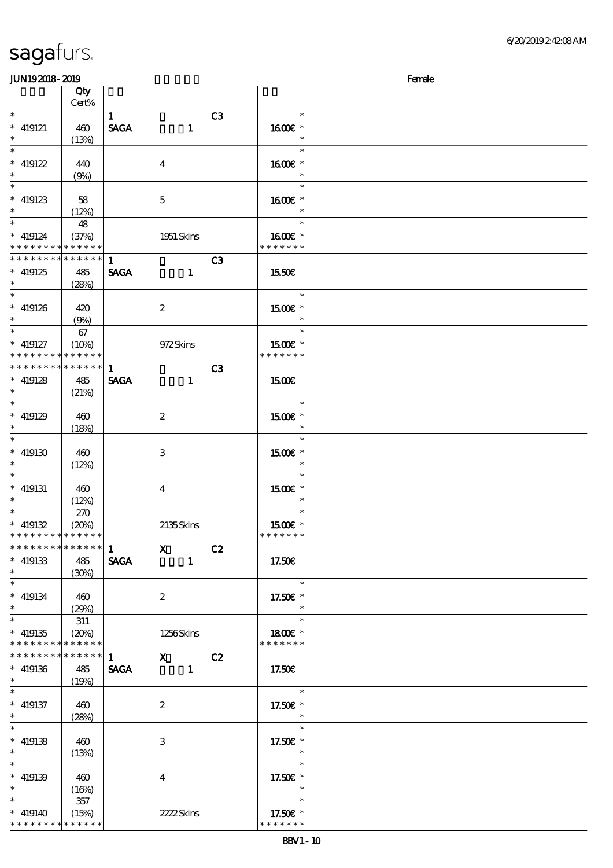| <b>JUN192018-2019</b>                     |                 |              |                                                                                       |                |                |                          | Female |
|-------------------------------------------|-----------------|--------------|---------------------------------------------------------------------------------------|----------------|----------------|--------------------------|--------|
|                                           | Qty<br>$Cert\%$ |              |                                                                                       |                |                |                          |        |
| $\ast$                                    |                 | $\mathbf{1}$ |                                                                                       |                | C3             | $\ast$                   |        |
| $*$ 419121                                | 460             | <b>SAGA</b>  |                                                                                       | $\mathbf{1}$   |                | 1600E *                  |        |
| $\ast$                                    | (13%)           |              |                                                                                       |                |                |                          |        |
| $\ast$                                    |                 |              |                                                                                       |                |                | $\ast$                   |        |
| $* 419122$                                | 440             |              | $\boldsymbol{4}$                                                                      |                |                | 1600€ *                  |        |
| $\ast$                                    | (9%)            |              |                                                                                       |                |                | $\ast$                   |        |
| $\overline{\ast}$                         |                 |              |                                                                                       |                |                | $\ast$                   |        |
| $* 419123$                                | 58              |              | $\mathbf 5$                                                                           |                |                | 1600€ *                  |        |
| $\ast$                                    | (12%)           |              |                                                                                       |                |                | $\ast$                   |        |
| $\ast$                                    | 48              |              |                                                                                       |                |                | $\ast$                   |        |
| $* 419124$                                | (37%)           |              | 1951 Skins                                                                            |                |                | 1600E *                  |        |
| * * * * * * * * <mark>* * * * * *</mark>  |                 |              |                                                                                       |                |                | * * * * * * *            |        |
| * * * * * * * *                           | * * * * * *     | $\mathbf{1}$ |                                                                                       |                | C <sub>3</sub> |                          |        |
| $*$ 419125                                | 485             | <b>SAGA</b>  |                                                                                       | $\mathbf{1}$   |                | 1550€                    |        |
| $\ast$                                    | (28%)           |              |                                                                                       |                |                |                          |        |
| $\overline{\ast}$                         |                 |              |                                                                                       |                |                | $\ast$                   |        |
| $* 419126$                                | 420             |              | $\boldsymbol{2}$                                                                      |                |                | 1500€ *                  |        |
| $\ast$                                    | (9%)            |              |                                                                                       |                |                | $\ast$                   |        |
| $\overline{\ast}$                         | 67              |              |                                                                                       |                |                | $\ast$                   |        |
| $*$ 419127                                | (10%)           |              | 972Skins                                                                              |                |                | 1500€ *                  |        |
| * * * * * * * * <mark>* * * * * *</mark>  |                 |              |                                                                                       |                |                | * * * * * * *            |        |
| * * * * * * * *                           | * * * * * *     | 1            |                                                                                       |                | C <sub>3</sub> |                          |        |
| $* 419128$                                | 485             | <b>SAGA</b>  |                                                                                       | $\mathbf{1}$   |                | 1500                     |        |
| $\ast$                                    | (21%)           |              |                                                                                       |                |                |                          |        |
| $\overline{\phantom{0}}$                  |                 |              |                                                                                       |                |                | $\ast$                   |        |
| $*$ 419129                                | 460             |              | $\boldsymbol{2}$                                                                      |                |                | 1500E *                  |        |
| $\ast$                                    | (18%)           |              |                                                                                       |                |                | $\ast$                   |        |
| $\overline{\ast}$                         |                 |              |                                                                                       |                |                | $\ast$                   |        |
| $^*$ 419130 $\,$                          | 460             |              | $\,3$                                                                                 |                |                | 1500€ *                  |        |
| $\ast$                                    | (12%)           |              |                                                                                       |                |                | $\ast$                   |        |
| $\ast$                                    |                 |              |                                                                                       |                |                | $\ast$                   |        |
| $*$ 419131                                | 460             |              | $\bf{4}$                                                                              |                |                | 1500€ *                  |        |
| $\ast$<br>$\overline{\phantom{0}}$        | (12%)           |              |                                                                                       |                |                | $\ast$                   |        |
|                                           | 270             |              |                                                                                       |                |                | $\ast$                   |        |
| $* 419132$<br>* * * * * * * * * * * * * * | (20%)           |              | 2135Skins                                                                             |                |                | 1500E *<br>* * * * * * * |        |
| ******** <mark>*******</mark>             |                 |              | $\mathbf{x}$                                                                          |                | C2             |                          |        |
| $* 419133$                                |                 | $\mathbf{1}$ |                                                                                       | $\mathbf{1}$   |                | 17.50€                   |        |
| $\ast$                                    | 485<br>(30%)    | <b>SAGA</b>  |                                                                                       |                |                |                          |        |
| $\ast$                                    |                 |              |                                                                                       |                |                | $\ast$                   |        |
| $* 419134$                                | 460             |              | $\boldsymbol{2}$                                                                      |                |                | 17.50€ *                 |        |
| $\ast$                                    | (29%)           |              |                                                                                       |                |                | $\ast$                   |        |
| $\overline{\ast}$                         | 311             |              |                                                                                       |                |                | $\ast$                   |        |
| $* 419135$                                | (20%)           |              | 1256Skins                                                                             |                |                | 1800E *                  |        |
| * * * * * * * * * * * * * *               |                 |              |                                                                                       |                |                | * * * * * * *            |        |
| * * * * * * * * * * * * * *               |                 | 1            | $\boldsymbol{\mathrm{X}}$ and $\boldsymbol{\mathrm{X}}$ and $\boldsymbol{\mathrm{X}}$ |                | C2             |                          |        |
| $* 419136$                                | 485             | <b>SAGA</b>  |                                                                                       | $\blacksquare$ |                | 17.50E                   |        |
| $\ast$                                    | (19%)           |              |                                                                                       |                |                |                          |        |
| $\ast$                                    |                 |              |                                                                                       |                |                | $\ast$                   |        |
| $*$ 419137                                | 460             |              | $\boldsymbol{2}$                                                                      |                |                | 17.50 £*                 |        |
| $\ast$                                    | (28%)           |              |                                                                                       |                |                | $\ast$                   |        |
| $\ast$                                    |                 |              |                                                                                       |                |                | $\ast$                   |        |
| $* 419138$                                | 460             |              | 3                                                                                     |                |                | 17.50€ *                 |        |
| $\ast$                                    | (13%)           |              |                                                                                       |                |                | $\ast$                   |        |
| $\overline{\phantom{0}}$                  |                 |              |                                                                                       |                |                | $\ast$                   |        |
| $* 419139$                                | 460             |              | $\bf{4}$                                                                              |                |                | 17.50€ *                 |        |
| $\ast$                                    | (16%)           |              |                                                                                       |                |                | $\ast$                   |        |
| $\ast$                                    | 357             |              |                                                                                       |                |                | $\ast$                   |        |
| $* 419140$                                | (15%)           |              | 2222Skins                                                                             |                |                | 17.50€ *                 |        |
| * * * * * * * * * * * * * *               |                 |              |                                                                                       |                |                | * * * * * * *            |        |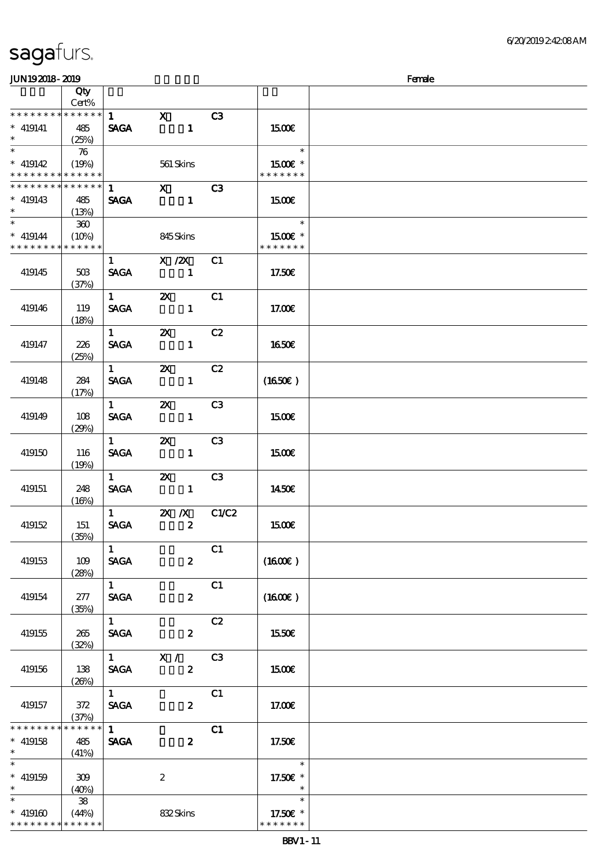\* \* \* \* \* \* \* \* \* \* \* \*

| <b>JUN192018-2019</b>                                                     |                        |                        |                                         |       |                          | Female |
|---------------------------------------------------------------------------|------------------------|------------------------|-----------------------------------------|-------|--------------------------|--------|
|                                                                           | Qty                    |                        |                                         |       |                          |        |
|                                                                           | Cert%                  |                        |                                         |       |                          |        |
| * * * * * * * * * * * * * *                                               |                        | $1 \quad$              | $\mathbf{X}$                            | C3    |                          |        |
| $*$ 419141<br>$\ast$                                                      | 485<br>(25%)           | <b>SAGA</b>            | $\mathbf{1}$                            |       | <b>1500€</b>             |        |
| $\overline{\phantom{0}}$                                                  | $\boldsymbol{\pi}$     |                        |                                         |       | e T<br>$\ast$            |        |
| $* 419142$                                                                | (19%)                  |                        | 561 Skins                               |       | 1500€ *                  |        |
| * * * * * * * * * * * * * *<br>* * * * * * * * <mark>* * * * * * *</mark> |                        |                        |                                         |       | * * * * * * *            |        |
| $* 419143$                                                                | 485                    | 1<br><b>SAGA</b>       | $\overline{\mathbf{x}}$<br>$\mathbf{1}$ | C3    | 1500E                    |        |
| $\ast$<br>$\ast$                                                          | (13%)                  |                        |                                         |       | an an<br>$\ast$          |        |
|                                                                           | 300                    |                        |                                         |       |                          |        |
| $* 419144$<br>* * * * * * * *                                             | (10%)<br>* * * * * *   |                        | 845Skins                                |       | 1500€ *<br>* * * * * * * |        |
|                                                                           |                        | 1                      | $X \, /ZX$                              | C1    |                          |        |
| 419145                                                                    | 50B                    | <b>SAGA</b>            | $\sim$ 1                                |       | 17.50€                   |        |
|                                                                           | (37%)                  |                        |                                         |       |                          |        |
|                                                                           |                        | $1 \quad \blacksquare$ | $\mathbf{z}$                            | C1    |                          |        |
| 419146                                                                    | 119                    | <b>SAGA</b>            | $\mathbf{1}$                            |       | 17.00E                   |        |
|                                                                           | (18%)                  |                        |                                         |       |                          |        |
|                                                                           |                        | $1 \quad \blacksquare$ | $\boldsymbol{\mathsf{X}}$               | C2    |                          |        |
| 419147                                                                    | 226<br>(25%)           | <b>SACA</b>            | $\mathbf{1}$                            |       | <b>1650€</b>             |        |
|                                                                           |                        | $1 \quad \blacksquare$ | $\boldsymbol{\mathsf{X}}$               | C2    |                          |        |
| 419148                                                                    | 284                    | <b>SAGA</b>            | $\mathbf{1}$                            |       | $(1650\epsilon)$         |        |
|                                                                           | (17%)                  |                        |                                         |       |                          |        |
|                                                                           |                        | 1                      | $\boldsymbol{\mathsf{Z}}$               | C3    |                          |        |
| 419149                                                                    | 108                    | <b>SAGA</b>            | $\mathbf{1}$                            |       | <b>1500€</b>             |        |
|                                                                           | (29%)                  |                        |                                         |       |                          |        |
|                                                                           |                        | 1                      | $\boldsymbol{\mathsf{z}}$               | C3    |                          |        |
| 419150                                                                    | 116                    | <b>SAGA</b>            | $\mathbf{1}$                            |       | 1500€                    |        |
|                                                                           | (19%)                  | $1 \quad$              | $\boldsymbol{\mathsf{Z}}$               | C3    |                          |        |
| 419151                                                                    | 248                    | <b>SAGA</b>            | $\mathbf{1}$                            |       | 1450€                    |        |
|                                                                           | (16%)                  |                        |                                         |       |                          |        |
|                                                                           |                        | $\mathbf 1$            | $X$ $X$                                 | C1/C2 |                          |        |
| 419152                                                                    | 151                    | <b>SAGA</b>            | $\overline{\mathbf{z}}$                 |       | 1500€                    |        |
|                                                                           | (35%)                  |                        |                                         |       |                          |        |
|                                                                           |                        | 1                      |                                         | C1    |                          |        |
| 419153                                                                    | 109                    | <b>SAGA</b>            | $\boldsymbol{z}$                        |       | (1600E)                  |        |
|                                                                           | (28%)                  | $1 \quad$              |                                         | C1    |                          |        |
| 419154                                                                    | 277                    | <b>SAGA</b>            | $\boldsymbol{2}$                        |       | $(1600\varepsilon)$      |        |
|                                                                           | (35%)                  |                        |                                         |       |                          |        |
|                                                                           |                        | 1                      |                                         | C2    |                          |        |
| 419155                                                                    | 265                    | <b>SAGA</b>            | $\boldsymbol{z}$                        |       | 1550€                    |        |
|                                                                           | (32%)                  |                        |                                         |       |                          |        |
|                                                                           |                        |                        | $\overline{1}$ $\overline{X}$ /         | C3    |                          |        |
| 419156                                                                    | 138                    | <b>SAGA</b>            | $\boldsymbol{z}$                        |       | 1500E                    |        |
|                                                                           | (20%)                  | $1^{\circ}$            |                                         |       |                          |        |
| 419157                                                                    | 372                    | <b>SAGA</b>            | $\boldsymbol{z}$                        | C1    | 17.00E                   |        |
|                                                                           | (37%)                  |                        |                                         |       |                          |        |
| * * * * * * * *                                                           | $******$               | $1 \quad$              |                                         | C1    |                          |        |
| $*$ 419158                                                                | 485                    | <b>SAGA</b>            | $\boldsymbol{z}$                        |       | 17.50E                   |        |
| $\ast$                                                                    | (41%)                  |                        |                                         |       |                          |        |
| $\overline{\phantom{0}}$                                                  |                        |                        |                                         |       | $\ast$                   |        |
| $* 419159$                                                                | 309                    |                        | $\boldsymbol{z}$                        |       | 17.50€ *                 |        |
| $\ast$<br>$\overline{\phantom{0}}$                                        | (40%)                  |                        |                                         |       | $\ast$                   |        |
| $* 419160$                                                                | $\mathbf{38}$<br>(44%) |                        | 832Skins                                |       | 17.50€ *                 |        |
|                                                                           |                        |                        |                                         |       |                          |        |

\* \* \* \* \* \*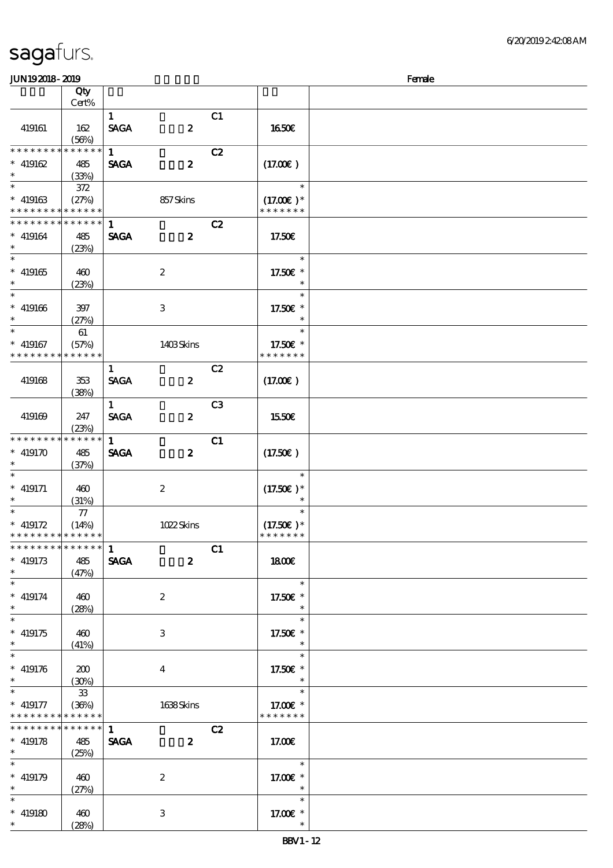| sagafurs.                     |        |             |   |                |              |        |
|-------------------------------|--------|-------------|---|----------------|--------------|--------|
| <b>JUN192018-2019</b>         |        |             |   |                |              | Female |
|                               | Qty    |             |   |                |              |        |
|                               | Cert%  |             |   |                |              |        |
|                               |        |             |   | C <sub>1</sub> |              |        |
| 419161                        | 162    | <b>SAGA</b> | 2 |                | 1650E        |        |
|                               | (56%)  |             |   |                |              |        |
| * * * * * * * * * * * * * * * |        | -1          |   | C2             |              |        |
| $\ast$<br>419162              | 485    | <b>SAGA</b> | 2 |                | (17.00)      |        |
| $\ast$                        | (33%)  |             |   |                |              |        |
| $\ddotsc$                     | $\sim$ |             |   |                | $\mathbf{a}$ |        |

| 419161                                                             | 162<br>(56%)                   | $\mathbf{1}$<br><b>SAGA</b> | $\boldsymbol{z}$        | C1             | 1650€                                  |  |
|--------------------------------------------------------------------|--------------------------------|-----------------------------|-------------------------|----------------|----------------------------------------|--|
| * * * * * * * *<br>$* 419162$<br>$*$                               | * * * * *<br>485<br>(33%)      | $\mathbf{1}$<br><b>SAGA</b> | $\boldsymbol{z}$        | C2             | (17.00)                                |  |
| $\ast$<br>$* 419163$<br>* * * * * * * * <mark>* * * * * * *</mark> | 372<br>(27%)                   |                             | 857Skins                |                | $\ast$<br>$(17.00)$ *<br>* * * * * * * |  |
| * * * * * * * * * * * * * * *<br>$* 419164$<br>$\ast$              | 485<br>(23%)                   | $\mathbf{1}$<br><b>SAGA</b> | $\boldsymbol{z}$        | C2             | 17.50€                                 |  |
| $\ast$<br>$* 419165$<br>$\ast$                                     | 460<br>(23%)                   |                             | $\boldsymbol{2}$        |                | $\ast$<br>17.50€ *<br>$\ast$           |  |
| $\ast$<br>$* 419166$<br>$\ast$                                     | 397<br>(27%)                   |                             | 3                       |                | $\ast$<br>17.50 £*<br>$\ast$           |  |
| $* 419167$<br>* * * * * * * * * * * * * *                          | 61<br>(57%)                    |                             | 1403Skins               |                | $\ast$<br>17.50€ *<br>* * * * * * *    |  |
| 419168                                                             | 353<br>(38%)                   | $\mathbf{1}$<br><b>SAGA</b> | $\boldsymbol{z}$        | C2             | (17.00)                                |  |
| 419169                                                             | 247<br>(23%)                   | $\mathbf{1}$<br><b>SAGA</b> | $\boldsymbol{z}$        | C <sub>3</sub> | 1550€                                  |  |
| * * * * * * * *<br>$* 419170$<br>$\ast$                            | ******<br>485<br>(37%)         | $\mathbf{1}$<br><b>SAGA</b> | $\boldsymbol{z}$        | C1             | (17.50)                                |  |
| $\ast$<br>$*$ 419171<br>$\ast$                                     | 460<br>(31%)                   |                             | $\boldsymbol{2}$        |                | $\ast$<br>$(17.50)$ *<br>$\ast$        |  |
| $\ast$<br>$* 419172$<br>* * * * * * * * <mark>* * * * * *</mark>   | 77<br>(14%)                    |                             | 1022Skins               |                | $\ast$<br>$(17.50)$ *<br>* * * * * * * |  |
| * * * * * * * * * * * * * * *<br>$* 419173$<br>$\ast$              | 485<br>(47%)                   | $\mathbf{1}$<br><b>SAGA</b> | $\boldsymbol{z}$        | C1             | 1800                                   |  |
| $\ast$<br>$* 419174$<br>$\ast$                                     | 460<br>(28%)                   |                             | $\boldsymbol{2}$        |                | $\ast$<br>17.50€ *<br>$\ast$           |  |
| $\ast$<br>$* 419175$<br>$*$                                        | 460<br>(41%)                   |                             | 3                       |                | $\ast$<br>17.50€ *<br>$\ast$           |  |
| $\ast$<br>$* 419176$<br>$\ast$                                     | 200<br>(30%)                   |                             | $\overline{\mathbf{4}}$ |                | $\ast$<br>17.50£ *<br>$\ast$           |  |
| $\ast$<br>$* 419177$<br>* * * * * * * *                            | $33\,$<br>(36%)<br>* * * * * * |                             | 1638Skins               |                | $\ast$<br>17.00 £*<br>* * * * * * *    |  |
| * * * * * * * * <mark>* * * * * * *</mark><br>$* 419178$<br>$\ast$ | 485<br>(25%)                   | $\mathbf{1}$<br><b>SAGA</b> | $\boldsymbol{z}$        | C2             | 17.00E                                 |  |
| $\ast$<br>$* 419179$<br>$\ast$                                     | 460<br>(27%)                   |                             | $\boldsymbol{2}$        |                | $*$<br>17.00 £*<br>$\ast$              |  |
| $\ast$<br>$* 419180$<br>$\ast$                                     | 460<br>(28%)                   |                             | $\,3$                   |                | $\ast$<br>17.00 £*<br>$\ast$           |  |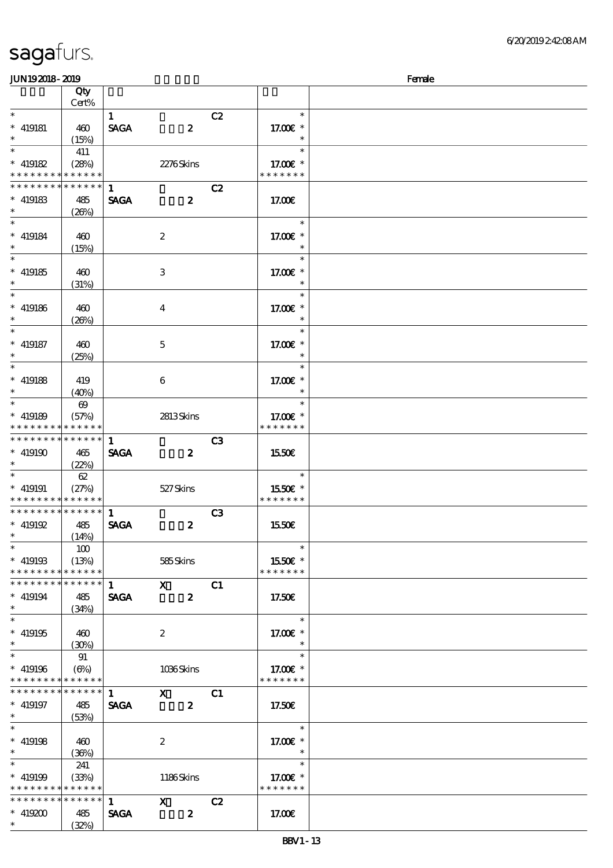| <b>JUN192018-2019</b>                      |                            |                             |                  |                |                           | Female |
|--------------------------------------------|----------------------------|-----------------------------|------------------|----------------|---------------------------|--------|
|                                            | Qty                        |                             |                  |                |                           |        |
|                                            | Cert%                      |                             |                  |                |                           |        |
| $\ast$                                     |                            | $\mathbf{1}$                |                  | C2             | $\ast$                    |        |
| $* 419181$<br>$\ast$                       | 460<br>(15%)               | <b>SAGA</b>                 | $\boldsymbol{z}$ |                | 17.00 £*<br>$\ast$        |        |
| $\ast$                                     | 411                        |                             |                  |                | $\ast$                    |        |
| $* 419182$                                 | (28%)                      |                             | 2276Skins        |                | 17.00€ *                  |        |
| * * * * * * * * * * * * * *                |                            |                             |                  |                | * * * * * * *             |        |
| * * * * * * * *                            | ******                     | $\mathbf{1}$                |                  | C2             |                           |        |
| $*$ 419183                                 | 485                        | <b>SAGA</b>                 | $\boldsymbol{z}$ |                | 17.00E                    |        |
| $\ast$                                     | (20%)                      |                             |                  |                |                           |        |
| $\ast$                                     |                            |                             |                  |                | $\ast$                    |        |
| $*$ 419184                                 | 460                        |                             | $\boldsymbol{2}$ |                | 17.00 £*                  |        |
| $\ast$                                     | (15%)                      |                             |                  |                | $\ast$                    |        |
| $\ast$                                     |                            |                             |                  |                | $\ast$                    |        |
| $* 419185$<br>$\ast$                       | 460                        |                             | $\,3$            |                | 17.00 £*<br>$\ast$        |        |
| $\ast$                                     | (31%)                      |                             |                  |                | $\ast$                    |        |
| $* 419186$                                 | 460                        |                             | $\bf{4}$         |                | 17.00 £*                  |        |
| $\ast$                                     | (20%)                      |                             |                  |                | $\ast$                    |        |
| $\ast$                                     |                            |                             |                  |                | $\ast$                    |        |
| $*$ 419187                                 | 460                        |                             | $\mathbf{5}$     |                | 17.00 £*                  |        |
| $\ast$                                     | (25%)                      |                             |                  |                | $\ast$                    |        |
| $\ast$                                     |                            |                             |                  |                | $\ast$                    |        |
| $*$ 419188                                 | 419                        |                             | 6                |                | 17.00 £*                  |        |
| $\ast$                                     | (40%)                      |                             |                  |                | $\ast$                    |        |
| $\overline{\ast}$                          | $\boldsymbol{\omega}$      |                             |                  |                | $\ast$                    |        |
| $* 419189$                                 | (57%)                      |                             | 2813Skins        |                | 17.00 £*<br>* * * * * * * |        |
| * * * * * * * *<br>* * * * * * * *         | * * * * * *<br>* * * * * * | $\mathbf{1}$                |                  |                |                           |        |
| $* 419190$                                 | 465                        | <b>SAGA</b>                 | $\boldsymbol{2}$ | C <sub>3</sub> | 1550€                     |        |
| $\ast$                                     | (22%)                      |                             |                  |                |                           |        |
| $\ast$                                     | 62                         |                             |                  |                | $\ast$                    |        |
| $*$ 419191                                 | (27%)                      |                             | 527Skins         |                | 1550E *                   |        |
| * * * * * * * * <mark>* * * * * * *</mark> |                            |                             |                  |                | * * * * * * *             |        |
| * * * * * * * * * * * * * *                |                            | $\mathbf{1}$                |                  | C3             |                           |        |
| $* 419192$                                 | 485                        | <b>SAGA</b>                 | $\boldsymbol{z}$ |                | 1550€                     |        |
| $\ast$<br>$\overline{\phantom{a}}$         | (14%)                      |                             |                  |                |                           |        |
|                                            | 100                        |                             |                  |                | $\ast$                    |        |
| $* 419193$<br>* * * * * * * * * * * * * *  | (13%)                      |                             | 585Skins         |                | 1550€ *<br>* * * * * * *  |        |
| ******** <mark>******</mark>               |                            |                             | $\mathbf{x}$     |                |                           |        |
| $* 419194$                                 | 485                        | $\mathbf{1}$<br><b>SAGA</b> | $\boldsymbol{z}$ | C1             | 17.50€                    |        |
| $\ast$                                     | (34%)                      |                             |                  |                |                           |        |
| $\ast$                                     |                            |                             |                  |                | $\ast$                    |        |
| $* 419195$                                 | 460                        |                             | $\boldsymbol{2}$ |                | 17.00 £*                  |        |
| $\ast$                                     | (30%)                      |                             |                  |                | $\ast$                    |        |
| $\ast$                                     | 91                         |                             |                  |                | $\ast$                    |        |
| $* 419196$                                 | (6%)                       |                             | 1036Skins        |                | 17.00 £*                  |        |
| * * * * * * * * * * * * * *                |                            |                             |                  |                | * * * * * * *             |        |
| $* * * * * * * * *$<br>$*$ 419197          | $******$                   | 1                           | $\mathbf{x}$     | C1             |                           |        |
| $\ast$                                     | 485<br>(53%)               | <b>SAGA</b>                 | $\boldsymbol{z}$ |                | 17.50€                    |        |
| $\ast$                                     |                            |                             |                  |                | $\ast$                    |        |
| $* 419198$                                 | 460                        |                             | $\boldsymbol{2}$ |                | 17.00 £*                  |        |
| $\ast$                                     | (36%)                      |                             |                  |                | $\ast$                    |        |
| $\ast$                                     | 241                        |                             |                  |                | $\ast$                    |        |
| $* 419199$                                 | (33%)                      |                             | 1186Skins        |                | 17.00 £*                  |        |
| * * * * * * * * * * * * * *                |                            |                             |                  |                | * * * * * * *             |        |
| * * * * * * * * * * * * * * *              |                            | $\mathbf{1}$                | $\mathbf{X}$     | C2             |                           |        |
| $* 419200$<br>$\ast$                       | 485                        | <b>SAGA</b>                 | $\boldsymbol{z}$ |                | 17.00€                    |        |
|                                            | (32%)                      |                             |                  |                |                           |        |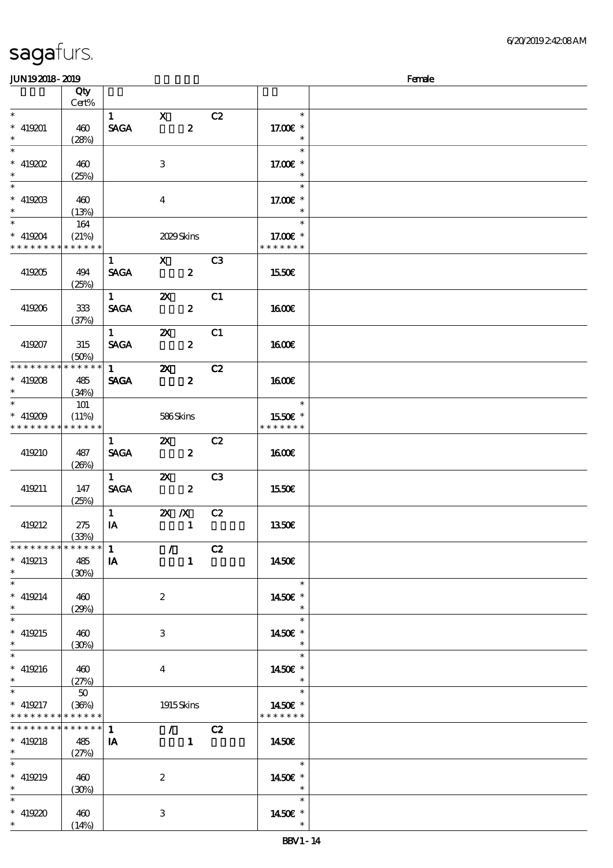| <b>saga</b> furs. |  |
|-------------------|--|
|                   |  |

| <b>JUN192018-2019</b>                                                           |                                    |                                       |                                 |                  |                |                                     | Female |
|---------------------------------------------------------------------------------|------------------------------------|---------------------------------------|---------------------------------|------------------|----------------|-------------------------------------|--------|
|                                                                                 | Qty<br>Cert%                       |                                       |                                 |                  |                |                                     |        |
| $\overline{\phantom{0}}$<br>$* 419201$<br>$\ast$                                | 460<br>(28%)                       | $\mathbf{1}$<br><b>SAGA</b>           | $\mathbf{X}$                    | $\boldsymbol{z}$ | C2             | $\ast$<br>17.00 £*<br>$\ast$        |        |
| $\overline{\ast}$<br>$*$ 419202<br>$*$                                          | 460<br>(25%)                       |                                       | 3                               |                  |                | $\ast$<br>17.00€ *<br>$\ast$        |        |
| $\ast$<br>$\hspace{0.1cm}^*$ 419203<br>$\ast$                                   | 460<br>(13%)                       |                                       | $\overline{\mathbf{4}}$         |                  |                | $\ast$<br>17.00 £*<br>$\ast$        |        |
| $\ast$<br>$* 419204$<br>* * * * * * * *                                         | 164<br>(21%)<br>* * * * * *        |                                       | 2029Skins                       |                  |                | $\ast$<br>17.00 £*<br>* * * * * * * |        |
| 419205                                                                          | 494<br>(25%)                       | $\mathbf{1}$<br><b>SAGA</b>           | $\mathbf{x}$                    | $\boldsymbol{2}$ | C <sub>3</sub> | 1550€                               |        |
| 419206                                                                          | $333$<br>(37%)                     | $1 \quad \blacksquare$<br><b>SAGA</b> | $\boldsymbol{\mathsf{Z}}$       | $\boldsymbol{z}$ | C1             | 1600E                               |        |
| 419207                                                                          | 315<br>(50%)                       | $\mathbf{1}$<br><b>SACA</b>           | $\boldsymbol{\mathsf{Z}}$       | $\boldsymbol{z}$ | C1             | <b>1600€</b>                        |        |
| * * * * * * * *<br>$* 419208$<br>$\ast$                                         | * * * * * *<br>485<br>(34%)        | $1 \quad \blacksquare$<br><b>SAGA</b> | $\boldsymbol{\mathsf{X}}$       | $\boldsymbol{z}$ | C2             | 1600E                               |        |
| $\overline{\ast}$<br>$* 419209$<br>* * * * * * * *                              | <b>101</b><br>(11%)<br>* * * * * * |                                       | 586Skins                        |                  |                | $\ast$<br>1550E *<br>* * * * * * *  |        |
| 419210                                                                          | 487<br>(20%)                       | $\mathbf{1}$<br><b>SAGA</b>           | $\boldsymbol{\mathsf{Z}}$       | $\boldsymbol{z}$ | C2             | <b>1600€</b>                        |        |
| 419211                                                                          | 147<br>(25%)                       | $1 \quad$<br><b>SAGA</b>              | $\boldsymbol{\mathsf{X}}$       | $\boldsymbol{z}$ | C <sub>3</sub> | <b>1550€</b>                        |        |
| 419212                                                                          | 275<br>(33%)                       | $\mathbf{1}$<br>IA                    | $X$ $N$                         | $\mathbf{1}$     | C2             | <b>1350€</b>                        |        |
| * * * * * * * *<br>$* 419213$<br>$*$                                            | ******<br>485<br>(30%)             | $\mathbf{1}$<br><b>IA</b>             | $\prime$                        | $\mathbf{1}$     | C2             | 1450€                               |        |
| $\overline{\ast}$<br>$* 419214$<br>$*$                                          | 460<br>(29%)                       |                                       | $\boldsymbol{z}$                |                  |                | $\ast$<br>1450€ *<br>$\ast$         |        |
| $\overline{\phantom{0}}$<br>$* 419215$<br>$\ast$                                | 460<br>(30%)                       |                                       | 3                               |                  |                | $\ast$<br>1450€ *<br>$\ast$         |        |
| $\overline{\phantom{a}^*}$<br>$* 419216$<br>$\ast$                              | 460<br>(27%)                       |                                       | $\bf{4}$                        |                  |                | $\ast$<br>1450€ *<br>$\ast$         |        |
| $\overline{\ast}$<br>$* 419217$<br>* * * * * * * *                              | 50<br>(36%)<br>* * * * * *         |                                       | 1915Skins                       |                  |                | $\ast$<br>1450E *<br>* * * * * * *  |        |
| * * * * * * *<br>$* 419218$<br>$\begin{array}{ccc} \ast & & \\ & & \end{array}$ | * * * * * *<br>485<br>(27%)        | $\mathbf{1}$<br>IA                    | $\mathcal{F}$ and $\mathcal{F}$ | $\blacksquare$   | C2             | 1450€                               |        |
| $\ast$<br>$* 419219$<br>$*$                                                     | 460<br>(30%)                       |                                       | $\boldsymbol{2}$                |                  |                | $\ast$<br>1450 £*<br>$\ast$         |        |
| $\ast$<br>$* 419220$<br>$*$                                                     | 460<br>(14%)                       |                                       | 3                               |                  |                | $\ast$<br>1450€ *<br>$\ast$         |        |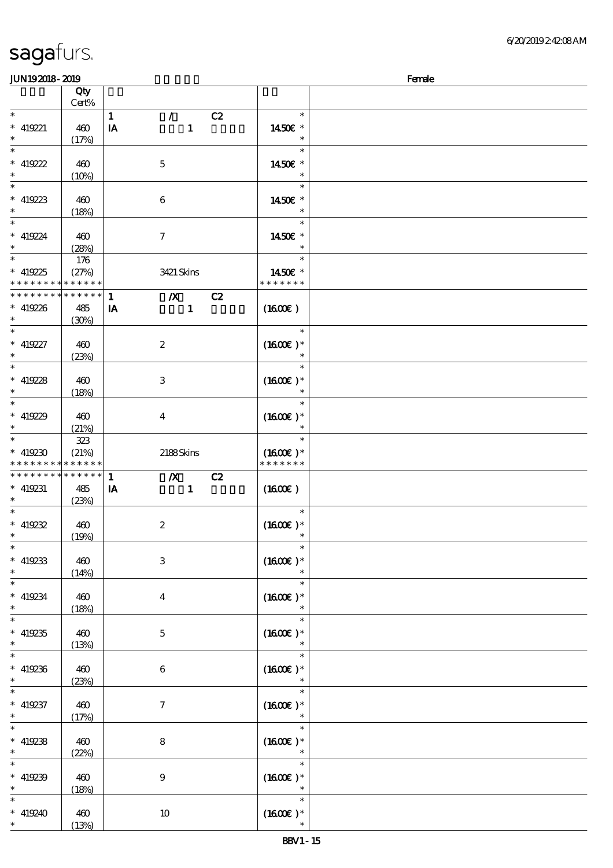| <b>saga</b> furs. |  |
|-------------------|--|
|                   |  |

### $J<sub>EM10</sub>$   $2010$   $F<sub>em10</sub>$

| ມມາດຕາດ- ແນດ                                                                             |                 |                                  |                                | ra ac |
|------------------------------------------------------------------------------------------|-----------------|----------------------------------|--------------------------------|-------|
|                                                                                          | Qty<br>Cert%    |                                  |                                |       |
|                                                                                          |                 |                                  |                                |       |
| $\ast$                                                                                   |                 | $\mathbf{1}$<br>$\mathcal{L}$    | C2<br>$\ast$                   |       |
| $* 419221$                                                                               | 460             | $\mathbf{1}$<br>IA               | 1450€ *                        |       |
| $\ast$                                                                                   | (17%)           |                                  | $\ast$                         |       |
| $\ast$                                                                                   |                 |                                  | $\ast$                         |       |
|                                                                                          |                 |                                  |                                |       |
| * 419222                                                                                 | 460             | $\mathbf 5$                      | 1450€ *                        |       |
| $\ast$                                                                                   | (10%)           |                                  | $\ast$                         |       |
| $\ast$                                                                                   |                 |                                  | $\ast$                         |       |
| $*$ 419223                                                                               | 460             | 6                                | 1450E *                        |       |
| $\ast$                                                                                   |                 |                                  |                                |       |
|                                                                                          | (18%)           |                                  |                                |       |
| $\ast$                                                                                   |                 |                                  | $\ast$                         |       |
| $* 419224$                                                                               | 460             | $\boldsymbol{\tau}$              | 1450€ *                        |       |
| $*$                                                                                      | (28%)           |                                  | $\ast$                         |       |
| $\ast$                                                                                   | 176             |                                  | $\ast$                         |       |
|                                                                                          |                 |                                  |                                |       |
| $* 419225$                                                                               | (27%)           | 3421 Skins                       | 1450€ *                        |       |
| * * * * * * * * <mark>* * * * * * *</mark>                                               |                 |                                  | * * * * * * *                  |       |
| * * * * * * * *                                                                          | $* * * * * * *$ | $\mathbf{1}$<br>$\boldsymbol{X}$ | C2                             |       |
| $* 419226$                                                                               | 485             | $\mathbf{1}$<br>IA               | (1600)                         |       |
| $*$                                                                                      | (30%)           |                                  |                                |       |
| $\overline{\ast}$                                                                        |                 |                                  | $\ast$                         |       |
|                                                                                          |                 |                                  |                                |       |
| $* 419227$                                                                               | 460             | $\boldsymbol{2}$                 | $(1600E)*$                     |       |
| $*$                                                                                      | (23%)           |                                  | $\ast$                         |       |
| $\ast$                                                                                   |                 |                                  | $\ast$                         |       |
|                                                                                          |                 |                                  | $(1600E)*$                     |       |
| * $419228$                                                                               | 460             | 3                                |                                |       |
| $\ast$                                                                                   | (18%)           |                                  | $\ast$                         |       |
|                                                                                          |                 |                                  | $\ast$                         |       |
| * 419229                                                                                 | 460             | $\bf{4}$                         | $(1600E)*$                     |       |
| $\ast$                                                                                   | (21%)           |                                  |                                |       |
| $*$                                                                                      |                 |                                  | $\ast$                         |       |
|                                                                                          | 323             |                                  |                                |       |
| $* 419230$                                                                               | (21%)           | 2188Skins                        | $(1600E)*$                     |       |
| * * * * * * * * <mark>* * * * * * *</mark>                                               |                 |                                  | * * * * * * *                  |       |
| * * * * * * * *                                                                          | * * * * * *     | $\boldsymbol{X}$<br>$\mathbf{1}$ | C2                             |       |
| $* 419231$                                                                               | 485             | $\mathbf{1}$<br>IA               | (1600E)                        |       |
| $\ast$                                                                                   |                 |                                  |                                |       |
| $\ast$                                                                                   | (23%)           |                                  |                                |       |
|                                                                                          |                 |                                  | $\ast$                         |       |
| * $419232$                                                                               | 460             | $\boldsymbol{z}$                 | $(1600E)*$                     |       |
| $*$                                                                                      | (19%)           |                                  | $\ast$                         |       |
| $\ast$                                                                                   |                 |                                  | $\ast$                         |       |
| $*$ 419233                                                                               | 460             | $\,3$                            | $(1600\epsilon)*$              |       |
|                                                                                          |                 |                                  |                                |       |
| $\ast$                                                                                   | (14%)           |                                  | $\ast$                         |       |
| $\ast$                                                                                   |                 |                                  | $\ast$                         |       |
| $* 419234$                                                                               | 460             | $\boldsymbol{4}$                 | $(1600E)*$                     |       |
| $\ast$                                                                                   | (18%)           |                                  | $\ast$                         |       |
| $\ast$                                                                                   |                 |                                  | $\ast$                         |       |
|                                                                                          |                 |                                  | $(1600)$ *                     |       |
| $*$ 419235                                                                               |                 |                                  |                                |       |
|                                                                                          | 460             | $\mathbf 5$                      |                                |       |
| $\ast$                                                                                   | (13%)           |                                  |                                |       |
| $\overline{\ast}$                                                                        |                 |                                  | $\ast$                         |       |
|                                                                                          |                 |                                  |                                |       |
| $* 419236$                                                                               | 460             | $\,6$                            | $(1600E)*$                     |       |
| $\ast$                                                                                   | (23%)           |                                  |                                |       |
| $\overline{\ast}$                                                                        |                 |                                  | $\ast$                         |       |
|                                                                                          | 460             | $\boldsymbol{7}$                 | $(1600E)*$                     |       |
|                                                                                          |                 |                                  |                                |       |
|                                                                                          | (17%)           |                                  | $\ast$                         |       |
|                                                                                          |                 |                                  |                                |       |
|                                                                                          | 460             | $\bf 8$                          | $(1600E)*$                     |       |
|                                                                                          | (22%)           |                                  |                                |       |
|                                                                                          |                 |                                  | $\ast$                         |       |
|                                                                                          |                 |                                  |                                |       |
|                                                                                          | 460             | $\boldsymbol{9}$                 | $(1600E)*$<br>$\ast$           |       |
| $* 419237$<br>$\ast$<br>$\ast$<br>$* 419238$<br>$\ast$<br>$\ast$<br>$* 419239$<br>$\ast$ | (18%)           |                                  |                                |       |
| $\ast$                                                                                   |                 |                                  | $\ast$                         |       |
| $* 419240$<br>$\ast$                                                                     | 460<br>(13%)    | $10\,$                           | $(1600\varepsilon)*$<br>$\ast$ |       |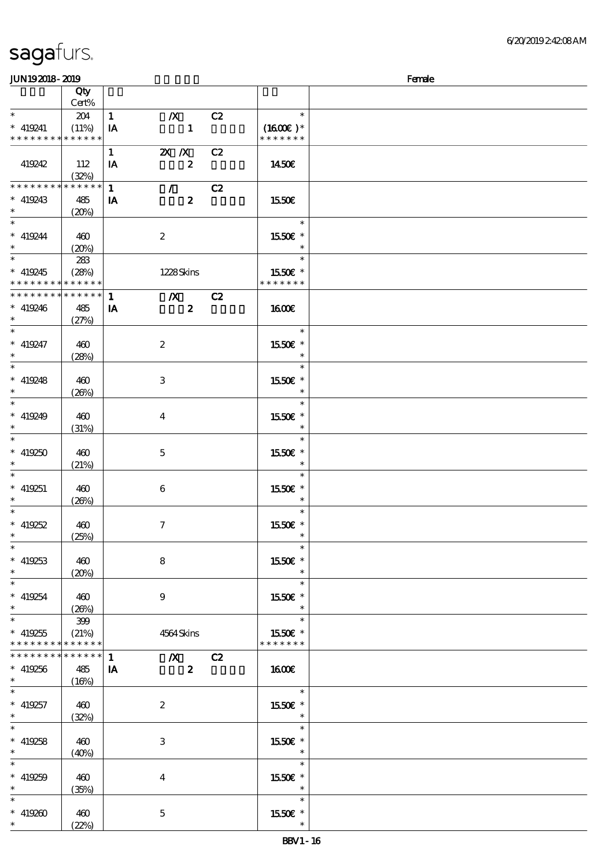### $JUN192018 - 2019$  Female

|                                          | Qty<br>Cert% |              |                                   |    |               |  |
|------------------------------------------|--------------|--------------|-----------------------------------|----|---------------|--|
|                                          |              |              |                                   |    |               |  |
| $\ast$                                   | 204          | $\mathbf{1}$ | $\boldsymbol{X}$                  | C2 | $\ast$        |  |
| $* 419241$                               | (11%)        | IA           | $\mathbf{1}$                      |    | $(1600E)*$    |  |
| * * * * * * * * * * * * * *              |              |              |                                   |    | * * * * * * * |  |
|                                          |              |              |                                   |    |               |  |
|                                          |              | $\mathbf{1}$ | $X$ $X$                           | C2 |               |  |
| 419242                                   | 112          | IA           | $\boldsymbol{z}$                  |    | 1450E         |  |
|                                          | (32%)        |              |                                   |    |               |  |
| ********                                 | * * * * * *  |              |                                   |    |               |  |
|                                          |              | $\mathbf{1}$ | $\mathcal{T} \subset \mathcal{I}$ | C2 |               |  |
| $* 419243$                               | 485          | IA           | $\boldsymbol{z}$                  |    | 1550€         |  |
| $*$                                      | (20%)        |              |                                   |    |               |  |
| $\ast$                                   |              |              |                                   |    | $\ast$        |  |
|                                          |              |              |                                   |    |               |  |
| $* 419244$                               | 460          |              | $\boldsymbol{z}$                  |    | 1550E *       |  |
| $*$ $*$                                  | (20%)        |              |                                   |    | $\ast$        |  |
|                                          | 283          |              |                                   |    | $\ast$        |  |
|                                          |              |              |                                   |    |               |  |
| $* 419245$                               | (28%)        |              | 1228Skins                         |    | 1550E *       |  |
| * * * * * * * * <mark>* * * * * *</mark> |              |              |                                   |    | * * * * * * * |  |
| * * * * * * * * * * * * * *              |              | $\mathbf{1}$ | $\mathbf{X}$                      | C2 |               |  |
|                                          |              |              |                                   |    |               |  |
| $* 419246$                               | 485          | IA           | $\boldsymbol{z}$                  |    | 1600E         |  |
| $\ast$                                   | (27%)        |              |                                   |    |               |  |
| $\ast$                                   |              |              |                                   |    | $\ast$        |  |
| $* 419247$                               | 460          |              | $\boldsymbol{2}$                  |    | 1550€ *       |  |
|                                          |              |              |                                   |    |               |  |
| $\ast$                                   | (28%)        |              |                                   |    |               |  |
| $\overline{\phantom{1}}$                 |              |              |                                   |    | $\ast$        |  |
| $* 419248$                               | 460          |              | $\ensuremath{\mathsf{3}}$         |    | 1550E *       |  |
|                                          |              |              |                                   |    |               |  |
| $\ast$                                   | (20%)        |              |                                   |    |               |  |
| $\ast$                                   |              |              |                                   |    | $\ast$        |  |
| $* 419249$                               | 460          |              | $\bf{4}$                          |    | 1550E *       |  |
| $\ast$                                   |              |              |                                   |    | $\ast$        |  |
|                                          | (31%)        |              |                                   |    |               |  |
| $\ast$                                   |              |              |                                   |    | $\ast$        |  |
| $* 419250$                               | 460          |              | $\mathbf 5$                       |    | 1550E *       |  |
|                                          | (21%)        |              |                                   |    |               |  |
|                                          |              |              |                                   |    |               |  |
| $\ast$                                   |              |              |                                   |    | $\ast$        |  |
| $* 419251$                               | 460          |              | $\boldsymbol{6}$                  |    | 1550E *       |  |
| $\ast$                                   | (20%)        |              |                                   |    | $\ast$        |  |
| $\ast$                                   |              |              |                                   |    | $\ast$        |  |
|                                          |              |              |                                   |    |               |  |
| $* 419252$                               | 460          |              | $\tau$                            |    | 1550E *       |  |
| $\ast$                                   | (25%)        |              |                                   |    | $\ast$        |  |
| $\ast$                                   |              |              |                                   |    | $\ast$        |  |
|                                          |              |              |                                   |    |               |  |
| $* 419253$                               | 460          |              | 8                                 |    | 1550€ *       |  |
| $\ast$                                   | (20%)        |              |                                   |    |               |  |
| $\ast$                                   |              |              |                                   |    | $\ast$        |  |
| $* 419254$                               |              |              |                                   |    |               |  |
|                                          | 460          |              | 9                                 |    | 1550E *       |  |
| $\ast$                                   | (20%)        |              |                                   |    |               |  |
| $\overline{\ast}$                        | 399          |              |                                   |    | $\ast$        |  |
| $* 419255$                               | (21%)        |              | 4564 Skins                        |    | 1550E *       |  |
| * * * * * * * * * * * * * *              |              |              |                                   |    | * * * * * * * |  |
|                                          |              |              |                                   |    |               |  |
| * * * * * * * * * * * * * *              |              | $\mathbf{1}$ | $X$ $C2$                          |    |               |  |
| $* 419256$                               | 485          | IA           | $\boldsymbol{z}$                  |    | <b>160€</b>   |  |
| $\ast$                                   | (16%)        |              |                                   |    |               |  |
| $\ast$                                   |              |              |                                   |    | $\ast$        |  |
|                                          |              |              |                                   |    |               |  |
| $* 419257$                               | 460          |              | $\boldsymbol{2}$                  |    | 1550E *       |  |
| $\ast$                                   | (32%)        |              |                                   |    | $\ast$        |  |
| $\ast$                                   |              |              |                                   |    | $\ast$        |  |
|                                          |              |              |                                   |    |               |  |
| $* 419258$                               | 460          |              | 3                                 |    | 1550E *       |  |
| $\ast$                                   | (40%)        |              |                                   |    | $\ast$        |  |
| $\ast$                                   |              |              |                                   |    | $\ast$        |  |
|                                          |              |              |                                   |    |               |  |
| $* 419259$                               | 460          |              | $\bf{4}$                          |    | 1550E *       |  |
| $\ast$                                   | (35%)        |              |                                   |    | $\ast$        |  |
| $\ast$                                   |              |              |                                   |    | $\ast$        |  |
| $* 419200$                               | 460          |              | $\mathbf 5$                       |    | 1550E *       |  |
|                                          |              |              |                                   |    | $\ast$        |  |
| $\ast$                                   | (22%)        |              |                                   |    |               |  |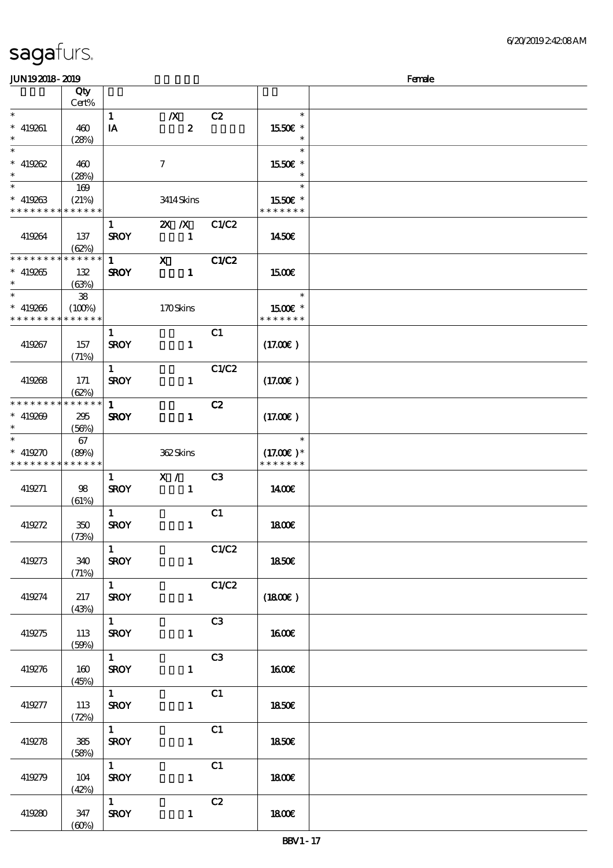| <b>JUN192018-2019</b> |             |                        |                  |                |                     | Female |
|-----------------------|-------------|------------------------|------------------|----------------|---------------------|--------|
|                       | Qty         |                        |                  |                |                     |        |
|                       | Cert%       |                        |                  |                |                     |        |
| $\ast$                |             | $\mathbf{1}$           | $\boldsymbol{X}$ | C2             | $\ast$              |        |
| $* 419261$            | 460         | IA                     | $\boldsymbol{z}$ |                | 1550E *             |        |
| $\ast$                | (28%)       |                        |                  |                | $\ast$              |        |
| $\overline{\ast}$     |             |                        |                  |                | $\ast$              |        |
| $* 419262$            | 460         |                        | $\tau$           |                | 1550€ *             |        |
| $\ast$                |             |                        |                  |                | $\ast$              |        |
| $\overline{\ast}$     | (28%)       |                        |                  |                |                     |        |
|                       | 169         |                        |                  |                | $\ast$              |        |
| $* 419263$            | (21%)       |                        | 3414 Skins       |                | 1550E *             |        |
| * * * * * * * *       | * * * * * * |                        |                  |                | * * * * * * *       |        |
|                       |             | $\mathbf{1}$           | $X$ $N$          | C1/C2          |                     |        |
| 419264                | 137         | <b>SROY</b>            | $\mathbf{1}$     |                | 1450E               |        |
|                       | (62%)       |                        |                  |                |                     |        |
| * * * * * * * *       | * * * * * * | $\mathbf{1}$           | $\mathbf{x}$     | C1/C2          |                     |        |
| $* 419265$            | 132         | <b>SROY</b>            | $\mathbf{1}$     |                | <b>1500€</b>        |        |
| $\ast$                | (63%)       |                        |                  |                |                     |        |
| $\ast$                | ${\bf 38}$  |                        |                  |                | $\ast$              |        |
| $* 419266$            | (100%)      |                        | 170Skins         |                | 1500€ *             |        |
| * * * * * * * *       | * * * * * * |                        |                  |                | * * * * * * *       |        |
|                       |             | $\mathbf{1}$           |                  | C1             |                     |        |
|                       |             |                        |                  |                |                     |        |
| 419267                | 157         | <b>SROY</b>            | $\mathbf{1}$     |                | (17.00)             |        |
|                       | (71%)       |                        |                  |                |                     |        |
|                       |             | $\mathbf{1}$           |                  | C1/C2          |                     |        |
| 419268                | 171         | <b>SROY</b>            | $\mathbf{1}$     |                | (17.00)             |        |
|                       | (62%)       |                        |                  |                |                     |        |
| * * * * * * * *       | * * * * * * | $\mathbf{1}$           |                  | C2             |                     |        |
| $* 419209$            | 295         | <b>SROY</b>            | $\mathbf{1}$     |                | (17.00)             |        |
| $\ast$                | (56%)       |                        |                  |                |                     |        |
| $\ast$                | 67          |                        |                  |                | $\ast$              |        |
| $* 419270$            | (80%)       |                        | 362Skins         |                | $(17.00)$ *         |        |
| * * * * * * * *       | * * * * * * |                        |                  |                | * * * * * * *       |        |
|                       |             | $\mathbf{1}$           | X /              | C <sub>3</sub> |                     |        |
|                       |             | <b>SROY</b>            | $\mathbf{1}$     |                | 1400E               |        |
| 419271                | 98          |                        |                  |                |                     |        |
|                       | (61%)       |                        |                  |                |                     |        |
|                       |             | $\mathbf{1}$           |                  | C1             |                     |        |
| 419272                | 350         | <b>SROY</b>            | $\mathbf{1}$     |                | 1800E               |        |
|                       | (73%)       |                        |                  |                |                     |        |
|                       |             | $\mathbf{1}$           |                  | C1/C2          |                     |        |
| 419273                | 340         | <b>SROY</b>            | $\mathbf{1}$     |                | 1850€               |        |
|                       | (71%)       |                        |                  |                |                     |        |
|                       |             | $1 \quad \square$      |                  | C1/C2          |                     |        |
| 419274                | 217         | <b>SROY</b>            | $\mathbf{1}$     |                | $(1800\varepsilon)$ |        |
|                       | (43%)       |                        |                  |                |                     |        |
|                       |             | $\overline{1}$         |                  | C3             |                     |        |
| 419275                | 113         | <b>SROY</b>            | $\mathbf{1}$     |                | <b>1600€</b>        |        |
|                       | (50%)       |                        |                  |                |                     |        |
|                       |             | $1 \quad \blacksquare$ |                  | C3             |                     |        |
|                       |             |                        |                  |                |                     |        |
| 419276                | 160         | <b>SROY</b>            | $\mathbf{1}$     |                | <b>160€</b>         |        |
|                       | (45%)       |                        |                  |                |                     |        |
|                       |             | $1 \quad$              |                  | C1             |                     |        |
| 419277                | 113         | <b>SROY</b>            | $\mathbf{1}$     |                | 1850E               |        |
|                       | (72%)       |                        |                  |                |                     |        |
|                       |             | $\overline{1}$         |                  | C1             |                     |        |
| 419278                | $385\,$     | <b>SROY</b>            | $\mathbf{1}$     |                | 1850E               |        |
|                       | (58%)       |                        |                  |                |                     |        |
|                       |             | $\overline{1}$         |                  | C1             |                     |        |
| 419279                | 104         | <b>SROY</b>            | $\mathbf{1}$     |                | 1800E               |        |
|                       | (42%)       |                        |                  |                |                     |        |
|                       |             | $\mathbf{1}$           |                  |                |                     |        |
|                       |             |                        |                  | C2             |                     |        |
| 419280                | 347         | <b>SROY</b>            | $\mathbf{1}$     |                | 1800E               |        |
|                       | (60%)       |                        |                  |                |                     |        |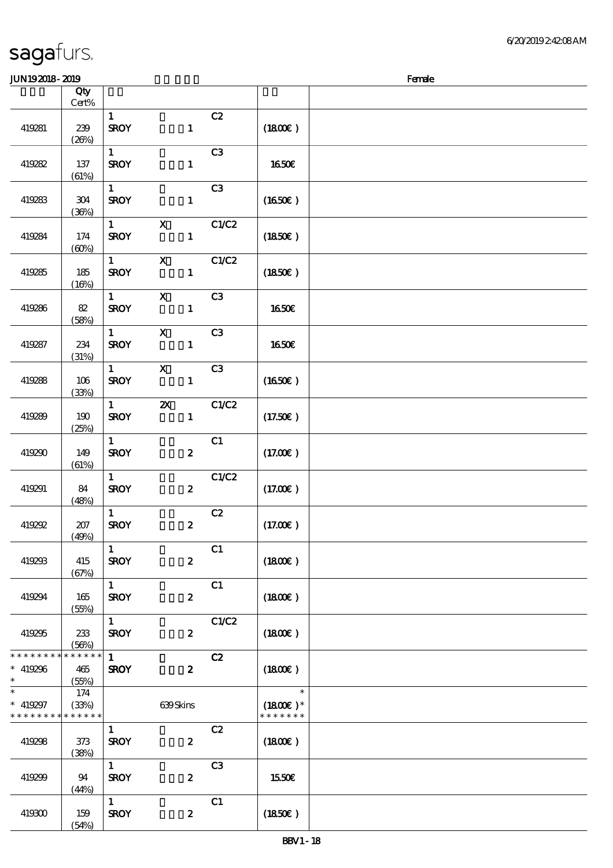| <b>JUN192018-2019</b>                                              |                |                             |                                           |                |                                       | Female |
|--------------------------------------------------------------------|----------------|-----------------------------|-------------------------------------------|----------------|---------------------------------------|--------|
|                                                                    | Qty            |                             |                                           |                |                                       |        |
|                                                                    | $Cert\%$       |                             |                                           |                |                                       |        |
| 419281                                                             | 239<br>(20%)   | $\mathbf{1}$<br><b>SROY</b> | $\mathbf{1}$                              | C2             | (1800)                                |        |
| 419282                                                             | 137<br>(61%)   | $\mathbf{1}$<br><b>SROY</b> | $\mathbf{1}$                              | C3             | <b>1650€</b>                          |        |
| 419283                                                             | 304<br>(36%)   | $\mathbf{1}$<br><b>SROY</b> | $\mathbf{1}$                              | C <sub>3</sub> | $(1650\epsilon)$                      |        |
| 419284                                                             | 174<br>(60%)   | $\mathbf{1}$<br><b>SROY</b> | $\mathbf X$<br>$\mathbf{1}$               | C1/C2          | (1850)                                |        |
| 419285                                                             | 185<br>(16%)   | $\mathbf{1}$<br><b>SROY</b> | $\boldsymbol{\mathsf{X}}$<br>$\mathbf{1}$ | C1/C2          | (1850)                                |        |
| 419286                                                             | 82<br>(58%)    | $\mathbf{1}$<br><b>SROY</b> | $\boldsymbol{\mathrm{X}}$<br>$\mathbf{1}$ | C <sub>3</sub> | <b>1650€</b>                          |        |
| 419287                                                             | 234<br>(31%)   | $\mathbf{1}$<br><b>SROY</b> | $\mathbf X$<br>$\mathbf{1}$               | C <sub>3</sub> | <b>1650€</b>                          |        |
| 419288                                                             | 106<br>(33%)   | $\mathbf{1}$<br><b>SROY</b> | $\boldsymbol{\mathsf{X}}$<br>$\mathbf{1}$ | C3             | $(1650\epsilon)$                      |        |
| 419289                                                             | 190<br>(25%)   | $1 -$<br><b>SROY</b>        | $\boldsymbol{\mathsf{z}}$<br>$\mathbf{1}$ | C1/C2          | (17.50)                               |        |
| 419290                                                             | 149<br>(61%)   | $\mathbf{1}$<br><b>SROY</b> | $\boldsymbol{z}$                          | C1             | (17.00)                               |        |
| 419291                                                             | 84<br>(48%)    | $\mathbf{1}$<br><b>SROY</b> | $\boldsymbol{z}$                          | C1/C2          | (17.00)                               |        |
| 419292                                                             | 207<br>(49%)   | $\mathbf{1}$<br><b>SROY</b> | $\boldsymbol{z}$                          | C2             | (17.00)                               |        |
| 419293                                                             | 415<br>(67%)   | $\mathbf{1}$<br><b>SROY</b> | $\boldsymbol{z}$                          | C1             | (1800)                                |        |
| 419294                                                             | 165<br>(55%)   | $1 \quad$<br><b>SROY</b>    | $\boldsymbol{z}$                          | C1             | (1800)                                |        |
| 419295                                                             | - 233<br>(56%) | $1 \quad$<br><b>SROY</b>    | $\boldsymbol{z}$                          | C1/C2          | $(1800\varepsilon)$                   |        |
| * * * * * * * * <mark>* * * * * *</mark> *<br>$* 419296$<br>$\ast$ | 465<br>(55%)   | $\mathbf{1}$<br><b>SROY</b> | $\boldsymbol{2}$                          | C2             | $(1800\epsilon)$                      |        |
| $\ast$<br>$* 419297$<br>* * * * * * * * * * * * * *                | 174<br>(33%)   |                             | 639Skins                                  |                | $\ast$<br>$(1800)$ *<br>* * * * * * * |        |
| 419298                                                             | 373<br>(38%)   | $\mathbf{1}$<br><b>SROY</b> | $\boldsymbol{z}$                          | C2             | (1800)                                |        |
| 419299                                                             | - 94<br>(44%)  | $1 -$<br><b>SROY</b>        | $\boldsymbol{z}$                          | C3             | 1550€                                 |        |
| 419300                                                             | 159<br>(54%)   | $1 \quad$<br><b>SROY</b>    | $\boldsymbol{z}$                          | C1             | $(1850\epsilon)$                      |        |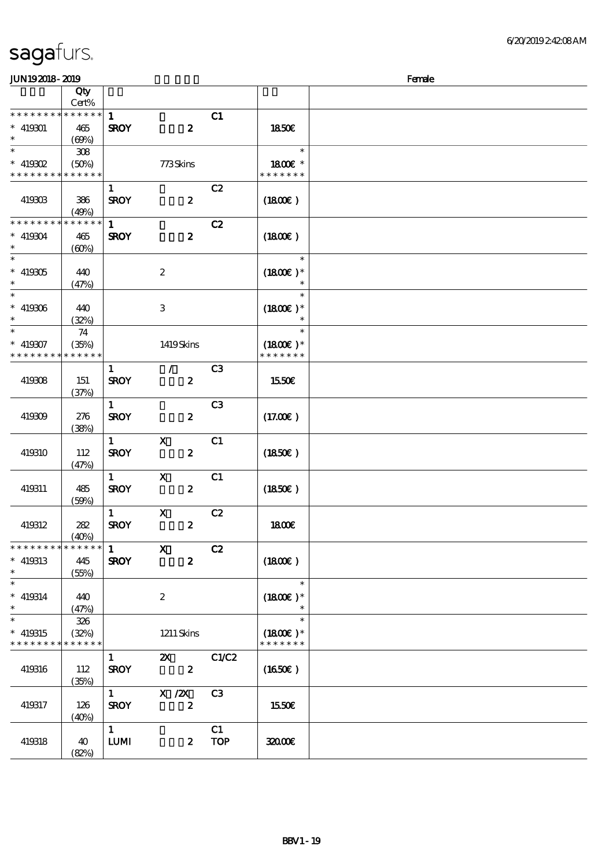| <b>JUN192018-2019</b>                     |                      |              |                           |                | Female           |  |  |  |
|-------------------------------------------|----------------------|--------------|---------------------------|----------------|------------------|--|--|--|
|                                           | Qty<br>Cert%         |              |                           |                |                  |  |  |  |
| * * * * * * * * * * * * * *               |                      | $\mathbf{1}$ |                           | C1             |                  |  |  |  |
| $* 419301$                                | 465                  | <b>SROY</b>  | $\boldsymbol{z}$          |                | 1850€            |  |  |  |
| $\ast$<br>$\ast$                          | (69%)                |              |                           |                | $\ast$           |  |  |  |
| $*$ 419802                                | 308<br>(50%)         |              | 773Skins                  |                | 1800€ *          |  |  |  |
| * * * * * * * * * * * * * *               |                      |              |                           |                | * * * * * * *    |  |  |  |
|                                           |                      | $\mathbf{1}$ |                           | C2             |                  |  |  |  |
| 419303                                    | 386                  | <b>SROY</b>  | $\boldsymbol{z}$          |                | (1800)           |  |  |  |
|                                           | (49%)                |              |                           |                |                  |  |  |  |
| * * * * * * * * * * * * * *<br>$* 419304$ |                      | $\mathbf{1}$ |                           | C2             |                  |  |  |  |
| $\ast$                                    | 465<br>(60%)         | <b>SROY</b>  | $\boldsymbol{2}$          |                | (1800)           |  |  |  |
| $\ast$                                    |                      |              |                           |                | $\ast$           |  |  |  |
| $* 419305$                                | 440                  |              | $\boldsymbol{2}$          |                | $(1800E)*$       |  |  |  |
| $\ast$                                    | (47%)                |              |                           |                | $\ast$           |  |  |  |
| $\ast$                                    |                      |              |                           |                | $\ast$           |  |  |  |
| $* 419306$<br>$\ast$                      | 440<br>(32%)         |              | 3                         |                | $(1800)$ *       |  |  |  |
| $_{*}$                                    | 74                   |              |                           |                | $\ast$           |  |  |  |
| $* 419307$                                | (35%)                |              | 1419Skins                 |                | $(1800)$ *       |  |  |  |
| * * * * * * * * <mark>* * * * * *</mark>  |                      |              |                           |                | * * * * * * *    |  |  |  |
|                                           |                      | $\mathbf{1}$ | $\mathcal{L}$             | C <sub>3</sub> |                  |  |  |  |
| 419308                                    | 151                  | <b>SROY</b>  | $\boldsymbol{z}$          |                | 1550€            |  |  |  |
|                                           | (37%)                | $\mathbf{1}$ |                           | C <sub>3</sub> |                  |  |  |  |
| 419309                                    | 276                  | <b>SROY</b>  | $\boldsymbol{z}$          |                | (17.00)          |  |  |  |
|                                           | (38%)                |              |                           |                |                  |  |  |  |
|                                           |                      | $\mathbf{1}$ | $\mathbf X$               | C1             |                  |  |  |  |
| 419310                                    | 112                  | <b>SROY</b>  | $\boldsymbol{z}$          |                | (1850)           |  |  |  |
|                                           | (47%)                | $\mathbf{1}$ | $\mathbf{x}$              | C1             |                  |  |  |  |
| 419311                                    | 485                  | <b>SROY</b>  | $\boldsymbol{z}$          |                | $(1850\epsilon)$ |  |  |  |
|                                           | (50%)                |              |                           |                |                  |  |  |  |
|                                           |                      | $\mathbf{1}$ | $\mathbf x$               | C2             |                  |  |  |  |
| 419312                                    | 282                  | <b>SROY</b>  | $\boldsymbol{z}$          |                | <b>1800€</b>     |  |  |  |
| * * * * * * * *                           | (40%)<br>* * * * * * | 1            | $\mathbf X$               | C2             |                  |  |  |  |
| $* 419313$                                | 445                  | <b>SROY</b>  | $\boldsymbol{z}$          |                | (1800)           |  |  |  |
| $\ast$                                    | (55%)                |              |                           |                |                  |  |  |  |
| $\ast$                                    |                      |              |                           |                | $\ast$           |  |  |  |
| $* 419314$<br>$\ast$                      | 440                  |              | $\boldsymbol{z}$          |                | $(1800E)*$       |  |  |  |
| $\overline{\ast}$                         | (47%)<br>326         |              |                           |                | $\ast$<br>$\ast$ |  |  |  |
| $* 419315$                                | (32%)                |              | $1211$ Skins              |                | $(1800E)*$       |  |  |  |
| * * * * * * * *                           | * * * * * *          |              |                           |                | * * * * * * *    |  |  |  |
|                                           |                      | $\mathbf{1}$ | $\boldsymbol{\mathsf{Z}}$ | C1/C2          |                  |  |  |  |
| 419316                                    | 112                  | <b>SROY</b>  | $\boldsymbol{2}$          |                | (1650E)          |  |  |  |
|                                           | (35%)                | $1 \quad$    | $X$ / $ZX$                | C3             |                  |  |  |  |
| 419317                                    | 126                  | <b>SROY</b>  | $\boldsymbol{z}$          |                | 1550€            |  |  |  |
|                                           | (40%)                |              |                           |                |                  |  |  |  |
|                                           |                      | $\mathbf{1}$ |                           | C1             |                  |  |  |  |
| 419318                                    | 40                   | LUM          | $\boldsymbol{z}$          | <b>TOP</b>     | 32000E           |  |  |  |
|                                           | (82%)                |              |                           |                |                  |  |  |  |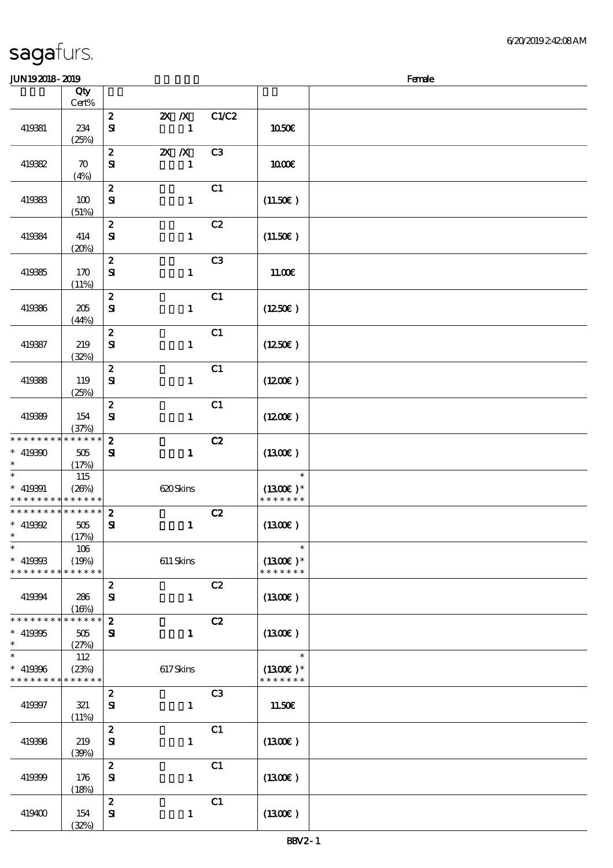| JUN192018-2019                                           |                            |                                  |                          |                |                             | Female |
|----------------------------------------------------------|----------------------------|----------------------------------|--------------------------|----------------|-----------------------------|--------|
|                                                          | Qty                        |                                  |                          |                |                             |        |
|                                                          | Cert%                      |                                  |                          |                |                             |        |
| 419381                                                   | 234                        | $\boldsymbol{z}$<br>$\mathbf{S}$ | $X \, X$<br>$\mathbf{1}$ | C1/C2          | 1050€                       |        |
|                                                          | (25%)                      |                                  |                          |                |                             |        |
|                                                          |                            | $\boldsymbol{z}$                 | $X$ $X$                  | C <sub>3</sub> |                             |        |
| 419382                                                   | $\boldsymbol{\pi}$<br>(4%) | ${\bf s}$                        | $\mathbf{1}$             |                | 1000E                       |        |
|                                                          |                            | $\boldsymbol{2}$                 |                          | C1             |                             |        |
| 419383                                                   | 100<br>(51%)               | ${\bf s}$                        | $\mathbf{1}$             |                | (11.50)                     |        |
|                                                          |                            | $\boldsymbol{z}$                 |                          | C2             |                             |        |
| 419384                                                   | 414<br>(20%)               | ${\bf s}$                        | $\mathbf{1}$             |                | (11.50)                     |        |
|                                                          |                            | $\boldsymbol{z}$                 |                          | C <sub>3</sub> |                             |        |
| 419385                                                   | 170                        | ${\bf s}$                        | $\mathbf{1}$             |                | 11.00E                      |        |
|                                                          | (11%)                      | $\boldsymbol{z}$                 |                          | C1             |                             |        |
| 419386                                                   | 205                        | $\mathbf{S}$                     | $\mathbf{1}$             |                | (1250E)                     |        |
|                                                          | (44%)                      | $\pmb{2}$                        |                          | C1             |                             |        |
| 419387                                                   | 219                        | $\mathbf{S}$                     | $\mathbf{1}$             |                | (1250)                      |        |
|                                                          | (32%)                      |                                  |                          |                |                             |        |
|                                                          |                            | $\boldsymbol{z}$                 |                          | C1             |                             |        |
| 419388                                                   | 119<br>(25%)               | ${\bf s}$                        | $\mathbf{1}$             |                | (1200E)                     |        |
|                                                          |                            | $\boldsymbol{2}$                 |                          | C1             |                             |        |
| 419389                                                   | 154<br>(37%)               | $\mathbf{S}$                     | $\mathbf{1}$             |                | $(1200\varepsilon)$         |        |
| * * * * * * * *                                          | * * * * * *                | $\boldsymbol{2}$                 |                          | C2             |                             |        |
| $* 419390$                                               | 505                        | ${\bf s}$                        | $\mathbf{I}$             |                | (1300)                      |        |
| $\ast$<br>$\ast$                                         | (17%)                      |                                  |                          |                | $\ast$                      |        |
| $* 419391$                                               | 115<br>(20%)               |                                  | 620Skins                 |                | $(1300E)*$                  |        |
| * * * * * * * * <mark>* * * * * * *</mark>               |                            |                                  |                          |                | * * * * * * *               |        |
| * * * * * * * * * * * * * * <mark>*</mark>               |                            | $\boldsymbol{z}$                 |                          | C2             |                             |        |
| * $419392$<br>$\ast$                                     | 505<br>(17%)               | $\mathbf{S}$                     | $\mathbf{1}$             |                | (1300)                      |        |
| $\ast$                                                   | 106                        |                                  |                          |                | $\ast$                      |        |
| $* 419368$<br>* * * * * * * *                            | (19%)<br>* * * * * *       |                                  | $611$ Skins              |                | $(1300E)*$<br>* * * * * * * |        |
|                                                          |                            | $\boldsymbol{z}$                 |                          | C2             |                             |        |
| 419394                                                   | 286<br>(16%)               | ${\bf s}$                        | $\mathbf{1}$             |                | (1300)                      |        |
| * * * * * * * *                                          | $*******$                  | $\boldsymbol{z}$                 |                          | C2             |                             |        |
| $* 419395$                                               | 505                        | ${\bf s}$                        | $\mathbf{1}$             |                | $(1300\epsilon)$            |        |
| $\ast$                                                   | (27%)                      |                                  |                          |                |                             |        |
| $\ast$                                                   | 112                        |                                  |                          |                | $\ast$                      |        |
| $* 419366$<br>* * * * * * * * <mark>* * * * * * *</mark> | (23%)                      |                                  | 617Skins                 |                | $(1300E)*$<br>* * * * * * * |        |
|                                                          |                            | $\boldsymbol{z}$                 |                          | C <sub>3</sub> |                             |        |
| 419397                                                   | 321<br>(11%)               | ${\bf s}$                        | $\mathbf{1}$             |                | 11.50€                      |        |
|                                                          |                            | $\boldsymbol{z}$                 |                          | C1             |                             |        |
| 419398                                                   | 219<br>(30%)               | ${\bf s}$                        | $\mathbf{1}$             |                | $(1300\epsilon)$            |        |
|                                                          |                            | $\boldsymbol{z}$                 |                          | C1             |                             |        |
| 419399                                                   | 176<br>(18%)               | ${\bf s}$                        | $\mathbf{1}$             |                | (1300E)                     |        |
|                                                          |                            | $\boldsymbol{z}$                 |                          | C1             |                             |        |
| 419400                                                   | 154                        | ${\bf s}$                        | $\mathbf{1}$             |                | (1300)                      |        |
|                                                          | (32%)                      |                                  |                          |                |                             |        |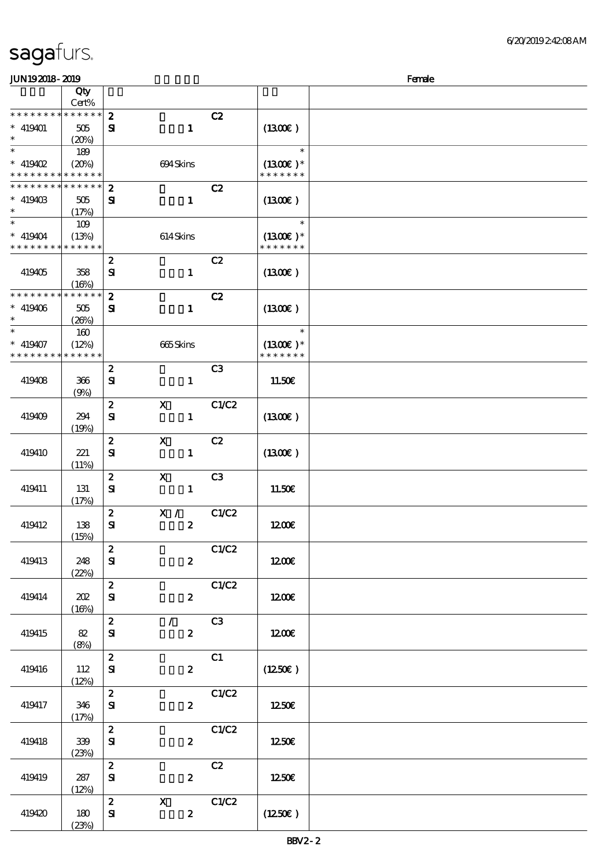| JUN192018-2019  |              |                                  |                           |       |               | Female |
|-----------------|--------------|----------------------------------|---------------------------|-------|---------------|--------|
|                 | Qty          |                                  |                           |       |               |        |
|                 | Cert%        |                                  |                           |       |               |        |
| * * * * * * * * | $******$     | $\boldsymbol{z}$                 |                           | C2    |               |        |
| $* 419401$      | 505          | ${\bf s}$                        | $\mathbf{1}$              |       | (1300E)       |        |
| $\ast$          | (20%)        |                                  |                           |       |               |        |
|                 | 189          |                                  |                           |       | $\ast$        |        |
| * $419402$      | (20%)        |                                  | 694Skins                  |       | $(1300E)*$    |        |
| * * * * * * * * | * * * * * *  |                                  |                           |       | * * * * * * * |        |
| * * * * * * * * | * * * * * *  | $\boldsymbol{z}$                 |                           | C2    |               |        |
| $*$ 419403      | 505          | ${\bf s}$                        | $\mathbf{1}$              |       | (1300)        |        |
| $\ast$          | (17%)        |                                  |                           |       |               |        |
| $\ast$          | 109          |                                  |                           |       | $\ast$        |        |
| $* 419404$      | (13%)        |                                  | 614Skins                  |       | $(1300E)*$    |        |
| * * * * * * * * | * * * * * *  |                                  |                           |       | * * * * * * * |        |
|                 |              | $\boldsymbol{z}$                 |                           | C2    |               |        |
| 419405          | 358          | ${\bf s}$                        | $\mathbf{1}$              |       | (1300)        |        |
|                 | (16%)        |                                  |                           |       |               |        |
| * * * * * * * * | * * * * * *  | $\mathbf{z}$                     |                           | C2    |               |        |
| $* 419406$      | 505          | ${\bf s}$                        | $\mathbf{1}$              |       | (1300E)       |        |
| $\ast$          | (20%)        |                                  |                           |       |               |        |
| $\ast$          | 160          |                                  |                           |       | $\ast$        |        |
| $* 419407$      | (12%)        |                                  | 665Skins                  |       | $(1300E)*$    |        |
| * * * * * * * * | * * * * * *  |                                  |                           |       | * * * * * * * |        |
|                 |              | $\boldsymbol{z}$                 |                           | C3    |               |        |
| 419408          | 366          | ${\bf s}$                        | $\mathbf{1}$              |       | 11.50E        |        |
|                 | (9%)         |                                  |                           |       |               |        |
|                 |              | $\boldsymbol{z}$                 | $\mathbf{x}$              | C1/C2 |               |        |
| 419409          | 294          | ${\bf s}$                        | $\mathbf{1}$              |       | (1300)        |        |
|                 | (19%)        |                                  |                           |       |               |        |
|                 |              | $\pmb{2}$                        | $\mathbf x$               | C2    |               |        |
| 419410          | 221          | ${\bf s}$                        | $\mathbf{1}$              |       | (1300)        |        |
|                 | (11%)        |                                  |                           |       |               |        |
|                 |              | $\boldsymbol{z}$                 | $\boldsymbol{\mathsf{X}}$ | C3    |               |        |
| 419411          | 131          | ${\bf s}$                        | $\mathbf{1}$              |       | 11.50E        |        |
|                 | (17%)        |                                  |                           |       |               |        |
|                 |              | $\boldsymbol{z}$<br>${\bf S\!I}$ | X /<br>$\boldsymbol{2}$   | C1/C2 |               |        |
| 419412          | 138<br>(15%) |                                  |                           |       | 1200E         |        |
|                 |              | $\boldsymbol{z}$                 |                           | C1/C2 |               |        |
| 419413          | 248          | ${\bf s}$                        | $\boldsymbol{2}$          |       | 1200          |        |
|                 | (22%)        |                                  |                           |       |               |        |
|                 |              | $\mathbf{z}$                     |                           | C1/C2 |               |        |
| 419414          | 202          | ${\bf s}$                        | $\boldsymbol{2}$          |       | 1200          |        |
|                 | (16%)        |                                  |                           |       |               |        |
|                 |              | $\mathbf{z}$                     | $\mathcal{F}$             | C3    |               |        |
| 419415          | 82           | ${\bf s}$                        | $\boldsymbol{z}$          |       | 1200E         |        |
|                 | (8%)         |                                  |                           |       |               |        |
|                 |              | $\boldsymbol{z}$                 |                           | C1    |               |        |
| 419416          | 112          | ${\bf s}$                        | $\boldsymbol{2}$          |       | (1250E)       |        |
|                 | (12%)        |                                  |                           |       |               |        |
|                 |              | $\mathbf{z}$                     |                           | C1/C2 |               |        |
| 419417          | 346          | ${\bf s}$                        | $\mathbf{z}$              |       | 1250          |        |
|                 | (17%)        |                                  |                           |       |               |        |
|                 |              | $\boldsymbol{z}$                 |                           | C1/C2 |               |        |
| 419418          | 339          | ${\bf S}$                        | $\boldsymbol{z}$          |       | 1250          |        |
|                 | (23%)        |                                  |                           |       |               |        |
|                 |              | $\boldsymbol{z}$                 |                           | C2    |               |        |
| 419419          | 287          | ${\bf S}$                        | $\boldsymbol{z}$          |       | 1250          |        |
|                 | (12%)        |                                  |                           |       |               |        |
|                 |              | $\mathbf{2}$                     | $\mathbf{x}$              | C1/C2 |               |        |
| 419420          | 180          | ${\bf s}$                        | $\boldsymbol{z}$          |       | (1250E)       |        |
|                 | (23%)        |                                  |                           |       |               |        |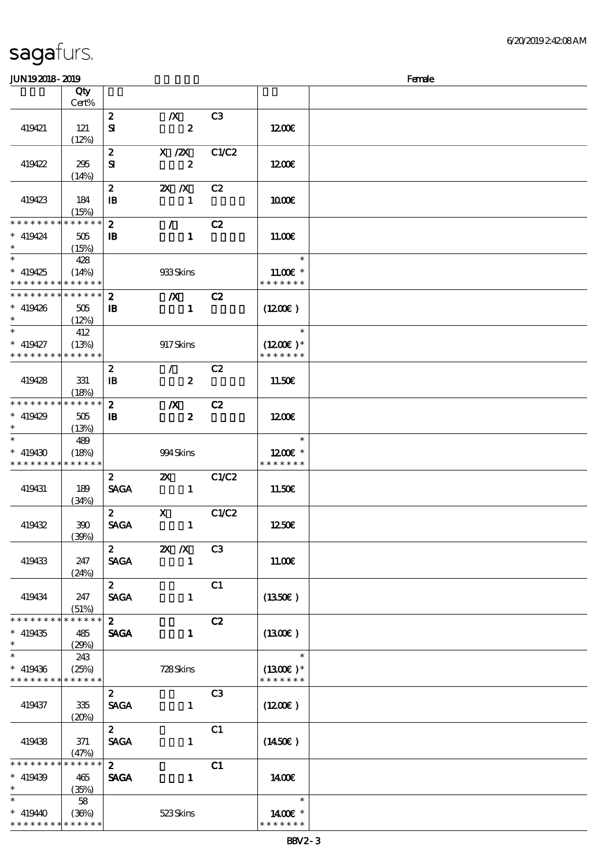### $J$ UN192018 - 2010  $J$

| JUIN IOAUIO- AUIO                                                   |                                            |                                  |                                           |                |                                       | ranac |
|---------------------------------------------------------------------|--------------------------------------------|----------------------------------|-------------------------------------------|----------------|---------------------------------------|-------|
|                                                                     | Qty<br>Cert%                               |                                  |                                           |                |                                       |       |
| 419421                                                              | 121<br>(12%)                               | $\boldsymbol{z}$<br>${\bf s}$    | $\boldsymbol{X}$<br>$\boldsymbol{z}$      | C3             | 1200                                  |       |
| 419422                                                              | 295<br>(14%)                               | $\boldsymbol{z}$<br>${\bf s}$    | $X \, /ZX$<br>$\boldsymbol{z}$            | C1/C2          | 1200                                  |       |
| 419423                                                              | 184<br>(15%)                               | $\boldsymbol{z}$<br>$\mathbf{B}$ | $X$ $X$<br>$\mathbf{1}$                   | C2             | 1000E                                 |       |
| * * * * * * * *<br>$* 419424$<br>$\ast$                             | * * * * * *<br>505<br>(15%)                | $\boldsymbol{z}$<br>$\mathbf{B}$ | $\mathcal{L}$<br>$\mathbf{1}$             | C2             | 11.00E                                |       |
| $* 419425$<br>* * * * * * * *                                       | 428<br>(14%)<br>* * * * * *                |                                  | 933Skins                                  |                | $\ast$<br>$11.00E$ *<br>* * * * * * * |       |
| * * * * * * * *<br>$* 419426$<br>$\ast$                             | $\ast\ast\ast\ast\ast\ast$<br>505<br>(12%) | $\mathbf{z}$<br>$\mathbf{B}$     | $\boldsymbol{X}$<br>$\mathbf{1}$          | C2             | (1200E)                               |       |
| $*$ and $*$<br>$* 419427$<br>* * * * * * * *                        | 412<br>(13%)<br>* * * * * *                |                                  | 917Skins                                  |                | $\ast$<br>$(1200E)*$<br>* * * * * * * |       |
| 419428                                                              | 331<br>(18%)                               | $\boldsymbol{z}$<br>$\mathbf{B}$ | $\mathcal{L}$<br>$\boldsymbol{2}$         | C2             | 11.50€                                |       |
| * * * * * * * *<br>$* 419429$<br>$\ast$                             | * * * * * *<br>505<br>(13%)                | $\mathbf{z}$<br>$\mathbf{B}$     | $\boldsymbol{X}$<br>$\boldsymbol{z}$      | C2             | 1200E                                 |       |
| $* 419430$<br>* * * * * * * *                                       | 489<br>(18%)<br>* * * * * *                |                                  | 994Skins                                  |                | $\ast$<br>1200E *<br>* * * * * * *    |       |
| 419431                                                              | 189<br>(34%)                               | $\mathbf{2}$<br><b>SAGA</b>      | $\mathbf{x}$<br>$\blacksquare$            | C1/C2          | 11.50€                                |       |
| 419432                                                              | 390<br>(30%)                               | $\mathbf{2}$<br><b>SAGA</b>      | $\mathbf{X}$<br>$\mathbf{1}$              | C1/C2          | 1250€                                 |       |
| 419433                                                              | 247<br>(24%)                               | $\boldsymbol{z}$<br><b>SAGA</b>  | $\mathbf{X}$ $\mathbf{X}$<br>$\mathbf{1}$ | C <sub>3</sub> | 11.00E                                |       |
| 419434                                                              | 247<br>(51%)                               | $\mathbf{z}$<br><b>SAGA</b>      | $\mathbf{1}$                              | C1             | $(1350\epsilon)$                      |       |
| * * * * * * * *<br>$* 419435$<br>$\ast$<br>$\overline{\phantom{0}}$ | * * * * * *<br>485<br>(29%)                | $\boldsymbol{z}$<br><b>SAGA</b>  | $\mathbf{1}$                              | C2             | (1300)                                |       |
| $* 419436$<br>* * * * * * * *                                       | 243<br>(25%)<br>* * * * * *                |                                  | 728Skins                                  |                | $\ast$<br>$(1300E)*$<br>* * * * * * * |       |
| 419437                                                              | 335<br>(20%)                               | $\boldsymbol{z}$<br><b>SAGA</b>  | $\mathbf{1}$                              | C <sub>3</sub> | (1200E)                               |       |
| 419438                                                              | 371<br>(47%)                               | $\mathbf{z}$<br><b>SAGA</b>      | $\mathbf{1}$                              | C1             | (1450E)                               |       |
| * * * * * * * *<br>$* 419439$<br>$\ast$                             | * * * * * *<br>465<br>(35%)                | $\mathbf{z}$<br><b>SAGA</b>      | $\mathbf{1}$                              | C1             | 1400E                                 |       |
| $\ast$<br>* 419440<br>* * * * * * * *                               | 58<br>(36%)<br>* * * * * *                 |                                  | 523Skins                                  |                | $\ast$<br>1400€ *<br>* * * * * * *    |       |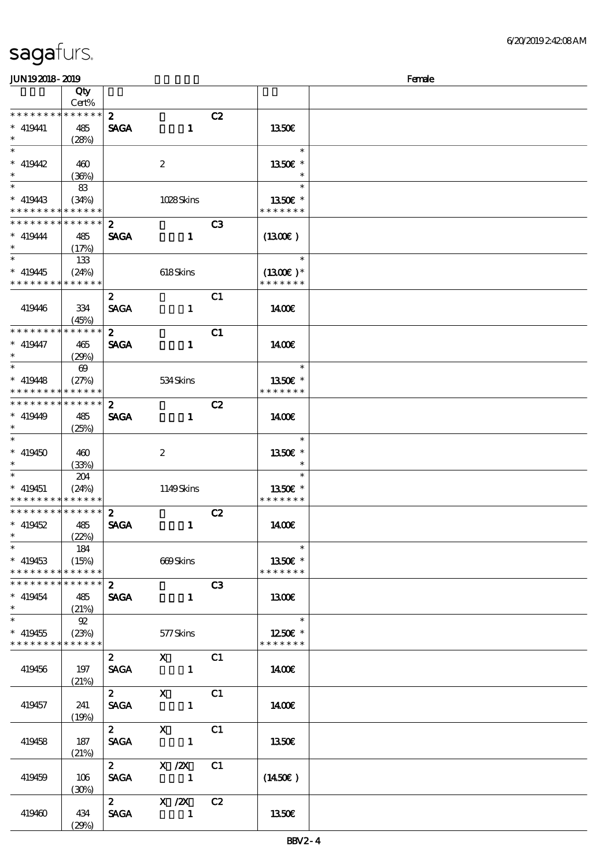| JUN192018-2019                             |                       |                  |                  |                |                          | Female |
|--------------------------------------------|-----------------------|------------------|------------------|----------------|--------------------------|--------|
|                                            | Qty                   |                  |                  |                |                          |        |
|                                            | Cert%                 |                  |                  |                |                          |        |
| * * * * * * * *                            | $* * * * * * *$       | $\mathbf{z}$     |                  | C2             |                          |        |
| $* 419441$                                 | 485                   | <b>SAGA</b>      | $\mathbf{1}$     |                | 1350E                    |        |
| $\ast$                                     | (28%)                 |                  |                  |                |                          |        |
| $\overline{\phantom{0}}$                   |                       |                  |                  |                | $\ast$                   |        |
| $*$ 419442                                 | 460                   |                  | 2                |                | 1350 $\varepsilon$ *     |        |
| $\ast$                                     | (36%)                 |                  |                  |                | $\ast$                   |        |
|                                            | 83                    |                  |                  |                | $\ast$                   |        |
| $*$ 419443                                 | (34%)                 |                  | 1028Skins        |                | 1350E *                  |        |
| * * * * * * * *                            | * * * * * *           |                  |                  |                | * * * * * * *            |        |
| * * * * * * * *                            | ******                | $\boldsymbol{z}$ |                  | C3             |                          |        |
|                                            |                       |                  |                  |                |                          |        |
| $* 419444$<br>$\ast$                       | 485                   | <b>SAGA</b>      | $\mathbf{1}$     |                | (1300)                   |        |
| $\overline{\phantom{0}}$                   | (17%)                 |                  |                  |                | $\ast$                   |        |
|                                            | 133                   |                  |                  |                |                          |        |
| $*$ 419445                                 | (24%)                 |                  | 618Skins         |                | $(1300E)*$               |        |
| * * * * * * * *                            | ******                |                  |                  |                | * * * * * * *            |        |
|                                            |                       | $\mathbf{z}$     |                  | C <sub>1</sub> |                          |        |
| 419446                                     | 334                   | <b>SAGA</b>      | $\mathbf{1}$     |                | 1400E                    |        |
|                                            | (45%)                 |                  |                  |                |                          |        |
| * * * * * * * *                            | * * * * * *           | $\mathbf{z}$     |                  | C1             |                          |        |
| $* 419447$                                 | 465                   | <b>SAGA</b>      | $\mathbf{1}$     |                | 1400E                    |        |
| $\ast$                                     | (29%)                 |                  |                  |                |                          |        |
| $\ast$                                     | $\boldsymbol{\omega}$ |                  |                  |                | $\ast$                   |        |
| $* 419448$                                 | (27%)                 |                  | 534 Skins        |                | 1350E *                  |        |
| * * * * * * * *                            | ******                |                  |                  |                | * * * * * * *            |        |
| * * * * * * * *                            | ******                | $\boldsymbol{z}$ |                  | C2             |                          |        |
| $*$ 419449                                 | 485                   | <b>SAGA</b>      | $\mathbf{1}$     |                | 1400                     |        |
| $\ast$                                     | (25%)                 |                  |                  |                |                          |        |
| $\ast$                                     |                       |                  |                  |                | $\ast$                   |        |
| $* 419450$                                 |                       |                  |                  |                |                          |        |
| $\ast$                                     | 460                   |                  | $\boldsymbol{2}$ |                | 1350€ *<br>$\ast$        |        |
| $\ast$                                     | (33%)                 |                  |                  |                | $\ast$                   |        |
|                                            | 204                   |                  |                  |                |                          |        |
| $* 419451$                                 | (24%)                 |                  | 1149Skins        |                | 1350E *                  |        |
| * * * * * * * *                            | * * * * * *           |                  |                  |                | * * * * * * *            |        |
| * * * * * * * *                            | $* * * * * * *$       | $\boldsymbol{2}$ |                  | C2             |                          |        |
| $*$ 419452                                 | 485                   | <b>SAGA</b>      | $\mathbf{1}$     |                | 1400                     |        |
| $\ast$ and $\ast$                          | (22%)                 |                  |                  |                |                          |        |
| $\ast$                                     | 184                   |                  |                  |                | $\ast$                   |        |
| $* 419453$                                 | (15%)                 |                  | 669Skins         |                | 1350€ *                  |        |
| * * * * * * * * <mark>* * * * * * *</mark> |                       |                  |                  |                | * * * * * * *            |        |
| * * * * * * * * * * * * * * *              |                       | 2 <sup>1</sup>   |                  | C3             |                          |        |
| $* 419454$                                 | 485                   | <b>SAGA</b>      | $\mathbf{1}$     |                | 1300E                    |        |
| $\ast$                                     | (21%)                 |                  |                  |                |                          |        |
| $*$                                        | 92                    |                  |                  |                | $\overline{\phantom{a}}$ |        |
| $* 419455$                                 | (23%)                 |                  | 577Skins         |                | 1250 $\epsilon$ *        |        |
| * * * * * * * * * * * * * * *              |                       |                  |                  |                | * * * * * * *            |        |
|                                            |                       | $\mathbf{2}$     | $X$ C1           |                |                          |        |
| 419456                                     | 197                   |                  | SAGA 1           |                | 1400                     |        |
|                                            | (21%)                 |                  |                  |                |                          |        |
|                                            |                       | $\mathbf{2}$     | $X$ C1           |                |                          |        |
| 419457                                     | 241                   | <b>SAGA</b>      |                  |                | 1400E                    |        |
|                                            |                       |                  |                  |                |                          |        |
|                                            | (19%)                 | $\mathbf{2}$     |                  | C1             |                          |        |
|                                            |                       |                  | $\mathbf{X}$     |                |                          |        |
| 419458                                     | 187                   |                  | SAGA 1           |                | 1350E                    |        |
|                                            | (21%)                 |                  |                  |                |                          |        |
|                                            |                       | $\overline{2}$   | $X$ / $ZX$       | C1             |                          |        |
| 419459                                     | 106                   | <b>SAGA</b>      |                  |                | $(1450\epsilon)$         |        |
|                                            | (30%)                 |                  |                  |                |                          |        |
|                                            |                       |                  | 2 $X / 2X$       | C2             |                          |        |
| 419460                                     | 434                   | <b>SAGA</b>      |                  |                | 1350E                    |        |
|                                            | (29%)                 |                  |                  |                |                          |        |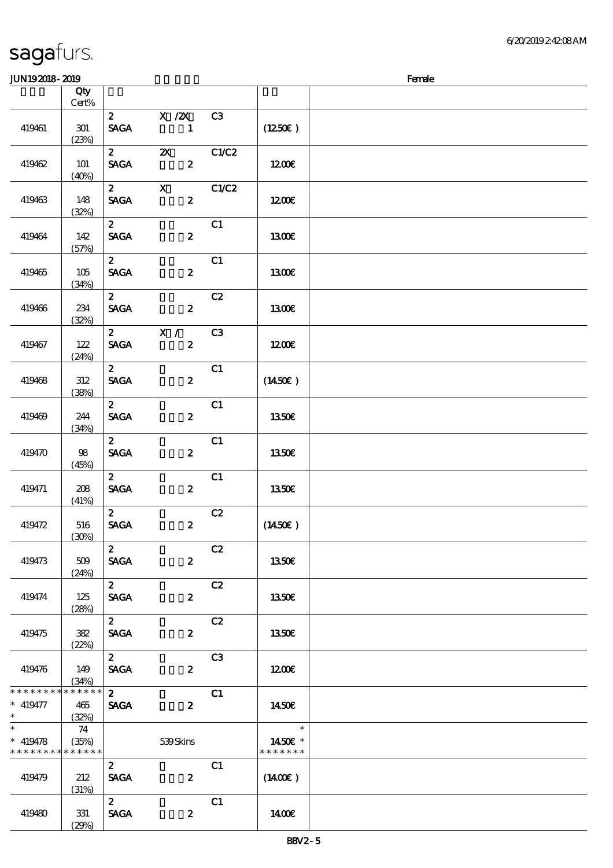| sagafurs.             |              |                                 |                                               |       |              | <b><i><u>GAVAJI</u></i></b> |
|-----------------------|--------------|---------------------------------|-----------------------------------------------|-------|--------------|-----------------------------|
| <b>JUN192018-2019</b> |              |                                 |                                               |       |              | Female                      |
|                       | Qty<br>Cert% |                                 |                                               |       |              |                             |
| 419461                | 301<br>(23%) | $\mathbf{2}$<br><b>SAGA</b>     | $X$ / $ZX$<br>1                               | C3    | (1250E)      |                             |
| 419462                | 101<br>(40%) | $\boldsymbol{2}$<br><b>SAGA</b> | $\boldsymbol{\mathsf{Z}}$<br>$\boldsymbol{2}$ | C1/C2 | 1200         |                             |
| 419463                | 148<br>(32%) | $\mathbf{2}$<br><b>SAGA</b>     | $\mathbf X$<br>$\boldsymbol{2}$               | C1/C2 | 1200E        |                             |
| 419464                | 142<br>(57%) | $\mathbf{z}$<br><b>SAGA</b>     | $\boldsymbol{2}$                              | C1    | 1300E        |                             |
| 419465                | 105<br>(34%) | $\mathbf{z}$<br><b>SAGA</b>     | $\boldsymbol{2}$                              | C1    | 1300E        |                             |
| 419466                | 234<br>(32%) | $\mathbf{z}$<br><b>SAGA</b>     | $\boldsymbol{z}$                              | C2    | <b>1300€</b> |                             |
| 419467                | 122          | $\boldsymbol{z}$<br><b>SAGA</b> | X /<br>$\boldsymbol{2}$                       | C3    | 1200E        |                             |

(24%)

 $\overline{2}$  C1

 $\overline{c}$  2 c1

 $2$  C1<br>SAGA 2

 $2$  C1

 $\overline{c}$   $\overline{c}$ 

 $\overline{c}$   $\overline{c}$   $\overline{c}$   $\overline{c}$   $\overline{c}$   $\overline{c}$   $\overline{c}$   $\overline{c}$   $\overline{c}$   $\overline{c}$   $\overline{c}$   $\overline{c}$   $\overline{c}$   $\overline{c}$   $\overline{c}$   $\overline{c}$   $\overline{c}$   $\overline{c}$   $\overline{c}$   $\overline{c}$   $\overline{c}$   $\overline{c}$   $\overline{c}$   $\overline{c}$   $\overline{$ 

2 C2

2 C2

2 C3

 $\overline{2}$  C1  $SAGA$  2

 $\overline{c}$   $\overline{c}$   $\overline{c}$   $\overline{c}$   $\overline{c}$   $\overline{c}$   $\overline{c}$   $\overline{c}$   $\overline{c}$   $\overline{c}$   $\overline{c}$   $\overline{c}$   $\overline{c}$   $\overline{c}$   $\overline{c}$   $\overline{c}$   $\overline{c}$   $\overline{c}$   $\overline{c}$   $\overline{c}$   $\overline{c}$   $\overline{c}$   $\overline{c}$   $\overline{c}$   $\overline{$ 

2 C1

(35%) 539 Skins

 $SAGA$  2 (1450€)

 $SAGA$  2 1350€

 $SAGA$  2 1350€

 $SAGA$  2 (1450 $\varepsilon$ )

 $SAGA$  2 1350€

 $SAGA$  2 13.50€

 $SAGA$  2 1350€

 $SAGA$  2 12.00€

 $SAGA$   $2$   $(1400E)$ 

 $SAGA$  2 14.00€

 $2$  1350€

(38%)

(34%)

(45%)

(41%)

(30%)

(24%)

(28%)

(22%)

(34%)

(32%)

74

(31%)

 $(29%)$ 

419468 312

419469 244

419470 98

419471 208

419472 516

419473 509

419474 125

419475 382

419476 149

\* \* \* \* \* \* \*

\* \* \* \* \* \* \*

419479 212

419480 | 331

 $* 419477$  465

\* \* \* \* \* \*

\*  $*$  419478 \* \* \* \* \* \*

\*\*

6/20/2019 2:42:08 AM

14.50€

\* \* \* \* \* 1450€ \*

\*

\*\*

 $\ast$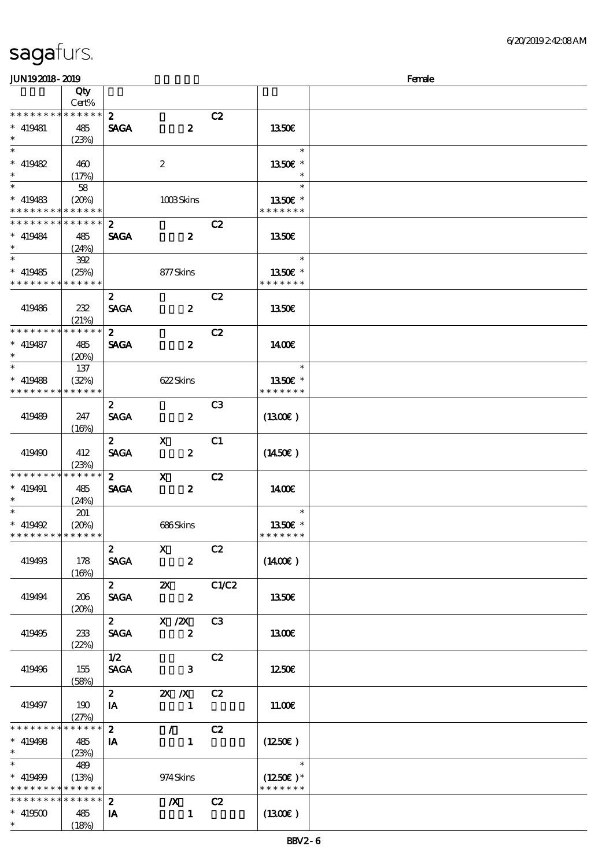| sagafurs. |  |
|-----------|--|
|           |  |

| <b>JUN192018-2019</b>                                                 |                                 |                                 |                                               |                | Female                                |  |
|-----------------------------------------------------------------------|---------------------------------|---------------------------------|-----------------------------------------------|----------------|---------------------------------------|--|
|                                                                       | Qty<br>Cert%                    |                                 |                                               |                |                                       |  |
| * * * * * * * *<br>$* 419481$<br>$\ast$                               | * * * * * *<br>485<br>(23%)     | $\boldsymbol{z}$<br><b>SAGA</b> | $\boldsymbol{z}$                              | C2             | 1350E                                 |  |
| $\ast$<br>$* 419482$<br>$*$                                           | 460<br>(17%)                    |                                 | $\boldsymbol{z}$                              |                | $\ast$<br>1350€ *<br>$\ast$           |  |
| $\overline{\phantom{0}}$<br>$* 419483$<br>* * * * * * * *             | 58<br>(20%)<br>* * * * * *      |                                 | 1008Skins                                     |                | $\ast$<br>1350E *<br>* * * * * * *    |  |
| * * * * * * * *<br>$* 419484$<br>$\ast$                               | $* * * * * * *$<br>485<br>(24%) | $\mathbf{z}$<br><b>SAGA</b>     | $\boldsymbol{z}$                              | C2             | 1350E                                 |  |
| $\ast$<br>$* 419485$<br>* * * * * * * *                               | 392<br>(25%)<br>* * * * * *     |                                 | 877Skins                                      |                | $\ast$<br>1350€ *<br>* * * * * * *    |  |
| 419486                                                                | 232<br>(21%)                    | $\boldsymbol{2}$<br><b>SAGA</b> | $\boldsymbol{z}$                              | C2             | 1350E                                 |  |
| * * * * * * * *<br>$* 419487$<br>$\ast$                               | * * * * * *<br>485<br>(20%)     | $\boldsymbol{z}$<br><b>SAGA</b> | $\boldsymbol{z}$                              | C2             | 1400                                  |  |
| $\ast$<br>$* 419488$<br>* * * * * * * *                               | 137<br>(32%)<br>* * * * * *     |                                 | 622Skins                                      |                | $\ast$<br>1350€ *<br>* * * * * * *    |  |
| 419489                                                                | 247<br>(16%)                    | $\boldsymbol{z}$<br><b>SAGA</b> | $\boldsymbol{z}$                              | C <sub>3</sub> | $(1300\varepsilon)$                   |  |
| 419490                                                                | 412<br>(23%)                    | $\boldsymbol{z}$<br><b>SAGA</b> | $\mathbf x$<br>$\boldsymbol{z}$               | C1             | $(1450\varepsilon)$                   |  |
| * * * * * * * *<br>$* 419491$<br>$\ast$                               | * * * * * *<br>485<br>(24%)     | $\mathbf{z}$<br><b>SAGA</b>     | $\mathbf{x}$<br>$\boldsymbol{z}$              | C2             | 1400E                                 |  |
| $\ast$<br>$* 419492$<br>* * * * * * * * * * * * * * *                 | 201<br>(20%)                    |                                 | 686Skins                                      |                | $\ast$<br>1350E *<br>* * * * * * *    |  |
| 419493                                                                | 178<br>(16%)                    | $\boldsymbol{2}$<br><b>SAGA</b> | $\mathbf{x}$<br>$\boldsymbol{z}$              | C2             | $(1400\varepsilon)$                   |  |
| 419494                                                                | 206<br>(20%)                    | $\mathbf{2}$<br><b>SAGA</b>     | $\boldsymbol{\mathsf{Z}}$<br>$\boldsymbol{z}$ | C1/C2          | <b>1350€</b>                          |  |
| 419495                                                                | 233<br>(22%)                    | $\mathbf{2}$<br><b>SAGA</b>     | $X$ / $ZX$<br>$\boldsymbol{z}$                | C <sub>3</sub> | 1300E                                 |  |
| 419496                                                                | 155<br>(58%)                    | 1/2<br><b>SAGA</b>              | $\mathbf{3}$                                  | C2             | 1250E                                 |  |
| 419497                                                                | 190<br>(27%)                    | $\mathbf{2}$<br>IA              | $\mathbf{X}$ $\mathbf{X}$<br>$\mathbf{1}$     | C2             | 11.00E                                |  |
| * * * * * * * *<br>$* 419498$<br>$\ast$                               | * * * * * *<br>485<br>(23%)     | $\mathbf{z}$<br><b>IA</b>       | $\mathcal{F}^{\mathcal{F}}$<br>$\mathbf{1}$   | C2             | $(1250\epsilon)$                      |  |
| $\overline{\phantom{0}}$<br>$* 419499$<br>* * * * * * * * * * * * * * | 489<br>(13%)                    |                                 | 974 Skins                                     |                | $\ast$<br>$(1250E)*$<br>* * * * * * * |  |
| * * * * * * * * <mark>* * * * * *</mark><br>$* 419500$<br>$\ast$      | 485<br>(18%)                    | $\boldsymbol{z}$<br>IA          | $\boldsymbol{X}$<br>$\mathbf{1}$              | C2             | $(1300\varepsilon)$                   |  |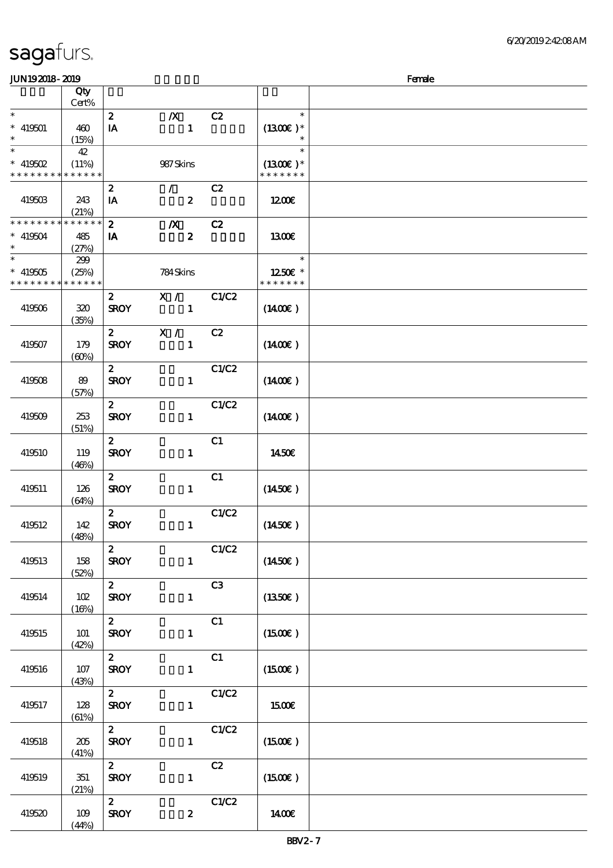| <b>JUN192018-2019</b>                      |              |                         |                             |       |                     | Female |
|--------------------------------------------|--------------|-------------------------|-----------------------------|-------|---------------------|--------|
|                                            | Qty<br>Cert% |                         |                             |       |                     |        |
| $\ast$                                     |              | $\boldsymbol{z}$        | $\boldsymbol{X}$            | C2    | $\ast$              |        |
| $* 419501$                                 | 460          | $\mathbf{I} \mathbf{A}$ | $\mathbf{1}$                |       | $(1300E)*$          |        |
| $\ast$                                     | (15%)        |                         |                             |       |                     |        |
| $\overline{\ast}$                          | 42           |                         |                             |       | $\ast$              |        |
| $*$ 419502                                 | (11%)        |                         | 987Skins                    |       | $(1300E)*$          |        |
| * * * * * * * * <mark>* * * * * *</mark> * |              |                         |                             |       | * * * * * * *       |        |
|                                            |              | $\boldsymbol{2}$        | $\mathcal{F}^{\mathcal{F}}$ | C2    |                     |        |
| 419503                                     | 243          | IA                      | $\boldsymbol{z}$            |       | 1200                |        |
|                                            | (21%)        |                         |                             |       |                     |        |
| * * * * * * * *                            | * * * * * *  | $\boldsymbol{z}$        | $\boldsymbol{X}$            | C2    |                     |        |
| $* 419504$                                 | 485          | IA                      | $\boldsymbol{z}$            |       | <b>1300€</b>        |        |
| $\ast$                                     | (27%)        |                         |                             |       |                     |        |
| $\overline{\ast}$                          | 299          |                         |                             |       | $\ast$              |        |
| $^*$ 419505 $\,$                           | (25%)        |                         | 784Skins                    |       | 1250E *             |        |
| * * * * * * * *                            | * * * * * *  |                         |                             |       | * * * * * * *       |        |
|                                            |              | $\mathbf{z}$            | X /                         | C1/C2 |                     |        |
| 419506                                     | 320          | <b>SROY</b>             | $\mathbf{1}$                |       | $(1400\varepsilon)$ |        |
|                                            | (35%)        |                         |                             |       |                     |        |
|                                            |              | $\mathbf{z}$            | X /                         | C2    |                     |        |
| 419507                                     | 179          | <b>SROY</b>             | $\mathbf{1}$                |       | $(1400\varepsilon)$ |        |
|                                            | (60%)        |                         |                             |       |                     |        |
|                                            |              | $\mathbf{2}$            |                             | C1/C2 |                     |        |
| 419508                                     | 89           | <b>SROY</b>             | $\mathbf{1}$                |       | $(1400\varepsilon)$ |        |
|                                            | (57%)        |                         |                             |       |                     |        |
|                                            |              | $\boldsymbol{2}$        |                             | C1/C2 |                     |        |
| 419509                                     | 253          | <b>SROY</b>             | $\mathbf{1}$                |       | $(1400\varepsilon)$ |        |
|                                            | (51%)        |                         |                             |       |                     |        |
|                                            |              | $\boldsymbol{z}$        |                             | C1    |                     |        |
| 419510                                     | 119<br>(46%) | <b>SROY</b>             | $\mathbf{1}$                |       | 1450€               |        |
|                                            |              | $\mathbf{2}$            |                             | C1    |                     |        |
| 419511                                     | 126          | <b>SROY</b>             | $\mathbf{1}$                |       | $(1450\epsilon)$    |        |
|                                            | (64%)        |                         |                             |       |                     |        |
|                                            |              | $\mathbf{2}$            |                             | C1/C2 |                     |        |
| 419512                                     | 142          | <b>SROY</b>             | $\mathbf{1}$                |       | $(1450\varepsilon)$ |        |
|                                            | (48%)        |                         |                             |       |                     |        |
|                                            |              | $\mathbf{2}$            |                             | C1/C2 |                     |        |
| 419513                                     | 158          | <b>SROY</b>             | $\mathbf{1}$                |       | $(1450\epsilon)$    |        |
|                                            | (52%)        |                         |                             |       |                     |        |
|                                            |              | $2^{\circ}$             |                             | C3    |                     |        |
| 419514                                     | 102          | <b>SROY</b>             | $\mathbf{1}$                |       | $(1350\epsilon)$    |        |
|                                            | (16%)        |                         |                             |       |                     |        |
|                                            |              | $\mathbf{2}$            |                             | C1    |                     |        |
| 419515                                     | 101          | <b>SROY</b>             | $\mathbf{1}$                |       | $(1500\varepsilon)$ |        |
|                                            | (42%)        |                         |                             |       |                     |        |
|                                            |              | $\mathbf{2}$            |                             | C1    |                     |        |
| 419516                                     | $107$        | <b>SROY</b>             | $\mathbf{1}$                |       | (1500E)             |        |
|                                            | (43%)        | $\mathbf{2}$            |                             | C1/C2 |                     |        |
| 419517                                     | 128          | <b>SROY</b>             | $\mathbf{1}$                |       | 1500€               |        |
|                                            | (61%)        |                         |                             |       |                     |        |
|                                            |              | $\mathbf{z}$            |                             | C1/C2 |                     |        |
| 419518                                     | 205          | <b>SROY</b>             | $\mathbf{1}$                |       | $(1500\varepsilon)$ |        |
|                                            | (41%)        |                         |                             |       |                     |        |
|                                            |              | $\mathbf{2}$            |                             | C2    |                     |        |
| 419519                                     | 351          | <b>SROY</b>             | $\mathbf{1}$                |       | (1500E)             |        |
|                                            | (21%)        |                         |                             |       |                     |        |
|                                            |              | $\mathbf{2}$            |                             | C1/C2 |                     |        |
| 419520                                     | 109          | <b>SROY</b>             | $\boldsymbol{z}$            |       | 1400€               |        |
|                                            | (44%)        |                         |                             |       |                     |        |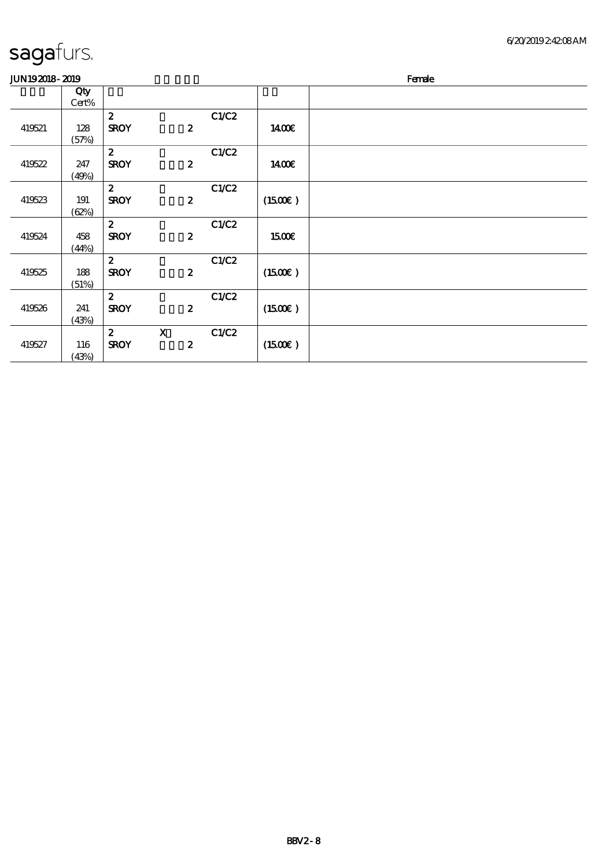| sagafurs. |  |
|-----------|--|
|-----------|--|

| JUN192018-2019 |       |                  |                  |       |               | Female |
|----------------|-------|------------------|------------------|-------|---------------|--------|
|                | Qty   |                  |                  |       |               |        |
|                | Cert% |                  |                  |       |               |        |
|                |       | $\mathbf{z}$     |                  | C1/C2 |               |        |
| 419521         | 128   | <b>SROY</b>      | $\boldsymbol{z}$ |       | 1400E         |        |
|                | (57%) |                  |                  |       |               |        |
|                |       | $\boldsymbol{2}$ |                  | C1/C2 |               |        |
| 419522         | 247   | <b>SROY</b>      | $\boldsymbol{z}$ |       | 1400€         |        |
|                | (49%) |                  |                  |       |               |        |
|                |       | $\mathbf{z}$     |                  | C1/C2 |               |        |
| 419523         | 191   | <b>SROY</b>      | $\boldsymbol{2}$ |       | (1500E)       |        |
|                | (62%) |                  |                  |       |               |        |
|                |       | $\mathbf{z}$     |                  | C1/C2 |               |        |
| 419524         | 458   | <b>SROY</b>      | $\boldsymbol{z}$ |       | 15 <b>00€</b> |        |
|                | (44%) |                  |                  |       |               |        |
|                |       | $\mathbf{z}$     |                  | C1/C2 |               |        |
| 419525         | 188   | <b>SROY</b>      | $\boldsymbol{z}$ |       | (1500E)       |        |
|                | (51%) |                  |                  |       |               |        |
|                |       | $\boldsymbol{2}$ |                  | C1/C2 |               |        |
| 419526         | 241   | <b>SROY</b>      | $\boldsymbol{z}$ |       | (1500E)       |        |
|                | (43%) |                  |                  |       |               |        |
|                |       | $\boldsymbol{z}$ | $\mathbf X$      | C1/C2 |               |        |
| 419527         | 116   | <b>SROY</b>      | $\boldsymbol{2}$ |       | (1500)        |        |
|                | (43%) |                  |                  |       |               |        |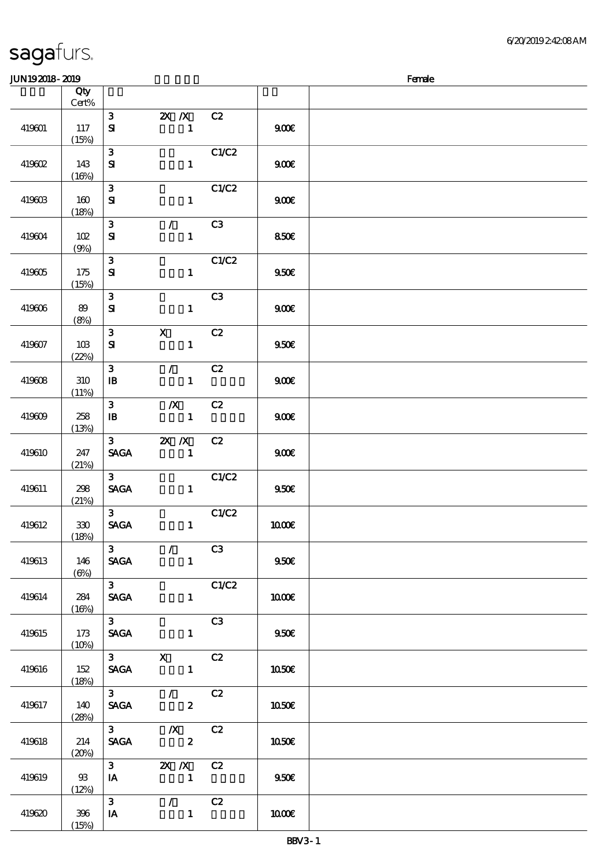| -- --- - |                         |                                                  |                                             |       |                  |  |
|----------|-------------------------|--------------------------------------------------|---------------------------------------------|-------|------------------|--|
|          | Qty<br>$Cert\%$         |                                                  |                                             |       |                  |  |
| 419601   | 117<br>(15%)            | $\mathbf{3}$<br>${\bf s}$                        | $2X$ $/ X$<br>$\mathbf{1}$                  | C2    | 900E             |  |
| 419602   | 143<br>(16%)            | $\mathbf{3}$<br>${\bf s}$                        | $\mathbf{1}$                                | C1/C2 | 900E             |  |
| 419603   | 160<br>(18%)            | $\mathbf{3}$<br>${\bf S\!I}$                     | $\mathbf{1}$                                | C1/C2 | 900E             |  |
| 419604   | $102$<br>(9%)           | $\mathbf{3}$<br>$\mathbf{S}$                     | $\mathcal{T}$<br>$\mathbf{1}$               | C3    | 850€             |  |
| 419605   | 175<br>(15%)            | $\mathbf{3}$<br>${\bf s}$                        | $\mathbf{1}$                                | C1/C2 | 950E             |  |
| 419606   | 89<br>(8%)              | $\mathbf{3}$<br>${\bf s}$                        | $\mathbf{1}$                                | C3    | 900E             |  |
| 419607   | 10B<br>(22%)            | $\mathbf{3}$<br>${\bf s}$                        | $\mathbf X$<br>$\mathbf{1}$                 | C2    | 950E             |  |
| 419608   | 310<br>(11%)            | $\mathbf{3}$<br>${\bf I\!B}$                     | $\mathcal{L}$<br>$\mathbf{1}$               | C2    | 900              |  |
| 419609   | 258<br>(13%)            | $\mathbf{3}$<br>$\, {\bf I} \! {\bf B} \,$       | $\boldsymbol{X}$<br>$\mathbf{1}$            | C2    | 900E             |  |
| 419610   | 247<br>(21%)            | 3 <sup>1</sup><br>$\ensuremath{\mathsf{SAGA}}$   | $X$ $X$<br>$\mathbf{1}$                     | C2    | 900E             |  |
| 419611   | 298<br>(21%)            | 3 <sup>1</sup><br>$\operatorname{\mathbf{SAGA}}$ | $\mathbf{1}$                                | C1/C2 | 950E             |  |
| 419612   | $330\,$<br>(18%)        | 3 <sup>1</sup><br>$\operatorname{\mathsf{SAGA}}$ | $\mathbf{1}$                                | C1/C2 | <b>100€</b>      |  |
| 419613   | 146<br>$(\Theta)$       | $\mathbf{3}$<br><b>SAGA</b>                      | $\mathcal{L} = \mathcal{L}$<br>$\mathbf{1}$ | C3    | 950E             |  |
| 419614   | 284<br>(16%)            | 3 <sup>7</sup><br><b>SAGA</b>                    | $\mathbf{1}$                                | C1/C2 | 1000E            |  |
| 419615   | 173<br>(10%)            | 3 <sup>1</sup><br><b>SAGA</b>                    | $\mathbf{1}$                                | C3    | 950 <sub>E</sub> |  |
| 419616   | 152<br>(18%)            | 3 <sup>7</sup><br><b>SAGA</b>                    | $\mathbf x$<br>$\mathbf{1}$                 | C2    | <b>1050€</b>     |  |
| 419617   | 140<br>(28%)            | 3 <sup>7</sup><br><b>SAGA</b>                    | $\mathcal{L}$<br>$\boldsymbol{z}$           | C2    | 1050E            |  |
| 419618   | 214<br>(20%)            | 3 <sup>7</sup><br><b>SAGA</b>                    | $\boldsymbol{X}$<br>$\boldsymbol{z}$        | C2    | 1050E            |  |
| 419619   | $\mathfrak{B}$<br>(12%) | 3 <sup>1</sup><br>IA                             | $X$ $N$<br>$\mathbf{1}$                     | C2    | 950E             |  |
| 419620   | 396<br>(15%)            | $\mathbf{3}$<br>IA                               | $\mathcal{F}$ and<br>$\mathbf{1}$           | C2    | 1000E            |  |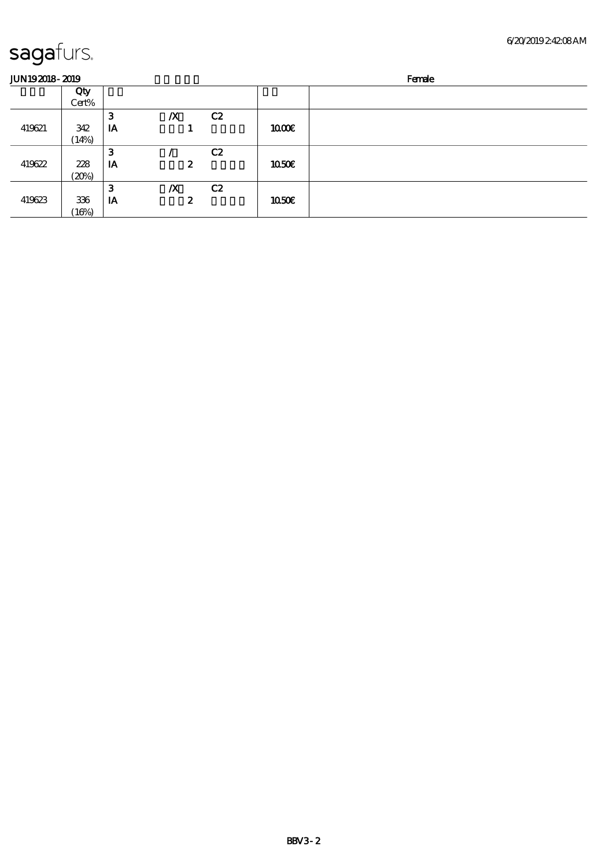| <b>JUN192018-2019</b> |       |    |                  |    |       | Female |
|-----------------------|-------|----|------------------|----|-------|--------|
|                       | Qty   |    |                  |    |       |        |
|                       | Cert% |    |                  |    |       |        |
|                       |       | 3  | $\boldsymbol{X}$ | C2 |       |        |
| 419621                | 342   | IA |                  |    | 1000E |        |
|                       | (14%) |    |                  |    |       |        |
|                       |       | 3  |                  | C2 |       |        |
| 419622                | 228   | IA |                  | 2  | 1050E |        |
|                       | (20%) |    |                  |    |       |        |
|                       |       | 3  | $\boldsymbol{X}$ | C2 |       |        |
| 419623                | 336   | IA |                  | 2  | 1050E |        |
|                       | (16%) |    |                  |    |       |        |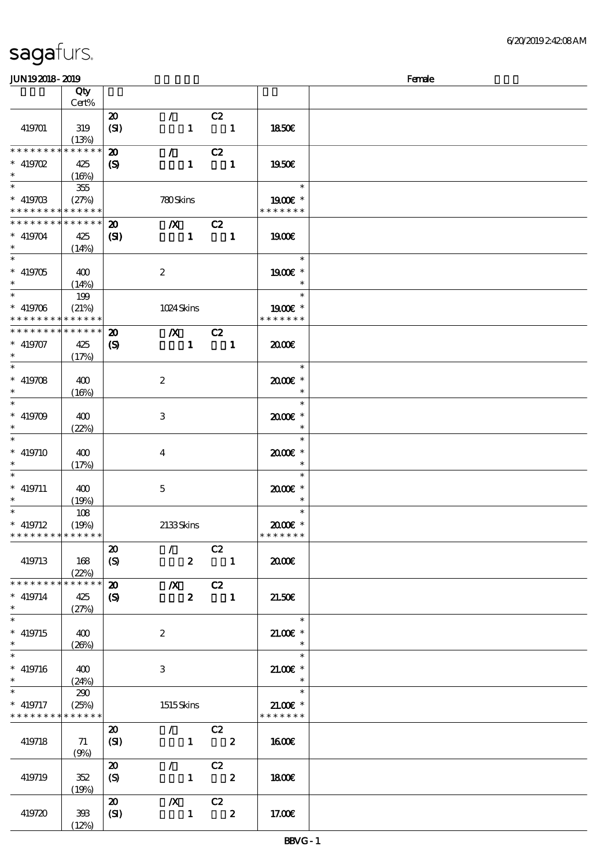| <b>JUN192018-2019</b>       |             |                             |                            |                  |                         |              |                      | Female |
|-----------------------------|-------------|-----------------------------|----------------------------|------------------|-------------------------|--------------|----------------------|--------|
|                             | Qty         |                             |                            |                  |                         |              |                      |        |
|                             | Cert%       |                             |                            |                  |                         |              |                      |        |
|                             |             | $\boldsymbol{\mathfrak{D}}$ | $\mathcal{L}$              |                  | C2                      |              |                      |        |
| 419701                      | 319         | (SI)                        |                            | $\mathbf{1}$     | $\blacksquare$          |              | <b>1850€</b>         |        |
|                             | (13%)       |                             |                            |                  |                         |              |                      |        |
| * * * * * * * *             | * * * * * * | $\boldsymbol{\mathbf{z}}$   | $\mathcal{L}$              |                  | C2                      |              |                      |        |
| $* 419702$                  | 425         | $\boldsymbol{\mathcal{S}}$  |                            | $\mathbf{1}$     |                         | $\mathbf{1}$ | 1950€                |        |
| $\ast$                      |             |                             |                            |                  |                         |              |                      |        |
| $\overline{\ast}$           | (16%)       |                             |                            |                  |                         |              | $\ast$               |        |
|                             | $355\,$     |                             |                            |                  |                         |              |                      |        |
| $* 41970B$                  | (27%)       |                             | 780Skins                   |                  |                         |              | 1900 *               |        |
| * * * * * * * *             | ******      |                             |                            |                  |                         |              | * * * * * * *        |        |
| * * * * * * * *             | * * * * * * | $\boldsymbol{\mathfrak{D}}$ | $\boldsymbol{X}$           |                  | C2                      |              |                      |        |
| $* 419704$                  | 425         | $\mathbf{C}$                |                            | $\mathbf{1}$     | $\blacksquare$          |              | <b>1900€</b>         |        |
| $\ast$                      | (14%)       |                             |                            |                  |                         |              |                      |        |
| $\overline{\ast}$           |             |                             |                            |                  |                         |              | $\ast$               |        |
| $* 419705$                  | 400         |                             | $\boldsymbol{2}$           |                  |                         |              | 1900€ *              |        |
| $\ast$                      | (14%)       |                             |                            |                  |                         |              | $\ast$               |        |
| $\ast$                      | 199         |                             |                            |                  |                         |              | $\ast$               |        |
| $* 419706$                  | (21%)       |                             | 1024Skins                  |                  |                         |              | 1900E *              |        |
| * * * * * * * *             | * * * * * * |                             |                            |                  |                         |              | * * * * * * *        |        |
| * * * * * * *               | * * * * * * | $\boldsymbol{\mathbf{z}}$   | $\boldsymbol{X}$           |                  | C2                      |              |                      |        |
|                             |             |                             |                            |                  |                         |              |                      |        |
| $* 419707$<br>$\ast$        | 425         | $\boldsymbol{\mathrm{(S)}}$ |                            | $\mathbf{1}$     |                         | $\mathbf{1}$ | æœ                   |        |
| $\ast$                      | (17%)       |                             |                            |                  |                         |              |                      |        |
|                             |             |                             |                            |                  |                         |              | $\ast$               |        |
| $* 419708$                  | 400         |                             | $\boldsymbol{2}$           |                  |                         |              | 2000E*               |        |
| $\ast$                      | (16%)       |                             |                            |                  |                         |              | $\ast$               |        |
| $\ast$                      |             |                             |                            |                  |                         |              | $\ast$               |        |
| $* 419709$                  | 400         |                             | $\,3$                      |                  |                         |              | 2000E*               |        |
| $\ast$                      | (22%)       |                             |                            |                  |                         |              | $\ast$               |        |
| $\ast$                      |             |                             |                            |                  |                         |              | $\ast$               |        |
| $* 419710$                  | 400         |                             | $\overline{\mathbf{4}}$    |                  |                         |              | 2000E*               |        |
| $\ast$                      | (17%)       |                             |                            |                  |                         |              | $\ast$               |        |
| $\ast$                      |             |                             |                            |                  |                         |              | $\ast$               |        |
| $* 419711$                  |             |                             |                            |                  |                         |              |                      |        |
| $\ast$                      | 400         |                             | $\mathbf 5$                |                  |                         |              | $2000$ $*$<br>$\ast$ |        |
| $\ast$                      | (19%)       |                             |                            |                  |                         |              | $\ast$               |        |
|                             | 108         |                             |                            |                  |                         |              |                      |        |
| $*$ 419712                  | (19%)       |                             | 2133Skins                  |                  |                         |              | $2000$ $*$           |        |
| * * * * * * * * * * * * * * |             |                             |                            |                  |                         |              | * * * * * * *        |        |
|                             |             | $\boldsymbol{\mathfrak{D}}$ | $\mathcal{L}$              |                  | C2                      |              |                      |        |
| 419713                      | 168         | (S)                         |                            | $\boldsymbol{z}$ | $\blacksquare$          |              | 2000€                |        |
|                             | (22%)       |                             |                            |                  |                         |              |                      |        |
| * * * * * * * *             | * * * * * * | $\boldsymbol{\mathbf{z}}$   |                            |                  | $X$ C <sub>2</sub>      |              |                      |        |
| $* 419714$                  | 425         | $\boldsymbol{\mathcal{S}}$  |                            | $\mathbf{z}$     | $\blacksquare$          |              | 21.50E               |        |
| $\ast$                      | (27%)       |                             |                            |                  |                         |              |                      |        |
| $\overline{\ast}$           |             |                             |                            |                  |                         |              | $\ast$               |        |
| $*$ 419715                  | 400         |                             | $\boldsymbol{2}$           |                  |                         |              | $21.00$ $*$          |        |
| $\ast$                      | (20%)       |                             |                            |                  |                         |              |                      |        |
| $\ast$                      |             |                             |                            |                  |                         |              | $\ast$               |        |
|                             |             |                             |                            |                  |                         |              |                      |        |
| $* 419716$                  | $-400$      |                             | 3                          |                  |                         |              | $21.00E$ *           |        |
| $\ast$                      | (24%)       |                             |                            |                  |                         |              |                      |        |
| $\ast$                      | 290         |                             |                            |                  |                         |              | $\ast$               |        |
| $*$ 419717                  | (25%)       |                             | 1515Skins                  |                  |                         |              | $21.00E$ *           |        |
| * * * * * * * *             | * * * * * * |                             |                            |                  |                         |              | * * * * * * *        |        |
|                             |             | $\boldsymbol{\mathfrak{D}}$ | $\mathcal{T}^{\text{max}}$ |                  | C2                      |              |                      |        |
| 419718                      | 71          | (SI)                        |                            |                  | $1$ 2                   |              | <b>1600€</b>         |        |
|                             | (9%)        |                             |                            |                  |                         |              |                      |        |
|                             |             | $\boldsymbol{\mathfrak{D}}$ | $\mathcal{T}=\mathcal{F}$  |                  | C2                      |              |                      |        |
| 419719                      | 352         | (S)                         |                            | $\mathbf{1}$     | $\overline{\mathbf{2}}$ |              | 1800E                |        |
|                             | (19%)       |                             |                            |                  |                         |              |                      |        |
|                             |             | $\boldsymbol{\mathfrak{D}}$ |                            |                  | $\chi$ C <sub>2</sub>   |              |                      |        |
|                             |             |                             |                            |                  |                         |              |                      |        |
| 419720                      | 393         | (SI)                        |                            | $\mathbf{1}$     | $\overline{\mathbf{2}}$ |              | 17.00E               |        |
|                             | (12%)       |                             |                            |                  |                         |              |                      |        |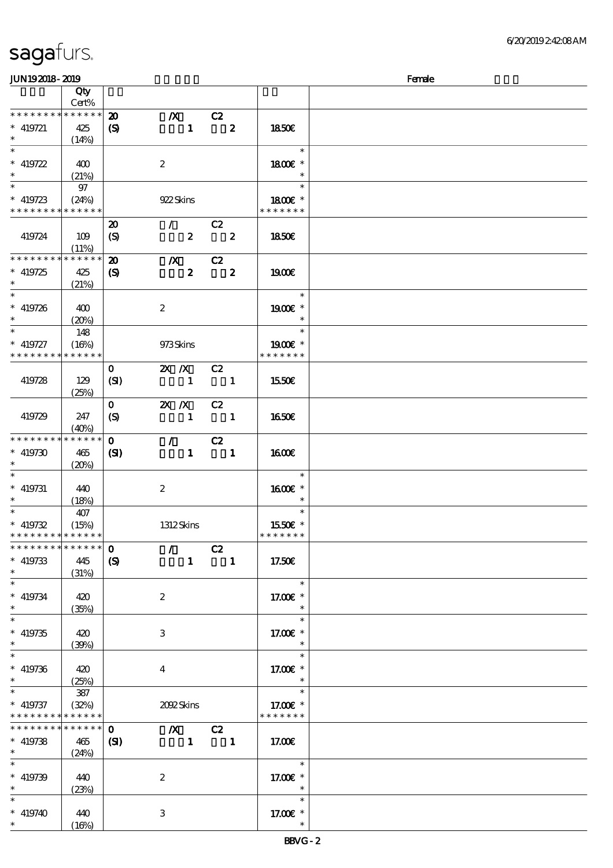| JUN192018-2019                             |             |                             |                                                  |                         |                          | Female |
|--------------------------------------------|-------------|-----------------------------|--------------------------------------------------|-------------------------|--------------------------|--------|
|                                            | Qty         |                             |                                                  |                         |                          |        |
|                                            | Cert%       |                             |                                                  |                         |                          |        |
| * * * * * * * *                            | $******$    | $\boldsymbol{\mathfrak{D}}$ | $\boldsymbol{X}$                                 | C2                      |                          |        |
| $* 419721$                                 | 425         | $\boldsymbol{\mathrm{(S)}}$ | $\mathbf{1}$                                     | $\boldsymbol{z}$        | 1850E                    |        |
| $\ast$                                     |             |                             |                                                  |                         |                          |        |
|                                            | (14%)       |                             |                                                  |                         | $\ast$                   |        |
|                                            |             |                             |                                                  |                         |                          |        |
| $* 419722$                                 | 400         |                             | $\boldsymbol{2}$                                 |                         | 1800€ *                  |        |
|                                            | (21%)       |                             |                                                  |                         |                          |        |
|                                            | 97          |                             |                                                  |                         | $\ast$                   |        |
| $* 419723$                                 | (24%)       |                             | 922 Skins                                        |                         | 1800 £*                  |        |
| * * * * * * * * <mark>* * * * * * *</mark> |             |                             |                                                  |                         | * * * * * * *            |        |
|                                            |             |                             | $\mathcal{F}$                                    | C2                      |                          |        |
|                                            |             | $\boldsymbol{\mathfrak{D}}$ |                                                  |                         |                          |        |
| 419724                                     | 109         | $\boldsymbol{\mathrm{(S)}}$ | $\boldsymbol{z}$                                 | $\overline{\mathbf{2}}$ | <b>1850€</b>             |        |
|                                            | (11%)       |                             |                                                  |                         |                          |        |
| * * * * * * * *                            | * * * * * * | $\boldsymbol{\mathfrak{D}}$ | $\boldsymbol{X}$                                 | C2                      |                          |        |
| $* 419725$                                 | 425         | $\boldsymbol{\mathrm{(S)}}$ | $\boldsymbol{z}$                                 | $\boldsymbol{z}$        | 1900E                    |        |
| $\ast$                                     | (21%)       |                             |                                                  |                         |                          |        |
| $\ast$                                     |             |                             |                                                  |                         | $\ast$                   |        |
| $* 419726$                                 | 400         |                             | $\boldsymbol{z}$                                 |                         | $1900E$ *                |        |
| $\ast$                                     | (20%)       |                             |                                                  |                         | $\ast$                   |        |
| $\ast$                                     |             |                             |                                                  |                         | $\ast$                   |        |
|                                            | 148         |                             |                                                  |                         |                          |        |
| $* 419727$                                 | (16%)       |                             | 973Skins                                         |                         | 1900E *                  |        |
| * * * * * * * *                            | * * * * * * |                             |                                                  |                         | * * * * * * *            |        |
|                                            |             | $\mathbf{o}$                | $X$ $N$                                          | C2                      |                          |        |
| 419728                                     | 129         | (SI)                        | $\mathbf{1}$                                     | $\blacksquare$          | 1550€                    |        |
|                                            | (25%)       |                             |                                                  |                         |                          |        |
|                                            |             | $\mathbf{O}$                | $X$ $N$                                          | C2                      |                          |        |
|                                            |             |                             | $\mathbf{1}$                                     |                         |                          |        |
| 419729                                     | 247         | $\boldsymbol{S}$            |                                                  | $\blacksquare$          | 1650E                    |        |
|                                            | (40%)       |                             |                                                  |                         |                          |        |
| * * * * * * * *                            | * * * * * * | $\mathbf 0$                 | $\mathcal{L}$                                    | C2                      |                          |        |
| $* 419730$                                 | 465         | (S)                         | $\mathbf{1}$                                     | $\blacksquare$          | 1600E                    |        |
| $\ast$                                     | (20%)       |                             |                                                  |                         |                          |        |
| $\ast$                                     |             |                             |                                                  |                         | $\ast$                   |        |
| $*$ 419731                                 | 440         |                             | $\boldsymbol{2}$                                 |                         | 1600E *                  |        |
| $\ast$                                     | (18%)       |                             |                                                  |                         | $\ast$                   |        |
| $*$                                        | 407         |                             |                                                  |                         | $\ast$                   |        |
|                                            |             |                             |                                                  |                         |                          |        |
| $* 419732$                                 | (15%)       |                             | 1312Skins                                        |                         | 1550€ *<br>* * * * * * * |        |
| * * * * * * * * * * * * * *                |             |                             |                                                  |                         |                          |        |
| * * * * * * * *                            | ******      | $\mathbf 0$                 | $\mathcal{L}$                                    | C2                      |                          |        |
| $* 419733$                                 | 445         | $\mathbf{S}$                | $1 -$                                            | $\blacksquare$          | 17.50E                   |        |
| $\ast$                                     | (31%)       |                             |                                                  |                         |                          |        |
| $\ast$                                     |             |                             |                                                  |                         | $\ast$                   |        |
| $* 419734$                                 | 420         |                             | $\boldsymbol{2}$                                 |                         | 17.00 $\mathbf{E}$ *     |        |
| $\ast$                                     | (35%)       |                             |                                                  |                         | $\ast$                   |        |
| $\overline{\ast}$                          |             |                             |                                                  |                         | $\ast$                   |        |
|                                            |             |                             |                                                  |                         |                          |        |
| $* 419735$                                 | 420         |                             | 3                                                |                         | 17.00 $\varepsilon$ *    |        |
| $\ast$                                     | (39%)       |                             |                                                  |                         | $\ast$                   |        |
| $\ast$                                     |             |                             |                                                  |                         | $\ast$                   |        |
| $* 419736$                                 | 420         |                             | $\overline{4}$                                   |                         | 17.00 $\varepsilon$ *    |        |
| $\ast$                                     | (25%)       |                             |                                                  |                         | $\ast$                   |        |
| $\ast$                                     | 387         |                             |                                                  |                         | $\ast$                   |        |
| $* 419737$                                 | (32%)       |                             | 2002 Skins                                       |                         | 17.00 £*                 |        |
| * * * * * * * *                            | * * * * * * |                             |                                                  |                         | * * * * * * *            |        |
| * * * * * * * *                            | $******$    | $\mathbf{o}$                |                                                  |                         |                          |        |
|                                            |             |                             | $\chi$ C <sub>2</sub>                            |                         |                          |        |
| $*$ 419738                                 | 465         | $\mathbf{E}$                | $\begin{array}{ccc} & 1 & \quad & 1 \end{array}$ |                         | 17.00€                   |        |
| $*$                                        | (24%)       |                             |                                                  |                         |                          |        |
| $\ast$                                     |             |                             |                                                  |                         | $\ast$                   |        |
| $* 419739$                                 | 440         |                             | $\boldsymbol{2}$                                 |                         | 17.00 £*                 |        |
|                                            | (23%)       |                             |                                                  |                         | $\ast$                   |        |
| $\ast$                                     |             |                             |                                                  |                         | $\ast$                   |        |
| $* 419740$                                 | 440         |                             | 3                                                |                         | 17.00 £*                 |        |
|                                            |             |                             |                                                  |                         |                          |        |
|                                            | (16%)       |                             |                                                  |                         |                          |        |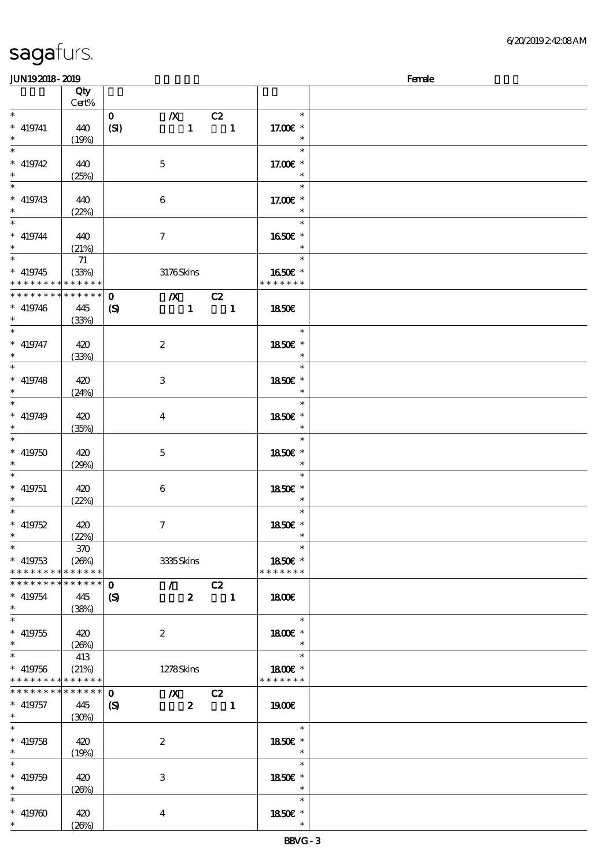| <b>JUN192018-2019</b> |             |                            |                           |                  |                          |                   | Female |
|-----------------------|-------------|----------------------------|---------------------------|------------------|--------------------------|-------------------|--------|
|                       | Qty         |                            |                           |                  |                          |                   |        |
|                       | Cert%       |                            |                           |                  |                          |                   |        |
| $\ast$                |             | $\mathbf{O}$               | $\boldsymbol{X}$          |                  | C2                       | $\ast$            |        |
| $*$ 419741            | 440         | (SI)                       |                           | $\mathbf{1}$     | $\overline{\phantom{a}}$ | 17.00 £*          |        |
| $\ast$                | (19%)       |                            |                           |                  |                          | $\ast$            |        |
| $\overline{\ast}$     |             |                            |                           |                  |                          | $\ast$            |        |
|                       |             |                            |                           |                  |                          |                   |        |
| $*$ 419742            | 440         |                            | $\mathbf 5$               |                  |                          | 17.00 £*          |        |
| $\ast$                | (25%)       |                            |                           |                  |                          | $\ast$            |        |
| $\ast$                |             |                            |                           |                  |                          | $\ast$            |        |
| $* 419743$            | 440         |                            | $\boldsymbol{6}$          |                  |                          | 17.00 £*          |        |
| $\ast$                | (22%)       |                            |                           |                  |                          | $\ast$            |        |
| $\ast$                |             |                            |                           |                  |                          | $\ast$            |        |
| $* 419744$            |             |                            |                           |                  |                          |                   |        |
| $\ast$                | 440         |                            | $\boldsymbol{\tau}$       |                  |                          | 1650E *<br>$\ast$ |        |
| $\overline{\ast}$     | (21%)       |                            |                           |                  |                          |                   |        |
|                       | 71          |                            |                           |                  |                          | $\ast$            |        |
| $* 419745$            | (33%)       |                            | 3176Skins                 |                  |                          | 1650€ *           |        |
| * * * * * * * *       | * * * * * * |                            |                           |                  |                          | * * * * * * *     |        |
| * * * * * * * *       | $******$    | $\mathbf{o}$               | $X$ C <sub>2</sub>        |                  |                          |                   |        |
| $* 419746$            | 445         | $\boldsymbol{\mathcal{S}}$ |                           |                  | $1 \quad 1$              | 1850E             |        |
| $\ast$                | (33%)       |                            |                           |                  |                          |                   |        |
| $\ast$                |             |                            |                           |                  |                          | $\ast$            |        |
|                       |             |                            |                           |                  |                          |                   |        |
| $* 419747$            | 420         |                            | $\boldsymbol{z}$          |                  |                          | 1850€ *           |        |
| $\ast$                | (33%)       |                            |                           |                  |                          | $\ast$            |        |
| $\ast$                |             |                            |                           |                  |                          | $\ast$            |        |
| $* 419748$            | 420         |                            | 3                         |                  |                          | 1850E *           |        |
| $\ast$                | (24%)       |                            |                           |                  |                          | $\ast$            |        |
| $\ast$                |             |                            |                           |                  |                          | $\ast$            |        |
| $* 419749$            |             |                            |                           |                  |                          | 1850E *           |        |
| $\ast$                | 420         |                            | $\overline{\mathbf{4}}$   |                  |                          |                   |        |
|                       | (35%)       |                            |                           |                  |                          | $\ast$            |        |
| $\ast$                |             |                            |                           |                  |                          | $\ast$            |        |
| $* 419750$            | 420         |                            | $\mathbf 5$               |                  |                          | 1850€ *           |        |
| $\ast$                | (29%)       |                            |                           |                  |                          | $\ast$            |        |
| $\ast$                |             |                            |                           |                  |                          | $\ast$            |        |
| $* 419751$            | 420         |                            | $\,6$                     |                  |                          | 1850E *           |        |
| $*$                   | (22%)       |                            |                           |                  |                          | $\ast$            |        |
| $\ast$                |             |                            |                           |                  |                          | $\ast$            |        |
|                       |             |                            |                           |                  |                          |                   |        |
| $* 419752$            | 420         |                            | $\tau$                    |                  |                          | 1850E *           |        |
| $*$                   | (22%)       |                            |                           |                  |                          | $\ast$            |        |
| $\ast$                | 370         |                            |                           |                  |                          | $\ast$            |        |
| $*$ 419753            | (20%)       |                            | 3335Skins                 |                  |                          | 1850€ *           |        |
| * * * * * * * *       | * * * * * * |                            |                           |                  |                          | * * * * * * *     |        |
| * * * * * * *         | * * * * * * | $\mathbf 0$                | $\mathcal{L}$             |                  | C2                       |                   |        |
|                       | 445         |                            |                           | $\boldsymbol{z}$ |                          | 1800E             |        |
| $* 419754$<br>$\ast$  |             | $\boldsymbol{\mathcal{S}}$ |                           |                  | $\blacksquare$           |                   |        |
|                       | (38%)       |                            |                           |                  |                          |                   |        |
| $\overline{\ast}$     |             |                            |                           |                  |                          | $\ast$            |        |
| $* 419755$            | 420         |                            | $\boldsymbol{2}$          |                  |                          | 1800 £*           |        |
| $\ast$                | (20%)       |                            |                           |                  |                          | $\ast$            |        |
| $\ast$                | 413         |                            |                           |                  |                          | $\ast$            |        |
| $* 419756$            | (21%)       |                            | 1278Skins                 |                  |                          | 1800€ *           |        |
| * * * * * * * *       | * * * * * * |                            |                           |                  |                          | * * * * * * *     |        |
| * * * * * * *         | ******      |                            |                           |                  |                          |                   |        |
|                       |             | $\mathbf 0$                | $\boldsymbol{X}$          |                  | $\overline{c}$           |                   |        |
| $* 419757$            | 445         | $\boldsymbol{\mathcal{S}}$ |                           | $\boldsymbol{z}$ | $\blacksquare$           | 1900€             |        |
| $*$                   | (30%)       |                            |                           |                  |                          |                   |        |
| $\overline{\ast}$     |             |                            |                           |                  |                          | $\ast$            |        |
| $* 419758$            | 420         |                            | $\boldsymbol{2}$          |                  |                          | 1850€ *           |        |
| $\ast$                | (19%)       |                            |                           |                  |                          | $\ast$            |        |
| $\ast$                |             |                            |                           |                  |                          | $\ast$            |        |
|                       |             |                            |                           |                  |                          |                   |        |
| $* 419759$            | 420         |                            | $\ensuremath{\mathsf{3}}$ |                  |                          | 1850E *           |        |
| $\ast$                | (20%)       |                            |                           |                  |                          | $\ast$            |        |
| $\ast$                |             |                            |                           |                  |                          | $\ast$            |        |
| $* 419760$            | 420         |                            | $\overline{\mathbf{4}}$   |                  |                          | 1850E *           |        |
| $\ast$                | (20%)       |                            |                           |                  |                          | $\ast$            |        |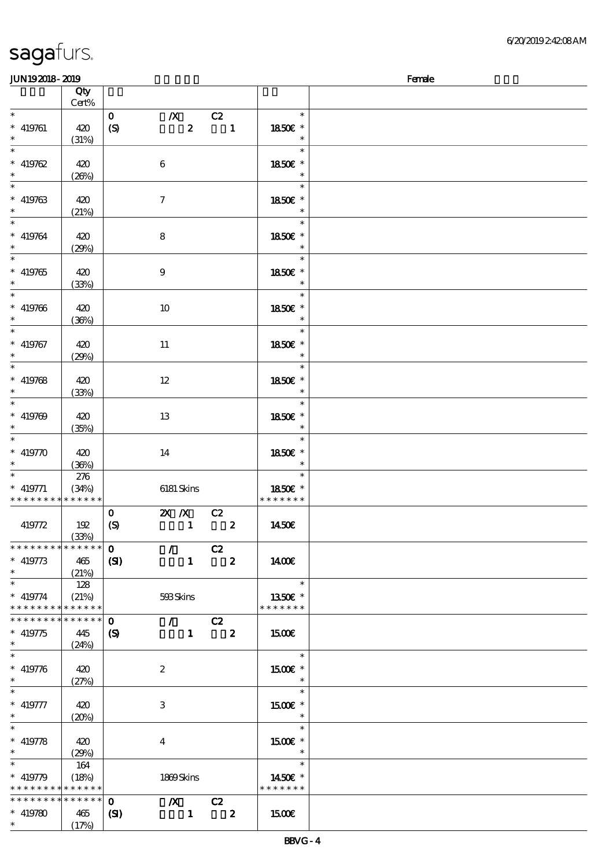| <b>JUN192018-2019</b>                      |       |                  |                                                                |                  |                          |                          | Female |
|--------------------------------------------|-------|------------------|----------------------------------------------------------------|------------------|--------------------------|--------------------------|--------|
|                                            | Qty   |                  |                                                                |                  |                          |                          |        |
|                                            | Cert% |                  |                                                                |                  |                          |                          |        |
| $\ast$                                     |       | $\mathbf{o}$     | $\boldsymbol{X}$                                               |                  | C2                       | $\ast$                   |        |
| $* 419761$                                 | 420   | (S)              |                                                                | $\boldsymbol{z}$ | $\overline{\phantom{a}}$ | 1850E *                  |        |
| $\ast$                                     | (31%) |                  |                                                                |                  |                          | $\ast$                   |        |
| $\overline{\phantom{0}}$                   |       |                  |                                                                |                  |                          | $\ast$                   |        |
|                                            |       |                  |                                                                |                  |                          |                          |        |
| $* 419762$                                 | 420   |                  | $\bf 6$                                                        |                  |                          | 1850€ *                  |        |
| $\ast$                                     | (20%) |                  |                                                                |                  |                          | $\ast$                   |        |
| $\overline{\phantom{a}^*}$                 |       |                  |                                                                |                  |                          | $\ast$                   |        |
| $* 419763$                                 | 420   |                  | $\tau$                                                         |                  |                          | 1850E *                  |        |
| $\ast$                                     | (21%) |                  |                                                                |                  |                          | $\ast$                   |        |
| $\overline{\phantom{a}}$                   |       |                  |                                                                |                  |                          | $\ast$                   |        |
| $* 419764$                                 | 420   |                  | $\bf 8$                                                        |                  |                          | 1850€ *                  |        |
| $\ast$                                     | (29%) |                  |                                                                |                  |                          | $\ast$                   |        |
| $\overline{\phantom{0}}$                   |       |                  |                                                                |                  |                          | $\ast$                   |        |
| $* 419765$                                 |       |                  |                                                                |                  |                          | 1850€ *                  |        |
|                                            | 420   |                  | $\boldsymbol{9}$                                               |                  |                          | $\ast$                   |        |
| $\overline{\ast}$                          | (33%) |                  |                                                                |                  |                          | $\ast$                   |        |
|                                            |       |                  |                                                                |                  |                          |                          |        |
| $* 419766$                                 | 420   |                  | 10                                                             |                  |                          | 1850€ *                  |        |
| $\ast$                                     | (36%) |                  |                                                                |                  |                          | $\ast$                   |        |
| $\ast$                                     |       |                  |                                                                |                  |                          | $\ast$                   |        |
| $* 419767$                                 | 420   |                  | $11\,$                                                         |                  |                          | 1850E *                  |        |
| $\ast$                                     | (29%) |                  |                                                                |                  |                          | $\ast$                   |        |
| $\overline{\phantom{0}}$                   |       |                  |                                                                |                  |                          | $\ast$                   |        |
| $* 419768$                                 | 420   |                  | $12 \,$                                                        |                  |                          | 1850E *                  |        |
| $\ast$                                     | (33%) |                  |                                                                |                  |                          | $\ast$                   |        |
| $\overline{\phantom{0}}$                   |       |                  |                                                                |                  |                          | $\ast$                   |        |
| $* 419769$                                 | 420   |                  |                                                                |                  |                          | 1850E *                  |        |
| $\ast$                                     |       |                  | 13                                                             |                  |                          | $\ast$                   |        |
| $\ast$                                     | (35%) |                  |                                                                |                  |                          | $\ast$                   |        |
|                                            |       |                  |                                                                |                  |                          |                          |        |
| $* 419770$                                 | 420   |                  | 14                                                             |                  |                          | 1850€ *                  |        |
|                                            | (36%) |                  |                                                                |                  |                          | $\ast$                   |        |
| $\ast$                                     | 276   |                  |                                                                |                  |                          | $\ast$                   |        |
| $*$ 419771                                 | (34%) |                  | 6181 Skins                                                     |                  |                          | 1850€ *                  |        |
| * * * * * * * * * * * * * *                |       |                  |                                                                |                  |                          | * * * * * * *            |        |
|                                            |       | $\mathbf{O}$     | $\overline{\mathbf{X}}$ X $\overline{\mathbf{C}}$ $\mathbf{C}$ |                  |                          |                          |        |
| 419772                                     | 192   | $\boldsymbol{S}$ |                                                                | $\mathbf{1}$     | $\overline{\mathbf{z}}$  | 1450E                    |        |
|                                            | (33%) |                  |                                                                |                  |                          |                          |        |
| * * * * * * * * * * * * * *                |       | $\mathbf{O}$     | $\sqrt{C^2}$                                                   |                  |                          |                          |        |
| $* 419773$                                 | 465   | (S)              |                                                                | $\mathbf{1}$     | $\overline{\mathbf{2}}$  | 1400€                    |        |
| $\ast$                                     | (21%) |                  |                                                                |                  |                          |                          |        |
| $\ast$                                     | 128   |                  |                                                                |                  |                          | $\overline{\phantom{a}}$ |        |
| $* 419774$                                 | (21%) |                  | 593Skins                                                       |                  |                          | 1350E *                  |        |
| * * * * * * * * * * * * * *                |       |                  |                                                                |                  |                          | * * * * * * *            |        |
| * * * * * * * * <mark>* * * * * * *</mark> |       | $\mathbf{o}$     | $\sqrt{C^2}$                                                   |                  |                          |                          |        |
| $* 419775$                                 | 445   |                  | $1 \t 2$                                                       |                  |                          | 1500€                    |        |
| $\ast$                                     |       | (S)              |                                                                |                  |                          |                          |        |
|                                            | (24%) |                  |                                                                |                  |                          |                          |        |
|                                            |       |                  |                                                                |                  |                          | $\ast$                   |        |
| $* 419776$                                 | 420   |                  | $\boldsymbol{2}$                                               |                  |                          | 1500€ *                  |        |
|                                            | (27%) |                  |                                                                |                  |                          | $\ast$                   |        |
| $\ast$                                     |       |                  |                                                                |                  |                          | $\ast$                   |        |
| $* 419777$                                 | 420   |                  | 3                                                              |                  |                          | 1500 £*                  |        |
|                                            | (20%) |                  |                                                                |                  |                          | $\overline{\phantom{a}}$ |        |
| $\ast$                                     |       |                  |                                                                |                  |                          | $\ast$                   |        |
| $* 419778$                                 | 420   |                  | 4                                                              |                  |                          | $1500E$ *                |        |
| $\ast$                                     | (29%) |                  |                                                                |                  |                          | $\ast$                   |        |
| $\ast$                                     | 164   |                  |                                                                |                  |                          | $\ast$                   |        |
| $* 419779$                                 | (18%) |                  | 1869Skins                                                      |                  |                          | 1450E *                  |        |
| * * * * * * * * * * * * * *                |       |                  |                                                                |                  |                          | * * * * * * *            |        |
| * * * * * * * * * * * * * *                |       | $\mathbf{o}$     | $\chi$ C <sub>2</sub>                                          |                  |                          |                          |        |
| $* 419780$                                 | 465   | $\mathbf{S}$     |                                                                | $\blacksquare$   | $\overline{\mathbf{2}}$  | <b>150€</b>              |        |
| $*$                                        | (17%) |                  |                                                                |                  |                          |                          |        |
|                                            |       |                  |                                                                |                  |                          |                          |        |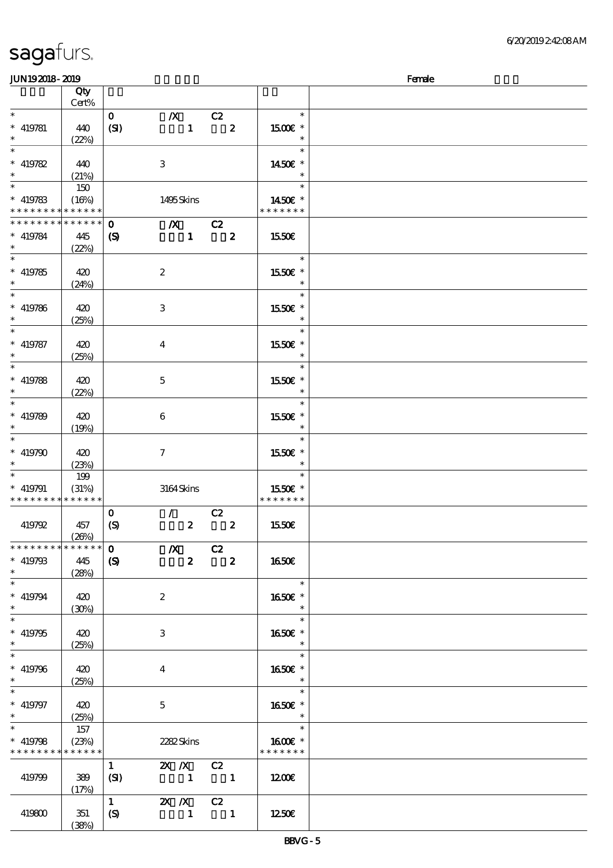| JUN192018-2019                             |                 |                             |                                                        |                          |                         | Female |
|--------------------------------------------|-----------------|-----------------------------|--------------------------------------------------------|--------------------------|-------------------------|--------|
|                                            | Qty             |                             |                                                        |                          |                         |        |
|                                            | Cert%           |                             |                                                        |                          |                         |        |
| $\ast$                                     |                 | $\mathbf{O}$                | $\boldsymbol{X}$                                       | C2                       | $\ast$                  |        |
| $* 419781$                                 | 440             | (SI)                        | $\mathbf{1}$                                           | $\boldsymbol{z}$         | 1500E *                 |        |
|                                            | (22%)           |                             |                                                        |                          | $\ast$                  |        |
| $\overline{\ast}$                          |                 |                             |                                                        |                          | $\ast$                  |        |
|                                            |                 |                             |                                                        |                          |                         |        |
| $* 419782$                                 | 440             |                             | 3                                                      |                          | 1450€ *                 |        |
| $\ast$                                     | (21%)           |                             |                                                        |                          | $\ast$                  |        |
|                                            | 150             |                             |                                                        |                          | $\ast$                  |        |
| $* 419783$                                 | (16%)           |                             | 1495Skins                                              |                          | 1450E *                 |        |
| * * * * * * * *                            | * * * * * *     |                             |                                                        |                          | * * * * * * *           |        |
| * * * * * * * *                            | $* * * * * * *$ | $\mathbf 0$                 | $\boldsymbol{X}$                                       | C2                       |                         |        |
| $* 419784$                                 | 445             | $\boldsymbol{\mathrm{(S)}}$ | $\mathbf{1}$                                           | $\boldsymbol{z}$         | 1550€                   |        |
| $\ast$                                     | (22%)           |                             |                                                        |                          |                         |        |
|                                            |                 |                             |                                                        |                          | $\ast$                  |        |
|                                            |                 |                             |                                                        |                          |                         |        |
| $* 419785$                                 | 420             |                             | $\boldsymbol{2}$                                       |                          | 1550E *                 |        |
| $\ast$                                     | (24%)           |                             |                                                        |                          | $\ast$                  |        |
| $*$                                        |                 |                             |                                                        |                          | $\ast$                  |        |
| $* 419786$                                 | 420             |                             | 3                                                      |                          | 1550E *                 |        |
| $\ast$                                     | (25%)           |                             |                                                        |                          | $\ast$                  |        |
| $\overline{\ast}$                          |                 |                             |                                                        |                          | $\ast$                  |        |
| $* 419787$                                 | 420             |                             | $\boldsymbol{4}$                                       |                          | 1550€ *                 |        |
| $\ast$                                     |                 |                             |                                                        |                          | $\ast$                  |        |
| $\overline{\ast}$                          | (25%)           |                             |                                                        |                          | $\ast$                  |        |
|                                            |                 |                             |                                                        |                          |                         |        |
| $* 419788$                                 | 420             |                             | $\mathbf 5$                                            |                          | 1550E *                 |        |
| $\ast$                                     | (22%)           |                             |                                                        |                          | $\ast$                  |        |
| $\overline{\ast}$                          |                 |                             |                                                        |                          | $\ast$                  |        |
| $* 419789$                                 | 420             |                             | $\boldsymbol{6}$                                       |                          | 1550E *                 |        |
| $\ast$                                     | (19%)           |                             |                                                        |                          | $\ast$                  |        |
| $\ast$                                     |                 |                             |                                                        |                          | $\ast$                  |        |
| $* 419790$                                 | 420             |                             | $\tau$                                                 |                          | 1550€ *                 |        |
| $\ast$                                     |                 |                             |                                                        |                          | $\ast$                  |        |
|                                            | (23%)           |                             |                                                        |                          |                         |        |
| $\ast$                                     | 199             |                             |                                                        |                          | $\ast$                  |        |
| $* 419791$                                 | (31%)           |                             | 3164Skins                                              |                          | 1550E *                 |        |
| * * * * * * * * <mark>* * * * * * *</mark> |                 |                             |                                                        |                          | * * * * * * *           |        |
|                                            |                 | $\mathbf{o}$                | $\mathcal{L}$                                          | C2                       |                         |        |
| 419792                                     | 457             | (S)                         | $\boldsymbol{z}$                                       | $\pmb{2}$                | 1550€                   |        |
|                                            | (20%)           |                             |                                                        |                          |                         |        |
| * * * * * * * *                            | ******          | $\mathbf{o}$                | $\mathbf{X}$                                           | C2                       |                         |        |
| $* 419793$                                 | 445             | $\boldsymbol{S}$            | $\boldsymbol{z}$                                       | $\mathbf{2}$             | <b>1650€</b>            |        |
| $\ast$                                     |                 |                             |                                                        |                          |                         |        |
| $\ast$                                     | (28%)           |                             |                                                        |                          | $\overline{\mathbf{r}}$ |        |
|                                            |                 |                             |                                                        |                          |                         |        |
| $* 419794$                                 | 420             |                             | $\boldsymbol{2}$                                       |                          | 1650E *                 |        |
| $\ast$                                     | (30%)           |                             |                                                        |                          | $\ast$                  |        |
| $\overline{\ast}$                          |                 |                             |                                                        |                          | $\ast$                  |        |
| $* 419795$                                 | 420             |                             | 3                                                      |                          | 1650E *                 |        |
| $\ast$                                     | (25%)           |                             |                                                        |                          | $*$                     |        |
| $\ast$                                     |                 |                             |                                                        |                          | $\ast$                  |        |
| $* 419796$                                 | 420             |                             | $\overline{4}$                                         |                          | 1650E *                 |        |
| $\ast$                                     | (25%)           |                             |                                                        |                          | $\ast$                  |        |
| $\ast$                                     |                 |                             |                                                        |                          | $\ast$                  |        |
|                                            |                 |                             |                                                        |                          |                         |        |
| $* 419797$                                 | 420             |                             | $5\phantom{.0}$                                        |                          | 1650E *                 |        |
| $\ast$                                     | (25%)           |                             |                                                        |                          | $\ast$                  |        |
| $\overline{\ast}$                          | 157             |                             |                                                        |                          | $\ast$                  |        |
| $* 419798$                                 | (23%)           |                             | 2282Skins                                              |                          | 1600€ *                 |        |
| * * * * * * * *                            | * * * * * *     |                             |                                                        |                          | * * * * * * *           |        |
|                                            |                 | $\mathbf{1}$                | $2X \t X$ C <sub>2</sub>                               |                          |                         |        |
| 419799                                     | 389             | (SI)                        | $\begin{array}{ccccccccccccc}\n1 & & & 1\n\end{array}$ |                          | 1200€                   |        |
|                                            | (17%)           |                             |                                                        |                          |                         |        |
|                                            |                 | $\mathbf{1}$                | 2X / X C2                                              |                          |                         |        |
|                                            |                 |                             |                                                        |                          |                         |        |
| 419800                                     | 351             | $\boldsymbol{S}$            | $\mathbf{1}$                                           | $\overline{\phantom{a}}$ | 1250E                   |        |
|                                            | (38%)           |                             |                                                        |                          |                         |        |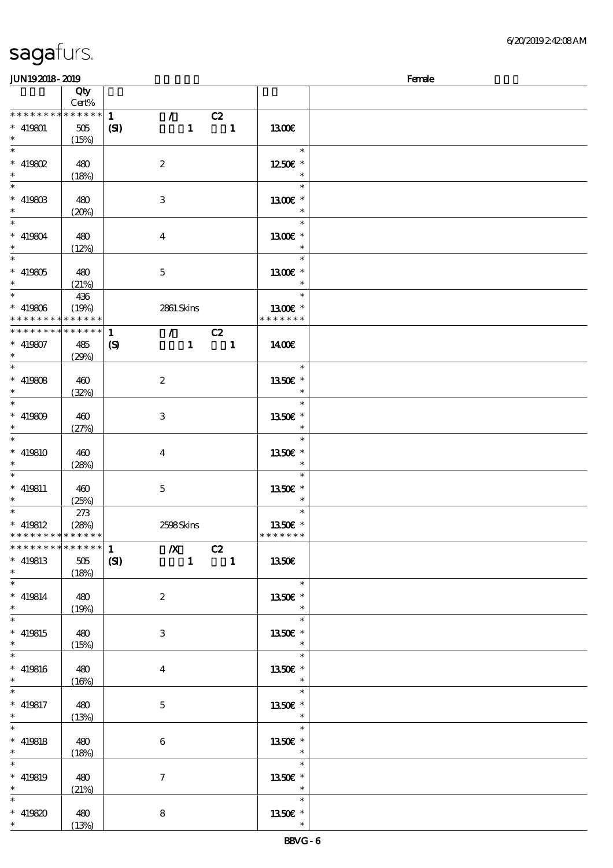### $J/N192018 - 2019$

| ມມາ <i>ເວເ</i> ມເວະ ເມເວ                   |                 |                                             |                          |               | <u>rance</u> |
|--------------------------------------------|-----------------|---------------------------------------------|--------------------------|---------------|--------------|
|                                            | Qty<br>Cert%    |                                             |                          |               |              |
|                                            |                 |                                             |                          |               |              |
| ********                                   | $******$        | $\mathbf{1}$<br>$\mathcal{T}$               | C2                       |               |              |
| $* 419801$                                 | 505             | $\mathbf{1}$<br>(S)                         | $\blacksquare$           | 1300€         |              |
| $\ast$                                     | (15%)           |                                             |                          |               |              |
|                                            |                 |                                             |                          |               |              |
| $\ast$                                     |                 |                                             |                          | $\ast$        |              |
| $*$ 419802                                 | 480             | $\boldsymbol{2}$                            |                          | 1250 £*       |              |
| $\ast$                                     |                 |                                             |                          | $\ast$        |              |
|                                            | (18%)           |                                             |                          |               |              |
|                                            |                 |                                             |                          | $\ast$        |              |
| $* 41980B$                                 | 480             | $\,3$                                       |                          | 1300€ *       |              |
| $\ast$                                     |                 |                                             |                          |               |              |
|                                            | (20%)           |                                             |                          | $\ast$        |              |
| $\overline{\phantom{0}}$                   |                 |                                             |                          | $\ast$        |              |
| $* 419804$                                 | 480             | $\bf{4}$                                    |                          | 1300€ *       |              |
| $*$                                        |                 |                                             |                          | $\ast$        |              |
|                                            | (12%)           |                                             |                          |               |              |
| $\ast$                                     |                 |                                             |                          | $\ast$        |              |
| $* 419805$                                 | 480             | $\mathbf 5$                                 |                          | 1300€ *       |              |
| $\ast$                                     |                 |                                             |                          | $\ast$        |              |
|                                            | (21%)           |                                             |                          |               |              |
| $\ast$                                     | 436             |                                             |                          | $\ast$        |              |
| $* 419806$                                 | (19%)           | 2861 Skins                                  |                          | 1300E *       |              |
| * * * * * * * *                            | * * * * * *     |                                             |                          | * * * * * * * |              |
|                                            |                 |                                             |                          |               |              |
| * * * * * * * *                            | $* * * * * * *$ | $\mathcal{L} = \mathcal{L}$<br>$\mathbf{1}$ | C2                       |               |              |
| $* 419807$                                 | 485             | $\mathbf{1}$<br>$\boldsymbol{S}$            | $\overline{\phantom{a}}$ | 1400€         |              |
| $*$                                        |                 |                                             |                          |               |              |
|                                            | (29%)           |                                             |                          |               |              |
| $\ast$                                     |                 |                                             |                          | $\ast$        |              |
| * $419808$                                 | 460             | $\boldsymbol{z}$                            |                          | 1350E *       |              |
| $\ast$                                     |                 |                                             |                          | $\ast$        |              |
|                                            | (32%)           |                                             |                          |               |              |
|                                            |                 |                                             |                          | $\ast$        |              |
| $* 419809$                                 | 460             | $\,3$                                       |                          | 1350E *       |              |
| $\ast$                                     |                 |                                             |                          |               |              |
|                                            | (27%)           |                                             |                          |               |              |
| $*$                                        |                 |                                             |                          | $\ast$        |              |
| $* 419810$                                 | 460             | $\bf{4}$                                    |                          | 1350€ *       |              |
| $*$                                        |                 |                                             |                          | $\ast$        |              |
|                                            | (28%)           |                                             |                          |               |              |
|                                            |                 |                                             |                          | $\ast$        |              |
| $* 419811$                                 | 460             | $\mathbf 5$                                 |                          | 1350E *       |              |
| $\ast$                                     |                 |                                             |                          | $\ast$        |              |
|                                            | (25%)           |                                             |                          |               |              |
| $*$                                        | 273             |                                             |                          | $\ast$        |              |
| $*$ 419812                                 | (28%)           | 2598Skins                                   |                          | 1350E *       |              |
| * * * * * * * * <mark>* * * * * * *</mark> |                 |                                             |                          | * * * * * * * |              |
|                                            |                 |                                             |                          |               |              |
| ************** 1                           |                 | $\boldsymbol{X}$<br>C2                      |                          |               |              |
| $* 419813$                                 | 505             | $\mathbf{1}$<br>(SI)                        | $\overline{\phantom{a}}$ | 1350€         |              |
| $\ast$                                     | (18%)           |                                             |                          |               |              |
| $\ast$                                     |                 |                                             |                          |               |              |
|                                            |                 |                                             |                          | $\ast$        |              |
| $* 419814$                                 | 480             | $\boldsymbol{z}$                            |                          | 1350E *       |              |
| $*$ and $*$                                | (19%)           |                                             |                          | $\ast$        |              |
|                                            |                 |                                             |                          |               |              |
| $\overline{\ast}$                          |                 |                                             |                          | $\ast$        |              |
| $*$ 419815                                 | 480             | $\,3$                                       |                          | 1350E *       |              |
| $\ast$                                     | (15%)           |                                             |                          | $\ast$        |              |
|                                            |                 |                                             |                          |               |              |
|                                            |                 |                                             |                          | $\ast$        |              |
| $* 419816$                                 | 480             | $\boldsymbol{4}$                            |                          | 1350€ *       |              |
| $*$                                        | (16%)           |                                             |                          | $\ast$        |              |
|                                            |                 |                                             |                          |               |              |
|                                            |                 |                                             |                          | $\ast$        |              |
| $* 419817$                                 | 480             | $\mathbf 5$                                 |                          | 1350E *       |              |
| $\ast$                                     | (13%)           |                                             |                          | $\ast$        |              |
| $\overline{\ast}$                          |                 |                                             |                          | $\ast$        |              |
|                                            |                 |                                             |                          |               |              |
| $* 419818$                                 | 480             | $\bf 6$                                     |                          | 1350E *       |              |
| $\ast$                                     | (18%)           |                                             |                          | $\ast$        |              |
| $\overline{\ast}$                          |                 |                                             |                          | $\ast$        |              |
|                                            |                 |                                             |                          |               |              |
| $* 419819$                                 | 480             | $\boldsymbol{\tau}$                         |                          | 1350E *       |              |
| $*$ $*$                                    | (21%)           |                                             |                          | $\ast$        |              |
| $\ast$                                     |                 |                                             |                          | $\ast$        |              |
|                                            |                 |                                             |                          |               |              |
| $* 419820$                                 | 480             | 8                                           |                          | 1350E *       |              |
| $\ast$                                     | (13%)           |                                             |                          | $\ast$        |              |
|                                            |                 |                                             |                          |               |              |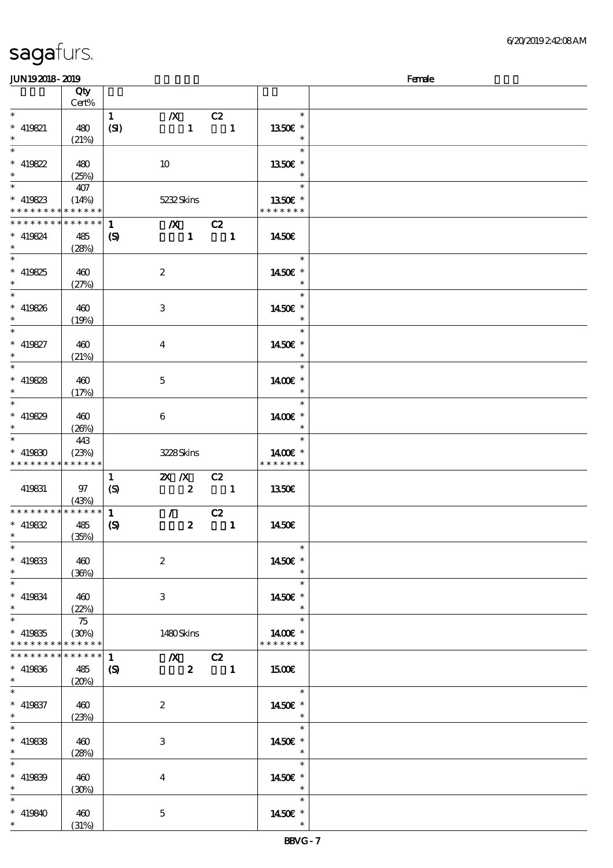| <b>JUN192018-2019</b>       |                            |                             |                         |                                                                                                                                                                                                                                                                                                                                                                                                                                                                                 |               | Female |
|-----------------------------|----------------------------|-----------------------------|-------------------------|---------------------------------------------------------------------------------------------------------------------------------------------------------------------------------------------------------------------------------------------------------------------------------------------------------------------------------------------------------------------------------------------------------------------------------------------------------------------------------|---------------|--------|
|                             | Qty                        |                             |                         |                                                                                                                                                                                                                                                                                                                                                                                                                                                                                 |               |        |
|                             | Cert%                      |                             |                         |                                                                                                                                                                                                                                                                                                                                                                                                                                                                                 |               |        |
| $*$                         |                            | $\mathbf{1}$                | $\boldsymbol{X}$        | C2                                                                                                                                                                                                                                                                                                                                                                                                                                                                              | $\ast$        |        |
| $* 419821$                  | 480                        | (SI)                        | $\mathbf{1}$            | $\overline{\mathbf{1}}$                                                                                                                                                                                                                                                                                                                                                                                                                                                         | 1350E *       |        |
| $\ast$                      |                            |                             |                         |                                                                                                                                                                                                                                                                                                                                                                                                                                                                                 | $\ast$        |        |
| $\overline{\ast}$           | (21%)                      |                             |                         |                                                                                                                                                                                                                                                                                                                                                                                                                                                                                 | $\ast$        |        |
|                             |                            |                             |                         |                                                                                                                                                                                                                                                                                                                                                                                                                                                                                 |               |        |
| $* 419822$                  | 480                        |                             | 10                      |                                                                                                                                                                                                                                                                                                                                                                                                                                                                                 | 1350€ *       |        |
| $\ast$                      | (25%)                      |                             |                         |                                                                                                                                                                                                                                                                                                                                                                                                                                                                                 | $\ast$        |        |
|                             | 407                        |                             |                         |                                                                                                                                                                                                                                                                                                                                                                                                                                                                                 | $\ast$        |        |
| $* 419823$                  | (14%)                      |                             | 5232Skins               |                                                                                                                                                                                                                                                                                                                                                                                                                                                                                 | 1350E *       |        |
| * * * * * * * * * * * * * * |                            |                             |                         |                                                                                                                                                                                                                                                                                                                                                                                                                                                                                 | * * * * * * * |        |
| * * * * * * * *             | $\ast\ast\ast\ast\ast\ast$ | $\mathbf{1}$                | $\chi$ C <sub>2</sub>   |                                                                                                                                                                                                                                                                                                                                                                                                                                                                                 |               |        |
|                             |                            |                             |                         |                                                                                                                                                                                                                                                                                                                                                                                                                                                                                 |               |        |
| $* 419824$<br>$*$           | 485                        | $\boldsymbol{\mathrm{(S)}}$ | $\mathbf{1}$            | $\overline{\phantom{a}}$ $\overline{\phantom{a}}$ $\overline{\phantom{a}}$ $\overline{\phantom{a}}$ $\overline{\phantom{a}}$ $\overline{\phantom{a}}$ $\overline{\phantom{a}}$ $\overline{\phantom{a}}$ $\overline{\phantom{a}}$ $\overline{\phantom{a}}$ $\overline{\phantom{a}}$ $\overline{\phantom{a}}$ $\overline{\phantom{a}}$ $\overline{\phantom{a}}$ $\overline{\phantom{a}}$ $\overline{\phantom{a}}$ $\overline{\phantom{a}}$ $\overline{\phantom{a}}$ $\overline{\$ | 1450€         |        |
|                             | (28%)                      |                             |                         |                                                                                                                                                                                                                                                                                                                                                                                                                                                                                 |               |        |
|                             |                            |                             |                         |                                                                                                                                                                                                                                                                                                                                                                                                                                                                                 | $\ast$        |        |
| $* 419825$                  | 460                        |                             | $\boldsymbol{2}$        |                                                                                                                                                                                                                                                                                                                                                                                                                                                                                 | 1450€ *       |        |
| $*$                         | (27%)                      |                             |                         |                                                                                                                                                                                                                                                                                                                                                                                                                                                                                 | $\ast$        |        |
|                             |                            |                             |                         |                                                                                                                                                                                                                                                                                                                                                                                                                                                                                 | $\ast$        |        |
| $* 419826$                  | 460                        |                             | 3                       |                                                                                                                                                                                                                                                                                                                                                                                                                                                                                 | 1450€ *       |        |
| $\ast$                      | (19%)                      |                             |                         |                                                                                                                                                                                                                                                                                                                                                                                                                                                                                 | $\ast$        |        |
| $\ast$                      |                            |                             |                         |                                                                                                                                                                                                                                                                                                                                                                                                                                                                                 | $\ast$        |        |
|                             |                            |                             |                         |                                                                                                                                                                                                                                                                                                                                                                                                                                                                                 |               |        |
| $* 419827$                  | 460                        |                             | $\bf{4}$                |                                                                                                                                                                                                                                                                                                                                                                                                                                                                                 | 1450€ *       |        |
| $\ast$                      | (21%)                      |                             |                         |                                                                                                                                                                                                                                                                                                                                                                                                                                                                                 | $\ast$        |        |
| $\overline{\ast}$           |                            |                             |                         |                                                                                                                                                                                                                                                                                                                                                                                                                                                                                 | $\ast$        |        |
| $* 419828$                  | 460                        |                             | $\mathbf{5}$            |                                                                                                                                                                                                                                                                                                                                                                                                                                                                                 | 1400€ *       |        |
| $\ast$                      | (17%)                      |                             |                         |                                                                                                                                                                                                                                                                                                                                                                                                                                                                                 | $\ast$        |        |
|                             |                            |                             |                         |                                                                                                                                                                                                                                                                                                                                                                                                                                                                                 | $\ast$        |        |
| $* 419829$                  |                            |                             |                         |                                                                                                                                                                                                                                                                                                                                                                                                                                                                                 |               |        |
| $*$                         | 460                        |                             | $\boldsymbol{6}$        |                                                                                                                                                                                                                                                                                                                                                                                                                                                                                 | 14 $00E$ *    |        |
|                             | (20%)                      |                             |                         |                                                                                                                                                                                                                                                                                                                                                                                                                                                                                 | $\ast$        |        |
| $\ast$                      | 443                        |                             |                         |                                                                                                                                                                                                                                                                                                                                                                                                                                                                                 | $\ast$        |        |
| $* 419830$                  | (23%)                      |                             | 3228Skins               |                                                                                                                                                                                                                                                                                                                                                                                                                                                                                 | 1400€ *       |        |
| * * * * * * * * * * * * * * |                            |                             |                         |                                                                                                                                                                                                                                                                                                                                                                                                                                                                                 | * * * * * * * |        |
|                             |                            | $\mathbf{1}$                | $X$ $X$                 | C2                                                                                                                                                                                                                                                                                                                                                                                                                                                                              |               |        |
| 419831                      | 97                         | $\boldsymbol{\mathrm{(S)}}$ | $\boldsymbol{z}$        | $\blacksquare$                                                                                                                                                                                                                                                                                                                                                                                                                                                                  | 1350€         |        |
|                             | (43%)                      |                             |                         |                                                                                                                                                                                                                                                                                                                                                                                                                                                                                 |               |        |
| * * * * * * * *             | $******$                   | $\mathbf{1}$                | $\mathcal{L}$           | C2                                                                                                                                                                                                                                                                                                                                                                                                                                                                              |               |        |
| $* 419832$                  |                            |                             |                         |                                                                                                                                                                                                                                                                                                                                                                                                                                                                                 |               |        |
|                             | 485                        | $\boldsymbol{\mathcal{S}}$  | $\boldsymbol{z}$        | $\blacksquare$                                                                                                                                                                                                                                                                                                                                                                                                                                                                  | 1450€         |        |
| $*$ $*$                     | (35%)                      |                             |                         |                                                                                                                                                                                                                                                                                                                                                                                                                                                                                 |               |        |
| $\ast$                      |                            |                             |                         |                                                                                                                                                                                                                                                                                                                                                                                                                                                                                 | $\ast$        |        |
| $* 419833$                  | 460                        |                             | $\boldsymbol{2}$        |                                                                                                                                                                                                                                                                                                                                                                                                                                                                                 | 1450€ *       |        |
| $\ast$                      | (36%)                      |                             |                         |                                                                                                                                                                                                                                                                                                                                                                                                                                                                                 | $\ast$        |        |
| $\ast$                      |                            |                             |                         |                                                                                                                                                                                                                                                                                                                                                                                                                                                                                 | $\ast$        |        |
| $* 419834$                  | 460                        |                             | 3                       |                                                                                                                                                                                                                                                                                                                                                                                                                                                                                 | 1450€ *       |        |
| $\ast$                      | (22%)                      |                             |                         |                                                                                                                                                                                                                                                                                                                                                                                                                                                                                 | $\ast$        |        |
|                             |                            |                             |                         |                                                                                                                                                                                                                                                                                                                                                                                                                                                                                 | $\ast$        |        |
|                             | 75                         |                             |                         |                                                                                                                                                                                                                                                                                                                                                                                                                                                                                 |               |        |
| $* 419835$                  | (30%)                      |                             | 1480Skins               |                                                                                                                                                                                                                                                                                                                                                                                                                                                                                 | 1400€ *       |        |
| * * * * * * * *             | * * * * * *                |                             |                         |                                                                                                                                                                                                                                                                                                                                                                                                                                                                                 | * * * * * * * |        |
| * * * * * * * *             | ******                     | $\mathbf{1}$                | $\chi$ C <sub>2</sub>   |                                                                                                                                                                                                                                                                                                                                                                                                                                                                                 |               |        |
| $* 419836$                  | 485                        | $\boldsymbol{S}$            | $\mathbf{2}$            | $\blacksquare$                                                                                                                                                                                                                                                                                                                                                                                                                                                                  | 1500          |        |
| $\ast$                      | (20%)                      |                             |                         |                                                                                                                                                                                                                                                                                                                                                                                                                                                                                 |               |        |
| $\ast$                      |                            |                             |                         |                                                                                                                                                                                                                                                                                                                                                                                                                                                                                 | $\ast$        |        |
| $* 419837$                  | 460                        |                             | $\boldsymbol{2}$        |                                                                                                                                                                                                                                                                                                                                                                                                                                                                                 | 1450E *       |        |
| $*$                         |                            |                             |                         |                                                                                                                                                                                                                                                                                                                                                                                                                                                                                 | $\ast$        |        |
| $\ast$                      | (23%)                      |                             |                         |                                                                                                                                                                                                                                                                                                                                                                                                                                                                                 | $\ast$        |        |
|                             |                            |                             |                         |                                                                                                                                                                                                                                                                                                                                                                                                                                                                                 |               |        |
| $* 419838$                  | 460                        |                             | 3                       |                                                                                                                                                                                                                                                                                                                                                                                                                                                                                 | 1450€ *       |        |
| $\ast$                      | (28%)                      |                             |                         |                                                                                                                                                                                                                                                                                                                                                                                                                                                                                 | $\ast$        |        |
| $\ast$                      |                            |                             |                         |                                                                                                                                                                                                                                                                                                                                                                                                                                                                                 | $\ast$        |        |
| $* 419839$                  | 460                        |                             | $\overline{\mathbf{4}}$ |                                                                                                                                                                                                                                                                                                                                                                                                                                                                                 | 1450€ *       |        |
| $\ast$                      | (30%)                      |                             |                         |                                                                                                                                                                                                                                                                                                                                                                                                                                                                                 | $\ast$        |        |
| $\ast$                      |                            |                             |                         |                                                                                                                                                                                                                                                                                                                                                                                                                                                                                 | $\ast$        |        |
| $* 419840$                  |                            |                             | $\mathbf 5$             |                                                                                                                                                                                                                                                                                                                                                                                                                                                                                 | 1450€ *       |        |
| $*$ $*$                     | 460                        |                             |                         |                                                                                                                                                                                                                                                                                                                                                                                                                                                                                 | $\ast$        |        |
|                             | (31%)                      |                             |                         |                                                                                                                                                                                                                                                                                                                                                                                                                                                                                 |               |        |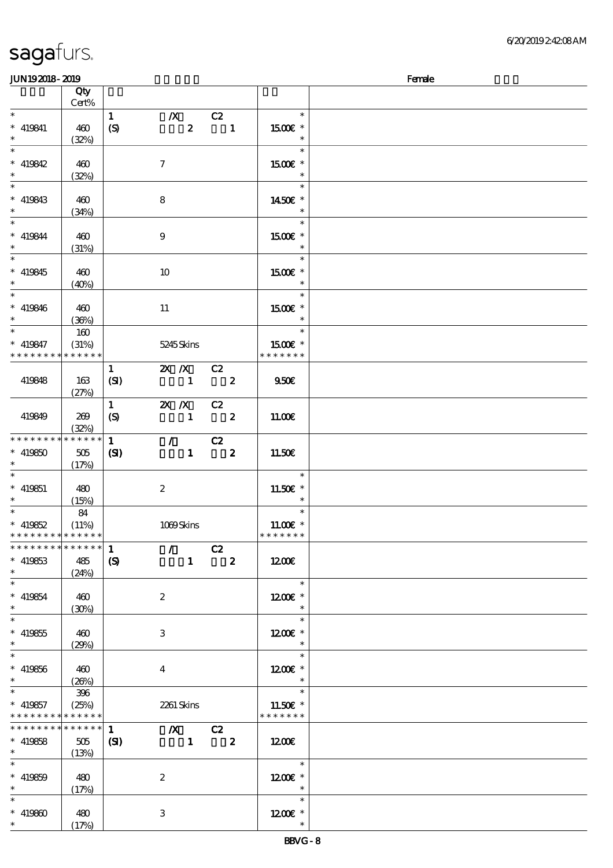| <b>JUN192018-2019</b>         |             |                  |                     |                                                      |                         |                          | Female |
|-------------------------------|-------------|------------------|---------------------|------------------------------------------------------|-------------------------|--------------------------|--------|
|                               | Qty         |                  |                     |                                                      |                         |                          |        |
|                               | Cert%       |                  |                     |                                                      |                         |                          |        |
| $\ast$                        |             | $\mathbf{1}$     |                     |                                                      |                         | $\ast$                   |        |
|                               |             |                  |                     | $\boldsymbol{X}$                                     | C2                      |                          |        |
| $* 419841$                    | 460         | $\boldsymbol{S}$ |                     | $\boldsymbol{z}$                                     | $\blacksquare$          | 1500E *                  |        |
| $\ast$                        | (32%)       |                  |                     |                                                      |                         | $\ast$                   |        |
| $\overline{\ast}$             |             |                  |                     |                                                      |                         | $\ast$                   |        |
| $* 419842$                    | 460         |                  | $\boldsymbol{\tau}$ |                                                      |                         | 1500€ *                  |        |
| $\ast$                        |             |                  |                     |                                                      |                         | $\ast$                   |        |
| $\overline{\phantom{a}^*}$    | (32%)       |                  |                     |                                                      |                         |                          |        |
|                               |             |                  |                     |                                                      |                         | $\ast$                   |        |
| $* 419843$                    | 460         |                  | 8                   |                                                      |                         | 1450€ *                  |        |
| $\ast$                        | (34%)       |                  |                     |                                                      |                         | $\ast$                   |        |
| $_{\rm *}^-$                  |             |                  |                     |                                                      |                         | $\ast$                   |        |
| $* 419844$                    | 460         |                  | $\boldsymbol{9}$    |                                                      |                         | 1500E *                  |        |
| $\ast$                        |             |                  |                     |                                                      |                         | $\ast$                   |        |
| $\overline{\phantom{0}}$      | (31%)       |                  |                     |                                                      |                         |                          |        |
|                               |             |                  |                     |                                                      |                         | $\ast$                   |        |
| $* 419845$                    | 460         |                  | 10                  |                                                      |                         | $1500E$ *                |        |
|                               | (40%)       |                  |                     |                                                      |                         | $\ast$                   |        |
| $\overline{\ast}$             |             |                  |                     |                                                      |                         | $\ast$                   |        |
| $* 419846$                    | 460         |                  | 11                  |                                                      |                         | 1500 £*                  |        |
| $\ast$                        |             |                  |                     |                                                      |                         | $\ast$                   |        |
|                               | (36%)       |                  |                     |                                                      |                         |                          |        |
| $\ast$                        | 160         |                  |                     |                                                      |                         | $\ast$                   |        |
| $* 419847$                    | (31%)       |                  |                     | 5245 Skins                                           |                         | 1500€ *                  |        |
| * * * * * * * *               | * * * * * * |                  |                     |                                                      |                         | * * * * * * *            |        |
|                               |             | $\mathbf{1}$     |                     | 2X /X C2                                             |                         |                          |        |
|                               |             |                  |                     | $\sim$ 1                                             | $\overline{\mathbf{2}}$ | 950E                     |        |
| 419848                        | 163         | (SI)             |                     |                                                      |                         |                          |        |
|                               | (27%)       |                  |                     |                                                      |                         |                          |        |
|                               |             | $\mathbf{1}$     |                     | $2X$ $N$                                             | C2                      |                          |        |
| 419849                        | 269         | $\boldsymbol{S}$ |                     | $\blacksquare$                                       | $\overline{\mathbf{2}}$ | 11.00E                   |        |
|                               | (32%)       |                  |                     |                                                      |                         |                          |        |
| $*********$                   | * * * * * * | $\mathbf{1}$     |                     | $\mathcal{L}$ and $\mathcal{L}$                      | C2                      |                          |        |
| $* 419850$                    | 505         |                  |                     | $\mathbf{1}$                                         | $\overline{\mathbf{z}}$ | 11.50€                   |        |
|                               |             | (S)              |                     |                                                      |                         |                          |        |
|                               | (17%)       |                  |                     |                                                      |                         |                          |        |
| $\ast$                        |             |                  |                     |                                                      |                         | $\ast$                   |        |
| $* 419851$                    | 480         |                  | $\boldsymbol{2}$    |                                                      |                         | 11.50 £*                 |        |
| $\ast$                        | (15%)       |                  |                     |                                                      |                         | $\ast$                   |        |
| $\ast$                        | 84          |                  |                     |                                                      |                         | $\ast$                   |        |
| $* 419852$                    | (11%)       |                  |                     | 1069Skins                                            |                         | $11.00E$ *               |        |
| * * * * * * * * * * * * * *   |             |                  |                     |                                                      |                         | * * * * * * *            |        |
|                               |             |                  |                     |                                                      |                         |                          |        |
| * * * * * * * * * * * * * * * |             | $\mathbf{1}$     |                     | $\sqrt{C^2}$                                         |                         |                          |        |
| $* 419853$                    | 485         | $\boldsymbol{S}$ |                     |                                                      | $1 \t 2$                | 1200E                    |        |
| $\ast$                        | (24%)       |                  |                     |                                                      |                         |                          |        |
| $\ast$                        |             |                  |                     |                                                      |                         | $\overline{\phantom{a}}$ |        |
| $* 419854$                    | 460         |                  | $\boldsymbol{2}$    |                                                      |                         | 1200E *                  |        |
| $\ast$                        |             |                  |                     |                                                      |                         |                          |        |
|                               | (30%)       |                  |                     |                                                      |                         | $\star$                  |        |
| $\ast$                        |             |                  |                     |                                                      |                         | $\ast$                   |        |
| $* 419855$                    | 460         |                  | 3                   |                                                      |                         | $1200E$ *                |        |
| $\ast$                        | (29%)       |                  |                     |                                                      |                         | $\ast$                   |        |
| $\ast$                        |             |                  |                     |                                                      |                         | $\ast$                   |        |
| $* 419856$                    | 460         |                  | 4                   |                                                      |                         | $1200E$ *                |        |
| $\ast$                        |             |                  |                     |                                                      |                         |                          |        |
|                               | (20%)       |                  |                     |                                                      |                         |                          |        |
| $\ast$                        | 396         |                  |                     |                                                      |                         | $\ast$                   |        |
| $*$ 419857                    | (25%)       |                  |                     | 2261 Skins                                           |                         | 11.50 $\varepsilon$ *    |        |
| * * * * * * * * * * * * * *   |             |                  |                     |                                                      |                         | * * * * * * *            |        |
| **************                |             | 1                |                     | $\begin{array}{ccc} & X & C2 \\ & 1 & 2 \end{array}$ |                         |                          |        |
| $* 419858$                    | 505         | $\mathbf{C}$     |                     |                                                      |                         | 1200E                    |        |
| $\star$                       | (13%)       |                  |                     |                                                      |                         |                          |        |
|                               |             |                  |                     |                                                      |                         | $\overline{\phantom{a}}$ |        |
|                               |             |                  |                     |                                                      |                         |                          |        |
| $* 419859$                    | 480         |                  | $\boldsymbol{2}$    |                                                      |                         | 1200E *                  |        |
| $\ast$                        | (17%)       |                  |                     |                                                      |                         | $\overline{\phantom{a}}$ |        |
| $\ast$                        |             |                  |                     |                                                      |                         | $\ast$                   |        |
| $* 419800$                    | 480         |                  | 3                   |                                                      |                         | $1200E$ *                |        |
| $*$ and $*$                   |             |                  |                     |                                                      |                         |                          |        |
|                               | (17%)       |                  |                     |                                                      |                         |                          |        |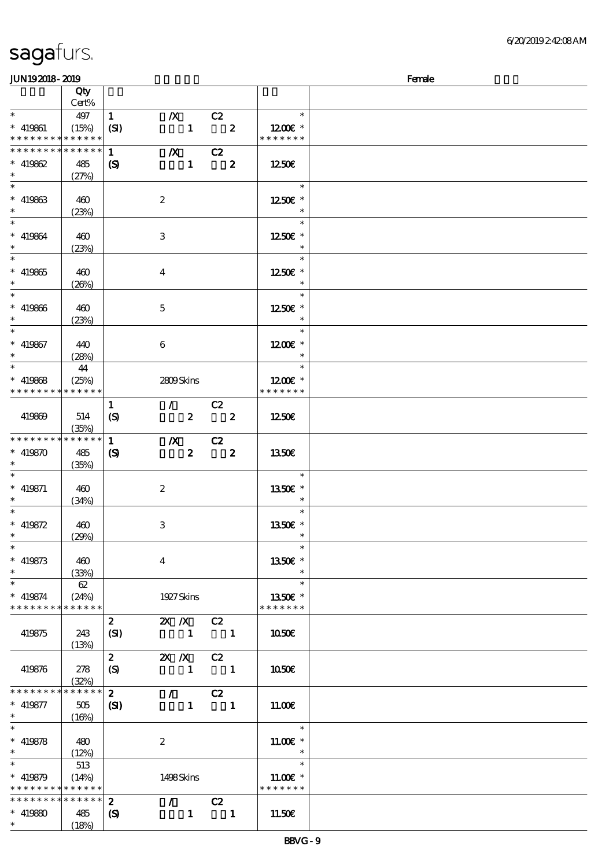### $J\sim 1092018$  - 2019

| www.ww            |             |                             |                           |                                 |                                         |                      | $\sim$ |
|-------------------|-------------|-----------------------------|---------------------------|---------------------------------|-----------------------------------------|----------------------|--------|
|                   | Qty         |                             |                           |                                 |                                         |                      |        |
|                   | Cert%       |                             |                           |                                 |                                         |                      |        |
| $\ast$            | 497         | $\mathbf{1}$                | $\boldsymbol{X}$          |                                 | $\overline{\phantom{a}}$ C <sub>2</sub> | $\ast$               |        |
| $* 419861$        | (15%)       | (SI)                        |                           | $\mathbf{1}$                    | $\overline{\mathbf{z}}$                 | 1200 $\varepsilon$ * |        |
| * * * * * * * *   | * * * * * * |                             |                           |                                 |                                         | * * * * * * *        |        |
|                   |             |                             |                           |                                 |                                         |                      |        |
| * * * * * * * *   | * * * * * * | $\mathbf{1}$                |                           | $\overline{X}$ C <sub>2</sub>   |                                         |                      |        |
| $* 419862$        | 485         | $\boldsymbol{\mathrm{(S)}}$ |                           |                                 | $1 \t 2$                                | 1250E                |        |
| $\ast$            |             |                             |                           |                                 |                                         |                      |        |
|                   | (27%)       |                             |                           |                                 |                                         |                      |        |
| $\ast$            |             |                             |                           |                                 |                                         | $\ast$               |        |
| $* 419863$        | 460         |                             | $\boldsymbol{z}$          |                                 |                                         | 1250E *              |        |
|                   |             |                             |                           |                                 |                                         |                      |        |
| $\ast$            | (23%)       |                             |                           |                                 |                                         |                      |        |
| $\ast$            |             |                             |                           |                                 |                                         | $\ast$               |        |
| $* 419864$        | 460         |                             | 3                         |                                 |                                         | 1250E *              |        |
|                   |             |                             |                           |                                 |                                         |                      |        |
| $\ast$            | (23%)       |                             |                           |                                 |                                         | $\ast$               |        |
| $\overline{\ast}$ |             |                             |                           |                                 |                                         | $\ast$               |        |
| $* 419865$        | 460         |                             | $\overline{\mathbf{4}}$   |                                 |                                         | 1250E *              |        |
|                   |             |                             |                           |                                 |                                         |                      |        |
| $\ast$            | (20%)       |                             |                           |                                 |                                         |                      |        |
| $*$ and $*$       |             |                             |                           |                                 |                                         | $\ast$               |        |
| $* 419866$        | 460         |                             | $\mathbf 5$               |                                 |                                         | 1250E *              |        |
|                   |             |                             |                           |                                 |                                         | $\ast$               |        |
| $\ast$            | (23%)       |                             |                           |                                 |                                         |                      |        |
| $\ast$            |             |                             |                           |                                 |                                         | $\ast$               |        |
|                   | 440         |                             | 6                         |                                 |                                         | $1200E$ *            |        |
| $*$ 419867        |             |                             |                           |                                 |                                         |                      |        |
|                   | (28%)       |                             |                           |                                 |                                         | $\ast$               |        |
| $\ast$            | 44          |                             |                           |                                 |                                         | $\ast$               |        |
| $* 419868$        | (25%)       |                             |                           | 2809Skins                       |                                         | 1200E *              |        |
|                   |             |                             |                           |                                 |                                         |                      |        |
| * * * * * * * *   | * * * * * * |                             |                           |                                 |                                         | * * * * * * *        |        |
|                   |             | $\mathbf{1}$                |                           | $\mathcal{T} = \mathcal{I}$     | C2                                      |                      |        |
| 419869            | 514         | $\boldsymbol{S}$            |                           | $\overline{\mathbf{z}}$         | $\overline{\mathbf{2}}$                 | 1250E                |        |
|                   |             |                             |                           |                                 |                                         |                      |        |
|                   | (35%)       |                             |                           |                                 |                                         |                      |        |
| * * * * * * * *   | ******      | $\mathbf{1}$                | $\boldsymbol{X}$          |                                 | $\overline{c}$                          |                      |        |
| $* 419870$        | 485         | $\boldsymbol{\mathcal{S}}$  |                           | $\boldsymbol{z}$                | $\overline{\phantom{a}}$ 2              | 1350€                |        |
| $\ast$            |             |                             |                           |                                 |                                         |                      |        |
|                   | (35%)       |                             |                           |                                 |                                         |                      |        |
| $\ast$            |             |                             |                           |                                 |                                         | $\ast$               |        |
| $* 419871$        | 460         |                             | $\boldsymbol{2}$          |                                 |                                         | 1350E *              |        |
|                   |             |                             |                           |                                 |                                         |                      |        |
|                   | (34%)       |                             |                           |                                 |                                         |                      |        |
| $\ast$            |             |                             |                           |                                 |                                         | $\ast$               |        |
| $* 419872$        | 460         |                             | $\ensuremath{\mathsf{3}}$ |                                 |                                         | 1350E *              |        |
| $\ast$            | (29%)       |                             |                           |                                 |                                         | $\ast$               |        |
|                   |             |                             |                           |                                 |                                         |                      |        |
| $\ast$            |             |                             |                           |                                 |                                         | $\ast$               |        |
| $* 419873$        | 460         |                             | $\boldsymbol{4}$          |                                 |                                         | 1350€ *              |        |
| $\ast$            |             |                             |                           |                                 |                                         | $\ast$               |        |
|                   | (33%)       |                             |                           |                                 |                                         |                      |        |
| $\ast$            | 62          |                             |                           |                                 |                                         | $\ast$               |        |
| $* 419874$        | (24%)       |                             |                           | 1927 Skins                      |                                         | 1350E *              |        |
| * * * * * * * *   | * * * * * * |                             |                           |                                 |                                         | * * * * * * *        |        |
|                   |             |                             |                           |                                 |                                         |                      |        |
|                   |             | $\boldsymbol{z}$            | $X$ $N$                   |                                 | C2                                      |                      |        |
| 419875            | 243         | (SI)                        |                           | $\mathbf{1}$                    | $\blacksquare$                          | 1050€                |        |
|                   | (13%)       |                             |                           |                                 |                                         |                      |        |
|                   |             |                             |                           |                                 |                                         |                      |        |
|                   |             | $\mathbf{z}$                | $X$ $N$                   |                                 | C2                                      |                      |        |
| 419876            | 278         | $\boldsymbol{S}$            |                           | $\mathbf{1}$                    | $\blacksquare$                          | 1050€                |        |
|                   | (32%)       |                             |                           |                                 |                                         |                      |        |
| * * * * * * * *   | * * * * * * |                             |                           |                                 |                                         |                      |        |
|                   |             | $\mathbf{2}$                | $\mathcal{L}$             |                                 | C2                                      |                      |        |
| $* 419877$        | 505         | $\mathbf{C}$                |                           | $\mathbf{1}$                    | $\blacksquare$                          | 11.00E               |        |
| $\ast$            | (16%)       |                             |                           |                                 |                                         |                      |        |
| $\ast$            |             |                             |                           |                                 |                                         | $\ast$               |        |
|                   |             |                             |                           |                                 |                                         |                      |        |
| $* 419878$        | 480         |                             | $\boldsymbol{2}$          |                                 |                                         | $1100E$ *            |        |
| $\ast$            | (12%)       |                             |                           |                                 |                                         | $\ast$               |        |
| $\ast$            | 513         |                             |                           |                                 |                                         | $\ast$               |        |
|                   |             |                             |                           |                                 |                                         |                      |        |
| $* 419879$        | (14%)       |                             |                           | 1498Skins                       |                                         | $11.00E$ *           |        |
| * * * * * * * *   | * * * * * * |                             |                           |                                 |                                         | * * * * * * *        |        |
| * * * * * * * *   | ******      | $\boldsymbol{z}$            |                           | $\mathcal{L}$ and $\mathcal{L}$ | C2                                      |                      |        |
|                   |             |                             |                           |                                 |                                         |                      |        |
| $* 41980$         | 485         | $\boldsymbol{\mathcal{S}}$  |                           | $\mathbf{1}$                    | $\overline{\phantom{a}}$ 1              | 11.50€               |        |
| $\ast$            | (18%)       |                             |                           |                                 |                                         |                      |        |
|                   |             |                             |                           |                                 |                                         |                      |        |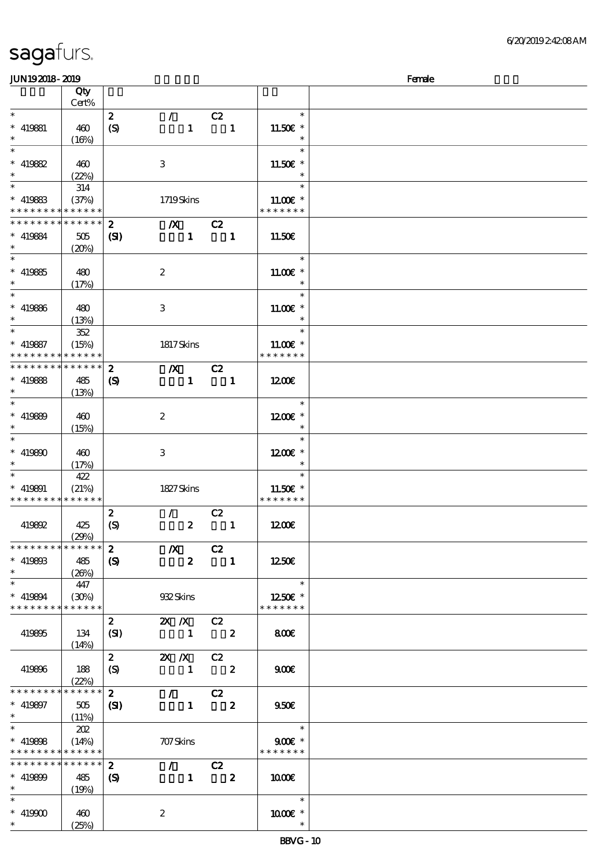### $JUN192018 - 2019$  Female 顺序号 Qty 说明 价格 Cert%  $\ast$ 2 / C2 \*\*\*  $\ast$ \*\*\*  $\ast$  $419881$  460 11.50€  $(S)$  1 1  $(16%)$  $\overline{\phantom{0}}$  $\overline{\phantom{0}}$ \*\*\* \*\*\*  $\ast$ 419882 460 3 11.50€  $\ast$ (22%)  $*$  419883 314  $\ast$ \*\*  $(37%)$  1719 Skins 11.00€ \* \* \* \* \* \* \* \* \* \* \* \* \* \* \* \* \* \* \* \*  $2$   $\sqrt{X}$   $C2$ \* \* \* \* \* \* \* \* \* \* \* \*  $* 419884$  505  $(SI)$  1 1 11.50€ \*\*  $(20%)$  $^{-}$ \*\*\*  $\ast$ \*\*\*  $419885$  480 11.00€ \*  $\ast$ 2  $(17%)$  $\star$ ¥ \*\*\*  $\ast$ \*\*\*  $\ast$ 419886 480 3 11.00€ \* (13%)  $\ast$ \*\* <sup>419887</sup> 352  $\ast$ \*\* (15%) 1817 Skins 11.00€ \* \* \* \* \* \* \* \* \* \* \* \* \* \* \* \* \* \* \* 2 浅/X浅 C2 \* \* \* \* \* \* \* \* \* \* \* \*  $\ast$  $1$  1200 $\varepsilon$ \*\* 419888 485  $(S)$  1 1 (13%)  $\ast$ \*\*\*  $\ast$ \*\*\*  $\ast$ 419889 460 2  $1200E$  \* (15%) J. \*\*\*  $\ddot{\phantom{0}}$ \*\*\*  $\ast$  $419890 \pm 400$ 12.00€  $\ast$ 3 (17%)  $\ast$ 422 \*\* \*\* <sup>419891</sup> (21%) 1827 Skins 11.50€ \* \* \* \* \* \* \* \* \* \* \* \* \* \* \* \* \* \* \* 2 / C2 (S)  $2 \t 1 \t 1200 \t 6$ 419892 425 (29%)  $2$   $/$   $\sqrt{2}$ \* \* \* \* \* \* \* \* \* \* \* \* \*  $\ast$ 419893 485 1 1250€ \*\*  $(S)$  2 1  $(26%)$  $*$ <br>\* 419894 447  $\ast$ \*\* (30%) 932 Skins 12.50€ \* \* \* \* \* \* \* \* \* \* \* \* \* \* \* \* \* \* \* 2 2X X C2 419895 134  $(SI)$  1 2 8.00€ (14%) 2 2X X C2 419896 188 (S)  $1 \t 2 \t 900 \t 600$  $(22%)$ \*  $\overline{2}$  /  $\overline{C2}$ \* \* \* \* \* \* \* \* \* \* \* \*  $\ast$ 419897 505  $(SI)$  1 2 9.50€ \*\*  $(11%)$ \*  $*$  419898 202  $\star$ \*\* 9.00<del>€</del> \* (14%) 707 Skins \* \* \* \* \* \* \* \* \* \* \* \* \* \* \* \* \* \* \* \* \* \* \* \* \* \* \* \* \* \* \* \* \* 2 / C2  $\ast$ 419899 485 \*\*  $(S)$  1 2 2 | 10.00€ (19%)  $\overline{\phantom{0}}$ \*\*\*  $\ast$ \*\*\*  $* 419900$  460 2 1000€ \* (25%)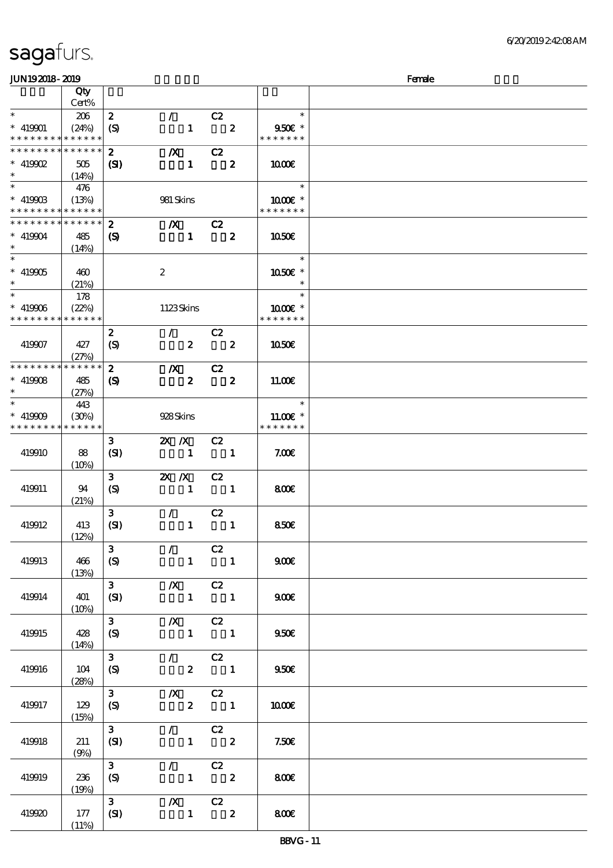(11%)

| <b>JUN192018-2019</b>                     |              |                            |                                                    |                         |                         |                         | Female |
|-------------------------------------------|--------------|----------------------------|----------------------------------------------------|-------------------------|-------------------------|-------------------------|--------|
|                                           | Qty          |                            |                                                    |                         |                         |                         |        |
|                                           | Cert%        |                            |                                                    |                         |                         |                         |        |
| $\ast$                                    | 206          | $\boldsymbol{z}$           | $\mathcal{F}^{\mathcal{F}}$                        | C2                      |                         | $\ast$                  |        |
| $* 419901$                                | (24%)        | (S)                        | $\mathbf{1}$                                       |                         | $\overline{\mathbf{2}}$ | 950€ *                  |        |
| * * * * * * * * <mark>* * * * * *</mark>  |              |                            |                                                    |                         |                         | * * * * * * *           |        |
| * * * * * * * * * * * * * *               |              | $\boldsymbol{z}$           | $\boldsymbol{X}$                                   | C2                      |                         |                         |        |
| $*$ 419902                                | 505          | $\mathbf{S}$               | $\mathbf{1}$                                       |                         | $\overline{\mathbf{2}}$ | 1000                    |        |
| $\ast$                                    | (14%)        |                            |                                                    |                         |                         |                         |        |
| $\ast$                                    | 476          |                            |                                                    |                         |                         | $\ast$                  |        |
| $* 41990B$<br>* * * * * * * * * * * * * * | (13%)        |                            | 981 Skins                                          |                         |                         | 1000 *<br>* * * * * * * |        |
| * * * * * * * * * * * * * *               |              |                            |                                                    |                         |                         |                         |        |
|                                           |              | $\boldsymbol{z}$           | $\boldsymbol{X}$                                   | C2                      |                         |                         |        |
| $* 419904$<br>$\ast$                      | 485          | $\boldsymbol{\mathcal{S}}$ | $\mathbf{1}$                                       |                         | $\boldsymbol{2}$        | 1050E                   |        |
| $\overline{\phantom{1}}$                  | (14%)        |                            |                                                    |                         |                         | $\ast$                  |        |
| $* 419905$                                |              |                            | $\boldsymbol{z}$                                   |                         |                         | 1050€ *                 |        |
| $\ast$                                    | 460<br>(21%) |                            |                                                    |                         |                         | $\ast$                  |        |
| $\ast$                                    | 178          |                            |                                                    |                         |                         | $\ast$                  |        |
| $* 419906$                                | (22%)        |                            | 1123Skins                                          |                         |                         | 1000 *                  |        |
| * * * * * * * * * * * * * *               |              |                            |                                                    |                         |                         | * * * * * * *           |        |
|                                           |              | $\boldsymbol{z}$           | $\mathcal{L}$                                      | C2                      |                         |                         |        |
| 419907                                    | 427          | (S)                        | $\boldsymbol{z}$                                   |                         | $\overline{\mathbf{2}}$ | <b>1050€</b>            |        |
|                                           | (27%)        |                            |                                                    |                         |                         |                         |        |
| * * * * * * * * * * * * * *               |              | $\mathbf{z}$               | $\boldsymbol{X}$                                   | C2                      |                         |                         |        |
| $* 419908$                                | 485          | (S)                        | $\boldsymbol{z}$                                   | $\overline{\mathbf{2}}$ |                         | 11.00E                  |        |
| $\ast$                                    | (27%)        |                            |                                                    |                         |                         |                         |        |
| $\ast$                                    | 443          |                            |                                                    |                         |                         | $\ast$                  |        |
| $* 419909$                                | (30%)        |                            | 928Skins                                           |                         |                         | $11.00E$ *              |        |
| * * * * * * * * * * * * * *               |              |                            |                                                    |                         |                         | * * * * * * *           |        |
|                                           |              | $\mathbf{3}$               | $X \, X$                                           | C2                      |                         |                         |        |
| 419910                                    | 88           | (SI)                       | $\mathbf{1}$                                       | $\blacksquare$          |                         | 7.006                   |        |
|                                           | (10%)        |                            |                                                    |                         |                         |                         |        |
|                                           |              | $\mathbf{3}$               | $X$ $N$                                            | C2                      |                         |                         |        |
| 419911                                    | 94           | $\boldsymbol{S}$           | $\mathbf{1}$                                       | $\blacksquare$          |                         | 800                     |        |
|                                           | (21%)        |                            |                                                    |                         |                         |                         |        |
|                                           |              | 3 <sup>1</sup>             | $\mathcal{L}$                                      | C2                      |                         |                         |        |
| 419912                                    | 413          | (SI)                       | $\mathbf{1}$                                       |                         | $\mathbf{1}$            | 850E                    |        |
|                                           | (12%)        |                            |                                                    |                         |                         |                         |        |
|                                           |              | $\mathbf{3}$               | $\mathcal{L}$                                      | C2                      |                         |                         |        |
| 419913                                    | 466          | (S)                        |                                                    | $1 \quad 1$             |                         | 900                     |        |
|                                           | (13%)        |                            |                                                    |                         |                         |                         |        |
|                                           |              | 3 <sup>7</sup>             | $\overline{X}$ C <sub>2</sub>                      |                         |                         |                         |        |
| 419914                                    | 401          | (SI)                       | $1 \quad 1$                                        |                         |                         | 900                     |        |
|                                           | $(10\%)$     | $3^{\circ}$                | $X$ C <sub>2</sub>                                 |                         |                         |                         |        |
| 419915                                    | 428          |                            | $1 \quad 1$                                        |                         |                         | 950E                    |        |
|                                           | (14%)        | (S)                        |                                                    |                         |                         |                         |        |
|                                           |              | $3 -$                      | $\sqrt{C^2}$                                       |                         |                         |                         |        |
| 419916                                    | 104          | (S)                        |                                                    | $2 \quad 1$             |                         | 950E                    |        |
|                                           | (28%)        |                            |                                                    |                         |                         |                         |        |
|                                           |              | 3 <sup>7</sup>             | $/X$ $C2$                                          |                         |                         |                         |        |
| 419917                                    | 129          | (S)                        | $2 \t 1$                                           |                         |                         | 1000                    |        |
|                                           | (15%)        |                            |                                                    |                         |                         |                         |        |
|                                           |              | 3 <sub>1</sub>             | $\mathcal{L} = \mathcal{L}$                        | C2                      |                         |                         |        |
| 419918                                    | 211          | (SI)                       | $1$ 2                                              |                         |                         | 7.50E                   |        |
|                                           | (9%)         |                            |                                                    |                         |                         |                         |        |
|                                           |              | 3 <sup>7</sup>             | $\mathcal{L} = \mathcal{L}$                        | $\overline{c}z$         |                         |                         |        |
| 419919                                    | 236          | (S)                        | $1 \t 2$                                           |                         |                         | 800€                    |        |
|                                           | (19%)        |                            |                                                    |                         |                         |                         |        |
|                                           |              | 3 <sup>1</sup>             | $\begin{array}{ccc} & X & C2 \\ 1 & 2 \end{array}$ |                         |                         |                         |        |
| 419920                                    | 177          | $ \mathbf{S}$              |                                                    |                         |                         | 800                     |        |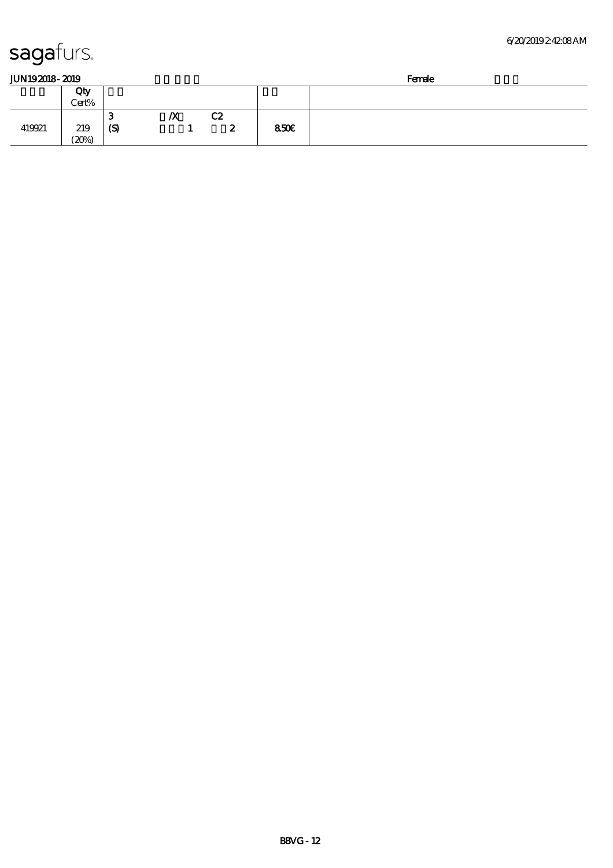| JUN192018-2019 |  |
|----------------|--|
|                |  |

| JUN192018-2019 |       |     |    |    |      | Female |
|----------------|-------|-----|----|----|------|--------|
|                | Qty   |     |    |    |      |        |
|                | Cert% |     |    |    |      |        |
|                |       | o   | IХ | C2 |      |        |
| 419921         | 219   | (S) |    | 2  | 850E |        |
|                | (20%) |     |    |    |      |        |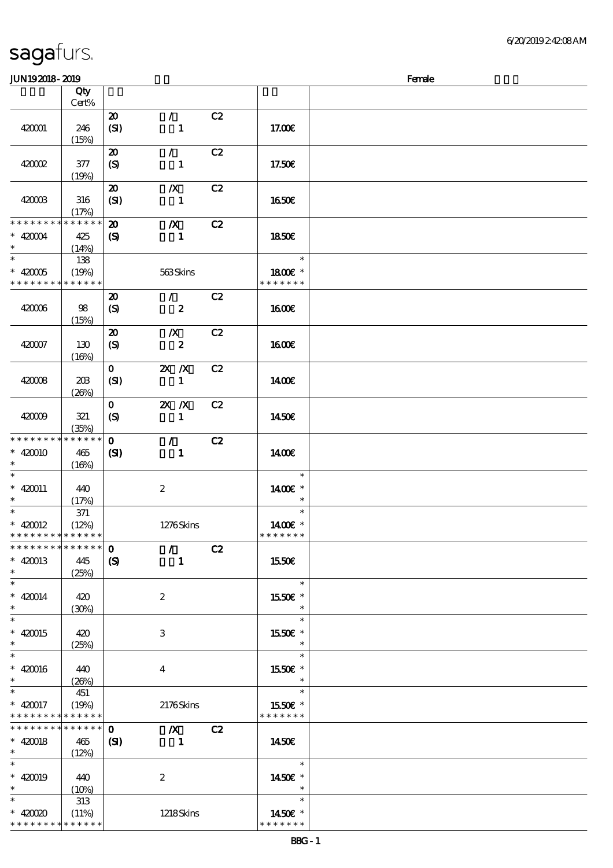| <b>JUN192018-2019</b>                                          |                                 |                                                           |                                      |    |                                    | Female |
|----------------------------------------------------------------|---------------------------------|-----------------------------------------------------------|--------------------------------------|----|------------------------------------|--------|
|                                                                | Qty                             |                                                           |                                      |    |                                    |        |
|                                                                | Cert%                           |                                                           |                                      |    |                                    |        |
| 420001                                                         | 246<br>(15%)                    | $\boldsymbol{\mathfrak{D}}$<br>(SI)                       | $\mathcal{L}$<br>$\mathbf{1}$        | C2 | 17.00E                             |        |
| 420002                                                         | 377<br>(19%)                    | $\boldsymbol{\mathfrak{D}}$<br>(S)                        | $\mathcal{L}$<br>$\mathbf{1}$        | C2 | 17.50€                             |        |
| 420003                                                         | 316<br>(17%)                    | $\boldsymbol{\mathbf{z}}$<br>(SI)                         | $\boldsymbol{X}$<br>$\mathbf{1}$     | C2 | 1650E                              |        |
| * * * * * * * *<br>$* 420004$<br>$\ast$                        | * * * * * *<br>425<br>(14%)     | $\boldsymbol{\mathfrak{D}}$<br>$\boldsymbol{\mathcal{S}}$ | $\boldsymbol{X}$<br>$\mathbf{1}$     | C2 | 1850E                              |        |
| $\overline{\ast}$<br>$^\ast$ 420005<br>* * * * * * * *         | 138<br>(19%)<br>* * * * * *     |                                                           | 563Skins                             |    | $\ast$<br>1800 £*<br>* * * * * * * |        |
| 420006                                                         | 98<br>(15%)                     | $\boldsymbol{\mathfrak{D}}$<br>$\boldsymbol{\mathcal{S}}$ | $\mathcal{L}$<br>$\boldsymbol{z}$    | C2 | <b>1600€</b>                       |        |
| 420007                                                         | 130<br>(16%)                    | $\boldsymbol{\mathbf{z}}$<br>(S)                          | $\boldsymbol{X}$<br>$\boldsymbol{2}$ | C2 | <b>1600€</b>                       |        |
| 420008                                                         | 20B<br>(20%)                    | $\mathbf{O}$<br>(SI)                                      | $X$ $X$<br>$\mathbf{1}$              | C2 | 1400E                              |        |
| 420009                                                         | 321<br>(35%)                    | $\mathbf{o}$<br>$\boldsymbol{S}$                          | $X$ $N$<br>$\mathbf{1}$              | C2 | 1450€                              |        |
| * * * * * * * *<br>$* 420010$<br>$\ast$                        | * * * * * *<br>465<br>(16%)     | $\mathbf{O}$<br>(S)                                       | $\mathcal{L}$<br>$\mathbf{1}$        | C2 | 1400€                              |        |
| $\ast$<br>$* 420011$<br>$\ast$                                 | 440<br>(17%)                    |                                                           | $\boldsymbol{2}$                     |    | $\ast$<br>1400€ *<br>$\ast$        |        |
| $\overline{\ast}$<br>$* 420012$<br>* * * * * * * * * * * * * * | 371<br>(12%)                    |                                                           | 1276Skins                            |    | $\ast$<br>1400€ *<br>* * * * * * * |        |
| * * * * * * * *<br>$* 420013$<br>$\ast$                        | $* * * * * * *$<br>445<br>(25%) | $\mathbf 0$<br>$\boldsymbol{S}$                           | $\mathcal{L}$<br>$\mathbf{1}$        | C2 | 1550€                              |        |
| $\ast$<br>$* 420014$<br>$\ast$                                 | 420<br>(30%)                    |                                                           | $\boldsymbol{2}$                     |    | $\ast$<br>1550E *<br>$\ast$        |        |
| $\overline{\ast}$<br>$* 420015$<br>$\ast$                      | 420<br>(25%)                    |                                                           | 3                                    |    | $\ast$<br>1550E *<br>$\ast$        |        |
| $\ast$<br>$* 420016$<br>$\ast$                                 | 440<br>(20%)                    |                                                           | $\bf{4}$                             |    | $\ast$<br>1550E *<br>$\ast$        |        |
| $\ast$<br>$* 420017$<br>* * * * * * * *                        | 451<br>(19%)<br>* * * * * *     |                                                           | 2176Skins                            |    | $\ast$<br>1550E *<br>* * * * * * * |        |
| * * * * * * * *<br>$* 420018$<br>$*$ $*$                       | * * * * * *<br>465<br>(12%)     | $\mathbf{O}$<br>(S)                                       | $\boldsymbol{X}$<br>$\blacksquare$   | C2 | 1450E                              |        |
| $\ast$<br>$* 420019$<br>$\ast$                                 | 440<br>(10%)                    |                                                           | $\boldsymbol{2}$                     |    | $\ast$<br>1450€ *<br>$\ast$        |        |
| $\ast$<br>$* 42000$<br>* * * * * * * *                         | 313<br>(11%)<br>* * * * * *     |                                                           | 1218Skins                            |    | $\ast$<br>1450€ *<br>* * * * * * * |        |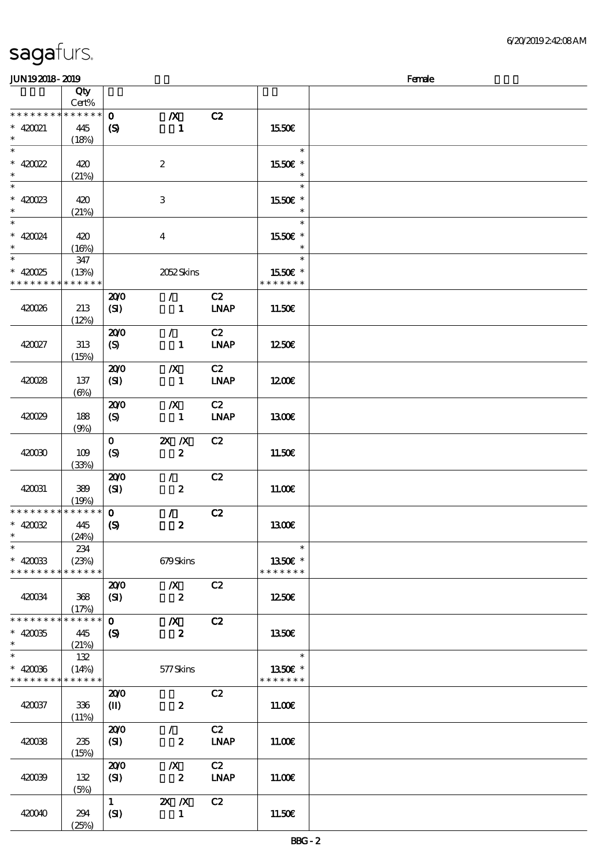| sagafurs. |  |
|-----------|--|
|           |  |

### $JUN192018 - 2019$  Female

| ------                      |                            |                             |                  |                              |               | ----- |
|-----------------------------|----------------------------|-----------------------------|------------------|------------------------------|---------------|-------|
|                             | $\overline{Q}$ ty<br>Cert% |                             |                  |                              |               |       |
|                             |                            |                             |                  |                              |               |       |
| * * * * * * * * * * * * * * |                            | $\mathbf{o}$                | $\boldsymbol{X}$ | C2                           |               |       |
| $* 420021$                  | 445                        | $\boldsymbol{\mathcal{S}}$  | -1               |                              | 1550€         |       |
| $\ast$                      |                            |                             |                  |                              |               |       |
|                             | (18%)                      |                             |                  |                              |               |       |
| $\overline{\phantom{0}}$    |                            |                             |                  |                              | $\ast$        |       |
| $* 420022$                  | 420                        |                             | $\boldsymbol{2}$ |                              | 1550€ *       |       |
| $\ast$                      |                            |                             |                  |                              | $\ast$        |       |
|                             | (21%)                      |                             |                  |                              |               |       |
| $\ast$                      |                            |                             |                  |                              | $\ast$        |       |
| $* 420023$                  | 420                        |                             | 3                |                              | 1550E *       |       |
| $\ast$                      | (21%)                      |                             |                  |                              | $\ast$        |       |
| $\overline{\ast}$           |                            |                             |                  |                              | $\ast$        |       |
|                             |                            |                             |                  |                              |               |       |
| $* 420024$                  | 420                        |                             | $\boldsymbol{4}$ |                              | 1550E *       |       |
| $\ast$                      | (16%)                      |                             |                  |                              | $\ast$        |       |
| $\overline{\ast}$           | 347                        |                             |                  |                              | $\ast$        |       |
|                             |                            |                             |                  |                              |               |       |
| $* 42025$                   | (13%)                      |                             | 2052Skins        |                              | 1550E *       |       |
| * * * * * * * * * * * * * * |                            |                             |                  |                              | * * * * * * * |       |
|                             |                            | 200                         | $\mathcal{L}$    | C2                           |               |       |
|                             |                            |                             |                  |                              |               |       |
| 420026                      | 213                        | (SI)                        | $\mathbf{1}$     | <b>LNAP</b>                  | 11.50E        |       |
|                             | (12%)                      |                             |                  |                              |               |       |
|                             |                            | 200                         | $\mathcal{F}$    | C2                           |               |       |
| 420027                      | 313                        | (S)                         | $\mathbf{1}$     | <b>LNAP</b>                  | 1250E         |       |
|                             |                            |                             |                  |                              |               |       |
|                             | (15%)                      |                             |                  |                              |               |       |
|                             |                            | 200                         | $\boldsymbol{X}$ | C2                           |               |       |
| 420028                      | 137                        | (SI)                        | $\blacksquare$   | <b>LNAP</b>                  | 1200E         |       |
|                             | $(\Theta)$                 |                             |                  |                              |               |       |
|                             |                            | 200                         | $\boldsymbol{X}$ | C2                           |               |       |
|                             |                            |                             |                  |                              |               |       |
| 420029                      | 188                        | (S)                         | $\blacksquare$   | $\ensuremath{\mathbf{INAP}}$ | 1300E         |       |
|                             | (9%)                       |                             |                  |                              |               |       |
|                             |                            | $\mathbf{O}$                | $X$ $N$          | C2                           |               |       |
| 420030                      | 109                        | (S)                         | $\boldsymbol{z}$ |                              | 11.50€        |       |
|                             |                            |                             |                  |                              |               |       |
|                             | (33%)                      |                             |                  |                              |               |       |
|                             |                            | 200                         | $\mathcal{L}$    | C2                           |               |       |
| 420031                      | 389                        | (SI)                        | $\boldsymbol{z}$ |                              | 11.00E        |       |
|                             | (19%)                      |                             |                  |                              |               |       |
| * * * * * * * *             | * * * * * *                | $\mathbf{o}$                | $\mathcal{L}$    | C2                           |               |       |
|                             |                            |                             |                  |                              |               |       |
| $*$ 420032                  | 445                        | $\boldsymbol{\mathrm{(S)}}$ | $\pmb{2}$        |                              | 1300E         |       |
| $\ast$                      | (24%)                      |                             |                  |                              |               |       |
| $\ast$                      | 234                        |                             |                  |                              | $\ast$        |       |
| $* 420033$                  | (23%)                      |                             | 679Skins         |                              | 1350€ *       |       |
| * * * * * * * * * * * * * * |                            |                             |                  |                              | * * * * * * * |       |
|                             |                            |                             |                  |                              |               |       |
|                             |                            | 200                         | $\boldsymbol{X}$ | C2                           |               |       |
| 420034                      | 368                        | (SI)                        | $\boldsymbol{z}$ |                              | 1250E         |       |
|                             | (17%)                      |                             |                  |                              |               |       |
| * * * * * * * *             | * * * * * *                | $\mathbf{o}$                | $\boldsymbol{X}$ | C2                           |               |       |
|                             |                            |                             |                  |                              |               |       |
| $* 420035$                  | 445                        | (S)                         | $\boldsymbol{z}$ |                              | 1350€         |       |
| $\ast$                      | (21%)                      |                             |                  |                              |               |       |
| $\overline{\ast}$           | 132                        |                             |                  |                              | $\ast$        |       |
| $* 42006$                   | (14%)                      |                             | 577Skins         |                              | 1350€ *       |       |
| * * * * * * * * * * * * * * |                            |                             |                  |                              | * * * * * * * |       |
|                             |                            |                             |                  |                              |               |       |
|                             |                            | 200                         |                  | C2                           |               |       |
| 420037                      | 336                        | $\mathbf{I}$                | $\pmb{2}$        |                              | 11.00E        |       |
|                             | (11%)                      |                             |                  |                              |               |       |
|                             |                            | 200                         | $\mathcal{L}$    | C2                           |               |       |
|                             |                            |                             |                  |                              |               |       |
| 420038                      | 235                        | (SI)                        | $\boldsymbol{z}$ | <b>LNAP</b>                  | 11.00E        |       |
|                             | (15%)                      |                             |                  |                              |               |       |
|                             |                            | 200                         | $\boldsymbol{X}$ | C2                           |               |       |
| 420039                      | 132                        | (SI)                        | $\boldsymbol{z}$ | <b>LNAP</b>                  | 11.00E        |       |
|                             | (5%)                       |                             |                  |                              |               |       |
|                             |                            | $\mathbf{1}$                | $X$ $N$          | C2                           |               |       |
|                             |                            |                             |                  |                              |               |       |
| 420040                      | 294                        | (SI)                        | $\mathbf{1}$     |                              | 11.50E        |       |
|                             | (25%)                      |                             |                  |                              |               |       |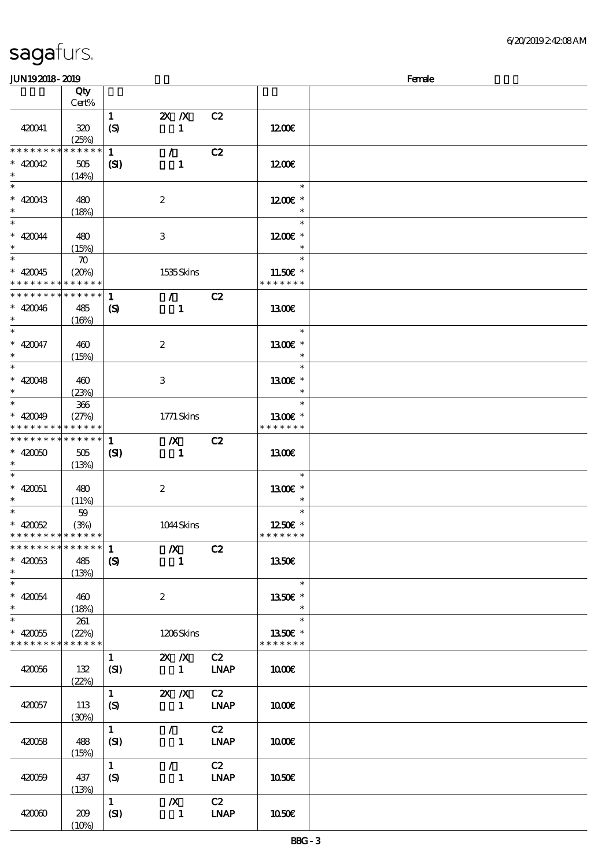| <b>JUN192018-2019</b>                                |                                            |                                  |                                             |                                    |                                     | Female |
|------------------------------------------------------|--------------------------------------------|----------------------------------|---------------------------------------------|------------------------------------|-------------------------------------|--------|
|                                                      | Qty<br>Cert%                               |                                  |                                             |                                    |                                     |        |
| 420041                                               | 320<br>(25%)                               | $\mathbf{1}$<br>$\boldsymbol{S}$ | $X$ $N$<br>$\mathbf{1}$                     | C2                                 | 1200E                               |        |
| * * * * * * * *<br>$* 420042$<br>$\ast$              | * * * * * *<br>505<br>(14%)                | $\mathbf{1}$<br>(S)              | $\mathcal{L}$<br>$\mathbf{1}$               | C2                                 | 1200E                               |        |
| $\ast$<br>$* 420043$<br>$\ast$                       | 480<br>(18%)                               |                                  | $\boldsymbol{2}$                            |                                    | $\ast$<br>1200€ *<br>$\ast$         |        |
| $\ast$<br>$* 420044$<br>$\ast$                       | 480<br>(15%)                               |                                  | $\ensuremath{\mathbf{3}}$                   |                                    | $\ast$<br>$1200E$ *<br>$\ast$       |        |
| $\ast$<br>$* 420045$<br>* * * * * * * *              | $\boldsymbol{\pi}$<br>(20%)<br>* * * * * * |                                  | 1535Skins                                   |                                    | $\ast$<br>11.50€ *<br>* * * * * * * |        |
| * * * * * * * *<br>$* 420046$<br>$\ast$              | * * * * * *<br>485<br>(16%)                | 1<br>$\boldsymbol{\mathcal{S}}$  | $\mathcal{F}^{\mathcal{F}}$<br>$\mathbf{1}$ | C2                                 | 1300E                               |        |
| $\ast$<br>$* 420047$<br>$\ast$                       | 460<br>(15%)                               |                                  | $\boldsymbol{2}$                            |                                    | $\ast$<br>1300€ *<br>$\ast$         |        |
| $\ast$<br>$* 420048$<br>$\ast$                       | 460<br>(23%)                               |                                  | 3                                           |                                    | $\ast$<br>1300€ *<br>$\ast$         |        |
| $\ast$<br>$* 420049$<br>* * * * * * * *              | 366<br>(27%)<br>* * * * * *                |                                  | 1771 Skins                                  |                                    | $\ast$<br>1300E *<br>* * * * * * *  |        |
| * * * * * * * * * * * * * *<br>$* 42000$<br>$\ast$   | 505<br>(13%)                               | $\mathbf{1}$<br>(S)              | $\boldsymbol{X}$<br>$\mathbf{1}$            | C2                                 | <b>1300€</b>                        |        |
| $\ast$<br>$* 420051$<br>$\ast$                       | 480<br>(11%)                               |                                  | $\boldsymbol{z}$                            |                                    | $\ast$<br>1300€ *<br>$\ast$         |        |
| $\ast$<br>$* 420052$<br>* * * * * * * * * * * * * *  | 59<br>(3%)                                 |                                  | 1044Skins                                   |                                    | $\ast$<br>1250E *<br>* * * * * * *  |        |
| ******** <mark>******</mark><br>$* 420053$<br>$\ast$ | 485<br>(13%)                               | 1<br>$\mathbf{S}$                | $\boldsymbol{X}$<br>$\mathbf{1}$            | C2                                 | <b>1350€</b>                        |        |
| $\ast$<br>$* 420054$<br>$\ast$                       | 460<br>(18%)                               |                                  | $\boldsymbol{2}$                            |                                    | $\ast$<br>1350E *<br>$\ast$         |        |
| $\ast$<br>$* 420055$<br>* * * * * * * *              | 261<br>(22%)<br>* * * * * *                |                                  | 1206Skins                                   |                                    | $\ast$<br>1350E *<br>* * * * * * *  |        |
| 420056                                               | 132<br>(22%)                               | $\mathbf{1}$<br>(SI)             | $X$ $N$<br>$\mathbf{1}$                     | C2<br><b>LNAP</b>                  | 1000E                               |        |
| 420057                                               | 113<br>(30%)                               | $\mathbf{1}$<br>$\boldsymbol{S}$ | $2X$ $X$<br>$\mathbf{1}$                    | C2<br>$\ensuremath{\mathbf{INAP}}$ | 1000E                               |        |
| 420058                                               | 488<br>(15%)                               | $\mathbf{1}$<br>(SI)             | $\mathcal{L}$<br>$\mathbf{1}$               | C2<br><b>LNAP</b>                  | 1000E                               |        |
| 420059                                               | 437<br>(13%)                               | $\mathbf{1}$<br>(S)              | $\mathcal{L}$<br>$\mathbf{1}$               | C2<br><b>LNAP</b>                  | 1050E                               |        |
| 420060                                               | 209<br>(10%)                               | $\mathbf{1}$<br>(SI)             | $\boldsymbol{X}$<br>$\mathbf{1}$            | C2<br>$IMAP$                       | 1050E                               |        |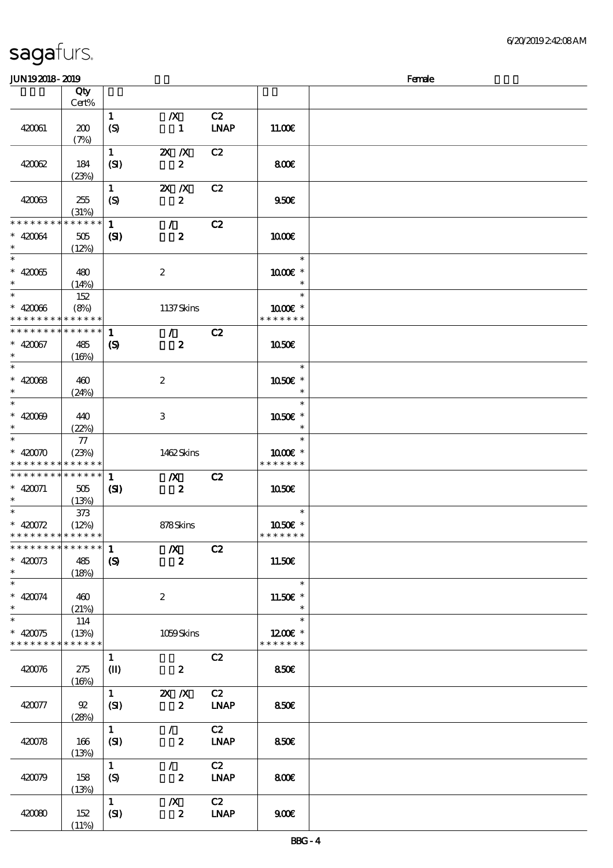$(11%)$ 

| JUN192018-2019                |                 |                             |                  |             |                        | Female |
|-------------------------------|-----------------|-----------------------------|------------------|-------------|------------------------|--------|
|                               | Qty             |                             |                  |             |                        |        |
|                               | Cert%           |                             |                  |             |                        |        |
|                               |                 | $\mathbf{1}$                | $\boldsymbol{X}$ | C2          |                        |        |
| 420061                        | 200             | $\boldsymbol{S}$            | $\mathbf{1}$     | <b>LNAP</b> | 11.00E                 |        |
|                               | (7%)            |                             |                  |             |                        |        |
|                               |                 |                             |                  |             |                        |        |
|                               |                 | $\mathbf{1}$                | $X$ $N$          | C2          |                        |        |
| 420062                        | 184             | (SI)                        | $\boldsymbol{z}$ |             | 800                    |        |
|                               | (23%)           |                             |                  |             |                        |        |
|                               |                 | $\mathbf{1}$                | $X$ $N$          | C2          |                        |        |
| 420063                        | 255             | $\boldsymbol{S}$            | $\boldsymbol{z}$ |             | 950E                   |        |
|                               | (31%)           |                             |                  |             |                        |        |
| * * * * * * * *               | * * * * * *     | $\mathbf{1}$                | $\mathcal{L}$    | C2          |                        |        |
| $* 420064$                    | 505             | (S)                         | $\boldsymbol{z}$ |             | 1000                   |        |
| $\ast$                        |                 |                             |                  |             |                        |        |
|                               | (12%)           |                             |                  |             | $\ast$                 |        |
|                               |                 |                             |                  |             |                        |        |
| $* 42005$                     | 480             |                             | $\boldsymbol{z}$ |             | 1000 £*                |        |
| $\ast$                        | (14%)           |                             |                  |             | $\ast$                 |        |
|                               | 152             |                             |                  |             | $\ast$                 |        |
| $* 42006$                     | (8%)            |                             | 1137Skins        |             | $1000E$ *              |        |
| * * * * * * * *               | * * * * * *     |                             |                  |             | * * * * * * *          |        |
| * * * * * * * *               | * * * * * *     | $\mathbf{1}$                | $\mathcal{T}$    | C2          |                        |        |
| $* 420067$                    | 485             | $\boldsymbol{\mathrm{(S)}}$ | $\boldsymbol{z}$ |             | 1050E                  |        |
| $\ast$                        | (16%)           |                             |                  |             |                        |        |
| $\overline{\ast}$             |                 |                             |                  |             | $\ast$                 |        |
|                               |                 |                             |                  |             |                        |        |
| $* 42008$                     | 460             |                             | $\boldsymbol{2}$ |             | $1050$ $\varepsilon$ * |        |
| $\ast$                        | (24%)           |                             |                  |             | $\ast$                 |        |
| $\overline{\ast}$             |                 |                             |                  |             | $\ast$                 |        |
| $* 42000$                     | 440             |                             | 3                |             | 1050E *                |        |
| $\ast$                        | (22%)           |                             |                  |             | $\ast$                 |        |
| $\overline{\ast}$             | 77              |                             |                  |             | $\ast$                 |        |
| $* 42000$                     | (23%)           |                             | 1462Skins        |             | $1000E$ *              |        |
| * * * * * * * *               | $* * * * * * *$ |                             |                  |             | * * * * * * *          |        |
| * * * * * * * * * * * * * * * |                 | $\mathbf{1}$                | $\mathbf{X}$     | C2          |                        |        |
| $* 420071$                    |                 |                             |                  |             |                        |        |
|                               | 505             | $\mathbf{C}$                | $\mathbf{z}$     |             | <b>1050€</b>           |        |
| $\ast$                        | (13%)           |                             |                  |             |                        |        |
|                               | 373             |                             |                  |             | $\ast$                 |        |
| * $420072$                    | (12%)           |                             | 878Skins         |             | 1050E *                |        |
| * * * * * * * * * * * * * *   |                 |                             |                  |             | * * * * * * *          |        |
| * * * * * * * *               | ******          | $\mathbf{1}$                | $\boldsymbol{X}$ | C2          |                        |        |
| $* 420073$                    | 485             | $\boldsymbol{S}$            | $\boldsymbol{z}$ |             | 11.50€                 |        |
| $\ast$                        | (18%)           |                             |                  |             |                        |        |
| $\ast$                        |                 |                             |                  |             | $\ast$                 |        |
| $* 420074$                    | 460             |                             | $\boldsymbol{2}$ |             | $11.50E$ *             |        |
| $\ast$                        | (21%)           |                             |                  |             | $\ast$                 |        |
| $\overline{\ast}$             |                 |                             |                  |             | $\ast$                 |        |
|                               | 114             |                             |                  |             |                        |        |
| $* 420075$                    | (13%)           |                             | 1059Skins        |             | $1200E$ *              |        |
| * * * * * * * *               | * * * * * *     |                             |                  |             | * * * * * * *          |        |
|                               |                 | $\mathbf{1}$                |                  | C2          |                        |        |
| 420076                        | 275             | $\mathbf{I}$                | $\boldsymbol{z}$ |             | 850E                   |        |
|                               | (16%)           |                             |                  |             |                        |        |
|                               |                 | $\mathbf{1}$                | $X$ $N$          | C2          |                        |        |
| 420077                        | 92              | (SI)                        | $\boldsymbol{z}$ | <b>LNAP</b> | <b>850€</b>            |        |
|                               | (28%)           |                             |                  |             |                        |        |
|                               |                 | $\mathbf{1}$                | $\mathcal{L}$    | C2          |                        |        |
|                               |                 |                             |                  |             |                        |        |
| 420078                        | 166             | (SI)                        | $\boldsymbol{z}$ | <b>LNAP</b> | <b>850€</b>            |        |
|                               | (13%)           |                             |                  |             |                        |        |
|                               |                 | $\mathbf{1}$                | $\mathcal{L}$    | C2          |                        |        |
| 420079                        | 158             | $\boldsymbol{S}$            | $\boldsymbol{z}$ | <b>LNAP</b> | 800                    |        |
|                               | (13%)           |                             |                  |             |                        |        |
|                               |                 | $\mathbf{1}$                | $\boldsymbol{X}$ | C2          |                        |        |
| 420080                        | 152             | (SI)                        | $\boldsymbol{z}$ | <b>LNAP</b> | 900E                   |        |
|                               |                 |                             |                  |             |                        |        |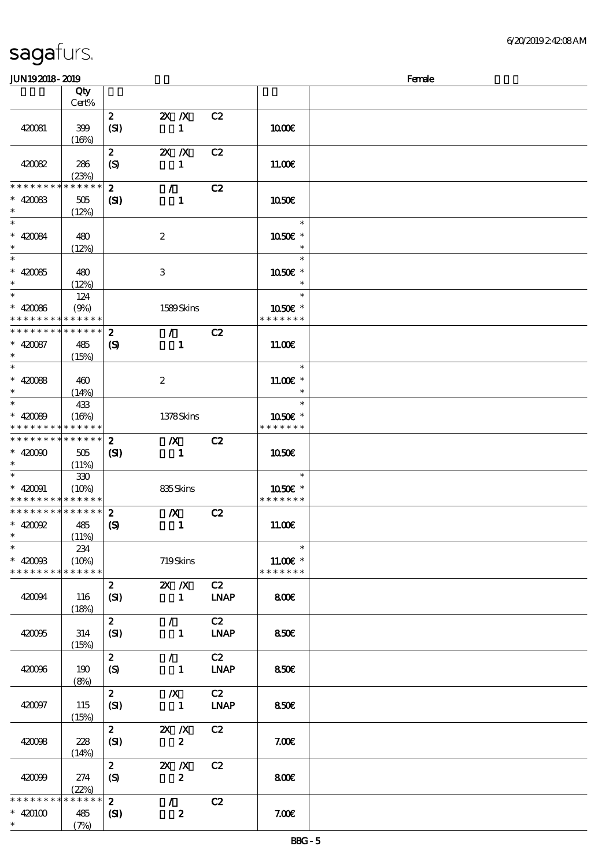### $J/N192018$ - 2019  $R$

| ~~~~~~~~~~~                                |              |                             |                  |                              |               | $\sim$ |
|--------------------------------------------|--------------|-----------------------------|------------------|------------------------------|---------------|--------|
|                                            | Qty<br>Cert% |                             |                  |                              |               |        |
|                                            |              | $\mathbf{z}$                | $X$ $N$          | C2                           |               |        |
|                                            |              |                             |                  |                              |               |        |
| 420081                                     | 399          | (SI)                        | $\mathbf{1}$     |                              | 1000E         |        |
|                                            | (16%)        |                             |                  |                              |               |        |
|                                            |              | $\mathbf{z}$                | $X$ $N$          | C2                           |               |        |
| 420082                                     | 286          | (S)                         | $\mathbf{1}$     |                              | 11.00E        |        |
|                                            | (23%)        |                             |                  |                              |               |        |
| * * * * * * * *                            | * * * * * *  | $\mathbf{z}$                | $\mathcal{L}$    | C2                           |               |        |
| $* 420083$                                 | $505\,$      | $\mathbf{C}$                | $\mathbf{1}$     |                              | 1050€         |        |
| $\ast$                                     |              |                             |                  |                              |               |        |
| $\ast$                                     | (12%)        |                             |                  |                              | $\ast$        |        |
|                                            |              |                             |                  |                              |               |        |
| $* 420084$                                 | 480          |                             | $\boldsymbol{2}$ |                              | 1050E *       |        |
| $\ast$                                     | (12%)        |                             |                  |                              | $\ast$        |        |
| $\ast$                                     |              |                             |                  |                              | $\ast$        |        |
| $* 42005$                                  | 480          |                             | 3                |                              | 1050€ *       |        |
| $\ast$                                     | (12%)        |                             |                  |                              |               |        |
| $\ast$                                     | 124          |                             |                  |                              | $\ast$        |        |
| $* 42006$                                  | (9%)         |                             | 1589Skins        |                              | 1050€ *       |        |
| * * * * * * * * <mark>* * * * * * *</mark> |              |                             |                  |                              | * * * * * * * |        |
| * * * * * * * *                            | * * * * * *  | $\boldsymbol{z}$            | $\mathcal{L}$    | C2                           |               |        |
|                                            |              |                             |                  |                              |               |        |
| $* 420087$                                 | 485          | $\boldsymbol{\mathrm{(S)}}$ | $\mathbf{1}$     |                              | 11.00E        |        |
| $\ast$                                     | (15%)        |                             |                  |                              |               |        |
| $\overline{\ast}$                          |              |                             |                  |                              | $\ast$        |        |
| $* 420088$                                 | 460          |                             | $\boldsymbol{2}$ |                              | 11.00€ *      |        |
| $\ast$                                     | (14%)        |                             |                  |                              |               |        |
| $\ast$                                     | 433          |                             |                  |                              | $\ast$        |        |
| $* 420089$                                 | (16%)        |                             | 1378Skins        |                              | 1050E *       |        |
| * * * * * * * * <mark>* * * * * * *</mark> |              |                             |                  |                              | * * * * * * * |        |
| * * * * * * * *                            | ******       | $\boldsymbol{2}$            | $\boldsymbol{X}$ | C2                           |               |        |
| $* 42000$                                  |              |                             |                  |                              |               |        |
| $\ast$                                     | 505          | (S)                         | $\blacksquare$   |                              | <b>1050€</b>  |        |
|                                            | (11%)        |                             |                  |                              |               |        |
|                                            | $330\,$      |                             |                  |                              | $\ast$        |        |
| $* 420091$                                 | (10%)        |                             | 835Skins         |                              | 1050E *       |        |
| * * * * * * * *                            | * * * * * *  |                             |                  |                              | * * * * * * * |        |
| * * * * * * * *                            | $******$     | $\boldsymbol{z}$            | $\boldsymbol{X}$ | C2                           |               |        |
| $*$ 420092                                 | 485          | $\boldsymbol{\mathrm{(S)}}$ | $\mathbf{1}$     |                              | 11.00E        |        |
| $\ast$                                     | (11%)        |                             |                  |                              |               |        |
| $\ast$                                     | 234          |                             |                  |                              | $\ast$        |        |
| $* 4200B$                                  | (10%)        |                             | 719Skins         |                              | 11.00€ *      |        |
| * * * * * * * *                            | * * * * * *  |                             |                  |                              | * * * * * * * |        |
|                                            |              | $\mathbf{z}$                | $X$ $N$          | C2                           |               |        |
| 420094                                     |              |                             | $\mathbf{1}$     | <b>LNAP</b>                  | 800€          |        |
|                                            | 116          | (SI)                        |                  |                              |               |        |
|                                            | (18%)        |                             |                  |                              |               |        |
|                                            |              | $\boldsymbol{z}$            | $\mathcal{L}$    | C2                           |               |        |
| 420095                                     | 314          | (SI)                        | $\mathbf{1}$     | <b>LNAP</b>                  | 850E          |        |
|                                            | (15%)        |                             |                  |                              |               |        |
|                                            |              | $\boldsymbol{z}$            | $\mathcal{L}$    | C2                           |               |        |
| 420096                                     | 190          | $\boldsymbol{S}$            | $\mathbf{1}$     | $\ensuremath{\mathbf{INAP}}$ | 850E          |        |
|                                            | (8%)         |                             |                  |                              |               |        |
|                                            |              | $\mathbf{2}$                | $\boldsymbol{X}$ | C2                           |               |        |
| 420097                                     | 115          | (SI)                        | $\mathbf{1}$     | <b>LNAP</b>                  | 850€          |        |
|                                            | (15%)        |                             |                  |                              |               |        |
|                                            |              | $\boldsymbol{2}$            | $X$ $N$          | C2                           |               |        |
|                                            |              |                             |                  |                              |               |        |
| 420098                                     | 228          | (SI)                        | $\boldsymbol{z}$ |                              | 7.00E         |        |
|                                            | (14%)        |                             |                  |                              |               |        |
|                                            |              | $\boldsymbol{z}$            | $X$ $N$          | C2                           |               |        |
| 420099                                     | 274          | (S)                         | $\pmb{2}$        |                              | 800E          |        |
|                                            | (22%)        |                             |                  |                              |               |        |
| * * * * * * * *                            | * * * * * *  | $\mathbf{z}$                | $\mathcal{L}$    | C2                           |               |        |
| $* 420100$                                 | 485          | $\mathbf{S}$                | $\boldsymbol{z}$ |                              | 7.00E         |        |
| $\ast$                                     | (7%)         |                             |                  |                              |               |        |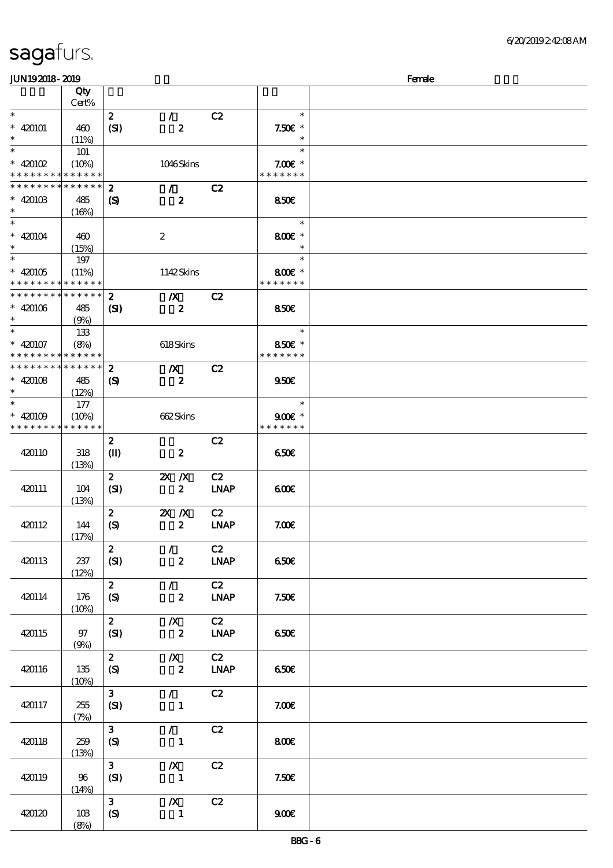| <b>JUN192018-2019</b>                    |             |                            |                  |                              |                  | Female |
|------------------------------------------|-------------|----------------------------|------------------|------------------------------|------------------|--------|
|                                          | Qty         |                            |                  |                              |                  |        |
|                                          | Cert%       |                            |                  |                              |                  |        |
| $\ast$                                   |             | $\boldsymbol{z}$           | $\mathcal{L}$    | C2                           | $\ast$           |        |
| $* 420101$                               | 460         | (SI)                       | $\boldsymbol{z}$ |                              | $7.50E$ *        |        |
| $\ast$                                   | (11%)       |                            |                  |                              | $\ast$           |        |
| $\overline{\phantom{1}}$                 |             |                            |                  |                              | $\ast$           |        |
|                                          | 101         |                            |                  |                              |                  |        |
| $*$ 420102                               | (10%)       |                            | 1046Skins        |                              | $7.00E$ *        |        |
| * * * * * * * * <mark>* * * * * *</mark> |             |                            |                  |                              | * * * * * * *    |        |
| * * * * * * * *                          | * * * * * * | $\boldsymbol{z}$           | $\mathcal{F}$    | C2                           |                  |        |
| $* 42010B$                               | 485         | $\boldsymbol{\mathcal{S}}$ | $\boldsymbol{z}$ |                              | <b>850€</b>      |        |
| $\ast$                                   | (16%)       |                            |                  |                              |                  |        |
| $\ast$                                   |             |                            |                  |                              | $\ast$           |        |
| $* 420104$                               | 460         |                            | $\boldsymbol{2}$ |                              | 800€ *           |        |
| $\ast$                                   | (15%)       |                            |                  |                              | $\ast$           |        |
| $\overline{\phantom{1}}$                 | 197         |                            |                  |                              | $\ast$           |        |
| $* 420105$                               | (11%)       |                            | 1142Skins        |                              | 800€ *           |        |
| * * * * * * * *                          | * * * * * * |                            |                  |                              | * * * * * * *    |        |
| * * * * * * * *                          | * * * * * * |                            |                  |                              |                  |        |
|                                          |             | $\boldsymbol{z}$           | $\boldsymbol{X}$ | C2                           |                  |        |
| $* 420106$                               | 485         | $\mathbf{C}$               | $\boldsymbol{z}$ |                              | 850E             |        |
| $\ast$                                   | (9%)        |                            |                  |                              |                  |        |
| $\ast$                                   | 133         |                            |                  |                              | $\ast$           |        |
| $* 420107$                               | (8%)        |                            | 618Skins         |                              | 850€ *           |        |
| * * * * * * * * * * * * * *              |             |                            |                  |                              | * * * * * * *    |        |
| * * * * * * * * * * * * * *              |             | $\boldsymbol{z}$           | $\boldsymbol{X}$ | C2                           |                  |        |
| $* 420108$                               | 485         | $\boldsymbol{\mathcal{S}}$ | $\boldsymbol{z}$ |                              | 950E             |        |
| $\ast$                                   | (12%)       |                            |                  |                              |                  |        |
| $\ast$                                   | 177         |                            |                  |                              | $\ast$           |        |
| $* 420109$                               | (10%)       |                            | 662Skins         |                              | $900E$ *         |        |
| * * * * * * * * * * * * * *              |             |                            |                  |                              | * * * * * * *    |        |
|                                          |             |                            |                  |                              |                  |        |
|                                          |             | $\pmb{2}$                  |                  | C2                           |                  |        |
| 420110                                   | 318         | $\mathbf{I}$               | $\boldsymbol{z}$ |                              | 650E             |        |
|                                          | (13%)       |                            |                  |                              |                  |        |
|                                          |             | $\boldsymbol{z}$           | $X$ $N$          | C2                           |                  |        |
| 420111                                   | 104         | (SI)                       | $\boldsymbol{z}$ | $\ensuremath{\mathbf{INAP}}$ | 600              |        |
|                                          | (13%)       |                            |                  |                              |                  |        |
|                                          |             | $\boldsymbol{z}$           | $X$ $N$          | C2                           |                  |        |
| 420112                                   | 144         | $\boldsymbol{S}$           | $\boldsymbol{2}$ | <b>LNAP</b>                  | 7.00E            |        |
|                                          | (17%)       |                            |                  |                              |                  |        |
|                                          |             | $\boldsymbol{2}$           | $\mathcal{L}$    | C2                           |                  |        |
| 420113                                   | 237         | (SI)                       | $\boldsymbol{z}$ | $\ensuremath{\text{INAP}}$   | 650E             |        |
|                                          | (12%)       |                            |                  |                              |                  |        |
|                                          |             | $\mathbf{2}$               | $\mathcal{L}$    | C2                           |                  |        |
|                                          |             |                            |                  |                              |                  |        |
| 420114                                   | 176         | (S)                        | $\boldsymbol{z}$ | <b>LNAP</b>                  | 7.50E            |        |
|                                          | (10%)       |                            |                  |                              |                  |        |
|                                          |             | $\mathbf{2}$               | $\boldsymbol{X}$ | C2                           |                  |        |
| 420115                                   | 97          | (SI)                       | $\boldsymbol{z}$ | <b>LNAP</b>                  | 650E             |        |
|                                          | (9%)        |                            |                  |                              |                  |        |
|                                          |             | $\mathbf{z}$               | $\boldsymbol{X}$ | C2                           |                  |        |
| 420116                                   | 135         | (S)                        | $\boldsymbol{z}$ | <b>LNAP</b>                  | 650E             |        |
|                                          | (10%)       |                            |                  |                              |                  |        |
|                                          |             | 3 <sup>7</sup>             | $\mathcal{L}$    | C2                           |                  |        |
| 420117                                   | 255         | (SI)                       | $\mathbf{1}$     |                              | 7.00E            |        |
|                                          | (7%)        |                            |                  |                              |                  |        |
|                                          |             | 3 <sup>1</sup>             | $\mathcal{L}$    | C2                           |                  |        |
| 420118                                   | 259         | $\boldsymbol{S}$           | $\mathbf{1}$     |                              | 800€             |        |
|                                          | (13%)       |                            |                  |                              |                  |        |
|                                          |             |                            |                  |                              |                  |        |
|                                          |             | 3 <sup>1</sup>             | $\boldsymbol{X}$ | C2                           |                  |        |
| 420119                                   | 96          | (SI)                       | $\blacksquare$   |                              | 7.50E            |        |
|                                          | (14%)       |                            |                  |                              |                  |        |
|                                          |             | 3 <sup>1</sup>             | $\boldsymbol{X}$ | C2                           |                  |        |
| 420120                                   | 10B         | $\boldsymbol{S}$           | $\mathbf{1}$     |                              | 900 <sub>E</sub> |        |
|                                          | (8%)        |                            |                  |                              |                  |        |